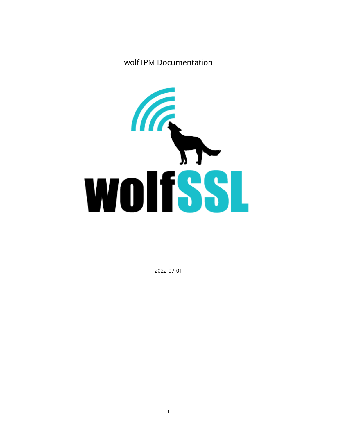wolfTPM Documentation



2022-07-01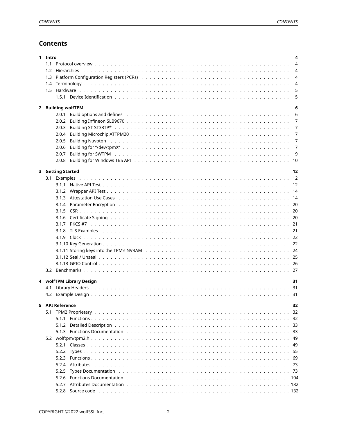# **Contents**

| 1 Intro | 4                                                                                                                                                                                                                              |                |  |  |
|---------|--------------------------------------------------------------------------------------------------------------------------------------------------------------------------------------------------------------------------------|----------------|--|--|
| 1.1     |                                                                                                                                                                                                                                | $\overline{4}$ |  |  |
| 1.2     |                                                                                                                                                                                                                                | $\overline{4}$ |  |  |
| 1.3     | Platform Configuration Registers (PCRs) and contained a subset of the contact of the contact of the platform Configuration Registers (PCRs) and contact a subset of the contact of the contact of the contact of the contact o | $\overline{4}$ |  |  |
|         |                                                                                                                                                                                                                                | $\overline{4}$ |  |  |
|         |                                                                                                                                                                                                                                | 5              |  |  |
|         |                                                                                                                                                                                                                                | 5              |  |  |
|         |                                                                                                                                                                                                                                |                |  |  |
|         | 2 Building wolfTPM                                                                                                                                                                                                             | 6              |  |  |
|         |                                                                                                                                                                                                                                | 6              |  |  |
|         |                                                                                                                                                                                                                                | 7              |  |  |
|         | 2.0.3                                                                                                                                                                                                                          | 7              |  |  |
|         | 2.0.4                                                                                                                                                                                                                          | 7              |  |  |
|         | 2.0.5                                                                                                                                                                                                                          | 7              |  |  |
|         | 2.0.6                                                                                                                                                                                                                          | 7              |  |  |
|         | 2.0.7                                                                                                                                                                                                                          | 9              |  |  |
|         |                                                                                                                                                                                                                                |                |  |  |
|         | 3 Getting Started                                                                                                                                                                                                              | 12             |  |  |
|         |                                                                                                                                                                                                                                |                |  |  |
|         |                                                                                                                                                                                                                                |                |  |  |
|         |                                                                                                                                                                                                                                |                |  |  |
|         |                                                                                                                                                                                                                                |                |  |  |
|         |                                                                                                                                                                                                                                |                |  |  |
|         |                                                                                                                                                                                                                                |                |  |  |
|         |                                                                                                                                                                                                                                |                |  |  |
|         |                                                                                                                                                                                                                                |                |  |  |
|         |                                                                                                                                                                                                                                |                |  |  |
|         |                                                                                                                                                                                                                                |                |  |  |
|         |                                                                                                                                                                                                                                |                |  |  |
|         |                                                                                                                                                                                                                                |                |  |  |
|         |                                                                                                                                                                                                                                |                |  |  |
|         |                                                                                                                                                                                                                                |                |  |  |
|         |                                                                                                                                                                                                                                |                |  |  |
|         |                                                                                                                                                                                                                                |                |  |  |
|         | 4 wolfTPM Library Design                                                                                                                                                                                                       | 31             |  |  |
|         |                                                                                                                                                                                                                                |                |  |  |
|         |                                                                                                                                                                                                                                |                |  |  |
|         | 5 API Reference                                                                                                                                                                                                                | 32             |  |  |
|         |                                                                                                                                                                                                                                |                |  |  |
|         |                                                                                                                                                                                                                                |                |  |  |
|         | 5.1.2                                                                                                                                                                                                                          |                |  |  |
|         |                                                                                                                                                                                                                                |                |  |  |
|         |                                                                                                                                                                                                                                |                |  |  |
|         |                                                                                                                                                                                                                                |                |  |  |
|         |                                                                                                                                                                                                                                |                |  |  |
|         | 5.2.2                                                                                                                                                                                                                          |                |  |  |
|         | 5.2.3<br>5.2.4 Attributes                                                                                                                                                                                                      |                |  |  |
|         | 5.2.5                                                                                                                                                                                                                          |                |  |  |
|         | 5.2.6                                                                                                                                                                                                                          |                |  |  |
|         | 5.2.7                                                                                                                                                                                                                          |                |  |  |
|         |                                                                                                                                                                                                                                |                |  |  |
|         |                                                                                                                                                                                                                                |                |  |  |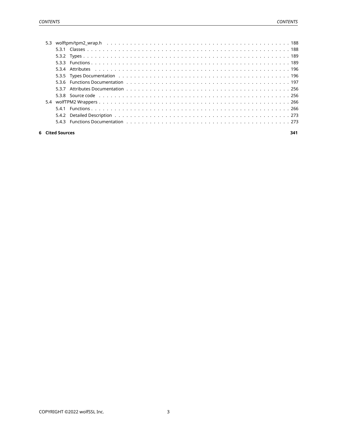<span id="page-2-0"></span>

|  |                 | 5.3.5 Types Documentation (a) and a control of the control of the control of the control of the control of the control of the control of the control of the control of the control of the control of the control of the contro |     |
|--|-----------------|--------------------------------------------------------------------------------------------------------------------------------------------------------------------------------------------------------------------------------|-----|
|  |                 |                                                                                                                                                                                                                                |     |
|  |                 |                                                                                                                                                                                                                                |     |
|  |                 |                                                                                                                                                                                                                                |     |
|  |                 |                                                                                                                                                                                                                                |     |
|  |                 |                                                                                                                                                                                                                                |     |
|  |                 |                                                                                                                                                                                                                                |     |
|  |                 |                                                                                                                                                                                                                                |     |
|  | 6 Cited Sources |                                                                                                                                                                                                                                | 341 |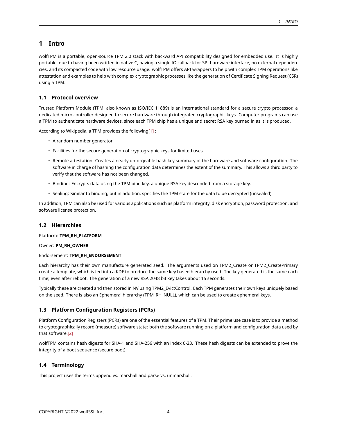# **1 Intro**

wolfTPM is a portable, open-source TPM 2.0 stack with backward API compatibility designed for embedded use. It is highly portable, due to having been written in native C, having a single IO callback for SPI hardware interface, no external dependencies, and its compacted code with low resource usage. wolfTPM offers API wrappers to help with complex TPM operations like attestation and examples to help with complex cryptographic processes like the generation of Certificate Signing Request (CSR) using a TPM.

# <span id="page-3-0"></span>**1.1 Protocol overview**

Trusted Platform Module (TPM, also known as ISO/IEC 11889) is an international standard for a secure crypto processor, a dedicated micro controller designed to secure hardware through integrated cryptographic keys. Computer programs can use a TPM to authenticate hardware devices, since each TPM chip has a unique and secret RSA key burned in as it is produced.

According to Wikipedia, a TPM provides the following[\[1\]](#page-339-1) :

- A random number generator
- Facilities for the secure generation of cryptographic keys for limited uses.
- Remote attestation: Creates a nearly unforgeable hash key summary of the hardware and software configuration. The software in charge of hashing the configuration data determines the extent of the summary. This allows a third party to verify that the software has not been changed.
- Binding: Encrypts data using the TPM bind key, a unique RSA key descended from a storage key.
- Sealing: Similar to binding, but in addition, specifies the TPM state for the data to be decrypted (unsealed).

In addition, TPM can also be used for various applications such as platform integrity, disk encryption, password protection, and software license protection.

# <span id="page-3-1"></span>**1.2 Hierarchies**

Platform: **TPM\_RH\_PLATFORM**

Owner: **PM\_RH\_OWNER**

# Endorsement: **TPM\_RH\_ENDORSEMENT**

Each hierarchy has their own manufacture generated seed. The arguments used on TPM2\_Create or TPM2\_CreatePrimary create a template, which is fed into a KDF to produce the same key based hierarchy used. The key generated is the same each time; even after reboot. The generation of a new RSA 2048 bit key takes about 15 seconds.

Typically these are created and then stored in NV using TPM2\_EvictControl. Each TPM generates their own keys uniquely based on the seed. There is also an Ephemeral hierarchy (TPM\_RH\_NULL), which can be used to create ephemeral keys.

# <span id="page-3-2"></span>**1.3 Platform Configuration Registers (PCRs)**

Platform Configuration Registers (PCRs) are one of the essential features of a TPM. Their prime use case is to provide a method to cryptographically record (measure) software state: both the software running on a platform and configuration data used by that software[.\[2\]](#page-339-1)

wolfTPM contains hash digests for SHA-1 and SHA-256 with an index 0-23. These hash digests can be extended to prove the integrity of a boot sequence (secure boot).

# <span id="page-3-3"></span>**1.4 Terminology**

<span id="page-3-4"></span>This project uses the terms append vs. marshall and parse vs. unmarshall.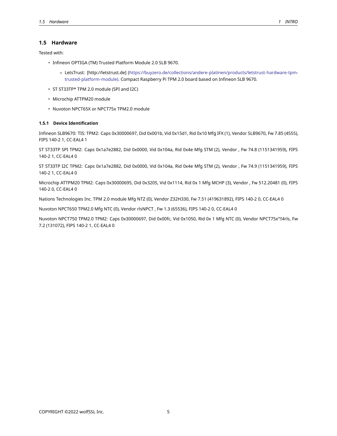# **1.5 Hardware**

Tested with:

- Infineon OPTIGA (TM) Trusted Platform Module 2.0 SLB 9670.
	- **–** LetsTrust: [http://letstrust.de]([https://buyzero.de/collections/andere-platinen/products/letstrust-hardware-tpm](https://buyzero.de/collections/andere-platinen/products/letstrust-hardware-tpm-trusted-platform-module).)[trusted-platform-module\).](https://buyzero.de/collections/andere-platinen/products/letstrust-hardware-tpm-trusted-platform-module).) Compact Raspberry Pi TPM 2.0 board based on Infineon SLB 9670.
- ST ST33TP\* TPM 2.0 module (SPI and I2C)
- Microchip ATTPM20 module
- Nuvoton NPCT65X or NPCT75x TPM2.0 module

## <span id="page-4-0"></span>**1.5.1 Device Identification**

Infineon SLB9670: TIS: TPM2: Caps 0x30000697, Did 0x001b, Vid 0x15d1, Rid 0x10 Mfg IFX (1), Vendor SLB9670, Fw 7.85 (4555), FIPS 140-2 1, CC-EAL4 1

ST ST33TP SPI TPM2: Caps 0x1a7e2882, Did 0x0000, Vid 0x104a, Rid 0x4e Mfg STM (2), Vendor , Fw 74.8 (1151341959), FIPS 140-2 1, CC-EAL4 0

ST ST33TP I2C TPM2: Caps 0x1a7e2882, Did 0x0000, Vid 0x104a, Rid 0x4e Mfg STM (2), Vendor , Fw 74.9 (1151341959), FIPS 140-2 1, CC-EAL4 0

Microchip ATTPM20 TPM2: Caps 0x30000695, Did 0x3205, Vid 0x1114, Rid 0x 1 Mfg MCHP (3), Vendor , Fw 512.20481 (0), FIPS 140-2 0, CC-EAL4 0

Nations Technologies Inc. TPM 2.0 module Mfg NTZ (0), Vendor Z32H330, Fw 7.51 (419631892), FIPS 140-2 0, CC-EAL4 0

Nuvoton NPCT650 TPM2.0 Mfg NTC (0), Vendor rlsNPCT , Fw 1.3 (65536), FIPS 140-2 0, CC-EAL4 0

<span id="page-4-1"></span>Nuvoton NPCT750 TPM2.0 TPM2: Caps 0x30000697, Did 0x00fc, Vid 0x1050, Rid 0x 1 Mfg NTC (0), Vendor NPCT75x"!!4rls, Fw 7.2 (131072), FIPS 140-2 1, CC-EAL4 0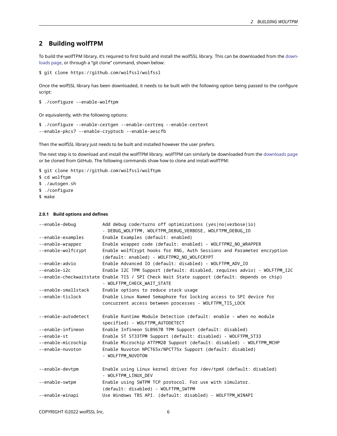# **2 Building wolfTPM**

To build the wolfTPM library, it's required to first build and install the wolfSSL library. This can be downloaded from the [down](https://wolfssl.com/download/)[loads page,](https://wolfssl.com/download/) or through a "git clone" command, shown below:

```
$ git clone https://github.com/wolfssl/wolfssl
```
Once the wolfSSL library has been downloaded, it needs to be built with the following option being passed to the configure script:

```
$ ./configure --enable-wolftpm
```
Or equivalently, with the following options:

```
$ ./configure --enable-certgen --enable-certreq --enable-certext
--enable-pkcs7 --enable-cryptocb --enable-aescfb
```
Then the wolfSSL library just needs to be built and installed however the user prefers.

The next step is to download and install the wolfTPM library. wolfTPM can similarly be downloaded from the [downloads page](https://wolfssl.com/download/) or be cloned from GitHub. The following commands show how to clone and install wolfTPM:

\$ git clone https://github.com/wolfssl/wolftpm

- \$ cd wolftpm
- \$ ./autogen.sh
- \$ ./configure
- \$ make

## <span id="page-5-0"></span>**2.0.1 Build options and defines**

| --enable-debug      | Add debug code/turns off optimizations (yes no verbose io)                                                                 |
|---------------------|----------------------------------------------------------------------------------------------------------------------------|
|                     | - DEBUG_WOLFTPM, WOLFTPM_DEBUG_VERBOSE, WOLFTPM_DEBUG_IO                                                                   |
| --enable-examples   | Enable Examples (default: enabled)                                                                                         |
| --enable-wrapper    | Enable wrapper code (default: enabled) - WOLFTPM2 NO WRAPPER                                                               |
| --enable-wolfcrypt  | Enable wolfCrypt hooks for RNG, Auth Sessions and Parameter encryption                                                     |
|                     | (default: enabled) - WOLFTPM2 NO WOLFCRYPT                                                                                 |
| --enable-advio      | Enable Advanced IO (default: disabled) - WOLFTPM_ADV_IO                                                                    |
| --enable-i2c        | Enable I2C TPM Support (default: disabled, requires advio) - WOLFTPM I2C                                                   |
|                     | --enable-checkwaitstate Enable TIS / SPI Check Wait State support (default: depends on chip)<br>- WOLFTPM CHECK WAIT STATE |
| --enable-smallstack | Enable options to reduce stack usage                                                                                       |
| --enable-tislock    | Enable Linux Named Semaphore for locking access to SPI device for                                                          |
|                     | concurrent access between processes - WOLFTPM_TIS_LOCK                                                                     |
|                     |                                                                                                                            |
| --enable-autodetect | Enable Runtime Module Detection (default: enable - when no module                                                          |
|                     | specified) - WOLFTPM_AUTODETECT                                                                                            |
| --enable-infineon   | Enable Infineon SLB9670 TPM Support (default: disabled)                                                                    |
| --enable-st         | Enable ST ST33TPM Support (default: disabled) - WOLFTPM_ST33                                                               |
| --enable-microchip  | Enable Microchip ATTPM20 Support (default: disabled) - WOLFTPM_MCHP                                                        |
| --enable-nuvoton    | Enable Nuvoton NPCT65x/NPCT75x Support (default: disabled)                                                                 |
|                     | - WOLFTPM NUVOTON                                                                                                          |
|                     |                                                                                                                            |
| --enable-devtpm     | Enable using Linux kernel driver for /dev/tpmX (default: disabled)                                                         |
|                     | - WOLFTPM LINUX DEV                                                                                                        |
| --enable-swtpm      | Enable using SWTPM TCP protocol. For use with simulator.                                                                   |
|                     | (default: disabled) - WOLFTPM SWTPM                                                                                        |
| --enable-winapi     | Use Windows TBS API. (default: disabled) - WOLFTPM WINAPI                                                                  |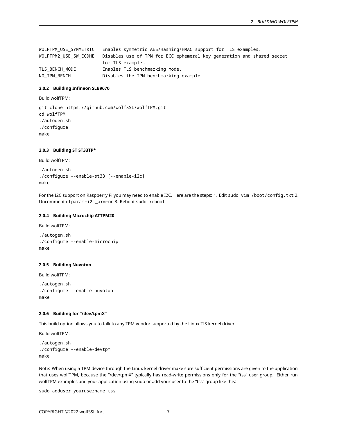WOLFTPM\_USE\_SYMMETRIC Enables symmetric AES/Hashing/HMAC support for TLS examples. WOLFTPM2\_USE\_SW\_ECDHE Disables use of TPM for ECC ephemeral key generation and shared secret for TLS examples. TLS\_BENCH\_MODE Enables TLS benchmarking mode. NO\_TPM\_BENCH Disables the TPM benchmarking example.

#### <span id="page-6-0"></span>**2.0.2 Building Infineon SLB9670**

Build wolfTPM:

git clone https://github.com/wolfSSL/wolfTPM.git cd wolfTPM ./autogen.sh ./configure make

### <span id="page-6-1"></span>**2.0.3 Building ST ST33TP\***

Build wolfTPM:

```
./autogen.sh
./configure --enable-st33 [--enable-i2c]
make
```
For the I2C support on Raspberry Pi you may need to enable I2C. Here are the steps: 1. Edit sudo vim /boot/config.txt 2. Uncomment dtparam=i2c\_arm=on 3. Reboot sudo reboot

#### <span id="page-6-2"></span>**2.0.4 Building Microchip ATTPM20**

Build wolfTPM:

```
./autogen.sh
./configure --enable-microchip
make
```
#### <span id="page-6-3"></span>**2.0.5 Building Nuvoton**

Build wolfTPM:

```
./autogen.sh
./configure --enable-nuvoton
make
```
#### <span id="page-6-4"></span>**2.0.6 Building for "/dev/tpmX"**

This build option allows you to talk to any TPM vendor supported by the Linux TIS kernel driver

Build wolfTPM:

```
./autogen.sh
./configure --enable-devtpm
make
```
Note: When using a TPM device through the Linux kernel driver make sure sufficient permissions are given to the application that uses wolfTPM, because the "/dev/tpmX" typically has read-write permissions only for the "tss" user group. Either run wolfTPM examples and your application using sudo or add your user to the "tss" group like this:

sudo adduser yourusername tss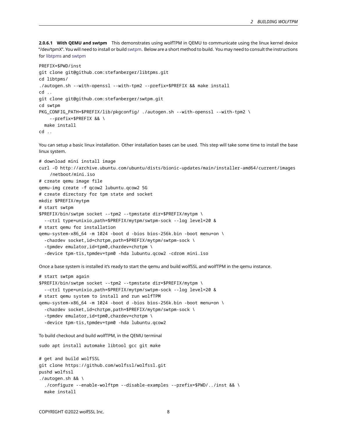**2.0.6.1 With QEMU and swtpm** This demonstrates using wolfTPM in QEMU to communicate using the linux kernel device "/dev/tpmX". You will need to install or build [swtpm](https://github.com/stefanberger/swtpm). Below are a short method to build. You may need to consult the instructions for [libtpms](https://github.com/stefanberger/libtpms/wiki#compile-and-install-on-linux) and [swtpm](https://github.com/stefanberger/swtpm/wiki#compile-and-install-on-linux)

```
PREFIX=$PWD/inst
git clone git@github.com:stefanberger/libtpms.git
cd libtpms/
./autogen.sh --with-openssl --with-tpm2 --prefix=$PREFIX && make install
cd ..
git clone git@github.com:stefanberger/swtpm.git
cd swtpm
PKG_CONFIG_PATH=$PREFIX/lib/pkgconfig/ ./autogen.sh --with-openssl --with-tpm2 \
    --prefix=$PREFIX && \
 make install
cd ..
```
You can setup a basic linux installation. Other installation bases can be used. This step will take some time to install the base linux system.

```
# download mini install image
curl -O http://archive.ubuntu.com/ubuntu/dists/bionic-updates/main/installer-amd64/current/images
    /netboot/mini.iso
# create qemu image file
qemu-img create -f qcow2 lubuntu.qcow2 5G
# create directory for tpm state and socket
mkdir $PREFIX/mytpm
# start swtpm
$PREFIX/bin/swtpm socket --tpm2 --tpmstate dir=$PREFIX/mytpm \
  --ctrl type=unixio,path=$PREFIX/mytpm/swtpm-sock --log level=20 &
# start qemu for installation
qemu-system-x86_64 -m 1024 -boot d -bios bios-256k.bin -boot menu=on \
  -chardev socket,id=chrtpm,path=$PREFIX/mytpm/swtpm-sock \
  -tpmdev emulator,id=tpm0,chardev=chrtpm \
  -device tpm-tis,tpmdev=tpm0 -hda lubuntu.qcow2 -cdrom mini.iso
```
Once a base system is installed it's ready to start the qemu and build wolfSSL and wolfTPM in the qemu instance.

```
# start swtpm again
$PREFIX/bin/swtpm socket --tpm2 --tpmstate dir=$PREFIX/mytpm \
  --ctrl type=unixio,path=$PREFIX/mytpm/swtpm-sock --log level=20 &
# start qemu system to install and run wolfTPM
qemu-system-x86_64 -m 1024 -boot d -bios bios-256k.bin -boot menu=on \
  -chardev socket,id=chrtpm,path=$PREFIX/mytpm/swtpm-sock \
  -tpmdev emulator,id=tpm0,chardev=chrtpm \
  -device tpm-tis,tpmdev=tpm0 -hda lubuntu.qcow2
```
To build checkout and build wolfTPM, in the QEMU terminal

sudo apt install automake libtool gcc git make # get and build wolfSSL git clone https://github.com/wolfssl/wolfssl.git pushd wolfssl ./autogen.sh && \ ./configure --enable-wolftpm --disable-examples --prefix=\$PWD/../inst && \ make install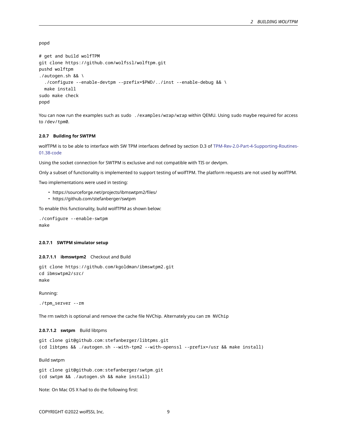popd

```
# get and build wolfTPM
git clone https://github.com/wolfssl/wolftpm.git
pushd wolftpm
./autogen.sh && \
  ./configure --enable-devtpm --prefix=$PWD/../inst --enable-debug && \
 make install
sudo make check
popd
```
You can now run the examples such as sudo . /examples/wrap/wrap within QEMU. Using sudo maybe required for access to /dev/tpm0.

### <span id="page-8-0"></span>**2.0.7 Building for SWTPM**

wolfTPM is to be able to interface with SW TPM interfaces defined by section D.3 of [TPM-Rev-2.0-Part-4-Supporting-Routines-](https://trustedcomputinggroup.org/wp-content/uploads/TPM-Rev-2.0-Part-4-Supporting-Routines-01.38-code.pdf)[01.38-code](https://trustedcomputinggroup.org/wp-content/uploads/TPM-Rev-2.0-Part-4-Supporting-Routines-01.38-code.pdf)

Using the socket connection for SWTPM is exclusive and not compatible with TIS or devtpm.

Only a subset of functionality is implemented to support testing of wolfTPM. The platform requests are not used by wolfTPM.

Two implementations were used in testing:

- https://sourceforge.net/projects/ibmswtpm2/files/
- https://github.com/stefanberger/swtpm

To enable this functionality, build wolfTPM as shown below:

```
./configure --enable-swtpm
make
```
#### **2.0.7.1 SWTPM simulator setup**

**2.0.7.1.1 ibmswtpm2** Checkout and Build

git clone https://github.com/kgoldman/ibmswtpm2.git cd ibmswtpm2/src/ make

Running:

./tpm\_server --rm

The rm switch is optional and remove the cache file NVChip. Alternately you can rm NVChip

**2.0.7.1.2 swtpm** Build libtpms

```
git clone git@github.com:stefanberger/libtpms.git
(cd libtpms && ./autogen.sh --with-tpm2 --with-openssl --prefix=/usr && make install)
```
Build swtpm

git clone git@github.com:stefanberger/swtpm.git (cd swtpm && ./autogen.sh && make install)

Note: On Mac OS X had to do the following first: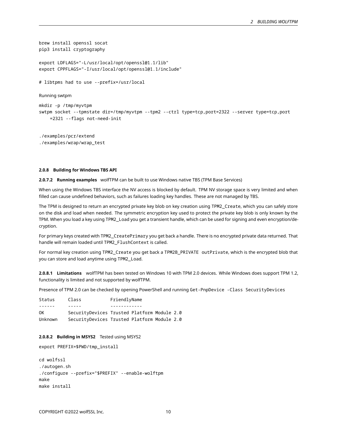```
brew install openssl socat
pip3 install cryptography
export LDFLAGS="-L/usr/local/opt/openssl@1.1/lib"
export CPPFLAGS="-I/usr/local/opt/openssl@1.1/include"
# libtpms had to use --prefix=/usr/local
Running swtpm
mkdir -p /tmp/myvtpm
swtpm socket --tpmstate dir=/tmp/myvtpm --tpm2 --ctrl type=tcp,port=2322 --server type=tcp,port
    =2321 --flags not-need-init
./examples/pcr/extend
```

```
./examples/wrap/wrap_test
```
### <span id="page-9-0"></span>**2.0.8 Building for Windows TBS API**

**2.0.7.2 Running examples** wolfTPM can be built to use Windows native TBS (TPM Base Services)

When using the Windows TBS interface the NV access is blocked by default. TPM NV storage space is very limited and when filled can cause undefined behaviors, such as failures loading key handles. These are not managed by TBS.

The TPM is designed to return an encrypted private key blob on key creation using TPM2\_Create, which you can safely store on the disk and load when needed. The symmetric encryption key used to protect the private key blob is only known by the TPM. When you load a key using TPM2\_Load you get a transient handle, which can be used for signing and even encryption/decryption.

For primary keys created with TPM2\_CreatePrimary you get back a handle. There is no encrypted private data returned. That handle will remain loaded until TPM2\_FlushContext is called.

For normal key creation using TPM2\_Create you get back a TPM2B\_PRIVATE outPrivate, which is the encrypted blob that you can store and load anytime using TPM2\_Load.

**2.0.8.1 Limitations** wolfTPM has been tested on Windows 10 with TPM 2.0 devices. While Windows does support TPM 1.2, functionality is limited and not supported by wolfTPM.

Presence of TPM 2.0 can be checked by opening PowerShell and running Get-PnpDevice -Class SecurityDevices

| Status         | Class                                       | FriendlyName |  |  |  |
|----------------|---------------------------------------------|--------------|--|--|--|
| $- - - - - -$  |                                             |              |  |  |  |
| 0K             | SecurityDevices Trusted Platform Module 2.0 |              |  |  |  |
| <b>Unknown</b> | SecurityDevices Trusted Platform Module 2.0 |              |  |  |  |

#### **2.0.8.2 Building in MSYS2** Tested using MSYS2

```
export PREFIX=$PWD/tmp_install
```

```
cd wolfssl
./autogen.sh
./configure --prefix="$PREFIX" --enable-wolftpm
make
make install
```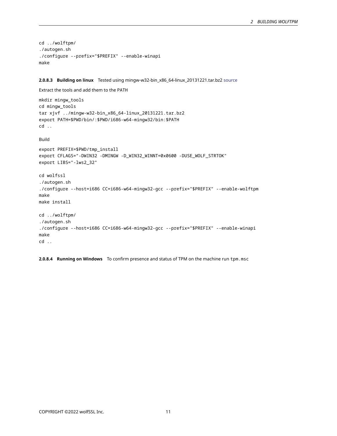```
cd ../wolftpm/
./autogen.sh
./configure --prefix="$PREFIX" --enable-winapi
make
```
**2.0.8.3 Building on linux** Tested using mingw-w32-bin\_x86\_64-linux\_20131221.tar.bz2 [source](https://sourceforge.net/projects/mingw-w64/files/Toolchains%20targetting%20Win32/Automated%20Builds/)

```
Extract the tools and add them to the PATH
```

```
mkdir mingw_tools
cd mingw_tools
tar xjvf ../mingw-w32-bin_x86_64-linux_20131221.tar.bz2
export PATH=$PWD/bin/:$PWD/i686-w64-mingw32/bin:$PATH
cd ..
```
Build

```
export PREFIX=$PWD/tmp_install
export CFLAGS="-DWIN32 -DMINGW -D_WIN32_WINNT=0x0600 -DUSE_WOLF_STRTOK"
export LIBS="-lws2_32"
cd wolfssl
./autogen.sh
./configure --host=i686 CC=i686-w64-mingw32-gcc --prefix="$PREFIX" --enable-wolftpm
make
make install
cd ../wolftpm/
./autogen.sh
./configure --host=i686 CC=i686-w64-mingw32-gcc --prefix="$PREFIX" --enable-winapi
make
cd ..
```
<span id="page-10-0"></span>**2.0.8.4 Running on Windows** To confirm presence and status of TPM on the machine run tpm.msc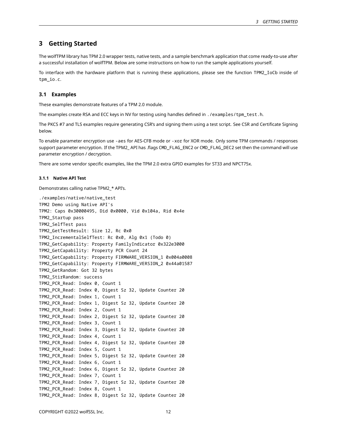# **3 Getting Started**

The wolfTPM library has TPM 2.0 wrapper tests, native tests, and a sample benchmark application that come ready-to-use after a successful installation of wolfTPM. Below are some instructions on how to run the sample applications yourself.

To interface with the hardware platform that is running these applications, please see the function TPM2\_IoCb inside of tpm\_io.c.

## <span id="page-11-0"></span>**3.1 Examples**

These examples demonstrate features of a TPM 2.0 module.

The examples create RSA and ECC keys in NV for testing using handles defined in ./examples/tpm\_test.h.

The PKCS #7 and TLS examples require generating CSR's and signing them using a test script. See CSR and Certificate Signing below.

To enable parameter encryption use -aes for AES-CFB mode or -xor for XOR mode. Only some TPM commands / responses support parameter encryption. If the TPM2\_ API has .flags CMD\_FLAG\_ENC2 or CMD\_FLAG\_DEC2 set then the command will use parameter encryption / decryption.

<span id="page-11-1"></span>There are some vendor specific examples, like the TPM 2.0 extra GPIO examples for ST33 and NPCT75x.

### **3.1.1 Native API Test**

Demonstrates calling native TPM2\_\* API's.

```
./examples/native/native_test
TPM2 Demo using Native API's
TPM2: Caps 0x30000495, Did 0x0000, Vid 0x104a, Rid 0x4e
TPM2_Startup pass
TPM2_SelfTest pass
TPM2_GetTestResult: Size 12, Rc 0x0
TPM2_IncrementalSelfTest: Rc 0x0, Alg 0x1 (Todo 0)
TPM2_GetCapability: Property FamilyIndicator 0x322e3000
TPM2_GetCapability: Property PCR Count 24
TPM2_GetCapability: Property FIRMWARE_VERSION_1 0x004a0008
TPM2_GetCapability: Property FIRMWARE_VERSION_2 0x44a01587
TPM2_GetRandom: Got 32 bytes
TPM2_StirRandom: success
TPM2_PCR_Read: Index 0, Count 1
TPM2_PCR_Read: Index 0, Digest Sz 32, Update Counter 20
TPM2_PCR_Read: Index 1, Count 1
TPM2_PCR_Read: Index 1, Digest Sz 32, Update Counter 20
TPM2_PCR_Read: Index 2, Count 1
TPM2_PCR_Read: Index 2, Digest Sz 32, Update Counter 20
TPM2_PCR_Read: Index 3, Count 1
TPM2_PCR_Read: Index 3, Digest Sz 32, Update Counter 20
TPM2_PCR_Read: Index 4, Count 1
TPM2_PCR_Read: Index 4, Digest Sz 32, Update Counter 20
TPM2_PCR_Read: Index 5, Count 1
TPM2_PCR_Read: Index 5, Digest Sz 32, Update Counter 20
TPM2_PCR_Read: Index 6, Count 1
TPM2_PCR_Read: Index 6, Digest Sz 32, Update Counter 20
TPM2_PCR_Read: Index 7, Count 1
TPM2_PCR_Read: Index 7, Digest Sz 32, Update Counter 20
TPM2_PCR_Read: Index 8, Count 1
TPM2_PCR_Read: Index 8, Digest Sz 32, Update Counter 20
```
COPYRIGHT ©2022 wolfSSL Inc. 12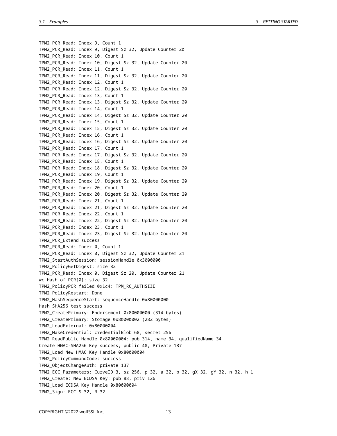TPM2\_PCR\_Read: Index 9, Count 1 TPM2\_PCR\_Read: Index 9, Digest Sz 32, Update Counter 20 TPM2\_PCR\_Read: Index 10, Count 1 TPM2\_PCR\_Read: Index 10, Digest Sz 32, Update Counter 20 TPM2\_PCR\_Read: Index 11, Count 1 TPM2\_PCR\_Read: Index 11, Digest Sz 32, Update Counter 20 TPM2\_PCR\_Read: Index 12, Count 1 TPM2\_PCR\_Read: Index 12, Digest Sz 32, Update Counter 20 TPM2\_PCR\_Read: Index 13, Count 1 TPM2\_PCR\_Read: Index 13, Digest Sz 32, Update Counter 20 TPM2\_PCR\_Read: Index 14, Count 1 TPM2\_PCR\_Read: Index 14, Digest Sz 32, Update Counter 20 TPM2\_PCR\_Read: Index 15, Count 1 TPM2\_PCR\_Read: Index 15, Digest Sz 32, Update Counter 20 TPM2\_PCR\_Read: Index 16, Count 1 TPM2\_PCR\_Read: Index 16, Digest Sz 32, Update Counter 20 TPM2\_PCR\_Read: Index 17, Count 1 TPM2\_PCR\_Read: Index 17, Digest Sz 32, Update Counter 20 TPM2\_PCR\_Read: Index 18, Count 1 TPM2\_PCR\_Read: Index 18, Digest Sz 32, Update Counter 20 TPM2\_PCR\_Read: Index 19, Count 1 TPM2\_PCR\_Read: Index 19, Digest Sz 32, Update Counter 20 TPM2\_PCR\_Read: Index 20, Count 1 TPM2\_PCR\_Read: Index 20, Digest Sz 32, Update Counter 20 TPM2\_PCR\_Read: Index 21, Count 1 TPM2\_PCR\_Read: Index 21, Digest Sz 32, Update Counter 20 TPM2\_PCR\_Read: Index 22, Count 1 TPM2\_PCR\_Read: Index 22, Digest Sz 32, Update Counter 20 TPM2\_PCR\_Read: Index 23, Count 1 TPM2\_PCR\_Read: Index 23, Digest Sz 32, Update Counter 20 TPM2\_PCR\_Extend success TPM2\_PCR\_Read: Index 0, Count 1 TPM2\_PCR\_Read: Index 0, Digest Sz 32, Update Counter 21 TPM2\_StartAuthSession: sessionHandle 0x3000000 TPM2\_PolicyGetDigest: size 32 TPM2\_PCR\_Read: Index 0, Digest Sz 20, Update Counter 21 wc\_Hash of PCR[0]: size 32 TPM2\_PolicyPCR failed 0x1c4: TPM\_RC\_AUTHSIZE TPM2\_PolicyRestart: Done TPM2\_HashSequenceStart: sequenceHandle 0x80000000 Hash SHA256 test success TPM2\_CreatePrimary: Endorsement 0x80000000 (314 bytes) TPM2\_CreatePrimary: Storage 0x80000002 (282 bytes) TPM2\_LoadExternal: 0x80000004 TPM2\_MakeCredential: credentialBlob 68, secret 256 TPM2\_ReadPublic Handle 0x80000004: pub 314, name 34, qualifiedName 34 Create HMAC-SHA256 Key success, public 48, Private 137 TPM2\_Load New HMAC Key Handle 0x80000004 TPM2\_PolicyCommandCode: success TPM2\_ObjectChangeAuth: private 137 TPM2\_ECC\_Parameters: CurveID 3, sz 256, p 32, a 32, b 32, gX 32, gY 32, n 32, h 1 TPM2\_Create: New ECDSA Key: pub 88, priv 126 TPM2\_Load ECDSA Key Handle 0x80000004 TPM2\_Sign: ECC S 32, R 32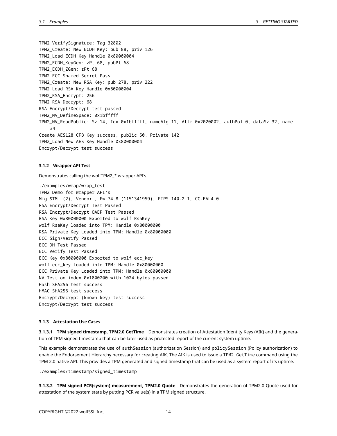TPM2\_VerifySignature: Tag 32802 TPM2\_Create: New ECDH Key: pub 88, priv 126 TPM2\_Load ECDH Key Handle 0x80000004 TPM2\_ECDH\_KeyGen: zPt 68, pubPt 68 TPM2\_ECDH\_ZGen: zPt 68 TPM2 ECC Shared Secret Pass TPM2\_Create: New RSA Key: pub 278, priv 222 TPM2\_Load RSA Key Handle 0x80000004 TPM2\_RSA\_Encrypt: 256 TPM2\_RSA\_Decrypt: 68 RSA Encrypt/Decrypt test passed TPM2\_NV\_DefineSpace: 0x1bfffff TPM2\_NV\_ReadPublic: Sz 14, Idx 0x1bfffff, nameAlg 11, Attr 0x2020002, authPol 0, dataSz 32, name 34 Create AES128 CFB Key success, public 50, Private 142 TPM2\_Load New AES Key Handle 0x80000004 Encrypt/Decrypt test success

#### <span id="page-13-0"></span>**3.1.2 Wrapper API Test**

Demonstrates calling the wolfTPM2\_\* wrapper API's.

./examples/wrap/wrap\_test TPM2 Demo for Wrapper API's Mfg STM (2), Vendor , Fw 74.8 (1151341959), FIPS 140-2 1, CC-EAL4 0 RSA Encrypt/Decrypt Test Passed RSA Encrypt/Decrypt OAEP Test Passed RSA Key 0x80000000 Exported to wolf RsaKey wolf RsaKey loaded into TPM: Handle 0x80000000 RSA Private Key Loaded into TPM: Handle 0x80000000 ECC Sign/Verify Passed ECC DH Test Passed ECC Verify Test Passed ECC Key 0x80000000 Exported to wolf ecc\_key wolf ecc\_key loaded into TPM: Handle 0x80000000 ECC Private Key Loaded into TPM: Handle 0x80000000 NV Test on index 0x1800200 with 1024 bytes passed Hash SHA256 test success HMAC SHA256 test success Encrypt/Decrypt (known key) test success Encrypt/Decrypt test success

## <span id="page-13-1"></span>**3.1.3 Attestation Use Cases**

**3.1.3.1 TPM signed timestamp, TPM2.0 GetTime** Demonstrates creation of Attestation Identity Keys (AIK) and the generation of TPM signed timestamp that can be later used as protected report of the current system uptime.

This example demonstrates the use of authSession (authorization Session) and policySession (Policy authorization) to enable the Endorsement Hierarchy necessary for creating AIK. The AIK is used to issue a TPM2\_GetTime command using the TPM 2.0 native API. This provides a TPM generated and signed timestamp that can be used as a system report of its uptime.

./examples/timestamp/signed\_timestamp

**3.1.3.2 TPM signed PCR(system) measurement, TPM2.0 Quote** Demonstrates the generation of TPM2.0 Quote used for attestation of the system state by putting PCR value(s) in a TPM signed structure.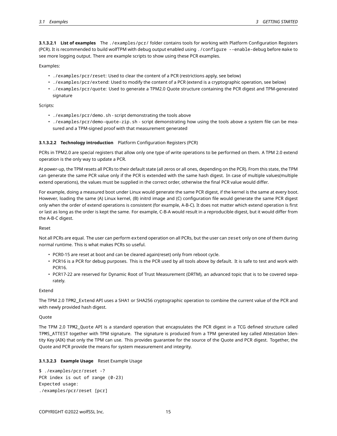**3.1.3.2.1 List of examples** The ./examples/pcr/ folder contains tools for working with Platform Configuration Registers (PCR). It is recommended to build wolfTPM with debug output enabled using ./configure --enable-debug before make to see more logging output. There are example scripts to show using these PCR examples.

#### Examples:

- ./examples/pcr/reset: Used to clear the content of a PCR (restrictions apply, see below)
- ./examples/pcr/extend: Used to modify the content of a PCR (extend is a cryptographic operation, see below)
- ./examples/pcr/quote: Used to generate a TPM2.0 Quote structure containing the PCR digest and TPM-generated signature

#### Scripts:

- ./examples/pcr/demo.sh script demonstrating the tools above
- ./examples/pcr/demo-quote-zip.sh script demonstrating how using the tools above a system file can be measured and a TPM-signed proof with that measurement generated

### **3.1.3.2.2 Technology introduction** Platform Configuration Registers (PCR)

PCRs in TPM2.0 are special registers that allow only one type of write operations to be performed on them. A TPM 2.0 extend operation is the only way to update a PCR.

At power-up, the TPM resets all PCRs to their default state (all zeros or all ones, depending on the PCR). From this state, the TPM can generate the same PCR value only if the PCR is extended with the same hash digest. In case of multiple values(multiple extend operations), the values must be supplied in the correct order, otherwise the final PCR value would differ.

For example, doing a measured boot under Linux would generate the same PCR digest, if the kernel is the same at every boot. However, loading the same (A) Linux kernel, (B) initrd image and (C) configuration file would generate the same PCR digest only when the order of extend operations is consistent (for example, A-B-C). It does not matter which extend operation is first or last as long as the order is kept the same. For example, C-B-A would result in a reproducible digest, but it would differ from the A-B-C digest.

#### Reset

Not all PCRs are equal. The user can perform extend operation on all PCRs, but the user can reset only on one of them during normal runtime. This is what makes PCRs so useful.

- PCR0-15 are reset at boot and can be cleared again(reset) only from reboot cycle.
- PCR16 is a PCR for debug purposes. This is the PCR used by all tools above by default. It is safe to test and work with PCR16.
- PCR17-22 are reserved for Dynamic Root of Trust Measurement (DRTM), an advanced topic that is to be covered separately.

#### Extend

The TPM 2.0 TPM2\_Extend API uses a SHA1 or SHA256 cryptographic operation to combine the current value of the PCR and with newly provided hash digest.

# Quote

The TPM 2.0 TPM2\_Quote API is a standard operation that encapsulates the PCR digest in a TCG defined structure called TPMS\_ATTEST together with TPM signature. The signature is produced from a TPM generated key called Attestation Identity Key (AIK) that only the TPM can use. This provides guarantee for the source of the Quote and PCR digest. Together, the Quote and PCR provide the means for system measurement and integrity.

### **3.1.3.2.3 Example Usage** Reset Example Usage

```
$ ./examples/pcr/reset -?
PCR index is out of range (0-23)
Expected usage:
./examples/pcr/reset [pcr]
```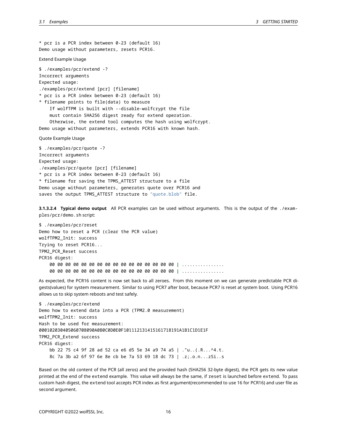\* pcr is a PCR index between 0-23 (default 16) Demo usage without parameters, resets PCR16. Extend Example Usage \$ ./examples/pcr/extend -? Incorrect arguments Expected usage: ./examples/pcr/extend [pcr] [filename] \* pcr is a PCR index between 0-23 (default 16) \* filename points to file(data) to measure If wolfTPM is built with --disable-wolfcrypt the file must contain SHA256 digest ready for extend operation. Otherwise, the extend tool computes the hash using wolfcrypt. Demo usage without parameters, extends PCR16 with known hash. Quote Example Usage \$ ./examples/pcr/quote -? Incorrect arguments

Expected usage: ./examples/pcr/quote [pcr] [filename] \* pcr is a PCR index between 0-23 (default 16) \* filename for saving the TPMS\_ATTEST structure to a file Demo usage without parameters, generates quote over PCR16 and saves the output TPMS\_ATTEST structure to "quote.blob" file.

**3.1.3.2.4 Typical demo output** All PCR examples can be used without arguments. This is the output of the ./examples/pcr/demo.sh script:

\$ ./examples/pcr/reset Demo how to reset a PCR (clear the PCR value) wolfTPM2\_Init: success Trying to reset PCR16... TPM2\_PCR\_Reset success PCR16 digest: 00 00 00 00 00 00 00 00 00 00 00 00 00 00 00 00 **|** ................ 00 00 00 00 00 00 00 00 00 00 00 00 00 00 00 00 **|** ................

As expected, the PCR16 content is now set back to all zeroes. From this moment on we can generate predictable PCR digests(values) for system measurement. Similar to using PCR7 after boot, because PCR7 is reset at system boot. Using PCR16 allows us to skip system reboots and test safely.

\$ ./examples/pcr/extend Demo how to extend data into a PCR (TPM2.0 measurement) wolfTPM2\_Init: success Hash to be used for measurement: 000102030405060708090A0B0C0D0E0F101112131415161718191A1B1C1D1E1F TPM2\_PCR\_Extend success PCR16 digest: bb 22 75 c4 9f 28 ad 52 ca e6 d5 5e 34 a9 74 a5 | ."u..(.R...^4.t. 8c 7a 3b a2 6f 97 6e 8e cb be 7a 53 69 18 dc 73 | .z;.o.n...zSi..s

Based on the old content of the PCR (all zeros) and the provided hash (SHA256 32-byte digest), the PCR gets its new value printed at the end of the extend example. This value will always be the same, if reset is launched before extend. To pass custom hash digest, the extend tool accepts PCR index as first argument(recommended to use 16 for PCR16) and user file as second argument.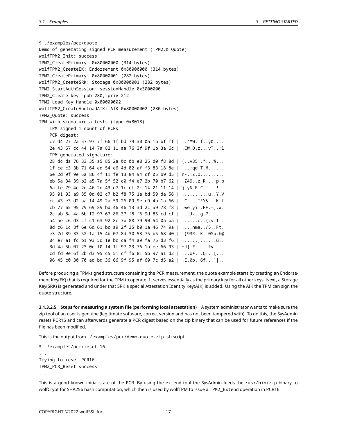\$ ./examples/pcr/quote Demo of generating signed PCR measurement (TPM2.0 Quote) wolfTPM2\_Init: success TPM2\_CreatePrimary: 0x80000000 (314 bytes) wolfTPM2\_CreateEK: Endorsement 0x80000000 (314 bytes) TPM2\_CreatePrimary: 0x80000001 (282 bytes) wolfTPM2\_CreateSRK: Storage 0x80000001 (282 bytes) TPM2\_StartAuthSession: sessionHandle 0x3000000 TPM2\_Create key: pub 280, priv 212 TPM2\_Load Key Handle 0x80000002 wolfTPM2\_CreateAndLoadAIK: AIK 0x80000002 (280 bytes) TPM2\_Quote: success TPM with signature attests (type 0x8018): TPM signed 1 count of PCRs PCR digest: c7 d4 27 2a 57 97 7f 66 1f bd 79 30 0a 1b bf ff  $|$  ..'\*W..f..y0.... 2e 43 57 cc 44 14 7a 82 11 aa 76 3f 9f 1b 3a 6c | .CW.D.z...v?..:l TPM generated signature: 28 dc da 76 33 35 a5 85 2a 0c 0b e8 25 d0 f8 8d | (..v35..\*...%... 1f ce c3 3b 71 64 ed 54 e6 4d 82 af f3 83 18 8e | ...;qd.T.M...... 6e 2d 9f 9e 5a 86 4f 11 fe 13 84 94 cf 05 b9 d5 | n-..Z.O......... eb 5a 34 39 b2 a5 7a 5f 52 c0 f4 e7 2b 70 b7 62 | .Z49..z\_R...+p.b 6a fe 79 4e 2e 46 2e 43 d7 1c ef 2c 14 21 11 14 | j.yN.F.C...,.!.. 95 01 93 a9 85 0d 02 c7 b2 f8 75 1a bd 59 da 56 | ..........u..Y.V cc 43 e3 d2 aa 14 49 2a 59 26 09 9e c9 4b 1a 66 | .C....I\*Y&...K.f cb 77 65 95 79 69 89 bd 46 46 13 3d 2c a9 78 f8 | .we.yi..FF.=,.x. 2c ab 8a 4a 6b f2 97 67 86 37 f8 f6 9d 85 cd cf | ,..Jk..g.7...... a4 ae c6 d3 cf c1 63 92 8c 7b 88 79 90 54 0a ba | ......c..{.y.T.. 8d c6 1c 8f 6e 6d 61 bc a9 2f 35 b0 1a 46 74 9a | ....nma../5..Ft. e3 7d 39 33 52 1a f5 4b 07 8d 30 53 75 b5 68 40 | .}93R..K..0Su.h@ 04 e7 a1 fc b1 93 5d 1e bc ca f4 a9 fa 75 d3 f6 | ......]......u.. 3d 4a 5b 07 23 0e f0 f4 1f 97 23 76 1a ee 66 93 | =J[.#.....#v..f. cd fd 9e 6f 2b d3 95 c5 51 cf f6 81 5b 97 a1 d2 | ...o+...Q...[... 06 45 c0 30 70 ad bd 36 66 9f 95 af 60 7c d5 a2 | .E.0p..6f...`|..

Before producing a TPM-signed structure containing the PCR measurement, the quote example starts by creating an Endorsement Key(EK) that is required for the TPM to operate. It serves essentially as the primary key for all other keys. Next, a Storage Key(SRK) is generated and under that SRK a special Attestation Identity Key(AIK) is added. Using the AIK the TPM can sign the quote structure.

**3.1.3.2.5 Steps for measuring a system file (performing local attestation)** A system administrator wants to make sure the zip tool of an user is genuine (legitimate software, correct version and has not been tampered with). To do this, the SysAdmin resets PCR16 and can afterwards generate a PCR digest based on the zip binary that can be used for future references if the file has been modified.

This is the output from ./examples/pcr/demo-quote-zip.sh script.

```
$ ./examples/pcr/reset 16
...
Trying to reset PCR16...
TPM2_PCR_Reset success
...
```
This is a good known initial state of the PCR. By using the extend tool the SysAdmin feeds the /usr/bin/zip binary to wolfCrypt for SHA256 hash computation, which then is used by wolfTPM to issue a TPM2\_Extend operation in PCR16.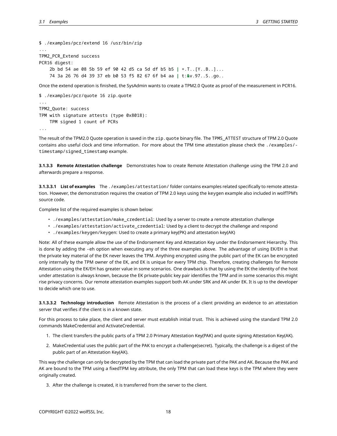```
$ ./examples/pcr/extend 16 /usr/bin/zip
...
TPM2_PCR_Extend success
PCR16 digest:
    2b bd 54 ae 08 5b 59 ef 90 42 d5 ca 5d df b5 b5 | +.T..[Y..B..]...
    74 3a 26 76 d4 39 37 eb b0 53 f5 82 67 6f b4 aa | t:&v.97..S..go..
```
Once the extend operation is finished, the SysAdmin wants to create a TPM2.0 Quote as proof of the measurement in PCR16.

```
$ ./examples/pcr/quote 16 zip.quote
...
TPM2_Quote: success
TPM with signature attests (type 0x8018):
    TPM signed 1 count of PCRs
...
```
The result of the TPM2.0 Quote operation is saved in the zip.quote binary file. The TPMS\_ATTEST structure of TPM 2.0 Quote contains also useful clock and time information. For more about the TPM time attestation please check the ./examples/ timestamp/signed\_timestamp example.

**3.1.3.3 Remote Attestation challenge** Demonstrates how to create Remote Attestation challenge using the TPM 2.0 and afterwards prepare a response.

**3.1.3.3.1 List of examples** The ./examples/attestation/ folder contains examples related specifically to remote attestation. However, the demonstration requires the creation of TPM 2.0 keys using the keygen example also included in wolfTPM's source code.

Complete list of the required examples is shown below:

- ./examples/attestation/make\_credential: Used by a server to create a remote attestation challenge
- ./examples/attestation/activate\_credential: Used by a client to decrypt the challenge and respond
- ./examples/keygen/keygen: Used to create a primary key(PK) and attestation key(AK)

Note: All of these example allow the use of the Endorsement Key and Attestation Key under the Endorsement Hierarchy. This is done by adding the -eh option when executing any of the three examples above. The advantage of using EK/EH is that the private key material of the EK never leaves the TPM. Anything encrypted using the public part of the EK can be encrypted only internally by the TPM owner of the EK, and EK is unique for every TPM chip. Therefore, creating challenges for Remote Attestation using the EK/EH has greater value in some scenarios. One drawback is that by using the EK the identity of the host under attestation is always known, because the EK private-public key pair identifies the TPM and in some scenarios this might rise privacy concerns. Our remote attestation examples support both AK under SRK and AK under EK. It is up to the developer to decide which one to use.

**3.1.3.3.2 Technology introduction** Remote Attestation is the process of a client providing an evidence to an attestation server that verifies if the client is in a known state.

For this process to take place, the client and server must establish initial trust. This is achieved using the standard TPM 2.0 commands MakeCredential and ActivateCredential.

- 1. The client transfers the public parts of a TPM 2.0 Primary Attestation Key(PAK) and quote signing Attestation Key(AK).
- 2. MakeCredential uses the public part of the PAK to encrypt a challenge(secret). Typically, the challenge is a digest of the public part of an Attestation Key(AK).

This way the challenge can only be decrypted by the TPM that can load the private part of the PAK and AK. Because the PAK and AK are bound to the TPM using a fixedTPM key attribute, the only TPM that can load these keys is the TPM where they were originally created.

3. After the challenge is created, it is transferred from the server to the client.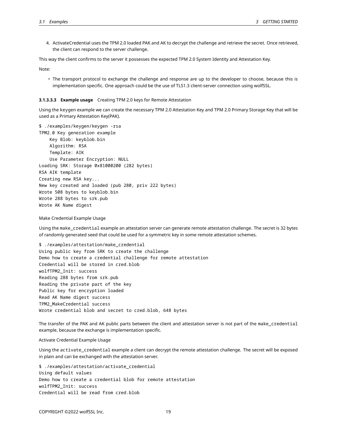4. ActivateCredential uses the TPM 2.0 loaded PAK and AK to decrypt the challenge and retrieve the secret. Once retrieved, the client can respond to the server challenge.

This way the client confirms to the server it possesses the expected TPM 2.0 System Identity and Attestation Key.

Note:

• The transport protocol to exchange the challenge and response are up to the developer to choose, because this is implementation specific. One approach could be the use of TLS1.3 client-server connection using wolfSSL.

#### **3.1.3.3.3 Example usage** Creating TPM 2.0 keys for Remote Attestation

Using the keygen example we can create the necessary TPM 2.0 Attestation Key and TPM 2.0 Primary Storage Key that will be used as a Primary Attestation Key(PAK).

\$ ./examples/keygen/keygen -rsa TPM2.0 Key generation example Key Blob: keyblob.bin Algorithm: RSA Template: AIK Use Parameter Encryption: NULL Loading SRK: Storage 0x81000200 (282 bytes) RSA AIK template Creating new RSA key... New key created and loaded (pub 280, priv 222 bytes) Wrote 508 bytes to keyblob.bin Wrote 288 bytes to srk.pub Wrote AK Name digest

Make Credential Example Usage

Using the make\_credential example an attestation server can generate remote attestation challenge. The secret is 32 bytes of randomly generated seed that could be used for a symmetric key in some remote attestation schemes.

\$ ./examples/attestation/make\_credential Using public key from SRK to create the challenge Demo how to create a credential challenge for remote attestation Credential will be stored in cred.blob wolfTPM2\_Init: success Reading 288 bytes from srk.pub Reading the private part of the key Public key for encryption loaded Read AK Name digest success TPM2\_MakeCredential success Wrote credential blob and secret to cred.blob, 648 bytes

The transfer of the PAK and AK public parts between the client and attestation server is not part of the make\_credential example, because the exchange is implementation specific.

#### Activate Credential Example Usage

Using the activate\_credential example a client can decrypt the remote attestation challenge. The secret will be exposed in plain and can be exchanged with the attestation server.

\$ ./examples/attestation/activate\_credential Using default values Demo how to create a credential blob for remote attestation wolfTPM2\_Init: success Credential will be read from cred.blob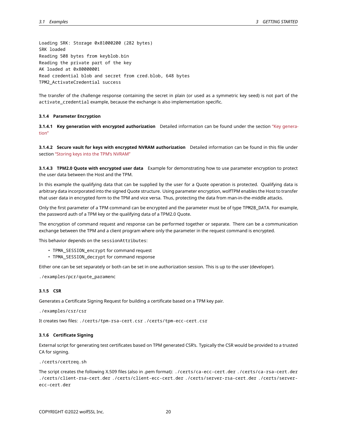Loading SRK: Storage 0x81000200 (282 bytes) SRK loaded Reading 508 bytes from keyblob.bin Reading the private part of the key AK loaded at 0x80000001 Read credential blob and secret from cred.blob, 648 bytes TPM2\_ActivateCredential success

The transfer of the challenge response containing the secret in plain (or used as a symmetric key seed) is not part of the activate\_credential example, because the exchange is also implementation specific.

### <span id="page-19-0"></span>**3.1.4 Parameter Encryption**

**3.1.4.1 Key generation with encrypted authorization** Detailed information can be found under the section ["Key genera](#page-21-1)[tion"](#page-21-1)

**3.1.4.2 Secure vault for keys with encrypted NVRAM authorization** Detailed information can be found in this file under section ["Storing keys into the TPM's NVRAM"](#page-23-0)

**3.1.4.3 TPM2.0 Quote with encrypted user data** Example for demonstrating how to use parameter encryption to protect the user data between the Host and the TPM.

In this example the qualifying data that can be supplied by the user for a Quote operation is protected. Qualifying data is arbitrary data incorporated into the signed Quote structure. Using parameter encryption, wolfTPM enables the Host to transfer that user data in encrypted form to the TPM and vice versa. Thus, protecting the data from man-in-the-middle attacks.

Only the first parameter of a TPM command can be encrypted and the parameter must be of type TPM2B\_DATA. For example, the password auth of a TPM key or the qualifying data of a TPM2.0 Quote.

The encryption of command request and response can be performed together or separate. There can be a communication exchange between the TPM and a client program where only the parameter in the request command is encrypted.

This behavior depends on the sessionAttributes:

- TPMA\_SESSION\_encrypt for command request
- TPMA\_SESSION\_decrypt for command response

Either one can be set separately or both can be set in one authorization session. This is up to the user (developer).

<span id="page-19-1"></span>./examples/pcr/quote\_paramenc

#### **3.1.5 CSR**

Generates a Certificate Signing Request for building a certificate based on a TPM key pair.

```
./examples/csr/csr
```
<span id="page-19-2"></span>It creates two files: ./certs/tpm-rsa-cert.csr ./certs/tpm-ecc-cert.csr

#### **3.1.6 Certificate Signing**

External script for generating test certificates based on TPM generated CSR's. Typically the CSR would be provided to a trusted CA for signing.

./certs/certreq.sh

<span id="page-19-3"></span>The script creates the following X.509 files (also in .pem format): ./certs/ca-ecc-cert.der ./certs/ca-rsa-cert.der ./certs/client-rsa-cert.der ./certs/client-ecc-cert.der ./certs/server-rsa-cert.der ./certs/serverecc-cert.der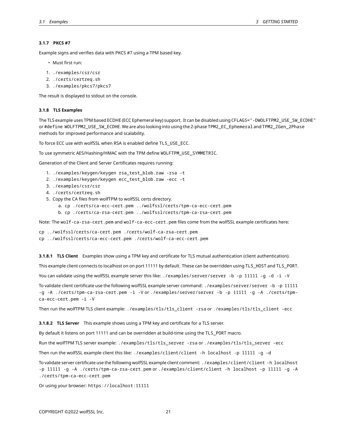# **3.1.7 PKCS #7**

Example signs and verifies data with PKCS #7 using a TPM based key.

- Must first run:
- 1. ./examples/csr/csr
- 2. ./certs/certreq.sh
- 3. ./examples/pkcs7/pkcs7

<span id="page-20-0"></span>The result is displayed to stdout on the console.

#### **3.1.8 TLS Examples**

The TLS example uses TPM based ECDHE (ECC Ephemeral key) support. It can be disabled using CFLAGS="-DWOLFTPM2\_USE\_SW\_ECDHE" or #define WOLFTPM2\_USE\_SW\_ECDHE. We are also looking into using the 2-phase TPM2\_EC\_Ephemeral and TPM2\_ZGen\_2Phase methods for improved performance and scalability.

To force ECC use with wolfSSL when RSA is enabled define TLS\_USE\_ECC.

To use symmetric AES/Hashing/HMAC with the TPM define WOLFTPM\_USE\_SYMMETRIC.

Generation of the Client and Server Certificates requires running:

- 1. ./examples/keygen/keygen rsa\_test\_blob.raw -rsa -t
- 2. ./examples/keygen/keygen ecc\_test\_blob.raw -ecc -t
- 3. ./examples/csr/csr
- 4. ./certs/certreq.sh
- 5. Copy the CA files from wolfTPM to wolfSSL certs directory.
	- a. cp ./certs/ca-ecc-cert.pem ../wolfssl/certs/tpm-ca-ecc-cert.pem

b. cp ./certs/ca-rsa-cert.pem ../wolfssl/certs/tpm-ca-rsa-cert.pem

Note: The wolf-ca-rsa-cert.pem and wolf-ca-ecc-cert.pem files come from the wolfSSL example certificates here:

cp ../wolfssl/certs/ca-cert.pem ./certs/wolf-ca-rsa-cert.pem cp ../wolfssl/certs/ca-ecc-cert.pem ./certs/wolf-ca-ecc-cert.pem

**3.1.8.1 TLS Client** Examples show using a TPM key and certificate for TLS mutual authentication (client authentication).

This example client connects to localhost on on port 11111 by default. These can be overridden using TLS\_HOST and TLS\_PORT.

You can validate using the wolfSSL example server this like: ./examples/server/server -b -p 11111 -g -d -i -V

To validate client certificate use the following wolfSSL example server command: ./examples/server/server -b -p 11111 -g -A ./certs/tpm-ca-rsa-cert.pem -i -V or ./examples/server/server -b -p 11111 -g -A ./certs/tpmca-ecc-cert.pem -i -V

Then run the wolfTPM TLS client example: ./examples/tls/tls\_client -rsa or ./examples/tls/tls\_client -ecc

**3.1.8.2 TLS Server** This example shows using a TPM key and certificate for a TLS server.

By default it listens on port 11111 and can be overridden at build-time using the TLS\_PORT macro.

Run the wolfTPM TLS server example: ./examples/tls/tls\_server -rsa or ./examples/tls/tls\_server -ecc

Then run the wolfSSL example client this like: ./examples/client/client -h localhost -p 11111 -g -d

To validate server certificate use the following wolfSSL example client comment: ./examples/client/client -h localhost -p 11111 -g -A ./certs/tpm-ca-rsa-cert.pem or ./examples/client/client -h localhost -p 11111 -g -A ./certs/tpm-ca-ecc-cert.pem

Or using your browser: https://localhost:11111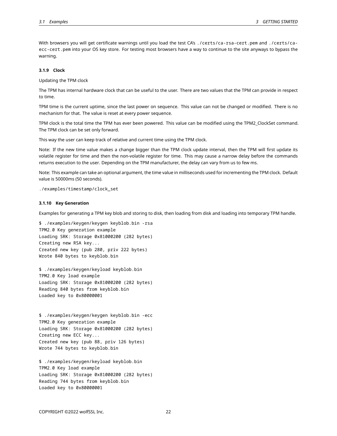With browsers you will get certificate warnings until you load the test CA's ./certs/ca-rsa-cert.pem and ./certs/caecc-cert.pem into your OS key store. For testing most browsers have a way to continue to the site anyways to bypass the warning.

## <span id="page-21-0"></span>**3.1.9 Clock**

Updating the TPM clock

The TPM has internal hardware clock that can be useful to the user. There are two values that the TPM can provide in respect to time.

TPM time is the current uptime, since the last power on sequence. This value can not be changed or modified. There is no mechanism for that. The value is reset at every power sequence.

TPM clock is the total time the TPM has ever been powered. This value can be modified using the TPM2\_ClockSet command. The TPM clock can be set only forward.

This way the user can keep track of relative and current time using the TPM clock.

Note: If the new time value makes a change bigger than the TPM clock update interval, then the TPM will first update its volatile register for time and then the non-volatile register for time. This may cause a narrow delay before the commands returns execution to the user. Depending on the TPM manufacturer, the delay can vary from us to few ms.

Note: This example can take an optional argument, the time value in milliseconds used for incrementing the TPM clock. Default value is 50000ms (50 seconds).

<span id="page-21-1"></span>./examples/timestamp/clock\_set

#### **3.1.10 Key Generation**

Examples for generating a TPM key blob and storing to disk, then loading from disk and loading into temporary TPM handle.

\$ ./examples/keygen/keygen keyblob.bin -rsa TPM2.0 Key generation example Loading SRK: Storage 0x81000200 (282 bytes) Creating new RSA key... Created new key (pub 280, priv 222 bytes) Wrote 840 bytes to keyblob.bin

\$ ./examples/keygen/keyload keyblob.bin TPM2.0 Key load example Loading SRK: Storage 0x81000200 (282 bytes) Reading 840 bytes from keyblob.bin Loaded key to 0x80000001

\$ ./examples/keygen/keygen keyblob.bin -ecc TPM2.0 Key generation example Loading SRK: Storage 0x81000200 (282 bytes) Creating new ECC key... Created new key (pub 88, priv 126 bytes) Wrote 744 bytes to keyblob.bin

\$ ./examples/keygen/keyload keyblob.bin TPM2.0 Key load example Loading SRK: Storage 0x81000200 (282 bytes) Reading 744 bytes from keyblob.bin Loaded key to 0x80000001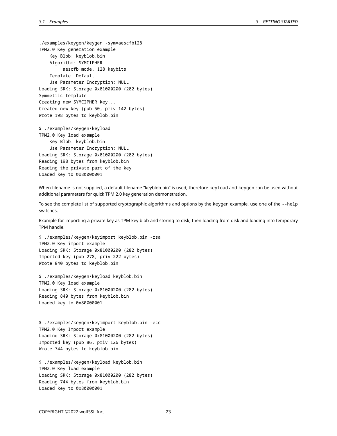./examples/keygen/keygen -sym=aescfb128 TPM2.0 Key generation example Key Blob: keyblob.bin Algorithm: SYMCIPHER aescfb mode, 128 keybits Template: Default Use Parameter Encryption: NULL Loading SRK: Storage 0x81000200 (282 bytes) Symmetric template Creating new SYMCIPHER key... Created new key (pub 50, priv 142 bytes) Wrote 198 bytes to keyblob.bin

\$ ./examples/keygen/keyload TPM2.0 Key load example Key Blob: keyblob.bin Use Parameter Encryption: NULL Loading SRK: Storage 0x81000200 (282 bytes) Reading 198 bytes from keyblob.bin Reading the private part of the key Loaded key to 0x80000001

When filename is not supplied, a default filename "keyblob.bin" is used, therefore keyload and keygen can be used without additional parameters for quick TPM 2.0 key generation demonstration.

To see the complete list of supported cryptographic algorithms and options by the keygen example, use one of the --help switches.

Example for importing a private key as TPM key blob and storing to disk, then loading from disk and loading into temporary TPM handle.

\$ ./examples/keygen/keyimport keyblob.bin -rsa TPM2.0 Key import example Loading SRK: Storage 0x81000200 (282 bytes) Imported key (pub 278, priv 222 bytes) Wrote 840 bytes to keyblob.bin

\$ ./examples/keygen/keyload keyblob.bin TPM2.0 Key load example Loading SRK: Storage 0x81000200 (282 bytes) Reading 840 bytes from keyblob.bin Loaded key to 0x80000001

\$ ./examples/keygen/keyimport keyblob.bin -ecc TPM2.0 Key Import example Loading SRK: Storage 0x81000200 (282 bytes) Imported key (pub 86, priv 126 bytes) Wrote 744 bytes to keyblob.bin

\$ ./examples/keygen/keyload keyblob.bin TPM2.0 Key load example Loading SRK: Storage 0x81000200 (282 bytes) Reading 744 bytes from keyblob.bin Loaded key to 0x80000001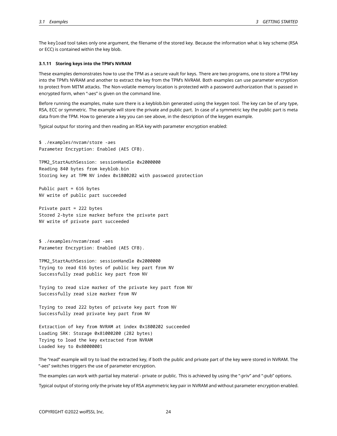The keyload tool takes only one argument, the filename of the stored key. Because the information what is key scheme (RSA or ECC) is contained within the key blob.

#### <span id="page-23-0"></span>**3.1.11 Storing keys into the TPM's NVRAM**

These examples demonstrates how to use the TPM as a secure vault for keys. There are two programs, one to store a TPM key into the TPM's NVRAM and another to extract the key from the TPM's NVRAM. Both examples can use parameter encryption to protect from MITM attacks. The Non-volatile memory location is protected with a password authorization that is passed in encrypted form, when "-aes" is given on the command line.

Before running the examples, make sure there is a keyblob.bin generated using the keygen tool. The key can be of any type, RSA, ECC or symmetric. The example will store the private and public part. In case of a symmetric key the public part is meta data from the TPM. How to generate a key you can see above, in the description of the keygen example.

Typical output for storing and then reading an RSA key with parameter encryption enabled:

\$ ./examples/nvram/store -aes Parameter Encryption: Enabled (AES CFB).

TPM2\_StartAuthSession: sessionHandle 0x2000000 Reading 840 bytes from keyblob.bin Storing key at TPM NV index 0x1800202 with password protection

Public part = 616 bytes NV write of public part succeeded

Private part = 222 bytes Stored 2-byte size marker before the private part NV write of private part succeeded

\$ ./examples/nvram/read -aes Parameter Encryption: Enabled (AES CFB).

TPM2\_StartAuthSession: sessionHandle 0x2000000 Trying to read 616 bytes of public key part from NV Successfully read public key part from NV

Trying to read size marker of the private key part from NV Successfully read size marker from NV

Trying to read 222 bytes of private key part from NV Successfully read private key part from NV

Extraction of key from NVRAM at index 0x1800202 succeeded Loading SRK: Storage 0x81000200 (282 bytes) Trying to load the key extracted from NVRAM Loaded key to 0x80000001

The "read" example will try to load the extracted key, if both the public and private part of the key were stored in NVRAM. The "-aes" switches triggers the use of parameter encryption.

The examples can work with partial key material - private or public. This is achieved by using the "-priv" and "-pub" options.

Typical output of storing only the private key of RSA asymmetric key pair in NVRAM and without parameter encryption enabled.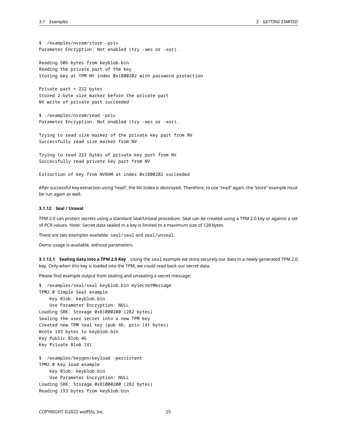\$ ./examples/nvram/store -priv Parameter Encryption: Not enabled (try -aes or -xor).

Reading 506 bytes from keyblob.bin Reading the private part of the key Storing key at TPM NV index 0x1800202 with password protection

```
Private part = 222 bytes
Stored 2-byte size marker before the private part
NV write of private part succeeded
```
\$ ./examples/nvram/read -priv Parameter Encryption: Not enabled (try -aes or -xor).

Trying to read size marker of the private key part from NV Successfully read size marker from NV

Trying to read 222 bytes of private key part from NV Successfully read private key part from NV

Extraction of key from NVRAM at index 0x1800202 succeeded

After successful key extraction using "read", the NV Index is destroyed. Therefore, to use "read" again, the "store" example must be run again as well.

### <span id="page-24-0"></span>**3.1.12 Seal / Unseal**

TPM 2.0 can protect secrets using a standard Seal/Unseal procedure. Seal can be created using a TPM 2.0 key or against a set of PCR values. Note: Secret data sealed in a key is limited to a maximum size of 128 bytes.

There are two examples available: seal/seal and seal/unseal.

Demo usage is available, without parameters.

**3.1.12.1 Sealing data into a TPM 2.0 Key** Using the seal example we store securely our data in a newly generated TPM 2.0 key. Only when this key is loaded into the TPM, we could read back our secret data.

Please find example output from sealing and unsealing a secret message:

```
$ ./examples/seal/seal keyblob.bin mySecretMessage
TPM2.0 Simple Seal example
    Key Blob: keyblob.bin
    Use Parameter Encryption: NULL
Loading SRK: Storage 0x81000200 (282 bytes)
Sealing the user secret into a new TPM key
Created new TPM seal key (pub 46, priv 141 bytes)
Wrote 193 bytes to keyblob.bin
Key Public Blob 46
Key Private Blob 141
$ ./examples/keygen/keyload -persistent
TPM2.0 Key load example
    Key Blob: keyblob.bin
```
Use Parameter Encryption: NULL Loading SRK: Storage 0x81000200 (282 bytes) Reading 193 bytes from keyblob.bin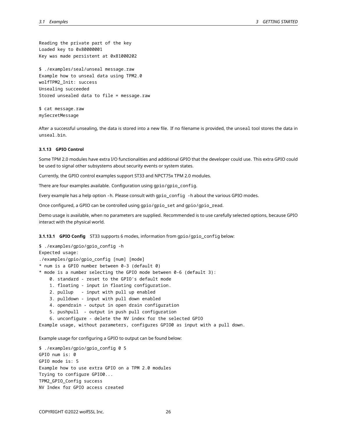Reading the private part of the key Loaded key to 0x80000001 Key was made persistent at 0x81000202

\$ ./examples/seal/unseal message.raw Example how to unseal data using TPM2.0 wolfTPM2\_Init: success Unsealing succeeded Stored unsealed data to file = message.raw

\$ cat message.raw mySecretMessage

After a successful unsealing, the data is stored into a new file. If no filename is provided, the unseal tool stores the data in unseal.bin.

# <span id="page-25-0"></span>**3.1.13 GPIO Control**

Some TPM 2.0 modules have extra I/O functionalities and additional GPIO that the developer could use. This extra GPIO could be used to signal other subsystems about security events or system states.

Currently, the GPIO control examples support ST33 and NPCT75x TPM 2.0 modules.

There are four examples available. Configuration using gpio/gpio\_config.

Every example has a help option -h. Please consult with gpio\_config -h about the various GPIO modes.

Once configured, a GPIO can be controlled using gpio/gpio\_set and gpio/gpio\_read.

Demo usage is available, when no parameters are supplied. Recommended is to use carefully selected options, because GPIO interact with the physical world.

**3.1.13.1 GPIO Config** ST33 supports 6 modes, information from gpio/gpio\_config below:

\$ ./examples/gpio/gpio\_config -h Expected usage: ./examples/gpio/gpio\_config [num] [mode] \* num is a GPIO number between 0-3 (default 0) \* mode is a number selecting the GPIO mode between 0-6 (default 3): 0. standard - reset to the GPIO's default mode 1. floating - input in floating configuration. 2. pullup - input with pull up enabled 3. pulldown - input with pull down enabled 4. opendrain - output in open drain configuration

5. pushpull - output in push pull configuration

6. unconfigure - delete the NV index for the selected GPIO

Example usage, without parameters, configures GPIO0 as input with a pull down.

Example usage for configuring a GPIO to output can be found below:

\$ ./examples/gpio/gpio\_config 0 5 GPIO num is: 0 GPIO mode is: 5 Example how to use extra GPIO on a TPM 2.0 modules Trying to configure GPIO0... TPM2\_GPIO\_Config success NV Index for GPIO access created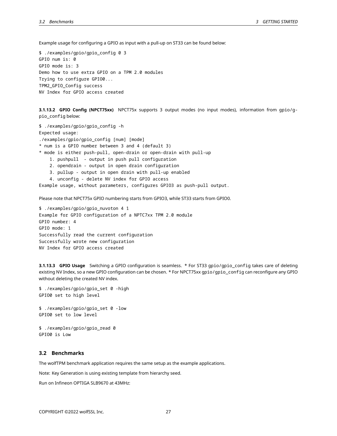Example usage for configuring a GPIO as input with a pull-up on ST33 can be found below:

```
$ ./examples/gpio/gpio_config 0 3
GPIO num is: 0
GPIO mode is: 3
Demo how to use extra GPIO on a TPM 2.0 modules
Trying to configure GPIO0...
TPM2_GPIO_Config success
NV Index for GPIO access created
```
**3.1.13.2 GPIO Config (NPCT75xx)** NPCT75x supports 3 output modes (no input modes), information from gpio/gpio\_config below:

\$ ./examples/gpio/gpio\_config -h Expected usage: ./examples/gpio/gpio\_config [num] [mode] \* num is a GPIO number between 3 and 4 (default 3) \* mode is either push-pull, open-drain or open-drain with pull-up 1. pushpull - output in push pull configuration 2. opendrain - output in open drain configuration 3. pullup - output in open drain with pull-up enabled 4. unconfig - delete NV index for GPIO access Example usage, without parameters, configures GPIO3 as push-pull output.

Please note that NPCT75x GPIO numbering starts from GPIO3, while ST33 starts from GPIO0.

```
$ ./examples/gpio/gpio_nuvoton 4 1
Example for GPIO configuration of a NPTC7xx TPM 2.0 module
GPIO number: 4
GPIO mode: 1
Successfully read the current configuration
Successfully wrote new configuration
NV Index for GPIO access created
```
**3.1.13.3 GPIO Usage** Switching a GPIO configuration is seamless. \* For ST33 gpio/gpio\_config takes care of deleting existing NV Index, so a new GPIO configuration can be chosen. \* For NPCT75xx gpio/gpio\_config can reconfigure any GPIO without deleting the created NV index.

```
$ ./examples/gpio/gpio_set 0 -high
GPIO0 set to high level
```
\$ ./examples/gpio/gpio\_set 0 -low GPIO0 set to low level

\$ ./examples/gpio/gpio\_read 0 GPIO0 is Low

#### <span id="page-26-0"></span>**3.2 Benchmarks**

The wolfTPM benchmark application requires the same setup as the example applications.

Note: Key Generation is using existing template from hierarchy seed.

Run on Infineon OPTIGA SLB9670 at 43MHz: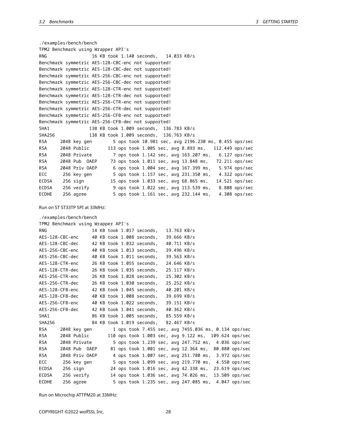./examples/bench/bench TPM2 Benchmark using Wrapper API's RNG 16 KB took 1.140 seconds, 14.033 KB/s Benchmark symmetric AES-128-CBC-enc not supported! Benchmark symmetric AES-128-CBC-dec not supported! Benchmark symmetric AES-256-CBC-enc not supported! Benchmark symmetric AES-256-CBC-dec not supported! Benchmark symmetric AES-128-CTR-enc not supported! Benchmark symmetric AES-128-CTR-dec not supported! Benchmark symmetric AES-256-CTR-enc not supported! Benchmark symmetric AES-256-CTR-dec not supported! Benchmark symmetric AES-256-CFB-enc not supported! Benchmark symmetric AES-256-CFB-dec not supported! SHA1 138 KB took 1.009 seconds, 136.783 KB/s SHA256 138 KB took 1.009 seconds, 136.763 KB/s RSA 2048 key gen 5 ops took 10.981 sec, avg 2196.230 ms, 0.455 ops/sec RSA 2048 Public 113 ops took 1.005 sec, avg 8.893 ms, 112.449 ops/sec RSA 2048 Private 7 ops took 1.142 sec, avg 163.207 ms, 6.127 ops/sec RSA 2048 Pub OAEP 73 ops took 1.011 sec, avg 13.848 ms, 72.211 ops/sec RSA 2048 Priv OAEP 6 ops took 1.004 sec, avg 167.399 ms, 5.974 ops/sec ECC 256 key gen 5 ops took 1.157 sec, avg 231.350 ms, 4.322 ops/sec ECDSA 256 sign 15 ops took 1.033 sec, avg 68.865 ms, 14.521 ops/sec ECDSA 256 verify 9 ops took 1.022 sec, avg 113.539 ms, 8.808 ops/sec ECDHE 256 agree 5 ops took 1.161 sec, avg 232.144 ms, 4.308 ops/sec Run on ST ST33TP SPI at 33MHz: ./examples/bench/bench TPM2 Benchmark using Wrapper API's RNG 14 KB took 1.017 seconds, 13.763 KB/s AES-128-CBC-enc 40 KB took 1.008 seconds, 39.666 KB/s AES-128-CBC-dec 42 KB took 1.032 seconds, 40.711 KB/s AES-256-CBC-enc 40 KB took 1.013 seconds, 39.496 KB/s AES-256-CBC-dec 40 KB took 1.011 seconds, 39.563 KB/s AES-128-CTR-enc 26 KB took 1.055 seconds, 24.646 KB/s AES-128-CTR-dec 26 KB took 1.035 seconds, 25.117 KB/s AES-256-CTR-enc 26 KB took 1.028 seconds, 25.302 KB/s AES-256-CTR-dec 26 KB took 1.030 seconds, 25.252 KB/s AES-128-CFB-enc 42 KB took 1.045 seconds, 40.201 KB/s AES-128-CFB-dec 40 KB took 1.008 seconds, 39.699 KB/s AES-256-CFB-enc 40 KB took 1.022 seconds, 39.151 KB/s AES-256-CFB-dec 42 KB took 1.041 seconds, 40.362 KB/s SHA1 86 KB took 1.005 seconds, 85.559 KB/s SHA256 84 KB took 1.019 seconds, 82.467 KB/s RSA 2048 key gen 1 ops took 7.455 sec, avg 7455.036 ms, 0.134 ops/sec RSA 2048 Public 110 ops took 1.003 sec, avg 9.122 ms, 109.624 ops/sec RSA 2048 Private 5 ops took 1.239 sec, avg 247.752 ms, 4.036 ops/sec RSA 2048 Pub OAEP 81 ops took 1.001 sec, avg 12.364 ms, 80.880 ops/sec RSA 2048 Priv OAEP 4 ops took 1.007 sec, avg 251.780 ms, 3.972 ops/sec ECC 256 key gen 5 ops took 1.099 sec, avg 219.770 ms, 4.550 ops/sec ECDSA 256 sign 24 ops took 1.016 sec, avg 42.338 ms, 23.619 ops/sec

Run on Microchip ATTPM20 at 33MHz:

COPYRIGHT ©2022 wolfSSL Inc. 28

ECDSA 256 verify 14 ops took 1.036 sec, avg 74.026 ms, 13.509 ops/sec ECDHE 256 agree 5 ops took 1.235 sec, avg 247.085 ms, 4.047 ops/sec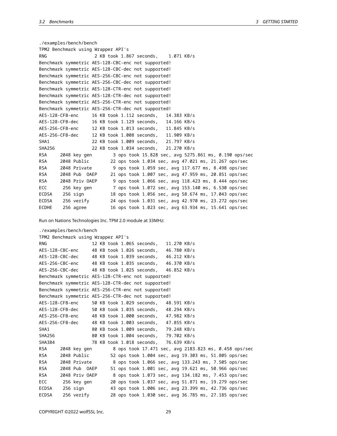```
./examples/bench/bench
TPM2 Benchmark using Wrapper API's
RNG 2 KB took 1.867 seconds, 1.071 KB/s
Benchmark symmetric AES-128-CBC-enc not supported!
Benchmark symmetric AES-128-CBC-dec not supported!
Benchmark symmetric AES-256-CBC-enc not supported!
Benchmark symmetric AES-256-CBC-dec not supported!
Benchmark symmetric AES-128-CTR-enc not supported!
Benchmark symmetric AES-128-CTR-dec not supported!
Benchmark symmetric AES-256-CTR-enc not supported!
Benchmark symmetric AES-256-CTR-dec not supported!
AES-128-CFB-enc 16 KB took 1.112 seconds, 14.383 KB/s
AES-128-CFB-dec 16 KB took 1.129 seconds, 14.166 KB/s
AES-256-CFB-enc 12 KB took 1.013 seconds, 11.845 KB/s
AES-256-CFB-dec 12 KB took 1.008 seconds, 11.909 KB/s
SHA1 22 KB took 1.009 seconds, 21.797 KB/s
SHA256 22 KB took 1.034 seconds, 21.270 KB/s
RSA 2048 key gen 3 ops took 15.828 sec, avg 5275.861 ms, 0.190 ops/sec
RSA 2048 Public 22 ops took 1.034 sec, avg 47.021 ms, 21.267 ops/sec
RSA 2048 Private 9 ops took 1.059 sec, avg 117.677 ms, 8.498 ops/sec
RSA 2048 Pub OAEP 21 ops took 1.007 sec, avg 47.959 ms, 20.851 ops/sec
RSA 2048 Priv OAEP 9 ops took 1.066 sec, avg 118.423 ms, 8.444 ops/sec
ECC 256 key gen 7 ops took 1.072 sec, avg 153.140 ms, 6.530 ops/sec
ECDSA 256 sign 18 ops took 1.056 sec, avg 58.674 ms, 17.043 ops/sec
ECDSA 256 verify 24 ops took 1.031 sec, avg 42.970 ms, 23.272 ops/sec
ECDHE 256 agree 16 ops took 1.023 sec, avg 63.934 ms, 15.641 ops/sec
```
Run on Nations Technologies Inc. TPM 2.0 module at 33MHz:

```
./examples/bench/bench
```

| TPM2 Benchmark using Wrapper API's |                                                       |  |  |  |
|------------------------------------|-------------------------------------------------------|--|--|--|
| <b>RNG</b>                         | 12 KB took 1.065 seconds, 11.270 KB/s                 |  |  |  |
|                                    | AES-128-CBC-enc 48 KB took 1.026 seconds, 46.780 KB/s |  |  |  |
|                                    | AES-128-CBC-dec 48 KB took 1.039 seconds, 46.212 KB/s |  |  |  |
|                                    | AES-256-CBC-enc 48 KB took 1.035 seconds, 46.370 KB/s |  |  |  |
|                                    | AES-256-CBC-dec 48 KB took 1.025 seconds, 46.852 KB/s |  |  |  |
|                                    | Benchmark symmetric AES-128-CTR-enc not supported!    |  |  |  |
|                                    | Benchmark symmetric AES-128-CTR-dec not supported!    |  |  |  |
|                                    | Benchmark symmetric AES-256-CTR-enc not supported!    |  |  |  |
|                                    | Benchmark symmetric AES-256-CTR-dec not supported!    |  |  |  |
|                                    | AES-128-CFB-enc 50 KB took 1.029 seconds, 48.591 KB/s |  |  |  |
|                                    | AES-128-CFB-dec 50 KB took 1.035 seconds, 48.294 KB/s |  |  |  |
|                                    | AES-256-CFB-enc 48 KB took 1.000 seconds, 47.982 KB/s |  |  |  |
|                                    | AES-256-CFB-dec 48 KB took 1.003 seconds, 47.855 KB/s |  |  |  |
| SHA1                               | 80 KB took 1.009 seconds, 79.248 KB/s                 |  |  |  |
| SHA256                             | 80 KB took 1.004 seconds, 79.702 KB/s                 |  |  |  |
| <b>SHA384</b>                      | 78 KB took 1.018 seconds, 76.639 KB/s                 |  |  |  |
| <b>RSA</b><br>2048 key gen         | 8 ops took 17.471 sec, avg 2183.823 ms, 0.458 ops/sec |  |  |  |
| 2048 Public<br><b>RSA</b>          | 52 ops took 1.004 sec, avg 19.303 ms, 51.805 ops/sec  |  |  |  |
| <b>RSA</b><br>2048 Private         | 8 ops took 1.066 sec, avg 133.243 ms, 7.505 ops/sec   |  |  |  |
| <b>RSA</b><br>2048 Pub OAEP        | 51 ops took 1.001 sec, avg 19.621 ms, 50.966 ops/sec  |  |  |  |
| 2048 Priv OAEP<br><b>RSA</b>       | 8 ops took 1.073 sec, avg 134.182 ms, 7.453 ops/sec   |  |  |  |
| ECC<br>256 key gen                 | 20 ops took 1.037 sec, avg 51.871 ms, 19.279 ops/sec  |  |  |  |
| 256 sign<br>ECDSA                  | 43 ops took 1.006 sec, avg 23.399 ms, 42.736 ops/sec  |  |  |  |
| <b>ECDSA</b><br>256 verify         | 28 ops took 1.030 sec, avg 36.785 ms, 27.185 ops/sec  |  |  |  |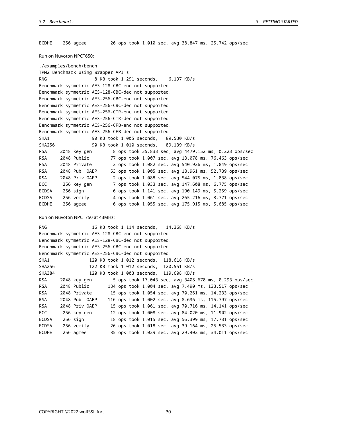ECDHE 256 agree 26 ops took 1.010 sec, avg 38.847 ms, 25.742 ops/sec Run on Nuvoton NPCT650: ./examples/bench/bench TPM2 Benchmark using Wrapper API's RNG 8 KB took 1.291 seconds, 6.197 KB/s Benchmark symmetric AES-128-CBC-enc not supported! Benchmark symmetric AES-128-CBC-dec not supported! Benchmark symmetric AES-256-CBC-enc not supported! Benchmark symmetric AES-256-CBC-dec not supported! Benchmark symmetric AES-256-CTR-enc not supported! Benchmark symmetric AES-256-CTR-dec not supported! Benchmark symmetric AES-256-CFB-enc not supported! Benchmark symmetric AES-256-CFB-dec not supported! SHA1 90 KB took 1.005 seconds, 89.530 KB/s SHA256 90 KB took 1.010 seconds, 89.139 KB/s RSA 2048 key gen 8 ops took 35.833 sec, avg 4479.152 ms, 0.223 ops/sec RSA 2048 Public 77 ops took 1.007 sec, avg 13.078 ms, 76.463 ops/sec RSA 2048 Private 2 ops took 1.082 sec, avg 540.926 ms, 1.849 ops/sec RSA 2048 Pub OAEP 53 ops took 1.005 sec, avg 18.961 ms, 52.739 ops/sec RSA 2048 Priv OAEP 2 ops took 1.088 sec, avg 544.075 ms, 1.838 ops/sec ECC 256 key gen 7 ops took 1.033 sec, avg 147.608 ms, 6.775 ops/sec ECDSA 256 sign 6 ops took 1.141 sec, avg 190.149 ms, 5.259 ops/sec ECDSA 256 verify 4 ops took 1.061 sec, avg 265.216 ms, 3.771 ops/sec ECDHE 256 agree 6 ops took 1.055 sec, avg 175.915 ms, 5.685 ops/sec Run on Nuvoton NPCT750 at 43MHz: RNG 16 KB took 1.114 seconds, 14.368 KB/s Benchmark symmetric AES-128-CBC-enc not supported! Benchmark symmetric AES-128-CBC-dec not supported! Benchmark symmetric AES-256-CBC-enc not supported! Benchmark symmetric AES-256-CBC-dec not supported! SHA1 120 KB took 1.012 seconds, 118.618 KB/s SHA256 122 KB took 1.012 seconds, 120.551 KB/s SHA384 120 KB took 1.003 seconds, 119.608 KB/s RSA 2048 key gen 5 ops took 17.043 sec, avg 3408.678 ms, 0.293 ops/sec RSA 2048 Public 134 ops took 1.004 sec, avg 7.490 ms, 133.517 ops/sec RSA 2048 Private 15 ops took 1.054 sec, avg 70.261 ms, 14.233 ops/sec RSA 2048 Pub OAEP 116 ops took 1.002 sec, avg 8.636 ms, 115.797 ops/sec RSA 2048 Priv OAEP 15 ops took 1.061 sec, avg 70.716 ms, 14.141 ops/sec ECC 256 key gen 12 ops took 1.008 sec, avg 84.020 ms, 11.902 ops/sec ECDSA 256 sign 18 ops took 1.015 sec, avg 56.399 ms, 17.731 ops/sec ECDSA 256 verify 26 ops took 1.018 sec, avg 39.164 ms, 25.533 ops/sec ECDHE 256 agree 35 ops took 1.029 sec, avg 29.402 ms, 34.011 ops/sec

<span id="page-29-0"></span>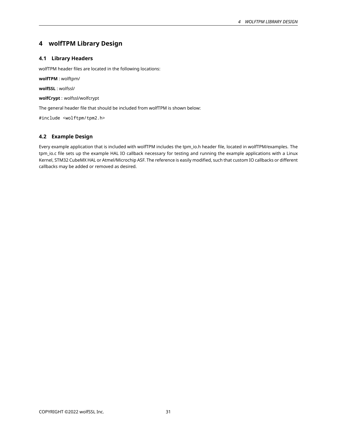# **4 wolfTPM Library Design**

# <span id="page-30-0"></span>**4.1 Library Headers**

wolfTPM header files are located in the following locations:

**wolfTPM** : wolftpm/

**wolfSSL** : wolfssl/

**wolfCrypt** : wolfssl/wolfcrypt

The general header file that should be included from wolfTPM is shown below:

#include <wolftpm/tpm2.h>

# <span id="page-30-1"></span>**4.2 Example Design**

<span id="page-30-2"></span>Every example application that is included with wolfTPM includes the tpm\_io.h header file, located in wolfTPM/examples. The tpm\_io.c file sets up the example HAL IO callback necessary for testing and running the example applications with a Linux Kernel, STM32 CubeMX HAL or Atmel/Microchip ASF. The reference is easily modified, such that custom IO callbacks or different callbacks may be added or removed as desired.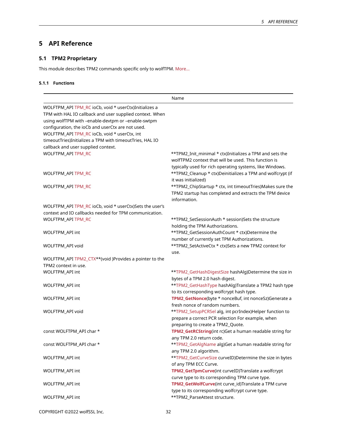# **5 API Reference**

# <span id="page-31-0"></span>**5.1 TPM2 Proprietary**

<span id="page-31-1"></span>This module describes TPM2 commands specific only to wolfTPM. [More…](#page-32-0)

# **5.1.1 Functions**

|                                                          | Name                                                       |
|----------------------------------------------------------|------------------------------------------------------------|
| WOLFTPM_API TPM_RC ioCb, void * userCtx)Initializes a    |                                                            |
| TPM with HAL IO callback and user supplied context. When |                                                            |
| using wolfTPM with -enable-devtpm or -enable-swtpm       |                                                            |
| configuration, the ioCb and userCtx are not used.        |                                                            |
| WOLFTPM_API TPM_RC ioCb, void * userCtx, int             |                                                            |
| timeoutTries)Initializes a TPM with timeoutTries, HAL IO |                                                            |
| callback and user supplied context.                      |                                                            |
| WOLFTPM_API TPM_RC                                       | **TPM2_Init_minimal * ctx)Initializes a TPM and sets the   |
|                                                          | wolfTPM2 context that will be used. This function is       |
|                                                          | typically used for rich operating systems, like Windows.   |
| WOLFTPM_API TPM_RC                                       | **TPM2_Cleanup * ctx)Deinitializes a TPM and wolfcrypt (if |
|                                                          | it was initialized)                                        |
| WOLFTPM_API TPM_RC                                       | **TPM2_ChipStartup * ctx, int timeoutTries)Makes sure the  |
|                                                          | TPM2 startup has completed and extracts the TPM device     |
|                                                          | information.                                               |
| WOLFTPM_API TPM_RC ioCb, void * userCtx)Sets the user's  |                                                            |
| context and IO callbacks needed for TPM communication.   |                                                            |
| WOLFTPM_API TPM_RC                                       | **TPM2_SetSessionAuth * session)Sets the structure         |
|                                                          | holding the TPM Authorizations.                            |
| WOLFTPM_API int                                          | **TPM2_GetSessionAuthCount * ctx)Determine the             |
|                                                          | number of currently set TPM Authorizations.                |
| WOLFTPM_API void                                         | **TPM2_SetActiveCtx * ctx)Sets a new TPM2 context for      |
|                                                          | use.                                                       |
| WOLFTPM_API TPM2_CTX**(void )Provides a pointer to the   |                                                            |
| TPM2 context in use.                                     |                                                            |
| WOLFTPM_API int                                          | **TPM2_GetHashDigestSize hashAlg)Determine the size in     |
|                                                          | bytes of a TPM 2.0 hash digest.                            |
| WOLFTPM_API int                                          | **TPM2_GetHashType hashAlg)Translate a TPM2 hash type      |
|                                                          | to its corresponding wolfcrypt hash type.                  |
| WOLFTPM_API int                                          | TPM2_GetNonce(byte * nonceBuf, int nonceSz)Generate a      |
|                                                          | fresh nonce of random numbers.                             |
| WOLFTPM_API void                                         | **TPM2_SetupPCRSel alg, int pcrIndex)Helper function to    |
|                                                          | prepare a correct PCR selection For example, when          |
|                                                          | preparing to create a TPM2_Quote.                          |
| const WOLFTPM_API char *                                 | TPM2_GetRCString(int rc)Get a human readable string for    |
|                                                          | any TPM 2.0 return code.                                   |
| const WOLFTPM_API char *                                 | **TPM2_GetAlgName alg)Get a human readable string for      |
|                                                          | any TPM 2.0 algorithm.                                     |
| WOLFTPM_API int                                          | **TPM2_GetCurveSize curveID)Determine the size in bytes    |
|                                                          | of any TPM ECC Curve.                                      |
| <b>WOLFTPM API int</b>                                   | TPM2_GetTpmCurve(int curveID)Translate a wolfcrypt         |
|                                                          | curve type to its corresponding TPM curve type.            |
| WOLFTPM_API int                                          | TPM2_GetWolfCurve(int curve_id)Translate a TPM curve       |
|                                                          | type to its corresponding wolfcrypt curve type.            |
| WOLFTPM_API int                                          | **TPM2_ParseAttest structure.                              |
|                                                          |                                                            |

COPYRIGHT ©2022 wolfSSL Inc. 32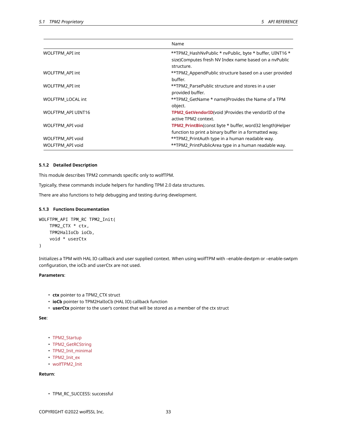|                          | Name                                                                                                                           |
|--------------------------|--------------------------------------------------------------------------------------------------------------------------------|
| WOLFTPM API int          | **TPM2_HashNvPublic * nvPublic, byte * buffer, UINT16 *<br>size)Computes fresh NV Index name based on a nvPublic<br>structure. |
| WOLFTPM API int          | **TPM2_AppendPublic structure based on a user provided<br>buffer.                                                              |
| WOLFTPM_API int          | **TPM2 ParsePublic structure and stores in a user<br>provided buffer.                                                          |
| <b>WOLFTPM LOCAL int</b> | **TPM2 GetName * name)Provides the Name of a TPM<br>object.                                                                    |
| WOLFTPM_API UINT16       | <b>TPM2 GetVendorID</b> (void )Provides the vendorID of the<br>active TPM2 context.                                            |
| WOLFTPM API void         | TPM2 PrintBin(const byte * buffer, word32 length)Helper<br>function to print a binary buffer in a formatted way.               |
| WOLFTPM_API void         | **TPM2_PrintAuth type in a human readable way.                                                                                 |
| WOLFTPM API void         | **TPM2_PrintPublicArea type in a human readable way.                                                                           |

#### <span id="page-32-0"></span>**5.1.2 Detailed Description**

This module describes TPM2 commands specific only to wolfTPM.

Typically, these commands include helpers for handling TPM 2.0 data structures.

<span id="page-32-1"></span>There are also functions to help debugging and testing during development.

### **5.1.3 Functions Documentation**

```
WOLFTPM_API TPM_RC TPM2_Init(
   TPM2_CTX * ctx,
    TPM2HalIoCb ioCb,
    void * userCtx
)
```
Initializes a TPM with HAL IO callback and user supplied context. When using wolfTPM with –enable-devtpm or –enable-swtpm configuration, the ioCb and userCtx are not used.

### **Parameters**:

- **ctx** pointer to a TPM2\_CTX struct
- **ioCb** pointer to TPM2HalIoCb (HAL IO) callback function
- **userCtx** pointer to the user's context that will be stored as a member of the ctx struct

**See**:

```
• TPM2_Startup
```
- TPM2\_GetRCString
- TPM2\_Init\_minimal
- TPM2\_Init\_ex
- wolfTPM2\_Init

# **Return**:

• TPM\_RC\_SUCCESS: successful

COPYRIGHT ©2022 wolfSSL Inc. 33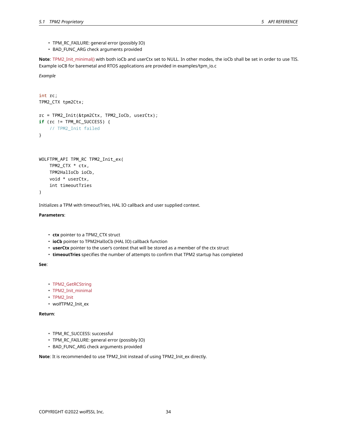- TPM\_RC\_FAILURE: general error (possibly IO)
- BAD\_FUNC\_ARG check arguments provided

**Note**: TPM2\_Init\_minimal() with both ioCb and userCtx set to NULL. In other modes, the ioCb shall be set in order to use TIS. Example ioCB for baremetal and RTOS applications are provided in examples/tpm\_io.c

*Example*

```
int rc;
TPM2_CTX tpm2Ctx;
rc = TPM2_Init(&tpm2Ctx, TPM2_IoCb, userCtx);
if (rc != TPM_RC_SUCCESS) {
    // TPM2_Init failed
}
WOLFTPM_API TPM_RC TPM2_Init_ex(
```

```
TPM2_CTX * ctx,
   TPM2HalIoCb ioCb,
   void * userCtx,
    int timeoutTries
)
```
Initializes a TPM with timeoutTries, HAL IO callback and user supplied context.

**Parameters**:

- **ctx** pointer to a TPM2\_CTX struct
- **ioCb** pointer to TPM2HalIoCb (HAL IO) callback function
- **userCtx** pointer to the user's context that will be stored as a member of the ctx struct
- **timeoutTries** specifies the number of attempts to confirm that TPM2 startup has completed

**See**:

- TPM2\_GetRCString
- TPM2\_Init\_minimal
- TPM2\_Init
- wolfTPM2\_Init\_ex

**Return**:

- TPM\_RC\_SUCCESS: successful
- TPM\_RC\_FAILURE: general error (possibly IO)
- BAD\_FUNC\_ARG check arguments provided

**Note**: It is recommended to use TPM2\_Init instead of using TPM2\_Init\_ex directly.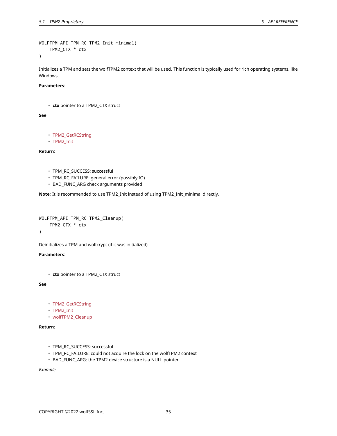```
WOLFTPM_API TPM_RC TPM2_Init_minimal(
    TPM2_CTX * ctx
```
)

Initializes a TPM and sets the wolfTPM2 context that will be used. This function is typically used for rich operating systems, like Windows.

## **Parameters**:

• **ctx** pointer to a TPM2\_CTX struct

**See**:

- TPM2\_GetRCString
- TPM2\_Init

**Return**:

- TPM\_RC\_SUCCESS: successful
- TPM\_RC\_FAILURE: general error (possibly IO)
- BAD\_FUNC\_ARG check arguments provided

**Note**: It is recommended to use TPM2\_Init instead of using TPM2\_Init\_minimal directly.

```
WOLFTPM_API TPM_RC TPM2_Cleanup(
    TPM2_CTX * ctx
)
```
Deinitializes a TPM and wolfcrypt (if it was initialized)

**Parameters**:

• **ctx** pointer to a TPM2\_CTX struct

**See**:

- TPM2\_GetRCString
- TPM2\_Init
- wolfTPM2\_Cleanup

**Return**:

- TPM\_RC\_SUCCESS: successful
- TPM\_RC\_FAILURE: could not acquire the lock on the wolfTPM2 context
- BAD\_FUNC\_ARG: the TPM2 device structure is a NULL pointer

*Example*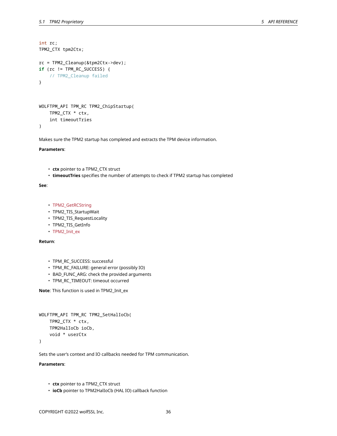```
int rc;
TPM2_CTX tpm2Ctx;
rc = TPM2_Cleanup(&tpm2Ctx->dev);
if (rc != TPM_RC_SUCCESS) {
    // TPM2_Cleanup failed
}
```

```
WOLFTPM_API TPM_RC TPM2_ChipStartup(
    TPM2_CTX * ctx,
    int timeoutTries
)
```
Makes sure the TPM2 startup has completed and extracts the TPM device information.

#### **Parameters**:

- **ctx** pointer to a TPM2\_CTX struct
- **timeoutTries** specifies the number of attempts to check if TPM2 startup has completed

#### **See**:

- TPM2\_GetRCString
- TPM2\_TIS\_StartupWait
- TPM2\_TIS\_RequestLocality
- TPM2\_TIS\_GetInfo
- TPM2\_Init\_ex

### **Return**:

- TPM\_RC\_SUCCESS: successful
- TPM\_RC\_FAILURE: general error (possibly IO)
- BAD\_FUNC\_ARG: check the provided arguments
- TPM\_RC\_TIMEOUT: timeout occurred

**Note**: This function is used in TPM2\_Init\_ex

```
WOLFTPM_API TPM_RC TPM2_SetHalIoCb(
    TPM2_CTX * ctx,
    TPM2HalIoCb ioCb,
    void * userCtx
)
```
Sets the user's context and IO callbacks needed for TPM communication.

#### **Parameters**:

- **ctx** pointer to a TPM2\_CTX struct
- **ioCb** pointer to TPM2HalIoCb (HAL IO) callback function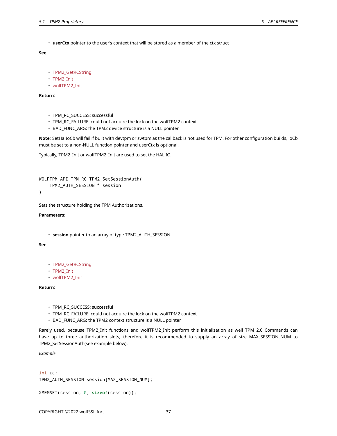• **userCtx** pointer to the user's context that will be stored as a member of the ctx struct

#### **See**:

```
• TPM2_GetRCString
```
- TPM2\_Init
- wolfTPM2\_Init

**Return**:

- TPM\_RC\_SUCCESS: successful
- TPM\_RC\_FAILURE: could not acquire the lock on the wolfTPM2 context
- BAD\_FUNC\_ARG: the TPM2 device structure is a NULL pointer

**Note**: SetHalIoCb will fail if built with devtpm or swtpm as the callback is not used for TPM. For other configuration builds, ioCb must be set to a non-NULL function pointer and userCtx is optional.

Typically, TPM2\_Init or wolfTPM2\_Init are used to set the HAL IO.

```
WOLFTPM_API TPM_RC TPM2_SetSessionAuth(
    TPM2_AUTH_SESSION * session
```
)

Sets the structure holding the TPM Authorizations.

#### **Parameters**:

• **session** pointer to an array of type TPM2\_AUTH\_SESSION

#### **See**:

- TPM2\_GetRCString
- TPM2\_Init
- wolfTPM2\_Init

#### **Return**:

- TPM\_RC\_SUCCESS: successful
- TPM\_RC\_FAILURE: could not acquire the lock on the wolfTPM2 context
- BAD\_FUNC\_ARG: the TPM2 context structure is a NULL pointer

Rarely used, because TPM2\_Init functions and wolfTPM2\_Init perform this initialization as well TPM 2.0 Commands can have up to three authorization slots, therefore it is recommended to supply an array of size MAX\_SESSION\_NUM to TPM2\_SetSessionAuth(see example below).

*Example*

```
int rc;
TPM2_AUTH_SESSION session[MAX_SESSION_NUM];
```

```
XMEMSET(session, 0, sizeof(session));
```
COPYRIGHT ©2022 wolfSSL Inc. 37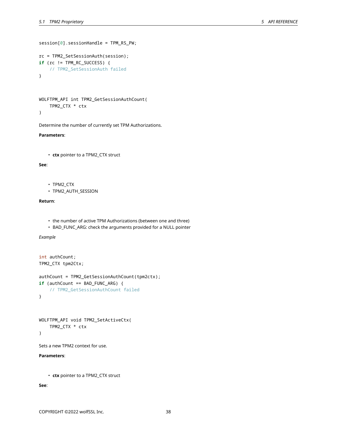```
session[0].sessionHandle = TPM_RS_PW;
rc = TPM2_SetSessionAuth(session);
if (rc != TPM_RC_SUCCESS) {
    // TPM2_SetSessionAuth failed
}
```

```
WOLFTPM_API int TPM2_GetSessionAuthCount(
    TPM2_CTX * ctx
)
```
Determine the number of currently set TPM Authorizations.

#### **Parameters**:

• **ctx** pointer to a TPM2\_CTX struct

#### **See**:

```
• TPM2_CTX
```
• TPM2\_AUTH\_SESSION

## **Return**:

- the number of active TPM Authorizations (between one and three)
- BAD\_FUNC\_ARG: check the arguments provided for a NULL pointer

*Example*

```
int authCount;
TPM2_CTX tpm2Ctx;
authCount = TPM2_GetSessionAuthCount(tpm2ctx);
if (authCount == BAD_FUNC_ARG) {
    // TPM2_GetSessionAuthCount failed
}
```

```
WOLFTPM_API void TPM2_SetActiveCtx(
    TPM2_CTX * ctx
```

```
)
```
Sets a new TPM2 context for use.

**Parameters**:

```
• ctx pointer to a TPM2_CTX struct
```
#### **See**: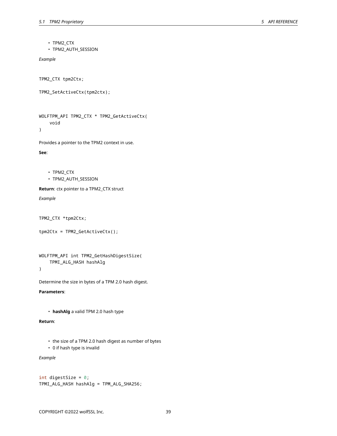• TPM2\_CTX

• TPM2\_AUTH\_SESSION

*Example*

TPM2\_CTX tpm2Ctx;

```
TPM2_SetActiveCtx(tpm2ctx);
```
WOLFTPM\_API TPM2\_CTX \* TPM2\_GetActiveCtx( void )

Provides a pointer to the TPM2 context in use.

**See**:

```
• TPM2_CTX
```
• TPM2\_AUTH\_SESSION

**Return**: ctx pointer to a TPM2\_CTX struct

*Example*

TPM2\_CTX \*tpm2Ctx;

```
tpm2Ctx = TPM2_GetActiveCtx();
```

```
WOLFTPM_API int TPM2_GetHashDigestSize(
    TPMI_ALG_HASH hashAlg
```
)

Determine the size in bytes of a TPM 2.0 hash digest.

**Parameters**:

```
• hashAlg a valid TPM 2.0 hash type
```
**Return**:

- the size of a TPM 2.0 hash digest as number of bytes
- 0 if hash type is invalid

*Example*

```
int digestSize = 0;
TPMI_ALG_HASH hashAlg = TPM_ALG_SHA256;
```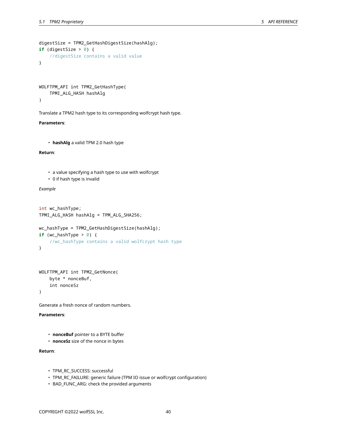```
digestSize = TPM2_GetHashDigestSize(hashAlg);
if (digestSize > 0) {
    //digestSize contains a valid value
}
```

```
WOLFTPM_API int TPM2_GetHashType(
    TPMI_ALG_HASH hashAlg
```
)

Translate a TPM2 hash type to its corresponding wolfcrypt hash type.

#### **Parameters**:

• **hashAlg** a valid TPM 2.0 hash type

## **Return**:

- a value specifying a hash type to use with wolfcrypt
- 0 if hash type is invalid

#### *Example*

```
int wc_hashType;
TPMI_ALG_HASH hashAlg = TPM_ALG_SHA256;
wc_hashType = TPM2_GetHashDigestSize(hashAlg);
if (wc_hashType > 0) {
    //wc_hashType contains a valid wolfcrypt hash type
}
```

```
WOLFTPM_API int TPM2_GetNonce(
    byte * nonceBuf,
    int nonceSz
)
```
Generate a fresh nonce of random numbers.

#### **Parameters**:

- **nonceBuf** pointer to a BYTE buffer
- **nonceSz** size of the nonce in bytes

## **Return**:

- TPM\_RC\_SUCCESS: successful
- TPM\_RC\_FAILURE: generic failure (TPM IO issue or wolfcrypt configuration)
- BAD\_FUNC\_ARG: check the provided arguments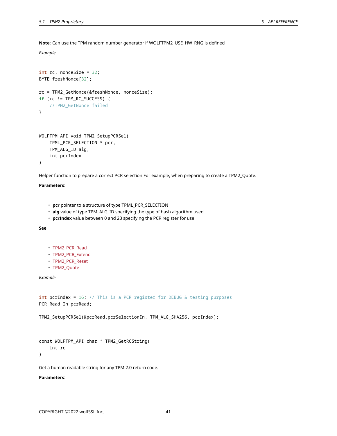**Note**: Can use the TPM random number generator if WOLFTPM2\_USE\_HW\_RNG is defined

```
Example
```

```
int rc, nonceSize = 32;
BYTE freshNonce[32];
rc = TPM2_GetNonce(&freshNonce, nonceSize);
if (rc != TPM_RC_SUCCESS) {
    //TPM2_GetNonce failed
}
WOLFTPM_API void TPM2_SetupPCRSel(
    TPML_PCR_SELECTION * pcr,
```
TPM\_ALG\_ID alg, int pcrIndex

)

Helper function to prepare a correct PCR selection For example, when preparing to create a TPM2\_Quote.

## **Parameters**:

- **pcr** pointer to a structure of type TPML\_PCR\_SELECTION
- **alg** value of type TPM\_ALG\_ID specifying the type of hash algorithm used
- **pcrIndex** value between 0 and 23 specifying the PCR register for use

**See**:

- TPM2\_PCR\_Read
- TPM2\_PCR\_Extend
- TPM2\_PCR\_Reset
- TPM2\_Quote

*Example*

```
int pcrIndex = 16; // This is a PCR register for DEBUG & testing purposes
PCR_Read_In pcrRead;
```
TPM2\_SetupPCRSel(&pcrRead.pcrSelectionIn, TPM\_ALG\_SHA256, pcrIndex);

```
const WOLFTPM_API char * TPM2_GetRCString(
    int rc
```
)

Get a human readable string for any TPM 2.0 return code.

#### **Parameters**: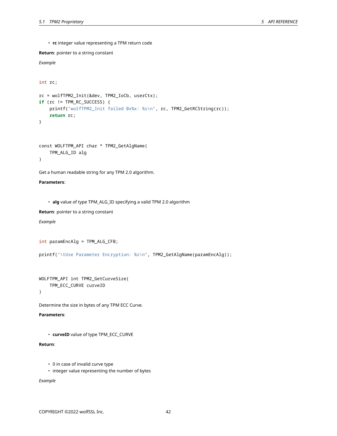• **rc** integer value representing a TPM return code

**Return**: pointer to a string constant

```
Example
```

```
int rc;
```

```
rc = wolfTPM2_Init(&dev, TPM2_IoCb, userCtx);
if (rc != TPM_RC_SUCCESS) {
    printf("wolfTPM2_Init failed 0x%x: %s\n", rc, TPM2_GetRCString(rc));
    return rc;
}
```

```
const WOLFTPM_API char * TPM2_GetAlgName(
    TPM_ALG_ID alg
```
## )

Get a human readable string for any TPM 2.0 algorithm.

```
Parameters:
```
• **alg** value of type TPM\_ALG\_ID specifying a valid TPM 2.0 algorithm

**Return**: pointer to a string constant

*Example*

```
int paramEncAlg = TPM_ALG_CFB;
```
printf("\tUse Parameter Encryption: %s\n", TPM2\_GetAlgName(paramEncAlg));

```
WOLFTPM_API int TPM2_GetCurveSize(
    TPM_ECC_CURVE curveID
```
)

Determine the size in bytes of any TPM ECC Curve.

**Parameters**:

• **curveID** value of type TPM\_ECC\_CURVE

## **Return**:

- 0 in case of invalid curve type
- integer value representing the number of bytes

*Example*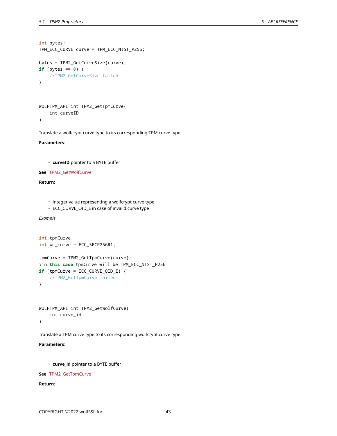```
int bytes;
TPM_ECC_CURVE curve = TPM_ECC_NIST_P256;
bytes = TPM2_GetCurveSize(curve);
if (bytes == \emptyset) {
    //TPM2_GetCurveSize failed
```
}

```
WOLFTPM_API int TPM2_GetTpmCurve(
    int curveID
\lambda
```
Translate a wolfcrypt curve type to its corresponding TPM curve type.

**Parameters**:

```
• curveID pointer to a BYTE buffer
```
**See**: TPM2\_GetWolfCurve

**Return**:

- integer value representing a wolfcrypt curve type
- ECC\_CURVE\_OID\_E in case of invalid curve type

*Example*

```
int tpmCurve;
int wc_curve = ECC_SECP256R1;
tpmCurve = TPM2_GetTpmCurve(curve);
\in this case tpmCurve will be TPM_ECC_NIST_P256
if (tpmCurve = ECC_CURVE_OID_E) {
    //TPM2_GetTpmCurve failed
}
```

```
WOLFTPM_API int TPM2_GetWolfCurve(
    int curve_id
)
```
Translate a TPM curve type to its corresponding wolfcrypt curve type.

**Parameters**:

• **curve\_id** pointer to a BYTE buffer

**See**: TPM2\_GetTpmCurve

**Return**: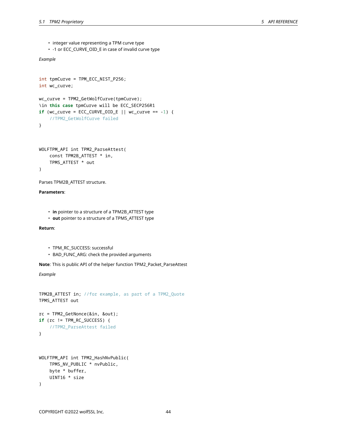- integer value representing a TPM curve type
- -1 or ECC\_CURVE\_OID\_E in case of invalid curve type

## *Example*

```
int tpmCurve = TPM_ECC_NIST_P256;
int wc_curve;
wc_curve = TPM2_GetWolfCurve(tpmCurve);
\in this case tpmCurve will be ECC_SECP256R1
if (wc_curve = ECC_CURVE_OID_E || wc_curve == -1) {
    //TPM2_GetWolfCurve failed
}
WOLFTPM_API int TPM2_ParseAttest(
    const TPM2B_ATTEST * in,
    TPMS_ATTEST * out
```
)

Parses TPM2B\_ATTEST structure.

## **Parameters**:

- **in** pointer to a structure of a TPM2B\_ATTEST type
- **out** pointer to a structure of a TPMS\_ATTEST type

**Return**:

- TPM\_RC\_SUCCESS: successful
- BAD\_FUNC\_ARG: check the provided arguments

**Note**: This is public API of the helper function TPM2\_Packet\_ParseAttest

*Example*

```
TPM2B_ATTEST in; //for example, as part of a TPM2_Quote
TPMS_ATTEST out
rc = TPM2_GetNonce(&in, &out);
if (rc != TPM_RC_SUCCESS) {
    //TPM2_ParseAttest failed
}
WOLFTPM_API int TPM2_HashNvPublic(
   TPMS_NV_PUBLIC * nvPublic,
   byte * buffer,
    UINT16 * size
)
```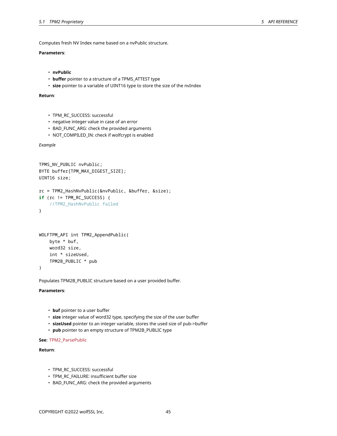Computes fresh NV Index name based on a nvPublic structure.

## **Parameters**:

```
• nvPublic
```
- **buffer** pointer to a structure of a TPMS\_ATTEST type
- **size** pointer to a variable of UINT16 type to store the size of the nvIndex

#### **Return**:

```
• TPM_RC_SUCCESS: successful
```
- negative integer value in case of an error
- BAD\_FUNC\_ARG: check the provided arguments
- NOT\_COMPILED\_IN: check if wolfcrypt is enabled

*Example*

```
TPMS_NV_PUBLIC nvPublic;
BYTE buffer[TPM_MAX_DIGEST_SIZE];
UINT16 size;
rc = TPM2_HashNvPublic(&nvPublic, &buffer, &size);
if (rc != TPM_RC_SUCCESS) {
    //TPM2_HashNvPublic failed
}
WOLFTPM_API int TPM2_AppendPublic(
    byte * buf,
    word32 size,
```

```
int * sizeUsed,
TPM2B_PUBLIC * pub
```
)

Populates TPM2B\_PUBLIC structure based on a user provided buffer.

## **Parameters**:

- **buf** pointer to a user buffer
- **size** integer value of word32 type, specifying the size of the user buffer
- **sizeUsed** pointer to an integer variable, stores the used size of pub->buffer
- **pub** pointer to an empty structure of TPM2B\_PUBLIC type

## **See**: TPM2\_ParsePublic

#### **Return**:

- TPM\_RC\_SUCCESS: successful
- TPM\_RC\_FAILURE: insufficient buffer size
- BAD\_FUNC\_ARG: check the provided arguments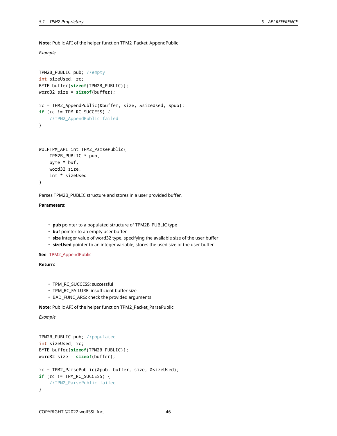**Note**: Public API of the helper function TPM2\_Packet\_AppendPublic

*Example*

```
TPM2B_PUBLIC pub; //empty
int sizeUsed, rc;
BYTE buffer[sizeof(TPM2B_PUBLIC)];
word32 size = sizeof(buffer);
rc = TPM2_AppendPublic(&buffer, size, &sizeUsed, &pub);
if (rc != TPM_RC_SUCCESS) {
    //TPM2_AppendPublic failed
}
WOLFTPM_API int TPM2_ParsePublic(
    TPM2B_PUBLIC * pub,
    byte * buf,
    word32 size,
    int * sizeUsed
```

```
)
```
Parses TPM2B\_PUBLIC structure and stores in a user provided buffer.

## **Parameters**:

- **pub** pointer to a populated structure of TPM2B\_PUBLIC type
- **buf** pointer to an empty user buffer
- **size** integer value of word32 type, specifying the available size of the user buffer
- **sizeUsed** pointer to an integer variable, stores the used size of the user buffer

**See**: TPM2\_AppendPublic

**Return**:

- TPM\_RC\_SUCCESS: successful
- TPM\_RC\_FAILURE: insufficient buffer size
- BAD\_FUNC\_ARG: check the provided arguments

**Note**: Public API of the helper function TPM2\_Packet\_ParsePublic

*Example*

```
TPM2B_PUBLIC pub; //populated
int sizeUsed, rc;
BYTE buffer[sizeof(TPM2B_PUBLIC)];
word32 size = sizeof(buffer);
rc = TPM2_ParsePublic(&pub, buffer, size, &sizeUsed);
if (rc != TPM RC SUCCESS) {
    //TPM2_ParsePublic failed
}
```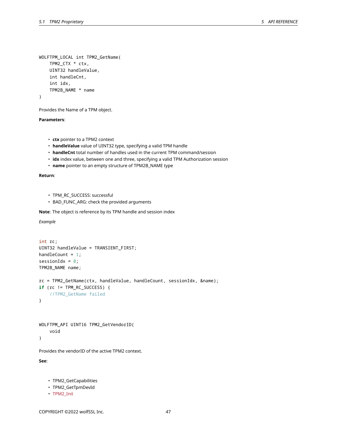```
WOLFTPM_LOCAL int TPM2_GetName(
    TPM2_CTX * ctx,
    UINT32 handleValue,
    int handleCnt,
    int idx,
    TPM2B_NAME * name
)
```
Provides the Name of a TPM object.

## **Parameters**:

- **ctx** pointer to a TPM2 context
- **handleValue** value of UINT32 type, specifying a valid TPM handle
- **handleCnt** total number of handles used in the current TPM command/session
- **idx** index value, between one and three, specifying a valid TPM Authorization session
- **name** pointer to an empty structure of TPM2B\_NAME type

## **Return**:

- TPM\_RC\_SUCCESS: successful
- BAD\_FUNC\_ARG: check the provided arguments

**Note**: The object is reference by its TPM handle and session index

*Example*

```
int rc;
UINT32 handleValue = TRANSIENT_FIRST;
handleCount = 1;
sessionIdx = 0;
TPM2B_NAME name;
rc = TPM2_GetName(ctx, handleValue, handleCount, sessionIdx, &name);
if (rc != TPM_RC_SUCCESS) {
    //TPM2_GetName failed
}
```

```
WOLFTPM_API UINT16 TPM2_GetVendorID(
    void
```
)

Provides the vendorID of the active TPM2 context.

**See**:

- TPM2\_GetCapabilities
- TPM2\_GetTpmDevId
- TPM2\_Init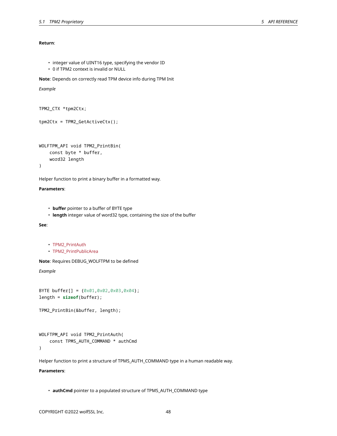## **Return**:

- integer value of UINT16 type, specifying the vendor ID
- 0 if TPM2 context is invalid or NULL

**Note**: Depends on correctly read TPM device info during TPM Init

## *Example*

```
TPM2_CTX *tpm2Ctx;
```

```
tpm2Ctx = TPM2_GetActiveCtx();
```

```
WOLFTPM_API void TPM2_PrintBin(
    const byte * buffer,
    word32 length
)
```
Helper function to print a binary buffer in a formatted way.

#### **Parameters**:

- **buffer** pointer to a buffer of BYTE type
- **length** integer value of word32 type, containing the size of the buffer

**See**:

```
• TPM2_PrintAuth
```
• TPM2\_PrintPublicArea

**Note**: Requires DEBUG\_WOLFTPM to be defined

*Example*

```
BYTE buffer[] = {0x01,0x02,0x03,0x04};
length = sizeof(buffer);
```

```
TPM2_PrintBin(&buffer, length);
```

```
WOLFTPM_API void TPM2_PrintAuth(
    const TPMS_AUTH_COMMAND * authCmd
\lambda
```
Helper function to print a structure of TPMS\_AUTH\_COMMAND type in a human readable way.

## **Parameters**:

• **authCmd** pointer to a populated structure of TPMS\_AUTH\_COMMAND type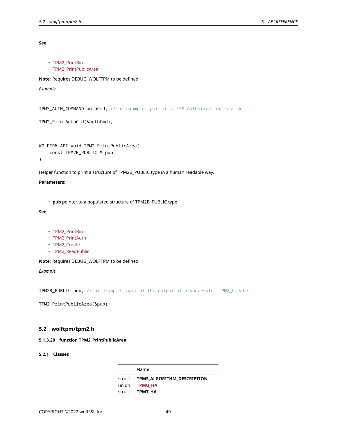• TPM2\_PrintBin

**See**:

• TPM2\_PrintPublicArea **Note**: Requires DEBUG\_WOLFTPM to be defined *Example*

TPMS\_AUTH\_COMMAND authCmd; //for example, part of a TPM Authorization session

```
TPM2_PrintAuthCmd(&authCmd);
```

```
WOLFTPM_API void TPM2_PrintPublicArea(
    const TPM2B_PUBLIC * pub
)
```
Helper function to print a structure of TPM2B\_PUBLIC type in a human readable way.

## **Parameters**:

• **pub** pointer to a populated structure of TPM2B\_PUBLIC type

**See**:

- TPM2\_PrintBin
- TPM2\_PrintAuth
- TPM2\_Create
- TPM2\_ReadPublic

**Note**: Requires DEBUG\_WOLFTPM to be defined

*Example*

TPM2B\_PUBLIC pub; //for example, part of the output of a successful TPM2\_Create

TPM2\_PrintPublicArea(&pub);

## **5.2 wolftpm/tpm2.h**

## **5.1.3.28 function TPM2\_PrintPublicArea**

**5.2.1 Classes**

Name struct **TPMS\_ALGORITHM\_DESCRIPTION** union **TPMU\_HA** struct **TPMT\_HA**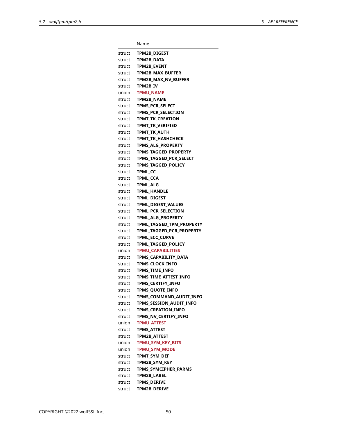Name struct **TPM2B\_DIGEST** struct **TPM2B\_DATA** struct **TPM2B\_EVENT** struct **TPM2B\_MAX\_BUFFER** struct **TPM2B\_MAX\_NV\_BUFFER** struct **TPM2B\_IV** union **TPMU\_NAME** struct **TPM2B\_NAME** struct **TPMS\_PCR\_SELECT** struct **TPMS\_PCR\_SELECTION** struct **TPMT\_TK\_CREATION** struct **TPMT\_TK\_VERIFIED** struct **TPMT\_TK\_AUTH** struct **TPMT\_TK\_HASHCHECK** struct **TPMS\_ALG\_PROPERTY** struct **TPMS\_TAGGED\_PROPERTY** struct **TPMS\_TAGGED\_PCR\_SELECT** struct **TPMS\_TAGGED\_POLICY** struct **TPML\_CC** struct **TPML\_CCA** struct **TPML\_ALG** struct **TPML\_HANDLE** struct **TPML\_DIGEST** struct **TPML\_DIGEST\_VALUES** struct **TPML\_PCR\_SELECTION** struct **TPML\_ALG\_PROPERTY** struct **TPML\_TAGGED\_TPM\_PROPERTY** struct **TPML\_TAGGED\_PCR\_PROPERTY** struct **TPML\_ECC\_CURVE** struct **TPML\_TAGGED\_POLICY** union **TPMU\_CAPABILITIES** struct **TPMS\_CAPABILITY\_DATA** struct **TPMS\_CLOCK\_INFO** struct **TPMS\_TIME\_INFO** struct **TPMS\_TIME\_ATTEST\_INFO** struct **TPMS\_CERTIFY\_INFO** struct **TPMS\_QUOTE\_INFO** struct **TPMS COMMAND AUDIT INFO** struct **TPMS\_SESSION\_AUDIT\_INFO** struct **TPMS CREATION INFO** struct **TPMS NV CERTIFY INFO** union **TPMU\_ATTEST** struct **TPMS\_ATTEST** struct **TPM2B\_ATTEST** union **TPMU\_SYM\_KEY\_BITS** union **TPMU\_SYM\_MODE** struct **TPMT\_SYM\_DEF** struct **TPM2B\_SYM\_KEY** struct **TPMS\_SYMCIPHER\_PARMS** struct **TPM2B\_LABEL** struct **TPMS\_DERIVE** struct **TPM2B\_DERIVE**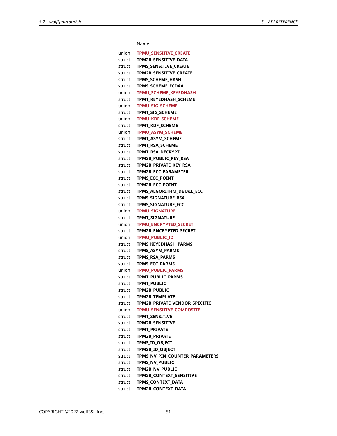|        | Name                           |
|--------|--------------------------------|
| union  | <b>TPMU SENSITIVE CREATE</b>   |
| struct | TPM2B SENSITIVE DATA           |
| struct | <b>TPMS SENSITIVE CREATE</b>   |
| struct | <b>TPM2B SENSITIVE CREATE</b>  |
| struct | <b>TPMS SCHEME HASH</b>        |
| struct | <b>TPMS SCHEME ECDAA</b>       |
| union  | <b>TPMU SCHEME KEYEDHASH</b>   |
| struct | TPMT KEYEDHASH SCHEME          |
| union  | TPMU_SIG_SCHEME                |
| struct | <b>TPMT SIG SCHEME</b>         |
| union  | <b>TPMU KDF SCHEME</b>         |
| struct | <b>TPMT KDF SCHEME</b>         |
| union  | TPMU_ASYM_SCHEME               |
| struct | <b>TPMT ASYM SCHEME</b>        |
| struct | <b>TPMT RSA SCHEME</b>         |
| struct | <b>TPMT RSA DECRYPT</b>        |
| struct | TPM2B PUBLIC KEY RSA           |
| struct | TPM2B PRIVATE KEY RSA          |
| struct | <b>TPM2B ECC PARAMETER</b>     |
| struct | <b>TPMS ECC POINT</b>          |
| struct | <b>TPM2B ECC POINT</b>         |
| struct | TPMS ALGORITHM DETAIL ECC      |
| struct | TPMS SIGNATURE RSA             |
| struct | TPMS_SIGNATURE_ECC             |
| union  | <b>TPMU SIGNATURE</b>          |
| struct | <b>TPMT SIGNATURE</b>          |
| union  | <b>TPMU ENCRYPTED SECRET</b>   |
| struct | <b>TPM2B ENCRYPTED SECRET</b>  |
| union  | <b>TPMU PUBLIC ID</b>          |
| struct | TPMS KEYEDHASH PARMS           |
| struct | <b>TPMS ASYM PARMS</b>         |
| struct | <b>TPMS RSA PARMS</b>          |
| struct | <b>TPMS ECC PARMS</b>          |
| union  | TPMU_PUBLIC_PARMS              |
| struct | TPMT_PUBLIC_PARMS              |
| struct | <b>TPMT PUBLIC</b>             |
| struct | <b>TPM2B PUBLIC</b>            |
| struct | TPM2B_TEMPLATE                 |
| struct | TPM2B PRIVATE VENDOR SPECIFIC  |
| union  | TPMU_SENSITIVE_COMPOSITE       |
| struct | <b>TPMT SENSITIVE</b>          |
| struct | <b>TPM2B SENSITIVE</b>         |
| struct | <b>TPMT PRIVATE</b>            |
| struct | <b>TPM2B PRIVATE</b>           |
| struct | TPMS_ID_OBJECT                 |
| struct | TPM2B_ID_OBJECT                |
| struct | TPMS_NV_PIN_COUNTER_PARAMETERS |
| struct | <b>TPMS NV PUBLIC</b>          |
| struct | <b>TPM2B NV PUBLIC</b>         |
| struct | <b>TPM2B CONTEXT SENSITIVE</b> |
| struct | TPMS CONTEXT DATA              |
| struct | TPM2B_CONTEXT_DATA             |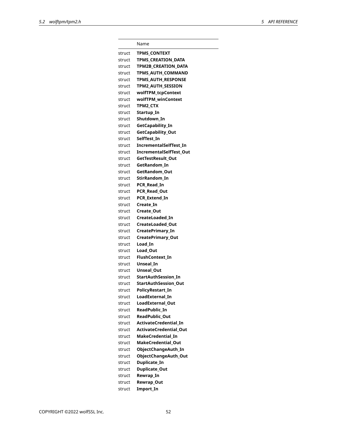|        | Name                          |
|--------|-------------------------------|
| struct | <b>TPMS CONTEXT</b>           |
| struct | TPMS CREATION DATA            |
| struct | <b>TPM2B CREATION DATA</b>    |
| struct | <b>TPMS AUTH COMMAND</b>      |
| struct | <b>TPMS AUTH RESPONSE</b>     |
| struct | <b>TPM2 AUTH SESSION</b>      |
| struct | wolfTPM_tcpContext            |
| struct | wolfTPM_winContext            |
| struct | <b>TPM2 CTX</b>               |
| struct | Startup_In                    |
| struct | Shutdown In                   |
| struct | GetCapability_In              |
| struct | GetCapability_Out             |
| struct | SelfTest In                   |
| struct | <b>IncrementalSelfTest In</b> |
| struct | IncrementalSelfTest Out       |
| struct | <b>GetTestResult Out</b>      |
| struct | GetRandom In                  |
| struct | GetRandom Out                 |
| struct | StirRandom In                 |
| struct | PCR Read In                   |
| struct | PCR Read Out                  |
| struct | <b>PCR Extend In</b>          |
| struct | Create In                     |
| struct | Create Out                    |
| struct | CreateLoaded In               |
| struct | CreateLoaded Out              |
| struct | CreatePrimary_In              |
| struct | CreatePrimary_Out             |
| struct | Load In                       |
| struct | Load Out                      |
| struct | FlushContext In               |
| struct | Unseal In                     |
| struct | Unseal_Out                    |
| struct | StartAuthSession In           |
| struct | <b>StartAuthSession Out</b>   |
| struct | <b>PolicyRestart In</b>       |
| struct | LoadExternal In               |
| struct | <b>LoadExternal Out</b>       |
| struct | ReadPublic In                 |
| struct | ReadPublic_Out                |
| struct | ActivateCredential_In         |
| struct | <b>ActivateCredential Out</b> |
| struct | MakeCredential_In             |
| struct | MakeCredential_Out            |
| struct | ObjectChangeAuth_In           |
| struct | ObjectChangeAuth_Out          |
| struct | Duplicate_In                  |
| struct | Duplicate_Out                 |
| struct | Rewrap_In                     |
| struct | Rewrap_Out                    |
| struct | Import_In                     |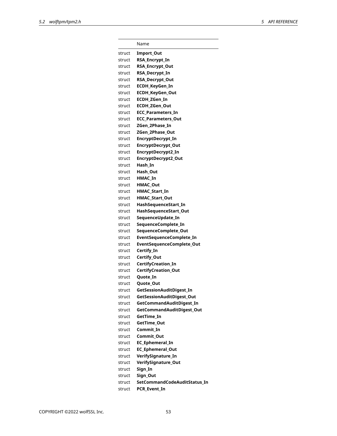|                  | Name                                                  |
|------------------|-------------------------------------------------------|
| struct           | Import_Out                                            |
| struct           | RSA_Encrypt_In                                        |
| struct           | RSA_Encrypt_Out                                       |
| struct           | <b>RSA Decrypt In</b>                                 |
| struct           | <b>RSA_Decrypt_Out</b>                                |
| struct           | ECDH KeyGen In                                        |
| struct           | ECDH_KeyGen_Out                                       |
| struct           | ECDH ZGen In                                          |
| struct           | <b>ECDH ZGen Out</b>                                  |
| struct           | <b>ECC Parameters In</b>                              |
| struct           | <b>ECC Parameters Out</b>                             |
| struct           | ZGen 2Phase In                                        |
| struct           | ZGen 2Phase Out                                       |
| struct           | EncryptDecrypt_In                                     |
| struct           | EncryptDecrypt_Out                                    |
| struct           | EncryptDecrypt2_In                                    |
| struct           | EncryptDecrypt2_Out                                   |
| struct           | Hash In                                               |
| struct           | Hash Out                                              |
| struct           | <b>HMAC In</b>                                        |
| struct           | <b>HMAC Out</b>                                       |
| struct           | HMAC_Start_In                                         |
| struct           | <b>HMAC Start Out</b>                                 |
|                  |                                                       |
| struct           | HashSequenceStart_In                                  |
| struct           | HashSequenceStart_Out                                 |
| struct<br>struct | SequenceUpdate_In<br>SequenceComplete_In              |
| struct           | SequenceComplete_Out                                  |
| struct           | EventSequenceComplete_In                              |
| struct           | EventSequenceComplete_Out                             |
| struct           | Certify_In                                            |
| struct           | Certify_Out                                           |
| struct           | <b>CertifyCreation In</b>                             |
| struct           | <b>CertifyCreation_Out</b>                            |
| struct           |                                                       |
| struct           | Quote In                                              |
|                  | <b>Quote Out</b>                                      |
| struct           | GetSessionAuditDigest_In<br>GetSessionAuditDigest_Out |
| struct           |                                                       |
| struct           | GetCommandAuditDigest_In                              |
| struct           | GetCommandAuditDigest_Out                             |
| struct           | GetTime In                                            |
| struct           | GetTime Out                                           |
| struct           | Commit_In                                             |
| struct           | Commit_Out                                            |
| struct           | <b>EC Ephemeral In</b>                                |
| struct           | EC_Ephemeral_Out                                      |
| struct           | VerifySignature_In                                    |
| struct           | VerifySignature_Out                                   |
| struct           | Sign In                                               |
| struct           | Sign Out                                              |
| struct           | SetCommandCodeAuditStatus In                          |
| struct           | PCR Event In                                          |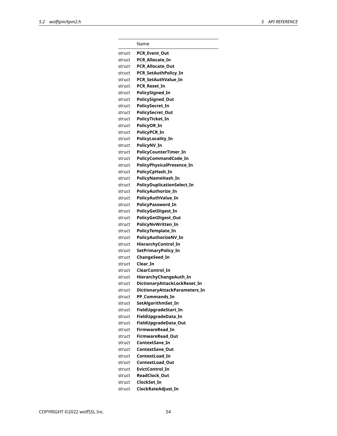|        | Name                              |
|--------|-----------------------------------|
| struct | <b>PCR Event Out</b>              |
| struct | PCR Allocate In                   |
| struct | <b>PCR Allocate Out</b>           |
| struct | <b>PCR_SetAuthPolicy_In</b>       |
| struct | PCR SetAuthValue In               |
| struct | PCR Reset In                      |
| struct | PolicySigned_In                   |
| struct | <b>PolicySigned_Out</b>           |
| struct | PolicySecret In                   |
| struct | PolicySecret_Out                  |
| struct | PolicyTicket_In                   |
| struct | PolicyOR_In                       |
| struct | PolicyPCR_In                      |
| struct | PolicyLocality_In                 |
| struct | PolicyNV In                       |
| struct | PolicyCounterTimer_In             |
| struct | PolicyCommandCode In              |
| struct | PolicyPhysicalPresence_In         |
| struct | PolicyCpHash_In                   |
| struct | PolicyNameHash In                 |
| struct | <b>PolicyDuplicationSelect_In</b> |
| struct | PolicyAuthorize_In                |
| struct | PolicyAuthValue In                |
| struct | PolicyPassword_In                 |
| struct | PolicyGetDigest_In                |
| struct | PolicyGetDigest_Out               |
| struct | PolicyNvWritten_In                |
| struct | PolicyTemplate_In                 |
| struct | PolicyAuthorizeNV_In              |
| struct | HierarchyControl_In               |
| struct | SetPrimaryPolicy_In               |
| struct | ChangeSeed_In                     |
| struct | Clear In                          |
| struct | ClearControl In                   |
| struct | HierarchyChangeAuth_In            |
| struct | DictionaryAttackLockReset_In      |
| struct | DictionaryAttackParameters_In     |
| struct | PP_Commands_In                    |
| struct | SetAlgorithmSet_In                |
| struct | FieldUpgradeStart_In              |
| struct | FieldUpgradeData_In               |
| struct | FieldUpgradeData_Out              |
| struct | <b>FirmwareRead In</b>            |
| struct | FirmwareRead_Out                  |
| struct | ContextSave_In                    |
| struct | <b>ContextSave Out</b>            |
| struct | ContextLoad In                    |
| struct | ContextLoad_Out                   |
| struct | EvictControl_In                   |
| struct | ReadClock_Out                     |
| struct | ClockSet In                       |
| struct | ClockRateAdjust_In                |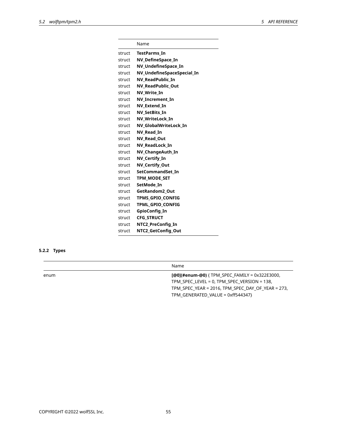|        | Name                       |
|--------|----------------------------|
| struct | <b>TestParms In</b>        |
| struct | <b>NV DefineSpace In</b>   |
| struct | <b>NV UndefineSpace In</b> |
| struct | NV_UndefineSpaceSpecial_In |
| struct | NV ReadPublic In           |
| struct | <b>NV ReadPublic Out</b>   |
| struct | NV Write In                |
| struct | <b>NV Increment In</b>     |
| struct | NV Extend In               |
| struct | NV SetBits In              |
| struct | NV_WriteLock_In            |
| struct | NV GlobalWriteLock In      |
| struct | NV Read In                 |
| struct | <b>NV Read Out</b>         |
| struct | NV ReadLock In             |
| struct | NV ChangeAuth In           |
| struct | NV Certify In              |
| struct | <b>NV Certify Out</b>      |
| struct | SetCommandSet In           |
| struct | <b>TPM MODE SET</b>        |
| struct | SetMode In                 |
| struct | <b>GetRandom2 Out</b>      |
| struct | <b>TPMS GPIO CONFIG</b>    |
| struct | <b>TPML GPIO CONFIG</b>    |
| struct | GpioConfig_In              |
| struct | CFG STRUCT                 |
| struct | NTC2 PreConfig In          |
| struct | NTC2_GetConfig_Out         |

# **5.2.2 Types**

Name

enum **[@0](#enum-@0)** { TPM\_SPEC\_FAMILY = 0x322E3000, TPM\_SPEC\_LEVEL = 0, TPM\_SPEC\_VERSION = 138, TPM\_SPEC\_YEAR = 2016, TPM\_SPEC\_DAY\_OF\_YEAR = 273, TPM\_GENERATED\_VALUE = 0xff544347}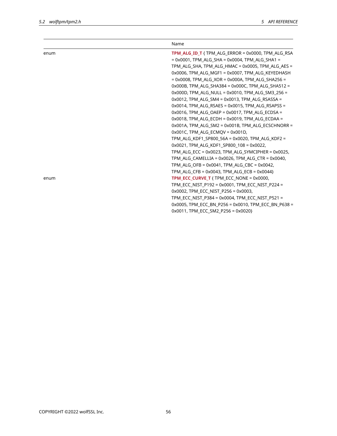|      | Name                                                                                                                                                                                                                                                                                                                                                                                                                                                                                                                                                                                                                                                                                                                           |
|------|--------------------------------------------------------------------------------------------------------------------------------------------------------------------------------------------------------------------------------------------------------------------------------------------------------------------------------------------------------------------------------------------------------------------------------------------------------------------------------------------------------------------------------------------------------------------------------------------------------------------------------------------------------------------------------------------------------------------------------|
| enum | <b>TPM ALG ID T</b> { TPM ALG ERROR = $0x0000$ , TPM ALG RSA<br>$= 0x0001$ , TPM ALG SHA = 0x0004, TPM ALG SHA1 =<br>TPM_ALG_SHA, TPM_ALG_HMAC = 0x0005, TPM_ALG_AES =<br>0x0006, TPM ALG MGF1 = 0x0007, TPM ALG KEYEDHASH<br>$= 0x0008$ , TPM ALG XOR = 0x000A, TPM ALG SHA256 =<br>$0x000B$ , TPM ALG SHA384 = $0x000C$ , TPM ALG SHA512 =<br>0x000D, TPM_ALG_NULL = 0x0010, TPM_ALG_SM3_256 =<br>$0x0012$ , TPM ALG SM4 = $0x0013$ , TPM ALG RSASSA =<br>$0x0014$ , TPM ALG RSAES = $0x0015$ , TPM ALG RSAPSS =<br>$0x0016$ , TPM ALG OAEP = $0x0017$ , TPM ALG ECDSA =                                                                                                                                                     |
| enum | 0x0018, TPM_ALG_ECDH = 0x0019, TPM_ALG_ECDAA =<br>0x001A, TPM ALG SM2 = 0x001B, TPM ALG ECSCHNORR =<br>$0x001C$ , TPM ALG ECMQV = $0x001D$ ,<br>TPM_ALG_KDF1_SP800_56A = 0x0020, TPM_ALG_KDF2 =<br>0x0021, TPM ALG KDF1 SP800 108 = 0x0022,<br>TPM_ALG_ECC = 0x0023, TPM_ALG_SYMCIPHER = 0x0025,<br>TPM ALG CAMELLIA = $0x0026$ , TPM ALG CTR = $0x0040$ ,<br>TPM_ALG_OFB = $0x0041$ , TPM_ALG_CBC = $0x0042$ ,<br>TPM ALG CFB = $0x0043$ , TPM ALG ECB = $0x0044$ }<br><b>TPM ECC CURVE T</b> { TPM ECC NONE = $0x0000$ ,<br>TPM_ECC_NIST_P192 = 0x0001, TPM_ECC_NIST_P224 =<br>0x0002, TPM ECC NIST P256 = 0x0003,<br>TPM ECC NIST P384 = 0x0004, TPM ECC NIST P521 =<br>0x0005, TPM_ECC_BN_P256 = 0x0010, TPM_ECC_BN_P638 = |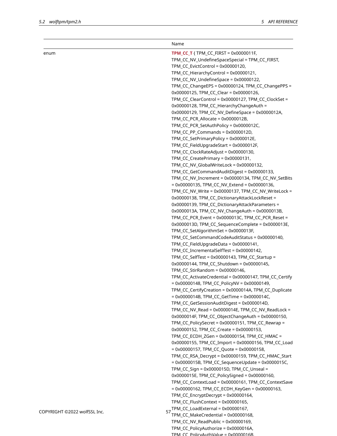|                              | Name                                                    |
|------------------------------|---------------------------------------------------------|
| enum                         | <b>TPM_CC_T</b> { $TPM$ _CC_FIRST = $0x0000011F$ ,      |
|                              | TPM_CC_NV_UndefineSpaceSpecial = TPM_CC_FIRST,          |
|                              | TPM_CC_EvictControl = 0x00000120,                       |
|                              | TPM_CC_HierarchyControl = 0x00000121,                   |
|                              | TPM_CC_NV_UndefineSpace = 0x00000122,                   |
|                              | TPM_CC_ChangeEPS = 0x00000124, TPM_CC_ChangePPS =       |
|                              | 0x00000125, TPM_CC_Clear = 0x00000126,                  |
|                              | TPM_CC_ClearControl = 0x00000127, TPM_CC_ClockSet =     |
|                              | 0x00000128, TPM_CC_HierarchyChangeAuth =                |
|                              | 0x00000129, TPM_CC_NV_DefineSpace = 0x0000012A,         |
|                              | TPM_CC_PCR_Allocate = 0x0000012B,                       |
|                              | TPM_CC_PCR_SetAuthPolicy = 0x0000012C,                  |
|                              | TPM_CC_PP_Commands = 0x0000012D,                        |
|                              | TPM_CC_SetPrimaryPolicy = 0x0000012E,                   |
|                              | TPM_CC_FieldUpgradeStart = 0x0000012F,                  |
|                              | TPM_CC_ClockRateAdjust = 0x00000130,                    |
|                              | TPM_CC_CreatePrimary = 0x00000131,                      |
|                              | TPM_CC_NV_GlobalWriteLock = 0x00000132,                 |
|                              | TPM_CC_GetCommandAuditDigest = 0x00000133,              |
|                              | TPM_CC_NV_Increment = 0x00000134, TPM_CC_NV_SetBits     |
|                              | $= 0x00000135$ , TPM_CC_NV_Extend = 0x00000136,         |
|                              | TPM_CC_NV_Write = 0x00000137, TPM_CC_NV_WriteLock =     |
|                              | 0x00000138, TPM_CC_DictionaryAttackLockReset =          |
|                              | 0x00000139, TPM_CC_DictionaryAttackParameters =         |
|                              | 0x0000013A, TPM_CC_NV_ChangeAuth = 0x0000013B,          |
|                              | TPM_CC_PCR_Event = 0x0000013C, TPM_CC_PCR_Reset =       |
|                              | 0x0000013D, TPM_CC_SequenceComplete = 0x0000013E,       |
|                              | TPM_CC_SetAlgorithmSet = 0x0000013F,                    |
|                              | TPM_CC_SetCommandCodeAuditStatus = 0x00000140,          |
|                              | TPM_CC_FieldUpgradeData = 0x00000141,                   |
|                              | TPM_CC_IncrementalSelfTest = 0x00000142,                |
|                              | TPM_CC_SelfTest = 0x00000143, TPM_CC_Startup =          |
|                              | 0x00000144, TPM_CC_Shutdown = 0x00000145,               |
|                              | TPM_CC_StirRandom = 0x00000146,                         |
|                              | TPM_CC_ActivateCredential = 0x00000147, TPM_CC_Certify  |
|                              | $= 0x00000148$ , TPM_CC_PolicyNV = 0x00000149,          |
|                              | TPM_CC_CertifyCreation = 0x0000014A, TPM_CC_Duplicate   |
|                              | = 0x0000014B, TPM_CC_GetTime = 0x0000014C,              |
|                              | TPM_CC_GetSessionAuditDigest = 0x0000014D,              |
|                              | TPM_CC_NV_Read = 0x0000014E, TPM_CC_NV_ReadLock =       |
|                              | 0x0000014F, TPM_CC_ObjectChangeAuth = 0x00000150,       |
|                              | TPM_CC_PolicySecret = 0x00000151, TPM_CC_Rewrap =       |
|                              | 0x00000152, TPM_CC_Create = 0x00000153,                 |
|                              | TPM_CC_ECDH_ZGen = 0x00000154, TPM_CC_HMAC =            |
|                              | 0x00000155, TPM_CC_Import = 0x00000156, TPM_CC_Load     |
|                              | $= 0x00000157$ , TPM_CC_Quote = 0x00000158,             |
|                              | TPM_CC_RSA_Decrypt = 0x00000159, TPM_CC_HMAC_Start      |
|                              | = $0x0000015B$ , TPM_CC_SequenceUpdate = $0x0000015C$ , |
|                              | TPM_CC_Sign = 0x0000015D, TPM_CC_Unseal =               |
|                              |                                                         |
|                              | 0x0000015E, TPM_CC_PolicySigned = 0x00000160,           |
|                              | TPM_CC_ContextLoad = 0x00000161, TPM_CC_ContextSave     |
|                              | = 0x00000162, TPM_CC_ECDH_KeyGen = 0x00000163,          |
|                              | TPM_CC_EncryptDecrypt = 0x00000164,                     |
|                              | TPM_CC_FlushContext = 0x00000165,                       |
| COPYRIGHT ©2022 wolfSSL Inc. | TPM_CC_LoadExternal = 0x00000167,<br>57                 |
|                              | TPM_CC_MakeCredential = 0x00000168,                     |
|                              | TPM_CC_NV_ReadPublic = 0x00000169,                      |
|                              | TPM_CC_PolicyAuthorize = 0x0000016A,                    |

TPM  $CC$  PolicyAuthValue = 0x0000016B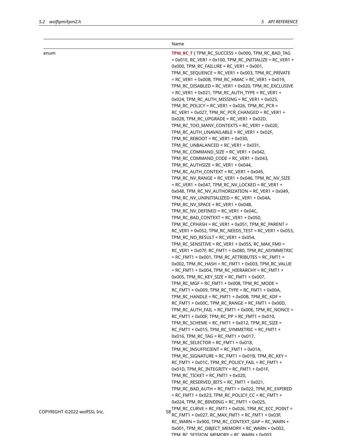|                              | Name                                                                                                                                                                                                                   |
|------------------------------|------------------------------------------------------------------------------------------------------------------------------------------------------------------------------------------------------------------------|
| enum                         | TPM_RC_T { TPM_RC_SUCCESS = 0x000, TPM_RC_BAD_TAG<br>$= 0x01E$ , RC_VER1 = 0x100, TPM_RC_INITIALIZE = RC_VER1 +<br>$0x000$ , $TPM_RC_FAILURE = RC_VER1 + 0x001$ ,<br>TPM_RC_SEQUENCE = RC_VER1 + 0x003, TPM_RC_PRIVATE |
|                              |                                                                                                                                                                                                                        |
|                              | $= RC_VER1 + 0x00B, TPM_RC_HMAC = RC_VER1 + 0x019,$<br>TPM_RC_DISABLED = RC_VER1 + 0x020, TPM_RC_EXCLUSIVE                                                                                                             |
|                              | = RC_VER1 + 0x021, TPM_RC_AUTH_TYPE = RC_VER1 +                                                                                                                                                                        |
|                              | 0x024, TPM_RC_AUTH_MISSING = RC_VER1 + 0x025,                                                                                                                                                                          |
|                              | TPM_RC_POLICY = RC_VER1 + 0x026, TPM_RC_PCR =                                                                                                                                                                          |
|                              | $RC_VER1 + 0x027$ , $TPM_RC_PCR_CHANGED = RC_VER1 +$                                                                                                                                                                   |
|                              | 0x028, TPM_RC_UPGRADE = RC_VER1 + 0x02D,                                                                                                                                                                               |
|                              | TPM_RC_TOO_MANY_CONTEXTS = RC_VER1 + 0x02E,                                                                                                                                                                            |
|                              | TPM_RC_AUTH_UNAVAILABLE = RC_VER1 + 0x02F,                                                                                                                                                                             |
|                              | TPM_RC_REBOOT = RC_VER1 + 0x030,                                                                                                                                                                                       |
|                              | TPM_RC_UNBALANCED = RC_VER1 + 0x031,                                                                                                                                                                                   |
|                              | TPM_RC_COMMAND_SIZE = RC_VER1 + 0x042,                                                                                                                                                                                 |
|                              | TPM_RC_COMMAND_CODE = RC_VER1 + 0x043,                                                                                                                                                                                 |
|                              | TPM_RC_AUTHSIZE = RC_VER1 + 0x044,                                                                                                                                                                                     |
|                              | TPM_RC_AUTH_CONTEXT = RC_VER1 + 0x045,                                                                                                                                                                                 |
|                              | TPM_RC_NV_RANGE = RC_VER1 + 0x046, TPM_RC_NV_SIZE                                                                                                                                                                      |
|                              | $= RC_VER1 + 0x047$ , $TPM_RC_NV_LOCKED = RC_VER1 +$                                                                                                                                                                   |
|                              | 0x048, TPM_RC_NV_AUTHORIZATION = RC_VER1 + 0x049,                                                                                                                                                                      |
|                              | TPM_RC_NV_UNINITIALIZED = RC_VER1 + 0x04A,<br>TPM_RC_NV_SPACE = RC_VER1 + 0x04B,                                                                                                                                       |
|                              | TPM_RC_NV_DEFINED = RC_VER1 + 0x04C,                                                                                                                                                                                   |
|                              | TPM_RC_BAD_CONTEXT = RC_VER1 + 0x050,                                                                                                                                                                                  |
|                              | TPM_RC_CPHASH = RC_VER1 + 0x051, TPM_RC_PARENT =                                                                                                                                                                       |
|                              | $RC_VER1 + 0x052$ , $TPM_RC_NEEDS_TEST = RC_VER1 + 0x053$ ,                                                                                                                                                            |
|                              | TPM_RC_NO_RESULT = RC_VER1 + 0x054,                                                                                                                                                                                    |
|                              | TPM_RC_SENSITIVE = RC_VER1 + 0x055, RC_MAX_FM0 =                                                                                                                                                                       |
|                              | RC_VER1 + 0x07F, RC_FMT1 = 0x080, TPM_RC_ASYMMETRIC                                                                                                                                                                    |
|                              | = RC_FMT1 + 0x001, TPM_RC_ATTRIBUTES = RC_FMT1 +                                                                                                                                                                       |
|                              | $0x002$ , TPM_RC_HASH = RC_FMT1 + $0x003$ , TPM_RC_VALUE<br>$= RC$ FMT1 + 0x004, TPM_RC_HIERARCHY = RC_FMT1 +                                                                                                          |
|                              | $0x005$ , TPM_RC_KEY_SIZE = RC_FMT1 + 0x007,                                                                                                                                                                           |
|                              | TPM_RC_MGF = RC_FMT1 + 0x008, TPM_RC_MODE =                                                                                                                                                                            |
|                              | RC_FMT1 + 0x009, TPM_RC_TYPE = RC_FMT1 + 0x00A,                                                                                                                                                                        |
|                              | TPM_RC_HANDLE = RC_FMT1 + 0x00B, TPM_RC_KDF =                                                                                                                                                                          |
|                              | RC_FMT1 + 0x00C, TPM_RC_RANGE = RC_FMT1 + 0x00D,                                                                                                                                                                       |
|                              | TPM_RC_AUTH_FAIL = RC_FMT1 + 0x00E, TPM_RC_NONCE =<br>$RC_FMT1 + 0x00F$ , $TPM_RC_PP = RC_FMT1 + 0x010$ ,                                                                                                              |
|                              | TPM_RC_SCHEME = RC_FMT1 + 0x012, TPM_RC_SIZE =                                                                                                                                                                         |
|                              | RC_FMT1 + 0x015, TPM_RC_SYMMETRIC = RC_FMT1 +                                                                                                                                                                          |
|                              | $0x016$ , $TPM_RC_TAG = RC_FMT1 + 0x017$ ,                                                                                                                                                                             |
|                              | TPM_RC_SELECTOR = RC_FMT1 + 0x018,                                                                                                                                                                                     |
|                              | TPM_RC_INSUFFICIENT = RC_FMT1 + 0x01A,                                                                                                                                                                                 |
|                              | TPM_RC_SIGNATURE = RC_FMT1 + 0x01B, TPM_RC_KEY =                                                                                                                                                                       |
|                              | RC_FMT1 + 0x01C, TPM_RC_POLICY_FAIL = RC_FMT1 +                                                                                                                                                                        |
|                              | $0x01D$ , TPM_RC_INTEGRITY = RC_FMT1 + 0x01F,                                                                                                                                                                          |
|                              | TPM_RC_TICKET = RC_FMT1 + 0x020,                                                                                                                                                                                       |
|                              | TPM_RC_RESERVED_BITS = RC_FMT1 + 0x021,                                                                                                                                                                                |
|                              | TPM_RC_BAD_AUTH = RC_FMT1 + 0x022, TPM_RC_EXPIRED                                                                                                                                                                      |
|                              | = RC_FMT1 + 0x023, TPM_RC_POLICY_CC = RC_FMT1 +                                                                                                                                                                        |
|                              | $0x024$ , TPM_RC_BINDING = RC_FMT1 + 0x025,                                                                                                                                                                            |
| COPYRIGHT ©2022 wolfSSL Inc. | TPM_RC_CURVE = RC_FMT1 + 0x026, TPM_RC_ECC_POINT =<br>58<br>RC_FMT1 + 0x027, RC_MAX_FMT1 = RC_FMT1 + 0x03F,                                                                                                            |
|                              | RC_WARN = 0x900, TPM_RC_CONTEXT_GAP = RC_WARN +                                                                                                                                                                        |
|                              | 0x001, TPM_RC_OBJECT_MEMORY = RC_WARN + 0x002,                                                                                                                                                                         |

TPM, RC, SESSION, MEMORY = RC, WARN + 0x003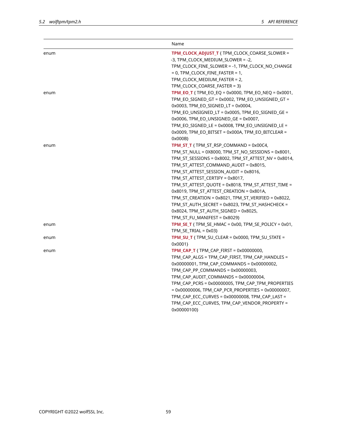|      | Name                                                                                                                                                                                                                                                                                                                                                                                                                                                                                                                                                                           |
|------|--------------------------------------------------------------------------------------------------------------------------------------------------------------------------------------------------------------------------------------------------------------------------------------------------------------------------------------------------------------------------------------------------------------------------------------------------------------------------------------------------------------------------------------------------------------------------------|
| enum | TPM_CLOCK_ADJUST_T { TPM_CLOCK_COARSE_SLOWER =<br>-3, TPM_CLOCK_MEDIUM_SLOWER = -2,<br>TPM_CLOCK_FINE_SLOWER = -1, TPM_CLOCK_NO_CHANGE<br>$= 0$ , TPM_CLOCK_FINE_FASTER $= 1$ ,<br>TPM_CLOCK_MEDIUM_FASTER = 2,<br>TPM_CLOCK_COARSE_FASTER = 3}                                                                                                                                                                                                                                                                                                                                |
| enum | <b>TPM EO T</b> { TPM EO EQ = 0x0000, TPM EO NEQ = 0x0001,<br>TPM_EO_SIGNED_GT = 0x0002, TPM_EO_UNSIGNED_GT =<br>$0x0003$ , TPM_EO_SIGNED_LT = $0x0004$ ,<br>TPM_EO_UNSIGNED_LT = 0x0005, TPM_EO_SIGNED_GE =<br>$0x0006$ , TPM_EO_UNSIGNED_GE = $0x0007$ ,<br>TPM_EO_SIGNED_LE = 0x0008, TPM_EO_UNSIGNED_LE =<br>0x0009, TPM_EO_BITSET = 0x000A, TPM_EO_BITCLEAR =<br>0x000B}                                                                                                                                                                                                  |
| enum | <b>TPM ST T</b> { TPM ST RSP COMMAND = $0x00C4$ ,<br>TPM_ST_NULL = 0X8000, TPM_ST_NO_SESSIONS = 0x8001,<br>TPM_ST_SESSIONS = 0x8002, TPM_ST_ATTEST_NV = 0x8014,<br>TPM_ST_ATTEST_COMMAND_AUDIT = 0x8015,<br>TPM_ST_ATTEST_SESSION_AUDIT = 0x8016,<br>TPM_ST_ATTEST_CERTIFY = 0x8017,<br>TPM_ST_ATTEST_QUOTE = 0x8018, TPM_ST_ATTEST_TIME =<br>0x8019, TPM_ST_ATTEST_CREATION = 0x801A,<br>TPM_ST_CREATION = 0x8021, TPM_ST_VERIFIED = 0x8022,<br>TPM_ST_AUTH_SECRET = 0x8023, TPM_ST_HASHCHECK =<br>$0x8024$ , TPM_ST_AUTH_SIGNED = $0x8025$ ,<br>TPM_ST_FU_MANIFEST = 0x8029} |
| enum | <b>TPM SE T</b> { TPM SE_HMAC = $0x00$ , TPM SE_POLICY = $0x01$ ,<br>$TPM_SE_TRIAL = 0x03$                                                                                                                                                                                                                                                                                                                                                                                                                                                                                     |
| enum | <b>TPM SU T</b> { TPM SU CLEAR = $0x0000$ , TPM SU STATE =<br>0x0001}                                                                                                                                                                                                                                                                                                                                                                                                                                                                                                          |
| enum | <b>TPM_CAP_T</b> { $TPM$ _CAP_FIRST = $0x00000000$ ,<br>TPM_CAP_ALGS = TPM_CAP_FIRST, TPM_CAP_HANDLES =<br>0x00000001, TPM_CAP_COMMANDS = 0x00000002,<br>TPM_CAP_PP_COMMANDS = 0x00000003,<br>TPM_CAP_AUDIT_COMMANDS = 0x00000004,<br>TPM_CAP_PCRS = 0x00000005, TPM_CAP_TPM_PROPERTIES<br>= 0x00000006, TPM_CAP_PCR_PROPERTIES = 0x00000007,<br>TPM_CAP_ECC_CURVES = 0x00000008, TPM_CAP_LAST =<br>TPM_CAP_ECC_CURVES, TPM_CAP_VENDOR_PROPERTY =<br>0x00000100}                                                                                                               |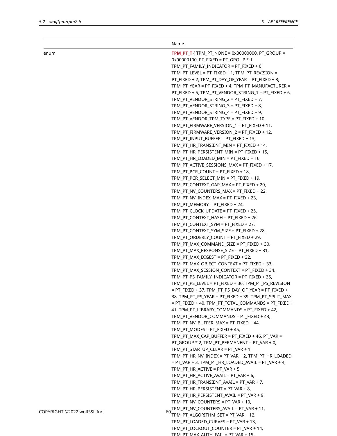|                              | Name                                                                                     |
|------------------------------|------------------------------------------------------------------------------------------|
| enum                         | <b>TPM PT T</b> { TPM PT NONE = $0x00000000$ , PT GROUP =                                |
|                              | $0x00000100$ , PT_FIXED = PT_GROUP * 1,                                                  |
|                              | TPM_PT_FAMILY_INDICATOR = PT_FIXED + 0,                                                  |
|                              | TPM_PT_LEVEL = PT_FIXED + 1, TPM_PT_REVISION =                                           |
|                              | PT_FIXED + 2, TPM_PT_DAY_OF_YEAR = PT_FIXED + 3,                                         |
|                              | TPM_PT_YEAR = PT_FIXED + 4, TPM_PT_MANUFACTURER =                                        |
|                              | PT_FIXED + 5, TPM_PT_VENDOR_STRING_1 = PT_FIXED + 6,                                     |
|                              | TPM_PT_VENDOR_STRING_2 = PT_FIXED + 7,                                                   |
|                              | TPM_PT_VENDOR_STRING_3 = PT_FIXED + 8,                                                   |
|                              | TPM_PT_VENDOR_STRING_4 = PT_FIXED + 9,                                                   |
|                              | TPM_PT_VENDOR_TPM_TYPE = PT_FIXED + 10,                                                  |
|                              | TPM_PT_FIRMWARE_VERSION_1 = PT_FIXED + 11,<br>TPM_PT_FIRMWARE_VERSION_2 = PT_FIXED + 12, |
|                              | TPM_PT_INPUT_BUFFER = PT_FIXED + 13,                                                     |
|                              | TPM_PT_HR_TRANSIENT_MIN = PT_FIXED + 14,                                                 |
|                              | TPM_PT_HR_PERSISTENT_MIN = PT_FIXED + 15,                                                |
|                              | TPM_PT_HR_LOADED_MIN = PT_FIXED + 16,                                                    |
|                              | TPM_PT_ACTIVE_SESSIONS_MAX = PT_FIXED + 17,                                              |
|                              | TPM_PT_PCR_COUNT = PT_FIXED + 18,                                                        |
|                              | TPM_PT_PCR_SELECT_MIN = PT_FIXED + 19,                                                   |
|                              | TPM_PT_CONTEXT_GAP_MAX = PT_FIXED + 20,                                                  |
|                              | TPM_PT_NV_COUNTERS_MAX = PT_FIXED + 22,                                                  |
|                              | TPM_PT_NV_INDEX_MAX = PT_FIXED + 23,                                                     |
|                              | TPM_PT_MEMORY = PT_FIXED + 24,                                                           |
|                              | TPM_PT_CLOCK_UPDATE = PT_FIXED + 25,                                                     |
|                              | TPM_PT_CONTEXT_HASH = PT_FIXED + 26,                                                     |
|                              | TPM_PT_CONTEXT_SYM = PT_FIXED + 27,                                                      |
|                              | TPM_PT_CONTEXT_SYM_SIZE = PT_FIXED + 28,                                                 |
|                              | TPM_PT_ORDERLY_COUNT = PT_FIXED + 29,                                                    |
|                              | TPM_PT_MAX_COMMAND_SIZE = PT_FIXED + 30,                                                 |
|                              | TPM_PT_MAX_RESPONSE_SIZE = PT_FIXED + 31,                                                |
|                              | TPM_PT_MAX_DIGEST = PT_FIXED + 32,                                                       |
|                              | TPM_PT_MAX_OBJECT_CONTEXT = PT_FIXED + 33,                                               |
|                              | TPM_PT_MAX_SESSION_CONTEXT = PT_FIXED + 34,                                              |
|                              | TPM_PT_PS_FAMILY_INDICATOR = PT_FIXED + 35,                                              |
|                              | TPM_PT_PS_LEVEL = PT_FIXED + 36, TPM_PT_PS_REVISION                                      |
|                              | = PT_FIXED + 37, TPM_PT_PS_DAY_OF_YEAR = PT_FIXED +                                      |
|                              | 38, TPM_PT_PS_YEAR = PT_FIXED + 39, TPM_PT_SPLIT_MAX                                     |
|                              | = PT_FIXED + 40, TPM_PT_TOTAL_COMMANDS = PT_FIXED +                                      |
|                              | 41, TPM_PT_LIBRARY_COMMANDS = PT_FIXED + 42,<br>TPM_PT_VENDOR_COMMANDS = PT_FIXED + 43,  |
|                              | TPM_PT_NV_BUFFER_MAX = PT_FIXED + 44,                                                    |
|                              | TPM_PT_MODES = PT_FIXED + 45,                                                            |
|                              | TPM_PT_MAX_CAP_BUFFER = PT_FIXED + 46, PT_VAR =                                          |
|                              | PT_GROUP * 2, TPM_PT_PERMANENT = PT_VAR + 0,                                             |
|                              | TPM_PT_STARTUP_CLEAR = PT_VAR + 1,                                                       |
|                              | TPM_PT_HR_NV_INDEX = PT_VAR + 2, TPM_PT_HR_LOADED                                        |
|                              | $= PT_VAR + 3$ , $TPM_PT_HR_LOADED_AVAL = PT_VAR + 4$ ,                                  |
|                              | TPM_PT_HR_ACTIVE = PT_VAR + 5,                                                           |
|                              | TPM_PT_HR_ACTIVE_AVAIL = PT_VAR + 6,                                                     |
|                              | TPM_PT_HR_TRANSIENT_AVAIL = PT_VAR + 7,                                                  |
|                              | TPM_PT_HR_PERSISTENT = PT_VAR + 8,                                                       |
|                              | TPM_PT_HR_PERSISTENT_AVAIL = PT_VAR + 9,                                                 |
|                              | TPM_PT_NV_COUNTERS = PT_VAR + 10,                                                        |
|                              | TPM_PT_NV_COUNTERS_AVAIL = PT_VAR + 11,                                                  |
| COPYRIGHT @2022 wolfSSL Inc. | 60<br>TPM_PT_ALGORITHM_SET = PT_VAR + 12,                                                |
|                              | TPM_PT_LOADED_CURVES = PT_VAR + 13,                                                      |
|                              | TPM_PT_LOCKOUT_COUNTER = PT_VAR + 14,                                                    |

TPM PT MAX AUTH FAIL = PT VAR + 15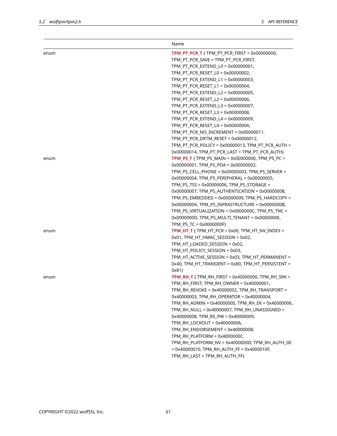|      | Name                                                        |
|------|-------------------------------------------------------------|
| enum | <b>TPM_PT_PCR_T</b> { $TPM_PTT_PCR_FIRST = 0x00000000$ ,    |
|      | TPM_PT_PCR_SAVE = TPM_PT_PCR_FIRST,                         |
|      | TPM_PT_PCR_EXTEND_L0 = 0x00000001,                          |
|      | TPM_PT_PCR_RESET_L0 = 0x00000002,                           |
|      | TPM_PT_PCR_EXTEND_L1 = 0x00000003,                          |
|      | TPM_PT_PCR_RESET_L1 = 0x00000004,                           |
|      | TPM_PT_PCR_EXTEND_L2 = 0x00000005,                          |
|      | TPM_PT_PCR_RESET_L2 = 0x00000006,                           |
|      | TPM_PT_PCR_EXTEND_L3 = 0x00000007,                          |
|      | TPM_PT_PCR_RESET_L3 = 0x00000008,                           |
|      | TPM_PT_PCR_EXTEND_L4 = 0x00000009,                          |
|      | TPM_PT_PCR_RESET_L4 = 0x0000000A,                           |
|      | TPM_PT_PCR_NO_INCREMENT = 0x00000011,                       |
|      | TPM_PT_PCR_DRTM_RESET = 0x00000012,                         |
|      | TPM_PT_PCR_POLICY = 0x00000013, TPM_PT_PCR_AUTH =           |
|      | 0x00000014, TPM_PT_PCR_LAST = TPM_PT_PCR_AUTH}              |
| enum | TPM_PS_T { TPM_PS_MAIN = 0x00000000, TPM_PS_PC =            |
|      | $0x00000001$ , TPM_PS_PDA = $0x00000002$ ,                  |
|      | TPM_PS_CELL_PHONE = 0x00000003, TPM_PS_SERVER =             |
|      | 0x00000004, TPM PS PERIPHERAL = 0x00000005,                 |
|      | TPM_PS_TSS = 0x00000006, TPM_PS_STORAGE =                   |
|      | 0x00000007, TPM_PS_AUTHENTICATION = 0x00000008,             |
|      | TPM_PS_EMBEDDED = 0x00000009, TPM_PS_HARDCOPY =             |
|      | 0x0000000A, TPM_PS_INFRASTRUCTURE = 0x0000000B,             |
|      | TPM_PS_VIRTUALIZATION = 0x0000000C, TPM_PS_TNC =            |
|      | 0x0000000D, TPM_PS_MULTI_TENANT = 0x0000000E,               |
|      | TPM_PS_TC = 0x0000000F}                                     |
| enum | <b>TPM_HT_T</b> { $TPM_HT_PCR = 0x00$ , $TPM_HT_NV_LNDEX =$ |
|      | 0x01, TPM_HT_HMAC_SESSION = 0x02,                           |
|      | TPM_HT_LOADED_SESSION = 0x02,                               |
|      | TPM_HT_POLICY_SESSION = 0x03,                               |
|      | TPM_HT_ACTIVE_SESSION = 0x03, TPM_HT_PERMANENT =            |
|      | 0x40, TPM_HT_TRANSIENT = 0x80, TPM_HT_PERSISTENT =<br>0x81  |
| enum | TPM_RH_T { TPM_RH_FIRST = 0x40000000, TPM_RH_SRK =          |
|      | TPM_RH_FIRST, TPM_RH_OWNER = 0x40000001,                    |
|      | TPM_RH_REVOKE = 0x40000002, TPM_RH_TRANSPORT =              |
|      | 0x40000003, TPM_RH_OPERATOR = 0x40000004,                   |
|      | TPM_RH_ADMIN = 0x40000005, TPM_RH_EK = 0x40000006,          |
|      | TPM_RH_NULL = 0x40000007, TPM_RH_UNASSIGNED =               |
|      | 0x40000008, TPM_RS_PW = 0x40000009,                         |
|      | TPM_RH_LOCKOUT = 0x4000000A,                                |
|      | TPM_RH_ENDORSEMENT = 0x4000000B,                            |
|      | TPM_RH_PLATFORM = 0x4000000C,                               |
|      | TPM_RH_PLATFORM_NV = 0x4000000D, TPM_RH_AUTH_00             |
|      | $= 0x40000010$ , TPM_RH_AUTH_FF = 0x4000010F,               |
|      | TPM_RH_LAST = TPM_RH_AUTH_FF}                               |
|      |                                                             |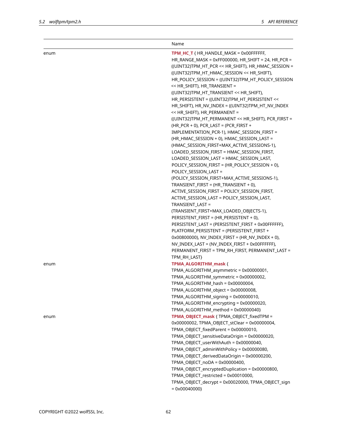|      | Name                                                                                                                                                                                                                                                                                                                                                                                                                                                                                                                                                                                                                                                                                                                                                                                                                                                                                                                                                                                                                                                                                                                                                |
|------|-----------------------------------------------------------------------------------------------------------------------------------------------------------------------------------------------------------------------------------------------------------------------------------------------------------------------------------------------------------------------------------------------------------------------------------------------------------------------------------------------------------------------------------------------------------------------------------------------------------------------------------------------------------------------------------------------------------------------------------------------------------------------------------------------------------------------------------------------------------------------------------------------------------------------------------------------------------------------------------------------------------------------------------------------------------------------------------------------------------------------------------------------------|
| enum | TPM_HC_T { HR_HANDLE_MASK = 0x00FFFFFF,<br>HR_RANGE_MASK = 0xFF000000, HR_SHIFT = 24, HR_PCR =<br>((UINT32)TPM_HT_PCR << HR_SHIFT), HR_HMAC_SESSION =<br>((UINT32)TPM_HT_HMAC_SESSION << HR_SHIFT),<br>HR_POLICY_SESSION = ((UINT32)TPM_HT_POLICY_SESSION<br><< HR_SHIFT), HR_TRANSIENT =<br>((UINT32)TPM_HT_TRANSIENT << HR_SHIFT),<br>HR_PERSISTENT = ((UINT32)TPM_HT_PERSISTENT <<<br>HR_SHIFT), HR_NV_INDEX = ((UINT32)TPM_HT_NV_INDEX<br><< HR_SHIFT), HR_PERMANENT =<br>((UINT32)TPM_HT_PERMANENT << HR_SHIFT), PCR_FIRST =<br>(HR_PCR + 0), PCR_LAST = (PCR_FIRST +<br>IMPLEMENTATION_PCR-1), HMAC_SESSION_FIRST =<br>(HR_HMAC_SESSION + 0), HMAC_SESSION_LAST =<br>(HMAC_SESSION_FIRST+MAX_ACTIVE_SESSIONS-1),<br>LOADED_SESSION_FIRST = HMAC_SESSION_FIRST,<br>LOADED_SESSION_LAST = HMAC_SESSION_LAST,<br>POLICY_SESSION_FIRST = (HR_POLICY_SESSION + 0),<br>POLICY_SESSION_LAST =<br>(POLICY_SESSION_FIRST+MAX_ACTIVE_SESSIONS-1),<br>TRANSIENT_FIRST = (HR_TRANSIENT + 0),<br>ACTIVE_SESSION_FIRST = POLICY_SESSION_FIRST,<br>ACTIVE_SESSION_LAST = POLICY_SESSION_LAST,<br>TRANSIENT_LAST =<br>(TRANSIENT_FIRST+MAX_LOADED_OBJECTS-1), |
|      | PERSISTENT_FIRST = (HR_PERSISTENT + 0),<br>PERSISTENT_LAST = (PERSISTENT_FIRST + 0x00FFFFFF),<br>PLATFORM_PERSISTENT = (PERSISTENT_FIRST +<br>$0x00800000$ , NV_INDEX_FIRST = $(HR_NV_NDEX + 0)$ ,<br>NV_INDEX_LAST = (NV_INDEX_FIRST + 0x00FFFFFF),<br>PERMANENT_FIRST = TPM_RH_FIRST, PERMANENT_LAST =<br>TPM_RH_LAST}                                                                                                                                                                                                                                                                                                                                                                                                                                                                                                                                                                                                                                                                                                                                                                                                                            |
| enum | TPMA_ALGORITHM_mask {<br>TPMA_ALGORITHM_asymmetric = 0x00000001,<br>TPMA_ALGORITHM_symmetric = 0x00000002,<br>TPMA_ALGORITHM_hash = 0x00000004,<br>TPMA_ALGORITHM_object = 0x00000008,<br>TPMA_ALGORITHM_signing = 0x00000010,<br>TPMA_ALGORITHM_encrypting = 0x00000020,<br>TPMA_ALGORITHM_method = 0x00000040}                                                                                                                                                                                                                                                                                                                                                                                                                                                                                                                                                                                                                                                                                                                                                                                                                                    |
| enum | TPMA_OBJECT_mask { TPMA_OBJECT_fixedTPM =<br>0x00000002, TPMA_OBJECT_stClear = 0x00000004,<br>TPMA_OBJECT_fixedParent = 0x00000010,<br>TPMA_OBJECT_sensitiveDataOrigin = 0x00000020,<br>TPMA_OBJECT_userWithAuth = 0x00000040,<br>TPMA_OBJECT_adminWithPolicy = 0x00000080,<br>TPMA_OBJECT_derivedDataOrigin = 0x00000200,<br>TPMA_OBJECT_noDA = 0x00000400,<br>TPMA_OBJECT_encryptedDuplication = 0x00000800,<br>TPMA_OBJECT_restricted = 0x00010000,<br>TPMA_OBJECT_decrypt = 0x00020000, TPMA_OBJECT_sign<br>$= 0x00040000$                                                                                                                                                                                                                                                                                                                                                                                                                                                                                                                                                                                                                      |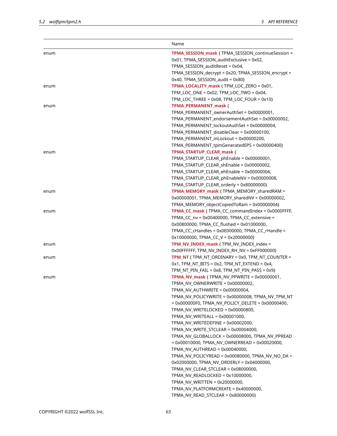|      | Name                                                    |
|------|---------------------------------------------------------|
| enum | TPMA_SESSION_mask { TPMA_SESSION_continueSession =      |
|      | 0x01, TPMA_SESSION_auditExclusive = 0x02,               |
|      | TPMA_SESSION_auditReset = 0x04,                         |
|      | TPMA_SESSION_decrypt = 0x20, TPMA_SESSION_encrypt =     |
|      | 0x40, TPMA_SESSION_audit = 0x80}                        |
| enum | TPMA_LOCALITY_mask { TPM_LOC_ZERO = 0x01,               |
|      | TPM_LOC_ONE = 0x02, TPM_LOC_TWO = 0x04,                 |
|      | $TPM\_LOC\_THREE = 0x08, TPM\_LOC\_FOUR = 0x10$         |
| enum | <b>TPMA PERMANENT mask {</b>                            |
|      | TPMA_PERMANENT_ownerAuthSet = 0x00000001,               |
|      | TPMA_PERMANENT_endorsementAuthSet = 0x00000002,         |
|      | TPMA_PERMANENT_lockoutAuthSet = 0x00000004,             |
|      | TPMA_PERMANENT_disableClear = 0x00000100,               |
|      | TPMA_PERMANENT_inLockout = 0x00000200,                  |
|      | TPMA_PERMANENT_tpmGeneratedEPS = 0x00000400}            |
| enum | TPMA_STARTUP_CLEAR_mask {                               |
|      | TPMA_STARTUP_CLEAR_phEnable = 0x00000001,               |
|      | TPMA_STARTUP_CLEAR_shEnable = 0x00000002,               |
|      | TPMA_STARTUP_CLEAR_ehEnable = 0x00000004,               |
|      | TPMA_STARTUP_CLEAR_phEnableNV = 0x00000008,             |
|      | TPMA_STARTUP_CLEAR_orderly = 0x80000000}                |
| enum | TPMA_MEMORY_mask { TPMA_MEMORY_sharedRAM =              |
|      | 0x00000001, TPMA_MEMORY_sharedNV = 0x00000002,          |
|      | TPMA_MEMORY_objectCopiedToRam = 0x00000004}             |
| enum | TPMA_CC_mask { TPMA_CC_commandIndex = 0x0000FFFF,       |
|      | TPMA_CC_nv = 0x00400000, TPMA_CC_extensive =            |
|      | 0x00800000, TPMA_CC_flushed = 0x01000000,               |
|      | TPMA_CC_cHandles = 0x0E000000, TPMA_CC_rHandle =        |
|      | $0x10000000$ , TPMA_CC_V = $0x20000000$ }               |
| enum | TPM_NV_INDEX_mask { TPM_NV_INDEX_index =                |
|      | 0x00FFFFFF, TPM_NV_INDEX_RH_NV = 0xFF000000}            |
| enum | <b>TPM NT</b> { TPM NT ORDINARY = 0x0, TPM NT COUNTER = |
|      | $0x1$ , TPM_NT_BITS = $0x2$ , TPM_NT_EXTEND = $0x4$ ,   |
|      | $TPM_NT_PIN_FAIL = 0x8, TPM_NT_PIN_PASS = 0x9$          |
| enum | <b>TPMA_NV_mask</b> { $TPMA_NV_PPWRITE = 0x00000001$ ,  |
|      | TPMA_NV_OWNERWRITE = 0x00000002,                        |
|      | TPMA_NV_AUTHWRITE = 0x00000004,                         |
|      | TPMA_NV_POLICYWRITE = 0x00000008, TPMA_NV_TPM_NT        |
|      | $= 0x000000F0$ , TPMA_NV_POLICY_DELETE = 0x00000400,    |
|      | TPMA_NV_WRITELOCKED = 0x00000800,                       |
|      | TPMA_NV_WRITEALL = 0x00001000,                          |
|      | TPMA_NV_WRITEDEFINE = 0x00002000,                       |
|      | TPMA_NV_WRITE_STCLEAR = 0x00004000,                     |
|      | TPMA_NV_GLOBALLOCK = 0x00008000, TPMA_NV_PPREAD         |
|      | $= 0x00010000$ , TPMA_NV_OWNERREAD = 0x00020000,        |
|      | TPMA_NV_AUTHREAD = 0x00040000,                          |
|      | TPMA_NV_POLICYREAD = 0x00080000, TPMA_NV_NO_DA =        |
|      | 0x02000000, TPMA_NV_ORDERLY = 0x04000000,               |
|      | TPMA_NV_CLEAR_STCLEAR = 0x08000000,                     |
|      | TPMA_NV_READLOCKED = 0x10000000,                        |
|      | TPMA_NV_WRITTEN = 0x20000000,                           |
|      | TPMA_NV_PLATFORMCREATE = 0x40000000,                    |
|      | TPMA_NV_READ_STCLEAR = 0x80000000}                      |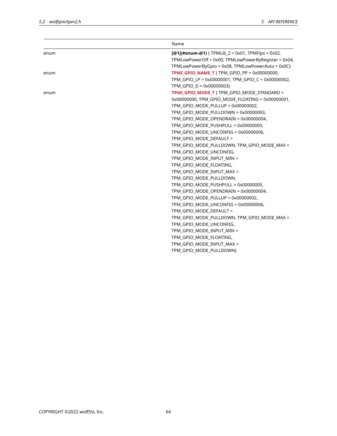|      | Name                                                           |
|------|----------------------------------------------------------------|
| enum | $[@1]$ (#enum-@1) { TPMLib $2 = 0 \times 01$ , TPMFips = 0x02, |
|      | TPMLowPowerOff = 0x00, TPMLowPowerByRegister = 0x04,           |
|      | TPMLowPowerByGpio = 0x08, TPMLowPowerAuto = 0x0C}              |
| enum | <b>TPMI GPIO NAME T</b> { TPM_GPIO_PP = $0x00000000$ ,         |
|      | TPM GPIO LP = 0x00000001, TPM GPIO C = 0x00000002,             |
|      | TPM GPIO $D = 0x00000003$                                      |
| enum | TPMI_GPIO_MODE_T { TPM_GPIO_MODE_STANDARD =                    |
|      | 0x00000000, TPM_GPIO_MODE_FLOATING = 0x00000001,               |
|      | TPM_GPIO_MODE_PULLUP = 0x00000002,                             |
|      | TPM_GPIO_MODE_PULLDOWN = 0x00000003,                           |
|      | TPM GPIO MODE OPENDRAIN = 0x00000004,                          |
|      | TPM GPIO MODE PUSHPULL = 0x00000005,                           |
|      | TPM_GPIO_MODE_UNCONFIG = 0x00000006,                           |
|      | TPM_GPIO_MODE_DEFAULT =                                        |
|      | TPM_GPIO_MODE_PULLDOWN, TPM_GPIO_MODE_MAX =                    |
|      | TPM GPIO MODE UNCONFIG,                                        |
|      | TPM GPIO MODE INPUT MIN =                                      |
|      | TPM_GPIO_MODE_FLOATING,                                        |
|      | TPM_GPIO_MODE_INPUT_MAX =                                      |
|      | TPM_GPIO_MODE_PULLDOWN,                                        |
|      | TPM_GPIO_MODE_PUSHPULL = 0x00000005,                           |
|      | TPM_GPIO_MODE_OPENDRAIN = 0x00000004,                          |
|      | TPM GPIO MODE PULLUP = $0x00000002$ ,                          |
|      | TPM_GPIO_MODE_UNCONFIG = 0x00000006,                           |
|      | TPM_GPIO_MODE_DEFAULT =                                        |
|      | TPM_GPIO_MODE_PULLDOWN, TPM_GPIO_MODE_MAX =                    |
|      | TPM_GPIO_MODE_UNCONFIG,                                        |
|      | TPM_GPIO_MODE_INPUT_MIN =                                      |
|      | TPM_GPIO_MODE_FLOATING,                                        |
|      | TPM_GPIO_MODE_INPUT_MAX =                                      |
|      | TPM_GPIO_MODE_PULLDOWN}                                        |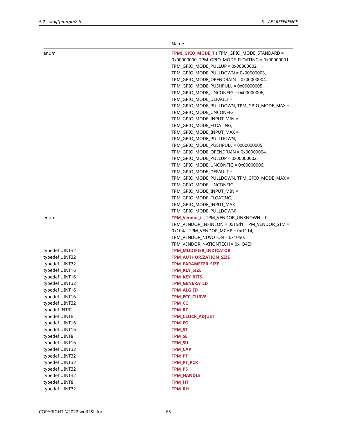|                | Name                                             |
|----------------|--------------------------------------------------|
| enum           | TPMI_GPIO_MODE_T { TPM_GPIO_MODE_STANDARD =      |
|                | 0x00000000, TPM_GPIO_MODE_FLOATING = 0x00000001, |
|                | TPM_GPIO_MODE_PULLUP = 0x00000002,               |
|                | TPM_GPIO_MODE_PULLDOWN = 0x00000003,             |
|                | TPM_GPIO_MODE_OPENDRAIN = 0x00000004,            |
|                | TPM_GPIO_MODE_PUSHPULL = 0x00000005,             |
|                | TPM_GPIO_MODE_UNCONFIG = 0x00000006,             |
|                | TPM GPIO MODE DEFAULT =                          |
|                | TPM_GPIO_MODE_PULLDOWN, TPM_GPIO_MODE_MAX =      |
|                | TPM_GPIO_MODE_UNCONFIG,                          |
|                | TPM_GPIO_MODE_INPUT_MIN =                        |
|                | TPM_GPIO_MODE_FLOATING,                          |
|                | TPM_GPIO_MODE_INPUT_MAX =                        |
|                | TPM_GPIO_MODE_PULLDOWN,                          |
|                | TPM_GPIO_MODE_PUSHPULL = 0x00000005,             |
|                | TPM_GPIO_MODE_OPENDRAIN = 0x00000004,            |
|                | TPM_GPIO_MODE_PULLUP = 0x00000002,               |
|                | TPM_GPIO_MODE_UNCONFIG = 0x00000006,             |
|                | TPM_GPIO_MODE_DEFAULT =                          |
|                | TPM_GPIO_MODE_PULLDOWN, TPM_GPIO_MODE_MAX =      |
|                | TPM_GPIO_MODE_UNCONFIG,                          |
|                | TPM_GPIO_MODE_INPUT_MIN =                        |
|                | TPM_GPIO_MODE_FLOATING,                          |
|                | TPM_GPIO_MODE_INPUT_MAX =                        |
|                | TPM_GPIO_MODE_PULLDOWN}                          |
| enum           | TPM_Vendor_t { TPM_VENDOR_UNKNOWN = 0,           |
|                | TPM_VENDOR_INFINEON = 0x15d1, TPM_VENDOR_STM =   |
|                | $0x104a$ , TPM_VENDOR_MCHP = $0x1114$ ,          |
|                | TPM_VENDOR_NUVOTON = 0x1050,                     |
|                | TPM_VENDOR_NATIONTECH = 0x1B4E}                  |
| typedef UINT32 | TPM_MODIFIER_INDICATOR                           |
| typedef UINT32 | TPM_AUTHORIZATION_SIZE                           |
| typedef UINT32 | <b>TPM PARAMETER SIZE</b>                        |
| typedef UINT16 | <b>TPM_KEY_SIZE</b>                              |
| typedef UINT16 | <b>TPM_KEY_BITS</b>                              |
| typedef UINT32 | <b>TPM GENERATED</b>                             |
| typedef UINT16 | TPM_ALG_ID                                       |
| typedef UINT16 | TPM_ECC_CURVE                                    |
| typedef UINT32 | <b>TPM CC</b>                                    |
| typedef INT32  | <b>TPM RC</b>                                    |
| typedef UINT8  | <b>TPM CLOCK ADJUST</b>                          |
| typedef UINT16 | <b>TPM EO</b>                                    |
| typedef UINT16 | <b>TPM_ST</b>                                    |
| typedef UINT8  | <b>TPM SE</b>                                    |
| typedef UINT16 | <b>TPM SU</b>                                    |
| typedef UINT32 | TPM_CAP                                          |
| typedef UINT32 | TPM_PT                                           |
| typedef UINT32 | TPM_PT_PCR                                       |
| typedef UINT32 | <b>TPM PS</b>                                    |
| typedef UINT32 | <b>TPM HANDLE</b>                                |
| typedef UINT8  | TPM HT                                           |
| typedef UINT32 | <b>TPM_RH</b>                                    |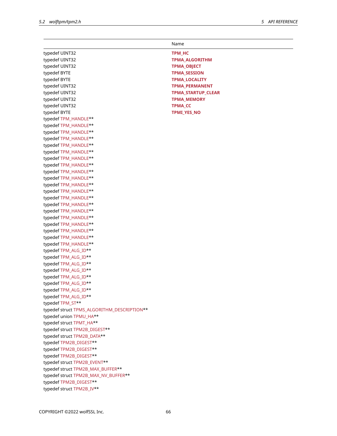|                                             | Name                      |
|---------------------------------------------|---------------------------|
| typedef UINT32                              | <b>TPM HC</b>             |
| typedef UINT32                              | <b>TPMA ALGORITHM</b>     |
| typedef UINT32                              | <b>TPMA_OBJECT</b>        |
| typedef BYTE                                | <b>TPMA_SESSION</b>       |
| typedef BYTE                                | <b>TPMA LOCALITY</b>      |
| typedef UINT32                              | <b>TPMA PERMANENT</b>     |
| typedef UINT32                              | <b>TPMA STARTUP CLEAR</b> |
| typedef UINT32                              | <b>TPMA MEMORY</b>        |
| typedef UINT32                              | TPMA_CC                   |
| typedef BYTE                                | TPMI_YES_NO               |
| typedef TPM_HANDLE**                        |                           |
| typedef TPM_HANDLE**                        |                           |
| typedef TPM_HANDLE**                        |                           |
| typedef TPM_HANDLE**                        |                           |
| typedef TPM_HANDLE**                        |                           |
| typedef TPM_HANDLE**                        |                           |
| typedef TPM_HANDLE**                        |                           |
| typedef TPM_HANDLE**                        |                           |
| typedef TPM_HANDLE**                        |                           |
| typedef TPM_HANDLE**                        |                           |
| typedef TPM_HANDLE**                        |                           |
| typedef TPM_HANDLE**                        |                           |
| typedef TPM_HANDLE**                        |                           |
| typedef TPM_HANDLE**                        |                           |
| typedef TPM_HANDLE**                        |                           |
| typedef TPM_HANDLE**                        |                           |
| typedef TPM_HANDLE**                        |                           |
| typedef TPM_HANDLE**                        |                           |
| typedef TPM_HANDLE**                        |                           |
| typedef TPM_HANDLE**                        |                           |
| typedef TPM_ALG_ID**                        |                           |
| typedef TPM_ALG_ID**                        |                           |
| typedef TPM_ALG_ID**                        |                           |
| typedef TPM_ALG_ID**                        |                           |
| typedef TPM_ALG_ID**                        |                           |
| typedef TPM_ALG_ID**                        |                           |
| typedef TPM_ALG_ID**                        |                           |
| typedef TPM_ALG_ID**                        |                           |
| typedef TPM_ST**                            |                           |
| typedef struct TPMS_ALGORITHM_DESCRIPTION** |                           |
| typedef union TPMU_HA**                     |                           |
| typedef struct TPMT_HA**                    |                           |
| typedef struct TPM2B_DIGEST**               |                           |
| typedef struct TPM2B_DATA**                 |                           |
| typedef TPM2B_DIGEST**                      |                           |
| typedef TPM2B_DIGEST**                      |                           |
| typedef TPM2B_DIGEST**                      |                           |
| typedef struct TPM2B_EVENT**                |                           |
| typedef struct TPM2B_MAX_BUFFER**           |                           |
| typedef struct TPM2B_MAX_NV_BUFFER**        |                           |
| typedef TPM2B_DIGEST**                      |                           |
| typedef struct TPM2B_IV**                   |                           |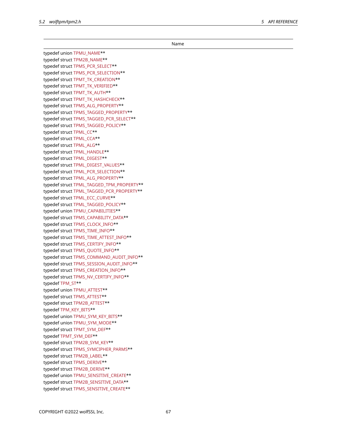Name

typedef union TPMU\_NAME\*\* typedef struct TPM2B\_NAME\*\* typedef struct TPMS\_PCR\_SELECT\*\* typedef struct TPMS\_PCR\_SELECTION\*\* typedef struct TPMT\_TK\_CREATION\*\* typedef struct TPMT\_TK\_VERIFIED\*\* typedef struct TPMT\_TK\_AUTH\*\* typedef struct TPMT\_TK\_HASHCHECK\*\* typedef struct TPMS\_ALG\_PROPERTY\*\* typedef struct TPMS\_TAGGED\_PROPERTY\*\* typedef struct TPMS\_TAGGED\_PCR\_SELECT\*\* typedef struct TPMS\_TAGGED\_POLICY\*\* typedef struct TPML\_CC\*\* typedef struct TPML\_CCA\*\* typedef struct TPML\_ALG\*\* typedef struct TPML\_HANDLE\*\* typedef struct TPML\_DIGEST\*\* typedef struct TPML\_DIGEST\_VALUES\*\* typedef struct TPML\_PCR\_SELECTION\*\* typedef struct TPML\_ALG\_PROPERTY\*\* typedef struct TPML\_TAGGED\_TPM\_PROPERTY\*\* typedef struct TPML\_TAGGED\_PCR\_PROPERTY\*\* typedef struct TPML\_ECC\_CURVE\*\* typedef struct TPML\_TAGGED\_POLICY\*\* typedef union TPMU\_CAPABILITIES\*\* typedef struct TPMS\_CAPABILITY\_DATA\*\* typedef struct TPMS\_CLOCK\_INFO\*\* typedef struct TPMS\_TIME\_INFO\*\* typedef struct TPMS\_TIME\_ATTEST\_INFO\*\* typedef struct TPMS\_CERTIFY\_INFO\*\* typedef struct TPMS\_QUOTE\_INFO\*\* typedef struct TPMS\_COMMAND\_AUDIT\_INFO\*\* typedef struct TPMS\_SESSION\_AUDIT\_INFO\*\* typedef struct TPMS\_CREATION\_INFO\*\* typedef struct TPMS\_NV\_CERTIFY\_INFO\*\* typedef TPM\_ST\*\* typedef union TPMU\_ATTEST\*\* typedef struct TPMS\_ATTEST\*\* typedef struct TPM2B\_ATTEST\*\* typedef TPM\_KEY\_BITS\*\* typedef union TPMU\_SYM\_KEY\_BITS\*\* typedef union TPMU\_SYM\_MODE\*\* typedef struct TPMT\_SYM\_DEF\*\* typedef TPMT\_SYM\_DEF\*\* typedef struct TPM2B\_SYM\_KEY\*\* typedef struct TPMS\_SYMCIPHER\_PARMS\*\* typedef struct TPM2B\_LABEL\*\* typedef struct TPMS\_DERIVE\*\* typedef struct TPM2B\_DERIVE\*\* typedef union TPMU\_SENSITIVE\_CREATE\*\* typedef struct TPM2B\_SENSITIVE\_DATA\*\* typedef struct TPMS\_SENSITIVE\_CREATE\*\*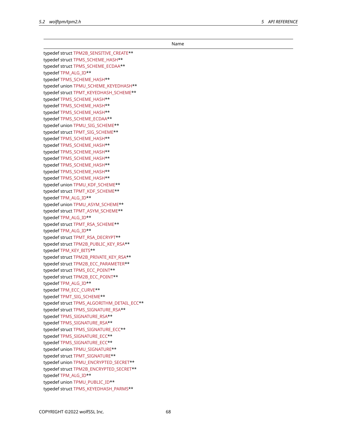Name typedef struct TPM2B\_SENSITIVE\_CREATE\*\* typedef struct TPMS\_SCHEME\_HASH\*\* typedef struct TPMS\_SCHEME\_ECDAA\*\* typedef TPM\_ALG\_ID\*\* typedef TPMS\_SCHEME\_HASH\*\* typedef union TPMU\_SCHEME\_KEYEDHASH\*\* typedef struct TPMT\_KEYEDHASH\_SCHEME\*\* typedef TPMS\_SCHEME\_HASH\*\* typedef TPMS\_SCHEME\_HASH\*\* typedef TPMS\_SCHEME\_HASH\*\* typedef TPMS\_SCHEME\_ECDAA\*\* typedef union TPMU\_SIG\_SCHEME\*\* typedef struct TPMT\_SIG\_SCHEME\*\* typedef TPMS\_SCHEME\_HASH\*\* typedef TPMS\_SCHEME\_HASH\*\* typedef TPMS\_SCHEME\_HASH\*\* typedef TPMS\_SCHEME\_HASH\*\* typedef TPMS\_SCHEME\_HASH\*\* typedef TPMS\_SCHEME\_HASH\*\* typedef TPMS\_SCHEME\_HASH\*\* typedef union TPMU\_KDF\_SCHEME\*\* typedef struct TPMT\_KDF\_SCHEME\*\* typedef TPM\_ALG\_ID\*\* typedef union TPMU\_ASYM\_SCHEME\*\* typedef struct TPMT\_ASYM\_SCHEME\*\* typedef TPM\_ALG\_ID\*\* typedef struct TPMT\_RSA\_SCHEME\*\* typedef TPM\_ALG\_ID\*\* typedef struct TPMT\_RSA\_DECRYPT\*\* typedef struct TPM2B\_PUBLIC\_KEY\_RSA\*\* typedef TPM\_KEY\_BITS\*\* typedef struct TPM2B\_PRIVATE\_KEY\_RSA\*\* typedef struct TPM2B\_ECC\_PARAMETER\*\* typedef struct TPMS\_ECC\_POINT\*\* typedef struct TPM2B\_ECC\_POINT\*\* typedef TPM\_ALG\_ID\*\* typedef TPM\_ECC\_CURVE\*\* typedef TPMT\_SIG\_SCHEME\*\* typedef struct TPMS\_ALGORITHM\_DETAIL\_ECC\*\* typedef struct TPMS\_SIGNATURE\_RSA\*\* typedef TPMS\_SIGNATURE\_RSA\*\* typedef TPMS\_SIGNATURE\_RSA\*\* typedef struct TPMS\_SIGNATURE\_ECC\*\* typedef TPMS\_SIGNATURE\_ECC\*\* typedef TPMS\_SIGNATURE\_ECC\*\* typedef union TPMU\_SIGNATURE\*\* typedef struct TPMT\_SIGNATURE\*\* typedef union TPMU\_ENCRYPTED\_SECRET\*\* typedef struct TPM2B\_ENCRYPTED\_SECRET\*\* typedef TPM\_ALG\_ID\*\* typedef union TPMU\_PUBLIC\_ID\*\* typedef struct TPMS\_KEYEDHASH\_PARMS\*\*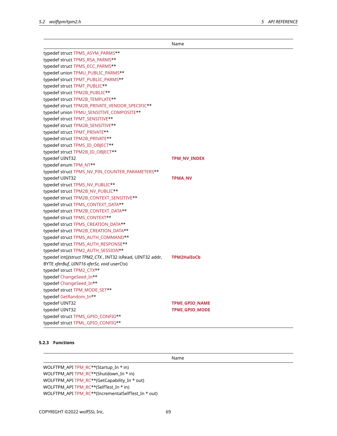|                                                           | Name                  |
|-----------------------------------------------------------|-----------------------|
| typedef struct TPMS_ASYM_PARMS**                          |                       |
| typedef struct TPMS_RSA_PARMS**                           |                       |
| typedef struct TPMS_ECC_PARMS**                           |                       |
| typedef union TPMU_PUBLIC_PARMS**                         |                       |
| typedef struct TPMT_PUBLIC_PARMS**                        |                       |
| typedef struct TPMT_PUBLIC**                              |                       |
| typedef struct TPM2B_PUBLIC**                             |                       |
| typedef struct TPM2B_TEMPLATE**                           |                       |
| typedef struct TPM2B_PRIVATE_VENDOR_SPECIFIC**            |                       |
| typedef union TPMU_SENSITIVE_COMPOSITE**                  |                       |
| typedef struct TPMT_SENSITIVE**                           |                       |
| typedef struct TPM2B_SENSITIVE**                          |                       |
| typedef struct TPMT_PRIVATE**                             |                       |
| typedef struct TPM2B_PRIVATE**                            |                       |
| typedef struct TPMS_ID_OBJECT**                           |                       |
| typedef struct TPM2B_ID_OBJECT**                          |                       |
| typedef UINT32                                            | TPM_NV_INDEX          |
| typedef enum TPM_NT**                                     |                       |
| typedef struct TPMS_NV_PIN_COUNTER_PARAMETERS**           |                       |
| typedef UINT32                                            | <b>TPMA NV</b>        |
| typedef struct TPMS_NV_PUBLIC**                           |                       |
| typedef struct TPM2B_NV_PUBLIC**                          |                       |
| typedef struct TPM2B_CONTEXT_SENSITIVE**                  |                       |
| typedef struct TPMS_CONTEXT_DATA**                        |                       |
| typedef struct TPM2B_CONTEXT_DATA**                       |                       |
| typedef struct TPMS_CONTEXT**                             |                       |
| typedef struct TPMS_CREATION_DATA**                       |                       |
| typedef struct TPM2B_CREATION_DATA**                      |                       |
| typedef struct TPMS_AUTH_COMMAND**                        |                       |
| typedef struct TPMS_AUTH_RESPONSE**                       |                       |
| typedef struct TPM2_AUTH_SESSION**                        |                       |
| typedef int()(struct TPM2_CTX, INT32 isRead, UINT32 addr, | <b>TPM2HalIoCb</b>    |
| BYTE xferBuf, UINT16 xferSz, void userCtx)                |                       |
| typedef struct TPM2_CTX**                                 |                       |
| typedef ChangeSeed_In**                                   |                       |
| typedef ChangeSeed In**                                   |                       |
| typedef struct TPM_MODE_SET**                             |                       |
| typedef GetRandom_In**                                    |                       |
| typedef UINT32                                            | <b>TPMI GPIO NAME</b> |
| typedef UINT32                                            | <b>TPMI GPIO MODE</b> |
| typedef struct TPMS_GPIO_CONFIG**                         |                       |
| typedef struct TPML_GPIO_CONFIG**                         |                       |

### **5.2.3 Functions**

Name

WOLFTPM\_API TPM\_RC\*\*(Startup\_In \* in) WOLFTPM\_API TPM\_RC\*\*(Shutdown\_In \* in) WOLFTPM\_API TPM\_RC\*\*(GetCapability\_In \* out) WOLFTPM\_API TPM\_RC\*\*(SelfTest\_In \* in) WOLFTPM\_API TPM\_RC\*\*(IncrementalSelfTest\_In \* out)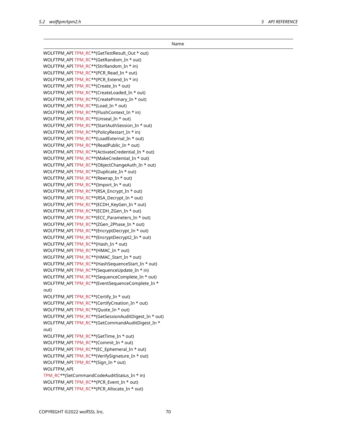Name WOLFTPM\_API TPM\_RC\*\*(GetTestResult\_Out \* out) WOLFTPM\_API TPM\_RC\*\*(GetRandom\_In \* out) WOLFTPM\_API TPM\_RC\*\*(StirRandom\_In \* in) WOLFTPM\_API TPM\_RC\*\*(PCR\_Read\_In \* out) WOLFTPM\_API TPM\_RC\*\*(PCR\_Extend\_In \* in) WOLFTPM\_API TPM\_RC\*\*(Create In \* out) WOLFTPM\_API TPM\_RC\*\*(CreateLoaded\_In \* out) WOLFTPM\_API TPM\_RC\*\*(CreatePrimary\_In \* out) WOLFTPM\_API TPM\_RC\*\*(Load\_In \* out) WOLFTPM\_API TPM\_RC\*\*(FlushContext\_In \* in) WOLFTPM\_API TPM\_RC\*\*(Unseal\_In \* out) WOLFTPM\_API TPM\_RC\*\*(StartAuthSession\_In \* out) WOLFTPM\_API TPM\_RC\*\*(PolicyRestart\_In \* in) WOLFTPM\_API TPM\_RC\*\*(LoadExternal\_In \* out) WOLFTPM\_API TPM\_RC\*\*(ReadPublic\_In \* out) WOLFTPM\_API TPM\_RC\*\*(ActivateCredential\_In \* out) WOLFTPM\_API TPM\_RC\*\*(MakeCredential\_In \* out) WOLFTPM\_API TPM\_RC\*\*(ObjectChangeAuth\_In \* out) WOLFTPM\_API TPM\_RC\*\*(Duplicate\_In \* out) WOLFTPM\_API TPM\_RC\*\*(Rewrap\_In \* out) WOLFTPM\_API TPM\_RC\*\*(Import\_In \* out) WOLFTPM\_API TPM\_RC\*\*(RSA\_Encrypt\_In \* out) WOLFTPM\_API TPM\_RC\*\*(RSA\_Decrypt\_In \* out) WOLFTPM\_API TPM\_RC\*\*(ECDH\_KeyGen\_In \* out) WOLFTPM\_API TPM\_RC\*\*(ECDH\_ZGen\_In \* out) WOLFTPM\_API TPM\_RC\*\*(ECC\_Parameters\_In \* out) WOLFTPM\_API TPM\_RC\*\*(ZGen\_2Phase\_In \* out) WOLFTPM\_API TPM\_RC\*\*(EncryptDecrypt\_In \* out) WOLFTPM\_API TPM\_RC\*\*(EncryptDecrypt2\_In \* out) WOLFTPM\_API TPM\_RC\*\*(Hash\_In \* out) WOLFTPM\_API TPM\_RC\*\*(HMAC\_In \* out) WOLFTPM\_API TPM\_RC\*\*(HMAC\_Start\_In \* out) WOLFTPM\_API TPM\_RC\*\*(HashSequenceStart\_In \* out) WOLFTPM\_API TPM\_RC\*\*(SequenceUpdate\_In \* in) WOLFTPM\_API TPM\_RC\*\*(SequenceComplete\_In \* out) WOLFTPM\_API TPM\_RC\*\*(EventSequenceComplete\_In \* out) WOLFTPM\_API TPM\_RC\*\*(Certify In \* out) WOLFTPM\_API TPM\_RC\*\*(CertifyCreation\_In \* out) WOLFTPM\_API TPM\_RC\*\*(Quote\_In \* out) WOLFTPM\_API TPM\_RC\*\*(GetSessionAuditDigest\_In \* out) WOLFTPM\_API TPM\_RC\*\*(GetCommandAuditDigest\_In \* out) WOLFTPM\_API TPM\_RC\*\*(GetTime\_In \* out) WOLFTPM\_API TPM\_RC\*\*(Commit\_In \* out) WOLFTPM\_API TPM\_RC\*\*(EC\_Ephemeral\_In \* out) WOLFTPM\_API TPM\_RC\*\*(VerifySignature\_In \* out) WOLFTPM\_API TPM\_RC\*\*(Sign\_In \* out) WOLFTPM\_API TPM\_RC\*\*(SetCommandCodeAuditStatus\_In \* in) WOLFTPM\_API TPM\_RC\*\*(PCR\_Event\_In \* out) WOLFTPM\_API TPM\_RC\*\*(PCR\_Allocate\_In \* out)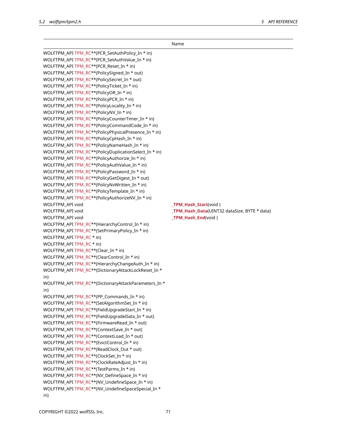$\overline{\phantom{0}}$ 

|                                                       | Name                                         |
|-------------------------------------------------------|----------------------------------------------|
| WOLFTPM_API TPM_RC**(PCR_SetAuthPolicy_In * in)       |                                              |
| WOLFTPM_API TPM_RC**(PCR_SetAuthValue_In * in)        |                                              |
| WOLFTPM_API TPM_RC**(PCR_Reset_In * in)               |                                              |
| WOLFTPM_API TPM_RC**(PolicySigned_In * out)           |                                              |
| WOLFTPM_API TPM_RC**(PolicySecret_In * out)           |                                              |
| WOLFTPM_API TPM_RC**(PolicyTicket_In * in)            |                                              |
| WOLFTPM_API TPM_RC**(PolicyOR_In * in)                |                                              |
| WOLFTPM_API TPM_RC**(PolicyPCR_In * in)               |                                              |
| WOLFTPM_API TPM_RC**(PolicyLocality_In * in)          |                                              |
| WOLFTPM_API TPM_RC**(PolicyNV_In * in)                |                                              |
| WOLFTPM_API TPM_RC**(PolicyCounterTimer_In * in)      |                                              |
| WOLFTPM_API TPM_RC**(PolicyCommandCode_In * in)       |                                              |
| WOLFTPM_API TPM_RC**(PolicyPhysicalPresence_In * in)  |                                              |
| WOLFTPM_API TPM_RC**(PolicyCpHash_In * in)            |                                              |
| WOLFTPM_API TPM_RC**(PolicyNameHash_In * in)          |                                              |
| WOLFTPM_API TPM_RC**(PolicyDuplicationSelect_In * in) |                                              |
| WOLFTPM_API TPM_RC**(PolicyAuthorize_In * in)         |                                              |
| WOLFTPM_API TPM_RC**(PolicyAuthValue_In * in)         |                                              |
| WOLFTPM_API TPM_RC**(PolicyPassword_In * in)          |                                              |
| WOLFTPM_API TPM_RC**(PolicyGetDigest_In * out)        |                                              |
| WOLFTPM_API TPM_RC**(PolicyNvWritten_In * in)         |                                              |
| WOLFTPM_API TPM_RC**(PolicyTemplate_In * in)          |                                              |
| WOLFTPM_API TPM_RC**(PolicyAuthorizeNV_In * in)       |                                              |
| WOLFTPM_API void                                      | _TPM_Hash_Start(void)                        |
| WOLFTPM_API void                                      | _TPM_Hash_Data(UINT32 dataSize, BYTE * data) |
| WOLFTPM_API void                                      | _TPM_Hash_End(void)                          |
| WOLFTPM_API TPM_RC**(HierarchyControl_In * in)        |                                              |
| WOLFTPM_API TPM_RC**(SetPrimaryPolicy_In * in)        |                                              |
| WOLFTPM_API TPM_RC * in)                              |                                              |
| WOLFTPM_API TPM_RC * in)                              |                                              |
| WOLFTPM_API TPM_RC**(Clear_In * in)                   |                                              |
| WOLFTPM_API TPM_RC**(ClearControl_In * in)            |                                              |
| WOLFTPM_API TPM_RC**(HierarchyChangeAuth_In * in)     |                                              |
| WOLFTPM_API TPM_RC**(DictionaryAttackLockReset_In *   |                                              |
| in)                                                   |                                              |
| WOLFTPM_API TPM_RC**(DictionaryAttackParameters_In *  |                                              |
| in)                                                   |                                              |
| WOLFTPM API TPM RC**(PP Commands In * in)             |                                              |
| WOLFTPM_API TPM_RC**(SetAlgorithmSet_In * in)         |                                              |
| WOLFTPM_API TPM_RC**(FieldUpgradeStart_In * in)       |                                              |
| WOLFTPM_API TPM_RC**(FieldUpgradeData_In * out)       |                                              |
| WOLFTPM_API TPM_RC**(FirmwareRead_In * out)           |                                              |
| WOLFTPM_API TPM_RC**(ContextSave_In * out)            |                                              |
| WOLFTPM_API TPM_RC**(ContextLoad_In * out)            |                                              |
| WOLFTPM_API TPM_RC**(EvictControl_In * in)            |                                              |
| WOLFTPM_API TPM_RC**(ReadClock_Out * out)             |                                              |
| WOLFTPM_API TPM_RC**(ClockSet_In * in)                |                                              |
| WOLFTPM_API TPM_RC**(ClockRateAdjust_In * in)         |                                              |
| WOLFTPM_API TPM_RC**(TestParms_In * in)               |                                              |
| WOLFTPM_API TPM_RC**(NV_DefineSpace_In * in)          |                                              |
| WOLFTPM_API TPM_RC**(NV_UndefineSpace_In * in)        |                                              |
| WOLFTPM_API TPM_RC**(NV_UndefineSpaceSpecial_In *     |                                              |
| in)                                                   |                                              |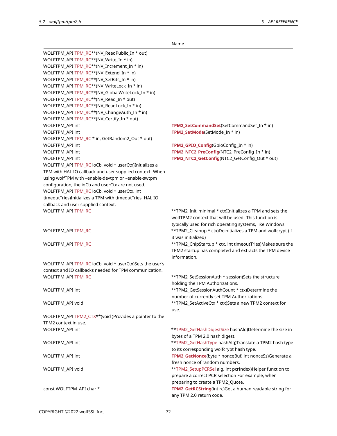|                                                          | Name                                                       |
|----------------------------------------------------------|------------------------------------------------------------|
| WOLFTPM_API TPM_RC**(NV_ReadPublic_In * out)             |                                                            |
| WOLFTPM_API TPM_RC**(NV_Write_In * in)                   |                                                            |
| WOLFTPM_API TPM_RC**(NV_Increment_In * in)               |                                                            |
| WOLFTPM_API TPM_RC**(NV_Extend_In * in)                  |                                                            |
| WOLFTPM_API TPM_RC**(NV_SetBits_In * in)                 |                                                            |
| WOLFTPM_API TPM_RC**(NV_WriteLock_In * in)               |                                                            |
| WOLFTPM_API TPM_RC**(NV_GlobalWriteLock_In * in)         |                                                            |
| WOLFTPM_API TPM_RC**(NV_Read_In * out)                   |                                                            |
| WOLFTPM_API TPM_RC**(NV_ReadLock_In * in)                |                                                            |
| WOLFTPM_API TPM_RC**(NV_ChangeAuth_In * in)              |                                                            |
| WOLFTPM_API TPM_RC**(NV_Certify_In * out)                |                                                            |
| WOLFTPM_API int                                          | TPM2_SetCommandSet(SetCommandSet_In * in)                  |
| WOLFTPM_API int                                          | TPM2_SetMode(SetMode_In * in)                              |
| WOLFTPM_API TPM_RC * in, GetRandom2_Out * out)           |                                                            |
| WOLFTPM_API int                                          | TPM2_GPIO_Config(GpioConfig_In * in)                       |
| WOLFTPM_API int                                          | TPM2_NTC2_PreConfig(NTC2_PreConfig_In * in)                |
| <b>WOLFTPM API int</b>                                   | TPM2_NTC2_GetConfig(NTC2_GetConfig_Out * out)              |
| WOLFTPM_API TPM_RC ioCb, void * userCtx)Initializes a    |                                                            |
| TPM with HAL IO callback and user supplied context. When |                                                            |
| using wolfTPM with -enable-devtpm or -enable-swtpm       |                                                            |
| configuration, the ioCb and userCtx are not used.        |                                                            |
| WOLFTPM_API TPM_RC ioCb, void * userCtx, int             |                                                            |
| timeoutTries)Initializes a TPM with timeoutTries, HAL IO |                                                            |
| callback and user supplied context.                      |                                                            |
| WOLFTPM_API TPM_RC                                       | **TPM2_Init_minimal * ctx)Initializes a TPM and sets the   |
|                                                          | wolfTPM2 context that will be used. This function is       |
|                                                          | typically used for rich operating systems, like Windows.   |
| WOLFTPM_API TPM_RC                                       | **TPM2_Cleanup * ctx)Deinitializes a TPM and wolfcrypt (if |
|                                                          | it was initialized)                                        |
| WOLFTPM_API TPM_RC                                       | **TPM2_ChipStartup * ctx, int timeoutTries)Makes sure the  |
|                                                          | TPM2 startup has completed and extracts the TPM device     |
|                                                          | information.                                               |
| WOLFTPM_API TPM_RC ioCb, void * userCtx)Sets the user's  |                                                            |
| context and IO callbacks needed for TPM communication.   |                                                            |
| WOLFTPM_API TPM_RC                                       | **TPM2_SetSessionAuth * session)Sets the structure         |
|                                                          | holding the TPM Authorizations.                            |
| WOLFTPM_API int                                          | **TPM2_GetSessionAuthCount * ctx)Determine the             |
|                                                          | number of currently set TPM Authorizations.                |
| WOLFTPM_API void                                         | **TPM2_SetActiveCtx * ctx)Sets a new TPM2 context for      |
|                                                          | use.                                                       |
| WOLFTPM_API TPM2_CTX**(void )Provides a pointer to the   |                                                            |
| TPM2 context in use.                                     |                                                            |
| WOLFTPM_API int                                          | **TPM2_GetHashDigestSize hashAlg)Determine the size in     |
|                                                          | bytes of a TPM 2.0 hash digest.                            |
| WOLFTPM_API int                                          | **TPM2_GetHashType hashAlg)Translate a TPM2 hash type      |
|                                                          | to its corresponding wolfcrypt hash type.                  |
| WOLFTPM_API int                                          | TPM2_GetNonce(byte * nonceBuf, int nonceSz)Generate a      |
|                                                          | fresh nonce of random numbers.                             |
| WOLFTPM_API void                                         | **TPM2_SetupPCRSel alg, int pcrIndex)Helper function to    |
|                                                          | prepare a correct PCR selection For example, when          |
|                                                          | preparing to create a TPM2_Quote.                          |
| const WOLFTPM_API char *                                 | TPM2_GetRCString(int rc)Get a human readable string for    |
|                                                          | any TPM 2.0 return code.                                   |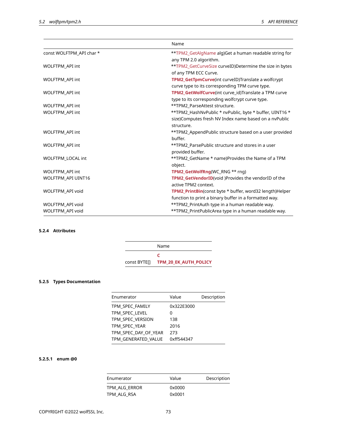|                          | Name                                                     |
|--------------------------|----------------------------------------------------------|
| const WOLFTPM_API char * | **TPM2_GetAlgName alg)Get a human readable string for    |
|                          | any TPM 2.0 algorithm.                                   |
| WOLFTPM_API int          | ** TPM2_GetCurveSize curveID)Determine the size in bytes |
|                          | of any TPM ECC Curve.                                    |
| <b>WOLFTPM API int</b>   | TPM2_GetTpmCurve(int curveID)Translate a wolfcrypt       |
|                          | curve type to its corresponding TPM curve type.          |
| <b>WOLFTPM API int</b>   | TPM2_GetWolfCurve(int curve_id)Translate a TPM curve     |
|                          | type to its corresponding wolfcrypt curve type.          |
| WOLFTPM_API int          | **TPM2_ParseAttest structure.                            |
| <b>WOLFTPM API int</b>   | **TPM2_HashNvPublic * nvPublic, byte * buffer, UINT16 *  |
|                          | size)Computes fresh NV Index name based on a nvPublic    |
|                          | structure.                                               |
| <b>WOLFTPM API int</b>   | **TPM2_AppendPublic structure based on a user provided   |
|                          | buffer.                                                  |
| WOLFTPM API int          | **TPM2_ParsePublic structure and stores in a user        |
|                          | provided buffer.                                         |
| <b>WOLFTPM LOCAL int</b> | **TPM2_GetName * name)Provides the Name of a TPM         |
|                          | object.                                                  |
| <b>WOLFTPM API int</b>   | TPM2 GetWolfRng(WC_RNG ** rng)                           |
| WOLFTPM API UINT16       | TPM2_GetVendorID(void )Provides the vendorID of the      |
|                          | active TPM2 context.                                     |
| WOLFTPM API void         | TPM2 PrintBin(const byte * buffer, word32 length)Helper  |
|                          | function to print a binary buffer in a formatted way.    |
| WOLFTPM API void         | **TPM2_PrintAuth type in a human readable way.           |
| WOLFTPM_API void         | **TPM2_PrintPublicArea type in a human readable way.     |

# **5.2.4 Attributes**

|              | Name                         |
|--------------|------------------------------|
|              |                              |
| const BYTE[] | <b>TPM 20 EK AUTH POLICY</b> |

# **5.2.5 Types Documentation**

| Enumerator           | Value      | Description |
|----------------------|------------|-------------|
| TPM SPEC FAMILY      | 0x322E3000 |             |
| TPM SPEC LEVEL       | 0          |             |
| TPM SPEC VERSION     | 138        |             |
| TPM SPEC YEAR        | 2016       |             |
| TPM SPEC DAY OF YEAR | 273        |             |
| TPM GENERATED VALUE  | 0xff544347 |             |

# **5.2.5.1 enum @0**

| Enumerator    | Value  | Description |
|---------------|--------|-------------|
| TPM ALG ERROR | 0x0000 |             |
| TPM ALG RSA   | 0x0001 |             |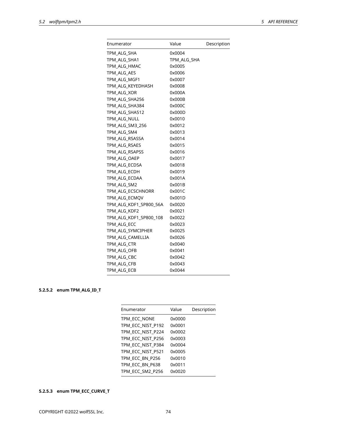| Enumerator             | Value       | Description |
|------------------------|-------------|-------------|
| TPM ALG SHA            | 0x0004      |             |
| TPM_ALG_SHA1           | TPM_ALG_SHA |             |
| TPM_ALG_HMAC           | 0x0005      |             |
| TPM_ALG_AES            | 0x0006      |             |
| TPM_ALG_MGF1           | 0x0007      |             |
| TPM_ALG_KEYEDHASH      | 0x0008      |             |
| TPM_ALG_XOR            | 0x000A      |             |
| TPM_ALG_SHA256         | 0x000B      |             |
| TPM_ALG_SHA384         | 0x000C      |             |
| TPM_ALG_SHA512         | 0x000D      |             |
| TPM_ALG_NULL           | 0x0010      |             |
| TPM_ALG_SM3_256        | 0x0012      |             |
| TPM_ALG_SM4            | 0x0013      |             |
| TPM ALG RSASSA         | 0x0014      |             |
| TPM_ALG_RSAES          | 0x0015      |             |
| TPM_ALG_RSAPSS         | 0x0016      |             |
| TPM_ALG_OAEP           | 0x0017      |             |
| TPM ALG ECDSA          | 0x0018      |             |
| TPM_ALG_ECDH           | 0x0019      |             |
| TPM_ALG_ECDAA          | 0x001A      |             |
| TPM ALG SM2            | 0x001B      |             |
| TPM ALG ECSCHNORR      | 0x001C      |             |
| TPM_ALG_ECMQV          | 0x001D      |             |
| TPM ALG KDF1 SP800 56A | 0x0020      |             |
| TPM ALG KDF2           | 0x0021      |             |
| TPM_ALG_KDF1_SP800_108 | 0x0022      |             |
| TPM_ALG_ECC            | 0x0023      |             |
| TPM_ALG_SYMCIPHER      | 0x0025      |             |
| TPM_ALG_CAMELLIA       | 0x0026      |             |
| TPM_ALG_CTR            | 0x0040      |             |
| TPM_ALG_OFB            | 0x0041      |             |
| TPM_ALG_CBC            | 0x0042      |             |
| TPM_ALG_CFB            | 0x0043      |             |
| TPM_ALG_ECB            | 0x0044      |             |

# **5.2.5.2 enum TPM\_ALG\_ID\_T**

| Enumerator        | Value  | Description |
|-------------------|--------|-------------|
| TPM ECC NONE      | 0x0000 |             |
| TPM ECC NIST P192 | 0x0001 |             |
| TPM_ECC_NIST_P224 | 0x0002 |             |
| TPM ECC NIST P256 | 0x0003 |             |
| TPM ECC NIST P384 | 0x0004 |             |
| TPM_ECC_NIST_P521 | 0x0005 |             |
| TPM ECC BN P256   | 0x0010 |             |
| TPM ECC BN P638   | 0x0011 |             |
| TPM ECC SM2 P256  | 0x0020 |             |

# **5.2.5.3 enum TPM\_ECC\_CURVE\_T**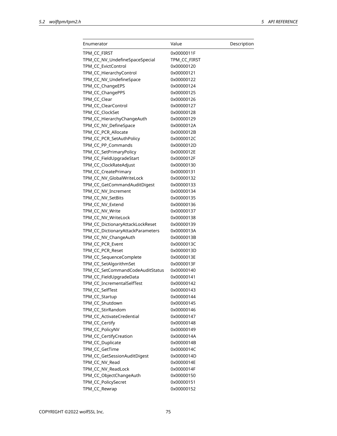| Enumerator                        | Value        | Description |
|-----------------------------------|--------------|-------------|
| TPM CC FIRST                      | 0x0000011F   |             |
| TPM_CC_NV_UndefineSpaceSpecial    | TPM_CC_FIRST |             |
| TPM_CC_EvictControl               | 0x00000120   |             |
| TPM_CC_HierarchyControl           | 0x00000121   |             |
| TPM_CC_NV_UndefineSpace           | 0x00000122   |             |
| TPM_CC_ChangeEPS                  | 0x00000124   |             |
| TPM_CC_ChangePPS                  | 0x00000125   |             |
| TPM_CC_Clear                      | 0x00000126   |             |
| TPM_CC_ClearControl               | 0x00000127   |             |
| TPM_CC_ClockSet                   | 0x00000128   |             |
| TPM_CC_HierarchyChangeAuth        | 0x00000129   |             |
| TPM_CC_NV_DefineSpace             | 0x0000012A   |             |
| TPM_CC_PCR_Allocate               | 0x0000012B   |             |
| TPM_CC_PCR_SetAuthPolicy          | 0x0000012C   |             |
| TPM_CC_PP_Commands                | 0x0000012D   |             |
| TPM_CC_SetPrimaryPolicy           | 0x0000012E   |             |
| TPM_CC_FieldUpgradeStart          | 0x0000012F   |             |
| TPM_CC_ClockRateAdjust            | 0x00000130   |             |
| TPM_CC_CreatePrimary              | 0x00000131   |             |
| TPM_CC_NV_GlobalWriteLock         | 0x00000132   |             |
| TPM_CC_GetCommandAuditDigest      | 0x00000133   |             |
| TPM_CC_NV_Increment               | 0x00000134   |             |
| TPM_CC_NV_SetBits                 | 0x00000135   |             |
| TPM_CC_NV_Extend                  | 0x00000136   |             |
| TPM_CC_NV_Write                   | 0x00000137   |             |
| TPM_CC_NV_WriteLock               | 0x00000138   |             |
| TPM_CC_DictionaryAttackLockReset  | 0x00000139   |             |
| TPM_CC_DictionaryAttackParameters | 0x0000013A   |             |
| TPM_CC_NV_ChangeAuth              | 0x0000013B   |             |
| TPM_CC_PCR_Event                  | 0x0000013C   |             |
| TPM_CC_PCR_Reset                  | 0x0000013D   |             |
| TPM_CC_SequenceComplete           | 0x0000013E   |             |
| TPM_CC_SetAlgorithmSet            | 0x0000013F   |             |
| TPM_CC_SetCommandCodeAuditStatus  | 0x00000140   |             |
| TPM_CC_FieldUpgradeData           | 0x00000141   |             |
| TPM_CC_IncrementalSelfTest        | 0x00000142   |             |
| TPM_CC_SelfTest                   | 0x00000143   |             |
| TPM_CC_Startup                    | 0x00000144   |             |
| TPM_CC_Shutdown                   | 0x00000145   |             |
| TPM_CC_StirRandom                 | 0x00000146   |             |
| TPM_CC_ActivateCredential         | 0x00000147   |             |
| TPM_CC_Certify                    | 0x00000148   |             |
| TPM_CC_PolicyNV                   | 0x00000149   |             |
| TPM_CC_CertifyCreation            | 0x0000014A   |             |
| TPM_CC_Duplicate                  | 0x0000014B   |             |
| TPM_CC_GetTime                    | 0x0000014C   |             |
| TPM_CC_GetSessionAuditDigest      | 0x0000014D   |             |
| TPM_CC_NV_Read                    | 0x0000014E   |             |
| TPM_CC_NV_ReadLock                | 0x0000014F   |             |
| TPM_CC_ObjectChangeAuth           | 0x00000150   |             |
| TPM_CC_PolicySecret               | 0x00000151   |             |
|                                   |              |             |
| TPM_CC_Rewrap                     | 0x00000152   |             |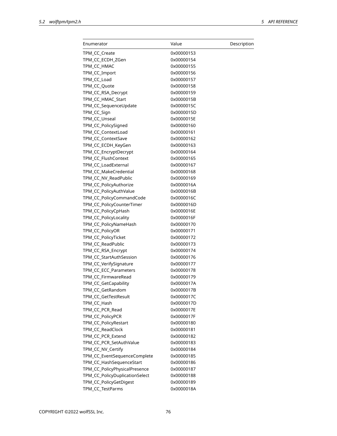| Enumerator                     | Value      | Description |
|--------------------------------|------------|-------------|
| TPM_CC_Create                  | 0x00000153 |             |
| TPM_CC_ECDH_ZGen               | 0x00000154 |             |
| TPM_CC_HMAC                    | 0x00000155 |             |
| TPM_CC_Import                  | 0x00000156 |             |
| TPM_CC_Load                    | 0x00000157 |             |
| TPM_CC_Quote                   | 0x00000158 |             |
| TPM_CC_RSA_Decrypt             | 0x00000159 |             |
| TPM_CC_HMAC_Start              | 0x0000015B |             |
| TPM_CC_SequenceUpdate          | 0x0000015C |             |
| TPM_CC_Sign                    | 0x0000015D |             |
| TPM_CC_Unseal                  | 0x0000015E |             |
| TPM_CC_PolicySigned            | 0x00000160 |             |
| TPM_CC_ContextLoad             | 0x00000161 |             |
| TPM_CC_ContextSave             | 0x00000162 |             |
| TPM_CC_ECDH_KeyGen             | 0x00000163 |             |
| TPM_CC_EncryptDecrypt          | 0x00000164 |             |
| TPM_CC_FlushContext            | 0x00000165 |             |
| TPM_CC_LoadExternal            | 0x00000167 |             |
| TPM_CC_MakeCredential          | 0x00000168 |             |
|                                | 0x00000169 |             |
| TPM_CC_NV_ReadPublic           |            |             |
| TPM_CC_PolicyAuthorize         | 0x0000016A |             |
| TPM_CC_PolicyAuthValue         | 0x0000016B |             |
| TPM_CC_PolicyCommandCode       | 0x0000016C |             |
| TPM_CC_PolicyCounterTimer      | 0x0000016D |             |
| TPM_CC_PolicyCpHash            | 0x0000016E |             |
| TPM_CC_PolicyLocality          | 0x0000016F |             |
| TPM_CC_PolicyNameHash          | 0x00000170 |             |
| TPM_CC_PolicyOR                | 0x00000171 |             |
| TPM_CC_PolicyTicket            | 0x00000172 |             |
| TPM_CC_ReadPublic              | 0x00000173 |             |
| TPM_CC_RSA_Encrypt             | 0x00000174 |             |
| TPM_CC_StartAuthSession        | 0x00000176 |             |
| TPM_CC_VerifySignature         | 0x00000177 |             |
| TPM_CC_ECC_Parameters          | 0x00000178 |             |
| TPM_CC_FirmwareRead            | 0x00000179 |             |
| TPM_CC_GetCapability           | 0x0000017A |             |
| TPM_CC_GetRandom               | 0x0000017B |             |
| TPM_CC_GetTestResult           | 0x0000017C |             |
| TPM_CC_Hash                    | 0x0000017D |             |
| TPM_CC_PCR_Read                | 0x0000017E |             |
| TPM_CC_PolicyPCR               | 0x0000017F |             |
| TPM_CC_PolicyRestart           | 0x00000180 |             |
| TPM_CC_ReadClock               | 0x00000181 |             |
| TPM_CC_PCR_Extend              | 0x00000182 |             |
| TPM_CC_PCR_SetAuthValue        | 0x00000183 |             |
| TPM_CC_NV_Certify              | 0x00000184 |             |
| TPM_CC_EventSequenceComplete   | 0x00000185 |             |
| TPM_CC_HashSequenceStart       | 0x00000186 |             |
| TPM_CC_PolicyPhysicalPresence  | 0x00000187 |             |
| TPM_CC_PolicyDuplicationSelect | 0x00000188 |             |
| TPM_CC_PolicyGetDigest         | 0x00000189 |             |
| TPM_CC_TestParms               | 0x0000018A |             |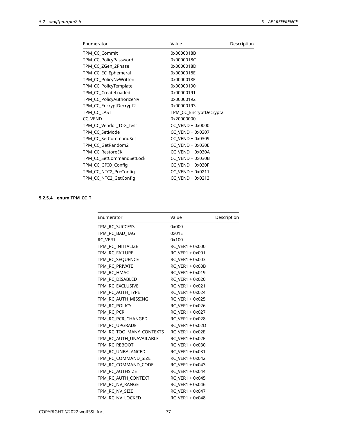| Value                  | Description |
|------------------------|-------------|
| 0x0000018B             |             |
| 0x0000018C             |             |
| 0x0000018D             |             |
| 0x0000018E             |             |
| 0x0000018F             |             |
| 0x00000190             |             |
| 0x00000191             |             |
| 0x00000192             |             |
| 0x00000193             |             |
| TPM_CC_EncryptDecrypt2 |             |
| 0x20000000             |             |
| CC_VEND + 0x0000       |             |
| CC_VEND + 0x0307       |             |
| CC VEND + 0x0309       |             |
| CC VEND + 0x030E       |             |
| CC VEND + 0x030A       |             |
| CC VEND + 0x030B       |             |
| CC_VEND + 0x030F       |             |
| CC_VEND + 0x0211       |             |
| CC VEND + 0x0213       |             |
|                        |             |

# **5.2.5.4 enum TPM\_CC\_T**

| Enumerator               | Value                  | Description |
|--------------------------|------------------------|-------------|
| TPM RC SUCCESS           | 0x000                  |             |
| TPM RC BAD TAG           | 0x01E                  |             |
| RC VER1                  | 0x100                  |             |
| TPM_RC_INITIALIZE        | RC VER1 + 0x000        |             |
| TPM RC FAILURE           | RC VER1 + 0x001        |             |
| TPM RC SEQUENCE          | RC VER1 + 0x003        |             |
| TPM_RC_PRIVATE           | RC_VER1 + 0x00B        |             |
| TPM RC HMAC              | RC_VER1 + 0x019        |             |
| TPM RC DISABLED          | RC_VER1 + 0x020        |             |
| TPM RC EXCLUSIVE         | RC VER1 + 0x021        |             |
| TPM RC AUTH TYPE         | RC VER1 + 0x024        |             |
| TPM RC AUTH MISSING      | RC VER1 + 0x025        |             |
| TPM RC POLICY            | RC VER1 + 0x026        |             |
| TPM_RC_PCR               | RC_VER1 + 0x027        |             |
| TPM_RC_PCR_CHANGED       | RC_VER1 + 0x028        |             |
| TPM RC UPGRADE           | RC VER1 + 0x02D        |             |
| TPM_RC_TOO_MANY_CONTEXTS | RC_VER1 + 0x02E        |             |
| TPM_RC_AUTH_UNAVAILABLE  | <b>RC VER1 + 0x02F</b> |             |
| TPM RC REBOOT            | RC VER1 + 0x030        |             |
| TPM RC UNBALANCED        | RC VER1 + 0x031        |             |
| TPM_RC_COMMAND_SIZE      | RC_VER1 + 0x042        |             |
| TPM RC_COMMAND_CODE      | RC_VER1 + 0x043        |             |
| TPM RC AUTHSIZE          | RC VER1 + 0x044        |             |
| TPM_RC_AUTH_CONTEXT      | RC_VER1 + 0x045        |             |
| TPM_RC_NV_RANGE          | RC VER1 + 0x046        |             |
| TPM RC NV SIZE           | RC VER1 + 0x047        |             |
| TPM_RC_NV_LOCKED         | RC VER1 + 0x048        |             |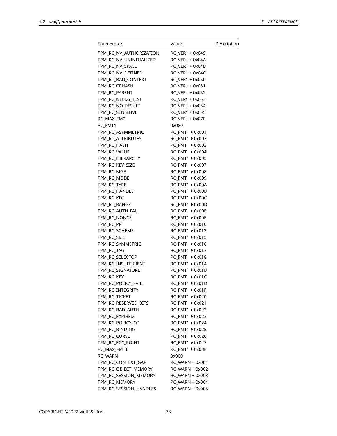| Enumerator                 | Value           | Description |
|----------------------------|-----------------|-------------|
| TPM_RC_NV_AUTHORIZATION    | RC VER1 + 0x049 |             |
| TPM_RC_NV_UNINITIALIZED    | RC_VER1 + 0x04A |             |
| TPM_RC_NV_SPACE            | RC VER1 + 0x04B |             |
| TPM_RC_NV_DEFINED          | RC_VER1 + 0x04C |             |
| TPM_RC_BAD_CONTEXT         | RC VER1 + 0x050 |             |
| TPM_RC_CPHASH              | RC_VER1 + 0x051 |             |
| TPM_RC_PARENT              | RC VER1 + 0x052 |             |
| TPM_RC_NEEDS_TEST          | RC VER1 + 0x053 |             |
| TPM_RC_NO_RESULT           | RC VER1 + 0x054 |             |
| TPM_RC_SENSITIVE           | RC_VER1 + 0x055 |             |
| RC MAX FM0                 | RC VER1 + 0x07F |             |
| RC_FMT1                    | 0x080           |             |
| TPM_RC_ASYMMETRIC          | RC_FMT1 + 0x001 |             |
| TPM_RC_ATTRIBUTES          | RC_FMT1 + 0x002 |             |
| TPM_RC_HASH                | RC FMT1 + 0x003 |             |
| TPM_RC_VALUE               | RC FMT1 + 0x004 |             |
| TPM_RC_HIERARCHY           | RC FMT1 + 0x005 |             |
| TPM_RC_KEY_SIZE            | RC_FMT1 + 0x007 |             |
| TPM_RC_MGF                 | RC_FMT1 + 0x008 |             |
|                            | RC_FMT1 + 0x009 |             |
| TPM_RC_MODE<br>TPM RC TYPE | RC_FMT1 + 0x00A |             |
|                            |                 |             |
| TPM_RC_HANDLE              | RC_FMT1 + 0x00B |             |
| TPM_RC_KDF                 | RC_FMT1 + 0x00C |             |
| TPM_RC_RANGE               | RC_FMT1 + 0x00D |             |
| TPM_RC_AUTH_FAIL           | RC_FMT1 + 0x00E |             |
| TPM_RC_NONCE               | RC_FMT1 + 0x00F |             |
| TPM_RC_PP                  | RC_FMT1 + 0x010 |             |
| TPM_RC_SCHEME              | RC_FMT1 + 0x012 |             |
| TPM_RC_SIZE                | RC_FMT1 + 0x015 |             |
| TPM_RC_SYMMETRIC           | RC_FMT1 + 0x016 |             |
| tpm_rc_tag                 | RC_FMT1 + 0x017 |             |
| TPM RC SELECTOR            | RC_FMT1 + 0x018 |             |
| TPM RC INSUFFICIENT        | RC_FMT1 + 0x01A |             |
| TPM_RC_SIGNATURE           | RC_FMT1 + 0x01B |             |
| TPM_RC_KEY                 | RC_FMT1 + 0x01C |             |
| TPM_RC_POLICY_FAIL         | RC_FMT1 + 0x01D |             |
| TPM_RC_INTEGRITY           | RC_FMT1 + 0x01F |             |
| TPM_RC_TICKET              | RC FMT1 + 0x020 |             |
| TPM RC RESERVED BITS       | RC_FMT1 + 0x021 |             |
| TPM_RC_BAD_AUTH            | RC_FMT1 + 0x022 |             |
| TPM_RC_EXPIRED             | RC_FMT1 + 0x023 |             |
| TPM_RC_POLICY_CC           | RC FMT1 + 0x024 |             |
| TPM_RC_BINDING             | RC_FMT1 + 0x025 |             |
| TPM_RC_CURVE               | RC_FMT1 + 0x026 |             |
| TPM_RC_ECC_POINT           | RC_FMT1 + 0x027 |             |
| RC MAX FMT1                | RC_FMT1 + 0x03F |             |
| RC_WARN                    | 0x900           |             |
| TPM_RC_CONTEXT_GAP         | RC_WARN + 0x001 |             |
| TPM_RC_OBJECT_MEMORY       | RC_WARN + 0x002 |             |
| TPM_RC_SESSION_MEMORY      | RC_WARN + 0x003 |             |
| TPM_RC_MEMORY              | RC_WARN + 0x004 |             |
| TPM_RC_SESSION_HANDLES     | RC_WARN + 0x005 |             |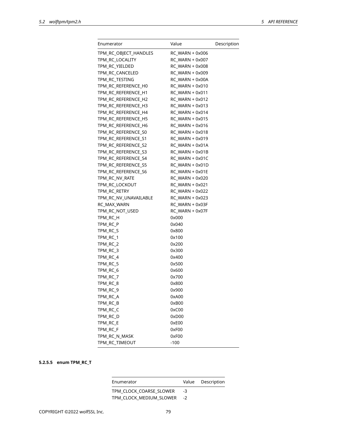| Enumerator            | Value                  | Description |
|-----------------------|------------------------|-------------|
| TPM_RC_OBJECT_HANDLES | <b>RC WARN + 0x006</b> |             |
| TPM_RC_LOCALITY       | RC_WARN + 0x007        |             |
| TPM RC YIELDED        | RC WARN + 0x008        |             |
| TPM_RC_CANCELED       | RC_WARN + 0x009        |             |
| TPM_RC_TESTING        | RC_WARN + 0x00A        |             |
| TPM_RC_REFERENCE_H0   | RC_WARN + 0x010        |             |
| TPM RC REFERENCE H1   | RC WARN + 0x011        |             |
| TPM_RC_REFERENCE_H2   | $RC$ WARN + 0x012      |             |
| TPM_RC_REFERENCE_H3   | RC_WARN + 0x013        |             |
| TPM_RC_REFERENCE_H4   | $RC$ WARN + 0x014      |             |
| TPM_RC_REFERENCE_H5   | RC_WARN + 0x015        |             |
| TPM_RC_REFERENCE_H6   | RC_WARN + 0x016        |             |
| TPM_RC_REFERENCE_S0   | RC_WARN + 0x018        |             |
| TPM_RC_REFERENCE_S1   | $RC$ WARN + 0x019      |             |
| TPM_RC_REFERENCE_S2   | $RC$ WARN + 0x01A      |             |
| TPM RC REFERENCE S3   | RC WARN + 0x01B        |             |
| TPM_RC_REFERENCE_S4   | RC WARN + 0x01C        |             |
| TPM_RC_REFERENCE_S5   | RC WARN + 0x01D        |             |
| TPM_RC_REFERENCE_S6   | $RC$ WARN + 0x01E      |             |
| TPM RC NV RATE        | RC_WARN + 0x020        |             |
| TPM_RC_LOCKOUT        | RC WARN + 0x021        |             |
| TPM_RC_RETRY          | RC WARN + 0x022        |             |
| TPM RC NV UNAVAILABLE | RC_WARN + 0x023        |             |
| RC_MAX_WARN           | RC_WARN + 0x03F        |             |
| TPM_RC_NOT_USED       | RC_WARN + 0x07F        |             |
| TPM_RC_H              | 0x000                  |             |
| TPM_RC_P              | 0x040                  |             |
| TPM_RC_S              | 0x800                  |             |
| TPM_RC_1              | 0x100                  |             |
| TPM_RC_2              | 0x200                  |             |
| TPM_RC_3              | 0x300                  |             |
| TPM_RC_4              | 0x400                  |             |
| TPM_RC_5              | 0x500                  |             |
| TPM_RC_6              | 0x600                  |             |
| TPM_RC_7              | 0x700                  |             |
| TPM_RC_8              | 0x800                  |             |
| TPM_RC_9              | 0x900                  |             |
| TPM_RC_A              | 0xA00                  |             |
| TPM_RC_B              | 0xB00                  |             |
| TPM_RC_C              | 0xC00                  |             |
| TPM_RC_D              | 0xD00                  |             |
| TPM_RC_E              | 0xE00                  |             |
| TPM_RC_F              | 0xF00                  |             |
| TPM_RC_N_MASK         | 0xF00                  |             |
| TPM_RC_TIMEOUT        | $-100$                 |             |

# **5.2.5.5 enum TPM\_RC\_T**

| Enumerator                 |    | Value Description |
|----------------------------|----|-------------------|
| TPM CLOCK COARSE SLOWER    | -3 |                   |
| TPM_CLOCK_MEDIUM_SLOWER -2 |    |                   |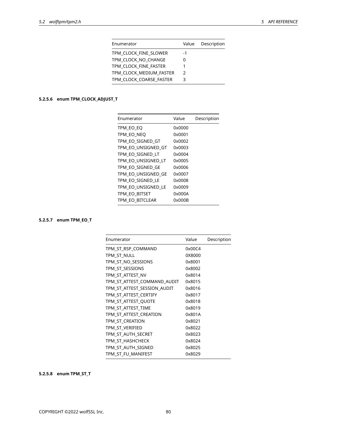| Enumerator              | Value         | Description |
|-------------------------|---------------|-------------|
| TPM CLOCK FINE SLOWER   | -1            |             |
| TPM CLOCK NO CHANGE     | 0             |             |
| TPM CLOCK FINE FASTER   |               |             |
| TPM CLOCK MEDIUM FASTER | $\mathcal{P}$ |             |
| TPM CLOCK COARSE FASTER | 3             |             |

# **5.2.5.6 enum TPM\_CLOCK\_ADJUST\_T**

| Value  | Description |
|--------|-------------|
| 0x0000 |             |
| 0x0001 |             |
| 0x0002 |             |
| 0x0003 |             |
| 0x0004 |             |
| 0x0005 |             |
| 0x0006 |             |
| 0x0007 |             |
| 0x0008 |             |
| 0x0009 |             |
| 0x000A |             |
| 0x000B |             |
|        |             |

# **5.2.5.7 enum TPM\_EO\_T**

| Enumerator                  | Value  | Description |
|-----------------------------|--------|-------------|
| TPM ST RSP COMMAND          | 0x00C4 |             |
| TPM ST NULL                 | 0X8000 |             |
| TPM_ST_NO_SESSIONS          | 0x8001 |             |
| TPM ST SESSIONS             | 0x8002 |             |
| TPM ST ATTEST NV            | 0x8014 |             |
| TPM ST ATTEST COMMAND AUDIT | 0x8015 |             |
| TPM_ST_ATTEST_SESSION_AUDIT | 0x8016 |             |
| TPM ST ATTEST CERTIFY       | 0x8017 |             |
| TPM ST ATTEST QUOTE         | 0x8018 |             |
| TPM ST ATTEST TIME          | 0x8019 |             |
| TPM ST ATTEST CREATION      | 0x801A |             |
| TPM ST CREATION             | 0x8021 |             |
| TPM ST VERIFIED             | 0x8022 |             |
| TPM_ST_AUTH_SECRET          | 0x8023 |             |
| TPM ST HASHCHECK            | 0x8024 |             |
| TPM ST AUTH SIGNED          | 0x8025 |             |
| TPM ST FU MANIFEST          | 0x8029 |             |

# **5.2.5.8 enum TPM\_ST\_T**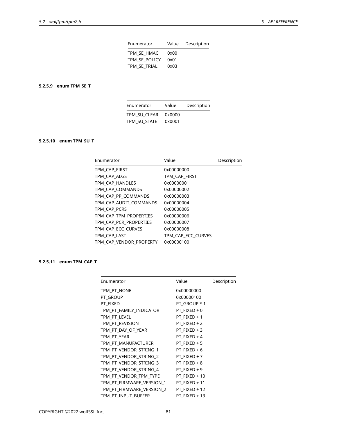| Enumerator    | Value | Description |
|---------------|-------|-------------|
| TPM SE HMAC   | 0x00  |             |
| TPM SE POLICY | 0x01  |             |
| TPM SE TRIAL  | 0x03  |             |

# **5.2.5.9 enum TPM\_SE\_T**

| Enumerator   | Value  | Description |
|--------------|--------|-------------|
| TPM SU CLEAR | 0x0000 |             |
| TPM SU STATE | 0x0001 |             |

# **5.2.5.10 enum TPM\_SU\_T**

| Enumerator              | Value              | Description |
|-------------------------|--------------------|-------------|
| TPM CAP FIRST           | 0x00000000         |             |
| TPM CAP ALGS            | TPM CAP FIRST      |             |
| TPM CAP HANDLES         | 0x00000001         |             |
| TPM CAP COMMANDS        | 0x00000002         |             |
| TPM CAP PP COMMANDS     | 0x00000003         |             |
| TPM CAP AUDIT COMMANDS  | 0x00000004         |             |
| TPM CAP PCRS            | 0x00000005         |             |
| TPM CAP TPM PROPERTIES  | 0x00000006         |             |
| TPM CAP PCR PROPERTIES  | 0x00000007         |             |
| TPM CAP ECC CURVES      | 0x00000008         |             |
| TPM CAP LAST            | TPM CAP ECC CURVES |             |
| TPM_CAP_VENDOR_PROPERTY | 0x00000100         |             |

# **5.2.5.11 enum TPM\_CAP\_T**

| Enumerator                | Value         | Description |
|---------------------------|---------------|-------------|
| TPM_PT_NONE               | 0x00000000    |             |
| PT GROUP                  | 0x00000100    |             |
| PT FIXED                  | PT GROUP * 1  |             |
| TPM_PT_FAMILY_INDICATOR   | PT FIXED + 0  |             |
| TPM_PT_LEVEL              | PT_FIXED + 1  |             |
| TPM_PT_REVISION           | PT FIXED + 2  |             |
| TPM_PT_DAY_OF_YEAR        | PT FIXED + 3  |             |
| TPM PT YEAR               | PT FIXED + 4  |             |
| TPM PT MANUFACTURER       | PT FIXED $+5$ |             |
| TPM_PT_VENDOR_STRING_1    | PT FIXED $+6$ |             |
| TPM PT VENDOR STRING 2    | PT FIXED + 7  |             |
| TPM PT VENDOR STRING 3    | PT FIXED + 8  |             |
| TPM_PT_VENDOR_STRING_4    | PT FIXED + 9  |             |
| TPM_PT_VENDOR_TPM_TYPE    | PT FIXED + 10 |             |
| TPM_PT_FIRMWARE_VERSION_1 | PT FIXED + 11 |             |
| TPM PT FIRMWARE VERSION 2 | PT FIXED + 12 |             |
| TPM_PT_INPUT_BUFFER       | PT FIXED + 13 |             |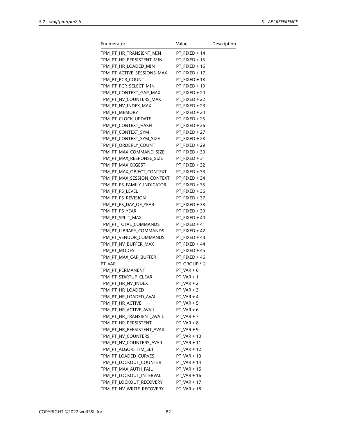| Enumerator                 | Value         | Description |
|----------------------------|---------------|-------------|
| TPM_PT_HR_TRANSIENT_MIN    | PT_FIXED + 14 |             |
| TPM_PT_HR_PERSISTENT_MIN   | PT_FIXED + 15 |             |
| TPM_PT_HR_LOADED_MIN       | PT_FIXED + 16 |             |
| TPM_PT_ACTIVE_SESSIONS_MAX | PT FIXED + 17 |             |
| TPM_PT_PCR_COUNT           | PT_FIXED + 18 |             |
| TPM_PT_PCR_SELECT_MIN      | PT_FIXED + 19 |             |
| TPM_PT_CONTEXT_GAP_MAX     | PT_FIXED + 20 |             |
| TPM_PT_NV_COUNTERS_MAX     | PT_FIXED + 22 |             |
| TPM_PT_NV_INDEX_MAX        | PT_FIXED + 23 |             |
| TPM_PT_MEMORY              | PT_FIXED + 24 |             |
| TPM_PT_CLOCK_UPDATE        | PT_FIXED + 25 |             |
| TPM_PT_CONTEXT_HASH        | PT_FIXED + 26 |             |
| TPM_PT_CONTEXT_SYM         | PT_FIXED + 27 |             |
| TPM_PT_CONTEXT_SYM_SIZE    | PT_FIXED + 28 |             |
| TPM_PT_ORDERLY_COUNT       | PT_FIXED + 29 |             |
| TPM_PT_MAX_COMMAND_SIZE    | PT_FIXED + 30 |             |
| TPM_PT_MAX_RESPONSE_SIZE   | PT_FIXED + 31 |             |
| TPM_PT_MAX_DIGEST          | PT_FIXED + 32 |             |
| TPM_PT_MAX_OBJECT_CONTEXT  | PT_FIXED + 33 |             |
| TPM_PT_MAX_SESSION_CONTEXT | PT_FIXED + 34 |             |
| TPM_PT_PS_FAMILY_INDICATOR | PT FIXED + 35 |             |
| TPM_PT_PS_LEVEL            | PT_FIXED + 36 |             |
| TPM_PT_PS_REVISION         | PT_FIXED + 37 |             |
| TPM_PT_PS_DAY_OF_YEAR      | PT_FIXED + 38 |             |
| TPM_PT_PS_YEAR             | PT_FIXED + 39 |             |
| TPM_PT_SPLIT_MAX           | PT_FIXED + 40 |             |
| TPM_PT_TOTAL_COMMANDS      | PT_FIXED + 41 |             |
| TPM_PT_LIBRARY_COMMANDS    | PT_FIXED + 42 |             |
| TPM_PT_VENDOR_COMMANDS     | PT_FIXED + 43 |             |
| TPM_PT_NV_BUFFER_MAX       | PT_FIXED + 44 |             |
| TPM PT MODES               | PT FIXED + 45 |             |
| TPM_PT_MAX_CAP_BUFFER      | PT FIXED + 46 |             |
| PT_VAR                     | PT GROUP * 2  |             |
| TPM_PT_PERMANENT           | PT_VAR + 0    |             |
| TPM_PT_STARTUP_CLEAR       | $PT$ VAR + 1  |             |
| TPM_PT_HR_NV_INDEX         | PT_VAR + 2    |             |
| TPM_PT_HR_LOADED           | $PT_VAR + 3$  |             |
| TPM_PT_HR_LOADED_AVAIL     | $PT$ VAR + 4  |             |
| TPM_PT_HR_ACTIVE           | $PT_VAR + 5$  |             |
| TPM_PT_HR_ACTIVE_AVAIL     | $PT_VAR + 6$  |             |
| TPM_PT_HR_TRANSIENT_AVAIL  | $PT_VAR + 7$  |             |
| TPM_PT_HR_PERSISTENT       | PT_VAR + 8    |             |
| TPM_PT_HR_PERSISTENT_AVAIL | PT_VAR + 9    |             |
| TPM_PT_NV_COUNTERS         | $PT_VAR + 10$ |             |
| TPM_PT_NV_COUNTERS_AVAIL   | PT_VAR + 11   |             |
| TPM_PT_ALGORITHM_SET       | PT_VAR + 12   |             |
| TPM_PT_LOADED_CURVES       | PT_VAR + 13   |             |
| TPM_PT_LOCKOUT_COUNTER     | PT_VAR + 14   |             |
| TPM_PT_MAX_AUTH_FAIL       | $PT_VAR + 15$ |             |
| TPM_PT_LOCKOUT_INTERVAL    | PT_VAR + 16   |             |
| TPM_PT_LOCKOUT_RECOVERY    | PT_VAR + 17   |             |
| TPM_PT_NV_WRITE_RECOVERY   | PT_VAR + 18   |             |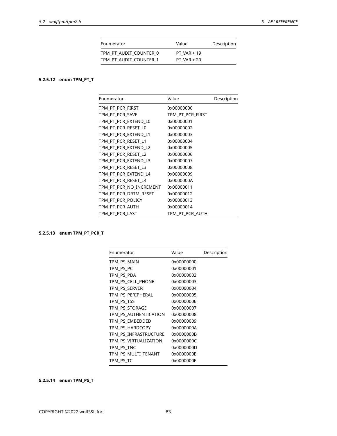| Enumerator             | Value         | Description |
|------------------------|---------------|-------------|
| TPM PT AUDIT COUNTER 0 | PT VAR $+19$  |             |
| TPM PT AUDIT COUNTER 1 | $PT VAR + 20$ |             |

# **5.2.5.12 enum TPM\_PT\_T**

| Enumerator              | Value            | Description |
|-------------------------|------------------|-------------|
| TPM_PT_PCR_FIRST        | 0x00000000       |             |
| TPM PT PCR SAVE         | TPM_PT_PCR_FIRST |             |
| TPM PT PCR EXTEND L0    | 0x00000001       |             |
| TPM PT PCR RESET LO     | 0x00000002       |             |
| TPM PT PCR EXTEND L1    | 0x00000003       |             |
| TPM_PT_PCR_RESET_L1     | 0x00000004       |             |
| TPM_PT_PCR_EXTEND_L2    | 0x00000005       |             |
| TPM_PT_PCR_RESET_L2     | 0x00000006       |             |
| TPM PT PCR EXTEND L3    | 0x00000007       |             |
| TPM PT PCR RESET L3     | 0x00000008       |             |
| TPM PT PCR EXTEND L4    | 0x00000009       |             |
| TPM PT PCR RESET L4     | 0x0000000A       |             |
| TPM PT PCR NO INCREMENT | 0x00000011       |             |
| TPM PT PCR DRTM RESET   | 0x00000012       |             |
| TPM PT PCR POLICY       | 0x00000013       |             |
| TPM PT PCR AUTH         | 0x00000014       |             |
| TPM PT PCR LAST         | TPM PT PCR AUTH  |             |

# **5.2.5.13 enum TPM\_PT\_PCR\_T**

| Enumerator            | Value      | Description |
|-----------------------|------------|-------------|
| TPM PS MAIN           | 0x00000000 |             |
| TPM PS PC             | 0x00000001 |             |
| TPM PS PDA            | 0x00000002 |             |
| TPM PS CELL PHONE     | 0x00000003 |             |
| TPM_PS_SERVER         | 0x00000004 |             |
| TPM_PS_PERIPHERAL     | 0x00000005 |             |
| TPM PS TSS            | 0x00000006 |             |
| TPM PS STORAGE        | 0x00000007 |             |
| TPM PS AUTHENTICATION | 0x00000008 |             |
| TPM PS EMBEDDED       | 0x00000009 |             |
| TPM PS HARDCOPY       | 0x0000000A |             |
| TPM_PS_INFRASTRUCTURE | 0x0000000B |             |
| TPM_PS_VIRTUALIZATION | 0x0000000C |             |
| TPM PS TNC            | 0x0000000D |             |
| TPM PS MULTI TENANT   | 0x0000000E |             |
| TPM PS TC             | 0x0000000F |             |

# **5.2.5.14 enum TPM\_PS\_T**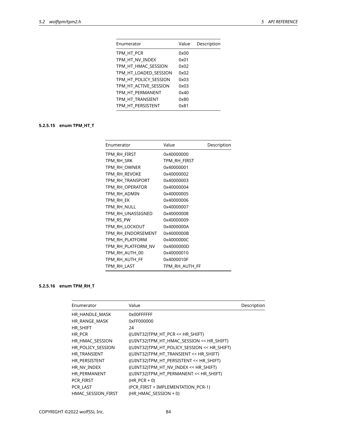| Enumerator            | Value | Description |
|-----------------------|-------|-------------|
| TPM HT PCR            | 0x00  |             |
| TPM HT NV INDEX       | 0x01  |             |
| TPM_HT_HMAC_SESSION   | 0x02  |             |
| TPM HT LOADED SESSION | 0x02  |             |
| TPM HT POLICY SESSION | 0x03  |             |
| TPM_HT_ACTIVE_SESSION | 0x03  |             |
| TPM HT PERMANENT      | 0x40  |             |
| TPM HT TRANSIENT      | 0x80  |             |
| TPM HT PERSISTENT     | 0x81  |             |
|                       |       |             |

# **5.2.5.15 enum TPM\_HT\_T**

| Enumerator         | Value          | Description |
|--------------------|----------------|-------------|
| tpm_rh_first       | 0x40000000     |             |
| tpm_rh_srk         | tpm Rh first   |             |
| TPM RH OWNER       | 0x40000001     |             |
| TPM_RH_REVOKE      | 0x40000002     |             |
| TPM RH TRANSPORT   | 0x40000003     |             |
| TPM RH OPERATOR    | 0x40000004     |             |
| TPM_RH_ADMIN       | 0x40000005     |             |
| TPM_RH_EK          | 0x40000006     |             |
| TPM_RH_NULL        | 0x40000007     |             |
| TPM_RH_UNASSIGNED  | 0x40000008     |             |
| TPM_RS_PW          | 0x40000009     |             |
| TPM RH LOCKOUT     | 0x4000000A     |             |
| TPM RH ENDORSEMENT | 0x4000000B     |             |
| TPM RH PLATFORM    | 0x4000000C     |             |
| TPM_RH_PLATFORM_NV | 0x4000000D     |             |
| TPM_RH_AUTH_00     | 0x40000010     |             |
| TPM_RH_AUTH_FF     | 0x4000010F     |             |
| TPM_RH_LAST        | TPM_RH_AUTH_FF |             |

# **5.2.5.16 enum TPM\_RH\_T**

| Enumerator         | Value                                       | Description |
|--------------------|---------------------------------------------|-------------|
| HR HANDLE MASK     | 0x00FFFFFF                                  |             |
| HR_RANGE_MASK      | 0xFF000000                                  |             |
| HR SHIFT           | 24                                          |             |
| HR_PCR             | ((UINT32)TPM_HT_PCR << HR_SHIFT)            |             |
| HR_HMAC_SESSION    | ((UINT32)TPM_HT_HMAC_SESSION << HR_SHIFT)   |             |
| HR_POLICY_SESSION  | ((UINT32)TPM_HT_POLICY_SESSION << HR_SHIFT) |             |
| HR TRANSIENT       | ((UINT32)TPM HT TRANSIENT << HR SHIFT)      |             |
| HR PERSISTENT      | ((UINT32)TPM HT PERSISTENT << HR SHIFT)     |             |
| HR NV INDEX        | ((UINT32)TPM_HT_NV_INDEX << HR_SHIFT)       |             |
| HR PERMANENT       | ((UINT32)TPM HT PERMANENT << HR SHIFT)      |             |
| PCR FIRST          | $(HR PCR + 0)$                              |             |
| PCR LAST           | (PCR FIRST + IMPLEMENTATION PCR-1)          |             |
| HMAC SESSION FIRST | (HR HMAC SESSION $+$ 0)                     |             |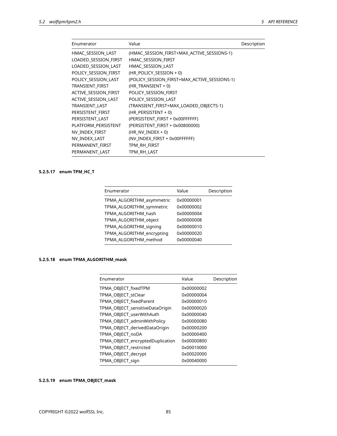| Enumerator           | Value                                        | Description |
|----------------------|----------------------------------------------|-------------|
| HMAC SESSION LAST    | (HMAC_SESSION_FIRST+MAX_ACTIVE_SESSIONS-1)   |             |
| LOADED SESSION FIRST | HMAC SESSION FIRST                           |             |
| LOADED SESSION LAST  | HMAC SESSION LAST                            |             |
| POLICY_SESSION_FIRST | (HR_POLICY_SESSION + 0)                      |             |
| POLICY SESSION LAST  | (POLICY_SESSION_FIRST+MAX_ACTIVE_SESSIONS-1) |             |
| TRANSIENT_FIRST      | (HR TRANSIENT + 0)                           |             |
| ACTIVE SESSION FIRST | POLICY SESSION FIRST                         |             |
| ACTIVE SESSION LAST  | POLICY SESSION LAST                          |             |
| TRANSIENT LAST       | (TRANSIENT_FIRST+MAX_LOADED_OBJECTS-1)       |             |
| PERSISTENT_FIRST     | $(HR$ PERSISTENT + 0)                        |             |
| PERSISTENT_LAST      | (PERSISTENT_FIRST + 0x00FFFFFF)              |             |
| PLATFORM PERSISTENT  | (PERSISTENT FIRST + 0x00800000)              |             |
| NV_INDEX_FIRST       | (HR NV INDEX $+$ 0)                          |             |
| NV INDEX LAST        | (NV INDEX FIRST + 0x00FFFFFF)                |             |
| PERMANENT_FIRST      | TPM_RH_FIRST                                 |             |
| PERMANENT LAST       | TPM RH LAST                                  |             |
|                      |                                              |             |

# **5.2.5.17 enum TPM\_HC\_T**

| Enumerator                | Value      | Description |
|---------------------------|------------|-------------|
| TPMA ALGORITHM asymmetric | 0x00000001 |             |
| TPMA ALGORITHM symmetric  | 0x00000002 |             |
| TPMA ALGORITHM hash       | 0x00000004 |             |
| TPMA ALGORITHM object     | 0x00000008 |             |
| TPMA ALGORITHM signing    | 0x00000010 |             |
| TPMA ALGORITHM encrypting | 0x00000020 |             |
| TPMA ALGORITHM method     | 0x00000040 |             |
|                           |            |             |

# **5.2.5.18 enum TPMA\_ALGORITHM\_mask**

| Enumerator                       | Value      | Description |
|----------------------------------|------------|-------------|
| TPMA OBJECT fixedTPM             | 0x00000002 |             |
| TPMA OBJECT stClear              | 0x00000004 |             |
| TPMA OBJECT fixedParent          | 0x00000010 |             |
| TPMA_OBJECT_sensitiveDataOrigin  | 0x00000020 |             |
| TPMA_OBJECT_userWithAuth         | 0x00000040 |             |
| TPMA_OBJECT_adminWithPolicy      | 0x00000080 |             |
| TPMA_OBJECT_derivedDataOrigin    | 0x00000200 |             |
| TPMA OBJECT noDA                 | 0x00000400 |             |
| TPMA_OBJECT_encryptedDuplication | 0x00000800 |             |
| TPMA_OBJECT_restricted           | 0x00010000 |             |
| TPMA_OBJECT_decrypt              | 0x00020000 |             |
| TPMA_OBJECT_sign                 | 0x00040000 |             |

# **5.2.5.19 enum TPMA\_OBJECT\_mask**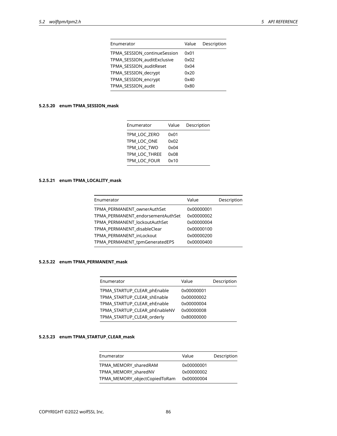| Enumerator                   | Value | Description |
|------------------------------|-------|-------------|
| TPMA SESSION continueSession | 0x01  |             |
| TPMA SESSION auditExclusive  | 0x02  |             |
| TPMA_SESSION_auditReset      | 0x04  |             |
| TPMA_SESSION_decrypt         | 0x20  |             |
| TPMA_SESSION_encrypt         | 0x40  |             |
| TPMA_SESSION_audit           | 0x80  |             |
|                              |       |             |

# **5.2.5.20 enum TPMA\_SESSION\_mask**

| Enumerator    | Value | Description |
|---------------|-------|-------------|
| TPM LOC ZERO  | 0x01  |             |
| TPM LOC ONE   | 0x02  |             |
| TPM LOC TWO   | 0x04  |             |
| TPM LOC THREE | 0x08  |             |
| TPM LOC FOUR  | 0x10  |             |

# **5.2.5.21 enum TPMA\_LOCALITY\_mask**

| Enumerator                        | Value      | Description |
|-----------------------------------|------------|-------------|
| TPMA PERMANENT ownerAuthSet       | 0x00000001 |             |
| TPMA PERMANENT endorsementAuthSet | 0x00000002 |             |
| TPMA PERMANENT lockoutAuthSet     | 0x00000004 |             |
| TPMA PERMANENT disableClear       | 0x00000100 |             |
| TPMA PERMANENT inLockout          | 0x00000200 |             |
| TPMA PERMANENT tpmGeneratedEPS    | 0x00000400 |             |
|                                   |            |             |

# **5.2.5.22 enum TPMA\_PERMANENT\_mask**

| Enumerator                    | Value      | Description |
|-------------------------------|------------|-------------|
| TPMA_STARTUP_CLEAR_phEnable   | 0x00000001 |             |
| TPMA STARTUP CLEAR shEnable   | 0x00000002 |             |
| TPMA STARTUP CLEAR ehEnable   | 0x00000004 |             |
| TPMA_STARTUP_CLEAR_phEnableNV | 0x00000008 |             |
| TPMA_STARTUP_CLEAR_orderly    | 0x80000000 |             |
|                               |            |             |

# **5.2.5.23 enum TPMA\_STARTUP\_CLEAR\_mask**

| Value      | Description |
|------------|-------------|
| 0x00000001 |             |
| 0x00000002 |             |
| 0x00000004 |             |
|            |             |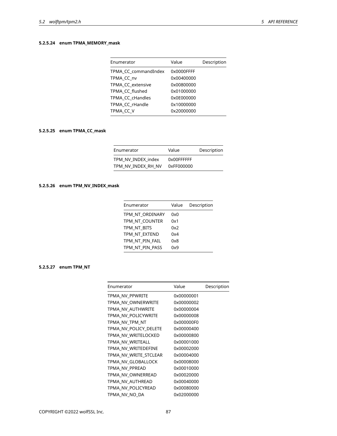# **5.2.5.24 enum TPMA\_MEMORY\_mask**

| Enumerator           | Value      | Description |
|----------------------|------------|-------------|
| TPMA CC commandIndex | 0x0000FFFF |             |
| TPMA CC nv           | 0x00400000 |             |
| TPMA CC extensive    | 0x00800000 |             |
| TPMA CC flushed      | 0x01000000 |             |
| TPMA CC cHandles     | 0x0E000000 |             |
| TPMA CC rHandle      | 0x10000000 |             |
| TPMA CC V            | 0x20000000 |             |
|                      |            |             |

# **5.2.5.25 enum TPMA\_CC\_mask**

| Enumerator                               | Value                    | Description |
|------------------------------------------|--------------------------|-------------|
| TPM NV INDEX index<br>TPM NV INDEX RH NV | 0x00FFFFFF<br>0xFF000000 |             |

### **5.2.5.26 enum TPM\_NV\_INDEX\_mask**

| Enumerator      | Value | Description |
|-----------------|-------|-------------|
| TPM NT ORDINARY | 0x0   |             |
| TPM NT COUNTER  | 0x1   |             |
| tpm nt bits     | 0x2   |             |
| TPM NT EXTEND   | 0x4   |             |
| TPM_NT_PIN_FAIL | 0x8   |             |
| TPM NT PIN PASS | 0x9   |             |
|                 |       |             |

# **5.2.5.27 enum TPM\_NT**

| Enumerator            | Value      | Description |
|-----------------------|------------|-------------|
| TPMA NV PPWRITE       | 0x00000001 |             |
| TPMA NV OWNERWRITE    | 0x00000002 |             |
| TPMA NV AUTHWRITE     | 0x00000004 |             |
| TPMA NV POLICYWRITE   | 0x00000008 |             |
| TPMA NV TPM NT        | 0x000000F0 |             |
| TPMA NV POLICY DELETE | 0x00000400 |             |
| TPMA NV WRITELOCKED   | 0x00000800 |             |
| TPMA NV WRITEALL      | 0x00001000 |             |
| TPMA NV WRITEDEFINE   | 0x00002000 |             |
| TPMA NV WRITE STCLEAR | 0x00004000 |             |
| TPMA NV GLOBALLOCK    | 0x00008000 |             |
| TPMA NV PPREAD        | 0x00010000 |             |
| TPMA NV OWNERREAD     | 0x00020000 |             |
| TPMA NV AUTHREAD      | 0x00040000 |             |
| TPMA NV POLICYREAD    | 0x00080000 |             |
| TPMA NV NO DA         | 0x02000000 |             |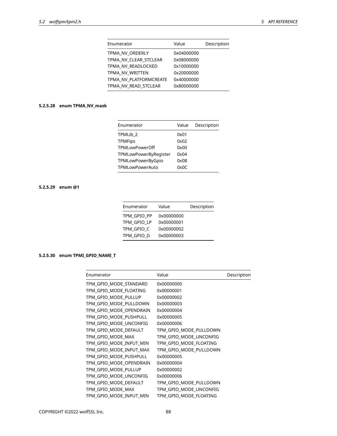| Enumerator             | Value      | Description |
|------------------------|------------|-------------|
| TPMA NV ORDERLY        | 0x04000000 |             |
| TPMA NV CLEAR STCLEAR  | 0x08000000 |             |
| TPMA NV READLOCKED     | 0x10000000 |             |
| TPMA NV WRITTEN        | 0x20000000 |             |
| TPMA NV PLATFORMCREATE | 0x40000000 |             |
| TPMA NV READ STCLEAR   | 0x80000000 |             |
|                        |            |             |

# **5.2.5.28 enum TPMA\_NV\_mask**

| Enumerator            | Value | Description |
|-----------------------|-------|-------------|
| TPMLib 2              | 0x01  |             |
| <b>TPMFips</b>        | 0x02  |             |
| TPMLowPowerOff        | 0x00  |             |
| TPMLowPowerByRegister | 0x04  |             |
| TPMLowPowerByGpio     | 0x08  |             |
| TPMLowPowerAuto       | 0x0C  |             |

# **5.2.5.29 enum @1**

| Enumerator  | Value      | Description |
|-------------|------------|-------------|
| TPM GPIO PP | 0x00000000 |             |
| TPM GPIO LP | 0x00000001 |             |
| TPM GPIO C  | 0x00000002 |             |
| TPM GPIO D  | 0x00000003 |             |

# **5.2.5.30 enum TPMI\_GPIO\_NAME\_T**

| Enumerator              | Value                  | Description |
|-------------------------|------------------------|-------------|
| TPM GPIO MODE STANDARD  | 0x00000000             |             |
| TPM_GPIO_MODE_FLOATING  | 0x00000001             |             |
| TPM_GPIO_MODE_PULLUP    | 0x00000002             |             |
| TPM GPIO MODE PULLDOWN  | 0x00000003             |             |
| TPM GPIO MODE OPENDRAIN | 0x00000004             |             |
| TPM_GPIO_MODE_PUSHPULL  | 0x00000005             |             |
| TPM_GPIO_MODE_UNCONFIG  | 0x00000006             |             |
| TPM GPIO MODE DEFAULT   | TPM_GPIO_MODE_PULLDOWN |             |
| TPM GPIO MODE MAX       | TPM GPIO MODE UNCONFIG |             |
| TPM_GPIO_MODE_INPUT_MIN | TPM_GPIO_MODE_FLOATING |             |
| TPM_GPIO_MODE_INPUT_MAX | TPM GPIO MODE PULLDOWN |             |
| TPM GPIO MODE PUSHPULL  | 0x00000005             |             |
| TPM GPIO MODE OPENDRAIN | 0x00000004             |             |
| TPM GPIO MODE PULLUP    | 0x00000002             |             |
| TPM_GPIO_MODE_UNCONFIG  | 0x00000006             |             |
| TPM GPIO MODE DEFAULT   | TPM_GPIO_MODE_PULLDOWN |             |
| TPM GPIO MODE MAX       | TPM_GPIO_MODE_UNCONFIG |             |
| TPM_GPIO_MODE_INPUT_MIN | TPM_GPIO_MODE_FLOATING |             |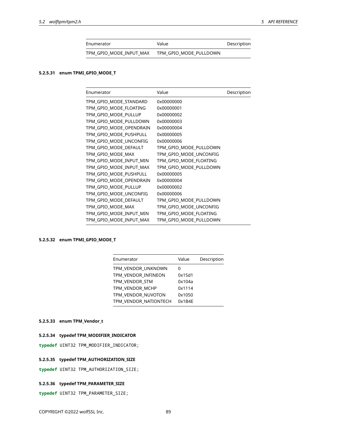| Enumerator              | Value                  | Description |
|-------------------------|------------------------|-------------|
| TPM GPIO MODE INPUT MAX | TPM GPIO MODE PULLDOWN |             |

# **5.2.5.31 enum TPMI\_GPIO\_MODE\_T**

| Enumerator              | Value                  | Description |
|-------------------------|------------------------|-------------|
| TPM GPIO MODE STANDARD  | 0x00000000             |             |
| TPM_GPIO_MODE_FLOATING  | 0x00000001             |             |
| TPM GPIO MODE PULLUP    | 0x00000002             |             |
| TPM GPIO MODE PULLDOWN  | 0x00000003             |             |
| TPM GPIO MODE OPENDRAIN | 0x00000004             |             |
| TPM GPIO MODE PUSHPULL  | 0x00000005             |             |
| TPM_GPIO_MODE_UNCONFIG  | 0x00000006             |             |
| TPM_GPIO_MODE_DEFAULT   | TPM_GPIO_MODE_PULLDOWN |             |
| TPM_GPIO_MODE_MAX       | TPM_GPIO_MODE_UNCONFIG |             |
| TPM_GPIO_MODE_INPUT_MIN | TPM_GPIO_MODE_FLOATING |             |
| TPM_GPIO_MODE_INPUT_MAX | TPM_GPIO_MODE_PULLDOWN |             |
| TPM_GPIO_MODE_PUSHPULL  | 0x00000005             |             |
| TPM_GPIO_MODE_OPENDRAIN | 0x00000004             |             |
| TPM GPIO MODE PULLUP    | 0x00000002             |             |
| TPM GPIO MODE UNCONFIG  | 0x00000006             |             |
| TPM GPIO MODE DEFAULT   | TPM_GPIO_MODE_PULLDOWN |             |
| TPM GPIO MODE MAX       | TPM GPIO MODE UNCONFIG |             |
| TPM_GPIO_MODE_INPUT_MIN | TPM GPIO MODE FLOATING |             |
| TPM GPIO MODE INPUT MAX | TPM GPIO MODE PULLDOWN |             |

## **5.2.5.32 enum TPMI\_GPIO\_MODE\_T**

| Value  | Description |
|--------|-------------|
| 0      |             |
| 0x15d1 |             |
| 0x104a |             |
| 0x1114 |             |
| 0x1050 |             |
| 0x1B4E |             |
|        |             |

## **5.2.5.33 enum TPM\_Vendor\_t**

#### **5.2.5.34 typedef TPM\_MODIFIER\_INDICATOR**

**typedef** UINT32 TPM\_MODIFIER\_INDICATOR;

#### **5.2.5.35 typedef TPM\_AUTHORIZATION\_SIZE**

**typedef** UINT32 TPM\_AUTHORIZATION\_SIZE;

#### **5.2.5.36 typedef TPM\_PARAMETER\_SIZE**

**typedef** UINT32 TPM\_PARAMETER\_SIZE;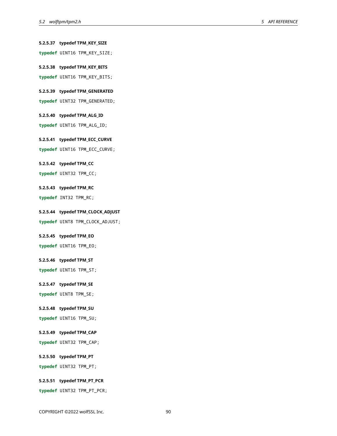**5.2.5.37 typedef TPM\_KEY\_SIZE typedef** UINT16 TPM\_KEY\_SIZE; **5.2.5.38 typedef TPM\_KEY\_BITS typedef** UINT16 TPM\_KEY\_BITS; **5.2.5.39 typedef TPM\_GENERATED typedef** UINT32 TPM\_GENERATED; **5.2.5.40 typedef TPM\_ALG\_ID typedef** UINT16 TPM\_ALG\_ID; **5.2.5.41 typedef TPM\_ECC\_CURVE typedef** UINT16 TPM\_ECC\_CURVE; **5.2.5.42 typedef TPM\_CC typedef** UINT32 TPM\_CC; **5.2.5.43 typedef TPM\_RC typedef** INT32 TPM\_RC; **5.2.5.44 typedef TPM\_CLOCK\_ADJUST typedef** UINT8 TPM\_CLOCK\_ADJUST; **5.2.5.45 typedef TPM\_EO typedef** UINT16 TPM\_EO; **5.2.5.46 typedef TPM\_ST typedef** UINT16 TPM\_ST; **5.2.5.47 typedef TPM\_SE typedef** UINT8 TPM\_SE; **5.2.5.48 typedef TPM\_SU typedef** UINT16 TPM\_SU; **5.2.5.49 typedef TPM\_CAP typedef** UINT32 TPM\_CAP; **5.2.5.50 typedef TPM\_PT typedef** UINT32 TPM\_PT; **5.2.5.51 typedef TPM\_PT\_PCR**

**typedef** UINT32 TPM\_PT\_PCR;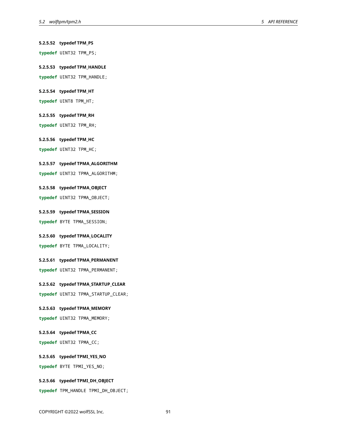**typedef** UINT32 TPM\_PS; **5.2.5.53 typedef TPM\_HANDLE typedef** UINT32 TPM\_HANDLE;

**5.2.5.52 typedef TPM\_PS**

### **5.2.5.54 typedef TPM\_HT**

**typedef** UINT8 TPM\_HT;

#### **5.2.5.55 typedef TPM\_RH**

**typedef** UINT32 TPM\_RH;

#### **5.2.5.56 typedef TPM\_HC**

**typedef** UINT32 TPM\_HC;

#### **5.2.5.57 typedef TPMA\_ALGORITHM**

**typedef** UINT32 TPMA\_ALGORITHM;

# **5.2.5.58 typedef TPMA\_OBJECT**

**typedef** UINT32 TPMA\_OBJECT;

#### **5.2.5.59 typedef TPMA\_SESSION**

**typedef** BYTE TPMA\_SESSION;

# **5.2.5.60 typedef TPMA\_LOCALITY**

**typedef** BYTE TPMA\_LOCALITY;

#### **5.2.5.61 typedef TPMA\_PERMANENT**

**typedef** UINT32 TPMA\_PERMANENT;

#### **5.2.5.62 typedef TPMA\_STARTUP\_CLEAR**

**typedef** UINT32 TPMA\_STARTUP\_CLEAR;

# **5.2.5.63 typedef TPMA\_MEMORY**

**typedef** UINT32 TPMA\_MEMORY;

#### **5.2.5.64 typedef TPMA\_CC**

**typedef** UINT32 TPMA\_CC;

#### **5.2.5.65 typedef TPMI\_YES\_NO**

**typedef** BYTE TPMI\_YES\_NO;

#### **5.2.5.66 typedef TPMI\_DH\_OBJECT**

**typedef** TPM\_HANDLE TPMI\_DH\_OBJECT;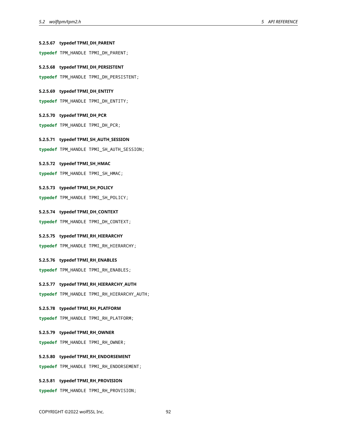# **5.2.5.67 typedef TPMI\_DH\_PARENT**

**typedef** TPM\_HANDLE TPMI\_DH\_PARENT;

**5.2.5.68 typedef TPMI\_DH\_PERSISTENT**

**typedef** TPM\_HANDLE TPMI\_DH\_PERSISTENT;

#### **5.2.5.69 typedef TPMI\_DH\_ENTITY**

**typedef** TPM\_HANDLE TPMI\_DH\_ENTITY;

#### **5.2.5.70 typedef TPMI\_DH\_PCR**

**typedef** TPM\_HANDLE TPMI\_DH\_PCR;

**5.2.5.71 typedef TPMI\_SH\_AUTH\_SESSION**

**typedef** TPM\_HANDLE TPMI\_SH\_AUTH\_SESSION;

#### **5.2.5.72 typedef TPMI\_SH\_HMAC**

**typedef** TPM\_HANDLE TPMI\_SH\_HMAC;

#### **5.2.5.73 typedef TPMI\_SH\_POLICY**

**typedef** TPM\_HANDLE TPMI\_SH\_POLICY;

**5.2.5.74 typedef TPMI\_DH\_CONTEXT**

**typedef** TPM\_HANDLE TPMI\_DH\_CONTEXT;

#### **5.2.5.75 typedef TPMI\_RH\_HIERARCHY**

**typedef** TPM\_HANDLE TPMI\_RH\_HIERARCHY;

**5.2.5.76 typedef TPMI\_RH\_ENABLES**

**typedef** TPM\_HANDLE TPMI\_RH\_ENABLES;

#### **5.2.5.77 typedef TPMI\_RH\_HIERARCHY\_AUTH**

**typedef** TPM\_HANDLE TPMI\_RH\_HIERARCHY\_AUTH;

#### **5.2.5.78 typedef TPMI\_RH\_PLATFORM**

**typedef** TPM\_HANDLE TPMI\_RH\_PLATFORM;

#### **5.2.5.79 typedef TPMI\_RH\_OWNER**

**typedef** TPM\_HANDLE TPMI\_RH\_OWNER;

### **5.2.5.80 typedef TPMI\_RH\_ENDORSEMENT**

**typedef** TPM\_HANDLE TPMI\_RH\_ENDORSEMENT;

#### **5.2.5.81 typedef TPMI\_RH\_PROVISION**

**typedef** TPM\_HANDLE TPMI\_RH\_PROVISION;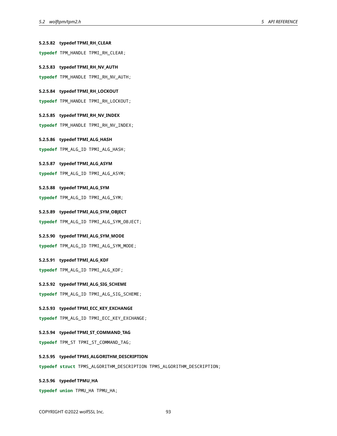# **5.2.5.82 typedef TPMI\_RH\_CLEAR typedef** TPM\_HANDLE TPMI\_RH\_CLEAR; **5.2.5.83 typedef TPMI\_RH\_NV\_AUTH typedef** TPM\_HANDLE TPMI\_RH\_NV\_AUTH; **5.2.5.84 typedef TPMI\_RH\_LOCKOUT typedef** TPM\_HANDLE TPMI\_RH\_LOCKOUT; **5.2.5.85 typedef TPMI\_RH\_NV\_INDEX typedef** TPM\_HANDLE TPMI\_RH\_NV\_INDEX; **5.2.5.86 typedef TPMI\_ALG\_HASH typedef** TPM\_ALG\_ID TPMI\_ALG\_HASH; **5.2.5.87 typedef TPMI\_ALG\_ASYM typedef** TPM\_ALG\_ID TPMI\_ALG\_ASYM; **5.2.5.88 typedef TPMI\_ALG\_SYM typedef** TPM\_ALG\_ID TPMI\_ALG\_SYM; **5.2.5.89 typedef TPMI\_ALG\_SYM\_OBJECT typedef** TPM\_ALG\_ID TPMI\_ALG\_SYM\_OBJECT; **5.2.5.90 typedef TPMI\_ALG\_SYM\_MODE typedef** TPM\_ALG\_ID TPMI\_ALG\_SYM\_MODE; **5.2.5.91 typedef TPMI\_ALG\_KDF typedef** TPM\_ALG\_ID TPMI\_ALG\_KDF; **5.2.5.92 typedef TPMI\_ALG\_SIG\_SCHEME typedef** TPM\_ALG\_ID TPMI\_ALG\_SIG\_SCHEME; **5.2.5.93 typedef TPMI\_ECC\_KEY\_EXCHANGE typedef** TPM\_ALG\_ID TPMI\_ECC\_KEY\_EXCHANGE; **5.2.5.94 typedef TPMI\_ST\_COMMAND\_TAG typedef** TPM\_ST TPMI\_ST\_COMMAND\_TAG; **5.2.5.95 typedef TPMS\_ALGORITHM\_DESCRIPTION typedef struct** TPMS\_ALGORITHM\_DESCRIPTION TPMS\_ALGORITHM\_DESCRIPTION; **5.2.5.96 typedef TPMU\_HA**

**typedef union** TPMU\_HA TPMU\_HA;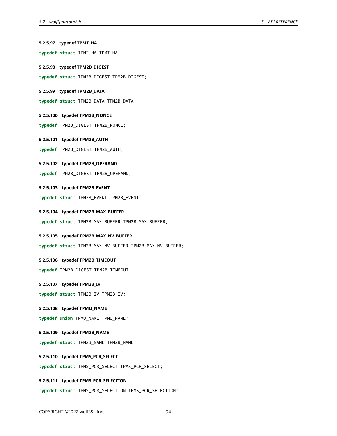# **5.2.5.97 typedef TPMT\_HA typedef struct** TPMT\_HA TPMT\_HA; **5.2.5.98 typedef TPM2B\_DIGEST typedef struct** TPM2B\_DIGEST TPM2B\_DIGEST; **5.2.5.99 typedef TPM2B\_DATA typedef struct** TPM2B\_DATA TPM2B\_DATA; **5.2.5.100 typedef TPM2B\_NONCE typedef** TPM2B\_DIGEST TPM2B\_NONCE; **5.2.5.101 typedef TPM2B\_AUTH typedef** TPM2B\_DIGEST TPM2B\_AUTH; **5.2.5.102 typedef TPM2B\_OPERAND typedef** TPM2B\_DIGEST TPM2B\_OPERAND; **5.2.5.103 typedef TPM2B\_EVENT typedef struct** TPM2B\_EVENT TPM2B\_EVENT; **5.2.5.104 typedef TPM2B\_MAX\_BUFFER typedef struct** TPM2B\_MAX\_BUFFER TPM2B\_MAX\_BUFFER; **5.2.5.105 typedef TPM2B\_MAX\_NV\_BUFFER typedef struct** TPM2B\_MAX\_NV\_BUFFER TPM2B\_MAX\_NV\_BUFFER; **5.2.5.106 typedef TPM2B\_TIMEOUT typedef** TPM2B\_DIGEST TPM2B\_TIMEOUT; **5.2.5.107 typedef TPM2B\_IV typedef struct** TPM2B\_IV TPM2B\_IV; **5.2.5.108 typedef TPMU\_NAME typedef union** TPMU\_NAME TPMU\_NAME; **5.2.5.109 typedef TPM2B\_NAME typedef struct** TPM2B\_NAME TPM2B\_NAME; **5.2.5.110 typedef TPMS\_PCR\_SELECT typedef struct** TPMS\_PCR\_SELECT TPMS\_PCR\_SELECT; **5.2.5.111 typedef TPMS\_PCR\_SELECTION typedef struct** TPMS\_PCR\_SELECTION TPMS\_PCR\_SELECTION;

COPYRIGHT ©2022 wolfSSL Inc. 94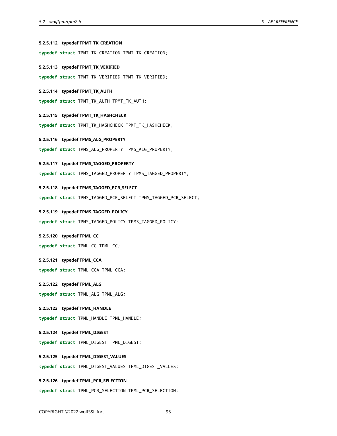# **5.2.5.112 typedef TPMT\_TK\_CREATION typedef struct** TPMT\_TK\_CREATION TPMT\_TK\_CREATION; **5.2.5.113 typedef TPMT\_TK\_VERIFIED typedef struct** TPMT\_TK\_VERIFIED TPMT\_TK\_VERIFIED; **5.2.5.114 typedef TPMT\_TK\_AUTH typedef struct** TPMT\_TK\_AUTH TPMT\_TK\_AUTH; **5.2.5.115 typedef TPMT\_TK\_HASHCHECK typedef struct** TPMT\_TK\_HASHCHECK TPMT\_TK\_HASHCHECK; **5.2.5.116 typedef TPMS\_ALG\_PROPERTY typedef struct** TPMS\_ALG\_PROPERTY TPMS\_ALG\_PROPERTY; **5.2.5.117 typedef TPMS\_TAGGED\_PROPERTY typedef struct** TPMS\_TAGGED\_PROPERTY TPMS\_TAGGED\_PROPERTY; **5.2.5.118 typedef TPMS\_TAGGED\_PCR\_SELECT typedef struct** TPMS\_TAGGED\_PCR\_SELECT TPMS\_TAGGED\_PCR\_SELECT; **5.2.5.119 typedef TPMS\_TAGGED\_POLICY typedef struct** TPMS\_TAGGED\_POLICY TPMS\_TAGGED\_POLICY; **5.2.5.120 typedef TPML\_CC typedef struct** TPML\_CC TPML\_CC; **5.2.5.121 typedef TPML\_CCA typedef struct** TPML\_CCA TPML\_CCA; **5.2.5.122 typedef TPML\_ALG typedef struct** TPML\_ALG TPML\_ALG; **5.2.5.123 typedef TPML\_HANDLE typedef struct** TPML\_HANDLE TPML\_HANDLE; **5.2.5.124 typedef TPML\_DIGEST typedef struct** TPML\_DIGEST TPML\_DIGEST; **5.2.5.125 typedef TPML\_DIGEST\_VALUES typedef struct** TPML\_DIGEST\_VALUES TPML\_DIGEST\_VALUES; **5.2.5.126 typedef TPML\_PCR\_SELECTION**

**typedef struct** TPML\_PCR\_SELECTION TPML\_PCR\_SELECTION;

COPYRIGHT ©2022 wolfSSL Inc. 95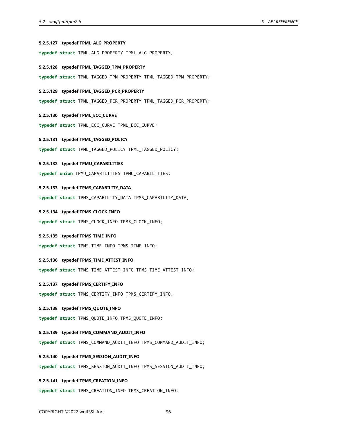#### **5.2.5.127 typedef TPML\_ALG\_PROPERTY**

**typedef struct** TPML\_ALG\_PROPERTY TPML\_ALG\_PROPERTY;

#### **5.2.5.128 typedef TPML\_TAGGED\_TPM\_PROPERTY**

**typedef struct** TPML\_TAGGED\_TPM\_PROPERTY TPML\_TAGGED\_TPM\_PROPERTY;

#### **5.2.5.129 typedef TPML\_TAGGED\_PCR\_PROPERTY**

**typedef struct** TPML\_TAGGED\_PCR\_PROPERTY TPML\_TAGGED\_PCR\_PROPERTY;

#### **5.2.5.130 typedef TPML\_ECC\_CURVE**

**typedef struct** TPML\_ECC\_CURVE TPML\_ECC\_CURVE;

#### **5.2.5.131 typedef TPML\_TAGGED\_POLICY**

**typedef struct** TPML\_TAGGED\_POLICY TPML\_TAGGED\_POLICY;

#### **5.2.5.132 typedef TPMU\_CAPABILITIES**

**typedef union** TPMU\_CAPABILITIES TPMU\_CAPABILITIES;

#### **5.2.5.133 typedef TPMS\_CAPABILITY\_DATA**

**typedef struct** TPMS\_CAPABILITY\_DATA TPMS\_CAPABILITY\_DATA;

#### **5.2.5.134 typedef TPMS\_CLOCK\_INFO**

**typedef struct** TPMS\_CLOCK\_INFO TPMS\_CLOCK\_INFO;

#### **5.2.5.135 typedef TPMS\_TIME\_INFO**

**typedef struct** TPMS\_TIME\_INFO TPMS\_TIME\_INFO;

#### **5.2.5.136 typedef TPMS\_TIME\_ATTEST\_INFO**

**typedef struct** TPMS\_TIME\_ATTEST\_INFO TPMS\_TIME\_ATTEST\_INFO;

#### **5.2.5.137 typedef TPMS\_CERTIFY\_INFO**

**typedef struct** TPMS\_CERTIFY\_INFO TPMS\_CERTIFY\_INFO;

#### **5.2.5.138 typedef TPMS\_QUOTE\_INFO**

**typedef struct** TPMS\_QUOTE\_INFO TPMS\_QUOTE\_INFO;

#### **5.2.5.139 typedef TPMS\_COMMAND\_AUDIT\_INFO**

**typedef struct** TPMS\_COMMAND\_AUDIT\_INFO TPMS\_COMMAND\_AUDIT\_INFO;

#### **5.2.5.140 typedef TPMS\_SESSION\_AUDIT\_INFO**

**typedef struct** TPMS\_SESSION\_AUDIT\_INFO TPMS\_SESSION\_AUDIT\_INFO;

#### **5.2.5.141 typedef TPMS\_CREATION\_INFO**

**typedef struct** TPMS\_CREATION\_INFO TPMS\_CREATION\_INFO;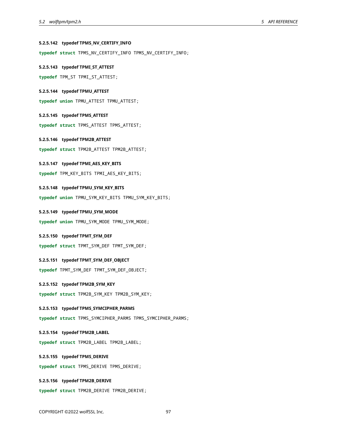#### **5.2.5.142 typedef TPMS\_NV\_CERTIFY\_INFO**

**typedef struct** TPMS\_NV\_CERTIFY\_INFO TPMS\_NV\_CERTIFY\_INFO;

**5.2.5.143 typedef TPMI\_ST\_ATTEST**

**typedef** TPM\_ST TPMI\_ST\_ATTEST;

**5.2.5.144 typedef TPMU\_ATTEST**

**typedef union** TPMU\_ATTEST TPMU\_ATTEST;

**5.2.5.145 typedef TPMS\_ATTEST**

**typedef struct** TPMS\_ATTEST TPMS\_ATTEST;

**5.2.5.146 typedef TPM2B\_ATTEST**

**typedef struct** TPM2B\_ATTEST TPM2B\_ATTEST;

#### **5.2.5.147 typedef TPMI\_AES\_KEY\_BITS**

**typedef** TPM\_KEY\_BITS TPMI\_AES\_KEY\_BITS;

**5.2.5.148 typedef TPMU\_SYM\_KEY\_BITS**

**typedef union** TPMU\_SYM\_KEY\_BITS TPMU\_SYM\_KEY\_BITS;

**5.2.5.149 typedef TPMU\_SYM\_MODE**

**typedef union** TPMU\_SYM\_MODE TPMU\_SYM\_MODE;

**5.2.5.150 typedef TPMT\_SYM\_DEF**

**typedef struct** TPMT\_SYM\_DEF TPMT\_SYM\_DEF;

**5.2.5.151 typedef TPMT\_SYM\_DEF\_OBJECT**

**typedef** TPMT\_SYM\_DEF TPMT\_SYM\_DEF\_OBJECT;

**5.2.5.152 typedef TPM2B\_SYM\_KEY**

**typedef struct** TPM2B\_SYM\_KEY TPM2B\_SYM\_KEY;

**5.2.5.153 typedef TPMS\_SYMCIPHER\_PARMS**

**typedef struct** TPMS\_SYMCIPHER\_PARMS TPMS\_SYMCIPHER\_PARMS;

**5.2.5.154 typedef TPM2B\_LABEL**

**typedef struct** TPM2B\_LABEL TPM2B\_LABEL;

#### **5.2.5.155 typedef TPMS\_DERIVE**

**typedef struct** TPMS\_DERIVE TPMS\_DERIVE;

#### **5.2.5.156 typedef TPM2B\_DERIVE**

**typedef struct** TPM2B\_DERIVE TPM2B\_DERIVE;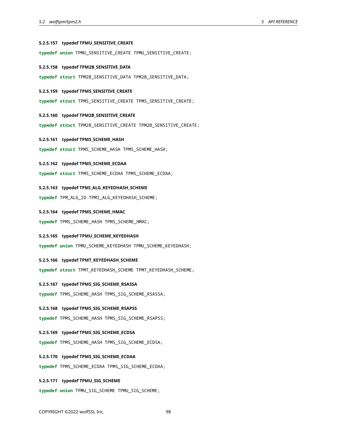#### **5.2.5.157 typedef TPMU\_SENSITIVE\_CREATE**

**typedef union** TPMU\_SENSITIVE\_CREATE TPMU\_SENSITIVE\_CREATE;

**5.2.5.158 typedef TPM2B\_SENSITIVE\_DATA**

**typedef struct** TPM2B\_SENSITIVE\_DATA TPM2B\_SENSITIVE\_DATA;

#### **5.2.5.159 typedef TPMS\_SENSITIVE\_CREATE**

**typedef struct** TPMS\_SENSITIVE\_CREATE TPMS\_SENSITIVE\_CREATE;

- **5.2.5.160 typedef TPM2B\_SENSITIVE\_CREATE**
- **typedef struct** TPM2B\_SENSITIVE\_CREATE TPM2B\_SENSITIVE\_CREATE;
- **5.2.5.161 typedef TPMS\_SCHEME\_HASH**

**typedef struct** TPMS\_SCHEME\_HASH TPMS\_SCHEME\_HASH;

#### **5.2.5.162 typedef TPMS\_SCHEME\_ECDAA**

**typedef struct** TPMS\_SCHEME\_ECDAA TPMS\_SCHEME\_ECDAA;

- **5.2.5.163 typedef TPMI\_ALG\_KEYEDHASH\_SCHEME**
- **typedef** TPM\_ALG\_ID TPMI\_ALG\_KEYEDHASH\_SCHEME;
- **5.2.5.164 typedef TPMS\_SCHEME\_HMAC**

**typedef** TPMS\_SCHEME\_HASH TPMS\_SCHEME\_HMAC;

**5.2.5.165 typedef TPMU\_SCHEME\_KEYEDHASH**

**typedef union** TPMU\_SCHEME\_KEYEDHASH TPMU\_SCHEME\_KEYEDHASH;

- **5.2.5.166 typedef TPMT\_KEYEDHASH\_SCHEME**
- **typedef struct** TPMT\_KEYEDHASH\_SCHEME TPMT\_KEYEDHASH\_SCHEME;

#### **5.2.5.167 typedef TPMS\_SIG\_SCHEME\_RSASSA**

**typedef** TPMS\_SCHEME\_HASH TPMS\_SIG\_SCHEME\_RSASSA;

**5.2.5.168 typedef TPMS\_SIG\_SCHEME\_RSAPSS**

**typedef** TPMS\_SCHEME\_HASH TPMS\_SIG\_SCHEME\_RSAPSS;

- **5.2.5.169 typedef TPMS\_SIG\_SCHEME\_ECDSA**
- **typedef** TPMS\_SCHEME\_HASH TPMS\_SIG\_SCHEME\_ECDSA;
- **5.2.5.170 typedef TPMS\_SIG\_SCHEME\_ECDAA**
- **typedef** TPMS\_SCHEME\_ECDAA TPMS\_SIG\_SCHEME\_ECDAA;
- **5.2.5.171 typedef TPMU\_SIG\_SCHEME**
- **typedef union** TPMU\_SIG\_SCHEME TPMU\_SIG\_SCHEME;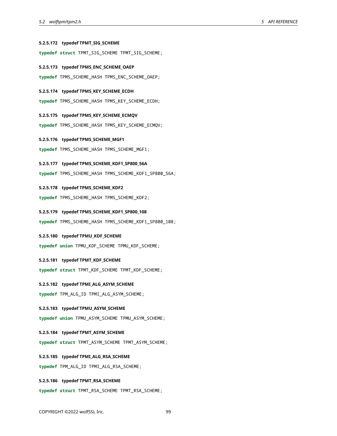#### **5.2.5.172 typedef TPMT\_SIG\_SCHEME**

**typedef struct** TPMT\_SIG\_SCHEME TPMT\_SIG\_SCHEME;

**5.2.5.173 typedef TPMS\_ENC\_SCHEME\_OAEP**

**typedef** TPMS\_SCHEME\_HASH TPMS\_ENC\_SCHEME\_OAEP;

#### **5.2.5.174 typedef TPMS\_KEY\_SCHEME\_ECDH**

**typedef** TPMS\_SCHEME\_HASH TPMS\_KEY\_SCHEME\_ECDH;

**5.2.5.175 typedef TPMS\_KEY\_SCHEME\_ECMQV**

**typedef** TPMS\_SCHEME\_HASH TPMS\_KEY\_SCHEME\_ECMQV;

**5.2.5.176 typedef TPMS\_SCHEME\_MGF1**

**typedef** TPMS\_SCHEME\_HASH TPMS\_SCHEME\_MGF1;

#### **5.2.5.177 typedef TPMS\_SCHEME\_KDF1\_SP800\_56A**

**typedef** TPMS\_SCHEME\_HASH TPMS\_SCHEME\_KDF1\_SP800\_56A;

**5.2.5.178 typedef TPMS\_SCHEME\_KDF2**

**typedef** TPMS\_SCHEME\_HASH TPMS\_SCHEME\_KDF2;

**5.2.5.179 typedef TPMS\_SCHEME\_KDF1\_SP800\_108**

**typedef** TPMS\_SCHEME\_HASH TPMS\_SCHEME\_KDF1\_SP800\_108;

#### **5.2.5.180 typedef TPMU\_KDF\_SCHEME**

**typedef union** TPMU\_KDF\_SCHEME TPMU\_KDF\_SCHEME;

**5.2.5.181 typedef TPMT\_KDF\_SCHEME**

**typedef struct** TPMT\_KDF\_SCHEME TPMT\_KDF\_SCHEME;

#### **5.2.5.182 typedef TPMI\_ALG\_ASYM\_SCHEME**

**typedef** TPM\_ALG\_ID TPMI\_ALG\_ASYM\_SCHEME;

#### **5.2.5.183 typedef TPMU\_ASYM\_SCHEME**

**typedef union** TPMU\_ASYM\_SCHEME TPMU\_ASYM\_SCHEME;

#### **5.2.5.184 typedef TPMT\_ASYM\_SCHEME**

**typedef struct** TPMT\_ASYM\_SCHEME TPMT\_ASYM\_SCHEME;

#### **5.2.5.185 typedef TPMI\_ALG\_RSA\_SCHEME**

**typedef** TPM\_ALG\_ID TPMI\_ALG\_RSA\_SCHEME;

#### **5.2.5.186 typedef TPMT\_RSA\_SCHEME**

**typedef struct** TPMT\_RSA\_SCHEME TPMT\_RSA\_SCHEME;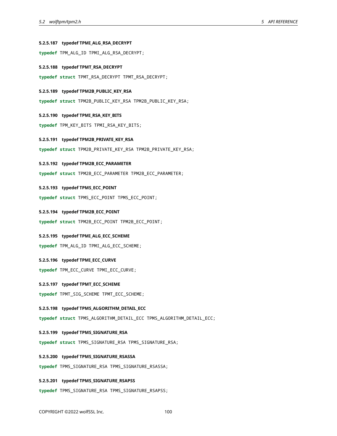#### **5.2.5.187 typedef TPMI\_ALG\_RSA\_DECRYPT**

**typedef** TPM\_ALG\_ID TPMI\_ALG\_RSA\_DECRYPT;

#### **5.2.5.188 typedef TPMT\_RSA\_DECRYPT**

**typedef struct** TPMT\_RSA\_DECRYPT TPMT\_RSA\_DECRYPT;

#### **5.2.5.189 typedef TPM2B\_PUBLIC\_KEY\_RSA**

**typedef struct** TPM2B\_PUBLIC\_KEY\_RSA TPM2B\_PUBLIC\_KEY\_RSA;

#### **5.2.5.190 typedef TPMI\_RSA\_KEY\_BITS**

**typedef** TPM\_KEY\_BITS TPMI\_RSA\_KEY\_BITS;

#### **5.2.5.191 typedef TPM2B\_PRIVATE\_KEY\_RSA**

**typedef struct** TPM2B\_PRIVATE\_KEY\_RSA TPM2B\_PRIVATE\_KEY\_RSA;

#### **5.2.5.192 typedef TPM2B\_ECC\_PARAMETER**

**typedef struct** TPM2B\_ECC\_PARAMETER TPM2B\_ECC\_PARAMETER;

#### **5.2.5.193 typedef TPMS\_ECC\_POINT**

**typedef struct** TPMS\_ECC\_POINT TPMS\_ECC\_POINT;

#### **5.2.5.194 typedef TPM2B\_ECC\_POINT**

**typedef struct** TPM2B\_ECC\_POINT TPM2B\_ECC\_POINT;

#### **5.2.5.195 typedef TPMI\_ALG\_ECC\_SCHEME**

**typedef** TPM\_ALG\_ID TPMI\_ALG\_ECC\_SCHEME;

#### **5.2.5.196 typedef TPMI\_ECC\_CURVE**

**typedef** TPM\_ECC\_CURVE TPMI\_ECC\_CURVE;

#### **5.2.5.197 typedef TPMT\_ECC\_SCHEME**

**typedef** TPMT\_SIG\_SCHEME TPMT\_ECC\_SCHEME;

#### **5.2.5.198 typedef TPMS\_ALGORITHM\_DETAIL\_ECC**

**typedef struct** TPMS\_ALGORITHM\_DETAIL\_ECC TPMS\_ALGORITHM\_DETAIL\_ECC;

#### **5.2.5.199 typedef TPMS\_SIGNATURE\_RSA**

**typedef struct** TPMS\_SIGNATURE\_RSA TPMS\_SIGNATURE\_RSA;

#### **5.2.5.200 typedef TPMS\_SIGNATURE\_RSASSA**

**typedef** TPMS\_SIGNATURE\_RSA TPMS\_SIGNATURE\_RSASSA;

#### **5.2.5.201 typedef TPMS\_SIGNATURE\_RSAPSS**

**typedef** TPMS\_SIGNATURE\_RSA TPMS\_SIGNATURE\_RSAPSS;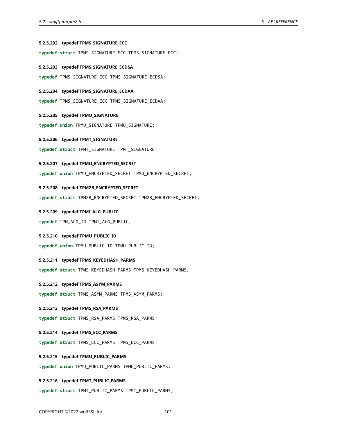#### **5.2.5.202 typedef TPMS\_SIGNATURE\_ECC**

**typedef struct** TPMS\_SIGNATURE\_ECC TPMS\_SIGNATURE\_ECC;

**5.2.5.203 typedef TPMS\_SIGNATURE\_ECDSA**

**typedef** TPMS\_SIGNATURE\_ECC TPMS\_SIGNATURE\_ECDSA;

#### **5.2.5.204 typedef TPMS\_SIGNATURE\_ECDAA**

**typedef** TPMS\_SIGNATURE\_ECC TPMS\_SIGNATURE\_ECDAA;

#### **5.2.5.205 typedef TPMU\_SIGNATURE**

**typedef union** TPMU\_SIGNATURE TPMU\_SIGNATURE;

#### **5.2.5.206 typedef TPMT\_SIGNATURE**

**typedef struct** TPMT\_SIGNATURE TPMT\_SIGNATURE;

#### **5.2.5.207 typedef TPMU\_ENCRYPTED\_SECRET**

**typedef union** TPMU\_ENCRYPTED\_SECRET TPMU\_ENCRYPTED\_SECRET;

#### **5.2.5.208 typedef TPM2B\_ENCRYPTED\_SECRET**

**typedef struct** TPM2B\_ENCRYPTED\_SECRET TPM2B\_ENCRYPTED\_SECRET;

#### **5.2.5.209 typedef TPMI\_ALG\_PUBLIC**

**typedef** TPM\_ALG\_ID TPMI\_ALG\_PUBLIC;

#### **5.2.5.210 typedef TPMU\_PUBLIC\_ID**

**typedef union** TPMU\_PUBLIC\_ID TPMU\_PUBLIC\_ID;

#### **5.2.5.211 typedef TPMS\_KEYEDHASH\_PARMS**

**typedef struct** TPMS\_KEYEDHASH\_PARMS TPMS\_KEYEDHASH\_PARMS;

#### **5.2.5.212 typedef TPMS\_ASYM\_PARMS**

**typedef struct** TPMS\_ASYM\_PARMS TPMS\_ASYM\_PARMS;

#### **5.2.5.213 typedef TPMS\_RSA\_PARMS**

**typedef struct** TPMS\_RSA\_PARMS TPMS\_RSA\_PARMS;

#### **5.2.5.214 typedef TPMS\_ECC\_PARMS**

**typedef struct** TPMS\_ECC\_PARMS TPMS\_ECC\_PARMS;

#### **5.2.5.215 typedef TPMU\_PUBLIC\_PARMS**

**typedef union** TPMU\_PUBLIC\_PARMS TPMU\_PUBLIC\_PARMS;

#### **5.2.5.216 typedef TPMT\_PUBLIC\_PARMS**

**typedef struct** TPMT\_PUBLIC\_PARMS TPMT\_PUBLIC\_PARMS;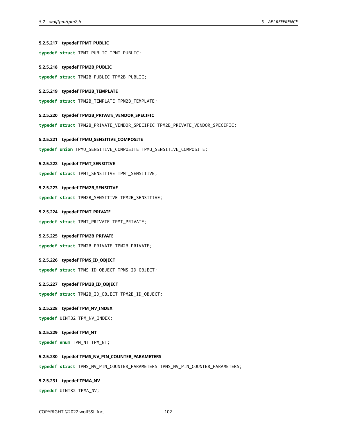# **5.2.5.217 typedef TPMT\_PUBLIC typedef struct** TPMT\_PUBLIC TPMT\_PUBLIC; **5.2.5.218 typedef TPM2B\_PUBLIC typedef struct** TPM2B\_PUBLIC TPM2B\_PUBLIC; **5.2.5.219 typedef TPM2B\_TEMPLATE typedef struct** TPM2B\_TEMPLATE TPM2B\_TEMPLATE; **5.2.5.220 typedef TPM2B\_PRIVATE\_VENDOR\_SPECIFIC typedef struct** TPM2B\_PRIVATE\_VENDOR\_SPECIFIC TPM2B\_PRIVATE\_VENDOR\_SPECIFIC; **5.2.5.221 typedef TPMU\_SENSITIVE\_COMPOSITE typedef union** TPMU\_SENSITIVE\_COMPOSITE TPMU\_SENSITIVE\_COMPOSITE; **5.2.5.222 typedef TPMT\_SENSITIVE typedef struct** TPMT\_SENSITIVE TPMT\_SENSITIVE; **5.2.5.223 typedef TPM2B\_SENSITIVE typedef struct** TPM2B\_SENSITIVE TPM2B\_SENSITIVE; **5.2.5.224 typedef TPMT\_PRIVATE typedef struct** TPMT\_PRIVATE TPMT\_PRIVATE; **5.2.5.225 typedef TPM2B\_PRIVATE typedef struct** TPM2B\_PRIVATE TPM2B\_PRIVATE; **5.2.5.226 typedef TPMS\_ID\_OBJECT typedef struct** TPMS\_ID\_OBJECT TPMS\_ID\_OBJECT; **5.2.5.227 typedef TPM2B\_ID\_OBJECT typedef struct** TPM2B\_ID\_OBJECT TPM2B\_ID\_OBJECT; **5.2.5.228 typedef TPM\_NV\_INDEX typedef** UINT32 TPM\_NV\_INDEX; **5.2.5.229 typedef TPM\_NT typedef enum** TPM\_NT TPM\_NT; **5.2.5.230 typedef TPMS\_NV\_PIN\_COUNTER\_PARAMETERS typedef struct** TPMS\_NV\_PIN\_COUNTER\_PARAMETERS TPMS\_NV\_PIN\_COUNTER\_PARAMETERS; **5.2.5.231 typedef TPMA\_NV typedef** UINT32 TPMA\_NV;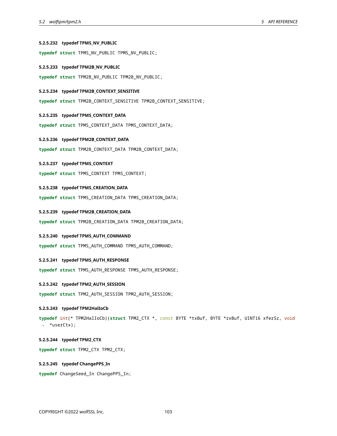#### **5.2.5.232 typedef TPMS\_NV\_PUBLIC**

**typedef struct** TPMS\_NV\_PUBLIC TPMS\_NV\_PUBLIC;

**5.2.5.233 typedef TPM2B\_NV\_PUBLIC**

**typedef struct** TPM2B\_NV\_PUBLIC TPM2B\_NV\_PUBLIC;

#### **5.2.5.234 typedef TPM2B\_CONTEXT\_SENSITIVE**

**typedef struct** TPM2B\_CONTEXT\_SENSITIVE TPM2B\_CONTEXT\_SENSITIVE;

#### **5.2.5.235 typedef TPMS\_CONTEXT\_DATA**

**typedef struct** TPMS\_CONTEXT\_DATA TPMS\_CONTEXT\_DATA;

#### **5.2.5.236 typedef TPM2B\_CONTEXT\_DATA**

**typedef struct** TPM2B\_CONTEXT\_DATA TPM2B\_CONTEXT\_DATA;

#### **5.2.5.237 typedef TPMS\_CONTEXT**

**typedef struct** TPMS\_CONTEXT TPMS\_CONTEXT;

#### **5.2.5.238 typedef TPMS\_CREATION\_DATA**

**typedef struct** TPMS\_CREATION\_DATA TPMS\_CREATION\_DATA;

#### **5.2.5.239 typedef TPM2B\_CREATION\_DATA**

**typedef struct** TPM2B\_CREATION\_DATA TPM2B\_CREATION\_DATA;

#### **5.2.5.240 typedef TPMS\_AUTH\_COMMAND**

**typedef struct** TPMS\_AUTH\_COMMAND TPMS\_AUTH\_COMMAND;

#### **5.2.5.241 typedef TPMS\_AUTH\_RESPONSE**

**typedef struct** TPMS\_AUTH\_RESPONSE TPMS\_AUTH\_RESPONSE;

#### **5.2.5.242 typedef TPM2\_AUTH\_SESSION**

**typedef struct** TPM2\_AUTH\_SESSION TPM2\_AUTH\_SESSION;

#### **5.2.5.243 typedef TPM2HalIoCb**

**typedef** int(\* TPM2HalIoCb)(**struct** TPM2\_CTX \*, const BYTE \*txBuf, BYTE \*rxBuf, UINT16 xferSz, void ↪ \*userCtx);

#### **5.2.5.244 typedef TPM2\_CTX**

**typedef struct** TPM2\_CTX TPM2\_CTX;

### **5.2.5.245 typedef ChangePPS\_In**

**typedef** ChangeSeed\_In ChangePPS\_In;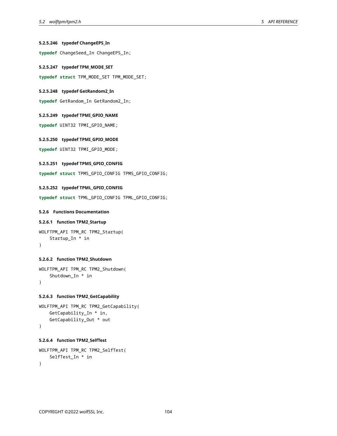#### **5.2.5.246 typedef ChangeEPS\_In**

**typedef** ChangeSeed\_In ChangeEPS\_In;

```
5.2.5.247 typedef TPM_MODE_SET
```
**typedef struct** TPM\_MODE\_SET TPM\_MODE\_SET;

#### **5.2.5.248 typedef GetRandom2\_In**

**typedef** GetRandom\_In GetRandom2\_In;

# **5.2.5.249 typedef TPMI\_GPIO\_NAME**

**typedef** UINT32 TPMI\_GPIO\_NAME;

```
5.2.5.250 typedef TPMI_GPIO_MODE
```
**typedef** UINT32 TPMI\_GPIO\_MODE;

#### **5.2.5.251 typedef TPMS\_GPIO\_CONFIG**

**typedef struct** TPMS\_GPIO\_CONFIG TPMS\_GPIO\_CONFIG;

### **5.2.5.252 typedef TPML\_GPIO\_CONFIG**

**typedef struct** TPML\_GPIO\_CONFIG TPML\_GPIO\_CONFIG;

#### **5.2.6 Functions Documentation**

#### **5.2.6.1 function TPM2\_Startup**

```
WOLFTPM_API TPM_RC TPM2_Startup(
    Startup_In * in
)
```
#### **5.2.6.2 function TPM2\_Shutdown**

```
WOLFTPM_API TPM_RC TPM2_Shutdown(
    Shutdown_In * in
)
```
#### **5.2.6.3 function TPM2\_GetCapability**

```
WOLFTPM_API TPM_RC TPM2_GetCapability(
   GetCapability_In * in,
    GetCapability_Out * out
)
```
### **5.2.6.4 function TPM2\_SelfTest**

```
WOLFTPM_API TPM_RC TPM2_SelfTest(
    SelfTest_In * in
)
```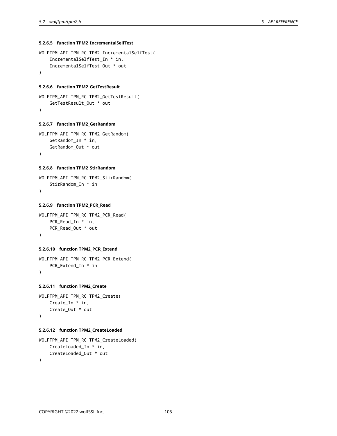#### **5.2.6.5 function TPM2\_IncrementalSelfTest**

```
WOLFTPM_API TPM_RC TPM2_IncrementalSelfTest(
    IncrementalSelfTest_In * in,
    IncrementalSelfTest_Out * out
)
```
#### **5.2.6.6 function TPM2\_GetTestResult**

```
WOLFTPM_API TPM_RC TPM2_GetTestResult(
   GetTestResult_Out * out
)
```
#### **5.2.6.7 function TPM2\_GetRandom**

```
WOLFTPM_API TPM_RC TPM2_GetRandom(
   GetRandom_In * in,
   GetRandom_Out * out
)
```
#### **5.2.6.8 function TPM2\_StirRandom**

```
WOLFTPM_API TPM_RC TPM2_StirRandom(
   StirRandom_In * in
)
```
#### **5.2.6.9 function TPM2\_PCR\_Read**

```
WOLFTPM_API TPM_RC TPM2_PCR_Read(
   PCR_Read_In * in,
   PCR_Read_Out * out
)
```
#### **5.2.6.10 function TPM2\_PCR\_Extend**

```
WOLFTPM_API TPM_RC TPM2_PCR_Extend(
   PCR_Extend_In * in
)
```
# **5.2.6.11 function TPM2\_Create**

```
WOLFTPM_API TPM_RC TPM2_Create(
   Create_In * in,
    Create_Out * out
\lambda
```
#### **5.2.6.12 function TPM2\_CreateLoaded**

```
WOLFTPM_API TPM_RC TPM2_CreateLoaded(
   CreateLoaded_In * in,
   CreateLoaded_Out * out
)
```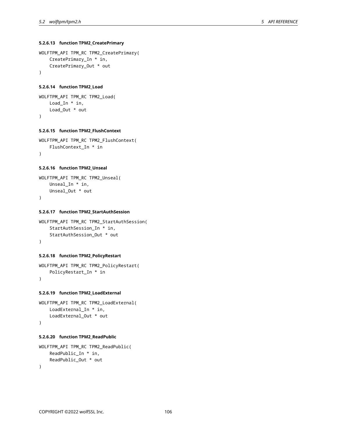#### **5.2.6.13 function TPM2\_CreatePrimary**

```
WOLFTPM_API TPM_RC TPM2_CreatePrimary(
    CreatePrimary_In * in,
    CreatePrimary_Out * out
)
```
#### **5.2.6.14 function TPM2\_Load**

```
WOLFTPM_API TPM_RC TPM2_Load(
   Load_In * in,
    Load_Out * out
\lambda
```
#### **5.2.6.15 function TPM2\_FlushContext**

```
WOLFTPM_API TPM_RC TPM2_FlushContext(
    FlushContext_In * in
\lambda
```
#### **5.2.6.16 function TPM2\_Unseal**

```
WOLFTPM_API TPM_RC TPM2_Unseal(
   Unseal_In * in,
   Unseal_Out * out
)
```
#### **5.2.6.17 function TPM2\_StartAuthSession**

```
WOLFTPM_API TPM_RC TPM2_StartAuthSession(
    StartAuthSession_In * in,
    StartAuthSession_Out * out
)
```
#### **5.2.6.18 function TPM2\_PolicyRestart**

```
WOLFTPM_API TPM_RC TPM2_PolicyRestart(
   PolicyRestart_In * in
)
```
#### **5.2.6.19 function TPM2\_LoadExternal**

```
WOLFTPM_API TPM_RC TPM2_LoadExternal(
    LoadExternal_In * in,
    LoadExternal_Out * out
)
```
#### **5.2.6.20 function TPM2\_ReadPublic**

```
WOLFTPM_API TPM_RC TPM2_ReadPublic(
    ReadPublic_In * in,
    ReadPublic_Out * out
)
```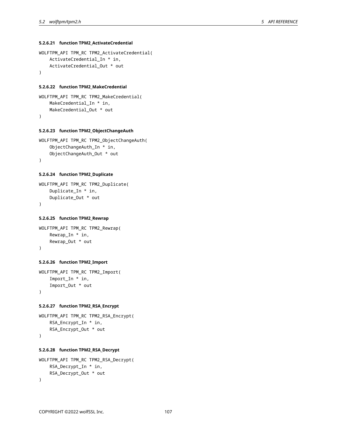#### **5.2.6.21 function TPM2\_ActivateCredential**

```
WOLFTPM_API TPM_RC TPM2_ActivateCredential(
   ActivateCredential_In * in,
    ActivateCredential_Out * out
)
```
#### **5.2.6.22 function TPM2\_MakeCredential**

```
WOLFTPM_API TPM_RC TPM2_MakeCredential(
    MakeCredential_In * in,
    MakeCredential_Out * out
\lambda
```
#### **5.2.6.23 function TPM2\_ObjectChangeAuth**

```
WOLFTPM_API TPM_RC TPM2_ObjectChangeAuth(
    ObjectChangeAuth_In * in,
    ObjectChangeAuth_Out * out
)
```
#### **5.2.6.24 function TPM2\_Duplicate**

```
WOLFTPM_API TPM_RC TPM2_Duplicate(
    Duplicate_In * in,
    Duplicate_Out * out
\lambda
```
#### **5.2.6.25 function TPM2\_Rewrap**

```
WOLFTPM_API TPM_RC TPM2_Rewrap(
    Rewrap_In * in,
    Rewrap_Out * out
)
```
#### **5.2.6.26 function TPM2\_Import**

```
WOLFTPM_API TPM_RC TPM2_Import(
    Import_In * in,
    Import_Out * out
)
```
#### **5.2.6.27 function TPM2\_RSA\_Encrypt**

```
WOLFTPM_API TPM_RC TPM2_RSA_Encrypt(
    RSA_Encrypt_In * in,
    RSA_Encrypt_Out * out
)
```
#### **5.2.6.28 function TPM2\_RSA\_Decrypt**

```
WOLFTPM_API TPM_RC TPM2_RSA_Decrypt(
    RSA_Decrypt_In * in,
    RSA_Decrypt_Out * out
)
```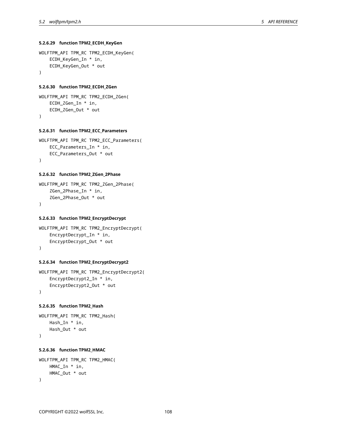#### **5.2.6.29 function TPM2\_ECDH\_KeyGen**

```
WOLFTPM_API TPM_RC TPM2_ECDH_KeyGen(
    ECDH_KeyGen_In * in,
    ECDH_KeyGen_Out * out
)
```
#### **5.2.6.30 function TPM2\_ECDH\_ZGen**

```
WOLFTPM_API TPM_RC TPM2_ECDH_ZGen(
    ECDH_ZGen_In * in,
    ECDH_ZGen_Out * out
\lambda
```
#### **5.2.6.31 function TPM2\_ECC\_Parameters**

```
WOLFTPM_API TPM_RC TPM2_ECC_Parameters(
    ECC_Parameters_In * in,
    ECC_Parameters_Out * out
)
```
#### **5.2.6.32 function TPM2\_ZGen\_2Phase**

```
WOLFTPM_API TPM_RC TPM2_ZGen_2Phase(
    ZGen_2Phase_In * in,
    ZGen_2Phase_Out * out
\lambda
```
### **5.2.6.33 function TPM2\_EncryptDecrypt**

```
WOLFTPM_API TPM_RC TPM2_EncryptDecrypt(
    EncryptDecrypt_In * in,
    EncryptDecrypt_Out * out
)
```
#### **5.2.6.34 function TPM2\_EncryptDecrypt2**

```
WOLFTPM_API TPM_RC TPM2_EncryptDecrypt2(
    EncryptDecrypt2_In * in,
    EncryptDecrypt2_Out * out
\lambda
```
#### **5.2.6.35 function TPM2\_Hash**

```
WOLFTPM_API TPM_RC TPM2_Hash(
   Hash_In * in,
   Hash_Out * out
)
```
#### **5.2.6.36 function TPM2\_HMAC**

```
WOLFTPM_API TPM_RC TPM2_HMAC(
    HMAC_In * in,
    HMAC_Out * out
\lambda
```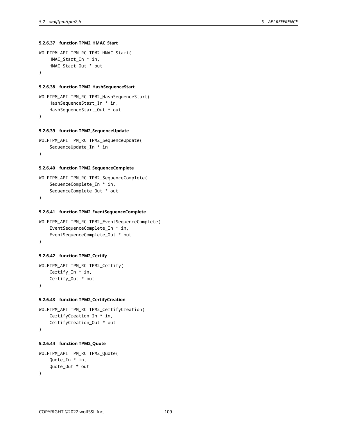## **5.2.6.37 function TPM2\_HMAC\_Start**

```
WOLFTPM_API TPM_RC TPM2_HMAC_Start(
   HMAC_Start_In * in,
   HMAC_Start_Out * out
)
```
#### **5.2.6.38 function TPM2\_HashSequenceStart**

```
WOLFTPM_API TPM_RC TPM2_HashSequenceStart(
   HashSequenceStart_In * in,
   HashSequenceStart_Out * out
\lambda
```
# **5.2.6.39 function TPM2\_SequenceUpdate**

```
WOLFTPM_API TPM_RC TPM2_SequenceUpdate(
    SequenceUpdate_In * in
)
```
#### **5.2.6.40 function TPM2\_SequenceComplete**

```
WOLFTPM_API TPM_RC TPM2_SequenceComplete(
    SequenceComplete_In * in,
    SequenceComplete_Out * out
)
```
#### **5.2.6.41 function TPM2\_EventSequenceComplete**

```
WOLFTPM_API TPM_RC TPM2_EventSequenceComplete(
    EventSequenceComplete_In * in,
    EventSequenceComplete_Out * out
)
```
#### **5.2.6.42 function TPM2\_Certify**

```
WOLFTPM_API TPM_RC TPM2_Certify(
   Certify_In * in,
    Certify_Out * out
)
```
## **5.2.6.43 function TPM2\_CertifyCreation**

```
WOLFTPM_API TPM_RC TPM2_CertifyCreation(
    CertifyCreation_In * in,
    CertifyCreation_Out * out
)
```
## **5.2.6.44 function TPM2\_Quote**

```
WOLFTPM_API TPM_RC TPM2_Quote(
    Quote_In * in,
    Quote_Out * out
)
```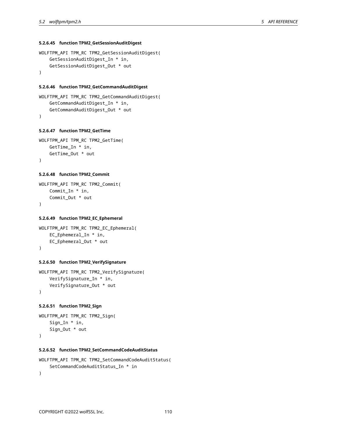## **5.2.6.45 function TPM2\_GetSessionAuditDigest**

```
WOLFTPM_API TPM_RC TPM2_GetSessionAuditDigest(
   GetSessionAuditDigest_In * in,
    GetSessionAuditDigest_Out * out
)
```
#### **5.2.6.46 function TPM2\_GetCommandAuditDigest**

```
WOLFTPM_API TPM_RC TPM2_GetCommandAuditDigest(
    GetCommandAuditDigest_In * in,
    GetCommandAuditDigest_Out * out
\lambda
```
#### **5.2.6.47 function TPM2\_GetTime**

```
WOLFTPM_API TPM_RC TPM2_GetTime(
    GetTime_In * in,
    GetTime_Out * out
)
```
#### **5.2.6.48 function TPM2\_Commit**

```
WOLFTPM_API TPM_RC TPM2_Commit(
    Commit_In * in,
    Commit_Out * out
\lambda
```
## **5.2.6.49 function TPM2\_EC\_Ephemeral**

```
WOLFTPM_API TPM_RC TPM2_EC_Ephemeral(
    EC_Ephemeral_In * in,
    EC_Ephemeral_Out * out
)
```
## **5.2.6.50 function TPM2\_VerifySignature**

```
WOLFTPM_API TPM_RC TPM2_VerifySignature(
    VerifySignature_In * in,
   VerifySignature_Out * out
)
```
## **5.2.6.51 function TPM2\_Sign**

```
WOLFTPM_API TPM_RC TPM2_Sign(
    Sign_In * in,
    Sign_Out * out
)
```
#### **5.2.6.52 function TPM2\_SetCommandCodeAuditStatus**

```
WOLFTPM_API TPM_RC TPM2_SetCommandCodeAuditStatus(
   SetCommandCodeAuditStatus_In * in
)
```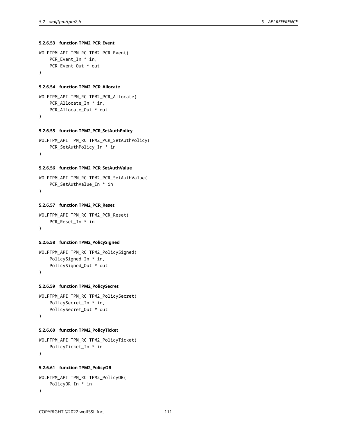## **5.2.6.53 function TPM2\_PCR\_Event**

```
WOLFTPM_API TPM_RC TPM2_PCR_Event(
    PCR_Event_In * in,
    PCR_Event_Out * out
)
```
#### **5.2.6.54 function TPM2\_PCR\_Allocate**

```
WOLFTPM_API TPM_RC TPM2_PCR_Allocate(
    PCR_Allocate_In * in,
    PCR_Allocate_Out * out
\lambda
```
#### **5.2.6.55 function TPM2\_PCR\_SetAuthPolicy**

```
WOLFTPM_API TPM_RC TPM2_PCR_SetAuthPolicy(
    PCR_SetAuthPolicy_In * in
\lambda
```
#### **5.2.6.56 function TPM2\_PCR\_SetAuthValue**

```
WOLFTPM_API TPM_RC TPM2_PCR_SetAuthValue(
   PCR_SetAuthValue_In * in
)
```
## **5.2.6.57 function TPM2\_PCR\_Reset**

```
WOLFTPM_API TPM_RC TPM2_PCR_Reset(
    PCR_Reset_In * in
\lambda
```
## **5.2.6.58 function TPM2\_PolicySigned**

```
WOLFTPM_API TPM_RC TPM2_PolicySigned(
    PolicySigned_In * in,
    PolicySigned_Out * out
)
```
## **5.2.6.59 function TPM2\_PolicySecret**

```
WOLFTPM_API TPM_RC TPM2_PolicySecret(
    PolicySecret_In * in,
    PolicySecret_Out * out
\lambda
```
## **5.2.6.60 function TPM2\_PolicyTicket**

```
WOLFTPM_API TPM_RC TPM2_PolicyTicket(
    PolicyTicket_In * in
)
```
## **5.2.6.61 function TPM2\_PolicyOR**

```
WOLFTPM_API TPM_RC TPM2_PolicyOR(
   PolicyOR_In * in
)
```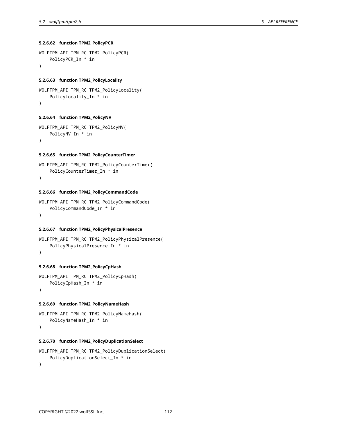**5.2.6.62 function TPM2\_PolicyPCR**

```
WOLFTPM_API TPM_RC TPM2_PolicyPCR(
    PolicyPCR_In * in
)
```
## **5.2.6.63 function TPM2\_PolicyLocality**

```
WOLFTPM_API TPM_RC TPM2_PolicyLocality(
    PolicyLocality_In * in
\lambda
```
## **5.2.6.64 function TPM2\_PolicyNV**

```
WOLFTPM_API TPM_RC TPM2_PolicyNV(
   PolicyNV_In * in
)
```
## **5.2.6.65 function TPM2\_PolicyCounterTimer**

```
WOLFTPM_API TPM_RC TPM2_PolicyCounterTimer(
    PolicyCounterTimer_In * in
)
```
# **5.2.6.66 function TPM2\_PolicyCommandCode**

```
WOLFTPM_API TPM_RC TPM2_PolicyCommandCode(
    PolicyCommandCode_In * in
)
```
#### **5.2.6.67 function TPM2\_PolicyPhysicalPresence**

```
WOLFTPM_API TPM_RC TPM2_PolicyPhysicalPresence(
    PolicyPhysicalPresence_In * in
)
```
## **5.2.6.68 function TPM2\_PolicyCpHash**

```
WOLFTPM_API TPM_RC TPM2_PolicyCpHash(
    PolicyCpHash_In * in
```

```
\lambda
```
## **5.2.6.69 function TPM2\_PolicyNameHash**

```
WOLFTPM_API TPM_RC TPM2_PolicyNameHash(
    PolicyNameHash_In * in
```

```
)
```
# **5.2.6.70 function TPM2\_PolicyDuplicationSelect**

```
WOLFTPM_API TPM_RC TPM2_PolicyDuplicationSelect(
    PolicyDuplicationSelect_In * in
```

```
\lambda
```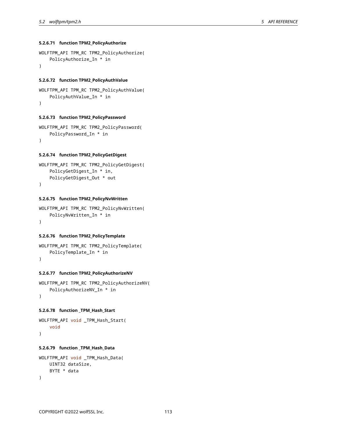## **5.2.6.71 function TPM2\_PolicyAuthorize**

```
WOLFTPM_API TPM_RC TPM2_PolicyAuthorize(
    PolicyAuthorize_In * in
)
```
## **5.2.6.72 function TPM2\_PolicyAuthValue**

```
WOLFTPM_API TPM_RC TPM2_PolicyAuthValue(
    PolicyAuthValue_In * in
)
```
## **5.2.6.73 function TPM2\_PolicyPassword**

```
WOLFTPM_API TPM_RC TPM2_PolicyPassword(
   PolicyPassword_In * in
)
```
## **5.2.6.74 function TPM2\_PolicyGetDigest**

```
WOLFTPM_API TPM_RC TPM2_PolicyGetDigest(
    PolicyGetDigest_In * in,
    PolicyGetDigest_Out * out
)
```
#### **5.2.6.75 function TPM2\_PolicyNvWritten**

```
WOLFTPM_API TPM_RC TPM2_PolicyNvWritten(
    PolicyNvWritten_In * in
)
```
## **5.2.6.76 function TPM2\_PolicyTemplate**

```
WOLFTPM_API TPM_RC TPM2_PolicyTemplate(
    PolicyTemplate_In * in
)
```
## **5.2.6.77 function TPM2\_PolicyAuthorizeNV**

```
WOLFTPM_API TPM_RC TPM2_PolicyAuthorizeNV(
    PolicyAuthorizeNV_In * in
)
```
#### **5.2.6.78 function \_TPM\_Hash\_Start**

```
WOLFTPM_API void _TPM_Hash_Start(
    void
)
```
# **5.2.6.79 function \_TPM\_Hash\_Data**

```
WOLFTPM_API void _TPM_Hash_Data(
   UINT32 dataSize,
    BYTE * data
)
```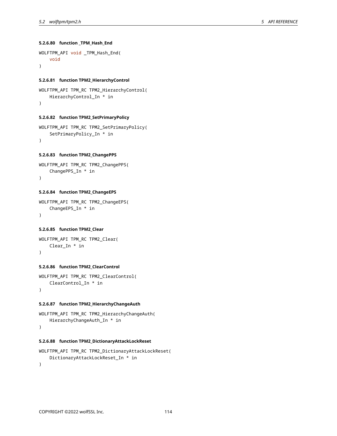**5.2.6.80 function \_TPM\_Hash\_End**

```
WOLFTPM_API void _TPM_Hash_End(
    void
)
```
#### **5.2.6.81 function TPM2\_HierarchyControl**

```
WOLFTPM_API TPM_RC TPM2_HierarchyControl(
   HierarchyControl_In * in
)
```
# **5.2.6.82 function TPM2\_SetPrimaryPolicy**

```
WOLFTPM_API TPM_RC TPM2_SetPrimaryPolicy(
   SetPrimaryPolicy_In * in
)
```
## **5.2.6.83 function TPM2\_ChangePPS**

```
WOLFTPM_API TPM_RC TPM2_ChangePPS(
    ChangePPS_In * in
)
```
# **5.2.6.84 function TPM2\_ChangeEPS**

```
WOLFTPM_API TPM_RC TPM2_ChangeEPS(
    ChangeEPS_In * in
)
```
## **5.2.6.85 function TPM2\_Clear**

```
WOLFTPM_API TPM_RC TPM2_Clear(
    Clear_In * in
)
```
# **5.2.6.86 function TPM2\_ClearControl**

```
WOLFTPM_API TPM_RC TPM2_ClearControl(
   ClearControl_In * in
)
```
#### **5.2.6.87 function TPM2\_HierarchyChangeAuth**

```
WOLFTPM_API TPM_RC TPM2_HierarchyChangeAuth(
   HierarchyChangeAuth_In * in
)
```
## **5.2.6.88 function TPM2\_DictionaryAttackLockReset**

```
WOLFTPM_API TPM_RC TPM2_DictionaryAttackLockReset(
    DictionaryAttackLockReset_In * in
)
```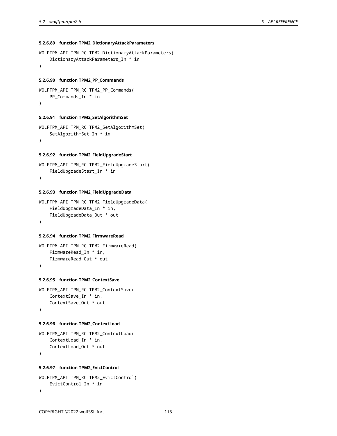# **5.2.6.89 function TPM2\_DictionaryAttackParameters**

```
WOLFTPM_API TPM_RC TPM2_DictionaryAttackParameters(
    DictionaryAttackParameters_In * in
)
```
## **5.2.6.90 function TPM2\_PP\_Commands**

```
WOLFTPM_API TPM_RC TPM2_PP_Commands(
    PP_Commands_In * in
)
```
# **5.2.6.91 function TPM2\_SetAlgorithmSet**

```
WOLFTPM_API TPM_RC TPM2_SetAlgorithmSet(
   SetAlgorithmSet_In * in
)
```
#### **5.2.6.92 function TPM2\_FieldUpgradeStart**

```
WOLFTPM_API TPM_RC TPM2_FieldUpgradeStart(
    FieldUpgradeStart_In * in
)
```
# **5.2.6.93 function TPM2\_FieldUpgradeData**

```
WOLFTPM_API TPM_RC TPM2_FieldUpgradeData(
    FieldUpgradeData_In * in,
    FieldUpgradeData_Out * out
\lambda
```
## **5.2.6.94 function TPM2\_FirmwareRead**

```
WOLFTPM_API TPM_RC TPM2_FirmwareRead(
    FirmwareRead_In * in,
    FirmwareRead_Out * out
)
```
#### **5.2.6.95 function TPM2\_ContextSave**

```
WOLFTPM_API TPM_RC TPM2_ContextSave(
    ContextSave_In * in,
    ContextSave_Out * out
)
```
#### **5.2.6.96 function TPM2\_ContextLoad**

```
WOLFTPM_API TPM_RC TPM2_ContextLoad(
    ContextLoad_In * in,
    ContextLoad_Out * out
)
```
#### **5.2.6.97 function TPM2\_EvictControl**

```
WOLFTPM_API TPM_RC TPM2_EvictControl(
   EvictControl_In * in
)
```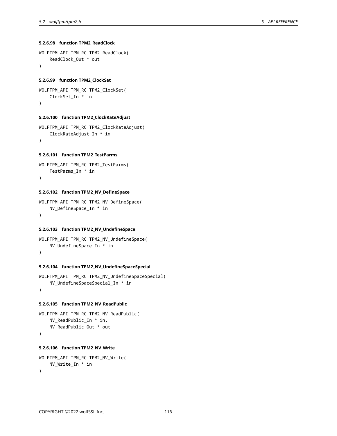## **5.2.6.98 function TPM2\_ReadClock**

```
WOLFTPM_API TPM_RC TPM2_ReadClock(
    ReadClock_Out * out
)
```
## **5.2.6.99 function TPM2\_ClockSet**

```
WOLFTPM_API TPM_RC TPM2_ClockSet(
    ClockSet_In * in
)
```
# **5.2.6.100 function TPM2\_ClockRateAdjust**

```
WOLFTPM_API TPM_RC TPM2_ClockRateAdjust(
    ClockRateAdjust_In * in
\lambda
```
### **5.2.6.101 function TPM2\_TestParms**

```
WOLFTPM_API TPM_RC TPM2_TestParms(
    TestParms_In * in
)
```
# **5.2.6.102 function TPM2\_NV\_DefineSpace**

```
WOLFTPM_API TPM_RC TPM2_NV_DefineSpace(
    NV_DefineSpace_In * in
)
```
## **5.2.6.103 function TPM2\_NV\_UndefineSpace**

```
WOLFTPM_API TPM_RC TPM2_NV_UndefineSpace(
    NV_UndefineSpace_In * in
)
```
## **5.2.6.104 function TPM2\_NV\_UndefineSpaceSpecial**

```
WOLFTPM_API TPM_RC TPM2_NV_UndefineSpaceSpecial(
   NV_UndefineSpaceSpecial_In * in
)
```
## **5.2.6.105 function TPM2\_NV\_ReadPublic**

```
WOLFTPM_API TPM_RC TPM2_NV_ReadPublic(
   NV_ReadPublic_In * in,
   NV_ReadPublic_Out * out
)
```
# **5.2.6.106 function TPM2\_NV\_Write**

```
WOLFTPM_API TPM_RC TPM2_NV_Write(
   NV_Write_In * in
)
```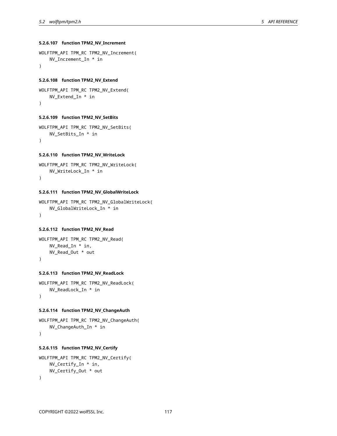## **5.2.6.107 function TPM2\_NV\_Increment**

```
WOLFTPM_API TPM_RC TPM2_NV_Increment(
    NV_Increment_In * in
)
```
## **5.2.6.108 function TPM2\_NV\_Extend**

```
WOLFTPM_API TPM_RC TPM2_NV_Extend(
   NV_Extend_In * in
)
```
## **5.2.6.109 function TPM2\_NV\_SetBits**

```
WOLFTPM_API TPM_RC TPM2_NV_SetBits(
   NV_SetBits_In * in
\lambda
```
## **5.2.6.110 function TPM2\_NV\_WriteLock**

```
WOLFTPM_API TPM_RC TPM2_NV_WriteLock(
   NV_WriteLock_In * in
)
```
# **5.2.6.111 function TPM2\_NV\_GlobalWriteLock**

```
WOLFTPM_API TPM_RC TPM2_NV_GlobalWriteLock(
   NV_GlobalWriteLock_In * in
)
```
## **5.2.6.112 function TPM2\_NV\_Read**

```
WOLFTPM_API TPM_RC TPM2_NV_Read(
    NV_Read_In * in,
    NV_Read_Out * out
\lambda
```
# **5.2.6.113 function TPM2\_NV\_ReadLock**

```
WOLFTPM_API TPM_RC TPM2_NV_ReadLock(
   NV_ReadLock_In * in
)
```
#### **5.2.6.114 function TPM2\_NV\_ChangeAuth**

```
WOLFTPM_API TPM_RC TPM2_NV_ChangeAuth(
    NV_ChangeAuth_In * in
)
```
# **5.2.6.115 function TPM2\_NV\_Certify**

```
WOLFTPM_API TPM_RC TPM2_NV_Certify(
   NV_Certify_In * in,
   NV_Certify_Out * out
)
```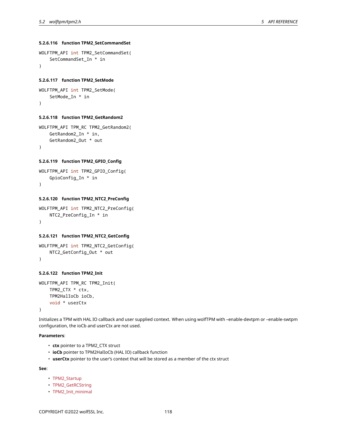# **5.2.6.116 function TPM2\_SetCommandSet**

```
WOLFTPM_API int TPM2_SetCommandSet(
    SetCommandSet_In * in
)
```
## **5.2.6.117 function TPM2\_SetMode**

```
WOLFTPM_API int TPM2_SetMode(
    SetMode_In * in
)
```
## **5.2.6.118 function TPM2\_GetRandom2**

```
WOLFTPM_API TPM_RC TPM2_GetRandom2(
    GetRandom2_In * in,
    GetRandom2_Out * out
)
```
#### **5.2.6.119 function TPM2\_GPIO\_Config**

```
WOLFTPM_API int TPM2_GPIO_Config(
    GpioConfig_In * in
)
```
## **5.2.6.120 function TPM2\_NTC2\_PreConfig**

```
WOLFTPM_API int TPM2_NTC2_PreConfig(
   NTC2_PreConfig_In * in
)
```
## **5.2.6.121 function TPM2\_NTC2\_GetConfig**

```
WOLFTPM_API int TPM2_NTC2_GetConfig(
    NTC2_GetConfig_Out * out
)
```
# **5.2.6.122 function TPM2\_Init**

```
WOLFTPM_API TPM_RC TPM2_Init(
   TPM2_CTX * ctx,
    TPM2HalIoCb ioCb,
    void * userCtx
)
```
Initializes a TPM with HAL IO callback and user supplied context. When using wolfTPM with –enable-devtpm or –enable-swtpm configuration, the ioCb and userCtx are not used.

## **Parameters**:

- **ctx** pointer to a TPM2\_CTX struct
- **ioCb** pointer to TPM2HalIoCb (HAL IO) callback function
- **userCtx** pointer to the user's context that will be stored as a member of the ctx struct

**See**:

- TPM2\_Startup
- TPM2\_GetRCString
- TPM2\_Init\_minimal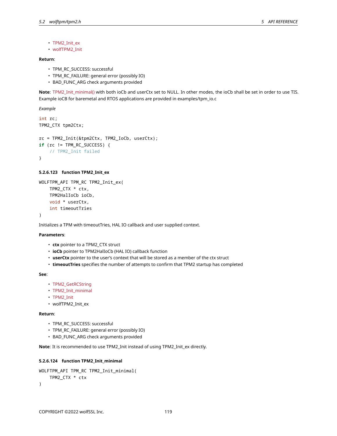- TPM2\_Init\_ex
- wolfTPM2\_Init

## **Return**:

- TPM\_RC\_SUCCESS: successful
- TPM\_RC\_FAILURE: general error (possibly IO)
- BAD\_FUNC\_ARG check arguments provided

**Note**: TPM2\_Init\_minimal() with both ioCb and userCtx set to NULL. In other modes, the ioCb shall be set in order to use TIS. Example ioCB for baremetal and RTOS applications are provided in examples/tpm\_io.c

*Example*

```
int rc;
TPM2_CTX tpm2Ctx;
rc = TPM2_Init(&tpm2Ctx, TPM2_IoCb, userCtx);
if (rc != TPM_RC_SUCCESS) {
    // TPM2_Init failed
}
```
# **5.2.6.123 function TPM2\_Init\_ex**

```
WOLFTPM_API TPM_RC TPM2_Init_ex(
    TPM2_CTX * ctx,
    TPM2HalIoCb ioCb,
    void * userCtx,
    int timeoutTries
)
```
Initializes a TPM with timeoutTries, HAL IO callback and user supplied context.

## **Parameters**:

- **ctx** pointer to a TPM2\_CTX struct
- **ioCb** pointer to TPM2HalIoCb (HAL IO) callback function
- **userCtx** pointer to the user's context that will be stored as a member of the ctx struct
- **timeoutTries** specifies the number of attempts to confirm that TPM2 startup has completed

**See**:

- TPM2\_GetRCString
- TPM2\_Init\_minimal
- TPM2\_Init
- wolfTPM2\_Init\_ex

#### **Return**:

- TPM\_RC\_SUCCESS: successful
- TPM\_RC\_FAILURE: general error (possibly IO)
- BAD\_FUNC\_ARG check arguments provided

**Note**: It is recommended to use TPM2\_Init instead of using TPM2\_Init\_ex directly.

## **5.2.6.124 function TPM2\_Init\_minimal**

```
WOLFTPM_API TPM_RC TPM2_Init_minimal(
    TPM2_CTX * ctx
)
```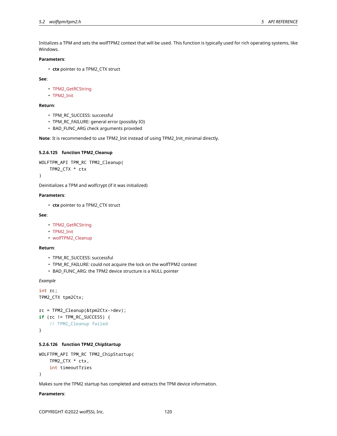Initializes a TPM and sets the wolfTPM2 context that will be used. This function is typically used for rich operating systems, like Windows.

#### **Parameters**:

• **ctx** pointer to a TPM2\_CTX struct

**See**:

- TPM2\_GetRCString
- TPM2\_Init

## **Return**:

- TPM\_RC\_SUCCESS: successful
- TPM\_RC\_FAILURE: general error (possibly IO)
- BAD\_FUNC\_ARG check arguments provided

**Note**: It is recommended to use TPM2\_Init instead of using TPM2\_Init\_minimal directly.

#### **5.2.6.125 function TPM2\_Cleanup**

```
WOLFTPM_API TPM_RC TPM2_Cleanup(
    TPM2_CTX * ctx
```
)

Deinitializes a TPM and wolfcrypt (if it was initialized)

#### **Parameters**:

• **ctx** pointer to a TPM2\_CTX struct

# **See**:

- TPM2\_GetRCString
- TPM2\_Init
- wolfTPM2\_Cleanup

#### **Return**:

- TPM\_RC\_SUCCESS: successful
- TPM\_RC\_FAILURE: could not acquire the lock on the wolfTPM2 context
- BAD\_FUNC\_ARG: the TPM2 device structure is a NULL pointer

*Example*

```
int rc;
TPM2_CTX tpm2Ctx;
```

```
rc = TPM2_Cleanup(&tpm2Ctx->dev);
if (rc != TPM_RC_SUCCESS) {
    // TPM2_Cleanup failed
}
```
# **5.2.6.126 function TPM2\_ChipStartup**

```
WOLFTPM_API TPM_RC TPM2_ChipStartup(
   TPM2_CTX * ctx,
    int timeoutTries
)
```
Makes sure the TPM2 startup has completed and extracts the TPM device information.

**Parameters**: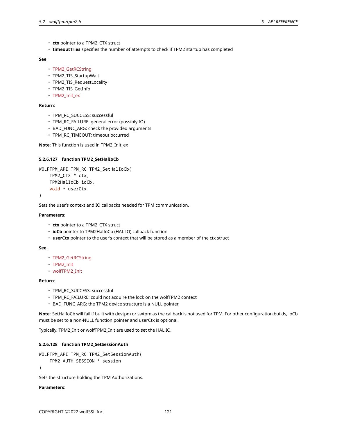- **ctx** pointer to a TPM2\_CTX struct
- **timeoutTries** specifies the number of attempts to check if TPM2 startup has completed

#### **See**:

- TPM2\_GetRCString
- TPM2 TIS StartupWait
- TPM2\_TIS\_RequestLocality
- TPM2 TIS GetInfo
- TPM2\_Init\_ex

## **Return**:

- TPM\_RC\_SUCCESS: successful
- TPM\_RC\_FAILURE: general error (possibly IO)
- BAD\_FUNC\_ARG: check the provided arguments
- TPM\_RC\_TIMEOUT: timeout occurred

**Note**: This function is used in TPM2\_Init\_ex

## **5.2.6.127 function TPM2\_SetHalIoCb**

```
WOLFTPM API TPM RC TPM2 SetHalIoCb(
    TPM2_CTX * ctx,
    TPM2HalIoCb ioCb,
    void * userCtx
```
)

Sets the user's context and IO callbacks needed for TPM communication.

## **Parameters**:

- **ctx** pointer to a TPM2\_CTX struct
- **ioCb** pointer to TPM2HalIoCb (HAL IO) callback function
- **userCtx** pointer to the user's context that will be stored as a member of the ctx struct

#### **See**:

- TPM2\_GetRCString
- TPM2\_Init
- wolfTPM2\_Init

## **Return**:

- TPM\_RC\_SUCCESS: successful
- TPM\_RC\_FAILURE: could not acquire the lock on the wolfTPM2 context
- BAD\_FUNC\_ARG: the TPM2 device structure is a NULL pointer

**Note**: SetHalIoCb will fail if built with devtpm or swtpm as the callback is not used for TPM. For other configuration builds, ioCb must be set to a non-NULL function pointer and userCtx is optional.

Typically, TPM2\_Init or wolfTPM2\_Init are used to set the HAL IO.

## **5.2.6.128 function TPM2\_SetSessionAuth**

```
WOLFTPM_API TPM_RC TPM2_SetSessionAuth(
```
TPM2\_AUTH\_SESSION \* session

```
)
```
Sets the structure holding the TPM Authorizations.

#### **Parameters**: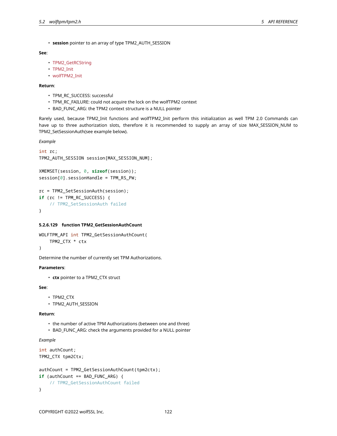• **session** pointer to an array of type TPM2\_AUTH\_SESSION

# **See**:

- TPM2\_GetRCString
- TPM2\_Init
- wolfTPM2\_Init

## **Return**:

- TPM\_RC\_SUCCESS: successful
- TPM\_RC\_FAILURE: could not acquire the lock on the wolfTPM2 context
- BAD\_FUNC\_ARG: the TPM2 context structure is a NULL pointer

Rarely used, because TPM2\_Init functions and wolfTPM2\_Init perform this initialization as well TPM 2.0 Commands can have up to three authorization slots, therefore it is recommended to supply an array of size MAX\_SESSION\_NUM to TPM2\_SetSessionAuth(see example below).

*Example*

```
int rc;
TPM2_AUTH_SESSION session[MAX_SESSION_NUM];
XMEMSET(session, 0, sizeof(session));
```

```
session[0].sessionHandle = TPM_RS_PW;
```

```
rc = TPM2_SetSessionAuth(session);
if (rc != TPM_RC_SUCCESS) {
    // TPM2_SetSessionAuth failed
}
```
#### **5.2.6.129 function TPM2\_GetSessionAuthCount**

```
WOLFTPM_API int TPM2_GetSessionAuthCount(
    TPM2_CTX * ctx
)
```
Determine the number of currently set TPM Authorizations.

## **Parameters**:

• **ctx** pointer to a TPM2\_CTX struct

## **See**:

- TPM2\_CTX
- TPM2\_AUTH\_SESSION

#### **Return**:

- the number of active TPM Authorizations (between one and three)
- BAD\_FUNC\_ARG: check the arguments provided for a NULL pointer

# *Example*

```
int authCount;
TPM2_CTX tpm2Ctx;
authCount = TPM2_GetSessionAuthCount(tpm2ctx);
if (authCount == BAD FUNC ARG) {
    // TPM2_GetSessionAuthCount failed
}
```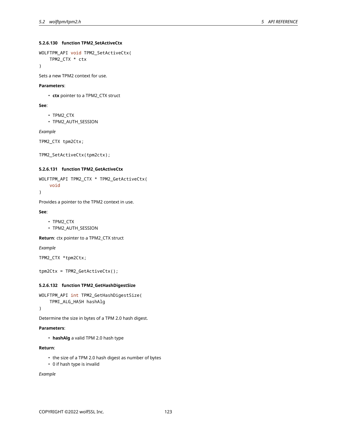## **5.2.6.130 function TPM2\_SetActiveCtx**

```
WOLFTPM_API void TPM2_SetActiveCtx(
    TPM2_CTX * ctx
```
)

Sets a new TPM2 context for use.

#### **Parameters**:

• **ctx** pointer to a TPM2\_CTX struct

## **See**:

- TPM2\_CTX
- TPM2\_AUTH\_SESSION

*Example*

TPM2\_CTX tpm2Ctx;

```
TPM2_SetActiveCtx(tpm2ctx);
```
## **5.2.6.131 function TPM2\_GetActiveCtx**

```
WOLFTPM_API TPM2_CTX * TPM2_GetActiveCtx(
    void
)
```
Provides a pointer to the TPM2 context in use.

#### **See**:

```
• TPM2_CTX
```
• TPM2\_AUTH\_SESSION

**Return**: ctx pointer to a TPM2\_CTX struct

*Example*

```
TPM2_CTX *tpm2Ctx;
```

```
tpm2Ctx = TPM2_GetActiveCtx();
```
# **5.2.6.132 function TPM2\_GetHashDigestSize**

```
WOLFTPM_API int TPM2_GetHashDigestSize(
    TPMI_ALG_HASH hashAlg
```
)

Determine the size in bytes of a TPM 2.0 hash digest.

#### **Parameters**:

• **hashAlg** a valid TPM 2.0 hash type

# **Return**:

- the size of a TPM 2.0 hash digest as number of bytes
- 0 if hash type is invalid

*Example*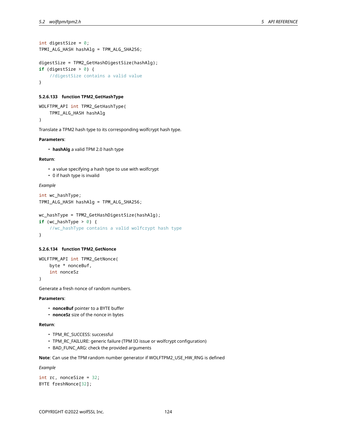```
int digestSize = 0;
TPMI_ALG_HASH hashAlg = TPM_ALG_SHA256;
```

```
digestSize = TPM2_GetHashDigestSize(hashAlg);
if (digestSize > 0) {
    //digestSize contains a valid value
}
```
## **5.2.6.133 function TPM2\_GetHashType**

```
WOLFTPM_API int TPM2_GetHashType(
    TPMI_ALG_HASH hashAlg
)
```
Translate a TPM2 hash type to its corresponding wolfcrypt hash type.

## **Parameters**:

• **hashAlg** a valid TPM 2.0 hash type

#### **Return**:

- a value specifying a hash type to use with wolfcrypt
- 0 if hash type is invalid

## *Example*

```
int wc_hashType;
TPMI_ALG_HASH hashAlg = TPM_ALG_SHA256;
```

```
wc_hashType = TPM2_GetHashDigestSize(hashAlg);
if (wc_hashType > 0) {
    //wc_hashType contains a valid wolfcrypt hash type
}
```
#### **5.2.6.134 function TPM2\_GetNonce**

```
WOLFTPM_API int TPM2_GetNonce(
   byte * nonceBuf,
    int nonceSz
)
```
Generate a fresh nonce of random numbers.

# **Parameters**:

- **nonceBuf** pointer to a BYTE buffer
- **nonceSz** size of the nonce in bytes

#### **Return**:

- TPM\_RC\_SUCCESS: successful
- TPM\_RC\_FAILURE: generic failure (TPM IO issue or wolfcrypt configuration)
- BAD\_FUNC\_ARG: check the provided arguments

**Note**: Can use the TPM random number generator if WOLFTPM2\_USE\_HW\_RNG is defined

*Example*

int rc, nonceSize = 32; BYTE freshNonce[32];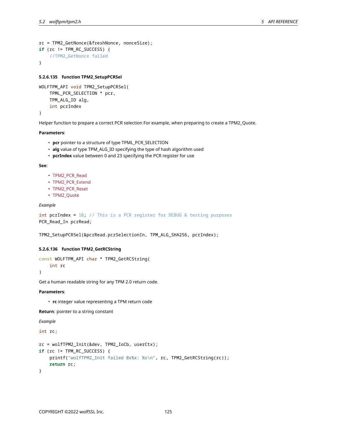```
rc = TPM2_GetNonce(&freshNonce, nonceSize);
if (rc != TPM_RC_SUCCESS) {
    //TPM2_GetNonce failed
}
```
#### **5.2.6.135 function TPM2\_SetupPCRSel**

```
WOLFTPM_API void TPM2_SetupPCRSel(
    TPML_PCR_SELECTION * pcr,
    TPM_ALG_ID alg,
    int pcrIndex
)
```
Helper function to prepare a correct PCR selection For example, when preparing to create a TPM2\_Quote.

## **Parameters**:

- **pcr** pointer to a structure of type TPML\_PCR\_SELECTION
- **alg** value of type TPM\_ALG\_ID specifying the type of hash algorithm used
- **pcrIndex** value between 0 and 23 specifying the PCR register for use

#### **See**:

- TPM2\_PCR\_Read
- TPM2\_PCR\_Extend
- TPM2\_PCR\_Reset
- TPM2\_Quote

## *Example*

int pcrIndex = 16; // This is a PCR register for DEBUG & testing purposes PCR\_Read\_In pcrRead;

TPM2\_SetupPCRSel(&pcrRead.pcrSelectionIn, TPM\_ALG\_SHA256, pcrIndex);

## **5.2.6.136 function TPM2\_GetRCString**

```
const WOLFTPM_API char * TPM2_GetRCString(
   int rc
```
 $\lambda$ 

Get a human readable string for any TPM 2.0 return code.

#### **Parameters**:

• **rc** integer value representing a TPM return code

**Return**: pointer to a string constant

*Example*

#### int rc;

```
rc = wolfTPM2_Init(&dev, TPM2_IoCb, userCtx);
if (rc != TPM_RC_SUCCESS) {
    printf("wolfTPM2_Init failed 0x%x: %s\n", rc, TPM2_GetRCString(rc));
    return rc;
}
```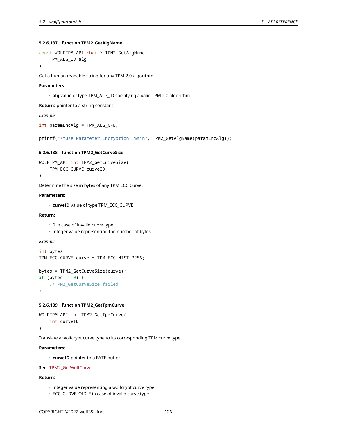## **5.2.6.137 function TPM2\_GetAlgName**

```
const WOLFTPM_API char * TPM2_GetAlgName(
    TPM_ALG_ID alg
```

```
)
```
Get a human readable string for any TPM 2.0 algorithm.

#### **Parameters**:

• **alg** value of type TPM\_ALG\_ID specifying a valid TPM 2.0 algorithm

**Return**: pointer to a string constant

## *Example*

```
int paramEncAlg = TPM_ALG_CFB;
```
printf("\tUse Parameter Encryption: %s\n", TPM2\_GetAlgName(paramEncAlg));

#### **5.2.6.138 function TPM2\_GetCurveSize**

```
WOLFTPM_API int TPM2_GetCurveSize(
    TPM_ECC_CURVE curveID
)
```
Determine the size in bytes of any TPM ECC Curve.

#### **Parameters**:

• **curveID** value of type TPM\_ECC\_CURVE

## **Return**:

- 0 in case of invalid curve type
- integer value representing the number of bytes

## *Example*

```
int bytes;
TPM_ECC_CURVE curve = TPM_ECC_NIST_P256;
```

```
bytes = TPM2_GetCurveSize(curve);
if (bytes == \emptyset) {
    //TPM2_GetCurveSize failed
```
}

## **5.2.6.139 function TPM2\_GetTpmCurve**

```
WOLFTPM_API int TPM2_GetTpmCurve(
    int curveID
```
)

Translate a wolfcrypt curve type to its corresponding TPM curve type.

# **Parameters**:

• **curveID** pointer to a BYTE buffer

## **See**: TPM2\_GetWolfCurve

## **Return**:

- integer value representing a wolfcrypt curve type
- ECC\_CURVE\_OID\_E in case of invalid curve type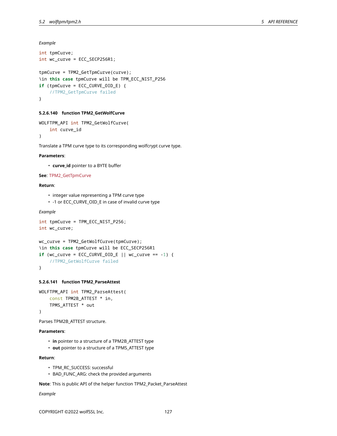*Example*

```
int tpmCurve;
int wc_curve = ECC_SECP256R1;
tpmCurve = TPM2_GetTpmCurve(curve);
\in this case tpmCurve will be TPM_ECC_NIST_P256
if (tpmCurve = ECC CURVE OID E) {
    //TPM2_GetTpmCurve failed
}
```
#### **5.2.6.140 function TPM2\_GetWolfCurve**

```
WOLFTPM_API int TPM2_GetWolfCurve(
    int curve_id
)
```
Translate a TPM curve type to its corresponding wolfcrypt curve type.

## **Parameters**:

• **curve\_id** pointer to a BYTE buffer

## **See**: TPM2\_GetTpmCurve

## **Return**:

- integer value representing a TPM curve type
- -1 or ECC\_CURVE\_OID\_E in case of invalid curve type

#### *Example*

```
int tpmCurve = TPM_ECC_NIST_P256;
int wc_curve;
wc_curve = TPM2_GetWolfCurve(tpmCurve);
\in this case tpmCurve will be ECC_SECP256R1
if (wc_curve = ECC_CURVE_OID_E || wc_curve == -1) {
    //TPM2_GetWolfCurve failed
}
```
#### **5.2.6.141 function TPM2\_ParseAttest**

```
WOLFTPM_API int TPM2_ParseAttest(
    const TPM2B_ATTEST * in,
    TPMS_ATTEST * out
)
```
Parses TPM2B\_ATTEST structure.

# **Parameters**:

- **in** pointer to a structure of a TPM2B\_ATTEST type
- **out** pointer to a structure of a TPMS\_ATTEST type

# **Return**:

- TPM\_RC\_SUCCESS: successful
- BAD\_FUNC\_ARG: check the provided arguments

**Note**: This is public API of the helper function TPM2\_Packet\_ParseAttest

*Example*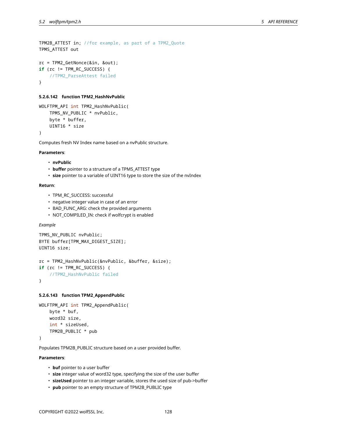```
TPM2B_ATTEST in; //for example, as part of a TPM2_Quote
TPMS_ATTEST out
rc = TPM2_GetNonce(&in, &out);
if (rc != TPM_RC_SUCCESS) {
    //TPM2_ParseAttest failed
```
}

#### **5.2.6.142 function TPM2\_HashNvPublic**

```
WOLFTPM_API int TPM2_HashNvPublic(
    TPMS_NV_PUBLIC * nvPublic,
    byte * buffer,
    UINT16 * size
)
```
Computes fresh NV Index name based on a nvPublic structure.

#### **Parameters**:

- **nvPublic**
- **buffer** pointer to a structure of a TPMS\_ATTEST type
- **size** pointer to a variable of UINT16 type to store the size of the nvIndex

#### **Return**:

- TPM\_RC\_SUCCESS: successful
- negative integer value in case of an error
- BAD\_FUNC\_ARG: check the provided arguments
- NOT\_COMPILED\_IN: check if wolfcrypt is enabled

#### *Example*

```
TPMS_NV_PUBLIC nvPublic;
BYTE buffer[TPM_MAX_DIGEST_SIZE];
UINT16 size;
```

```
rc = TPM2_HashNvPublic(&nvPublic, &buffer, &size);
if (rc != TPM_RC_SUCCESS) {
    //TPM2_HashNvPublic failed
}
```
## **5.2.6.143 function TPM2\_AppendPublic**

```
WOLFTPM_API int TPM2_AppendPublic(
   byte * buf,
   word32 size,
    int * sizeUsed,
    TPM2B_PUBLIC * pub
```
)

Populates TPM2B\_PUBLIC structure based on a user provided buffer.

## **Parameters**:

- **buf** pointer to a user buffer
- **size** integer value of word32 type, specifying the size of the user buffer
- **sizeUsed** pointer to an integer variable, stores the used size of pub->buffer
- **pub** pointer to an empty structure of TPM2B\_PUBLIC type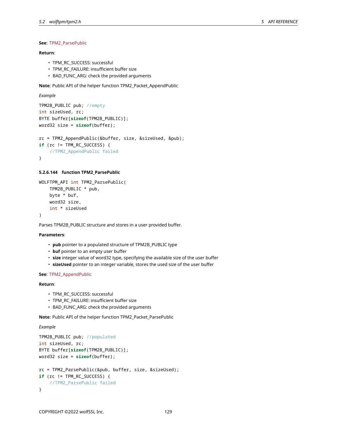## **See**: TPM2\_ParsePublic

# **Return**:

- TPM\_RC\_SUCCESS: successful
- TPM\_RC\_FAILURE: insufficient buffer size
- BAD\_FUNC\_ARG: check the provided arguments

**Note**: Public API of the helper function TPM2\_Packet\_AppendPublic

```
Example
```

```
TPM2B_PUBLIC pub; //empty
int sizeUsed, rc;
BYTE buffer[sizeof(TPM2B_PUBLIC)];
word32 size = sizeof(buffer);
rc = TPM2_AppendPublic(&buffer, size, &sizeUsed, &pub);
if (rc != TPM_RC_SUCCESS) {
    //TPM2_AppendPublic failed
}
```
## **5.2.6.144 function TPM2\_ParsePublic**

```
WOLFTPM_API int TPM2_ParsePublic(
    TPM2B_PUBLIC * pub,
    byte * buf,
    word32 size,
    int * sizeUsed
)
```
Parses TPM2B\_PUBLIC structure and stores in a user provided buffer.

#### **Parameters**:

- **pub** pointer to a populated structure of TPM2B\_PUBLIC type
- **buf** pointer to an empty user buffer
- **size** integer value of word32 type, specifying the available size of the user buffer
- **sizeUsed** pointer to an integer variable, stores the used size of the user buffer

#### **See**: TPM2\_AppendPublic

# **Return**:

- TPM\_RC\_SUCCESS: successful
- TPM\_RC\_FAILURE: insufficient buffer size
- BAD\_FUNC\_ARG: check the provided arguments

**Note**: Public API of the helper function TPM2\_Packet\_ParsePublic

## *Example*

```
TPM2B_PUBLIC pub; //populated
int sizeUsed, rc;
BYTE buffer[sizeof(TPM2B_PUBLIC)];
word32 size = sizeof(buffer);
rc = TPM2_ParsePublic(&pub, buffer, size, &sizeUsed);
if (rc != TPM_RC_SUCCESS) {
    //TPM2_ParsePublic failed
}
```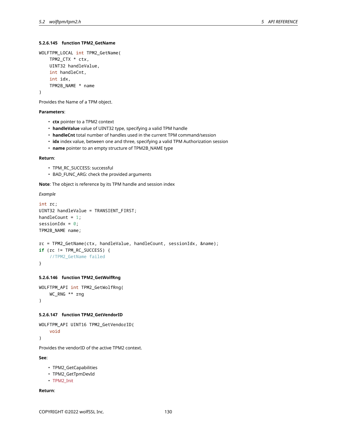## **5.2.6.145 function TPM2\_GetName**

```
WOLFTPM_LOCAL int TPM2_GetName(
    TPM2_CTX * ctx,
    UINT32 handleValue,
    int handleCnt,
    int idx,
    TPM2B_NAME * name
)
```
Provides the Name of a TPM object.

## **Parameters**:

- **ctx** pointer to a TPM2 context
- **handleValue** value of UINT32 type, specifying a valid TPM handle
- **handleCnt** total number of handles used in the current TPM command/session
- **idx** index value, between one and three, specifying a valid TPM Authorization session
- **name** pointer to an empty structure of TPM2B\_NAME type

#### **Return**:

- TPM\_RC\_SUCCESS: successful
- BAD\_FUNC\_ARG: check the provided arguments

**Note**: The object is reference by its TPM handle and session index

*Example*

```
int rc;
UINT32 handleValue = TRANSIENT_FIRST;
handleCount = 1;
sessionIdx = 0;
TPM2B_NAME name;
```

```
rc = TPM2_GetName(ctx, handleValue, handleCount, sessionIdx, &name);
if (rc != TPM_RC_SUCCESS) {
    //TPM2_GetName failed
```
}

#### **5.2.6.146 function TPM2\_GetWolfRng**

```
WOLFTPM_API int TPM2_GetWolfRng(
    WC_RNG ** rng
)
```
#### **5.2.6.147 function TPM2\_GetVendorID**

```
WOLFTPM_API UINT16 TPM2_GetVendorID(
    void
)
```
Provides the vendorID of the active TPM2 context.

**See**:

- TPM2\_GetCapabilities
- TPM2\_GetTpmDevId
- TPM2\_Init

**Return**: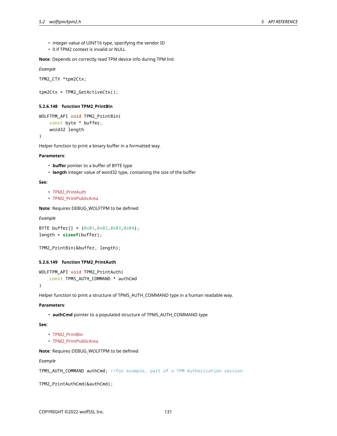- integer value of UINT16 type, specifying the vendor ID
- 0 if TPM2 context is invalid or NULL

**Note**: Depends on correctly read TPM device info during TPM Init

*Example*

```
TPM2_CTX *tpm2Ctx;
```
tpm2Ctx = TPM2\_GetActiveCtx();

## **5.2.6.148 function TPM2\_PrintBin**

```
WOLFTPM_API void TPM2_PrintBin(
    const byte * buffer,
    word32 length
```
)

Helper function to print a binary buffer in a formatted way.

## **Parameters**:

- **buffer** pointer to a buffer of BYTE type
- **length** integer value of word32 type, containing the size of the buffer

## **See**:

- TPM2\_PrintAuth
- TPM2\_PrintPublicArea

**Note**: Requires DEBUG\_WOLFTPM to be defined

*Example*

```
BYTE buffer[] = {0x01,0x02,0x03,0x04};
length = sizeof(buffer);
```

```
TPM2_PrintBin(&buffer, length);
```
## **5.2.6.149 function TPM2\_PrintAuth**

```
WOLFTPM_API void TPM2_PrintAuth(
    const TPMS_AUTH_COMMAND * authCmd
```
)

Helper function to print a structure of TPMS\_AUTH\_COMMAND type in a human readable way.

# **Parameters**:

• **authCmd** pointer to a populated structure of TPMS\_AUTH\_COMMAND type

**See**:

- TPM2\_PrintBin
- TPM2\_PrintPublicArea

# **Note**: Requires DEBUG\_WOLFTPM to be defined

*Example*

```
TPMS_AUTH_COMMAND authCmd; //for example, part of a TPM Authorization session
```
TPM2\_PrintAuthCmd(&authCmd);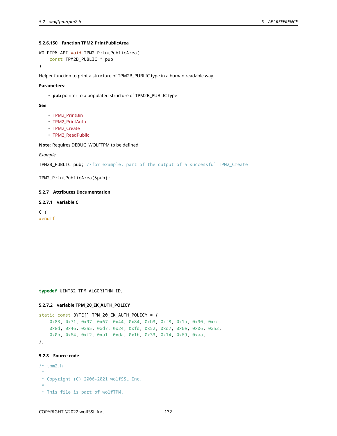## **5.2.6.150 function TPM2\_PrintPublicArea**

```
WOLFTPM_API void TPM2_PrintPublicArea(
    const TPM2B_PUBLIC * pub
)
```
Helper function to print a structure of TPM2B\_PUBLIC type in a human readable way.

### **Parameters**:

• **pub** pointer to a populated structure of TPM2B\_PUBLIC type

#### **See**:

- TPM2\_PrintBin
- TPM2\_PrintAuth
- TPM2\_Create
- TPM2\_ReadPublic

**Note**: Requires DEBUG\_WOLFTPM to be defined

## *Example*

TPM2B\_PUBLIC pub; //for example, part of the output of a successful TPM2\_Create

TPM2\_PrintPublicArea(&pub);

## **5.2.7 Attributes Documentation**

## **5.2.7.1 variable C**

```
C \{#endif
```
**typedef** UINT32 TPM\_ALGORITHM\_ID;

### **5.2.7.2 variable TPM\_20\_EK\_AUTH\_POLICY**

```
static const BYTE[] TPM_20_EK_AUTH_POLICY = {
    0x83, 0x71, 0x97, 0x67, 0x44, 0x84, 0xb3, 0xf8, 0x1a, 0x90, 0xcc,
    0x8d, 0x46, 0xa5, 0xd7, 0x24, 0xfd, 0x52, 0xd7, 0x6e, 0x06, 0x52,
    0x0b, 0x64, 0xf2, 0xa1, 0xda, 0x1b, 0x33, 0x14, 0x69, 0xaa,
};
```
# **5.2.8 Source code**

- /\* tpm2.h
- \* \* Copyright (C) 2006-2021 wolfSSL Inc.
- \*
- \* This file is part of wolfTPM.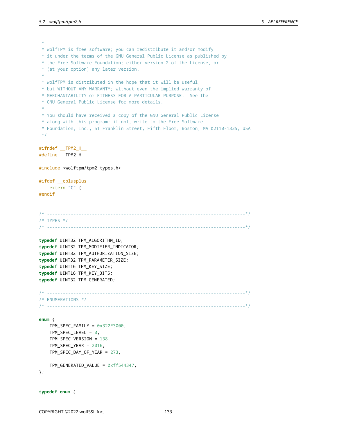\* \* wolfTPM is free software; you can redistribute it and/or modify \* it under the terms of the GNU General Public License as published by \* the Free Software Foundation; either version 2 of the License, or \* (at your option) any later version. \* \* wolfTPM is distributed in the hope that it will be useful, \* but WITHOUT ANY WARRANTY; without even the implied warranty of \* MERCHANTABILITY or FITNESS FOR A PARTICULAR PURPOSE. See the \* GNU General Public License for more details. \* \* You should have received a copy of the GNU General Public License \* along with this program; if not, write to the Free Software \* Foundation, Inc., 51 Franklin Street, Fifth Floor, Boston, MA 02110-1335, USA \*/ #ifndef \_\_TPM2\_H\_\_ #define \_\_TPM2\_H\_\_ #include <wolftpm/tpm2\_types.h> #ifdef \_\_cplusplus extern "C" { #endif /\* ---------------------------------------------------------------------------\*/ /\* TYPES \*/ /\* ---------------------------------------------------------------------------\*/ **typedef** UINT32 TPM\_ALGORITHM\_ID; **typedef** UINT32 TPM\_MODIFIER\_INDICATOR; **typedef** UINT32 TPM\_AUTHORIZATION\_SIZE; **typedef** UINT32 TPM\_PARAMETER\_SIZE; **typedef** UINT16 TPM\_KEY\_SIZE; **typedef** UINT16 TPM\_KEY\_BITS; **typedef** UINT32 TPM\_GENERATED; /\* ---------------------------------------------------------------------------\*/ /\* ENUMERATIONS \*/ /\* ---------------------------------------------------------------------------\*/ **enum** { TPM\_SPEC\_FAMILY = 0x322E3000, TPM\_SPEC\_LEVEL =  $\varnothing$ , TPM\_SPEC\_VERSION = 138, TPM\_SPEC\_YEAR = 2016, TPM\_SPEC\_DAY\_OF\_YEAR = 273, TPM\_GENERATED\_VALUE = 0xff544347, };

```
typedef enum {
```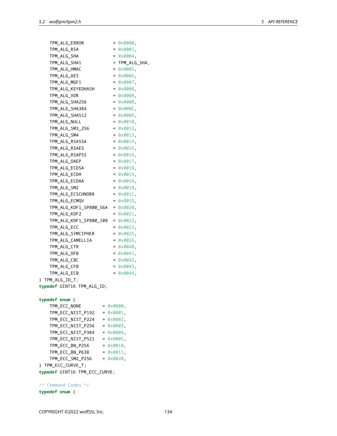| TPM_ALG_ERROR                         |                   | = 0x0000,           |
|---------------------------------------|-------------------|---------------------|
| TPM_ALG_RSA                           |                   | = 0x0001.           |
| TPM_ALG_SHA                           |                   | = 0x0004.           |
| TPM ALG SHA1                          |                   | = TPM_ALG_SHA,      |
| TPM_ALG_HMAC                          |                   | $= 0 \times 0005$   |
| TPM_ALG_AES                           |                   | $= 0 \times 0006$ . |
| TPM ALG MGF1                          |                   | $= 0 \times 0007$ . |
| TPM_ALG_KEYEDHASH                     |                   | $= 0 \times 0008$   |
| TPM ALG XOR                           |                   | = 0x000A,           |
| TPM_ALG_SHA256                        |                   | = 0x000B,           |
| TPM_ALG_SHA384                        |                   | = 0x000C.           |
| TPM_ALG_SHA512                        |                   | = 0x000D.           |
| TPM_ALG_NULL                          |                   | = 0x0010.           |
| TPM_ALG_SM3_256                       |                   | = 0x0012.           |
| TPM_ALG_SM4                           |                   | = 0x0013.           |
| TPM_ALG_RSASSA                        |                   | = 0x0014.           |
| TPM_ALG_RSAES                         |                   | = 0x0015.           |
| TPM_ALG_RSAPSS                        |                   | $= 0 \times 0016$ . |
| TPM_ALG_OAEP                          |                   | = 0x0017,           |
| TPM_ALG_ECDSA                         |                   | = 0x0018,           |
| TPM_ALG_ECDH                          |                   | = 0x0019,           |
| TPM_ALG_ECDAA                         |                   | = 0x001A.           |
| TPM_ALG_SM2                           |                   | = 0x001B.           |
| TPM_ALG_ECSCHNORR                     |                   | $= 0 \times 001C$ . |
| TPM_ALG_ECMQV                         |                   | = 0x001D.           |
| TPM_ALG_KDF1_SP800_56A                |                   | $= 0 \times 0020$   |
| TPM_ALG_KDF2                          |                   | = 0x0021,           |
| TPM_ALG_KDF1_SP800_108                |                   | $= 0 \times 0022$ , |
| TPM_ALG_ECC                           |                   | = 0x0023,           |
| TPM_ALG_SYMCIPHER                     |                   | $= 0 \times 0025$   |
| TPM_ALG_CAMELLIA                      |                   | $= 0 \times 0026$ , |
| TPM_ALG_CTR                           |                   | $= 0 \times 0040$ . |
| TPM ALG OFB                           |                   | $= 0 \times 0041$ . |
| TPM ALG CBC                           |                   | $= 0 \times 0042$   |
| TPM_ALG_CFB                           |                   | $= 0 \times 0043$ . |
| TPM_ALG_ECB                           |                   | $= 0 \times 0044$ . |
| } TPM_ALG_ID_T;                       |                   |                     |
| typedef UINT16 TPM_ALG_ID;            |                   |                     |
| typedef enum {                        |                   |                     |
| TPM_ECC_NONE                          | $= 0 \times 0000$ |                     |
| TPM_ECC_NIST_P192 = 0x0001,           |                   |                     |
| TPM ECC NIST P224 = 0x0002,           |                   |                     |
| TPM_ECC_NIST_P256 = $0 \times 0003$ , |                   |                     |
| TPM_ECC_NIST_P384 = 0x0004,           |                   |                     |
| TPM_ECC_NIST_P521 = 0x0005,           |                   |                     |

**typedef** UINT16 TPM\_ECC\_CURVE;

} TPM\_ECC\_CURVE\_T;

/\* Command Codes \*/ **typedef enum** {

 $TPM\_ECC\_BN\_P256$  =  $0 \times 0010$ ,  $TPM\_ECC\_BN\_P638$  =  $0 \times 0011$ , TPM\_ECC\_SM2\_P256 = 0x0020,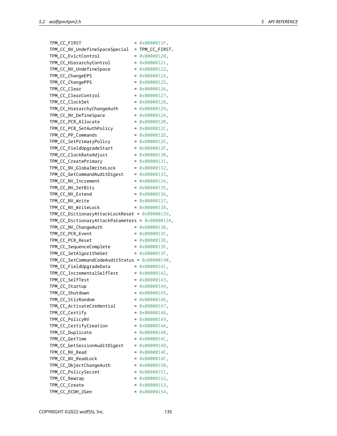| TPM_CC_FIRST                                    |          | 0x0000011F,                                    |
|-------------------------------------------------|----------|------------------------------------------------|
| TPM_CC_NV_UndefineSpaceSpecial                  | $=$      | TPM_CC_FIRST,                                  |
| TPM_CC_EvictControl                             | $=$      | 0x00000120,                                    |
| TPM_CC_HierarchyControl                         | $\equiv$ | 0x00000121,                                    |
| TPM_CC_NV_UndefineSpace                         | $\equiv$ | 0x00000122,                                    |
| TPM_CC_ChangeEPS                                | $\equiv$ | 0x00000124,                                    |
| TPM_CC_ChangePPS                                | $\equiv$ | 0x00000125,                                    |
| TPM_CC_Clear                                    | $\equiv$ | 0x00000126,                                    |
| TPM_CC_ClearControl                             | $\equiv$ | 0x00000127,                                    |
| TPM_CC_ClockSet                                 |          | 0x00000128,                                    |
| TPM_CC_HierarchyChangeAuth                      |          | $= 0 \times 00000129$                          |
| TPM_CC_NV_DefineSpace                           | $\equiv$ | 0x0000012A,                                    |
| TPM_CC_PCR_Allocate                             | $\equiv$ | 0x0000012B,                                    |
| TPM_CC_PCR_SetAuthPolicy                        |          | $= 0 \times 0000012C,$                         |
| TPM_CC_PP_Commands                              | $\equiv$ | 0x0000012D,                                    |
| TPM_CC_SetPrimaryPolicy                         |          | $= 0 \times 0000012E$                          |
| TPM_CC_FieldUpgradeStart                        |          | $= 0 \times 0000012F$                          |
| TPM_CC_ClockRateAdjust                          |          | $= 0 \times 00000130$                          |
| TPM_CC_CreatePrimary                            |          | $= 0 \times 00000131$ ,                        |
| TPM_CC_NV_GlobalWriteLock                       |          | $= 0 \times 00000132$                          |
| TPM_CC_GetCommandAuditDigest                    |          | $= 0 \times 00000133$                          |
| TPM_CC_NV_Increment                             |          | $= 0 \times 00000134$                          |
| TPM_CC_NV_SetBits                               |          | $= 0 \times 00000135$                          |
| TPM_CC_NV_Extend                                |          | $= 0 \times 00000136$ .                        |
| TPM_CC_NV_Write                                 |          | $= 0 \times 00000137$                          |
| TPM_CC_NV_WriteLock                             |          | $= 0 \times 00000138$                          |
| TPM_CC_DictionaryAttackLockReset = 0x00000139,  |          |                                                |
| TPM_CC_DictionaryAttackParameters = 0x0000013A, |          |                                                |
| TPM_CC_NV_ChangeAuth                            | $=$      | 0x0000013B,                                    |
| TPM_CC_PCR_Event                                |          | $= 0 \times 0000013C$                          |
| TPM_CC_PCR_Reset                                |          | $= 0 \times 0000013D$                          |
| TPM_CC_SequenceComplete                         |          | $= 0 \times 0000013E$                          |
| TPM_CC_SetAlgorithmSet                          |          | = 0x0000013F.                                  |
| TPM_CC_SetCommandCodeAuditStatus = 0x00000140,  |          |                                                |
| TPM_CC_FieldUpgradeData                         |          | $= 0 \times 00000141$                          |
| TPM_CC_IncrementalSelfTest                      | $=$      | 0x00000142,                                    |
| TPM_CC_SelfTest                                 |          | $= 0 \times 00000143$ ,                        |
| TPM_CC_Startup                                  |          | $= 0 \times 00000144$                          |
| TPM_CC_Shutdown                                 |          | $= 0 \times 00000145$                          |
| TPM_CC_StirRandom                               |          | $= 0 \times 00000146$                          |
| TPM_CC_ActivateCredential                       |          | $= 0 \times 00000147$                          |
| TPM_CC_Certify                                  |          | $= 0 \times 00000148$                          |
| TPM_CC_PolicyNV                                 |          | $= 0 \times 00000149$                          |
| TPM_CC_CertifyCreation                          |          | $= 0 \times 0000014A$                          |
| TPM_CC_Duplicate                                |          | $= 0 \times 0000014B$                          |
| TPM_CC_GetTime                                  |          | $= 0 \times 0000014C$                          |
| TPM_CC_GetSessionAuditDigest                    |          | $= 0 \times 0000014D$                          |
| TPM_CC_NV_Read                                  |          | $= 0 \times 0000014E$                          |
| TPM_CC_NV_ReadLock                              |          | $= 0 \times 0000014F$ ,                        |
| TPM_CC_ObjectChangeAuth                         |          |                                                |
|                                                 |          |                                                |
|                                                 |          | $= 0 \times 00000150$ ,                        |
| TPM_CC_PolicySecret                             |          | $= 0 \times 00000151$                          |
| TPM_CC_Rewrap                                   |          | = 0x00000152,                                  |
| TPM_CC_Create<br>TPM_CC_ECDH_ZGen               |          | $= 0 \times 00000153$<br>$= 0 \times 00000154$ |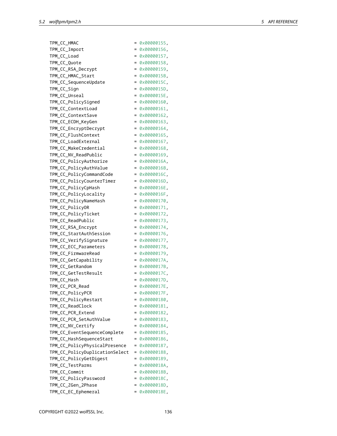| TPM_CC_HMAC                    | $=$ | 0x00000155,             |
|--------------------------------|-----|-------------------------|
| TPM_CC_Import                  | $=$ | 0x00000156.             |
| TPM_CC_Load                    | $=$ | 0x00000157,             |
| TPM_CC_Quote                   | $=$ | 0x00000158,             |
| TPM_CC_RSA_Decrypt             | $=$ | 0x00000159,             |
| TPM_CC_HMAC_Start              | $=$ | 0x0000015B.             |
| TPM_CC_SequenceUpdate          | $=$ | 0x0000015C,             |
| TPM_CC_Sign                    | $=$ | 0x0000015D.             |
| TPM_CC_Unseal                  | $=$ | 0x0000015E,             |
| TPM_CC_PolicySigned            | $=$ | 0x00000160,             |
| TPM_CC_ContextLoad             | $=$ | 0x00000161.             |
| TPM_CC_ContextSave             | $=$ | 0x00000162,             |
| TPM_CC_ECDH_KeyGen             | $=$ | 0x00000163,             |
| TPM_CC_EncryptDecrypt          | $=$ | 0x00000164,             |
| TPM_CC_FlushContext            | $=$ | 0x00000165,             |
|                                | $=$ | 0x00000167,             |
| TPM_CC_LoadExternal            |     | 0x00000168.             |
| TPM_CC_MakeCredential          | $=$ |                         |
| TPM_CC_NV_ReadPublic           | $=$ | 0x00000169.             |
| TPM_CC_PolicyAuthorize         |     | $= 0 \times 0000016$ A, |
| TPM_CC_PolicyAuthValue         |     | $= 0 \times 0000016B$   |
| TPM_CC_PolicyCommandCode       |     | = 0x0000016C.           |
| TPM_CC_PolicyCounterTimer      | $=$ | 0x0000016D.             |
| TPM_CC_PolicyCpHash            |     | $= 0 \times 0000016E$   |
| TPM_CC_PolicyLocality          |     | $= 0 \times 0000016F$ . |
| TPM_CC_PolicyNameHash          |     | $= 0 \times 00000170.$  |
| TPM_CC_PolicyOR                |     | $= 0 \times 00000171.$  |
| TPM_CC_PolicyTicket            |     | $= 0 \times 00000172$   |
| TPM_CC_ReadPublic              |     | $= 0 \times 00000173$   |
| TPM_CC_RSA_Encrypt             |     | $= 0 \times 00000174$   |
| TPM_CC_StartAuthSession        |     | $= 0 \times 00000176$   |
| TPM_CC_VerifySignature         |     | $= 0 \times 00000177$   |
| TPM_CC_ECC_Parameters          |     | $= 0 \times 00000178$ . |
| TPM_CC_FirmwareRead            |     | $= 0 \times 00000179$   |
| TPM_CC_GetCapability           |     | $= 0 \times 0000017A.$  |
| TPM_CC_GetRandom               |     | $= 0 \times 0000017B$   |
| TPM_CC_GetTestResult           |     | $= 0 \times 0000017C$   |
| TPM_CC_Hash                    |     | = 0x0000017D,           |
| TPM_CC_PCR_Read                |     | $= 0 \times 0000017E$   |
| TPM_CC_PolicyPCR               |     | = 0x0000017F,           |
| TPM_CC_PolicyRestart           |     | $= 0 \times 00000180$   |
| TPM_CC_ReadClock               |     | $= 0 \times 00000181$   |
| TPM_CC_PCR_Extend              |     | $= 0 \times 00000182$   |
| TPM_CC_PCR_SetAuthValue        |     | $= 0 \times 00000183$   |
| TPM_CC_NV_Certify              |     | $= 0 \times 00000184$   |
| TPM_CC_EventSequenceComplete   |     | = 0x00000185,           |
| TPM_CC_HashSequenceStart       |     | $= 0 \times 00000186$   |
| TPM_CC_PolicyPhysicalPresence  |     | $= 0 \times 00000187$   |
| TPM_CC_PolicyDuplicationSelect |     | $= 0 \times 00000188$   |
| TPM_CC_PolicyGetDigest         |     | $= 0 \times 00000189$   |
| TPM_CC_TestParms               |     | $= 0 \times 0000018A$   |
| TPM_CC_Commit                  |     | $= 0 \times 0000018B$   |
| TPM_CC_PolicyPassword          |     | $= 0 \times 0000018C$   |
| TPM_CC_ZGen_2Phase             |     | $= 0 \times 0000018D$   |
| TPM_CC_EC_Ephemeral            |     | $= 0 \times 0000018E,$  |
|                                |     |                         |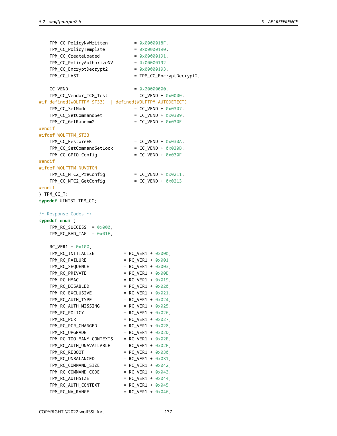| TPM_CC_PolicyNvWritten                                   | $= 0 \times 0000018F$         |
|----------------------------------------------------------|-------------------------------|
| TPM_CC_PolicyTemplate                                    | $= 0 \times 00000190$         |
| TPM_CC_CreateLoaded                                      | $= 0 \times 00000191$         |
| TPM_CC_PolicyAuthorizeNV                                 | $= 0 \times 000000192$        |
| TPM_CC_EncryptDecrypt2                                   | $= 0 \times 00000193$         |
| TPM_CC_LAST                                              | = TPM_CC_EncryptDecrypt2,     |
|                                                          |                               |
| CC_VEND                                                  | $= 0 \times 200000000$        |
| TPM_CC_Vendor_TCG_Test                                   | = $CC_VEND + 0 \times 0000,$  |
|                                                          |                               |
| #if defined(WOLFTPM_ST33)    defined(WOLFTPM_AUTODETECT) |                               |
| TPM_CC_SetMode                                           | = $CC_VEND + 0 \times 0307$ , |
| TPM_CC_SetCommandSet                                     | = $CC_VEND + 0 \times 0309$ , |
| TPM_CC_GetRandom2                                        | = $CC_VEND + 0 \times 030E$ , |
| #endif                                                   |                               |
| #ifdef WOLFTPM_ST33                                      |                               |
| TPM_CC_RestoreEK                                         | = $CC_VEND + 0 \times 030A$ , |
| TPM_CC_SetCommandSetLock                                 | = $CC_VEND + 0 \times 030B$ , |
| TPM_CC_GPIO_Config                                       | = $CC_VEND + 0 \times 030F$ , |
| #endif                                                   |                               |
| #ifdef WOLFTPM_NUVOTON                                   |                               |
| TPM_CC_NTC2_PreConfig                                    | = $CC_VEND + 0 \times 0211$ , |
| TPM_CC_NTC2_GetConfig                                    | = $CC_VEND + 0 \times 0213$ , |
| #endif                                                   |                               |
| } TPM_CC_T;                                              |                               |
|                                                          |                               |
| typedef UINT32 TPM_CC;                                   |                               |
|                                                          |                               |
| /* Response Codes */                                     |                               |
| typedef enum {                                           |                               |
| $TPM_RC_SUCCES = 0 \times 000$ ,                         |                               |
| $TPM_RC_BAD_TAG = 0 \times 01E$ ,                        |                               |
|                                                          |                               |
| $RC_VER1 = 0 \times 100$ ,                               |                               |
| TPM_RC_INITIALIZE                                        | = $RC_VER1 + 0 \times 000$ ,  |
| TPM_RC_FAILURE                                           | = $RC_VER1 + 0 \times 001$ ,  |
| TPM_RC_SEQUENCE                                          | = $RC_VER1 + 0 \times 003$ ,  |
| TPM_RC_PRIVATE                                           | = $RC_VER1 + 0 \times 00B$ ,  |
| TPM_RC_HMAC                                              | = $RC_VER1 + 0 \times 019$ ,  |
| TPM_RC_DISABLED                                          | = $RC_VER1 + 0 \times 020$ ,  |
| TPM_RC_EXCLUSIVE                                         | = $RC_VER1 + 0 \times 021$ ,  |
| TPM RC_AUTH_TYPE                                         | = $RC_VER1 + 0 \times 024$ ,  |
| TPM_RC_AUTH_MISSING                                      | = $RC_VER1 + 0 \times 025$ ,  |
| TPM_RC_POLICY                                            | = $RC_VER1 + 0 \times 026$ ,  |
| TPM_RC_PCR                                               | = RC VER1 + $0 \times 027$ ,  |
| TPM RC PCR CHANGED                                       | = $RC_VER1 + 0 \times 028$ ,  |
| TPM_RC_UPGRADE                                           | = $RC_VER1 + 0 \times 02D$ ,  |
| TPM_RC_TOO_MANY_CONTEXTS                                 | = $RC_VER1 + 0 \times 02E$ ,  |
| TPM_RC_AUTH_UNAVAILABLE                                  | = $RC_VER1 + 0 \times 02F$ ,  |
| TPM_RC_REBOOT                                            | = $RC_VER1 + 0 \times 030$ ,  |
| TPM_RC_UNBALANCED                                        | = $RC_VER1 + 0 \times 031$ ,  |
| TPM_RC_COMMAND_SIZE                                      | = $RC_VER1 + 0 \times 042$ ,  |
| TPM RC_COMMAND_CODE                                      | = $RC_VER1 + 0 \times 043$ ,  |
| TPM_RC_AUTHSIZE                                          |                               |
|                                                          | = $RC_VER1 + 0 \times 044$ ,  |
| TPM_RC_AUTH_CONTEXT                                      | = $RC_VER1 + 0 \times 045$ ,  |
| TPM_RC_NV_RANGE                                          | = $RC_VER1 + 0 \times 046$ ,  |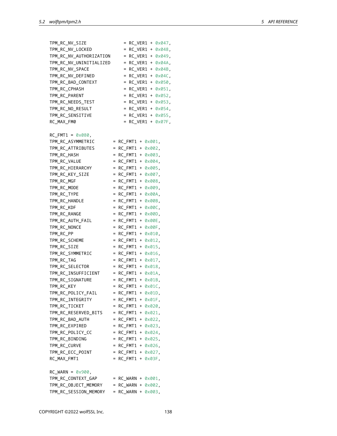| TPM_RC_NV_SIZE                    |           |                              |  |  | = $RC_VER1 + 0 \times 047$ , |  |
|-----------------------------------|-----------|------------------------------|--|--|------------------------------|--|
| TPM_RC_NV_LOCKED                  |           | $=$                          |  |  | RC_VER1 + 0x048,             |  |
| TPM_RC_NV_AUTHORIZATION           |           | $=$                          |  |  | RC_VER1 + 0x049,             |  |
| TPM_RC_NV_UNINITIALIZED           |           | $=$                          |  |  | RC_VER1 + 0x04A,             |  |
| TPM_RC_NV_SPACE                   |           | $=$                          |  |  | $RC_VER1 + 0 \times 04B$ ,   |  |
| TPM_RC_NV_DEFINED                 |           | $=$                          |  |  | $RC_VER1 + 0 \times 04C$ ,   |  |
| TPM_RC_BAD_CONTEXT                |           | $=$                          |  |  | RC_VER1 + 0x050,             |  |
| TPM_RC_CPHASH                     |           | $=$                          |  |  | RC_VER1 + 0x051,             |  |
| TPM RC PARENT                     |           | $=$                          |  |  | RC_VER1 + 0x052,             |  |
| TPM_RC_NEEDS_TEST                 |           |                              |  |  | = $RC_VER1 + 0 \times 053$ , |  |
| TPM_RC_NO_RESULT                  |           |                              |  |  | = $RC_VER1 + 0 \times 054$ , |  |
| TPM_RC_SENSITIVE                  |           |                              |  |  | = $RC_VER1 + 0 \times 055$ , |  |
| RC_MAX_FM0                        |           |                              |  |  | = $RC_VER1 + 0 \times 07F$ , |  |
|                                   |           |                              |  |  |                              |  |
| $RC_FMT1 = 0 \times 080$ ,        |           |                              |  |  |                              |  |
| TPM RC ASYMMETRIC                 | $\equiv$  | $RC$ FMT1 + $0 \times 001$ , |  |  |                              |  |
| TPM RC ATTRIBUTES                 | $=$       | RC FMT1 + $0 \times 002$ ,   |  |  |                              |  |
| TPM RC HASH                       | $=$       | RC FMT1 + 0x003,             |  |  |                              |  |
| TPM_RC_VALUE                      | $=$       | $RC_FMT1 + 0 \times 004$ ,   |  |  |                              |  |
| TPM RC HIERARCHY                  | $=$       | $RC_FMT1 + 0 \times 005$ ,   |  |  |                              |  |
| TPM RC KEY SIZE                   | $=$       | $RC_FMT1 + 0 \times 007$ ,   |  |  |                              |  |
| TPM_RC_MGF                        | $=$       | RC FMT1 + $0 \times 008$ ,   |  |  |                              |  |
| TPM RC MODE                       | $=$       | RC_FMT1 + 0x009,             |  |  |                              |  |
| TPM_RC_TYPE                       | $=$       | RC FMT1 + $0 \times 00A$ .   |  |  |                              |  |
| TPM_RC_HANDLE                     | $=$       | RC FMT1 + $0 \times 00B$ ,   |  |  |                              |  |
| TPM_RC_KDF                        | $=$       | RC FMT1 + $0 \times 00C$ ,   |  |  |                              |  |
| TPM_RC_RANGE                      | $=$       | $RC_FMT1 + 0 \times 00D$ ,   |  |  |                              |  |
| TPM RC AUTH FAIL                  | $\quad =$ | $RC_FMT1 + 0 \times 00E$ ,   |  |  |                              |  |
| TPM RC_NONCE                      | $=$       | $RC_FMT1 + 0 \times 00F$ ,   |  |  |                              |  |
| TPM_RC_PP                         | $=$       | $RC_FMT1 + 0 \times 010$ ,   |  |  |                              |  |
| TPM_RC_SCHEME                     | $=$       | $RC_FMT1 + 0 \times 012$ ,   |  |  |                              |  |
| TPM_RC_SIZE                       | $=$       | $RC_FMT1 + 0 \times 015$ ,   |  |  |                              |  |
| TPM_RC_SYMMETRIC                  |           | = $RC_FMT1 + 0 \times 016$ , |  |  |                              |  |
| TPM_RC_TAG                        |           | = $RC_FMT1 + 0 \times 017$ , |  |  |                              |  |
| TPM_RC_SELECTOR                   |           | = $RC_FMT1 + 0 \times 018$ , |  |  |                              |  |
| TPM_RC_INSUFFICIENT               |           | = $RC_FMT1 + 0 \times 01A$ , |  |  |                              |  |
| TPM_RC_SIGNATURE                  |           | = $RC_FMT1 + 0 \times 01B$ , |  |  |                              |  |
| TPM_RC_KEY                        |           | = $RC_FMT1 + 0 \times 01C$ , |  |  |                              |  |
|                                   |           |                              |  |  |                              |  |
| TPM_RC_POLICY_FAIL                |           | = $RC_FMT1 + 0 \times 01D$ , |  |  |                              |  |
| TPM_RC_INTEGRITY<br>TPM_RC_TICKET |           | = $RC_FMT1 + 0 \times 01F$ , |  |  |                              |  |
|                                   |           | = $RC_FMT1 + 0 \times 020$ , |  |  |                              |  |
| TPM_RC_RESERVED_BITS              |           | = $RC_FMT1 + 0 \times 021$ , |  |  |                              |  |
| TPM_RC_BAD_AUTH                   |           | = $RC_FMT1 + 0 \times 022$ , |  |  |                              |  |
| TPM_RC_EXPIRED                    |           | = $RC_FMT1 + 0 \times 023$ , |  |  |                              |  |
| TPM_RC_POLICY_CC                  |           | = $RC_FMT1 + 0 \times 024$ , |  |  |                              |  |
| TPM_RC_BINDING                    |           | = $RC_FMT1 + 0 \times 025$ , |  |  |                              |  |
| TPM_RC_CURVE                      |           | = $RC_FMT1 + 0 \times 026$ , |  |  |                              |  |
| TPM_RC_ECC_POINT                  |           | = $RC_FMT1 + 0 \times 027$ , |  |  |                              |  |
| RC_MAX_FMT1                       |           | = $RC_FMT1 + 0 \times 03F$ , |  |  |                              |  |
| $RC_WARN = 0 \times 900$ ,        |           |                              |  |  |                              |  |
| TPM_RC_CONTEXT_GAP                |           | = $RC_WARN + 0 \times 001$ , |  |  |                              |  |
| TPM_RC_OBJECT_MEMORY              |           | = $RC_WARN + 0 \times 002$ , |  |  |                              |  |
| TPM_RC_SESSION_MEMORY             |           | = RC_WARN + $0 \times 003$ , |  |  |                              |  |
|                                   |           |                              |  |  |                              |  |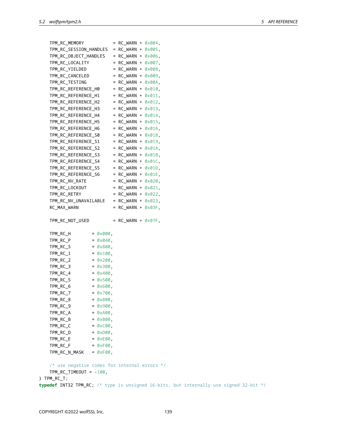| TPM_RC_MEMORY          |                    | $=$ | $RC_WARN + 0 \times 004$ ,   |        |
|------------------------|--------------------|-----|------------------------------|--------|
| TPM_RC_SESSION_HANDLES |                    | $=$ | RC_WARN +                    | 0x005, |
| TPM_RC_OBJECT_HANDLES  |                    | $=$ | RC_WARN + 0x006,             |        |
| TPM_RC_LOCALITY        |                    | $=$ | RC_WARN + 0x007,             |        |
| TPM_RC_YIELDED         |                    | $=$ | RC_WARN + 0x008,             |        |
| TPM_RC_CANCELED        |                    | $=$ | RC_WARN + 0x009,             |        |
| TPM_RC_TESTING         |                    | $=$ | RC_WARN + 0x00A,             |        |
| TPM_RC_REFERENCE_H0    |                    | $=$ | RC_WARN + 0x010,             |        |
| TPM_RC_REFERENCE_H1    |                    | $=$ | RC_WARN + 0x011,             |        |
| TPM_RC_REFERENCE_H2    |                    | $=$ | $RC_WARN + 0 \times 012$ ,   |        |
| TPM_RC_REFERENCE_H3    |                    | $=$ | RC_WARN + 0x013,             |        |
| TPM_RC_REFERENCE_H4    |                    | $=$ | $RC_WARN + 0 \times 014$ ,   |        |
| TPM_RC_REFERENCE_H5    |                    | $=$ | $RC_WARN + 0 \times 015$ ,   |        |
| TPM_RC_REFERENCE_H6    |                    | $=$ | RC_WARN + 0x016,             |        |
| TPM_RC_REFERENCE_S0    |                    | $=$ | RC_WARN +                    | 0x018, |
| TPM_RC_REFERENCE_S1    |                    | $=$ | RC_WARN +                    | 0x019, |
| TPM_RC_REFERENCE_S2    |                    | $=$ | RC_WARN +                    | 0x01A, |
| TPM_RC_REFERENCE_S3    |                    | $=$ | RC_WARN + 0x01B,             |        |
| TPM_RC_REFERENCE_S4    |                    | $=$ | $RC_WARN + 0 \times 01C$ ,   |        |
| TPM_RC_REFERENCE_S5    |                    | $=$ | RC_WARN + 0x01D,             |        |
| TPM_RC_REFERENCE_S6    |                    | $=$ | RC_WARN + 0x01E,             |        |
| TPM_RC_NV_RATE         |                    | $=$ | RC_WARN + 0x020,             |        |
| TPM_RC_LOCKOUT         |                    | $=$ | RC_WARN + 0x021,             |        |
| TPM_RC_RETRY           |                    | $=$ | RC_WARN + 0x022,             |        |
| TPM_RC_NV_UNAVAILABLE  |                    |     | = $RC_MARN + 0 \times 023$ , |        |
| RC_MAX_WARN            |                    | $=$ | $RC_WARN + 0 \times 03F$ ,   |        |
| TPM RC NOT USED        |                    | $=$ | $RC_WARN + 0 \times 07F$ ,   |        |
| TPM_RC_H               | $= 0 \times 000$ , |     |                              |        |
| TPM_RC_P               | $= 0 \times 040$ , |     |                              |        |
| TPM_RC_S               | $= 0 \times 800$ , |     |                              |        |
| TPM_RC_1               | $= 0 \times 100$ , |     |                              |        |
| TPM_RC_2               | $= 0x200$ ,        |     |                              |        |
| TPM_RC_3               | $= 0x300$ ,        |     |                              |        |
| TPM_RC_4               | $= 0 \times 400$ , |     |                              |        |
| TPM_RC_5               | $= 0x500$ ,        |     |                              |        |
| TPM_RC_6               | $= 0 \times 600$ , |     |                              |        |
| TPM_RC_7               | $= 0x700$ ,        |     |                              |        |
| TPM_RC_8               | $= 0 \times 800$ , |     |                              |        |
| TPM RC 9               | $= 0x900$ .        |     |                              |        |

 $TPM_RC_9$  = 0x900,  $TPM_RC_A$  =  $0 \times A00$ ,  $TPM_RC_B$  =  $0 \times B00$ ,  $TPM_RC_C$  =  $0 \times C00$ ,  $TPM_RC_D$  =  $0 \times D00$ ,  $TPM_RC_E$  =  $0 \times E00$ ,  $TPM_RC_F$  =  $0 \times F00$ ,  $TPM_RC_N_MASK = 0 \times F00$ ,

/\* use negative codes for internal errors \*/ TPM\_RC\_TIMEOUT = -100, } TPM\_RC\_T; **typedef** INT32 TPM\_RC; /\* type is unsigned 16-bits, but internally use signed 32-bit \*/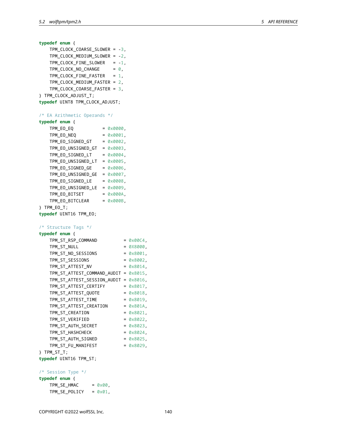```
typedef enum {
   TPM_CLOCK_COARSE_SLOWER = -3,
   TPM_CLOCK_MEDIUM_SLOWER = -2,
   TPM_CLOCK_FINE_SLOWER = -1,
   TPM_CLOCK_NO_CHANGE = 0,
   TPM_CLOCK_FINE_FASTER = 1,
   TPM_CLOCK_MEDIUM_FASTER = 2,
   TPM_CLOCK_COARSE_FASTER = 3,
} TPM_CLOCK_ADJUST_T;
typedef UINT8 TPM_CLOCK_ADJUST;
/* EA Arithmetic Operands */
typedef enum {
   TPM_EO_EQ = 0 \times 0000,
   TPM_EO_NEQ = 0 \times 0001,
   TPM_EO_SIGNED_GT = 0x0002,
   TPM_EO_UNSIGNED_GT = 0x0003,
   TPM_EO_SIGNED_LT = 0 \times 0004,
   TPM_EO_UNSIGNED_LT = 0x0005,
   TPM_EO_SIGNED_GE = 0x0006,
   TPM_EO_UNSIGNED_GE = 0x0007,
   TPM_EO_SIGNED_LE = 0x0008,
   TPM_EO_UNSIGNED_LE = 0x0009,
   TPM_EO_BITSET = 0x000A,
   TPM_EO_BITCLEAR = 0 \times 000B,
} TPM_EO_T;
typedef UINT16 TPM_EO;
/* Structure Tags */
typedef enum {
   TPM_ST_RSP_COMMAND = 0 \times 00C4,
   TPM_ST_NULL = 0X8000,
   TPM_STT_N0_SESSIONS = 0 \times 8001,
   TPM_S T_S ESSIONS = 0 \times 8002,
   TPM_ST_ATTEST_NV = 0 \times 8014,
   TPM_ST_ATTEST_COMMAND_AUDIT = 0x8015,
   TPM_ST_ATTEST_SESSION_AUDIT = 0x8016,
   TPM_ST_ATTEST_CERTIFY = 0x8017,
   TPM_ST_ATTEST_QUOTE = 0 \times 8018,
   TPM_ST_ATTEST_TIME = 0x8019,
   TPM_ST_ATTEST_CREATION = 0x801A,
   TPM ST CREATION = 0 \times 8021,
   TPM_ST_VERIFIED = 0 \times 8022,
   TPM_ST_AUTH_SECRET = 0 \times 8023,
   TPM_ST_HASHCHECK = 0x8024,
   TPM_ST_AUTH_SIGNED = 0x8025,
   TPM_ST_FU_MANIFEST = 0x8029,
} TPM_ST_T;
typedef UINT16 TPM_ST;
/* Session Type */
typedef enum {
   TPM\_SE\_HMAC = 0 \times 00,
   TPM\_SE\_POLICY = 0 \times 01,
```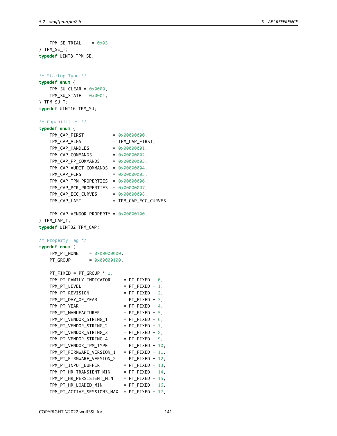```
TPM_SE_TRIAL = 0 \times 03,
} TPM_SE_T;
typedef UINT8 TPM_SE;
/* Startup Type */
typedef enum {
   TPM SU CLEAR = 0 \times 0000,
   TPM_SU_STATE = 0x0001,
} TPM_SU_T;
typedef UINT16 TPM_SU;
/* Capabilities */
typedef enum {
   TPM_CAP_FIRST = 0x00000000,
   TPM_CAP_ALGS = TPM_CAP_FIRST,
   TPM_CAP_HANDLES = 0x00000001,
   TPM_CAP_COMMANDS = 0x00000002,
   TPM_CAP_PP_COMMANDS = 0 \times 00000003,
   TPM_CAP_AUDIT_COMMANDS = 0x00000004,
   TPM_CAP_PCRS = 0x00000005,
   TPM_CAP_TPM_PROPERTIES = 0x00000006,
   TPM_CAP_PCR_PROPERTIES = 0x00000007,
   TPM_CAP\_ECC_CURVES = 0 \times 00000008,
   TPM_CAP_LAST = TPM_CAP_ECC_CURVES,
   TPM_CAP_VENDOR_PROPERTY = 0x00000100,
} TPM_CAP_T;
typedef UINT32 TPM_CAP;
/* Property Tag */
typedef enum {
   TPM_PT_NONE = 0x00000000,
   PT_GROUP = 0 \times 00000100,
   PT_FIXED = PT_GROUP * 1,
   TPM_PT_FAMILY_INDICATOR = PT_FIXED + 0,TPM_PT_LEVEL = PT_FIXED + 1,
   TPM_PT_REVISION = PT_FIXED + 2,
   TPM_PT_DAY_OF_YEAR = PT_FIXED + 3,
   TPM_PT_YEAR = PT_FIXED + 4,
   TPM_PT_MANUFACTURER = PT_FIXED + 5,
   TPM_PT_VENDOR_STRING_1 = PT_FIXED + 6,
   TPM_PT_VENDOR_STRING_2 = PT_FIXED + 7,
   TPM_PT_VENDOR_STRING_3 = PT_FIXED + 8,
   TPM_PT_VENDOR_STRING_4 = PT_FIXED + 9,
   TPM_PT_VENDOR_TPM_TYPE = PT_FIXED + 10,
   TPM_PT_FIRMWARE_VERSION_1 = PT_FIXED + 11,
   TPM_PT_FIRMWARE_VERSION_2 = PT_FIXED + 12,
   TPM_PT_INPUT_BUFFER = PT_FIXED + 13,
   TPM_PT_HR_TRANSIENT_MIN = PT_FIXED + 14,
   TPM_PT_HR_PERSISTENT_MIN = PT_FIXED + 15,
   TPM_PT_HR_LOADED_MIN = PT_FIXED + 16,
   TPM_PT_ACTIVE_SESSIONS_MAX = PT_FIXED + 17,
```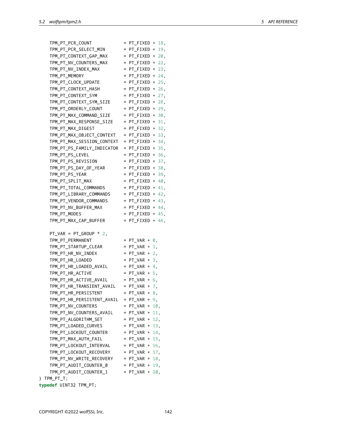| TPM PT PCR COUNT                              | $= PT_FIXED + 18$  |  |
|-----------------------------------------------|--------------------|--|
| $TPM_PTT_PCR\_SELECT_MIN$ = $PT_FIXED + 19$ , |                    |  |
| TPM_PT_CONTEXT_GAP_MAX = PT_FIXED + 20,       |                    |  |
| TPM_PT_NV_COUNTERS_MAX = PT_FIXED + 22,       |                    |  |
| $TPM_PT_NV_INDEX_MAX$ = $PT_FIXED + 23$ ,     |                    |  |
| TPM_PT_MEMORY                                 | $=$ PT FIXED + 24, |  |
| TPM_PT_CLOCK_UPDATE = PT_FIXED + 25,          |                    |  |
| TPM_PT_CONTEXT_HASH = $PT$ _FIXED + 26,       |                    |  |
| TPM PT CONTEXT SYM = PT FIXED + 27,           |                    |  |
| TPM_PT_CONTEXT_SYM_SIZE = PT_FIXED + 28,      |                    |  |
| $TPM_P$ T_ORDERLY_COUNT = $PT_F$ IXED + 29,   |                    |  |
| TPM_PT_MAX_COMMAND_SIZE = $PT$ _FIXED + 30,   |                    |  |
| $TPM_P$ T_MAX_RESPONSE_SIZE = PT_FIXED + 31,  |                    |  |
| TPM PT MAX DIGEST                             | $=$ PT_FIXED + 32, |  |
| TPM PT MAX OBJECT CONTEXT = PT FIXED + 33,    |                    |  |
| TPM PT MAX SESSION CONTEXT = PT FIXED + 34,   |                    |  |
| $TPM Pr_P S_FAMILY_NDICATOR = PT_FIXED + 35,$ |                    |  |
| TPM_PT_PS_LEVEL                               | $=$ PT_FIXED + 36, |  |
| $TPM_P$ T_PS_REVISION = $PT_F$ IXED + 37,     |                    |  |
| $TPM_PT_PS_DAY_OF_YEAR$ = $PT_FIXED + 38$ ,   |                    |  |
| TPM_PT_PS_YEAR                                | $=$ PT FIXED + 39, |  |

| TPM_PT_ORDERLY_COUNT       | $= PT_FIXED + 29,$      |  |
|----------------------------|-------------------------|--|
| TPM_PT_MAX_COMMAND_SIZE    | $= PT_FIXED + 30,$      |  |
| TPM_PT_MAX_RESPONSE_SIZE   | $= PT_FIXED + 31,$      |  |
| TPM_PT_MAX_DIGEST          | $= PT_FIXED + 32,$      |  |
| TPM_PT_MAX_OBJECT_CONTEXT  | $= PT_FIXED + 33,$      |  |
| TPM_PT_MAX_SESSION_CONTEXT | $= PT_FIXED + 34,$      |  |
| TPM_PT_PS_FAMILY_INDICATOR | $= PT_FIXED + 35,$      |  |
| TPM_PT_PS_LEVEL            | $= PT_FIXED + 36,$      |  |
| TPM_PT_PS_REVISION         | $= PT_FIXED + 37,$      |  |
| TPM_PT_PS_DAY_OF_YEAR      | $= PT_FIXED + 38$ ,     |  |
| TPM_PT_PS_YEAR             | $= PT_FIXED + 39,$      |  |
| TPM_PT_SPLIT_MAX           | $= PT_FIXED + 40,$      |  |
| TPM_PT_TOTAL_COMMANDS      | $=$ PT_FIXED + 41,      |  |
| TPM_PT_LIBRARY_COMMANDS    | $= PT_FIXED + 42,$      |  |
| TPM_PT_VENDOR_COMMANDS     | $= PT_FIXED + 43,$      |  |
| TPM_PT_NV_BUFFER_MAX       | $= PT_FIXED + 44,$      |  |
| TPM_PT_MODES               | $= PT_FIXED + 45$ ,     |  |
| TPM_PT_MAX_CAP_BUFFER      | $= PT_FIXED + 46,$      |  |
|                            |                         |  |
| $PT_VAR = PT_GROUP * 2$ ,  |                         |  |
| TPM_PT_PERMANENT           | $= PT_VAR + \emptyset,$ |  |
| TPM_PT_STARTUP_CLEAR       | $= PT_VAR + 1$ ,        |  |
| TPM_PT_HR_NV_INDEX         | $= PT_VAR + 2$ ,        |  |
| TPM_PT_HR_LOADED           | $= PT_VAR + 3,$         |  |
| TPM_PT_HR_LOADED_AVAIL     | $= PT_VAR + 4$ ,        |  |
| TPM_PT_HR_ACTIVE           | $= PT_VAR + 5$ ,        |  |
| TPM_PT_HR_ACTIVE_AVAIL     | $= PT_VAR + 6$ ,        |  |
| TPM_PT_HR_TRANSIENT_AVAIL  | $= PT_VAR + 7,$         |  |
| TPM_PT_HR_PERSISTENT       | $= PT_VAR + 8,$         |  |
| TPM_PT_HR_PERSISTENT_AVAIL | $= PT_VAR + 9,$         |  |
| TPM_PT_NV_COUNTERS         | $= PT_VAR + 10$ ,       |  |
| TPM_PT_NV_COUNTERS_AVAIL   | $= PT_VAR + 11,$        |  |
| TPM_PT_ALGORITHM_SET       | $= PT_VAR + 12,$        |  |
| TPM_PT_LOADED_CURVES       | $= PT_VAR + 13$ ,       |  |
| TPM_PT_LOCKOUT_COUNTER     | $= PT_VAR + 14$ ,       |  |
| TPM_PT_MAX_AUTH_FAIL       | $= PT_VAR + 15$ ,       |  |
| TPM_PT_LOCKOUT_INTERVAL    | $= PT_VAR + 16$ ,       |  |
| TPM_PT_LOCKOUT_RECOVERY    | $= PT_VAR + 17,$        |  |
| TPM_PT_NV_WRITE_RECOVERY   | $= PT_VAR + 18$ ,       |  |
| TPM_PT_AUDIT_COUNTER_0     | $= PT_VAR + 19$ ,       |  |
| TPM_PT_AUDIT_COUNTER_1     | $= PT_VAR + 20$ ,       |  |
| } TPM_PT_T;                |                         |  |
| typedef UINT32 TPM_PT;     |                         |  |
|                            |                         |  |
|                            |                         |  |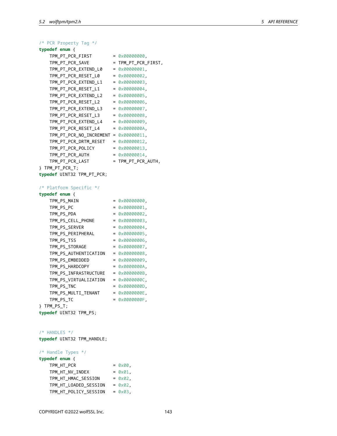| /* PCR Property Tag */                |                        |
|---------------------------------------|------------------------|
| typedef enum {                        |                        |
| TPM_PT_PCR_FIRST                      | $= 0 \times 000000000$ |
| TPM PT PCR SAVE                       | = TPM_PT_PCR_FIRST,    |
| TPM_PT_PCR_EXTEND_L0                  | $= 0 \times 00000001$  |
| TPM_PT_PCR_RESET_L0                   | $= 0 \times 000000002$ |
| TPM PT PCR EXTEND L1                  | $= 0 \times 00000003$  |
| TPM PT PCR RESET L1                   | $= 0 \times 00000004$  |
| TPM PT PCR EXTEND L2                  | $= 0 \times 00000005$  |
| TPM PT PCR RESET L2                   | $= 0 \times 00000006$  |
| TPM_PT_PCR_EXTEND_L3                  | $= 0 \times 000000007$ |
| TPM_PT_PCR_RESET_L3                   | $= 0 \times 00000008$  |
| TPM_PT_PCR_EXTEND_L4                  | $= 0 \times 00000009$  |
| TPM_PT_PCR_RESET_L4                   | $= 0 \times 00000000$  |
| TPM_PT_PCR_NO_INCREMENT = 0x00000011, |                        |
| TPM_PT_PCR_DRTM_RESET                 | $= 0 \times 000000012$ |
| TPM PT PCR POLICY                     | $= 0 \times 000000013$ |
| TPM PT PCR AUTH                       | $= 0 \times 00000014$  |
| TPM_PT_PCR_LAST                       | = TPM_PT_PCR_AUTH,     |
| } TPM_PT_PCR_T;                       |                        |
| typedef UINT32 TPM_PT_PCR;            |                        |
|                                       |                        |
| /* Platform Specific */               |                        |
| typedef enum {                        |                        |
| TPM PS MAIN                           | $= 0 \times 00000000$  |

| $= 0 \times 000000000$  |
|-------------------------|
| $= 0 \times 000000001$  |
| $= 0 \times 000000002$  |
| $= 0 \times 00000003$   |
| $= 0 \times 000000004$  |
| $= 0 \times 000000005$  |
| $= 0 \times 00000006$   |
| $= 0 \times 000000007$  |
| $= 0 \times 00000008$   |
| $= 0 \times 00000009$   |
| $= 0 \times 00000000$   |
| $= 0 \times 00000000$   |
| $= 0 \times 000000000.$ |
| $= 0 \times 000000000$  |
| $= 0 \times 00000000E$  |
| $= 0 \times 00000000F$  |
|                         |
|                         |
|                         |

/\* HANDLES \*/

**typedef** UINT32 TPM\_HANDLE;

/\* Handle Types \*/

| typedef enum {        |                   |
|-----------------------|-------------------|
| TPM HT PCR            | $= 0 \times 00$ , |
| TPM HT NV INDEX       | $= 0 \times 01$ . |
| TPM_HT_HMAC_SESSION   | $= 0 \times 02$ . |
| TPM HT LOADED SESSION | $= 0 \times 02$ . |
| TPM_HT_POLICY_SESSION | $= 0 \times 03$ , |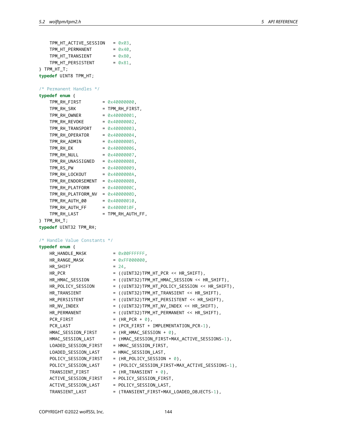```
TPM_HT_ACTIVE_SESSION = 0x03,
   TPM_HT_PERMANENT = 0x40,
   TPM_HT_TRANSIENT = 0x80,
   TPM_HT_PERSISTENT = 0x81,
} TPM_HT_T;
typedef UINT8 TPM_HT;
/* Permanent Handles */
typedef enum {
   TPM_RH_FIRST = 0x40000000,
   TPM_RH_SRK = TPM_RH_FIRST,
   TPM_RH_0WNER = 0x40000001,
   TPM_RH_REV0KE = 0x40000002,
   TPM_RH_TRANSPORT = 0x40000003,
   TPM_RH_OPERATOR = 0 \times 40000004,
   TPM_RH_ADMIN = 0x40000005,
   TPM_RH_EK = 0x40000006,
   TPM_RH_NULL = 0 \times 40000007,TPM_RH_UNASSIGNED = 0x40000008,
   TPM_RS_PW = 0 \times 40000009,
   TPM_RH_LOCKOUT = 0x4000000A,
   TPM_RH_ENDORSEMENT = 0x4000000B,
   TPM_RH_PLATFORM = 0 \times 40000000C,
   TPM_RH_PLATFORM_NV = 0x4000000D,
   TPM_RH_AUTH_00 = 0x40000010,
   TPM RH AUTH FF = 0 \times 4000010F,
   TPM_RH_LAST = TPM_RH_AUTH_FF,
} TPM_RH_T;
typedef UINT32 TPM_RH;
/* Handle Value Constants */
typedef enum {
   HR_HANDLE_MASK = 0x00FFFFFF,
   HR_RANGE_MASK = 0xFF000000,
   HR\_SHIFT = 24,
   HR_PCR = ((UINT32)TPM_HT_PCR << HR_SHIFT),
   HR_HMAC_SESSION = ((UINT32)TPM_HT_HMAC_SESSION << HR_SHIFT),<br>HR_POLICY_SESSION = ((UINT32)TPM_HT_POLICY_SESSION << HR_SHIFT
                       HR_POLICY_SESSION = ((UINT32)TPM_HT_POLICY_SESSION << HR_SHIFT),
   HR_TRANSIENT = ((UINT32)TPM_HT_TRANSIENT << HR_SHIFT),
   HR_PERSISTENT = ((UINT32)TPM_HT_PERSISTENT << HR_SHIFT),
   HR_NV_INDEX = ((UINT32)TPM_HT_NV_INDEX << HR_SHIFT),
   HR_PERMANENT = ((UINT32)TPM_HT_PERMANENT << HR_SHIFT),
   PCR FIRST = (HR PCR + 0),
   PCR_LAST = (PCR_FIRST + IMPLEMENTATION_PCR-1),
   HMAC\_SESSION\_FIRST = (HR_HMAC_SESSION + 0),
   HMAC_SESSION_LAST = (HMAC_SESSION_FIRST+MAX_ACTIVE_SESSIONS-1),
   LOADED_SESSION_FIRST = HMAC_SESSION_FIRST,
   LOADED_SESSION_LAST = HMAC_SESSION_LAST,
   POLICY\_SESSION\_FIRST = (HR_POLICY_SESSION + 0),
   POLICY_SESSION_LAST = (POLICY_SESSION_FIRST+MAX_ACTIVE_SESSIONS-1),
   TRANSIENT_FIRST = (HR_TRANSIENT + 0),
   ACTIVE_SESSION_FIRST = POLICY_SESSION_FIRST,
   ACTIVE_SESSION_LAST = POLICY_SESSION_LAST,
   TRANSIENT_LAST = (TRANSIENT_FIRST+MAX_LOADED_OBJECTS-1),
```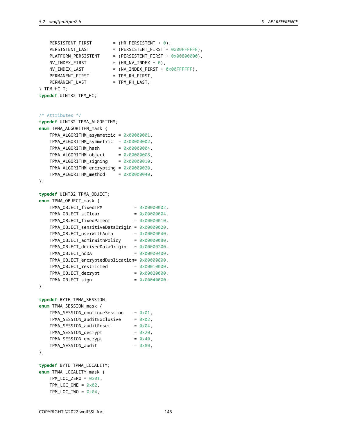```
PERSISTENT_FIRST = (HR_PERSISTENT + 0),
    PERSISTENT_LAST = (PERSISTENT_FIRST + 0x00FFFFFF),
    PLATFORM_PERSISTENT = (PERSISTENT_FIRST + 0x00800000),
    \n  NV_LINDEX_FIRST = (HR_NV_INDEX + 0),
    NV_INDEX_LAST = (NV_INDEX_FIRST + 0x00FFFFFF),
    PERMANENT FIRST = TPM RH FIRST,
    PERMANENT_LAST = TPM_RH_LAST,
} TPM_HC_T;
typedef UINT32 TPM_HC;
/* Attributes */
typedef UINT32 TPMA_ALGORITHM;
enum TPMA_ALGORITHM_mask {
    TPMA_ALGORITHM_asymmetric = 0x00000001,
    TPMA_ALGORITHM_symmetric = 0x00000002,
    TPMA_ALGORITHM_hash = 0x00000004,
    TPMA\_ALGORITHM\_object = 0 \times 00000008,
    TPMA_ALGORITHM_signing = 0x00000010,
    TPMA_ALGORITHM_encrypting = 0x00000020,
    TPMA_ALGORITHM_method = 0x00000040,
};
typedef UINT32 TPMA_OBJECT;
enum TPMA_OBJECT_mask {
    TPMA_OBJECT_fixedTPM = <math>0 \times 00000002</math>,TPMA_OBIECT_stClear = 0x00000004,
    TPMA_OBIECT_fixedParent = <math>0 \times 00000010</math>,TPMA_OBJECT_sensitiveDataOrigin = 0x00000020,
    TPMA_OBJECT_userWithAuth = <math>0 \times 000000040</math>,TPMA_OBJECT_adminWithPolicy = 0x00000080,
    TPMA_OBJECT_derivedDataOrigin = 0x00000200,
    TPMA_OBJECT\_noDA = 0 \times 00000400,
    TPMA_OBJECT_encryptedDuplication= 0x00000800,
    TPMA_OBIECT\_restricted = 0 \times 00010000,
    TPMA_OBIECT\_ decrypt = 0 \times 00020000,
    TPMA_OBJECT\_sign = 0x00040000,
};
typedef BYTE TPMA_SESSION;
enum TPMA_SESSION_mask {
    TPMA SESSION continueSession = 0x01,
    TPMA SESSION auditExclusive = 0x02,
    TPMA_SESSION_auditReset = 0 \times 04,
    TPMA\_SESSION\_decrypt = 0 \times 20,
    TPMA\_SESSION\_encrypt = 0 \times 40,
    TPMA\_SESSION\_audit = 0 \times 80,
};
typedef BYTE TPMA_LOCALITY;
enum TPMA_LOCALITY_mask {
   TPM\_LOC\_ZERO = 0 \times 01,
    TPM\_LOC\_ONE = 0 \times 02,
    TPM\_LOC\_Two = 0 \times 04,
```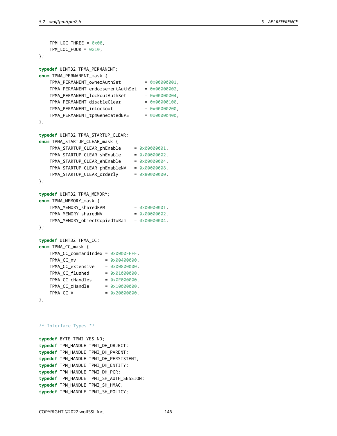```
TPM\_LOC\_THREE = 0 \times 08,
   TPM\_LOC\_FOUR = 0 \times 10,
};
typedef UINT32 TPMA_PERMANENT;
enum TPMA_PERMANENT_mask {
   TPMA_PERMANENT_ownerAuthSet = 0x00000001,
   TPMA_PERMANENT_endorsementAuthSet = 0x00000002,
    TPMA_PERMANENT_lockoutAuthSet = 0x00000004,
    TPMA_PERMANENT_disableClear = 0x00000100,
    TPMA_PERMANENT_inLockout = 0x00000200,
   TPMA_PERMANENT_tpmGeneratedEPS = 0x00000400,
};
typedef UINT32 TPMA_STARTUP_CLEAR;
enum TPMA_STARTUP_CLEAR_mask {
    TPMA_STARTUP_CLEAR_phEnable = 0x00000001,
   TPMA_STARTUP_CLEAR_shEnable = 0x00000002,
   TPMA_STARTUP_CLEAR_ehEnable = 0x00000004,
   TPMA_STARTUP_CLEAR_phEnableNV = 0x00000008,
   TPMA_STARTUP_CLEAR_orderly = 0x80000000,
};
typedef UINT32 TPMA_MEMORY;
enum TPMA_MEMORY_mask {
   TPMA_MEMORY\_sharedRAM = 0 \times 00000001,TPMA_MEMORY\_sharedNV = 0 \times 000000002TPMA_MEMORY_objectCopiedToRam = 0x00000004,
};
typedef UINT32 TPMA_CC;
enum TPMA_CC_mask {
   TPMA_CC_commandIndex = 0x0000FFFF,
   TPMA CC_nv = 0x00400000,
   TPMA_CC_extensive = 0x00800000,TPMA_CC_flushed = 0x01000000,
   TPMA\_CC\_chandles = 0 \times 0E000000,
```

```
/* Interface Types */
```
};

**typedef** BYTE TPMI\_YES\_NO; **typedef** TPM\_HANDLE TPMI\_DH\_OBJECT; **typedef** TPM\_HANDLE TPMI\_DH\_PARENT; **typedef** TPM\_HANDLE TPMI\_DH\_PERSISTENT; **typedef** TPM\_HANDLE TPMI\_DH\_ENTITY; **typedef** TPM\_HANDLE TPMI\_DH\_PCR; **typedef** TPM\_HANDLE TPMI\_SH\_AUTH\_SESSION; **typedef** TPM\_HANDLE TPMI\_SH\_HMAC; **typedef** TPM\_HANDLE TPMI\_SH\_POLICY;

 $TPMA\_CC\_rH andle$  =  $0 \times 10000000$ ,  $TPMA\_CC\_V$  = 0x20000000,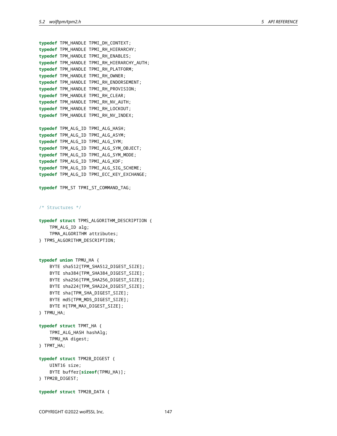```
typedef TPM_HANDLE TPMI_DH_CONTEXT;
typedef TPM_HANDLE TPMI_RH_HIERARCHY;
typedef TPM_HANDLE TPMI_RH_ENABLES;
typedef TPM_HANDLE TPMI_RH_HIERARCHY_AUTH;
typedef TPM_HANDLE TPMI_RH_PLATFORM;
typedef TPM_HANDLE TPMI_RH_OWNER;
typedef TPM_HANDLE TPMI_RH_ENDORSEMENT;
typedef TPM_HANDLE TPMI_RH_PROVISION;
typedef TPM_HANDLE TPMI_RH_CLEAR;
typedef TPM_HANDLE TPMI_RH_NV_AUTH;
typedef TPM_HANDLE TPMI_RH_LOCKOUT;
typedef TPM_HANDLE TPMI_RH_NV_INDEX;
typedef TPM_ALG_ID TPMI_ALG_HASH;
typedef TPM_ALG_ID TPMI_ALG_ASYM;
typedef TPM_ALG_ID TPMI_ALG_SYM;
typedef TPM_ALG_ID TPMI_ALG_SYM_OBJECT;
typedef TPM_ALG_ID TPMI_ALG_SYM_MODE;
typedef TPM_ALG_ID TPMI_ALG_KDF;
typedef TPM_ALG_ID TPMI_ALG_SIG_SCHEME;
typedef TPM_ALG_ID TPMI_ECC_KEY_EXCHANGE;
typedef TPM_ST TPMI_ST_COMMAND_TAG;
/* Structures */
typedef struct TPMS_ALGORITHM_DESCRIPTION {
   TPM_ALG_ID alg;
    TPMA_ALGORITHM attributes;
} TPMS_ALGORITHM_DESCRIPTION;
```

```
typedef union TPMU_HA {
    BYTE sha512[TPM_SHA512_DIGEST_SIZE];
    BYTE sha384[TPM_SHA384_DIGEST_SIZE];
    BYTE sha256[TPM_SHA256_DIGEST_SIZE];
    BYTE sha224[TPM_SHA224_DIGEST_SIZE];
    BYTE sha[TPM_SHA_DIGEST_SIZE];
    BYTE md5[TPM_MD5_DIGEST_SIZE];
    BYTE H[TPM_MAX_DIGEST_SIZE];
} TPMU_HA;
typedef struct TPMT_HA {
    TPMI_ALG_HASH hashAlg;
    TPMU_HA digest;
```

```
} TPMT_HA;
```

```
typedef struct TPM2B_DIGEST {
    UINT16 size;
    BYTE buffer[sizeof(TPMU_HA)];
} TPM2B_DIGEST;
```

```
typedef struct TPM2B_DATA {
```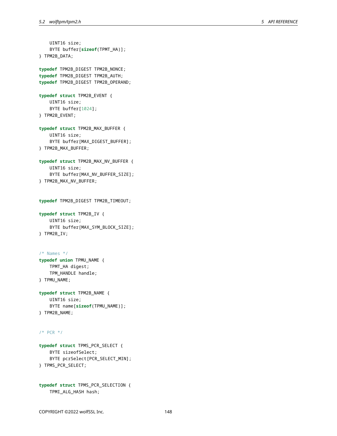```
UINT16 size;
    BYTE buffer[sizeof(TPMT_HA)];
} TPM2B_DATA;
typedef TPM2B_DIGEST TPM2B_NONCE;
typedef TPM2B_DIGEST TPM2B_AUTH;
typedef TPM2B_DIGEST TPM2B_OPERAND;
typedef struct TPM2B_EVENT {
    UINT16 size;
    BYTE buffer[1024];
} TPM2B_EVENT;
typedef struct TPM2B_MAX_BUFFER {
    UINT16 size;
    BYTE buffer[MAX_DIGEST_BUFFER];
} TPM2B_MAX_BUFFER;
typedef struct TPM2B_MAX_NV_BUFFER {
    UINT16 size;
    BYTE buffer[MAX_NV_BUFFER_SIZE];
} TPM2B_MAX_NV_BUFFER;
typedef TPM2B_DIGEST TPM2B_TIMEOUT;
typedef struct TPM2B_IV {
    UINT16 size;
    BYTE buffer[MAX_SYM_BLOCK_SIZE];
} TPM2B_IV;
/* Names */
typedef union TPMU_NAME {
    TPMT_HA digest;
    TPM_HANDLE handle;
} TPMU_NAME;
typedef struct TPM2B_NAME {
    UINT16 size;
    BYTE name[sizeof(TPMU_NAME)];
} TPM2B_NAME;
/* PCR */
```

```
typedef struct TPMS_PCR_SELECT {
    BYTE sizeofSelect;
    BYTE pcrSelect[PCR_SELECT_MIN];
} TPMS_PCR_SELECT;
```
**typedef struct** TPMS\_PCR\_SELECTION { TPMI\_ALG\_HASH hash;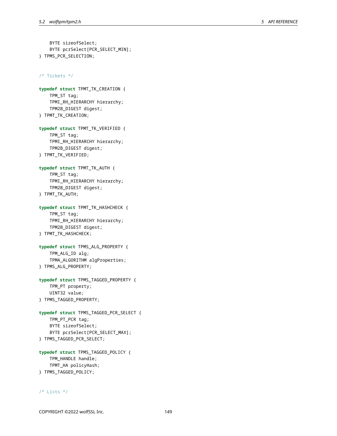```
BYTE sizeofSelect;
    BYTE pcrSelect[PCR_SELECT_MIN];
} TPMS_PCR_SELECTION;
```
/\* Tickets \*/

**typedef struct** TPMT\_TK\_CREATION { TPM\_ST tag; TPMI\_RH\_HIERARCHY hierarchy; TPM2B\_DIGEST digest; } TPMT\_TK\_CREATION;

**typedef struct** TPMT\_TK\_VERIFIED { TPM\_ST tag; TPMI\_RH\_HIERARCHY hierarchy; TPM2B\_DIGEST digest; } TPMT\_TK\_VERIFIED;

**typedef struct** TPMT\_TK\_AUTH { TPM\_ST tag; TPMI\_RH\_HIERARCHY hierarchy; TPM2B\_DIGEST digest; } TPMT\_TK\_AUTH;

**typedef struct** TPMT\_TK\_HASHCHECK { TPM\_ST tag; TPMI\_RH\_HIERARCHY hierarchy; TPM2B\_DIGEST digest; } TPMT\_TK\_HASHCHECK;

**typedef struct** TPMS\_ALG\_PROPERTY { TPM\_ALG\_ID alg; TPMA\_ALGORITHM algProperties; } TPMS\_ALG\_PROPERTY;

```
typedef struct TPMS_TAGGED_PROPERTY {
    TPM_PT property;
    UINT32 value;
} TPMS_TAGGED_PROPERTY;
```

```
typedef struct TPMS_TAGGED_PCR_SELECT {
    TPM_PT_PCR tag;
    BYTE sizeofSelect;
    BYTE pcrSelect[PCR_SELECT_MAX];
} TPMS_TAGGED_PCR_SELECT;
```

```
typedef struct TPMS_TAGGED_POLICY {
   TPM_HANDLE handle;
   TPMT_HA policyHash;
} TPMS_TAGGED_POLICY;
```
# /\* Lists \*/

COPYRIGHT ©2022 wolfSSL Inc. 149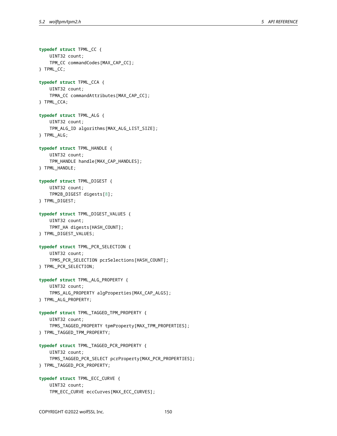**typedef struct** TPML\_CC { UINT32 count; TPM\_CC commandCodes[MAX\_CAP\_CC]; } TPML\_CC; **typedef struct** TPML\_CCA { UINT32 count; TPMA\_CC commandAttributes[MAX\_CAP\_CC]; } TPML\_CCA; **typedef struct** TPML\_ALG { UINT32 count; TPM\_ALG\_ID algorithms[MAX\_ALG\_LIST\_SIZE]; } TPML\_ALG; **typedef struct** TPML\_HANDLE { UINT32 count; TPM\_HANDLE handle[MAX\_CAP\_HANDLES]; } TPML\_HANDLE; **typedef struct** TPML\_DIGEST { UINT32 count; TPM2B\_DIGEST digests[8]; } TPML\_DIGEST; **typedef struct** TPML\_DIGEST\_VALUES { UINT32 count; TPMT\_HA digests[HASH\_COUNT]; } TPML\_DIGEST\_VALUES; **typedef struct** TPML\_PCR\_SELECTION { UINT32 count; TPMS\_PCR\_SELECTION pcrSelections[HASH\_COUNT]; } TPML\_PCR\_SELECTION; **typedef struct** TPML\_ALG\_PROPERTY { UINT32 count; TPMS\_ALG\_PROPERTY algProperties[MAX\_CAP\_ALGS]; } TPML\_ALG\_PROPERTY; **typedef struct** TPML\_TAGGED\_TPM\_PROPERTY { UINT32 count; TPMS\_TAGGED\_PROPERTY tpmProperty[MAX\_TPM\_PROPERTIES]; } TPML\_TAGGED\_TPM\_PROPERTY; **typedef struct** TPML\_TAGGED\_PCR\_PROPERTY { UINT32 count; TPMS\_TAGGED\_PCR\_SELECT pcrProperty[MAX\_PCR\_PROPERTIES]; } TPML\_TAGGED\_PCR\_PROPERTY; **typedef struct** TPML\_ECC\_CURVE { UINT32 count; TPM\_ECC\_CURVE eccCurves[MAX\_ECC\_CURVES];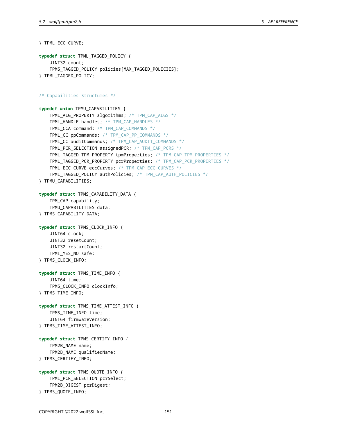```
} TPML_ECC_CURVE;
typedef struct TPML_TAGGED_POLICY {
    UINT32 count;
    TPMS_TAGGED_POLICY policies[MAX_TAGGED_POLICIES];
} TPML_TAGGED_POLICY;
/* Capabilities Structures */
typedef union TPMU_CAPABILITIES {
    TPML_ALG_PROPERTY algorithms; /* TPM_CAP_ALGS */
    TPML_HANDLE handles; /* TPM_CAP_HANDLES */
    TPML_CCA command; /* TPM_CAP_COMMANDS */
    TPML_CC ppCommands; /* TPM_CAP_PP_COMMANDS */
    TPML_CC auditCommands; /* TPM_CAP_AUDIT_COMMANDS */
    TPML_PCR_SELECTION assignedPCR; /* TPM_CAP_PCRS */
    TPML_TAGGED_TPM_PROPERTY tpmProperties; /* TPM_CAP_TPM_PROPERTIES */
    TPML_TAGGED_PCR_PROPERTY pcrProperties; /* TPM_CAP_PCR_PROPERTIES */
    TPML_ECC_CURVE eccCurves; /* TPM_CAP_ECC_CURVES */
    TPML_TAGGED_POLICY authPolicies; /* TPM_CAP_AUTH_POLICIES */
} TPMU_CAPABILITIES;
typedef struct TPMS_CAPABILITY_DATA {
    TPM_CAP capability;
    TPMU_CAPABILITIES data;
} TPMS_CAPABILITY_DATA;
typedef struct TPMS_CLOCK_INFO {
    UINT64 clock;
    UINT32 resetCount;
    UINT32 restartCount;
    TPMI_YES_NO safe;
} TPMS_CLOCK_INFO;
typedef struct TPMS_TIME_INFO {
    UINT64 time;
    TPMS_CLOCK_INFO clockInfo;
} TPMS_TIME_INFO;
typedef struct TPMS_TIME_ATTEST_INFO {
    TPMS_TIME_INFO time;
    UINT64 firmwareVersion;
} TPMS_TIME_ATTEST_INFO;
typedef struct TPMS_CERTIFY_INFO {
    TPM2B_NAME name;
    TPM2B_NAME qualifiedName;
} TPMS_CERTIFY_INFO;
typedef struct TPMS_QUOTE_INFO {
    TPML_PCR_SELECTION pcrSelect;
    TPM2B_DIGEST pcrDigest;
} TPMS_QUOTE_INFO;
```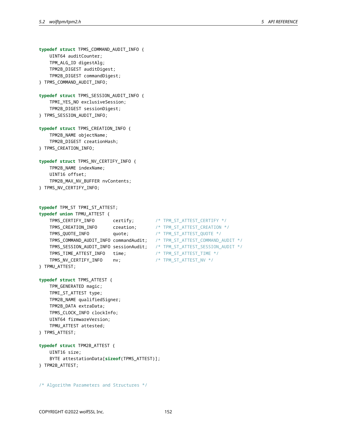```
typedef struct TPMS_COMMAND_AUDIT_INFO {
   UINT64 auditCounter;
   TPM_ALG_ID digestAlg;
   TPM2B_DIGEST auditDigest;
   TPM2B_DIGEST commandDigest;
} TPMS_COMMAND_AUDIT_INFO;
typedef struct TPMS_SESSION_AUDIT_INFO {
   TPMI_YES_NO exclusiveSession;
   TPM2B_DIGEST sessionDigest;
} TPMS_SESSION_AUDIT_INFO;
typedef struct TPMS_CREATION_INFO {
   TPM2B_NAME objectName;
   TPM2B_DIGEST creationHash;
} TPMS_CREATION_INFO;
typedef struct TPMS_NV_CERTIFY_INFO {
   TPM2B_NAME indexName;
   UINT16 offset;
   TPM2B_MAX_NV_BUFFER nvContents;
} TPMS_NV_CERTIFY_INFO;
typedef TPM_ST TPMI_ST_ATTEST;
typedef union TPMU_ATTEST {
   TPMS_CERTIFY_INFO certify; /* TPM_ST_ATTEST_CERTIFY */
   TPMS_CREATION_INFO creation; /* TPM_ST_ATTEST_CREATION */
   TPMS_QUOTE_INFO quote; /* TPM_ST_ATTEST_QUOTE */
   TPMS_COMMAND_AUDIT_INFO commandAudit; /* TPM_ST_ATTEST_COMMAND_AUDIT */
   TPMS_SESSION_AUDIT_INFO sessionAudit; /* TPM_ST_ATTEST_SESSION_AUDIT */
   TPMS_TIME_ATTEST_INFO time; /* TPM_ST_ATTEST_TIME */
   TPMS_NV_CERTIFY_INFO nv; /* TPM_ST_ATTEST_NV */
} TPMU_ATTEST;
typedef struct TPMS_ATTEST {
   TPM_GENERATED magic;
   TPMI_ST_ATTEST type;
   TPM2B_NAME qualifiedSigner;
   TPM2B_DATA extraData;
   TPMS_CLOCK_INFO clockInfo;
   UINT64 firmwareVersion;
   TPMU_ATTEST attested;
} TPMS_ATTEST;
typedef struct TPM2B_ATTEST {
   UINT16 size;
   BYTE attestationData[sizeof(TPMS_ATTEST)];
} TPM2B_ATTEST;
/* Algorithm Parameters and Structures */
```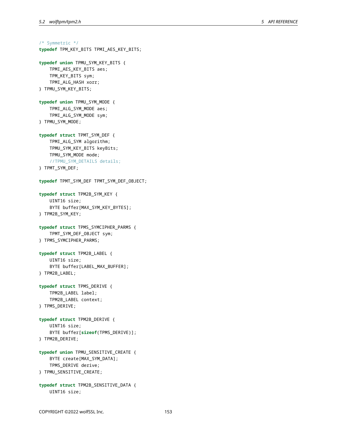```
/* Symmetric */
typedef TPM_KEY_BITS TPMI_AES_KEY_BITS;
typedef union TPMU_SYM_KEY_BITS {
    TPMI_AES_KEY_BITS aes;
    TPM_KEY_BITS sym;
    TPMI_ALG_HASH xorr;
} TPMU_SYM_KEY_BITS;
typedef union TPMU_SYM_MODE {
    TPMI_ALG_SYM_MODE aes;
    TPMI_ALG_SYM_MODE sym;
} TPMU_SYM_MODE;
typedef struct TPMT_SYM_DEF {
    TPMI_ALG_SYM algorithm;
    TPMU_SYM_KEY_BITS keyBits;
    TPMU_SYM_MODE mode;
    //TPMU_SYM_DETAILS details;
} TPMT_SYM_DEF;
typedef TPMT_SYM_DEF TPMT_SYM_DEF_OBJECT;
typedef struct TPM2B_SYM_KEY {
    UINT16 size;
    BYTE buffer[MAX_SYM_KEY_BYTES];
} TPM2B_SYM_KEY;
typedef struct TPMS_SYMCIPHER_PARMS {
    TPMT_SYM_DEF_OBJECT sym;
} TPMS_SYMCIPHER_PARMS;
typedef struct TPM2B_LABEL {
    UINT16 size;
    BYTE buffer[LABEL_MAX_BUFFER];
} TPM2B_LABEL;
typedef struct TPMS_DERIVE {
    TPM2B_LABEL label;
    TPM2B_LABEL context;
} TPMS_DERIVE;
typedef struct TPM2B_DERIVE {
    UINT16 size;
    BYTE buffer[sizeof(TPMS_DERIVE)];
} TPM2B_DERIVE;
typedef union TPMU_SENSITIVE_CREATE {
    BYTE create[MAX_SYM_DATA];
    TPMS_DERIVE derive;
} TPMU_SENSITIVE_CREATE;
typedef struct TPM2B_SENSITIVE_DATA {
    UINT16 size;
```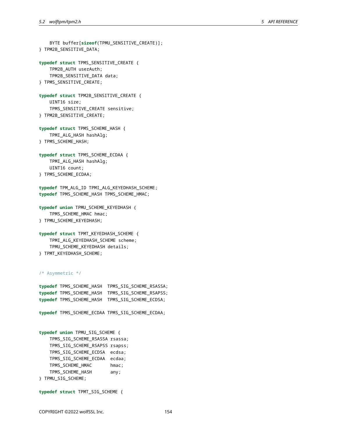```
BYTE buffer[sizeof(TPMU_SENSITIVE_CREATE)];
} TPM2B_SENSITIVE_DATA;
typedef struct TPMS_SENSITIVE_CREATE {
    TPM2B_AUTH userAuth;
   TPM2B_SENSITIVE_DATA data;
} TPMS_SENSITIVE_CREATE;
typedef struct TPM2B_SENSITIVE_CREATE {
   UINT16 size;
    TPMS_SENSITIVE_CREATE sensitive;
} TPM2B_SENSITIVE_CREATE;
typedef struct TPMS_SCHEME_HASH {
    TPMI_ALG_HASH hashAlg;
} TPMS_SCHEME_HASH;
typedef struct TPMS_SCHEME_ECDAA {
   TPMI_ALG_HASH hashAlg;
   UINT16 count;
} TPMS_SCHEME_ECDAA;
typedef TPM_ALG_ID TPMI_ALG_KEYEDHASH_SCHEME;
typedef TPMS_SCHEME_HASH TPMS_SCHEME_HMAC;
typedef union TPMU_SCHEME_KEYEDHASH {
   TPMS_SCHEME_HMAC hmac;
} TPMU_SCHEME_KEYEDHASH;
typedef struct TPMT_KEYEDHASH_SCHEME {
   TPMI_ALG_KEYEDHASH_SCHEME scheme;
    TPMU_SCHEME_KEYEDHASH details;
} TPMT_KEYEDHASH_SCHEME;
/* Asymmetric */
typedef TPMS_SCHEME_HASH TPMS_SIG_SCHEME_RSASSA;
typedef TPMS_SCHEME_HASH TPMS_SIG_SCHEME_RSAPSS;
typedef TPMS_SCHEME_HASH TPMS_SIG_SCHEME_ECDSA;
typedef TPMS_SCHEME_ECDAA TPMS_SIG_SCHEME_ECDAA;
typedef union TPMU_SIG_SCHEME {
   TPMS_SIG_SCHEME_RSASSA rsassa;
   TPMS_SIG_SCHEME_RSAPSS rsapss;
   TPMS_SIG_SCHEME_ECDSA ecdsa;
   TPMS_SIG_SCHEME_ECDAA ecdaa;
   TPMS_SCHEME_HMAC hmac;
   TPMS_SCHEME_HASH any;
} TPMU_SIG_SCHEME;
```

```
typedef struct TPMT_SIG_SCHEME {
```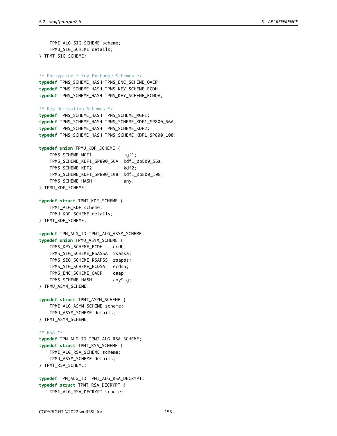```
TPMI_ALG_SIG_SCHEME scheme;
   TPMU_SIG_SCHEME details;
} TPMT_SIG_SCHEME;
/* Encryption / Key Exchange Schemes */
typedef TPMS_SCHEME_HASH TPMS_ENC_SCHEME_OAEP;
typedef TPMS_SCHEME_HASH TPMS_KEY_SCHEME_ECDH;
typedef TPMS_SCHEME_HASH TPMS_KEY_SCHEME_ECMQV;
/* Key Derivation Schemes */
typedef TPMS_SCHEME_HASH TPMS_SCHEME_MGF1;
typedef TPMS_SCHEME_HASH TPMS_SCHEME_KDF1_SP800_56A;
typedef TPMS_SCHEME_HASH TPMS_SCHEME_KDF2;
typedef TPMS_SCHEME_HASH TPMS_SCHEME_KDF1_SP800_108;
typedef union TPMU_KDF_SCHEME {
   TPMS_SCHEME_MGF1 mgf1;
   TPMS_SCHEME_KDF1_SP800_56A kdf1_sp800_56a;
   TPMS_SCHEME_KDF2 kdf2;
   TPMS_SCHEME_KDF1_SP800_108 kdf1_sp800_108;
   TPMS_SCHEME_HASH any;
} TPMU_KDF_SCHEME;
typedef struct TPMT_KDF_SCHEME {
   TPMI_ALG_KDF scheme;
   TPMU_KDF_SCHEME details;
} TPMT_KDF_SCHEME;
typedef TPM_ALG_ID TPMI_ALG_ASYM_SCHEME;
typedef union TPMU_ASYM_SCHEME {
    TPMS_KEY_SCHEME_ECDH ecdh;
   TPMS_SIG_SCHEME_RSASSA rsassa;
   TPMS_SIG_SCHEME_RSAPSS rsapss;
   TPMS_SIG_SCHEME_ECDSA ecdsa;
   TPMS_ENC_SCHEME_OAEP oaep;
   TPMS_SCHEME_HASH anySig;
} TPMU_ASYM_SCHEME;
typedef struct TPMT_ASYM_SCHEME {
   TPMI_ALG_ASYM_SCHEME scheme;
   TPMU_ASYM_SCHEME details;
} TPMT_ASYM_SCHEME;
/* RSA */
typedef TPM_ALG_ID TPMI_ALG_RSA_SCHEME;
typedef struct TPMT_RSA_SCHEME {
   TPMI_ALG_RSA_SCHEME scheme;
   TPMU_ASYM_SCHEME details;
} TPMT_RSA_SCHEME;
typedef TPM_ALG_ID TPMI_ALG_RSA_DECRYPT;
typedef struct TPMT_RSA_DECRYPT {
    TPMI_ALG_RSA_DECRYPT scheme;
```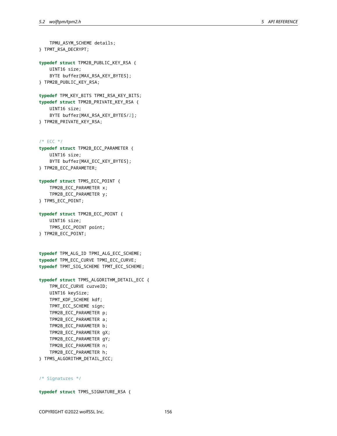TPMU\_ASYM\_SCHEME details; } TPMT\_RSA\_DECRYPT; **typedef struct** TPM2B\_PUBLIC\_KEY\_RSA { UINT16 size; BYTE buffer[MAX\_RSA\_KEY\_BYTES]; } TPM2B\_PUBLIC\_KEY\_RSA; **typedef** TPM\_KEY\_BITS TPMI\_RSA\_KEY\_BITS; **typedef struct** TPM2B\_PRIVATE\_KEY\_RSA { UINT16 size; BYTE buffer[MAX\_RSA\_KEY\_BYTES/2]; } TPM2B\_PRIVATE\_KEY\_RSA;  $/$ \* ECC \*/ **typedef struct** TPM2B\_ECC\_PARAMETER { UINT16 size; BYTE buffer[MAX\_ECC\_KEY\_BYTES]; } TPM2B\_ECC\_PARAMETER; **typedef struct** TPMS\_ECC\_POINT { TPM2B\_ECC\_PARAMETER x; TPM2B\_ECC\_PARAMETER y; } TPMS\_ECC\_POINT; **typedef struct** TPM2B\_ECC\_POINT { UINT16 size; TPMS\_ECC\_POINT point; } TPM2B\_ECC\_POINT; **typedef** TPM\_ALG\_ID TPMI\_ALG\_ECC\_SCHEME; **typedef** TPM\_ECC\_CURVE TPMI\_ECC\_CURVE; **typedef** TPMT\_SIG\_SCHEME TPMT\_ECC\_SCHEME; **typedef struct** TPMS\_ALGORITHM\_DETAIL\_ECC { TPM\_ECC\_CURVE curveID; UINT16 keySize; TPMT\_KDF\_SCHEME kdf; TPMT\_ECC\_SCHEME sign; TPM2B\_ECC\_PARAMETER p; TPM2B\_ECC\_PARAMETER a; TPM2B\_ECC\_PARAMETER b; TPM2B\_ECC\_PARAMETER gX; TPM2B\_ECC\_PARAMETER gY; TPM2B\_ECC\_PARAMETER n;

} TPMS\_ALGORITHM\_DETAIL\_ECC;

TPM2B\_ECC\_PARAMETER h;

/\* Signatures \*/

**typedef struct** TPMS\_SIGNATURE\_RSA {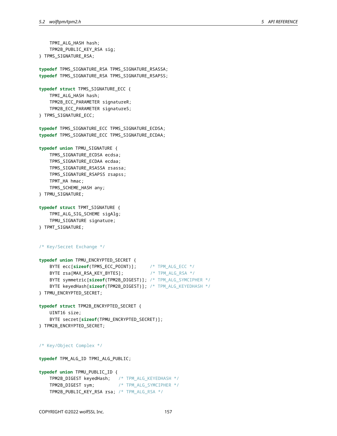```
TPMI_ALG_HASH hash;
   TPM2B_PUBLIC_KEY_RSA sig;
} TPMS_SIGNATURE_RSA;
typedef TPMS_SIGNATURE_RSA TPMS_SIGNATURE_RSASSA;
typedef TPMS_SIGNATURE_RSA TPMS_SIGNATURE_RSAPSS;
typedef struct TPMS_SIGNATURE_ECC {
   TPMI_ALG_HASH hash;
   TPM2B_ECC_PARAMETER signatureR;
   TPM2B_ECC_PARAMETER signatureS;
} TPMS_SIGNATURE_ECC;
typedef TPMS_SIGNATURE_ECC TPMS_SIGNATURE_ECDSA;
typedef TPMS_SIGNATURE_ECC TPMS_SIGNATURE_ECDAA;
typedef union TPMU_SIGNATURE {
   TPMS_SIGNATURE_ECDSA ecdsa;
   TPMS_SIGNATURE_ECDAA ecdaa;
   TPMS_SIGNATURE_RSASSA rsassa;
   TPMS_SIGNATURE_RSAPSS rsapss;
   TPMT_HA hmac;
   TPMS_SCHEME_HASH any;
} TPMU_SIGNATURE;
typedef struct TPMT_SIGNATURE {
   TPMI_ALG_SIG_SCHEME sigAlg;
   TPMU_SIGNATURE signature;
} TPMT_SIGNATURE;
/* Key/Secret Exchange */
typedef union TPMU_ENCRYPTED_SECRET {
   BYTE ecc[sizeof(TPMS_ECC_POINT)]; /* TPM_ALG_ECC */
   BYTE rsa[MAX_RSA_KEY_BYTES]; /* TPM_ALG_RSA */
   BYTE symmetric[sizeof(TPM2B_DIGEST)]; /* TPM_ALG_SYMCIPHER */
    BYTE keyedHash[sizeof(TPM2B_DIGEST)]; /* TPM_ALG_KEYEDHASH */
} TPMU_ENCRYPTED_SECRET;
typedef struct TPM2B_ENCRYPTED_SECRET {
   UINT16 size;
    BYTE secret[sizeof(TPMU_ENCRYPTED_SECRET)];
} TPM2B_ENCRYPTED_SECRET;
/* Key/Object Complex */
typedef TPM_ALG_ID TPMI_ALG_PUBLIC;
typedef union TPMU_PUBLIC_ID {
   TPM2B_DIGEST keyedHash; /* TPM_ALG_KEYEDHASH */
   TPM2B_DIGEST sym; /* TPM_ALG_SYMCIPHER */
   TPM2B_PUBLIC_KEY_RSA rsa; /* TPM_ALG_RSA */
```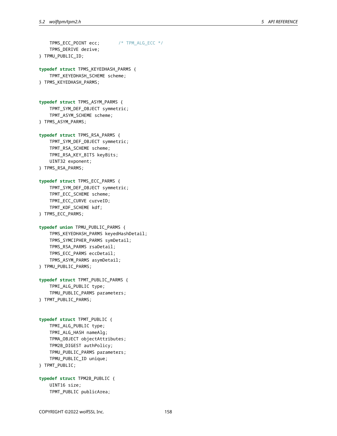```
TPMS_ECC_POINT ecc; /* TPM_ALG_ECC */
   TPMS_DERIVE derive;
} TPMU_PUBLIC_ID;
typedef struct TPMS_KEYEDHASH_PARMS {
   TPMT_KEYEDHASH_SCHEME scheme;
} TPMS_KEYEDHASH_PARMS;
typedef struct TPMS_ASYM_PARMS {
   TPMT_SYM_DEF_OBJECT symmetric;
    TPMT_ASYM_SCHEME scheme;
} TPMS_ASYM_PARMS;
typedef struct TPMS_RSA_PARMS {
   TPMT_SYM_DEF_OBJECT symmetric;
    TPMT_RSA_SCHEME scheme;
   TPMI_RSA_KEY_BITS keyBits;
   UINT32 exponent;
} TPMS_RSA_PARMS;
typedef struct TPMS_ECC_PARMS {
   TPMT_SYM_DEF_OBJECT symmetric;
    TPMT_ECC_SCHEME scheme;
   TPMI_ECC_CURVE curveID;
   TPMT_KDF_SCHEME kdf;
} TPMS_ECC_PARMS;
typedef union TPMU_PUBLIC_PARMS {
   TPMS_KEYEDHASH_PARMS keyedHashDetail;
   TPMS_SYMCIPHER_PARMS symDetail;
   TPMS_RSA_PARMS rsaDetail;
   TPMS_ECC_PARMS eccDetail;
   TPMS_ASYM_PARMS asymDetail;
} TPMU_PUBLIC_PARMS;
typedef struct TPMT_PUBLIC_PARMS {
   TPMI_ALG_PUBLIC type;
   TPMU_PUBLIC_PARMS parameters;
} TPMT_PUBLIC_PARMS;
typedef struct TPMT_PUBLIC {
   TPMI_ALG_PUBLIC type;
   TPMI_ALG_HASH nameAlg;
   TPMA_OBJECT objectAttributes;
    TPM2B_DIGEST authPolicy;
   TPMU_PUBLIC_PARMS parameters;
   TPMU_PUBLIC_ID unique;
} TPMT_PUBLIC;
typedef struct TPM2B_PUBLIC {
   UINT16 size;
    TPMT_PUBLIC publicArea;
```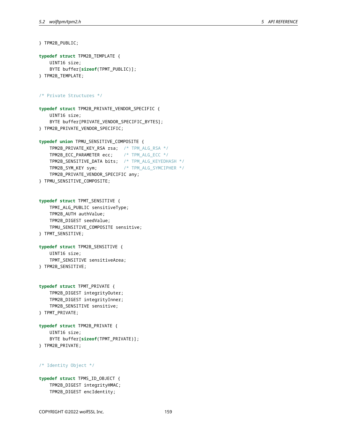} TPM2B\_PUBLIC;

```
typedef struct TPM2B_TEMPLATE {
   UINT16 size;
    BYTE buffer[sizeof(TPMT_PUBLIC)];
} TPM2B_TEMPLATE;
/* Private Structures */
typedef struct TPM2B_PRIVATE_VENDOR_SPECIFIC {
   UINT16 size;
   BYTE buffer[PRIVATE_VENDOR_SPECIFIC_BYTES];
} TPM2B_PRIVATE_VENDOR_SPECIFIC;
typedef union TPMU_SENSITIVE_COMPOSITE {
    TPM2B_PRIVATE_KEY_RSA rsa; /* TPM_ALG_RSA */
   TPM2B_ECC_PARAMETER ecc; /* TPM_ALG_ECC */
   TPM2B_SENSITIVE_DATA bits; /* TPM_ALG_KEYEDHASH */
   TPM2B_SYM_KEY sym; /* TPM_ALG_SYMCIPHER */
   TPM2B_PRIVATE_VENDOR_SPECIFIC any;
} TPMU_SENSITIVE_COMPOSITE;
typedef struct TPMT_SENSITIVE {
   TPMI_ALG_PUBLIC sensitiveType;
   TPM2B_AUTH authValue;
    TPM2B_DIGEST seedValue;
   TPMU_SENSITIVE_COMPOSITE sensitive;
} TPMT_SENSITIVE;
typedef struct TPM2B_SENSITIVE {
   UINT16 size;
   TPMT_SENSITIVE sensitiveArea;
} TPM2B_SENSITIVE;
typedef struct TPMT_PRIVATE {
   TPM2B_DIGEST integrityOuter;
   TPM2B_DIGEST integrityInner;
   TPM2B_SENSITIVE sensitive;
} TPMT_PRIVATE;
typedef struct TPM2B_PRIVATE {
   UINT16 size;
   BYTE buffer[sizeof(TPMT_PRIVATE)];
} TPM2B_PRIVATE;
/* Identity Object */
typedef struct TPMS_ID_OBJECT {
   TPM2B_DIGEST integrityHMAC;
```
TPM2B\_DIGEST encIdentity;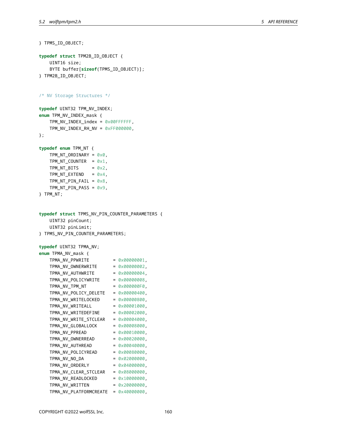```
} TPMS_ID_OBJECT;
typedef struct TPM2B_ID_OBJECT {
    UINT16 size;
    BYTE buffer[sizeof(TPMS_ID_OBJECT)];
} TPM2B_ID_OBJECT;
/* NV Storage Structures */
typedef UINT32 TPM_NV_INDEX;
enum TPM_NV_INDEX_mask {
    TPM_NV_INDEX_index = 0x00FFFFFF,
    TPM_NV_INDEX_RH_NV = 0xFF000000,
};
typedef enum TPM_NT {
    TPM_NT_ORDINARY = 0 \times 0,
    TPM_NT_COUNTER = 0 \times 1,
    TPM_NT_BITS = 0 \times 2,
    TPM_NT_EXTEND = 0 \times 4,
    TPM_NT_PIN_FAIL = 0x8,
    TPM_NT_PIN_PASS = 0x9,
} TPM_NT;
typedef struct TPMS_NV_PIN_COUNTER_PARAMETERS {
    UINT32 pinCount;
    UINT32 pinLimit;
} TPMS_NV_PIN_COUNTER_PARAMETERS;
typedef UINT32 TPMA_NV;
enum TPMA_NV_mask {
   TPMA_NV_PPWRITE = 0 \times 000000001,
    TPMA_NV_0WNERWRITE = 0x00000002,
    TPMA_NV_AUTHWRITE = 0x00000004,
    TPMA_NV_POLICYWRITE = 0x00000008,TPMA_NV_TPM_NT = 0 \times 0000000F0,
    TPMA_NV_POLICY_DELETE = 0x00000400,
    TPMA_NV_WRITELOCKED = 0x00000800,
    TPMA_NV_WRITEALL = 0 \times 00001000,
    TPMA_NV_WRITEDEFINE = 0 \times 00002000,
    TPMA_NV_WRITE_STCLEAR = 0x00004000,
    TPMA_NV_GLOBALLOCK = 0 \times 00008000,
    TPMA_NV_PPREAD = 0x00010000,
    TPMA_NV_OWNERREAD = 0 \times 00020000,
    TPMA_NV_AUTHREAD = 0 \times 00040000,
    TPMA_NV_POLICYREAD = 0x00080000,
    TPMA NV NO DA = 0x02000000,
    TPMA_NV_ORDERLY = 0 \times 04000000,TPMA_NV_CLEAR_STCLEAR = 0x08000000,
    TPMA_NV_READLOCKED = 0\times10000000,
    TPMA_NV_WRITTEN = 0 \times 20000000,
    TPMA_NV_PLATFORMCREATE = 0x40000000,
```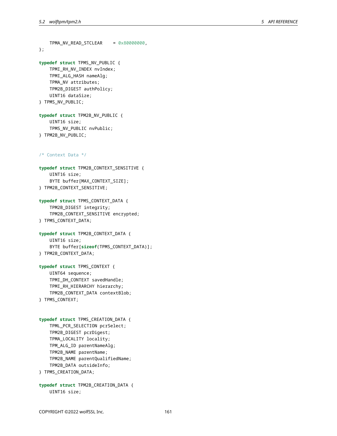```
TPMA_NV_READ_STCLEAR = 0x80000000,
};
typedef struct TPMS_NV_PUBLIC {
    TPMI_RH_NV_INDEX nvIndex;
    TPMI_ALG_HASH nameAlg;
    TPMA_NV attributes;
    TPM2B_DIGEST authPolicy;
    UINT16 dataSize;
} TPMS_NV_PUBLIC;
typedef struct TPM2B_NV_PUBLIC {
    UINT16 size;
    TPMS_NV_PUBLIC nvPublic;
} TPM2B_NV_PUBLIC;
/* Context Data */
typedef struct TPM2B_CONTEXT_SENSITIVE {
    UINT16 size;
    BYTE buffer[MAX_CONTEXT_SIZE];
} TPM2B_CONTEXT_SENSITIVE;
typedef struct TPMS_CONTEXT_DATA {
    TPM2B_DIGEST integrity;
    TPM2B_CONTEXT_SENSITIVE encrypted;
} TPMS_CONTEXT_DATA;
typedef struct TPM2B_CONTEXT_DATA {
    UINT16 size;
    BYTE buffer[sizeof(TPMS_CONTEXT_DATA)];
} TPM2B_CONTEXT_DATA;
typedef struct TPMS_CONTEXT {
    UINT64 sequence;
    TPMI_DH_CONTEXT savedHandle;
    TPMI_RH_HIERARCHY hierarchy;
    TPM2B_CONTEXT_DATA contextBlob;
} TPMS_CONTEXT;
typedef struct TPMS_CREATION_DATA {
    TPML_PCR_SELECTION pcrSelect;
    TPM2B_DIGEST pcrDigest;
    TPMA_LOCALITY locality;
    TPM_ALG_ID parentNameAlg;
    TPM2B_NAME parentName;
    TPM2B_NAME parentQualifiedName;
    TPM2B_DATA outsideInfo;
```

```
} TPMS_CREATION_DATA;
```
**typedef struct** TPM2B\_CREATION\_DATA { UINT16 size;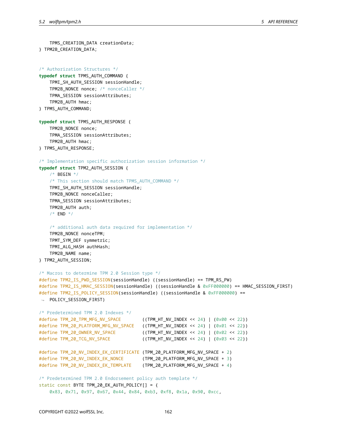TPMS\_CREATION\_DATA creationData;

```
} TPM2B_CREATION_DATA;
/* Authorization Structures */
typedef struct TPMS_AUTH_COMMAND {
    TPMI_SH_AUTH_SESSION sessionHandle;
    TPM2B NONCE nonce; /* nonceCaller */
    TPMA_SESSION sessionAttributes;
    TPM2B_AUTH hmac;
} TPMS_AUTH_COMMAND;
typedef struct TPMS_AUTH_RESPONSE {
    TPM2B_NONCE nonce;
    TPMA_SESSION sessionAttributes;
    TPM2B_AUTH hmac;
} TPMS_AUTH_RESPONSE;
/* Implementation specific authorization session information */
typedef struct TPM2_AUTH_SESSION {
    /* BEGIN *//* This section should match TPMS_AUTH_COMMAND */
    TPMI_SH_AUTH_SESSION sessionHandle;
    TPM2B_NONCE nonceCaller;
    TPMA_SESSION sessionAttributes;
   TPM2B_AUTH auth;
    /* END */
    /* additional auth data required for implementation */
    TPM2B_NONCE nonceTPM;
    TPMT_SYM_DEF symmetric;
    TPMI_ALG_HASH authHash;
    TPM2B_NAME name;
} TPM2_AUTH_SESSION;
/* Macros to determine TPM 2.0 Session type */
#define TPM2_IS_PWD_SESSION(sessionHandle) ((sessionHandle) == TPM_RS_PW)
#define TPM2_IS_HMAC_SESSION(sessionHandle) ((sessionHandle & 0xFF000000) == HMAC_SESSION_FIRST)
#define TPM2_IS_POLICY_SESSION(sessionHandle) ((sessionHandle & 0xFF000000) ==
↪ POLICY_SESSION_FIRST)
/* Predetermined TPM 2.0 Indexes */
#define TPM_20_TPM_MFG_NV_SPACE ((TPM_HT_NV_INDEX << 24) | (0x00 << 22))
#define TPM_20_PLATFORM_MFG_NV_SPACE ((TPM_HT_NV_INDEX << 24) | (0x01 << 22))
#define TPM_20_OWNER_NV_SPACE ((TPM_HT_NV_INDEX << 24) | (0x02 << 22))
#define TPM_20_TCG_NV_SPACE ((TPM_HT_NV_INDEX << 24) | (0x03 << 22))
#define TPM_20_NV_INDEX_EK_CERTIFICATE (TPM_20_PLATFORM_MFG_NV_SPACE + 2)
#define TPM_20_NV_INDEX_EK_NONCE (TPM_20_PLATFORM_MFG_NV_SPACE + 3)
#define TPM_20_NV_INDEX_EK_TEMPLATE (TPM_20_PLATFORM_MFG_NV_SPACE + 4)
/* Predetermined TPM 2.0 Endorsement policy auth template */
static const BYTE TPM_20_EK_AUTH_POLICY[] = {
    0x83, 0x71, 0x97, 0x67, 0x44, 0x84, 0xb3, 0xf8, 0x1a, 0x90, 0xcc,
```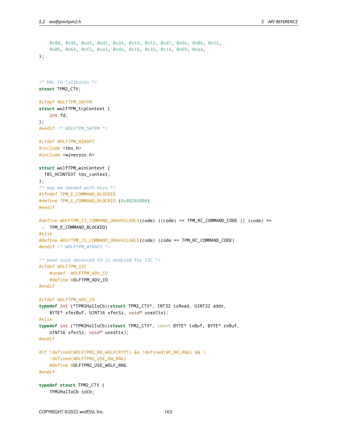```
0x8d, 0x46, 0xa5, 0xd7, 0x24, 0xfd, 0x52, 0xd7, 0x6e, 0x06, 0x52,
    0x0b, 0x64, 0xf2, 0xa1, 0xda, 0x1b, 0x33, 0x14, 0x69, 0xaa,
};
/* HAL IO Callbacks */
struct TPM2_CTX;
#ifdef WOLFTPM_SWTPM
struct wolfTPM_tcpContext {
    int fd;
};
#endif /* WOLFTPM_SWTPM */
#ifdef WOLFTPM_WINAPI
#include <tbs.h>
#include <winerror.h>
struct wolfTPM_winContext {
  TBS_HCONTEXT tbs_context;
};
/* may be needed with msys */
#ifndef TPM_E_COMMAND_BLOCKED
#define TPM E COMMAND BLOCKED (0x80284000)
#endif
#define WOLFTPM_IS_COMMAND_UNAVAILABLE(code) ((code) == TPM_RC_COMMAND_CODE || (code) ==
↪ TPM_E_COMMAND_BLOCKED)
#else
#define WOLFTPM_IS_COMMAND_UNAVAILABLE(code) (code == TPM_RC_COMMAND_CODE)
#endif /* WOLFTPM_WINAPI */
/* make sure advanced IO is enabled for I2C */
#ifdef WOLFTPM_I2C
    #undef WOLFTPM_ADV_IO
    #define WOLFTPM_ADV_IO
#endif
#ifdef WOLFTPM_ADV_IO
typedef int (*TPM2HalIoCb)(struct TPM2_CTX*, INT32 isRead, UINT32 addr,
    BYTE* xferBuf, UINT16 xferSz, void* userCtx);
#else
typedef int (*TPM2HalIoCb)(struct TPM2_CTX*, const BYTE* txBuf, BYTE* rxBuf,
   UINT16 xferSz, void* userCtx);
#endif
#if !defined(WOLFTPM2_NO_WOLFCRYPT) && !defined(WC_NO_RNG) && \
    !defined(WOLFTPM2_USE_HW_RNG)
    #define WOLFTPM2_USE_WOLF_RNG
#endif
typedef struct TPM2_CTX {
    TPM2HalIoCb ioCb;
```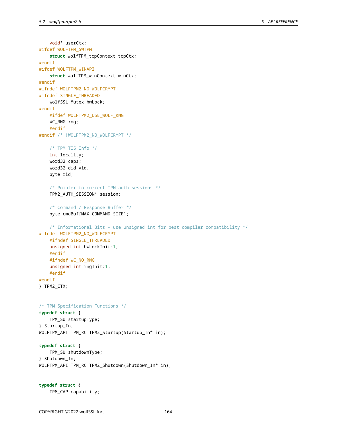void\* userCtx;

```
#ifdef WOLFTPM_SWTPM
    struct wolfTPM_tcpContext tcpCtx;
#endif
#ifdef WOLFTPM_WINAPI
    struct wolfTPM_winContext winCtx;
#endif
#ifndef WOLFTPM2_NO_WOLFCRYPT
#ifndef SINGLE_THREADED
    wolfSSL_Mutex hwLock;
#endif
   #ifdef WOLFTPM2_USE_WOLF_RNG
   WC_RNG rng;
   #endif
#endif /* !WOLFTPM2_NO_WOLFCRYPT */
    /* TPM TIS Info */
    int locality;
   word32 caps;
    word32 did_vid;
   byte rid;
    /* Pointer to current TPM auth sessions */
   TPM2_AUTH_SESSION* session;
    /* Command / Response Buffer */
    byte cmdBuf[MAX_COMMAND_SIZE];
    /* Informational Bits - use unsigned int for best compiler compatibility */
#ifndef WOLFTPM2_NO_WOLFCRYPT
    #ifndef SINGLE_THREADED
    unsigned int hwLockInit:1;
    #endif
   #ifndef WC_NO_RNG
   unsigned int rngInit:1;
    #endif
#endif
} TPM2_CTX;
/* TPM Specification Functions */
typedef struct {
    TPM_SU startupType;
} Startup_In;
WOLFTPM_API TPM_RC TPM2_Startup(Startup_In* in);
typedef struct {
    TPM_SU shutdownType;
} Shutdown_In;
WOLFTPM_API TPM_RC TPM2_Shutdown(Shutdown_In* in);
```

```
typedef struct {
    TPM_CAP capability;
```
COPYRIGHT ©2022 wolfSSL Inc. 164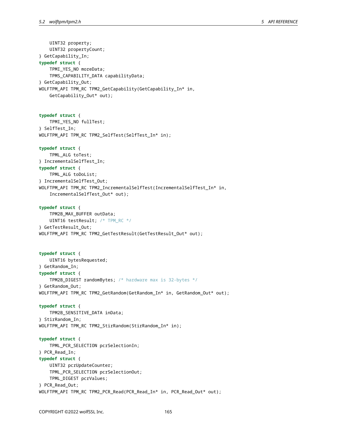UINT32 property; UINT32 propertyCount; } GetCapability\_In; **typedef struct** { TPMI\_YES\_NO moreData; TPMS\_CAPABILITY\_DATA capabilityData; } GetCapability\_Out; WOLFTPM\_API TPM\_RC TPM2\_GetCapability(GetCapability\_In\* in, GetCapability\_Out\* out); **typedef struct** { TPMI\_YES\_NO fullTest; } SelfTest\_In; WOLFTPM\_API TPM\_RC TPM2\_SelfTest(SelfTest\_In\* in); **typedef struct** { TPML\_ALG toTest; } IncrementalSelfTest\_In; **typedef struct** { TPML\_ALG toDoList; } IncrementalSelfTest\_Out; WOLFTPM\_API TPM\_RC TPM2\_IncrementalSelfTest(IncrementalSelfTest\_In\* in, IncrementalSelfTest\_Out\* out); **typedef struct** { TPM2B\_MAX\_BUFFER outData; UINT16 testResult; /\* TPM\_RC \*/ } GetTestResult\_Out; WOLFTPM\_API TPM\_RC TPM2\_GetTestResult(GetTestResult\_Out\* out); **typedef struct** { UINT16 bytesRequested; } GetRandom\_In; **typedef struct** { TPM2B\_DIGEST randomBytes; /\* hardware max is 32-bytes \*/ } GetRandom\_Out; WOLFTPM\_API TPM\_RC TPM2\_GetRandom(GetRandom\_In\* in, GetRandom\_Out\* out); **typedef struct** { TPM2B\_SENSITIVE\_DATA inData; } StirRandom\_In; WOLFTPM\_API TPM\_RC TPM2\_StirRandom(StirRandom\_In\* in); **typedef struct** { TPML\_PCR\_SELECTION pcrSelectionIn; } PCR\_Read\_In; **typedef struct** { UINT32 pcrUpdateCounter; TPML\_PCR\_SELECTION pcrSelectionOut; TPML\_DIGEST pcrValues; } PCR\_Read\_Out; WOLFTPM\_API TPM\_RC TPM2\_PCR\_Read(PCR\_Read\_In\* in, PCR\_Read\_Out\* out);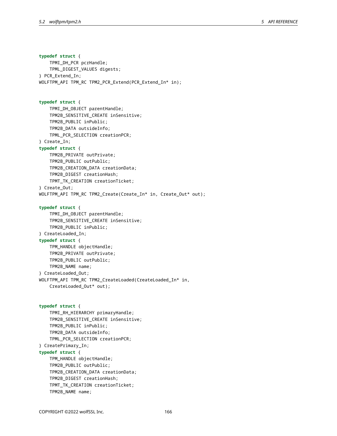**typedef struct** { TPMI\_DH\_PCR pcrHandle; TPML\_DIGEST\_VALUES digests; } PCR\_Extend\_In; WOLFTPM\_API TPM\_RC TPM2\_PCR\_Extend(PCR\_Extend\_In\* in); **typedef struct** { TPMI\_DH\_OBJECT parentHandle; TPM2B\_SENSITIVE\_CREATE inSensitive; TPM2B\_PUBLIC inPublic; TPM2B\_DATA outsideInfo; TPML\_PCR\_SELECTION creationPCR; } Create\_In; **typedef struct** { TPM2B\_PRIVATE outPrivate; TPM2B\_PUBLIC outPublic; TPM2B\_CREATION\_DATA creationData; TPM2B\_DIGEST creationHash; TPMT\_TK\_CREATION creationTicket; } Create\_Out; WOLFTPM\_API TPM\_RC TPM2\_Create(Create\_In\* in, Create\_Out\* out); **typedef struct** { TPMI\_DH\_OBJECT parentHandle; TPM2B\_SENSITIVE\_CREATE inSensitive; TPM2B\_PUBLIC inPublic; } CreateLoaded\_In; **typedef struct** { TPM\_HANDLE objectHandle; TPM2B\_PRIVATE outPrivate; TPM2B\_PUBLIC outPublic; TPM2B\_NAME name; } CreateLoaded\_Out; WOLFTPM\_API TPM\_RC TPM2\_CreateLoaded(CreateLoaded\_In\* in, CreateLoaded\_Out\* out); **typedef struct** { TPMI\_RH\_HIERARCHY primaryHandle; TPM2B\_SENSITIVE\_CREATE inSensitive; TPM2B\_PUBLIC inPublic; TPM2B\_DATA outsideInfo; TPML\_PCR\_SELECTION creationPCR; } CreatePrimary\_In; **typedef struct** { TPM\_HANDLE objectHandle; TPM2B\_PUBLIC outPublic; TPM2B\_CREATION\_DATA creationData;

```
COPYRIGHT ©2022 wolfSSL Inc. 166
```
TPM2B\_NAME name;

TPM2B\_DIGEST creationHash; TPMT\_TK\_CREATION creationTicket;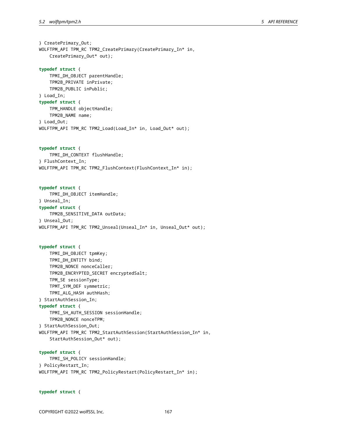} CreatePrimary\_Out; WOLFTPM\_API TPM\_RC TPM2\_CreatePrimary(CreatePrimary\_In\* in, CreatePrimary\_Out\* out); **typedef struct** { TPMI\_DH\_OBJECT parentHandle; TPM2B\_PRIVATE inPrivate; TPM2B\_PUBLIC inPublic; } Load\_In; **typedef struct** { TPM\_HANDLE objectHandle;

TPM2B\_NAME name; } Load\_Out; WOLFTPM\_API TPM\_RC TPM2\_Load(Load\_In\* in, Load\_Out\* out);

**typedef struct** { TPMI\_DH\_CONTEXT flushHandle; } FlushContext\_In; WOLFTPM\_API TPM\_RC TPM2\_FlushContext(FlushContext\_In\* in);

**typedef struct** { TPMI\_DH\_OBJECT itemHandle; } Unseal\_In; **typedef struct** { TPM2B\_SENSITIVE\_DATA outData; } Unseal\_Out; WOLFTPM\_API TPM\_RC TPM2\_Unseal(Unseal\_In\* in, Unseal\_Out\* out);

```
typedef struct {
    TPMI_DH_OBJECT tpmKey;
    TPMI_DH_ENTITY bind;
    TPM2B_NONCE nonceCaller;
    TPM2B_ENCRYPTED_SECRET encryptedSalt;
    TPM_SE sessionType;
    TPMT_SYM_DEF symmetric;
    TPMI_ALG_HASH authHash;
} StartAuthSession_In;
typedef struct {
    TPMI_SH_AUTH_SESSION sessionHandle;
    TPM2B_NONCE nonceTPM;
} StartAuthSession_Out;
WOLFTPM_API TPM_RC TPM2_StartAuthSession(StartAuthSession_In* in,
    StartAuthSession_Out* out);
```
**typedef struct** { TPMI\_SH\_POLICY sessionHandle; } PolicyRestart\_In; WOLFTPM\_API TPM\_RC TPM2\_PolicyRestart(PolicyRestart\_In\* in);

**typedef struct** {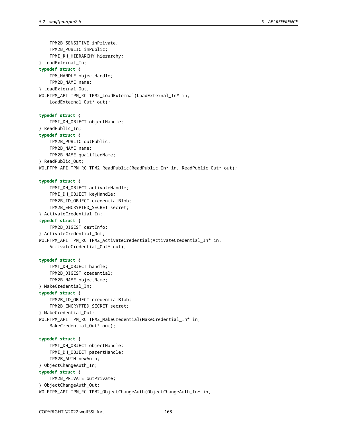TPM2B\_SENSITIVE inPrivate; TPM2B\_PUBLIC inPublic; TPMI\_RH\_HIERARCHY hierarchy; } LoadExternal\_In; **typedef struct** { TPM\_HANDLE objectHandle; TPM2B\_NAME name; } LoadExternal\_Out; WOLFTPM\_API TPM\_RC TPM2\_LoadExternal(LoadExternal\_In\* in, LoadExternal\_Out\* out); **typedef struct** { TPMI\_DH\_OBJECT objectHandle; } ReadPublic\_In; **typedef struct** { TPM2B\_PUBLIC outPublic; TPM2B\_NAME name; TPM2B\_NAME qualifiedName; } ReadPublic\_Out; WOLFTPM\_API TPM\_RC TPM2\_ReadPublic(ReadPublic\_In\* in, ReadPublic\_Out\* out); **typedef struct** { TPMI\_DH\_OBJECT activateHandle; TPMI\_DH\_OBJECT keyHandle; TPM2B ID OBJECT credentialBlob; TPM2B\_ENCRYPTED\_SECRET secret; } ActivateCredential\_In; **typedef struct** { TPM2B\_DIGEST certInfo; } ActivateCredential\_Out; WOLFTPM\_API TPM\_RC TPM2\_ActivateCredential(ActivateCredential\_In\* in, ActivateCredential\_Out\* out); **typedef struct** { TPMI\_DH\_OBJECT handle; TPM2B\_DIGEST credential; TPM2B\_NAME objectName; } MakeCredential\_In; **typedef struct** { TPM2B\_ID\_OBJECT credentialBlob; TPM2B\_ENCRYPTED\_SECRET secret; } MakeCredential\_Out; WOLFTPM\_API TPM\_RC TPM2\_MakeCredential(MakeCredential\_In\* in, MakeCredential\_Out\* out); **typedef struct** { TPMI\_DH\_OBJECT objectHandle; TPMI\_DH\_OBJECT parentHandle; TPM2B\_AUTH newAuth; } ObjectChangeAuth\_In; **typedef struct** { TPM2B\_PRIVATE outPrivate; } ObjectChangeAuth\_Out; WOLFTPM\_API TPM\_RC TPM2\_ObjectChangeAuth(ObjectChangeAuth\_In\* in,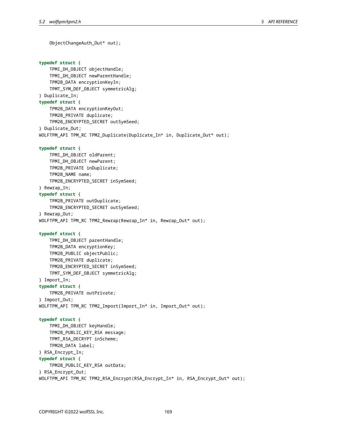```
ObjectChangeAuth_Out* out);
typedef struct {
    TPMI_DH_OBJECT objectHandle;
    TPMI_DH_OBJECT newParentHandle;
    TPM2B_DATA encryptionKeyIn;
    TPMT_SYM_DEF_OBJECT_symmetricAlg;
} Duplicate_In;
typedef struct {
    TPM2B_DATA encryptionKeyOut;
    TPM2B_PRIVATE duplicate;
    TPM2B_ENCRYPTED_SECRET outSymSeed;
} Duplicate_Out;
WOLFTPM_API TPM_RC TPM2_Duplicate(Duplicate_In* in, Duplicate_Out* out);
typedef struct {
    TPMI_DH_OBJECT oldParent;
    TPMI_DH_OBJECT newParent;
    TPM2B_PRIVATE inDuplicate;
    TPM2B_NAME name;
    TPM2B_ENCRYPTED_SECRET inSymSeed;
} Rewrap_In;
typedef struct {
    TPM2B_PRIVATE outDuplicate;
    TPM2B_ENCRYPTED_SECRET outSymSeed;
} Rewrap_Out;
WOLFTPM_API TPM_RC TPM2_Rewrap(Rewrap_In* in, Rewrap_Out* out);
typedef struct {
    TPMI_DH_OBJECT parentHandle;
    TPM2B_DATA encryptionKey;
    TPM2B_PUBLIC objectPublic;
    TPM2B_PRIVATE duplicate;
    TPM2B_ENCRYPTED_SECRET inSymSeed;
    TPMT_SYM_DEF_OBJECT symmetricAlg;
} Import_In;
typedef struct {
    TPM2B_PRIVATE outPrivate;
} Import_Out;
WOLFTPM_API TPM_RC TPM2_Import(Import_In* in, Import_Out* out);
typedef struct {
    TPMI_DH_OBJECT keyHandle;
    TPM2B_PUBLIC_KEY_RSA message;
    TPMT_RSA_DECRYPT inScheme;
    TPM2B_DATA label;
} RSA_Encrypt_In;
typedef struct {
    TPM2B_PUBLIC_KEY_RSA outData;
} RSA_Encrypt_Out;
WOLFTPM_API TPM_RC TPM2_RSA_Encrypt(RSA_Encrypt_In* in, RSA_Encrypt_Out* out);
```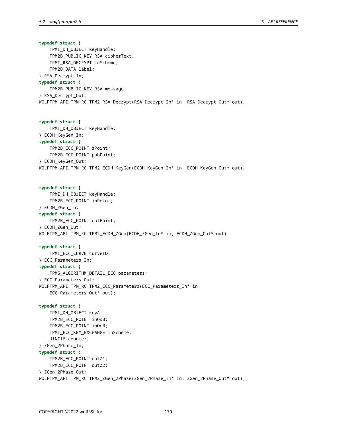**typedef struct** { TPMI\_DH\_OBJECT keyHandle; TPM2B\_PUBLIC\_KEY\_RSA cipherText; TPMT\_RSA\_DECRYPT inScheme; TPM2B\_DATA label; } RSA\_Decrypt\_In; **typedef struct** { TPM2B\_PUBLIC\_KEY\_RSA message; } RSA\_Decrypt\_Out; WOLFTPM\_API TPM\_RC TPM2\_RSA\_Decrypt(RSA\_Decrypt\_In\* in, RSA\_Decrypt\_Out\* out); **typedef struct** { TPMI\_DH\_OBJECT keyHandle; } ECDH\_KeyGen\_In; **typedef struct** { TPM2B\_ECC\_POINT zPoint; TPM2B\_ECC\_POINT pubPoint; } ECDH\_KeyGen\_Out; WOLFTPM\_API TPM\_RC TPM2\_ECDH\_KeyGen(ECDH\_KeyGen\_In\* in, ECDH\_KeyGen\_Out\* out); **typedef struct** { TPMI\_DH\_OBJECT keyHandle; TPM2B\_ECC\_POINT inPoint; } ECDH\_ZGen\_In; **typedef struct** { TPM2B\_ECC\_POINT outPoint; } ECDH\_ZGen\_Out; WOLFTPM\_API TPM\_RC TPM2\_ECDH\_ZGen(ECDH\_ZGen\_In\* in, ECDH\_ZGen\_Out\* out); **typedef struct** { TPMI\_ECC\_CURVE curveID; } ECC\_Parameters\_In; **typedef struct** { TPMS\_ALGORITHM\_DETAIL\_ECC parameters; } ECC\_Parameters\_Out; WOLFTPM\_API TPM\_RC TPM2\_ECC\_Parameters(ECC\_Parameters\_In\* in, ECC\_Parameters\_Out\* out); **typedef struct** { TPMI\_DH\_OBJECT keyA; TPM2B\_ECC\_POINT inQsB; TPM2B\_ECC\_POINT inQeB; TPMI\_ECC\_KEY\_EXCHANGE inScheme; UINT16 counter; } ZGen\_2Phase\_In; **typedef struct** { TPM2B\_ECC\_POINT outZ1; TPM2B\_ECC\_POINT outZ2; } ZGen\_2Phase\_Out; WOLFTPM\_API TPM\_RC TPM2\_ZGen\_2Phase(ZGen\_2Phase\_In\* in, ZGen\_2Phase\_Out\* out);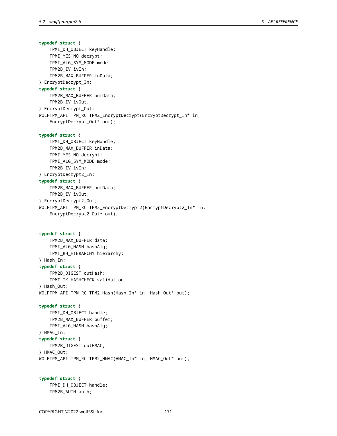# **typedef struct** { TPMI\_DH\_OBJECT keyHandle; TPMI\_YES\_NO decrypt; TPMI\_ALG\_SYM\_MODE mode; TPM2B\_IV ivIn; TPM2B\_MAX\_BUFFER inData; } EncryptDecrypt\_In; **typedef struct** { TPM2B\_MAX\_BUFFER outData; TPM2B\_IV ivOut; } EncryptDecrypt\_Out; WOLFTPM\_API TPM\_RC TPM2\_EncryptDecrypt(EncryptDecrypt\_In\* in, EncryptDecrypt\_Out\* out); **typedef struct** { TPMI\_DH\_OBJECT keyHandle; TPM2B\_MAX\_BUFFER inData; TPMI\_YES\_NO decrypt; TPMI\_ALG\_SYM\_MODE mode; TPM2B\_IV ivIn; } EncryptDecrypt2\_In; **typedef struct** { TPM2B\_MAX\_BUFFER outData; TPM2B\_IV ivOut; } EncryptDecrypt2\_Out; WOLFTPM\_API TPM\_RC TPM2\_EncryptDecrypt2(EncryptDecrypt2\_In\* in, EncryptDecrypt2\_Out\* out); **typedef struct** { TPM2B\_MAX\_BUFFER data; TPMI\_ALG\_HASH hashAlg; TPMI\_RH\_HIERARCHY hierarchy; } Hash\_In; **typedef struct** { TPM2B\_DIGEST outHash; TPMT\_TK\_HASHCHECK validation; } Hash\_Out; WOLFTPM\_API TPM\_RC TPM2\_Hash(Hash\_In\* in, Hash\_Out\* out); **typedef struct** { TPMI\_DH\_OBJECT handle; TPM2B\_MAX\_BUFFER buffer; TPMI\_ALG\_HASH hashAlg; } HMAC\_In; **typedef struct** { TPM2B\_DIGEST outHMAC; } HMAC\_Out; WOLFTPM\_API TPM\_RC TPM2\_HMAC(HMAC\_In\* in, HMAC\_Out\* out);

**typedef struct** { TPMI\_DH\_OBJECT handle; TPM2B\_AUTH auth;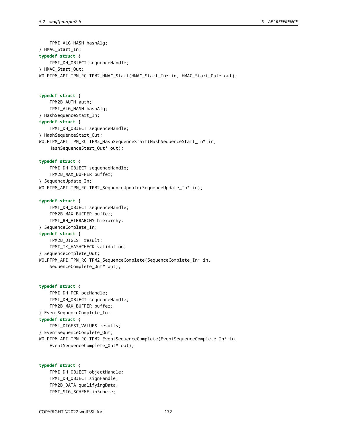TPMI\_ALG\_HASH hashAlg; } HMAC\_Start\_In; **typedef struct** { TPMI\_DH\_OBJECT sequenceHandle; } HMAC\_Start\_Out; WOLFTPM\_API TPM\_RC TPM2\_HMAC\_Start(HMAC\_Start\_In\* in, HMAC\_Start\_Out\* out); **typedef struct** { TPM2B\_AUTH auth; TPMI\_ALG\_HASH hashAlg; } HashSequenceStart\_In; **typedef struct** { TPMI\_DH\_OBJECT sequenceHandle; } HashSequenceStart\_Out; WOLFTPM\_API TPM\_RC TPM2\_HashSequenceStart(HashSequenceStart\_In\* in, HashSequenceStart\_Out\* out); **typedef struct** { TPMI\_DH\_OBJECT sequenceHandle; TPM2B\_MAX\_BUFFER buffer; } SequenceUpdate\_In; WOLFTPM\_API TPM\_RC TPM2\_SequenceUpdate(SequenceUpdate\_In\* in); **typedef struct** { TPMI\_DH\_OBJECT sequenceHandle; TPM2B\_MAX\_BUFFER buffer; TPMI\_RH\_HIERARCHY hierarchy; } SequenceComplete\_In; **typedef struct** { TPM2B\_DIGEST result; TPMT\_TK\_HASHCHECK validation; } SequenceComplete\_Out; WOLFTPM\_API TPM\_RC TPM2\_SequenceComplete(SequenceComplete\_In\* in, SequenceComplete\_Out\* out); **typedef struct** { TPMI\_DH\_PCR pcrHandle; TPMI\_DH\_OBJECT sequenceHandle; TPM2B\_MAX\_BUFFER buffer; } EventSequenceComplete\_In; **typedef struct** { TPML\_DIGEST\_VALUES results;

} EventSequenceComplete\_Out;

WOLFTPM\_API TPM\_RC TPM2\_EventSequenceComplete(EventSequenceComplete\_In\* in, EventSequenceComplete\_Out\* out);

```
typedef struct {
    TPMI_DH_OBJECT objectHandle;
    TPMI_DH_OBJECT signHandle;
    TPM2B_DATA qualifyingData;
    TPMT_SIG_SCHEME inScheme;
```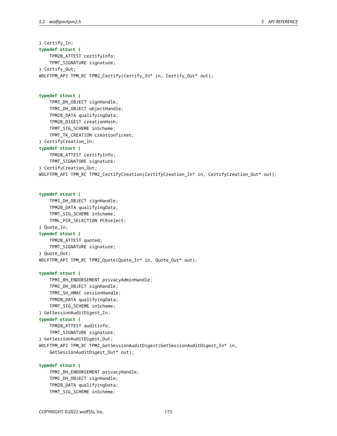} Certify\_In; **typedef struct** { TPM2B\_ATTEST certifyInfo; TPMT\_SIGNATURE signature; } Certify\_Out; WOLFTPM\_API TPM\_RC TPM2\_Certify(Certify\_In\* in, Certify\_Out\* out); **typedef struct** { TPMI\_DH\_OBJECT signHandle; TPMI\_DH\_OBJECT objectHandle; TPM2B\_DATA qualifyingData; TPM2B\_DIGEST creationHash; TPMT\_SIG\_SCHEME inScheme; TPMT\_TK\_CREATION creationTicket; } CertifyCreation\_In; **typedef struct** { TPM2B\_ATTEST certifyInfo; TPMT\_SIGNATURE signature; } CertifyCreation\_Out; WOLFTPM\_API TPM\_RC TPM2\_CertifyCreation(CertifyCreation\_In\* in, CertifyCreation\_Out\* out); **typedef struct** { TPMI\_DH\_OBJECT signHandle; TPM2B\_DATA qualifyingData; TPMT\_SIG\_SCHEME inScheme; TPML\_PCR\_SELECTION PCRselect; } Quote\_In; **typedef struct** { TPM2B\_ATTEST quoted; TPMT\_SIGNATURE signature; } Quote\_Out; WOLFTPM\_API TPM\_RC TPM2\_Quote(Quote\_In\* in, Quote\_Out\* out); **typedef struct** { TPMI\_RH\_ENDORSEMENT privacyAdminHandle; TPMI\_DH\_OBJECT signHandle; TPMI\_SH\_HMAC sessionHandle; TPM2B\_DATA qualifyingData; TPMT\_SIG\_SCHEME inScheme; } GetSessionAuditDigest\_In; **typedef struct** { TPM2B\_ATTEST auditInfo; TPMT\_SIGNATURE signature; } GetSessionAuditDigest\_Out; WOLFTPM\_API TPM\_RC TPM2\_GetSessionAuditDigest(GetSessionAuditDigest\_In\* in, GetSessionAuditDigest\_Out\* out); **typedef struct** { TPMI\_RH\_ENDORSEMENT privacyHandle; TPMI\_DH\_OBJECT signHandle; TPM2B\_DATA qualifyingData;

TPMT\_SIG\_SCHEME inScheme;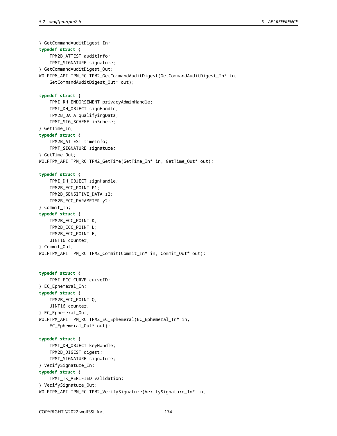} GetCommandAuditDigest\_In; **typedef struct** { TPM2B\_ATTEST auditInfo; TPMT\_SIGNATURE signature; } GetCommandAuditDigest\_Out; WOLFTPM\_API TPM\_RC TPM2\_GetCommandAuditDigest(GetCommandAuditDigest\_In\* in, GetCommandAuditDigest\_Out\* out); **typedef struct** { TPMI\_RH\_ENDORSEMENT privacyAdminHandle; TPMI\_DH\_OBJECT signHandle; TPM2B\_DATA qualifyingData; TPMT\_SIG\_SCHEME inScheme; } GetTime\_In; **typedef struct** { TPM2B\_ATTEST timeInfo; TPMT\_SIGNATURE signature; } GetTime\_Out; WOLFTPM\_API TPM\_RC TPM2\_GetTime(GetTime\_In\* in, GetTime\_Out\* out); **typedef struct** { TPMI\_DH\_OBJECT signHandle; TPM2B\_ECC\_POINT P1; TPM2B\_SENSITIVE\_DATA s2; TPM2B\_ECC\_PARAMETER y2; } Commit\_In; **typedef struct** { TPM2B\_ECC\_POINT K; TPM2B\_ECC\_POINT L; TPM2B\_ECC\_POINT E; UINT16 counter; } Commit\_Out; WOLFTPM\_API TPM\_RC TPM2\_Commit(Commit\_In\* in, Commit\_Out\* out); **typedef struct** { TPMI\_ECC\_CURVE curveID; } EC\_Ephemeral\_In; **typedef struct** { TPM2B\_ECC\_POINT Q; UINT16 counter; } EC\_Ephemeral\_Out; WOLFTPM\_API TPM\_RC TPM2\_EC\_Ephemeral(EC\_Ephemeral\_In\* in, EC\_Ephemeral\_Out\* out); **typedef struct** { TPMI\_DH\_OBJECT keyHandle; TPM2B\_DIGEST digest; TPMT\_SIGNATURE signature; } VerifySignature\_In; **typedef struct** { TPMT\_TK\_VERIFIED validation; } VerifySignature\_Out; WOLFTPM\_API TPM\_RC TPM2\_VerifySignature(VerifySignature\_In\* in,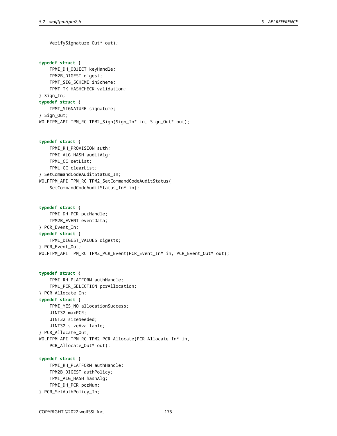VerifySignature\_Out\* out);

**typedef struct** { TPMI\_DH\_OBJECT keyHandle; TPM2B\_DIGEST digest; TPMT\_SIG\_SCHEME inScheme; TPMT TK HASHCHECK validation; } Sign\_In; **typedef struct** { TPMT\_SIGNATURE signature; } Sign\_Out; WOLFTPM\_API TPM\_RC TPM2\_Sign(Sign\_In\* in, Sign\_Out\* out);

**typedef struct** { TPMI\_RH\_PROVISION auth; TPMI\_ALG\_HASH auditAlg; TPML\_CC setList; TPML\_CC clearList; } SetCommandCodeAuditStatus\_In; WOLFTPM\_API TPM\_RC TPM2\_SetCommandCodeAuditStatus( SetCommandCodeAuditStatus\_In\* in);

**typedef struct** { TPMI\_DH\_PCR pcrHandle; TPM2B\_EVENT eventData; } PCR\_Event\_In; **typedef struct** { TPML\_DIGEST\_VALUES digests; } PCR\_Event\_Out; WOLFTPM\_API TPM\_RC TPM2\_PCR\_Event(PCR\_Event\_In\* in, PCR\_Event\_Out\* out);

**typedef struct** { TPMI\_RH\_PLATFORM authHandle; TPML\_PCR\_SELECTION pcrAllocation; } PCR\_Allocate\_In; **typedef struct** { TPMI\_YES\_NO allocationSuccess; UINT32 maxPCR; UINT32 sizeNeeded; UINT32 sizeAvailable; } PCR\_Allocate\_Out; WOLFTPM\_API TPM\_RC TPM2\_PCR\_Allocate(PCR\_Allocate\_In\* in, PCR\_Allocate\_Out\* out);

**typedef struct** { TPMI\_RH\_PLATFORM authHandle; TPM2B\_DIGEST authPolicy; TPMI\_ALG\_HASH hashAlg; TPMI\_DH\_PCR pcrNum; } PCR\_SetAuthPolicy\_In;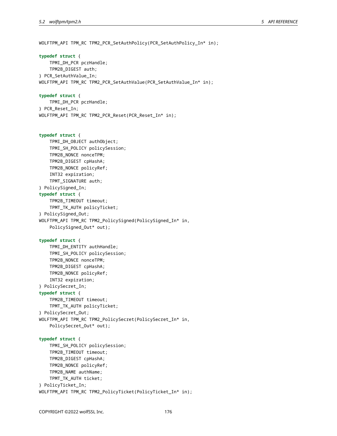WOLFTPM\_API TPM\_RC TPM2\_PCR\_SetAuthPolicy(PCR\_SetAuthPolicy\_In\* in); **typedef struct** { TPMI\_DH\_PCR pcrHandle; TPM2B\_DIGEST auth; } PCR\_SetAuthValue\_In; WOLFTPM\_API TPM\_RC TPM2\_PCR\_SetAuthValue(PCR\_SetAuthValue\_In\* in); **typedef struct** { TPMI\_DH\_PCR pcrHandle; } PCR\_Reset\_In; WOLFTPM\_API TPM\_RC TPM2\_PCR\_Reset(PCR\_Reset\_In\* in); **typedef struct** { TPMI\_DH\_OBJECT authObject; TPMI\_SH\_POLICY policySession; TPM2B\_NONCE nonceTPM; TPM2B\_DIGEST cpHashA; TPM2B\_NONCE policyRef; INT32 expiration; TPMT\_SIGNATURE auth; } PolicySigned\_In; **typedef struct** { TPM2B\_TIMEOUT timeout; TPMT\_TK\_AUTH policyTicket; } PolicySigned\_Out; WOLFTPM\_API TPM\_RC TPM2\_PolicySigned(PolicySigned\_In\* in, PolicySigned\_Out\* out); **typedef struct** { TPMI\_DH\_ENTITY authHandle; TPMI\_SH\_POLICY policySession; TPM2B\_NONCE nonceTPM; TPM2B\_DIGEST cpHashA; TPM2B\_NONCE policyRef; INT32 expiration; } PolicySecret\_In; **typedef struct** { TPM2B\_TIMEOUT timeout; TPMT\_TK\_AUTH policyTicket; } PolicySecret\_Out; WOLFTPM\_API TPM\_RC TPM2\_PolicySecret(PolicySecret\_In\* in, PolicySecret\_Out\* out); **typedef struct** { TPMI\_SH\_POLICY policySession; TPM2B\_TIMEOUT timeout; TPM2B\_DIGEST cpHashA; TPM2B\_NONCE policyRef; TPM2B\_NAME authName; TPMT\_TK\_AUTH ticket; } PolicyTicket\_In; WOLFTPM\_API TPM\_RC TPM2\_PolicyTicket(PolicyTicket\_In\* in);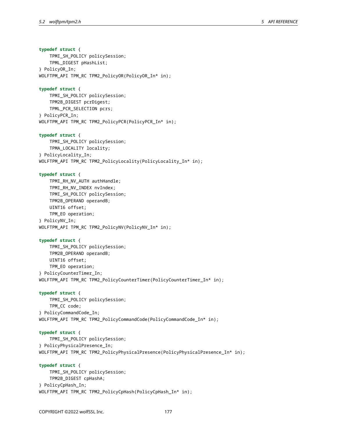**typedef struct** { TPMI\_SH\_POLICY policySession; TPML\_DIGEST pHashList; } PolicyOR\_In; WOLFTPM\_API TPM\_RC TPM2\_PolicyOR(PolicyOR\_In\* in);

#### **typedef struct** {

TPMI\_SH\_POLICY policySession; TPM2B\_DIGEST pcrDigest; TPML\_PCR\_SELECTION pcrs; } PolicyPCR\_In; WOLFTPM\_API TPM\_RC TPM2\_PolicyPCR(PolicyPCR\_In\* in);

#### **typedef struct** {

TPMI\_SH\_POLICY policySession; TPMA\_LOCALITY locality; } PolicyLocality\_In; WOLFTPM\_API TPM\_RC TPM2\_PolicyLocality(PolicyLocality\_In\* in);

# **typedef struct** {

TPMI\_RH\_NV\_AUTH authHandle; TPMI\_RH\_NV\_INDEX nvIndex; TPMI\_SH\_POLICY policySession; TPM2B\_OPERAND operandB; UINT16 offset; TPM\_EO operation; } PolicyNV\_In; WOLFTPM\_API TPM\_RC TPM2\_PolicyNV(PolicyNV\_In\* in);

#### **typedef struct** {

TPMI\_SH\_POLICY policySession; TPM2B\_OPERAND operandB; UINT16 offset; TPM\_EO operation; } PolicyCounterTimer\_In; WOLFTPM\_API TPM\_RC TPM2\_PolicyCounterTimer(PolicyCounterTimer\_In\* in);

# **typedef struct** {

TPMI\_SH\_POLICY policySession; TPM\_CC code; } PolicyCommandCode\_In; WOLFTPM\_API TPM\_RC TPM2\_PolicyCommandCode(PolicyCommandCode\_In\* in);

## **typedef struct** {

TPMI\_SH\_POLICY policySession; } PolicyPhysicalPresence\_In; WOLFTPM\_API TPM\_RC TPM2\_PolicyPhysicalPresence(PolicyPhysicalPresence\_In\* in);

# **typedef struct** { TPMI\_SH\_POLICY policySession; TPM2B\_DIGEST cpHashA; } PolicyCpHash\_In; WOLFTPM\_API TPM\_RC TPM2\_PolicyCpHash(PolicyCpHash\_In\* in);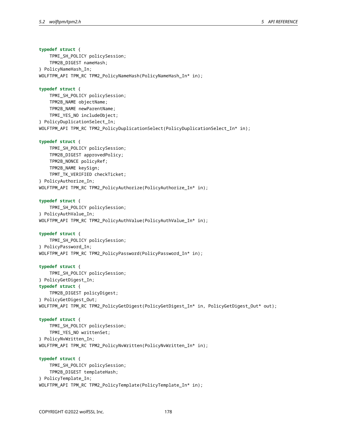**typedef struct** { TPMI\_SH\_POLICY policySession; TPM2B\_DIGEST nameHash; } PolicyNameHash\_In; WOLFTPM\_API TPM\_RC TPM2\_PolicyNameHash(PolicyNameHash\_In\* in); **typedef struct** { TPMI\_SH\_POLICY policySession; TPM2B\_NAME objectName; TPM2B\_NAME newParentName; TPMI\_YES\_NO includeObject; } PolicyDuplicationSelect\_In; WOLFTPM\_API TPM\_RC TPM2\_PolicyDuplicationSelect(PolicyDuplicationSelect\_In\* in); **typedef struct** { TPMI\_SH\_POLICY policySession; TPM2B\_DIGEST approvedPolicy; TPM2B\_NONCE policyRef; TPM2B\_NAME keySign; TPMT\_TK\_VERIFIED checkTicket; } PolicyAuthorize\_In; WOLFTPM\_API TPM\_RC TPM2\_PolicyAuthorize(PolicyAuthorize\_In\* in); **typedef struct** { TPMI\_SH\_POLICY policySession; } PolicyAuthValue\_In; WOLFTPM\_API TPM\_RC TPM2\_PolicyAuthValue(PolicyAuthValue\_In\* in); **typedef struct** { TPMI\_SH\_POLICY policySession; } PolicyPassword\_In; WOLFTPM\_API TPM\_RC TPM2\_PolicyPassword(PolicyPassword\_In\* in); **typedef struct** { TPMI\_SH\_POLICY policySession; } PolicyGetDigest\_In; **typedef struct** { TPM2B\_DIGEST policyDigest; } PolicyGetDigest\_Out; WOLFTPM\_API TPM\_RC TPM2\_PolicyGetDigest(PolicyGetDigest\_In\* in, PolicyGetDigest\_Out\* out); **typedef struct** { TPMI\_SH\_POLICY policySession; TPMI\_YES\_NO writtenSet; } PolicyNvWritten\_In; WOLFTPM\_API TPM\_RC TPM2\_PolicyNvWritten(PolicyNvWritten\_In\* in); **typedef struct** { TPMI\_SH\_POLICY policySession; TPM2B\_DIGEST templateHash; } PolicyTemplate\_In; WOLFTPM\_API TPM\_RC TPM2\_PolicyTemplate(PolicyTemplate\_In\* in);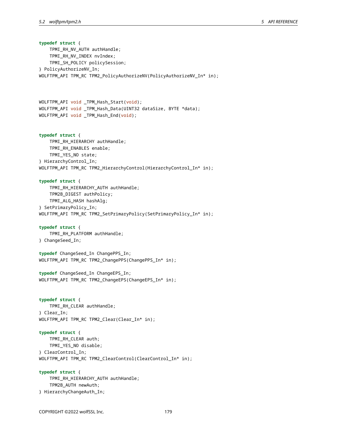**typedef struct** { TPMI\_RH\_NV\_AUTH authHandle; TPMI\_RH\_NV\_INDEX nvIndex; TPMI\_SH\_POLICY policySession; } PolicyAuthorizeNV\_In; WOLFTPM\_API TPM\_RC TPM2\_PolicyAuthorizeNV(PolicyAuthorizeNV\_In\* in); WOLFTPM\_API void \_TPM\_Hash\_Start(void); WOLFTPM\_API void \_TPM\_Hash\_Data(UINT32 dataSize, BYTE \*data); WOLFTPM\_API void \_TPM\_Hash\_End(void); **typedef struct** { TPMI\_RH\_HIERARCHY authHandle; TPMI\_RH\_ENABLES enable; TPMI\_YES\_NO state; } HierarchyControl\_In; WOLFTPM\_API TPM\_RC TPM2\_HierarchyControl(HierarchyControl\_In\* in); **typedef struct** { TPMI\_RH\_HIERARCHY\_AUTH authHandle; TPM2B\_DIGEST authPolicy; TPMI\_ALG\_HASH hashAlg; } SetPrimaryPolicy\_In; WOLFTPM\_API TPM\_RC TPM2\_SetPrimaryPolicy(SetPrimaryPolicy\_In\* in); **typedef struct** { TPMI\_RH\_PLATFORM authHandle; } ChangeSeed\_In; **typedef** ChangeSeed\_In ChangePPS\_In; WOLFTPM\_API TPM\_RC TPM2\_ChangePPS(ChangePPS\_In\* in); **typedef** ChangeSeed\_In ChangeEPS\_In; WOLFTPM\_API TPM\_RC TPM2\_ChangeEPS(ChangeEPS\_In\* in); **typedef struct** { TPMI\_RH\_CLEAR authHandle; } Clear\_In; WOLFTPM\_API TPM\_RC TPM2\_Clear(Clear\_In\* in); **typedef struct** { TPMI\_RH\_CLEAR auth; TPMI\_YES\_NO disable; } ClearControl\_In; WOLFTPM\_API TPM\_RC TPM2\_ClearControl(ClearControl\_In\* in); **typedef struct** { TPMI\_RH\_HIERARCHY\_AUTH authHandle;

- TPM2B\_AUTH newAuth; } HierarchyChangeAuth\_In;
-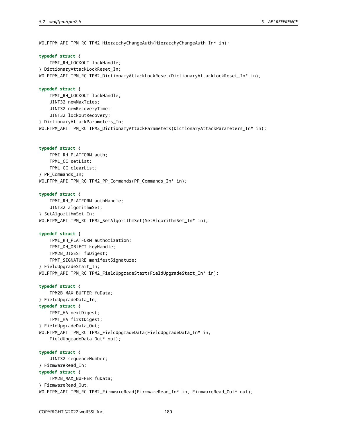WOLFTPM\_API TPM\_RC TPM2\_HierarchyChangeAuth(HierarchyChangeAuth\_In\* in);

#### **typedef struct** {

TPMI\_RH\_LOCKOUT lockHandle; } DictionaryAttackLockReset\_In; WOLFTPM\_API TPM\_RC TPM2\_DictionaryAttackLockReset(DictionaryAttackLockReset\_In\* in);

# **typedef struct** {

TPMI\_RH\_LOCKOUT lockHandle; UINT32 newMaxTries; UINT32 newRecoveryTime; UINT32 lockoutRecovery; } DictionaryAttackParameters\_In; WOLFTPM\_API TPM\_RC TPM2\_DictionaryAttackParameters(DictionaryAttackParameters\_In\* in);

# **typedef struct** {

TPMI\_RH\_PLATFORM auth; TPML\_CC setList; TPML\_CC clearList; } PP\_Commands\_In; WOLFTPM\_API TPM\_RC TPM2\_PP\_Commands(PP\_Commands\_In\* in);

#### **typedef struct** {

TPMI\_RH\_PLATFORM authHandle; UINT32 algorithmSet; } SetAlgorithmSet\_In; WOLFTPM\_API TPM\_RC TPM2\_SetAlgorithmSet(SetAlgorithmSet\_In\* in);

```
typedef struct {
    TPMI_RH_PLATFORM authorization;
    TPMI_DH_OBJECT keyHandle;
    TPM2B_DIGEST fuDigest;
    TPMT_SIGNATURE manifestSignature;
} FieldUpgradeStart_In;
WOLFTPM_API TPM_RC TPM2_FieldUpgradeStart(FieldUpgradeStart_In* in);
```
**typedef struct** {

TPM2B\_MAX\_BUFFER fuData; } FieldUpgradeData\_In; **typedef struct** { TPMT\_HA nextDigest; TPMT\_HA firstDigest; } FieldUpgradeData\_Out; WOLFTPM\_API TPM\_RC TPM2\_FieldUpgradeData(FieldUpgradeData\_In\* in, FieldUpgradeData\_Out\* out);

#### **typedef struct** {

UINT32 sequenceNumber; } FirmwareRead\_In; **typedef struct** { TPM2B\_MAX\_BUFFER fuData; } FirmwareRead\_Out; WOLFTPM\_API TPM\_RC TPM2\_FirmwareRead(FirmwareRead\_In\* in, FirmwareRead\_Out\* out);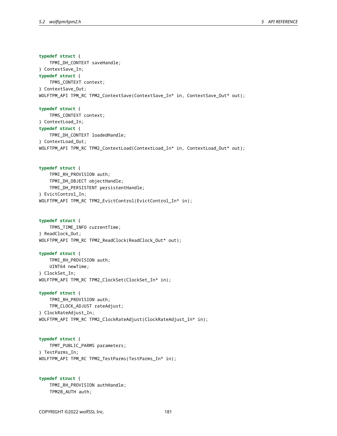**typedef struct** { TPMI\_DH\_CONTEXT saveHandle; } ContextSave\_In; **typedef struct** { TPMS\_CONTEXT context; } ContextSave\_Out; WOLFTPM\_API TPM\_RC TPM2\_ContextSave(ContextSave\_In\* in, ContextSave\_Out\* out);

**typedef struct** { TPMS\_CONTEXT context; } ContextLoad\_In; **typedef struct** { TPMI\_DH\_CONTEXT loadedHandle; } ContextLoad\_Out; WOLFTPM\_API TPM\_RC TPM2\_ContextLoad(ContextLoad\_In\* in, ContextLoad\_Out\* out);

**typedef struct** { TPMI\_RH\_PROVISION auth; TPMI\_DH\_OBJECT objectHandle; TPMI\_DH\_PERSISTENT persistentHandle; } EvictControl\_In; WOLFTPM\_API TPM\_RC TPM2\_EvictControl(EvictControl\_In\* in);

# **typedef struct** { TPMS\_TIME\_INFO currentTime; } ReadClock\_Out; WOLFTPM\_API TPM\_RC TPM2\_ReadClock(ReadClock\_Out\* out);

**typedef struct** { TPMI\_RH\_PROVISION auth; UINT64 newTime; } ClockSet\_In; WOLFTPM\_API TPM\_RC TPM2\_ClockSet(ClockSet\_In\* in);

# **typedef struct** { TPMI\_RH\_PROVISION auth; TPM\_CLOCK\_ADJUST rateAdjust; } ClockRateAdjust\_In; WOLFTPM\_API TPM\_RC TPM2\_ClockRateAdjust(ClockRateAdjust\_In\* in);

**typedef struct** { TPMT\_PUBLIC\_PARMS parameters; } TestParms\_In; WOLFTPM\_API TPM\_RC TPM2\_TestParms(TestParms\_In\* in);

**typedef struct** { TPMI\_RH\_PROVISION authHandle; TPM2B\_AUTH auth;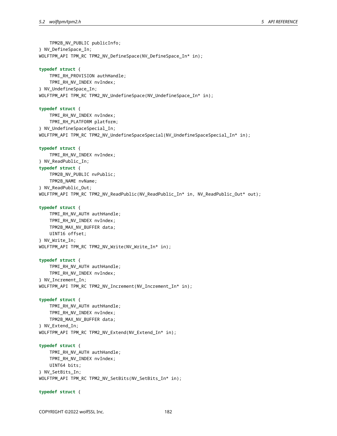TPM2B\_NV\_PUBLIC publicInfo; } NV\_DefineSpace\_In; WOLFTPM\_API TPM\_RC TPM2\_NV\_DefineSpace(NV\_DefineSpace\_In\* in);

#### **typedef struct** {

TPMI\_RH\_PROVISION authHandle; TPMI\_RH\_NV\_INDEX nvIndex; } NV\_UndefineSpace\_In; WOLFTPM\_API TPM\_RC TPM2\_NV\_UndefineSpace(NV\_UndefineSpace\_In\* in);

### **typedef struct** {

TPMI\_RH\_NV\_INDEX nvIndex; TPMI\_RH\_PLATFORM platform; } NV\_UndefineSpaceSpecial\_In; WOLFTPM\_API TPM\_RC TPM2\_NV\_UndefineSpaceSpecial(NV\_UndefineSpaceSpecial\_In\* in);

### **typedef struct** {

TPMI\_RH\_NV\_INDEX nvIndex; } NV\_ReadPublic\_In; **typedef struct** { TPM2B\_NV\_PUBLIC nvPublic; TPM2B\_NAME nvName; } NV\_ReadPublic\_Out; WOLFTPM\_API TPM\_RC TPM2\_NV\_ReadPublic(NV\_ReadPublic\_In\* in, NV\_ReadPublic\_Out\* out);

#### **typedef struct** {

TPMI\_RH\_NV\_AUTH authHandle; TPMI\_RH\_NV\_INDEX nvIndex; TPM2B\_MAX\_NV\_BUFFER data; UINT16 offset; } NV\_Write\_In; WOLFTPM\_API TPM\_RC TPM2\_NV\_Write(NV\_Write\_In\* in);

#### **typedef struct** {

TPMI\_RH\_NV\_AUTH authHandle; TPMI\_RH\_NV\_INDEX nvIndex; } NV\_Increment\_In; WOLFTPM\_API TPM\_RC TPM2\_NV\_Increment(NV\_Increment\_In\* in);

#### **typedef struct** {

TPMI\_RH\_NV\_AUTH authHandle; TPMI\_RH\_NV\_INDEX nvIndex; TPM2B\_MAX\_NV\_BUFFER data; } NV\_Extend\_In; WOLFTPM\_API TPM\_RC TPM2\_NV\_Extend(NV\_Extend\_In\* in);

**typedef struct** { TPMI\_RH\_NV\_AUTH authHandle; TPMI\_RH\_NV\_INDEX nvIndex; UINT64 bits; } NV\_SetBits\_In; WOLFTPM\_API TPM\_RC TPM2\_NV\_SetBits(NV\_SetBits\_In\* in);

#### **typedef struct** {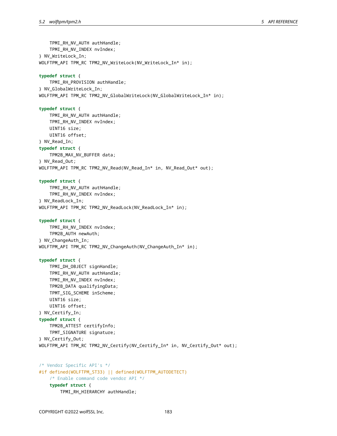TPMI\_RH\_NV\_AUTH authHandle; TPMI\_RH\_NV\_INDEX nvIndex; } NV\_WriteLock\_In; WOLFTPM\_API TPM\_RC TPM2\_NV\_WriteLock(NV\_WriteLock\_In\* in); **typedef struct** { TPMI\_RH\_PROVISION authHandle; } NV\_GlobalWriteLock\_In; WOLFTPM\_API TPM\_RC TPM2\_NV\_GlobalWriteLock(NV\_GlobalWriteLock\_In\* in); **typedef struct** { TPMI\_RH\_NV\_AUTH authHandle; TPMI\_RH\_NV\_INDEX nvIndex; UINT16 size; UINT16 offset; } NV\_Read\_In; **typedef struct** { TPM2B\_MAX\_NV\_BUFFER data; } NV\_Read\_Out; WOLFTPM\_API TPM\_RC TPM2\_NV\_Read(NV\_Read\_In\* in, NV\_Read\_Out\* out); **typedef struct** { TPMI\_RH\_NV\_AUTH authHandle; TPMI\_RH\_NV\_INDEX nvIndex; } NV\_ReadLock\_In; WOLFTPM\_API TPM\_RC TPM2\_NV\_ReadLock(NV\_ReadLock\_In\* in); **typedef struct** { TPMI\_RH\_NV\_INDEX nvIndex; TPM2B\_AUTH newAuth; } NV\_ChangeAuth\_In; WOLFTPM\_API TPM\_RC TPM2\_NV\_ChangeAuth(NV\_ChangeAuth\_In\* in); **typedef struct** { TPMI\_DH\_OBJECT signHandle; TPMI\_RH\_NV\_AUTH authHandle; TPMI\_RH\_NV\_INDEX nvIndex; TPM2B\_DATA qualifyingData; TPMT\_SIG\_SCHEME inScheme; UINT16 size; UINT16 offset; } NV\_Certify\_In; **typedef struct** { TPM2B\_ATTEST certifyInfo; TPMT\_SIGNATURE signature; } NV\_Certify\_Out; WOLFTPM\_API TPM\_RC TPM2\_NV\_Certify(NV\_Certify\_In\* in, NV\_Certify\_Out\* out); /\* Vendor Specific API's \*/ #if defined(WOLFTPM\_ST33) || defined(WOLFTPM\_AUTODETECT) /\* Enable command code vendor API \*/ **typedef struct** { TPMI\_RH\_HIERARCHY authHandle;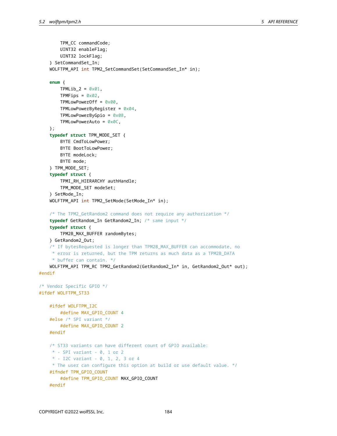```
TPM_CC commandCode;
        UINT32 enableFlag;
        UINT32 lockFlag;
    } SetCommandSet_In;
    WOLFTPM_API int TPM2_SetCommandSet(SetCommandSet_In* in);
    enum {
        TPMLib_2 = 0 \times 01,
        TPMFips = 0 \times 02,
        TPMLowPowerOff = 0 \times 00,
        TPMLowPowerByRegister = 0x04,
        TPMLowPowerByGpio = 0x08,
        TPMLowPowerAuto = 0x0C,
    };
    typedef struct TPM_MODE_SET {
        BYTE CmdToLowPower;
        BYTE BootToLowPower;
        BYTE modeLock;
        BYTE mode;
    } TPM_MODE_SET;
    typedef struct {
        TPMI_RH_HIERARCHY authHandle;
        TPM_MODE_SET modeSet;
    } SetMode_In;
    WOLFTPM API int TPM2 SetMode(SetMode In* in);
    /* The TPM2_GetRandom2 command does not require any authorization */
    typedef GetRandom_In GetRandom2_In; /* same input */
    typedef struct {
        TPM2B_MAX_BUFFER randomBytes;
    } GetRandom2_Out;
    /* If bytesRequested is longer than TPM2B_MAX_BUFFER can accommodate, no
     * error is returned, but the TPM returns as much data as a TPM2B_DATA
     * buffer can contain. */
    WOLFTPM_API TPM_RC TPM2_GetRandom2(GetRandom2_In* in, GetRandom2_Out* out);
#endif
/* Vendor Specific GPIO */
#ifdef WOLFTPM_ST33
    #ifdef WOLFTPM_I2C
        #define MAX_GPIO_COUNT 4
    #else /* SPI variant */
        #define MAX_GPIO_COUNT 2
    #endif
    /* ST33 variants can have different count of GPIO available:
     * - SPI variant - 0, 1 or 2
     * - I2C variant - 0, 1, 2, 3 or 4
     * The user can configure this option at build or use default value. */
    #ifndef TPM_GPIO_COUNT
        #define TPM_GPIO_COUNT MAX_GPIO_COUNT
    #endif
```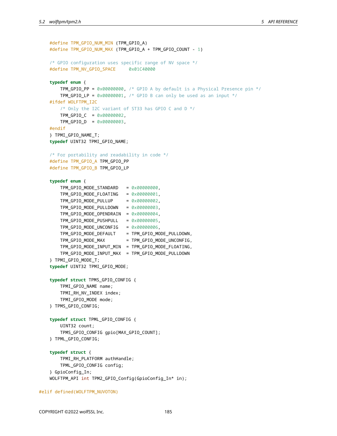```
#define TPM_GPIO_NUM_MIN (TPM_GPIO_A)
#define TPM_GPIO_NUM_MAX (TPM_GPIO_A + TPM_GPIO_COUNT - 1)
/* GPIO configuration uses specific range of NV space */
#define TPM_NV_GPIO_SPACE 0x01C40000
typedef enum {
   TPM GPIO PP = 0 \times 00000000, /* GPIO A by default is a Physical Presence pin */
    TPM GPIO LP = 0x00000001, /* GPIO B can only be used as an input */
#ifdef WOLFTPM_I2C
    /* Only the I2C variant of ST33 has GPIO C and D */
   TPM_GPIO_C = 0x00000002,
   TPM_GPIO_D = 0x00000003,
#endif
} TPMI_GPIO_NAME_T;
typedef UINT32 TPMI_GPIO_NAME;
/* For portability and readability in code */
#define TPM_GPIO_A TPM_GPIO_PP
#define TPM_GPIO_B TPM_GPIO_LP
typedef enum {
    TPM_GPIO_MODE_STANDARD = 0x00000000,
    TPM_GPIO_MODE_FLOATING = 0x00000001,
   TPM_GPIO_MODE_PULLUP = 0 \times 00000002,
   TPM_GPIO_MODE_PULLDOWN = 0x00000003,
   TPM_GPIO_MODE_OPENDRAIN = 0x00000004,
   TPM_GPIO_MODE_PUSHPULL = 0x00000005,
   TPM_GPIO_MODE_UNCONFIG = 0x00000006,
   TPM_GPIO_MODE_DEFAULT = TPM_GPIO_MODE_PULLDOWN,
   TPM_GPIO_MODE_MAX = TPM_GPIO_MODE_UNCONFIG,
    TPM_GPIO_MODE_INPUT_MIN = TPM_GPIO_MODE_FLOATING,
   TPM_GPIO_MODE_INPUT_MAX = TPM_GPIO_MODE_PULLDOWN
} TPMI_GPIO_MODE_T;
typedef UINT32 TPMI_GPIO_MODE;
typedef struct TPMS_GPIO_CONFIG {
   TPMI_GPIO_NAME name;
    TPMI_RH_NV_INDEX index;
    TPMI_GPIO_MODE mode;
} TPMS_GPIO_CONFIG;
typedef struct TPML_GPIO_CONFIG {
   UINT32 count;
    TPMS_GPIO_CONFIG gpio[MAX_GPIO_COUNT];
} TPML_GPIO_CONFIG;
typedef struct {
   TPMI_RH_PLATFORM authHandle;
   TPML_GPIO_CONFIG config;
} GpioConfig_In;
WOLFTPM_API int TPM2_GPIO_Config(GpioConfig_In* in);
```
#### #elif defined(WOLFTPM\_NUVOTON)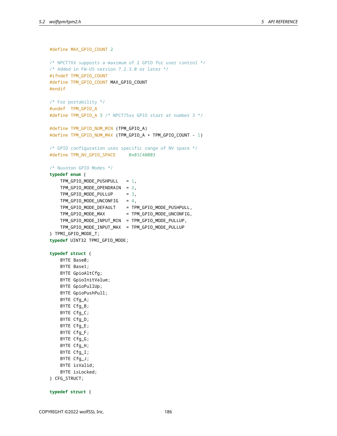```
#define MAX_GPIO_COUNT 2
/* NPCT7XX supports a maximum of 2 GPIO for user control */
/* Added in FW-US version 7.2.3.0 or later */
#ifndef TPM_GPIO_COUNT
#define TPM_GPIO_COUNT MAX_GPIO_COUNT
#endif
/* For portability */
#undef TPM_GPIO_A
#define TPM_GPIO_A 3 /* NPCT75xx GPIO start at number 3 */
#define TPM_GPIO_NUM_MIN (TPM_GPIO_A)
#define TPM_GPIO_NUM_MAX (TPM_GPIO_A + TPM_GPIO_COUNT - 1)
/* GPIO configuration uses specific range of NV space */
#define TPM_NV_GPIO_SPACE 0x01C40003
/* Nuvoton GPIO Modes */
typedef enum {
   TPM_GPIO_MODE_PUSHPULL = 1,
   TPM_GPIO_MODE_OPENDRAIN = 2,
   TPM_GPIO_MODE_PULLUP = 3,
   TPM_GPIO_MODE_UNCONFIG = 4,
   TPM_GPIO_MODE_DEFAULT = TPM_GPIO_MODE_PUSHPULL,
   TPM_GPIO_MODE_MAX = TPM_GPIO_MODE_UNCONFIG,
   TPM_GPIO_MODE_INPUT_MIN = TPM_GPIO_MODE_PULLUP,
   TPM_GPIO_MODE_INPUT_MAX = TPM_GPIO_MODE_PULLUP
} TPMI_GPIO_MODE_T;
typedef UINT32 TPMI_GPIO_MODE;
typedef struct {
   BYTE Base0;
   BYTE Base1;
   BYTE GpioAltCfg;
   BYTE GpioInitValue;
   BYTE GpioPullUp;
   BYTE GpioPushPull;
   BYTE Cfg_A;
   BYTE Cfg_B;
   BYTE Cfq C;
   BYTE Cfg_D;
   BYTE Cfg_E;
   BYTE Cfg_F;
   BYTE Cfg_G;
   BYTE Cfg_H;
   BYTE Cfg_I;
   BYTE Cfg_J;
   BYTE isValid;
   BYTE isLocked;
} CFG_STRUCT;
```
**typedef struct** {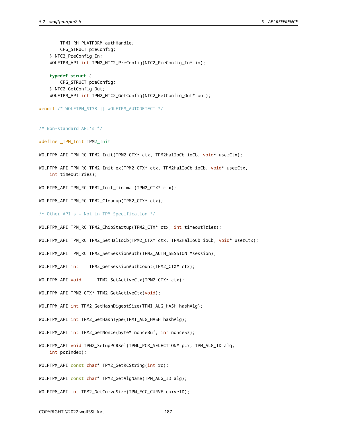TPMI\_RH\_PLATFORM authHandle; CFG\_STRUCT preConfig; } NTC2\_PreConfig\_In; WOLFTPM\_API int TPM2\_NTC2\_PreConfig(NTC2\_PreConfig\_In\* in);

**typedef struct** { CFG\_STRUCT preConfig; } NTC2\_GetConfig\_Out; WOLFTPM\_API int TPM2\_NTC2\_GetConfig(NTC2\_GetConfig\_Out\* out);

#endif /\* WOLFTPM\_ST33 || WOLFTPM\_AUTODETECT \*/

```
/* Non-standard API's */
```
#define \_TPM\_Init TPM2\_Init

WOLFTPM\_API TPM\_RC TPM2\_Init(TPM2\_CTX\* ctx, TPM2HalIoCb ioCb, void\* userCtx);

WOLFTPM\_API TPM\_RC TPM2\_Init\_ex(TPM2\_CTX\* ctx, TPM2HalIoCb ioCb, void\* userCtx, int timeoutTries);

WOLFTPM\_API TPM\_RC TPM2\_Init\_minimal(TPM2\_CTX\* ctx);

WOLFTPM API TPM RC TPM2 Cleanup(TPM2 CTX\* ctx);

/\* Other API's - Not in TPM Specification \*/

WOLFTPM\_API TPM\_RC TPM2\_ChipStartup(TPM2\_CTX\* ctx, int timeoutTries);

WOLFTPM\_API TPM\_RC TPM2\_SetHalIoCb(TPM2\_CTX\* ctx, TPM2HalIoCb ioCb, void\* userCtx);

WOLFTPM\_API TPM\_RC TPM2\_SetSessionAuth(TPM2\_AUTH\_SESSION \*session);

WOLFTPM\_API int TPM2\_GetSessionAuthCount(TPM2\_CTX\* ctx);

WOLFTPM\_API void TPM2\_SetActiveCtx(TPM2\_CTX\* ctx);

WOLFTPM\_API TPM2\_CTX\* TPM2\_GetActiveCtx(void);

WOLFTPM\_API int TPM2\_GetHashDigestSize(TPMI\_ALG\_HASH hashAlg);

WOLFTPM\_API int TPM2\_GetHashType(TPMI\_ALG\_HASH hashAlg);

WOLFTPM\_API int TPM2\_GetNonce(byte\* nonceBuf, int nonceSz);

WOLFTPM\_API void TPM2\_SetupPCRSel(TPML\_PCR\_SELECTION\* pcr, TPM\_ALG\_ID alg, int pcrIndex);

WOLFTPM\_API const char\* TPM2\_GetRCString(int rc);

WOLFTPM\_API const char\* TPM2\_GetAlgName(TPM\_ALG\_ID alg);

WOLFTPM\_API int TPM2\_GetCurveSize(TPM\_ECC\_CURVE curveID);

COPYRIGHT ©2022 wolfSSL Inc. 187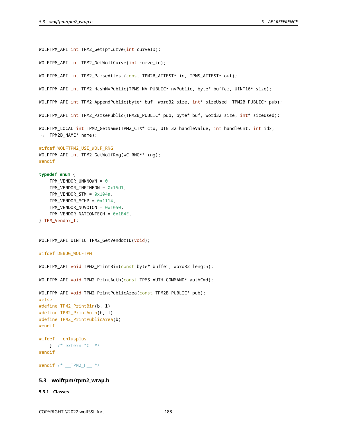```
WOLFTPM_API int TPM2_GetTpmCurve(int curveID);
WOLFTPM_API int TPM2_GetWolfCurve(int curve_id);
WOLFTPM_API int TPM2_ParseAttest(const TPM2B_ATTEST* in, TPMS_ATTEST* out);
WOLFTPM_API int TPM2_HashNvPublic(TPMS_NV_PUBLIC* nvPublic, byte* buffer, UINT16* size);
WOLFTPM_API int TPM2_AppendPublic(byte* buf, word32 size, int* sizeUsed, TPM2B_PUBLIC* pub);
WOLFTPM_API int TPM2_ParsePublic(TPM2B_PUBLIC* pub, byte* buf, word32 size, int* sizeUsed);
WOLFTPM_LOCAL int TPM2_GetName(TPM2_CTX* ctx, UINT32 handleValue, int handleCnt, int idx,
\rightarrow TPM2B_NAME* name);
#ifdef WOLFTPM2_USE_WOLF_RNG
WOLFTPM_API int TPM2_GetWolfRng(WC_RNG** rng);
#endif
typedef enum {
    TPM_VENDOR_UNKNOWN = 0,
    TPM_VENDOR_INFINEON = 0x15d1,
    TPM_VENDOR_STM = 0 \times 104a,
    TPM_VENDOR_MCHP = 0 \times 1114,
   TPM_VENDOR_NUVOTON = 0x1050,
   TPM_VENDOR_NATIONTECH = 0x1B4E,
} TPM_Vendor_t;
WOLFTPM_API UINT16 TPM2_GetVendorID(void);
#ifdef DEBUG_WOLFTPM
WOLFTPM_API void TPM2_PrintBin(const byte* buffer, word32 length);
WOLFTPM_API void TPM2_PrintAuth(const TPMS_AUTH_COMMAND* authCmd);
WOLFTPM_API void TPM2_PrintPublicArea(const TPM2B_PUBLIC* pub);
#else
```

```
#define TPM2_PrintBin(b, l)
#define TPM2_PrintAuth(b, l)
#define TPM2_PrintPublicArea(b)
#endif
#ifdef __cplusplus
   } /* extern "C" */
#endif
#endif /* __TPM2_H__ */
```
# **5.3 wolftpm/tpm2\_wrap.h**

#### **5.3.1 Classes**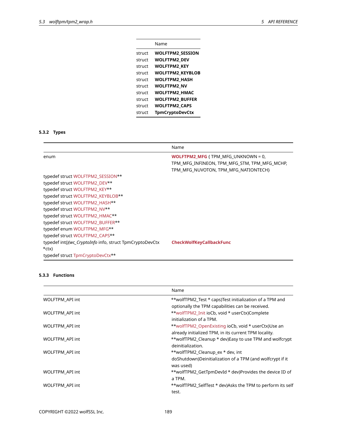|        | Name                    |
|--------|-------------------------|
| struct | <b>WOLFTPM2 SESSION</b> |
| struct | <b>WOLFTPM2 DEV</b>     |
| struct | <b>WOLFTPM2 KEY</b>     |
| struct | <b>WOLFTPM2 KEYBLOB</b> |
| struct | <b>WOLFTPM2 HASH</b>    |
| struct | <b>WOLFTPM2 NV</b>      |
| struct | <b>WOLFTPM2 HMAC</b>    |
| struct | <b>WOLFTPM2 BUFFER</b>  |
| struct | <b>WOLFTPM2 CAPS</b>    |
| struct | <b>TpmCryptoDevCtx</b>  |

# **5.3.2 Types**

|                                                                      | Name                                                                                                                               |
|----------------------------------------------------------------------|------------------------------------------------------------------------------------------------------------------------------------|
| enum                                                                 | <b>WOLFTPM2 MFG { TPM_MFG_UNKNOWN = 0,</b><br>TPM MFG INFINEON, TPM MFG STM, TPM MFG MCHP,<br>TPM MFG NUVOTON, TPM MFG NATIONTECH} |
| typedef struct WOLFTPM2 SESSION**                                    |                                                                                                                                    |
| typedef struct WOLFTPM2 DEV**                                        |                                                                                                                                    |
| typedef struct WOLFTPM2 KEY**                                        |                                                                                                                                    |
| typedef struct WOLFTPM2 KEYBLOB**                                    |                                                                                                                                    |
| typedef struct WOLFTPM2 HASH**                                       |                                                                                                                                    |
| typedef struct WOLFTPM2 NV**                                         |                                                                                                                                    |
| typedef struct WOLFTPM2 HMAC**                                       |                                                                                                                                    |
| typedef struct WOLFTPM2 BUFFER**                                     |                                                                                                                                    |
| typedef enum WOLFTPM2_MFG**                                          |                                                                                                                                    |
| typedef struct WOLFTPM2 CAPS**                                       |                                                                                                                                    |
| typedef int()(wc_CryptoInfo info, struct TpmCryptoDevCtx<br>$*$ ctx) | <b>CheckWolfKeyCallbackFunc</b>                                                                                                    |
| typedef struct TpmCryptoDevCtx**                                     |                                                                                                                                    |

# **5.3.3 Functions**

|                 | Name                                                                                                         |
|-----------------|--------------------------------------------------------------------------------------------------------------|
| WOLFTPM_API int | **wolfTPM2_Test * caps)Test initialization of a TPM and<br>optionally the TPM capabilities can be received.  |
| WOLFTPM_API int | **wolfTPM2 Init ioCb, void * userCtx)Complete<br>initialization of a TPM.                                    |
| WOLFTPM API int | **wolfTPM2_OpenExisting ioCb, void * userCtx)Use an<br>already initialized TPM, in its current TPM locality. |
| WOLFTPM_API int | **wolfTPM2 Cleanup * dev) Easy to use TPM and wolfcrypt<br>deinitialization.                                 |
| WOLFTPM API int | **wolfTPM2_Cleanup_ex * dev, int<br>doShutdown)Deinitialization of a TPM (and wolfcrypt if it<br>was used)   |
| WOLFTPM API int | **wolfTPM2_GetTpmDevId * dev)Provides the device ID of<br>a TPM.                                             |
| WOLFTPM_API int | **wolfTPM2 SelfTest * dev)Asks the TPM to perform its self<br>test.                                          |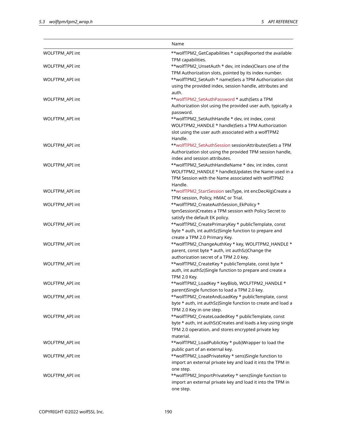|                 | Name                                                            |
|-----------------|-----------------------------------------------------------------|
| WOLFTPM_API int | **wolfTPM2_GetCapabilities * caps)Reported the available        |
|                 | TPM capabilities.                                               |
| WOLFTPM_API int | **wolfTPM2_UnsetAuth * dev, int index)Clears one of the         |
|                 | TPM Authorization slots, pointed by its index number.           |
| WOLFTPM_API int | **wolfTPM2_SetAuth * name)Sets a TPM Authorization slot         |
|                 | using the provided index, session handle, attributes and        |
|                 | auth.                                                           |
| WOLFTPM_API int | **wolfTPM2_SetAuthPassword * auth)Sets a TPM                    |
|                 | Authorization slot using the provided user auth, typically a    |
|                 | password.                                                       |
| WOLFTPM API int | **wolfTPM2_SetAuthHandle * dev, int index, const                |
|                 | WOLFTPM2_HANDLE * handle)Sets a TPM Authorization               |
|                 | slot using the user auth associated with a wolfTPM2             |
|                 | Handle.                                                         |
| WOLFTPM_API int | **wolfTPM2_SetAuthSession sessionAttributes)Sets a TPM          |
|                 | Authorization slot using the provided TPM session handle,       |
|                 | index and session attributes.                                   |
| WOLFTPM API int | **wolfTPM2_SetAuthHandleName * dev, int index, const            |
|                 | WOLFTPM2_HANDLE * handle)Updates the Name used in a             |
|                 | TPM Session with the Name associated with wolfTPM2              |
|                 | Handle.                                                         |
| WOLFTPM_API int | **wolfTPM2_StartSession sesType, int encDecAlg)Create a         |
|                 | TPM session, Policy, HMAC or Trial.                             |
| WOLFTPM_API int | **wolfTPM2_CreateAuthSession_EkPolicy *                         |
|                 | tpmSession)Creates a TPM session with Policy Secret to          |
|                 | satisfy the default EK policy.                                  |
| WOLFTPM_API int | **wolfTPM2_CreatePrimaryKey * publicTemplate, const             |
|                 | byte * auth, int authSz)Single function to prepare and          |
|                 | create a TPM 2.0 Primary Key.                                   |
| WOLFTPM_API int | **wolfTPM2_ChangeAuthKey * key, WOLFTPM2_HANDLE *               |
|                 | parent, const byte * auth, int authSz)Change the                |
|                 | authorization secret of a TPM 2.0 key.                          |
| WOLFTPM_API int | **wolfTPM2_CreateKey * publicTemplate, const byte *             |
|                 | auth, int authSz)Single function to prepare and create a        |
| WOLFTPM_API int | TPM 2.0 Key.<br>**wolfTPM2_LoadKey * keyBlob, WOLFTPM2_HANDLE * |
|                 | parent)Single function to load a TPM 2.0 key.                   |
| WOLFTPM_API int | **wolfTPM2_CreateAndLoadKey * publicTemplate, const             |
|                 | byte * auth, int authSz)Single function to create and load a    |
|                 | TPM 2.0 Key in one step.                                        |
| WOLFTPM_API int | **wolfTPM2_CreateLoadedKey * publicTemplate, const              |
|                 | byte * auth, int authSz)Creates and loads a key using single    |
|                 | TPM 2.0 operation, and stores encrypted private key             |
|                 | material.                                                       |
| WOLFTPM_API int | **wolfTPM2_LoadPublicKey * pub)Wrapper to load the              |
|                 | public part of an external key.                                 |
| WOLFTPM_API int | **wolfTPM2_LoadPrivateKey * sens)Single function to             |
|                 | import an external private key and load it into the TPM in      |
|                 | one step.                                                       |
| WOLFTPM_API int | **wolfTPM2_ImportPrivateKey * sens)Single function to           |
|                 | import an external private key and load it into the TPM in      |
|                 | one step.                                                       |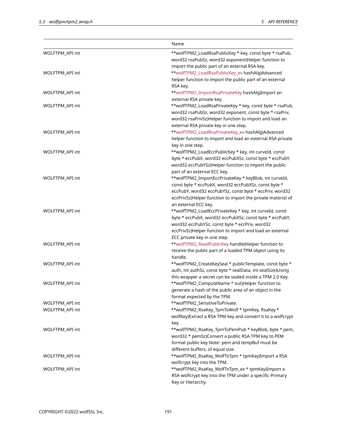|                        | Name                                                         |
|------------------------|--------------------------------------------------------------|
| WOLFTPM_API int        | **wolfTPM2_LoadRsaPublicKey * key, const byte * rsaPub,      |
|                        | word32 rsaPubSz, word32 exponent)Helper function to          |
|                        | import the public part of an external RSA key.               |
| WOLFTPM_API int        | **wolfTPM2_LoadRsaPublicKey_ex hashAlg)Advanced              |
|                        | helper function to import the public part of an external     |
|                        | RSA key.                                                     |
| WOLFTPM_API int        | **wolfTPM2_ImportRsaPrivateKey hashAlg)Import an             |
|                        | external RSA private key.                                    |
| <b>WOLFTPM API int</b> | **wolfTPM2_LoadRsaPrivateKey * key, const byte * rsaPub,     |
|                        | word32 rsaPubSz, word32 exponent, const byte * rsaPriv,      |
|                        | word32 rsaPrivSz)Helper function to import and load an       |
|                        | external RSA private key in one step.                        |
| WOLFTPM_API int        | **wolfTPM2_LoadRsaPrivateKey_ex hashAlg)Advanced             |
|                        | helper function to import and load an external RSA private   |
|                        | key in one step.                                             |
| WOLFTPM_API int        | **wolfTPM2_LoadEccPublicKey * key, int curveId, const        |
|                        | byte * eccPubX, word32 eccPubXSz, const byte * eccPubY,      |
|                        | word32 eccPubYSz)Helper function to import the public        |
|                        | part of an external ECC key.                                 |
| WOLFTPM_API int        | **wolfTPM2_ImportEccPrivateKey * keyBlob, int curveId,       |
|                        | const byte * eccPubX, word32 eccPubXSz, const byte *         |
|                        | eccPubY, word32 eccPubYSz, const byte * eccPriv, word32      |
|                        | eccPrivSz)Helper function to import the private material of  |
|                        | an external ECC key.                                         |
| WOLFTPM_API int        | **wolfTPM2_LoadEccPrivateKey * key, int curveId, const       |
|                        | byte * eccPubX, word32 eccPubXSz, const byte * eccPubY,      |
|                        | word32 eccPubYSz, const byte * eccPriv, word32               |
|                        | eccPrivSz)Helper function to import and load an external     |
|                        | ECC private key in one step.                                 |
| WOLFTPM_API int        | **wolfTPM2_ReadPublicKey handle)Helper function to           |
|                        | receive the public part of a loaded TPM object using its     |
|                        | handle.                                                      |
| WOLFTPM_API int        | **wolfTPM2_CreateKeySeal * publicTemplate, const byte *      |
|                        | auth, int authSz, const byte * sealData, int sealSize)Using  |
|                        | this wrapper a secret can be sealed inside a TPM 2.0 Key.    |
| <b>WOLFTPM API int</b> | **wolfTPM2_ComputeName * out)Helper function to              |
|                        | generate a hash of the public area of an object in the       |
|                        | format expected by the TPM.                                  |
| WOLFTPM_API int        | **wolfTPM2_SensitiveToPrivate.                               |
| WOLFTPM_API int        | **wolfTPM2_RsaKey_TpmToWolf * tpmKey, RsaKey *               |
|                        | wolfKey) Extract a RSA TPM key and convert it to a wolfcrypt |
|                        | key.                                                         |
| WOLFTPM_API int        | **wolfTPM2_RsaKey_TpmToPemPub * keyBlob, byte * pem,         |
|                        | word32 * pemSz)Convert a public RSA TPM key to PEM           |
|                        | format public key Note: pem and tempBuf must be              |
|                        | different buffers, of equal size.                            |
| WOLFTPM_API int        | **wolfTPM2_RsaKey_WolfToTpm * tpmKey)Import a RSA            |
|                        | wolfcrypt key into the TPM.                                  |
| WOLFTPM_API int        | **wolfTPM2_RsaKey_WolfToTpm_ex * tpmKey)Import a             |
|                        | RSA wolfcrypt key into the TPM under a specific Primary      |
|                        | Key or Hierarchy.                                            |
|                        |                                                              |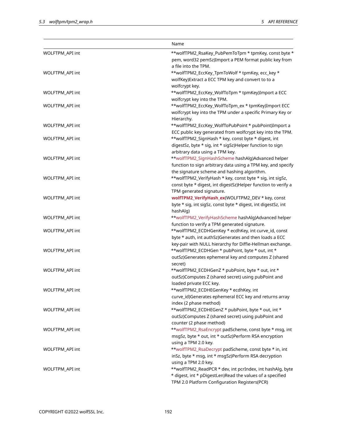|                 | Name                                                          |
|-----------------|---------------------------------------------------------------|
| WOLFTPM_API int | **wolfTPM2_RsaKey_PubPemToTpm * tpmKey, const byte *          |
|                 | pem, word32 pemSz)Import a PEM format public key from         |
|                 | a file into the TPM.                                          |
| WOLFTPM_API int | **wolfTPM2_EccKey_TpmToWolf * tpmKey, ecc_key *               |
|                 | wolfKey)Extract a ECC TPM key and convert to to a             |
|                 | wolfcrypt key.                                                |
| WOLFTPM_API int | **wolfTPM2_EccKey_WolfToTpm * tpmKey)Import a ECC             |
|                 | wolfcrypt key into the TPM.                                   |
| WOLFTPM_API int | **wolfTPM2_EccKey_WolfToTpm_ex * tpmKey)Import ECC            |
|                 | wolfcrypt key into the TPM under a specific Primary Key or    |
|                 | Hierarchy.                                                    |
| WOLFTPM_API int | **wolfTPM2_EccKey_WolfToPubPoint * pubPoint)Import a          |
|                 | ECC public key generated from wolfcrypt key into the TPM.     |
| WOLFTPM_API int | **wolfTPM2_SignHash * key, const byte * digest, int           |
|                 | digestSz, byte * sig, int * sigSz)Helper function to sign     |
|                 | arbitrary data using a TPM key.                               |
| WOLFTPM_API int | **wolfTPM2_SignHashScheme hashAlg)Advanced helper             |
|                 | function to sign arbitrary data using a TPM key, and specify  |
|                 | the signature scheme and hashing algorithm.                   |
| WOLFTPM_API int | **wolfTPM2_VerifyHash * key, const byte * sig, int sigSz,     |
|                 | const byte * digest, int digestSz)Helper function to verify a |
|                 | TPM generated signature.                                      |
| WOLFTPM_API int | wolfTPM2_VerifyHash_ex(WOLFTPM2_DEV * key, const              |
|                 | byte * sig, int sigSz, const byte * digest, int digestSz, int |
|                 | hashAlg)                                                      |
| WOLFTPM_API int | **wolfTPM2_VerifyHashScheme hashAlg)Advanced helper           |
|                 | function to verify a TPM generated signature.                 |
| WOLFTPM_API int | **wolfTPM2_ECDHGenKey * ecdhKey, int curve_id, const          |
|                 | byte * auth, int authSz)Generates and then loads a ECC        |
|                 | key-pair with NULL hierarchy for Diffie-Hellman exchange.     |
| WOLFTPM_API int | **wolfTPM2_ECDHGen * pubPoint, byte * out, int *              |
|                 | outSz)Generates ephemeral key and computes Z (shared          |
|                 | secret)                                                       |
| WOLFTPM_API int | **wolfTPM2_ECDHGenZ * pubPoint, byte * out, int *             |
|                 | outSz)Computes Z (shared secret) using pubPoint and           |
|                 | loaded private ECC key.                                       |
| WOLFTPM_API int | **wolfTPM2_ECDHEGenKey * ecdhKey, int                         |
|                 | curve_id)Generates ephemeral ECC key and returns array        |
|                 | index (2 phase method)                                        |
| WOLFTPM_API int | **wolfTPM2_ECDHEGenZ * pubPoint, byte * out, int *            |
|                 | outSz)Computes Z (shared secret) using pubPoint and           |
|                 | counter (2 phase method)                                      |
| WOLFTPM_API int | **wolfTPM2_RsaEncrypt padScheme, const byte * msg, int        |
|                 | msgSz, byte * out, int * outSz)Perform RSA encryption         |
|                 | using a TPM 2.0 key.                                          |
| WOLFTPM_API int | **wolfTPM2_RsaDecrypt padScheme, const byte * in, int         |
|                 | inSz, byte * msg, int * msgSz)Perform RSA decryption          |
|                 | using a TPM 2.0 key.                                          |
| WOLFTPM_API int | **wolfTPM2_ReadPCR * dev, int pcrIndex, int hashAlg, byte     |
|                 | * digest, int * pDigestLen)Read the values of a specified     |
|                 | TPM 2.0 Platform Configuration Registers(PCR)                 |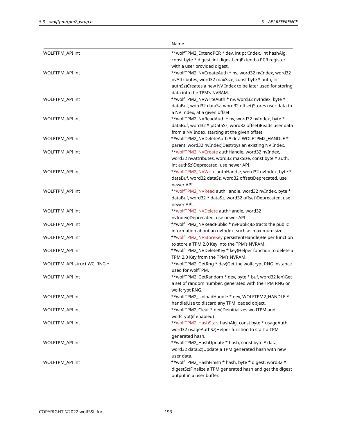|                             | Name                                                       |
|-----------------------------|------------------------------------------------------------|
| WOLFTPM_API int             | **wolfTPM2_ExtendPCR * dev, int pcrIndex, int hashAlg,     |
|                             | const byte * digest, int digestLen)Extend a PCR register   |
|                             | with a user provided digest.                               |
| WOLFTPM_API int             | **wolfTPM2_NVCreateAuth * nv, word32 nvIndex, word32       |
|                             | nvAttributes, word32 maxSize, const byte * auth, int       |
|                             | authSz)Creates a new NV Index to be later used for storing |
|                             | data into the TPM's NVRAM.                                 |
| WOLFTPM_API int             | **wolfTPM2_NVWriteAuth * nv, word32 nvIndex, byte *        |
|                             | dataBuf, word32 dataSz, word32 offset)Stores user data to  |
|                             | a NV Index, at a given offset.                             |
| WOLFTPM_API int             | **wolfTPM2_NVReadAuth * nv, word32 nvIndex, byte *         |
|                             | dataBuf, word32 * pDataSz, word32 offset)Reads user data   |
|                             | from a NV Index, starting at the given offset.             |
| WOLFTPM_API int             | **wolfTPM2_NVDeleteAuth * dev, WOLFTPM2_HANDLE *           |
|                             | parent, word32 nvIndex)Destroys an existing NV Index.      |
| WOLFTPM API int             | **wolfTPM2_NVCreate authHandle, word32 nvIndex,            |
|                             | word32 nvAttributes, word32 maxSize, const byte * auth,    |
|                             | int authSz)Deprecated, use newer API.                      |
| WOLFTPM_API int             | **wolfTPM2_NVWrite authHandle, word32 nvIndex, byte *      |
|                             | dataBuf, word32 dataSz, word32 offset)Deprecated, use      |
|                             | newer API.                                                 |
| WOLFTPM_API int             | **wolfTPM2_NVRead authHandle, word32 nvIndex, byte *       |
|                             | dataBuf, word32 * dataSz, word32 offset)Deprecated, use    |
|                             | newer API.                                                 |
| WOLFTPM_API int             | **wolfTPM2_NVDelete authHandle, word32                     |
|                             | nvIndex)Deprecated, use newer API.                         |
| WOLFTPM_API int             | **wolfTPM2_NVReadPublic * nvPublic)Extracts the public     |
|                             | information about an nvIndex, such as maximum size.        |
| WOLFTPM_API int             | **wolfTPM2_NVStoreKey persistentHandle)Helper function     |
|                             | to store a TPM 2.0 Key into the TPM's NVRAM.               |
| WOLFTPM_API int             | **wolfTPM2_NVDeleteKey * key)Helper function to delete a   |
|                             | TPM 2.0 Key from the TPM's NVRAM.                          |
| WOLFTPM_API struct WC_RNG * | **wolfTPM2_GetRng * dev)Get the wolfcrypt RNG instance     |
|                             | used for wolfTPM.                                          |
| WOLFTPM_API int             | **wolfTPM2_GetRandom * dev, byte * buf, word32 len)Get     |
|                             | a set of random number, generated with the TPM RNG or      |
|                             | wolfcrypt RNG.                                             |
| <b>WOLFTPM API int</b>      | **wolfTPM2_UnloadHandle * dev, WOLFTPM2_HANDLE *           |
|                             | handle)Use to discard any TPM loaded object.               |
| WOLFTPM_API int             | **wolfTPM2_Clear * dev)Deinitializes wolfTPM and           |
|                             | wolfcrypt(if enabled)                                      |
| WOLFTPM_API int             | **wolfTPM2_HashStart hashAlg, const byte * usageAuth,      |
|                             | word32 usageAuthSz)Helper function to start a TPM          |
|                             | generated hash.                                            |
| WOLFTPM_API int             | **wolfTPM2_HashUpdate * hash, const byte * data,           |
|                             | word32 dataSz)Update a TPM generated hash with new         |
|                             | user data.                                                 |
| WOLFTPM_API int             | **wolfTPM2_HashFinish * hash, byte * digest, word32 *      |
|                             | digestSz)Finalize a TPM generated hash and get the digest  |
|                             | output in a user buffer.                                   |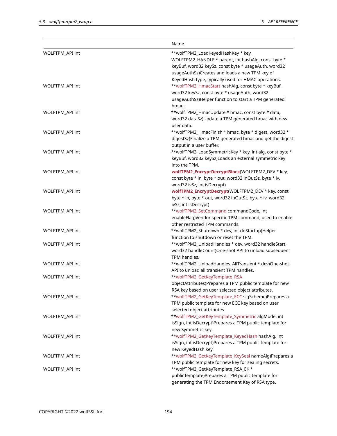|                 | Name                                                                                                                                                                                                              |
|-----------------|-------------------------------------------------------------------------------------------------------------------------------------------------------------------------------------------------------------------|
| WOLFTPM_API int | **wolfTPM2_LoadKeyedHashKey * key,<br>WOLFTPM2_HANDLE * parent, int hashAlg, const byte *<br>keyBuf, word32 keySz, const byte * usageAuth, word32<br>usageAuthSz)Creates and loads a new TPM key of               |
| WOLFTPM_API int | KeyedHash type, typically used for HMAC operations.<br>**wolfTPM2_HmacStart hashAlg, const byte * keyBuf,<br>word32 keySz, const byte * usageAuth, word32<br>usageAuthSz)Helper function to start a TPM generated |
| WOLFTPM_API int | hmac.<br>**wolfTPM2_HmacUpdate * hmac, const byte * data,<br>word32 dataSz)Update a TPM generated hmac with new                                                                                                   |
| WOLFTPM_API int | user data.<br>**wolfTPM2_HmacFinish * hmac, byte * digest, word32 *<br>digestSz)Finalize a TPM generated hmac and get the digest                                                                                  |
| WOLFTPM_API int | output in a user buffer.<br>**wolfTPM2_LoadSymmetricKey * key, int alg, const byte *<br>keyBuf, word32 keySz)Loads an external symmetric key                                                                      |
| WOLFTPM_API int | into the TPM.<br>wolfTPM2_EncryptDecryptBlock(WOLFTPM2_DEV * key,<br>const byte * in, byte * out, word32 inOutSz, byte * iv,                                                                                      |
| WOLFTPM_API int | word32 ivSz, int isDecrypt)<br>wolfTPM2_EncryptDecrypt(WOLFTPM2_DEV * key, const<br>byte * in, byte * out, word32 inOutSz, byte * iv, word32                                                                      |
| WOLFTPM_API int | ivSz, int isDecrypt)<br>**wolfTPM2_SetCommand commandCode, int<br>enableFlag)Vendor specific TPM command, used to enable                                                                                          |
| WOLFTPM_API int | other restricted TPM commands.<br>**wolfTPM2_Shutdown * dev, int doStartup)Helper<br>function to shutdown or reset the TPM.                                                                                       |
| WOLFTPM_API int | **wolfTPM2_UnloadHandles * dev, word32 handleStart,<br>word32 handleCount)One-shot API to unload subsequent<br>TPM handles.                                                                                       |
| WOLFTPM_API int | **wolfTPM2_UnloadHandles_AllTransient * dev)One-shot<br>API to unload all transient TPM handles.                                                                                                                  |
| WOLFTPM_API int | **wolfTPM2_GetKeyTemplate_RSA<br>objectAttributes)Prepares a TPM public template for new<br>RSA key based on user selected object attributes.                                                                     |
| WOLFTPM_API int | **wolfTPM2_GetKeyTemplate_ECC sigScheme)Prepares a<br>TPM public template for new ECC key based on user                                                                                                           |
| WOLFTPM_API int | selected object attributes.<br>**wolfTPM2_GetKeyTemplate_Symmetric algMode, int<br>isSign, int isDecrypt)Prepares a TPM public template for                                                                       |
| WOLFTPM_API int | new Symmetric key.<br>**wolfTPM2_GetKeyTemplate_KeyedHash hashAlg, int<br>isSign, int isDecrypt)Prepares a TPM public template for<br>new KeyedHash key.                                                          |
| WOLFTPM_API int | **wolfTPM2_GetKeyTemplate_KeySeal nameAlg)Prepares a<br>TPM public template for new key for sealing secrets.                                                                                                      |
| WOLFTPM_API int | **wolfTPM2_GetKeyTemplate_RSA_EK *<br>publicTemplate)Prepares a TPM public template for<br>generating the TPM Endorsement Key of RSA type.                                                                        |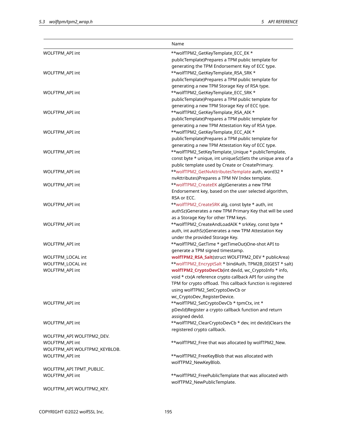|                                      | Name                                                                                                              |
|--------------------------------------|-------------------------------------------------------------------------------------------------------------------|
| WOLFTPM_API int                      | **wolfTPM2_GetKeyTemplate_ECC_EK *                                                                                |
|                                      | publicTemplate)Prepares a TPM public template for                                                                 |
|                                      | generating the TPM Endorsement Key of ECC type.                                                                   |
| WOLFTPM_API int                      | **wolfTPM2_GetKeyTemplate_RSA_SRK *                                                                               |
|                                      | publicTemplate)Prepares a TPM public template for                                                                 |
|                                      | generating a new TPM Storage Key of RSA type.                                                                     |
| WOLFTPM_API int                      | **wolfTPM2_GetKeyTemplate_ECC_SRK *                                                                               |
|                                      | publicTemplate)Prepares a TPM public template for                                                                 |
|                                      | generating a new TPM Storage Key of ECC type.                                                                     |
| WOLFTPM_API int                      | **wolfTPM2_GetKeyTemplate_RSA_AIK *                                                                               |
|                                      | publicTemplate)Prepares a TPM public template for                                                                 |
|                                      | generating a new TPM Attestation Key of RSA type.                                                                 |
| WOLFTPM_API int                      | **wolfTPM2_GetKeyTemplate_ECC_AIK *                                                                               |
|                                      | publicTemplate)Prepares a TPM public template for                                                                 |
|                                      | generating a new TPM Attestation Key of ECC type.                                                                 |
| WOLFTPM_API int                      | **wolfTPM2_SetKeyTemplate_Unique * publicTemplate,                                                                |
|                                      | const byte * unique, int uniqueSz)Sets the unique area of a                                                       |
|                                      | public template used by Create or CreatePrimary.                                                                  |
| WOLFTPM_API int                      | **wolfTPM2_GetNvAttributesTemplate auth, word32 *                                                                 |
|                                      | nvAttributes)Prepares a TPM NV Index template.                                                                    |
| WOLFTPM_API int                      | **wolfTPM2_CreateEK alg)Generates a new TPM                                                                       |
|                                      | Endorsement key, based on the user selected algorithm,                                                            |
|                                      | RSA or ECC.                                                                                                       |
| WOLFTPM_API int                      | **wolfTPM2_CreateSRK alg, const byte * auth, int                                                                  |
|                                      | authSz)Generates a new TPM Primary Key that will be used                                                          |
|                                      | as a Storage Key for other TPM keys.                                                                              |
| WOLFTPM_API int                      | **wolfTPM2_CreateAndLoadAIK * srkKey, const byte *                                                                |
|                                      | auth, int authSz)Generates a new TPM Attestation Key                                                              |
|                                      | under the provided Storage Key.                                                                                   |
| WOLFTPM_API int                      | **wolfTPM2_GetTime * getTimeOut)One-shot API to                                                                   |
|                                      | generate a TPM signed timestamp.                                                                                  |
| WOLFTPM_LOCAL int                    | wolfTPM2_RSA_Salt(struct WOLFTPM2_DEV * publicArea)                                                               |
| WOLFTPM_LOCAL int<br>WOLFTPM_API int | **wolfTPM2_EncryptSalt * bindAuth, TPM2B_DIGEST * salt)                                                           |
|                                      | wolfTPM2_CryptoDevCb(int devId, wc_CryptoInfo * info,<br>void * ctx)A reference crypto callback API for using the |
|                                      | TPM for crypto offload. This callback function is registered                                                      |
|                                      | using wolfTPM2_SetCryptoDevCb or                                                                                  |
|                                      | wc_CryptoDev_RegisterDevice.                                                                                      |
| WOLFTPM_API int                      | **wolfTPM2_SetCryptoDevCb * tpmCtx, int *                                                                         |
|                                      | pDevId)Register a crypto callback function and return                                                             |
|                                      | assigned devId.                                                                                                   |
| <b>WOLFTPM API int</b>               | **wolfTPM2_ClearCryptoDevCb * dev, int devId)Clears the                                                           |
|                                      | registered crypto callback.                                                                                       |
| WOLFTPM_API WOLFTPM2_DEV.            |                                                                                                                   |
| WOLFTPM_API int                      | **wolfTPM2_Free that was allocated by wolfTPM2_New.                                                               |
| WOLFTPM_API WOLFTPM2_KEYBLOB.        |                                                                                                                   |
| WOLFTPM_API int                      | **wolfTPM2_FreeKeyBlob that was allocated with                                                                    |
|                                      | wolfTPM2_NewKeyBlob.                                                                                              |
| WOLFTPM_API TPMT_PUBLIC.             |                                                                                                                   |
| WOLFTPM_API int                      | **wolfTPM2_FreePublicTemplate that was allocated with                                                             |
|                                      | wolfTPM2_NewPublicTemplate.                                                                                       |
| WOLFTPM_API WOLFTPM2_KEY.            |                                                                                                                   |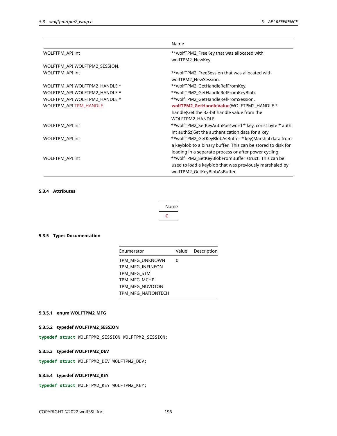|                               | Name                                                         |  |
|-------------------------------|--------------------------------------------------------------|--|
| WOLFTPM_API int               | **wolfTPM2_FreeKey that was allocated with                   |  |
|                               | wolfTPM2_NewKey.                                             |  |
| WOLFTPM_API WOLFTPM2_SESSION. |                                                              |  |
| WOLFTPM_API int               | **wolfTPM2_FreeSession that was allocated with               |  |
|                               | wolfTPM2_NewSession.                                         |  |
| WOLFTPM_API WOLFTPM2_HANDLE * | **wolfTPM2_GetHandleRefFromKey.                              |  |
| WOLFTPM_API WOLFTPM2_HANDLE * | **wolfTPM2_GetHandleRefFromKeyBlob.                          |  |
| WOLFTPM API WOLFTPM2 HANDLE * | **wolfTPM2 GetHandleRefFromSession.                          |  |
| WOLFTPM_API TPM_HANDLE        | wolfTPM2 GetHandleValue(WOLFTPM2_HANDLE *                    |  |
|                               | handle) Get the 32-bit handle value from the                 |  |
|                               | WOLFTPM2_HANDLE.                                             |  |
| WOLFTPM_API int               | **wolfTPM2_SetKeyAuthPassword * key, const byte * auth,      |  |
|                               | int authSz)Set the authentication data for a key.            |  |
| WOLFTPM_API int               | **wolfTPM2_GetKeyBlobAsBuffer * key)Marshal data from        |  |
|                               | a keyblob to a binary buffer. This can be stored to disk for |  |
|                               | loading in a separate process or after power cycling.        |  |
| WOLFTPM_API int               | **wolfTPM2_SetKeyBlobFromBuffer struct. This can be          |  |
|                               | used to load a keyblob that was previously marshaled by      |  |
|                               | wolfTPM2_GetKeyBlobAsBuffer.                                 |  |

# **5.3.4 Attributes**

| Name |
|------|
|      |

# **5.3.5 Types Documentation**

| Enumerator         |   | Value Description |
|--------------------|---|-------------------|
| TPM MFG UNKNOWN    | 0 |                   |
| TPM MFG INFINEON   |   |                   |
| TPM MFG STM        |   |                   |
| TPM MFG MCHP       |   |                   |
| TPM MFG NUVOTON    |   |                   |
| TPM MFG NATIONTECH |   |                   |

# **5.3.5.1 enum WOLFTPM2\_MFG**

# **5.3.5.2 typedef WOLFTPM2\_SESSION**

**typedef struct** WOLFTPM2\_SESSION WOLFTPM2\_SESSION;

# **5.3.5.3 typedef WOLFTPM2\_DEV**

**typedef struct** WOLFTPM2\_DEV WOLFTPM2\_DEV;

# **5.3.5.4 typedef WOLFTPM2\_KEY**

**typedef struct** WOLFTPM2\_KEY WOLFTPM2\_KEY;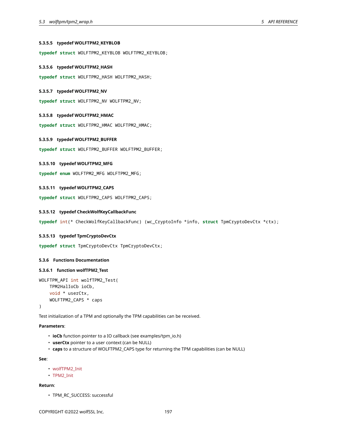### **5.3.5.5 typedef WOLFTPM2\_KEYBLOB**

**typedef struct** WOLFTPM2\_KEYBLOB WOLFTPM2\_KEYBLOB;

### **5.3.5.6 typedef WOLFTPM2\_HASH**

**typedef struct** WOLFTPM2\_HASH WOLFTPM2\_HASH;

#### **5.3.5.7 typedef WOLFTPM2\_NV**

**typedef struct** WOLFTPM2\_NV WOLFTPM2\_NV;

### **5.3.5.8 typedef WOLFTPM2\_HMAC**

**typedef struct** WOLFTPM2\_HMAC WOLFTPM2\_HMAC;

### **5.3.5.9 typedef WOLFTPM2\_BUFFER**

**typedef struct** WOLFTPM2\_BUFFER WOLFTPM2\_BUFFER;

### **5.3.5.10 typedef WOLFTPM2\_MFG**

**typedef enum** WOLFTPM2\_MFG WOLFTPM2\_MFG;

### **5.3.5.11 typedef WOLFTPM2\_CAPS**

<span id="page-196-0"></span>**typedef struct** WOLFTPM2\_CAPS WOLFTPM2\_CAPS;

### **5.3.5.12 typedef CheckWolfKeyCallbackFunc**

<span id="page-196-1"></span>**typedef** int(\* CheckWolfKeyCallbackFunc) (wc\_CryptoInfo \*info, **struct** TpmCryptoDevCtx \*ctx);

#### **5.3.5.13 typedef TpmCryptoDevCtx**

**typedef struct** TpmCryptoDevCtx TpmCryptoDevCtx;

# **5.3.6 Functions Documentation**

#### **5.3.6.1 function wolfTPM2\_Test**

```
WOLFTPM_API int wolfTPM2_Test(
    TPM2HalIoCb ioCb,
    void * userCtx,
    WOLFTPM2_CAPS * caps
```
)

Test initialization of a TPM and optionally the TPM capabilities can be received.

# **Parameters**:

- **ioCb** function pointer to a IO callback (see examples/tpm\_io.h)
- **userCtx** pointer to a user context (can be NULL)
- **caps** to a structure of WOLFTPM2\_CAPS type for returning the TPM capabilities (can be NULL)

#### **See**:

- wolfTPM2\_Init
- TPM2\_Init

### **Return**:

• TPM\_RC\_SUCCESS: successful

COPYRIGHT ©2022 wolfSSL Inc. 197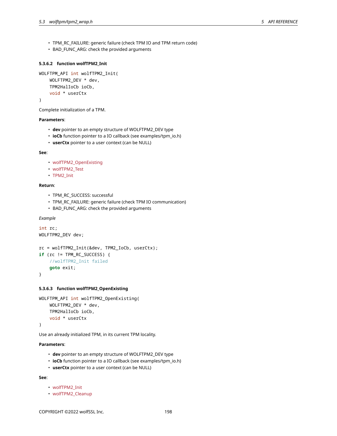- TPM\_RC\_FAILURE: generic failure (check TPM IO and TPM return code)
- BAD\_FUNC\_ARG: check the provided arguments

### **5.3.6.2 function wolfTPM2\_Init**

```
WOLFTPM_API int wolfTPM2_Init(
   WOLFTPM2_DEV * dev,
    TPM2HalIoCb ioCb,
    void * userCtx
)
```
Complete initialization of a TPM.

### **Parameters**:

- **dev** pointer to an empty structure of WOLFTPM2\_DEV type
- **ioCb** function pointer to a IO callback (see examples/tpm\_io.h)
- **userCtx** pointer to a user context (can be NULL)

#### **See**:

- wolfTPM2\_OpenExisting
- wolfTPM2\_Test
- TPM2\_Init

### **Return**:

- TPM\_RC\_SUCCESS: successful
- TPM\_RC\_FAILURE: generic failure (check TPM IO communication)
- BAD\_FUNC\_ARG: check the provided arguments

## *Example*

```
int rc;
WOLFTPM2_DEV dev;
```

```
rc = wolfTPM2_Init(&dev, TPM2_IoCb, userCtx);
if (rc != TPM_RC_SUCCESS) {
    //wolfTPM2_Init failed
    goto exit;
```
}

### **5.3.6.3 function wolfTPM2\_OpenExisting**

```
WOLFTPM_API int wolfTPM2_OpenExisting(
    WOLFTPM2_DEV * dev,
   TPM2HalIoCb ioCb,
    void * userCtx
)
```
Use an already initialized TPM, in its current TPM locality.

# **Parameters**:

- **dev** pointer to an empty structure of WOLFTPM2\_DEV type
- **ioCb** function pointer to a IO callback (see examples/tpm\_io.h)
- **userCtx** pointer to a user context (can be NULL)

- wolfTPM2\_Init
- wolfTPM2\_Cleanup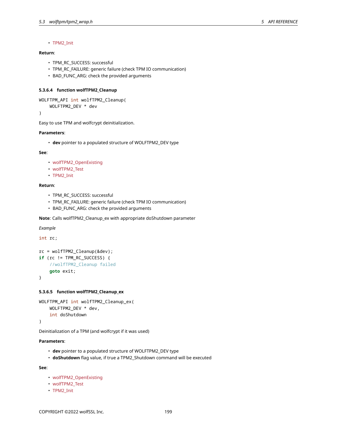### • TPM2\_Init

# **Return**:

- TPM\_RC\_SUCCESS: successful
- TPM\_RC\_FAILURE: generic failure (check TPM IO communication)
- BAD\_FUNC\_ARG: check the provided arguments

## **5.3.6.4 function wolfTPM2\_Cleanup**

```
WOLFTPM_API int wolfTPM2_Cleanup(
```
WOLFTPM2\_DEV \* dev

)

Easy to use TPM and wolfcrypt deinitialization.

### **Parameters**:

• **dev** pointer to a populated structure of WOLFTPM2\_DEV type

#### **See**:

- wolfTPM2\_OpenExisting
- wolfTPM2\_Test
- TPM2\_Init

### **Return**:

- TPM\_RC\_SUCCESS: successful
- TPM\_RC\_FAILURE: generic failure (check TPM IO communication)
- BAD\_FUNC\_ARG: check the provided arguments

**Note**: Calls wolfTPM2\_Cleanup\_ex with appropriate doShutdown parameter

#### *Example*

int rc;

```
rc = wolfTPM2_Cleanup(&dev);
if (rc != TPM_RC_SUCCESS) {
    //wolfTPM2_Cleanup failed
    goto exit;
```
}

#### **5.3.6.5 function wolfTPM2\_Cleanup\_ex**

```
WOLFTPM_API int wolfTPM2_Cleanup_ex(
    WOLFTPM2_DEV * dev,
    int doShutdown
)
```
Deinitialization of a TPM (and wolfcrypt if it was used)

#### **Parameters**:

- **dev** pointer to a populated structure of WOLFTPM2\_DEV type
- **doShutdown** flag value, if true a TPM2\_Shutdown command will be executed

- wolfTPM2\_OpenExisting
- wolfTPM2\_Test
- TPM2\_Init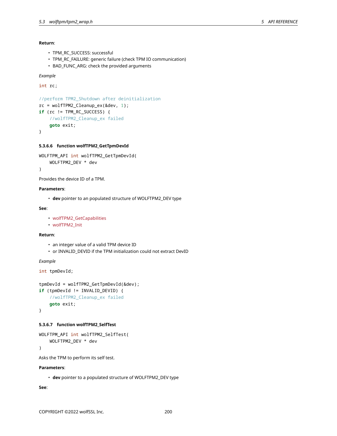**Return**:

- TPM\_RC\_SUCCESS: successful
- TPM\_RC\_FAILURE: generic failure (check TPM IO communication)
- BAD\_FUNC\_ARG: check the provided arguments

*Example*

int rc;

```
//perform TPM2_Shutdown after deinitialization
rc = wolfTPM2_Cleanup_ex(&dev, 1);
if (rc != TPM_RC_SUCCESS) {
    //wolfTPM2_Cleanup_ex failed
    goto exit;
}
```
#### **5.3.6.6 function wolfTPM2\_GetTpmDevId**

```
WOLFTPM_API int wolfTPM2_GetTpmDevId(
    WOLFTPM2_DEV * dev
)
```
Provides the device ID of a TPM.

#### **Parameters**:

• **dev** pointer to an populated structure of WOLFTPM2\_DEV type

### **See**:

```
• wolfTPM2_GetCapabilities
```
• wolfTPM2\_Init

#### **Return**:

- an integer value of a valid TPM device ID
- or INVALID\_DEVID if the TPM initialization could not extract DevID

*Example*

int tpmDevId;

```
tpmDevId = wolfTPM2_GetTpmDevId(&dev);
if (tpmDevId != INVALID_DEVID) {
    //wolfTPM2_Cleanup_ex failed
    goto exit;
}
```
#### **5.3.6.7 function wolfTPM2\_SelfTest**

```
WOLFTPM_API int wolfTPM2_SelfTest(
    WOLFTPM2_DEV * dev
```
)

Asks the TPM to perform its self test.

#### **Parameters**:

• **dev** pointer to a populated structure of WOLFTPM2\_DEV type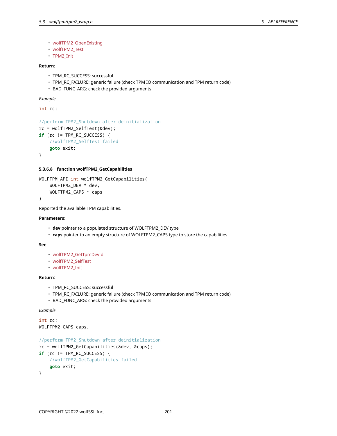- wolfTPM2\_OpenExisting
- wolfTPM2\_Test
- TPM2\_Init

## **Return**:

- TPM\_RC\_SUCCESS: successful
- TPM\_RC\_FAILURE: generic failure (check TPM IO communication and TPM return code)
- BAD\_FUNC\_ARG: check the provided arguments

*Example*

int rc;

```
//perform TPM2_Shutdown after deinitialization
rc = wolfTPM2_SelfTest(&dev);
if (rc != TPM_RC_SUCCESS) {
    //wolfTPM2_SelfTest failed
    goto exit;
}
```
### **5.3.6.8 function wolfTPM2\_GetCapabilities**

```
WOLFTPM_API int wolfTPM2_GetCapabilities(
    WOLFTPM2_DEV * dev,
    WOLFTPM2_CAPS * caps
)
```
Reported the available TPM capabilities.

#### **Parameters**:

- **dev** pointer to a populated structure of WOLFTPM2\_DEV type
- **caps** pointer to an empty structure of WOLFTPM2\_CAPS type to store the capabilities

### **See**:

- wolfTPM2\_GetTpmDevId
- wolfTPM2\_SelfTest
- wolfTPM2\_Init

#### **Return**:

- TPM\_RC\_SUCCESS: successful
- TPM\_RC\_FAILURE: generic failure (check TPM IO communication and TPM return code)
- BAD\_FUNC\_ARG: check the provided arguments

#### *Example*

```
int rc;
WOLFTPM2_CAPS caps;
```

```
//perform TPM2_Shutdown after deinitialization
rc = wolfTPM2_GetCapabilities(&dev, &caps);
if (rc != TPM_RC_SUCCESS) {
    //wolfTPM2_GetCapabilities failed
    goto exit;
}
```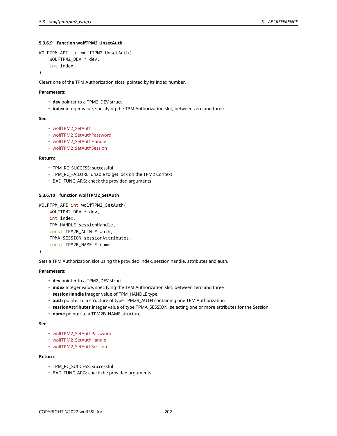### **5.3.6.9 function wolfTPM2\_UnsetAuth**

```
WOLFTPM_API int wolfTPM2_UnsetAuth(
    WOLFTPM2_DEV * dev,
    int index
```
)

Clears one of the TPM Authorization slots, pointed by its index number.

#### **Parameters**:

- **dev** pointer to a TPM2\_DEV struct
- **index** integer value, specifying the TPM Authorization slot, between zero and three

#### **See**:

- wolfTPM2\_SetAuth
- wolfTPM2\_SetAuthPassword
- wolfTPM2\_SetAuthHandle
- wolfTPM2\_SetAuthSession

#### **Return**:

- TPM\_RC\_SUCCESS: successful
- TPM\_RC\_FAILURE: unable to get lock on the TPM2 Context
- BAD\_FUNC\_ARG: check the provided arguments

### **5.3.6.10 function wolfTPM2\_SetAuth**

```
WOLFTPM_API int wolfTPM2_SetAuth(
    WOLFTPM2_DEV * dev,
    int index,
    TPM_HANDLE sessionHandle,
    const TPM2B_AUTH * auth,
    TPMA_SESSION sessionAttributes,
    const TPM2B_NAME * name
```
## )

Sets a TPM Authorization slot using the provided index, session handle, attributes and auth.

### **Parameters**:

- **dev** pointer to a TPM2\_DEV struct
- **index** integer value, specifying the TPM Authorization slot, between zero and three
- **sessionHandle** integer value of TPM\_HANDLE type
- **auth** pointer to a structure of type TPM2B\_AUTH containing one TPM Authorization
- **sessionAttributes** integer value of type TPMA\_SESSION, selecting one or more attributes for the Session
- **name** pointer to a TPM2B\_NAME structure

#### **See**:

- wolfTPM2\_SetAuthPassword
- wolfTPM2\_SetAuthHandle
- wolfTPM2\_SetAuthSession

#### **Return**:

- TPM\_RC\_SUCCESS: successful
- BAD\_FUNC\_ARG: check the provided arguments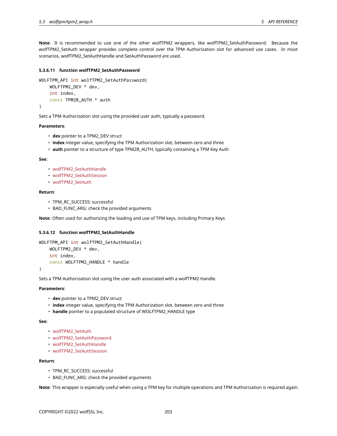**Note**: It is recommended to use one of the other wolfTPM2 wrappers, like wolfTPM2\_SetAuthPassword. Because the wolfTPM2\_SetAuth wrapper provides complete control over the TPM Authorization slot for advanced use cases. In most scenarios, wolfTPM2\_SetAuthHandle and SetAuthPassword are used.

### **5.3.6.11 function wolfTPM2\_SetAuthPassword**

```
WOLFTPM_API int wolfTPM2_SetAuthPassword(
    WOLFTPM2_DEV * dev,
    int index,
    const TPM2B_AUTH * auth
)
```
Sets a TPM Authorization slot using the provided user auth, typically a password.

### **Parameters**:

- **dev** pointer to a TPM2\_DEV struct
- **index** integer value, specifying the TPM Authorization slot, between zero and three
- **auth** pointer to a structure of type TPM2B\_AUTH, typically containing a TPM Key Auth

#### **See**:

- wolfTPM2\_SetAuthHandle
- wolfTPM2\_SetAuthSession
- wolfTPM2\_SetAuth

### **Return**:

- TPM\_RC\_SUCCESS: successful
- BAD\_FUNC\_ARG: check the provided arguments

**Note**: Often used for authorizing the loading and use of TPM keys, including Primary Keys

### **5.3.6.12 function wolfTPM2\_SetAuthHandle**

```
WOLFTPM_API int wolfTPM2_SetAuthHandle(
    WOLFTPM2_DEV * dev,
    int index,
    const WOLFTPM2_HANDLE * handle
```
)

Sets a TPM Authorization slot using the user auth associated with a wolfTPM2 Handle.

### **Parameters**:

- **dev** pointer to a TPM2\_DEV struct
- **index** integer value, specifying the TPM Authorization slot, between zero and three
- **handle** pointer to a populated structure of WOLFTPM2\_HANDLE type

#### **See**:

- wolfTPM2\_SetAuth
- wolfTPM2\_SetAuthPassword
- wolfTPM2\_SetAuthHandle
- wolfTPM2\_SetAuthSession

## **Return**:

- TPM\_RC\_SUCCESS: successful
- BAD\_FUNC\_ARG: check the provided arguments

**Note**: This wrapper is especially useful when using a TPM key for multiple operations and TPM Authorization is required again.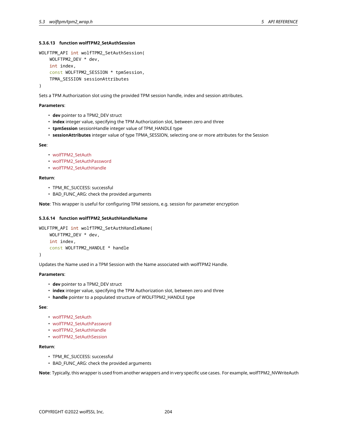### **5.3.6.13 function wolfTPM2\_SetAuthSession**

```
WOLFTPM_API int wolfTPM2_SetAuthSession(
    WOLFTPM2_DEV * dev,
    int index,
    const WOLFTPM2_SESSION * tpmSession,
    TPMA_SESSION sessionAttributes
)
```
Sets a TPM Authorization slot using the provided TPM session handle, index and session attributes.

### **Parameters**:

- **dev** pointer to a TPM2\_DEV struct
- **index** integer value, specifying the TPM Authorization slot, between zero and three
- **tpmSession** sessionHandle integer value of TPM\_HANDLE type
- **sessionAttributes** integer value of type TPMA\_SESSION, selecting one or more attributes for the Session

#### **See**:

- wolfTPM2\_SetAuth
- wolfTPM2\_SetAuthPassword
- wolfTPM2\_SetAuthHandle

### **Return**:

- TPM\_RC\_SUCCESS: successful
- BAD\_FUNC\_ARG: check the provided arguments

**Note**: This wrapper is useful for configuring TPM sessions, e.g. session for parameter encryption

#### **5.3.6.14 function wolfTPM2\_SetAuthHandleName**

```
WOLFTPM_API int wolfTPM2_SetAuthHandleName(
    WOLFTPM2_DEV * dev,
    int index,
    const WOLFTPM2_HANDLE * handle
)
```
Updates the Name used in a TPM Session with the Name associated with wolfTPM2 Handle.

#### **Parameters**:

- **dev** pointer to a TPM2\_DEV struct
- **index** integer value, specifying the TPM Authorization slot, between zero and three
- **handle** pointer to a populated structure of WOLFTPM2\_HANDLE type

# **See**:

- wolfTPM2\_SetAuth
- wolfTPM2\_SetAuthPassword
- wolfTPM2\_SetAuthHandle
- wolfTPM2\_SetAuthSession

# **Return**:

- TPM\_RC\_SUCCESS: successful
- BAD\_FUNC\_ARG: check the provided arguments

**Note**: Typically, this wrapper is used from another wrappers and in very specific use cases. For example, wolfTPM2\_NVWriteAuth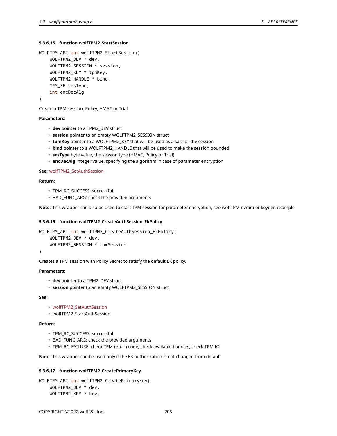### **5.3.6.15 function wolfTPM2\_StartSession**

```
WOLFTPM_API int wolfTPM2_StartSession(
    WOLFTPM2_DEV * dev,
    WOLFTPM2_SESSION * session,
    WOLFTPM2_KEY * tpmKey,
    WOLFTPM2_HANDLE * bind,
    TPM_SE sesType,
    int encDecAlg
\lambda
```
Create a TPM session, Policy, HMAC or Trial.

#### **Parameters**:

- **dev** pointer to a TPM2\_DEV struct
- **session** pointer to an empty WOLFTPM2\_SESSION struct
- **tpmKey** pointer to a WOLFTPM2\_KEY that will be used as a salt for the session
- **bind** pointer to a WOLFTPM2\_HANDLE that will be used to make the session bounded
- **sesType** byte value, the session type (HMAC, Policy or Trial)
- **encDecAlg** integer value, specifying the algorithm in case of parameter encryption

**See**: wolfTPM2\_SetAuthSession

#### **Return**:

- TPM\_RC\_SUCCESS: successful
- BAD\_FUNC\_ARG: check the provided arguments

**Note**: This wrapper can also be used to start TPM session for parameter encryption, see wolfTPM nvram or keygen example

### **5.3.6.16 function wolfTPM2\_CreateAuthSession\_EkPolicy**

```
WOLFTPM_API int wolfTPM2_CreateAuthSession_EkPolicy(
    WOLFTPM2_DEV * dev,
    WOLFTPM2_SESSION * tpmSession
)
```
Creates a TPM session with Policy Secret to satisfy the default EK policy.

### **Parameters**:

- **dev** pointer to a TPM2\_DEV struct
- **session** pointer to an empty WOLFTPM2\_SESSION struct

#### **See**:

- wolfTPM2\_SetAuthSession
- wolfTPM2\_StartAuthSession

#### **Return**:

- TPM\_RC\_SUCCESS: successful
- BAD\_FUNC\_ARG: check the provided arguments
- TPM\_RC\_FAILURE: check TPM return code, check available handles, check TPM IO

**Note**: This wrapper can be used only if the EK authorization is not changed from default

### **5.3.6.17 function wolfTPM2\_CreatePrimaryKey**

```
WOLFTPM_API int wolfTPM2_CreatePrimaryKey(
    WOLFTPM2_DEV * dev,
    WOLFTPM2_KEY * key,
```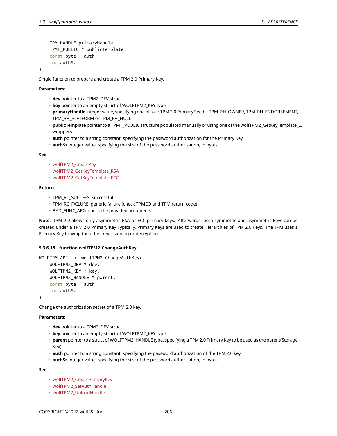```
TPM_HANDLE primaryHandle,
TPMT_PUBLIC * publicTemplate,
const byte * auth,
int authSz
```
)

Single function to prepare and create a TPM 2.0 Primary Key.

### **Parameters**:

- **dev** pointer to a TPM2\_DEV struct
- **key** pointer to an empty struct of WOLFTPM2\_KEY type
- **primaryHandle** integer value, specifying one of four TPM 2.0 Primary Seeds: TPM\_RH\_OWNER, TPM\_RH\_ENDORSEMENT, TPM\_RH\_PLATFORM or TPM\_RH\_NULL
- **publicTemplate** pointer to a TPMT\_PUBLIC structure populated manually or using one of the wolfTPM2\_GetKeyTemplate\_… wrappers
- **auth** pointer to a string constant, specifying the password authorization for the Primary Key
- **authSz** integer value, specifying the size of the password authorization, in bytes

**See**:

- wolfTPM2\_CreateKey
- wolfTPM2\_GetKeyTemplate\_RSA
- wolfTPM2\_GetKeyTemplate\_ECC

#### **Return**:

- TPM\_RC\_SUCCESS: successful
- TPM\_RC\_FAILURE: generic failure (check TPM IO and TPM return code)
- BAD\_FUNC\_ARG: check the provided arguments

**Note**: TPM 2.0 allows only asymmetric RSA or ECC primary keys. Afterwards, both symmetric and asymmetric keys can be created under a TPM 2.0 Primary Key Typically, Primary Keys are used to create Hierarchies of TPM 2.0 Keys. The TPM uses a Primary Key to wrap the other keys, signing or decrypting.

#### **5.3.6.18 function wolfTPM2\_ChangeAuthKey**

```
WOLFTPM_API int wolfTPM2_ChangeAuthKey(
    WOLFTPM2_DEV * dev,
    WOLFTPM2_KEY * key,
    WOLFTPM2 HANDLE * parent,
    const byte * auth,
    int authSz
```
)

Change the authorization secret of a TPM 2.0 key.

### **Parameters**:

- **dev** pointer to a TPM2\_DEV struct
- **key** pointer to an empty struct of WOLFTPM2\_KEY type
- **parent** pointer to a struct of WOLFTPM2\_HANDLE type, specifying a TPM 2.0 Primary Key to be used as the parent(Storage Key)
- **auth** pointer to a string constant, specifying the password authorization of the TPM 2.0 key
- **authSz** integer value, specifying the size of the password authorization, in bytes

- wolfTPM2\_CreatePrimaryKey
- wolfTPM2\_SetAuthHandle
- wolfTPM2\_UnloadHandle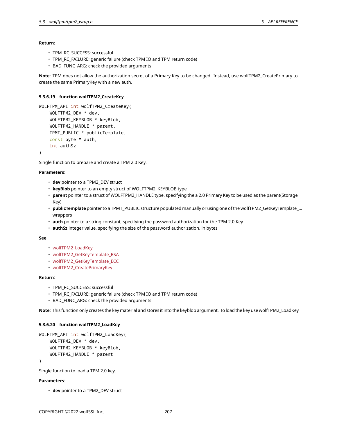#### **Return**:

- TPM\_RC\_SUCCESS: successful
- TPM\_RC\_FAILURE: generic failure (check TPM IO and TPM return code)
- BAD\_FUNC\_ARG: check the provided arguments

**Note**: TPM does not allow the authorization secret of a Primary Key to be changed. Instead, use wolfTPM2\_CreatePrimary to create the same PrimaryKey with a new auth.

### **5.3.6.19 function wolfTPM2\_CreateKey**

```
WOLFTPM_API int wolfTPM2_CreateKey(
    WOLFTPM2_DEV * dev,
    WOLFTPM2_KEYBLOB * keyBlob,
    WOLFTPM2_HANDLE * parent,
    TPMT_PUBLIC * publicTemplate,
    const byte * auth,
    int authSz
```
)

Single function to prepare and create a TPM 2.0 Key.

### **Parameters**:

- **dev** pointer to a TPM2\_DEV struct
- **keyBlob** pointer to an empty struct of WOLFTPM2\_KEYBLOB type
- **parent** pointer to a struct of WOLFTPM2\_HANDLE type, specifying the a 2.0 Primary Key to be used as the parent(Storage Key)
- **publicTemplate** pointer to a TPMT\_PUBLIC structure populated manually or using one of the wolfTPM2\_GetKeyTemplate\_… wrappers
- **auth** pointer to a string constant, specifying the password authorization for the TPM 2.0 Key
- **authSz** integer value, specifying the size of the password authorization, in bytes

#### **See**:

- wolfTPM2\_LoadKey
- wolfTPM2\_GetKeyTemplate\_RSA
- wolfTPM2\_GetKeyTemplate\_ECC
- wolfTPM2\_CreatePrimaryKey

#### **Return**:

- TPM\_RC\_SUCCESS: successful
- TPM\_RC\_FAILURE: generic failure (check TPM IO and TPM return code)
- BAD\_FUNC\_ARG: check the provided arguments

**Note**: This function only creates the key material and stores it into the keyblob argument. To load the key use wolfTPM2\_LoadKey

### **5.3.6.20 function wolfTPM2\_LoadKey**

```
WOLFTPM API int wolfTPM2 LoadKey(
   WOLFTPM2 DEV * dev,
    WOLFTPM2_KEYBLOB * keyBlob,
    WOLFTPM2_HANDLE * parent
)
```
Single function to load a TPM 2.0 key.

### **Parameters**:

• **dev** pointer to a TPM2\_DEV struct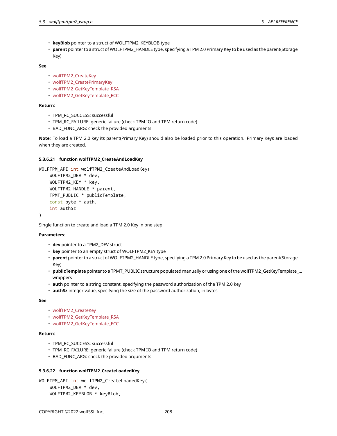- **keyBlob** pointer to a struct of WOLFTPM2\_KEYBLOB type
- **parent** pointer to a struct of WOLFTPM2\_HANDLE type, specifying a TPM 2.0 Primary Key to be used as the parent(Storage Key)

### **See**:

- wolfTPM2\_CreateKey
- wolfTPM2\_CreatePrimaryKey
- wolfTPM2\_GetKeyTemplate\_RSA
- wolfTPM2 GetKeyTemplate ECC

### **Return**:

- TPM\_RC\_SUCCESS: successful
- TPM\_RC\_FAILURE: generic failure (check TPM IO and TPM return code)
- BAD\_FUNC\_ARG: check the provided arguments

**Note**: To load a TPM 2.0 key its parent(Primary Key) should also be loaded prior to this operation. Primary Keys are loaded when they are created.

### **5.3.6.21 function wolfTPM2\_CreateAndLoadKey**

```
WOLFTPM_API int wolfTPM2_CreateAndLoadKey(
    WOLFTPM2_DEV * dev,
    WOLFTPM2_KEY * key,
    WOLFTPM2_HANDLE * parent,
    TPMT_PUBLIC * publicTemplate,
    const byte * auth,
    int authSz
)
```
Single function to create and load a TPM 2.0 Key in one step.

### **Parameters**:

- **dev** pointer to a TPM2\_DEV struct
- **key** pointer to an empty struct of WOLFTPM2\_KEY type
- **parent** pointer to a struct of WOLFTPM2\_HANDLE type, specifying a TPM 2.0 Primary Key to be used as the parent(Storage Key)
- **publicTemplate** pointer to a TPMT\_PUBLIC structure populated manually or using one of the wolfTPM2\_GetKeyTemplate\_… wrappers
- **auth** pointer to a string constant, specifying the password authorization of the TPM 2.0 key
- **authSz** integer value, specifying the size of the password authorization, in bytes

### **See**:

- wolfTPM2\_CreateKey
- wolfTPM2\_GetKeyTemplate\_RSA
- wolfTPM2\_GetKeyTemplate\_ECC

### **Return**:

- TPM\_RC\_SUCCESS: successful
- TPM\_RC\_FAILURE: generic failure (check TPM IO and TPM return code)
- BAD\_FUNC\_ARG: check the provided arguments

# **5.3.6.22 function wolfTPM2\_CreateLoadedKey**

```
WOLFTPM_API int wolfTPM2_CreateLoadedKey(
    WOLFTPM2_DEV * dev,
    WOLFTPM2_KEYBLOB * keyBlob,
```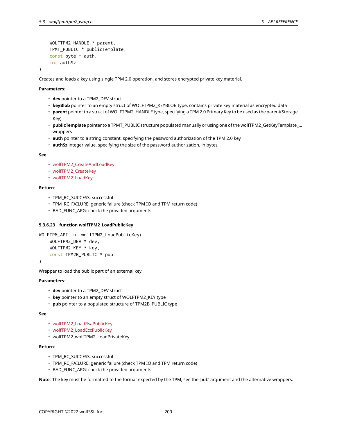```
WOLFTPM2_HANDLE * parent,
TPMT_PUBLIC * publicTemplate,
const byte * auth,
int authSz
```
Creates and loads a key using single TPM 2.0 operation, and stores encrypted private key material.

### **Parameters**:

)

- **dev** pointer to a TPM2\_DEV struct
- **keyBlob** pointer to an empty struct of WOLFTPM2\_KEYBLOB type, contains private key material as encrypted data
- **parent** pointer to a struct of WOLFTPM2\_HANDLE type, specifying a TPM 2.0 Primary Key to be used as the parent(Storage Key)
- **publicTemplate** pointer to a TPMT\_PUBLIC structure populated manually or using one of the wolfTPM2\_GetKeyTemplate\_… wrappers
- **auth** pointer to a string constant, specifying the password authorization of the TPM 2.0 key
- **authSz** integer value, specifying the size of the password authorization, in bytes

#### **See**:

- wolfTPM2\_CreateAndLoadKey
- wolfTPM2\_CreateKey
- wolfTPM2\_LoadKey

### **Return**:

- TPM\_RC\_SUCCESS: successful
- TPM\_RC\_FAILURE: generic failure (check TPM IO and TPM return code)
- BAD\_FUNC\_ARG: check the provided arguments

### **5.3.6.23 function wolfTPM2\_LoadPublicKey**

```
WOLFTPM_API int wolfTPM2_LoadPublicKey(
    WOLFTPM2_DEV * dev,
    WOLFTPM2_KEY * key,
    const TPM2B_PUBLIC * pub
```
)

Wrapper to load the public part of an external key.

### **Parameters**:

- **dev** pointer to a TPM2\_DEV struct
- **key** pointer to an empty struct of WOLFTPM2\_KEY type
- **pub** pointer to a populated structure of TPM2B\_PUBLIC type

#### **See**:

- wolfTPM2\_LoadRsaPublicKey
- wolfTPM2\_LoadEccPublicKey
- wolfTPM2\_wolfTPM2\_LoadPrivateKey

### **Return**:

- TPM\_RC\_SUCCESS: successful
- TPM\_RC\_FAILURE: generic failure (check TPM IO and TPM return code)
- BAD\_FUNC\_ARG: check the provided arguments

**Note**: The key must be formatted to the format expected by the TPM, see the 'pub' argument and the alternative wrappers.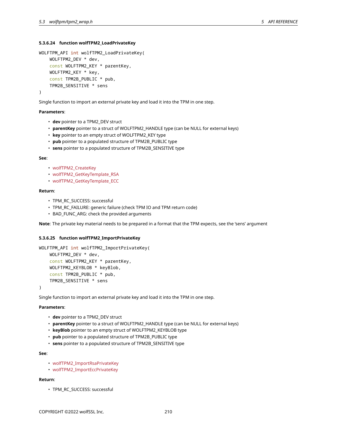### **5.3.6.24 function wolfTPM2\_LoadPrivateKey**

```
WOLFTPM_API int wolfTPM2_LoadPrivateKey(
    WOLFTPM2_DEV * dev,
    const WOLFTPM2_KEY * parentKey,
    WOLFTPM2_KEY * key,
    const TPM2B_PUBLIC * pub,
    TPM2B_SENSITIVE * sens
)
```
Single function to import an external private key and load it into the TPM in one step.

#### **Parameters**:

- **dev** pointer to a TPM2\_DEV struct
- **parentKey** pointer to a struct of WOLFTPM2\_HANDLE type (can be NULL for external keys)
- **key** pointer to an empty struct of WOLFTPM2\_KEY type
- **pub** pointer to a populated structure of TPM2B\_PUBLIC type
- **sens** pointer to a populated structure of TPM2B\_SENSITIVE type

#### **See**:

- wolfTPM2\_CreateKey
- wolfTPM2\_GetKeyTemplate\_RSA
- wolfTPM2\_GetKeyTemplate\_ECC

### **Return**:

- TPM\_RC\_SUCCESS: successful
- TPM\_RC\_FAILURE: generic failure (check TPM IO and TPM return code)
- BAD\_FUNC\_ARG: check the provided arguments

**Note**: The private key material needs to be prepared in a format that the TPM expects, see the 'sens' argument

#### **5.3.6.25 function wolfTPM2\_ImportPrivateKey**

```
WOLFTPM_API int wolfTPM2_ImportPrivateKey(
    WOLFTPM2_DEV * dev,
    const WOLFTPM2_KEY * parentKey,
    WOLFTPM2_KEYBLOB * keyBlob,
    const TPM2B_PUBLIC * pub,
    TPM2B_SENSITIVE * sens
```
)

Single function to import an external private key and load it into the TPM in one step.

# **Parameters**:

- **dev** pointer to a TPM2\_DEV struct
- **parentKey** pointer to a struct of WOLFTPM2\_HANDLE type (can be NULL for external keys)
- **keyBlob** pointer to an empty struct of WOLFTPM2\_KEYBLOB type
- **pub** pointer to a populated structure of TPM2B\_PUBLIC type
- **sens** pointer to a populated structure of TPM2B\_SENSITIVE type

### **See**:

- wolfTPM2\_ImportRsaPrivateKey
- wolfTPM2\_ImportEccPrivateKey

# **Return**:

• TPM\_RC\_SUCCESS: successful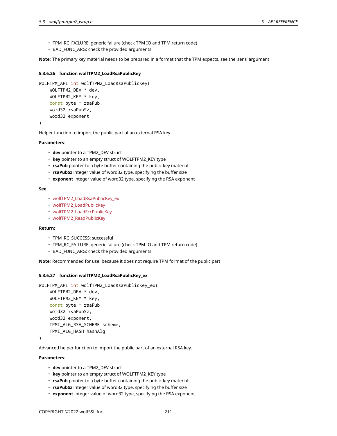- TPM\_RC\_FAILURE: generic failure (check TPM IO and TPM return code)
- BAD\_FUNC\_ARG: check the provided arguments

**Note**: The primary key material needs to be prepared in a format that the TPM expects, see the 'sens' argument

### **5.3.6.26 function wolfTPM2\_LoadRsaPublicKey**

```
WOLFTPM_API int wolfTPM2_LoadRsaPublicKey(
    WOLFTPM2_DEV * dev,
    WOLFTPM2_KEY * key,
    const byte * rsaPub,
    word32 rsaPubSz,
    word32 exponent
```
)

Helper function to import the public part of an external RSA key.

### **Parameters**:

- **dev** pointer to a TPM2\_DEV struct
- **key** pointer to an empty struct of WOLFTPM2\_KEY type
- **rsaPub** pointer to a byte buffer containing the public key material
- **rsaPubSz** integer value of word32 type, specifying the buffer size
- **exponent** integer value of word32 type, specifying the RSA exponent

#### **See**:

- wolfTPM2\_LoadRsaPublicKey\_ex
- wolfTPM2\_LoadPublicKey
- wolfTPM2\_LoadEccPublicKey
- wolfTPM2\_ReadPublicKey

#### **Return**:

- TPM\_RC\_SUCCESS: successful
- TPM\_RC\_FAILURE: generic failure (check TPM IO and TPM return code)
- BAD\_FUNC\_ARG: check the provided arguments

**Note**: Recommended for use, because it does not require TPM format of the public part

### **5.3.6.27 function wolfTPM2\_LoadRsaPublicKey\_ex**

```
WOLFTPM_API int wolfTPM2_LoadRsaPublicKey_ex(
    WOLFTPM2_DEV * dev,
    WOLFTPM2_KEY * key,
    const byte * rsaPub,
    word32 rsaPubSz,
    word32 exponent,
    TPMI_ALG_RSA_SCHEME scheme,
    TPMI_ALG_HASH hashAlg
```
)

Advanced helper function to import the public part of an external RSA key.

### **Parameters**:

- **dev** pointer to a TPM2\_DEV struct
- **key** pointer to an empty struct of WOLFTPM2\_KEY type
- **rsaPub** pointer to a byte buffer containing the public key material
- **rsaPubSz** integer value of word32 type, specifying the buffer size
- **exponent** integer value of word32 type, specifying the RSA exponent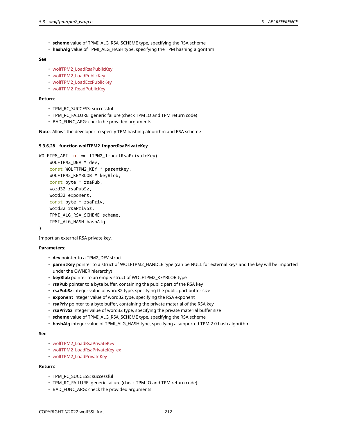- **scheme** value of TPMI\_ALG\_RSA\_SCHEME type, specifying the RSA scheme
- **hashAlg** value of TPMI\_ALG\_HASH type, specifying the TPM hashing algorithm

#### **See**:

- wolfTPM2\_LoadRsaPublicKey
- wolfTPM2\_LoadPublicKey
- wolfTPM2\_LoadEccPublicKey
- wolfTPM2\_ReadPublicKey

### **Return**:

- TPM\_RC\_SUCCESS: successful
- TPM\_RC\_FAILURE: generic failure (check TPM IO and TPM return code)
- BAD\_FUNC\_ARG: check the provided arguments

**Note**: Allows the developer to specify TPM hashing algorithm and RSA scheme

### **5.3.6.28 function wolfTPM2\_ImportRsaPrivateKey**

```
WOLFTPM API int wolfTPM2 ImportRsaPrivateKey(
    WOLFTPM2_DEV * dev,
    const WOLFTPM2_KEY * parentKey,
    WOLFTPM2_KEYBLOB * keyBlob,
    const byte * rsaPub,
    word32 rsaPubSz,
    word32 exponent,
    const byte * rsaPriv,
    word32 rsaPrivSz,
    TPMI_ALG_RSA_SCHEME scheme,
    TPMI_ALG_HASH hashAlg
)
```
Import an external RSA private key.

### **Parameters**:

- **dev** pointer to a TPM2\_DEV struct
- **parentKey** pointer to a struct of WOLFTPM2\_HANDLE type (can be NULL for external keys and the key will be imported under the OWNER hierarchy)
- **keyBlob** pointer to an empty struct of WOLFTPM2\_KEYBLOB type
- **rsaPub** pointer to a byte buffer, containing the public part of the RSA key
- **rsaPubSz** integer value of word32 type, specifying the public part buffer size
- **exponent** integer value of word32 type, specifying the RSA exponent
- **rsaPriv** pointer to a byte buffer, containing the private material of the RSA key
- **rsaPrivSz** integer value of word32 type, specifying the private material buffer size
- **scheme** value of TPMI\_ALG\_RSA\_SCHEME type, specifying the RSA scheme
- **hashAlg** integer value of TPMI\_ALG\_HASH type, specifying a supported TPM 2.0 hash algorithm

### **See**:

- wolfTPM2\_LoadRsaPrivateKey
- wolfTPM2\_LoadRsaPrivateKey\_ex
- wolfTPM2\_LoadPrivateKey

### **Return**:

- TPM\_RC\_SUCCESS: successful
- TPM\_RC\_FAILURE: generic failure (check TPM IO and TPM return code)
- BAD FUNC ARG: check the provided arguments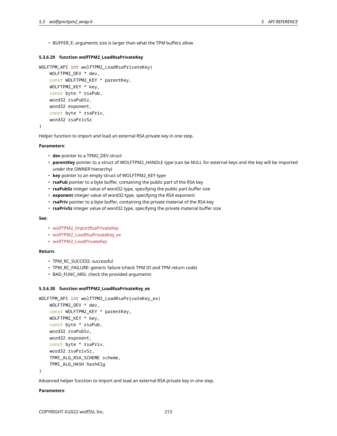• BUFFER\_E: arguments size is larger than what the TPM buffers allow

### **5.3.6.29 function wolfTPM2\_LoadRsaPrivateKey**

```
WOLFTPM_API int wolfTPM2_LoadRsaPrivateKey(
```

```
WOLFTPM2_DEV * dev,
const WOLFTPM2_KEY * parentKey,
WOLFTPM2_KEY * key,
const byte * rsaPub,
word32 rsaPubSz,
word32 exponent,
const byte * rsaPriv,
word32 rsaPrivSz
```
)

Helper function to import and load an external RSA private key in one step.

#### **Parameters**:

- **dev** pointer to a TPM2\_DEV struct
- **parentKey** pointer to a struct of WOLFTPM2\_HANDLE type (can be NULL for external keys and the key will be imported under the OWNER hierarchy)
- **key** pointer to an empty struct of WOLFTPM2\_KEY type
- **rsaPub** pointer to a byte buffer, containing the public part of the RSA key
- **rsaPubSz** integer value of word32 type, specifying the public part buffer size
- **exponent** integer value of word32 type, specifying the RSA exponent
- **rsaPriv** pointer to a byte buffer, containing the private material of the RSA key
- **rsaPrivSz** integer value of word32 type, specifying the private material buffer size

### **See**:

- wolfTPM2 ImportRsaPrivateKey
- wolfTPM2\_LoadRsaPrivateKey\_ex
- wolfTPM2\_LoadPrivateKey

#### **Return**:

- TPM\_RC\_SUCCESS: successful
- TPM\_RC\_FAILURE: generic failure (check TPM IO and TPM return code)
- BAD\_FUNC\_ARG: check the provided arguments

#### **5.3.6.30 function wolfTPM2\_LoadRsaPrivateKey\_ex**

```
WOLFTPM_API int wolfTPM2_LoadRsaPrivateKey_ex(
    WOLFTPM2_DEV * dev,
    const WOLFTPM2_KEY * parentKey,
    WOLFTPM2_KEY * key,
    const byte * rsaPub,
    word32 rsaPubSz,
    word32 exponent,
    const byte * rsaPriv,
    word32 rsaPrivSz,
    TPMI_ALG_RSA_SCHEME scheme,
    TPMI_ALG_HASH hashAlg
```
)

Advanced helper function to import and load an external RSA private key in one step.

### **Parameters**: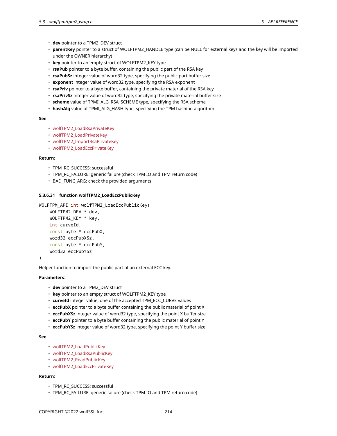- **dev** pointer to a TPM2\_DEV struct
- **parentKey** pointer to a struct of WOLFTPM2\_HANDLE type (can be NULL for external keys and the key will be imported under the OWNER hierarchy)
- **key** pointer to an empty struct of WOLFTPM2\_KEY type
- **rsaPub** pointer to a byte buffer, containing the public part of the RSA key
- **rsaPubSz** integer value of word32 type, specifying the public part buffer size
- **exponent** integer value of word32 type, specifying the RSA exponent
- **rsaPriv** pointer to a byte buffer, containing the private material of the RSA key
- **rsaPrivSz** integer value of word32 type, specifying the private material buffer size
- **scheme** value of TPMI\_ALG\_RSA\_SCHEME type, specifying the RSA scheme
- **hashAlg** value of TPMI\_ALG\_HASH type, specifying the TPM hashing algorithm

### **See**:

- wolfTPM2\_LoadRsaPrivateKey
- wolfTPM2\_LoadPrivateKey
- wolfTPM2\_ImportRsaPrivateKey
- wolfTPM2\_LoadEccPrivateKey

### **Return**:

- TPM\_RC\_SUCCESS: successful
- TPM\_RC\_FAILURE: generic failure (check TPM IO and TPM return code)
- BAD\_FUNC\_ARG: check the provided arguments

# **5.3.6.31 function wolfTPM2\_LoadEccPublicKey**

```
WOLFTPM_API int wolfTPM2_LoadEccPublicKey(
    WOLFTPM2_DEV * dev,
```

```
WOLFTPM2_KEY * key,
int curveId,
const byte * eccPubX,
word32 eccPubXSz,
const byte * eccPubY,
word32 eccPubYSz
```

```
\lambda
```
Helper function to import the public part of an external ECC key.

#### **Parameters**:

- **dev** pointer to a TPM2\_DEV struct
- **key** pointer to an empty struct of WOLFTPM2\_KEY type
- **curveId** integer value, one of the accepted TPM\_ECC\_CURVE values
- **eccPubX** pointer to a byte buffer containing the public material of point X
- **eccPubXSz** integer value of word32 type, specifying the point X buffer size
- **eccPubY** pointer to a byte buffer containing the public material of point Y
- **eccPubYSz** integer value of word32 type, specifying the point Y buffer size

#### **See**:

- wolfTPM2\_LoadPublicKey
- wolfTPM2\_LoadRsaPublicKey
- wolfTPM2\_ReadPublicKey
- wolfTPM2\_LoadEccPrivateKey

# **Return**:

- TPM\_RC\_SUCCESS: successful
- TPM\_RC\_FAILURE: generic failure (check TPM IO and TPM return code)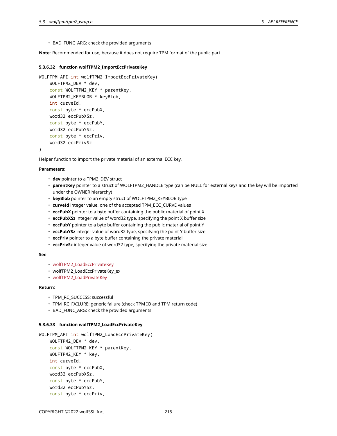• BAD\_FUNC\_ARG: check the provided arguments

**Note**: Recommended for use, because it does not require TPM format of the public part

### **5.3.6.32 function wolfTPM2\_ImportEccPrivateKey**

```
WOLFTPM_API int wolfTPM2_ImportEccPrivateKey(
    WOLFTPM2_DEV * dev,
    const WOLFTPM2_KEY * parentKey,
    WOLFTPM2_KEYBLOB * keyBlob,
    int curveId,
    const byte * eccPubX,
    word32 eccPubXSz,
    const byte * eccPubY,
    word32 eccPubYSz,
    const byte * eccPriv,
    word32 eccPrivSz
)
```
Helper function to import the private material of an external ECC key.

#### **Parameters**:

- **dev** pointer to a TPM2\_DEV struct
- **parentKey** pointer to a struct of WOLFTPM2\_HANDLE type (can be NULL for external keys and the key will be imported under the OWNER hierarchy)
- **keyBlob** pointer to an empty struct of WOLFTPM2\_KEYBLOB type
- **curveId** integer value, one of the accepted TPM\_ECC\_CURVE values
- **eccPubX** pointer to a byte buffer containing the public material of point X
- **eccPubXSz** integer value of word32 type, specifying the point X buffer size
- **eccPubY** pointer to a byte buffer containing the public material of point Y
- **eccPubYSz** integer value of word32 type, specifying the point Y buffer size
- **eccPriv** pointer to a byte buffer containing the private material
- **eccPrivSz** integer value of word32 type, specifying the private material size

#### **See**:

- wolfTPM2\_LoadEccPrivateKey
- wolfTPM2 LoadEccPrivateKey ex
- wolfTPM2\_LoadPrivateKey

#### **Return**:

- TPM\_RC\_SUCCESS: successful
- TPM\_RC\_FAILURE: generic failure (check TPM IO and TPM return code)
- BAD\_FUNC\_ARG: check the provided arguments

#### **5.3.6.33 function wolfTPM2\_LoadEccPrivateKey**

```
WOLFTPM API int wolfTPM2 LoadEccPrivateKey(
    WOLFTPM2_DEV * dev,
    const WOLFTPM2_KEY * parentKey,
    WOLFTPM2_KEY * key,
    int curveId,
    const byte * eccPubX,
    word32 eccPubXSz,
    const byte * eccPubY,
    word32 eccPubYSz,
    const byte * eccPriv,
```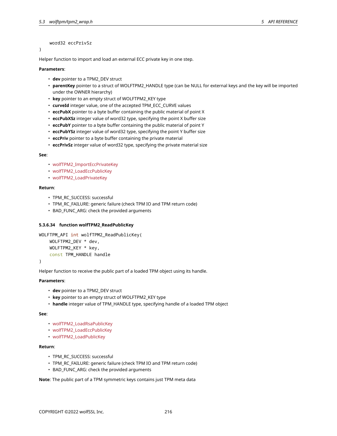# word32 eccPrivSz

)

Helper function to import and load an external ECC private key in one step.

#### **Parameters**:

- **dev** pointer to a TPM2\_DEV struct
- **parentKey** pointer to a struct of WOLFTPM2\_HANDLE type (can be NULL for external keys and the key will be imported under the OWNER hierarchy)
- **key** pointer to an empty struct of WOLFTPM2\_KEY type
- **curveId** integer value, one of the accepted TPM\_ECC\_CURVE values
- **eccPubX** pointer to a byte buffer containing the public material of point X
- **eccPubXSz** integer value of word32 type, specifying the point X buffer size
- **eccPubY** pointer to a byte buffer containing the public material of point Y
- **eccPubYSz** integer value of word32 type, specifying the point Y buffer size
- **eccPriv** pointer to a byte buffer containing the private material
- **eccPrivSz** integer value of word32 type, specifying the private material size

#### **See**:

- wolfTPM2\_ImportEccPrivateKey
- wolfTPM2\_LoadEccPublicKey
- wolfTPM2\_LoadPrivateKey

### **Return**:

- TPM\_RC\_SUCCESS: successful
- TPM\_RC\_FAILURE: generic failure (check TPM IO and TPM return code)
- BAD\_FUNC\_ARG: check the provided arguments

### **5.3.6.34 function wolfTPM2\_ReadPublicKey**

```
WOLFTPM_API int wolfTPM2_ReadPublicKey(
    WOLFTPM2_DEV * dev,
    WOLFTPM2_KEY * key,
    const TPM_HANDLE handle
```
)

Helper function to receive the public part of a loaded TPM object using its handle.

### **Parameters**:

- **dev** pointer to a TPM2\_DEV struct
- **key** pointer to an empty struct of WOLFTPM2\_KEY type
- **handle** integer value of TPM\_HANDLE type, specifying handle of a loaded TPM object

#### **See**:

- wolfTPM2\_LoadRsaPublicKey
- wolfTPM2\_LoadEccPublicKey
- wolfTPM2\_LoadPublicKey

### **Return**:

- TPM\_RC\_SUCCESS: successful
- TPM\_RC\_FAILURE: generic failure (check TPM IO and TPM return code)
- BAD\_FUNC\_ARG: check the provided arguments

**Note**: The public part of a TPM symmetric keys contains just TPM meta data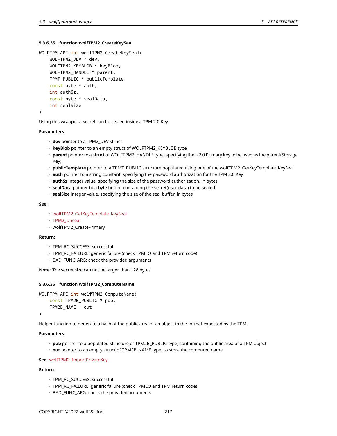## **5.3.6.35 function wolfTPM2\_CreateKeySeal**

```
WOLFTPM_API int wolfTPM2_CreateKeySeal(
    WOLFTPM2_DEV * dev,
    WOLFTPM2_KEYBLOB * keyBlob,
    WOLFTPM2_HANDLE * parent,
    TPMT_PUBLIC * publicTemplate,
    const byte * auth,
    int authSz,
    const byte * sealData,
    int sealSize
)
```
Using this wrapper a secret can be sealed inside a TPM 2.0 Key.

### **Parameters**:

- **dev** pointer to a TPM2\_DEV struct
- **keyBlob** pointer to an empty struct of WOLFTPM2\_KEYBLOB type
- **parent** pointer to a struct of WOLFTPM2\_HANDLE type, specifying the a 2.0 Primary Key to be used as the parent(Storage Key)
- **publicTemplate** pointer to a TPMT\_PUBLIC structure populated using one of the wolfTPM2\_GetKeyTemplate\_KeySeal
- **auth** pointer to a string constant, specifying the password authorization for the TPM 2.0 Key
- **authSz** integer value, specifying the size of the password authorization, in bytes
- **sealData** pointer to a byte buffer, containing the secret(user data) to be sealed
- **sealSize** integer value, specifying the size of the seal buffer, in bytes

### **See**:

- wolfTPM2\_GetKeyTemplate\_KeySeal
- TPM2\_Unseal
- wolfTPM2\_CreatePrimary

### **Return**:

- TPM\_RC\_SUCCESS: successful
- TPM\_RC\_FAILURE: generic failure (check TPM IO and TPM return code)
- BAD\_FUNC\_ARG: check the provided arguments

**Note**: The secret size can not be larger than 128 bytes

## **5.3.6.36 function wolfTPM2\_ComputeName**

```
WOLFTPM_API int wolfTPM2_ComputeName(
    const TPM2B_PUBLIC * pub,
    TPM2B_NAME * out
```
)

Helper function to generate a hash of the public area of an object in the format expected by the TPM.

### **Parameters**:

- **pub** pointer to a populated structure of TPM2B\_PUBLIC type, containing the public area of a TPM object
- **out** pointer to an empty struct of TPM2B\_NAME type, to store the computed name

**See**: wolfTPM2\_ImportPrivateKey

# **Return**:

- TPM\_RC\_SUCCESS: successful
- TPM\_RC\_FAILURE: generic failure (check TPM IO and TPM return code)
- BAD\_FUNC\_ARG: check the provided arguments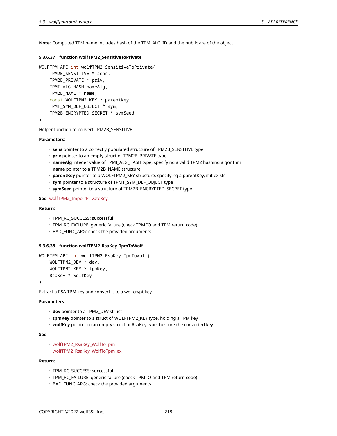**Note**: Computed TPM name includes hash of the TPM\_ALG\_ID and the public are of the object

# **5.3.6.37 function wolfTPM2\_SensitiveToPrivate**

```
WOLFTPM_API int wolfTPM2_SensitiveToPrivate(
    TPM2B_SENSITIVE * sens,
    TPM2B_PRIVATE * priv,
    TPMI_ALG_HASH nameAlg,
    TPM2B_NAME * name,
    const WOLFTPM2_KEY * parentKey,
    TPMT_SYM_DEF_OBJECT * sym,
    TPM2B_ENCRYPTED_SECRET * symSeed
)
```
Helper function to convert TPM2B\_SENSITIVE.

## **Parameters**:

- **sens** pointer to a correctly populated structure of TPM2B\_SENSITIVE type
- **priv** pointer to an empty struct of TPM2B\_PRIVATE type
- **nameAlg** integer value of TPMI\_ALG\_HASH type, specifying a valid TPM2 hashing algorithm
- **name** pointer to a TPM2B\_NAME structure
- **parentKey** pointer to a WOLFTPM2\_KEY structure, specifying a parentKey, if it exists
- **sym** pointer to a structure of TPMT\_SYM\_DEF\_OBJECT type
- **symSeed** pointer to a structure of TPM2B\_ENCRYPTED\_SECRET type

### **See**: wolfTPM2\_ImportPrivateKey

# **Return**:

- TPM\_RC\_SUCCESS: successful
- TPM\_RC\_FAILURE: generic failure (check TPM IO and TPM return code)
- BAD\_FUNC\_ARG: check the provided arguments

# **5.3.6.38 function wolfTPM2\_RsaKey\_TpmToWolf**

```
WOLFTPM_API int wolfTPM2_RsaKey_TpmToWolf(
    WOLFTPM2_DEV * dev,
    WOLFTPM2_KEY * tpmKey,
    RsaKey * wolfKey
```
)

Extract a RSA TPM key and convert it to a wolfcrypt key.

### **Parameters**:

- **dev** pointer to a TPM2\_DEV struct
- **tpmKey** pointer to a struct of WOLFTPM2\_KEY type, holding a TPM key
- **wolfKey** pointer to an empty struct of RsaKey type, to store the converted key

### **See**:

- wolfTPM2\_RsaKey\_WolfToTpm
- wolfTPM2\_RsaKey\_WolfToTpm\_ex

# **Return**:

- TPM\_RC\_SUCCESS: successful
- TPM\_RC\_FAILURE: generic failure (check TPM IO and TPM return code)
- BAD\_FUNC\_ARG: check the provided arguments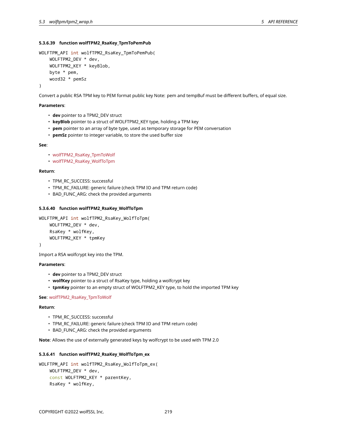# **5.3.6.39 function wolfTPM2\_RsaKey\_TpmToPemPub**

```
WOLFTPM_API int wolfTPM2_RsaKey_TpmToPemPub(
    WOLFTPM2_DEV * dev,
    WOLFTPM2_KEY * keyBlob,
    byte * pem,
    word32 * pemSz
)
```
Convert a public RSA TPM key to PEM format public key Note: pem and tempBuf must be different buffers, of equal size.

### **Parameters**:

- **dev** pointer to a TPM2\_DEV struct
- **keyBlob** pointer to a struct of WOLFTPM2\_KEY type, holding a TPM key
- **pem** pointer to an array of byte type, used as temporary storage for PEM conversation
- **pemSz** pointer to integer variable, to store the used buffer size

### **See**:

- wolfTPM2\_RsaKey\_TpmToWolf
- wolfTPM2\_RsaKey\_WolfToTpm

### **Return**:

- TPM\_RC\_SUCCESS: successful
- TPM\_RC\_FAILURE: generic failure (check TPM IO and TPM return code)
- BAD\_FUNC\_ARG: check the provided arguments

### **5.3.6.40 function wolfTPM2\_RsaKey\_WolfToTpm**

```
WOLFTPM_API int wolfTPM2_RsaKey_WolfToTpm(
    WOLFTPM2_DEV * dev,
    RsaKey * wolfKey,
    WOLFTPM2_KEY * tpmKey
```
)

Import a RSA wolfcrypt key into the TPM.

### **Parameters**:

- **dev** pointer to a TPM2\_DEV struct
- **wolfKey** pointer to a struct of RsaKey type, holding a wolfcrypt key
- **tpmKey** pointer to an empty struct of WOLFTPM2\_KEY type, to hold the imported TPM key

## **See**: wolfTPM2\_RsaKey\_TpmToWolf

### **Return**:

- TPM\_RC\_SUCCESS: successful
- TPM\_RC\_FAILURE: generic failure (check TPM IO and TPM return code)
- BAD\_FUNC\_ARG: check the provided arguments

**Note**: Allows the use of externally generated keys by wolfcrypt to be used with TPM 2.0

# **5.3.6.41 function wolfTPM2\_RsaKey\_WolfToTpm\_ex**

```
WOLFTPM_API int wolfTPM2_RsaKey_WolfToTpm_ex(
   WOLFTPM2_DEV * dev,
    const WOLFTPM2_KEY * parentKey,
    RsaKey * wolfKey,
```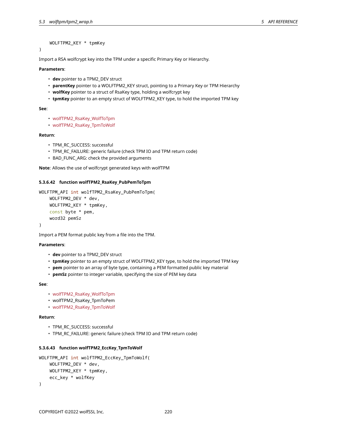WOLFTPM2\_KEY \* tpmKey

)

Import a RSA wolfcrypt key into the TPM under a specific Primary Key or Hierarchy.

#### **Parameters**:

- **dev** pointer to a TPM2\_DEV struct
- **parentKey** pointer to a WOLFTPM2\_KEY struct, pointing to a Primary Key or TPM Hierarchy
- **wolfKey** pointer to a struct of RsaKey type, holding a wolfcrypt key
- **tpmKey** pointer to an empty struct of WOLFTPM2\_KEY type, to hold the imported TPM key

### **See**:

- wolfTPM2\_RsaKey\_WolfToTpm
- wolfTPM2\_RsaKey\_TpmToWolf

### **Return**:

- TPM\_RC\_SUCCESS: successful
- TPM\_RC\_FAILURE: generic failure (check TPM IO and TPM return code)
- BAD\_FUNC\_ARG: check the provided arguments

**Note**: Allows the use of wolfcrypt generated keys with wolfTPM

# **5.3.6.42 function wolfTPM2\_RsaKey\_PubPemToTpm**

```
WOLFTPM_API int wolfTPM2_RsaKey_PubPemToTpm(
    WOLFTPM2_DEV * dev,
    WOLFTPM2_KEY * tpmKey,
    const byte * pem,
    word32 pemSz
```
)

Import a PEM format public key from a file into the TPM.

# **Parameters**:

- **dev** pointer to a TPM2\_DEV struct
- **tpmKey** pointer to an empty struct of WOLFTPM2\_KEY type, to hold the imported TPM key
- **pem** pointer to an array of byte type, containing a PEM formatted public key material
- **pemSz** pointer to integer variable, specifying the size of PEM key data

## **See**:

- wolfTPM2\_RsaKey\_WolfToTpm
- wolfTPM2\_RsaKey\_TpmToPem
- wolfTPM2\_RsaKey\_TpmToWolf

### **Return**:

- TPM\_RC\_SUCCESS: successful
- TPM\_RC\_FAILURE: generic failure (check TPM IO and TPM return code)

# **5.3.6.43 function wolfTPM2\_EccKey\_TpmToWolf**

```
WOLFTPM_API int wolfTPM2_EccKey_TpmToWolf(
    WOLFTPM2_DEV * dev,
   WOLFTPM2_KEY * tpmKey,
    ecc_key * wolfKey
)
```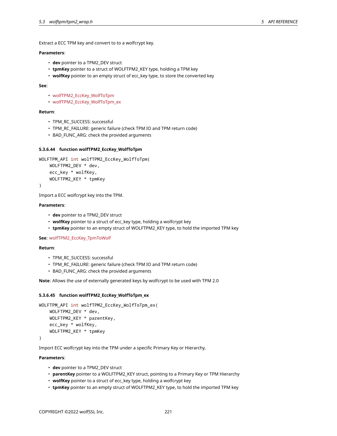Extract a ECC TPM key and convert to to a wolfcrypt key.

# **Parameters**:

- **dev** pointer to a TPM2\_DEV struct
- **tpmKey** pointer to a struct of WOLFTPM2\_KEY type, holding a TPM key
- **wolfKey** pointer to an empty struct of ecc\_key type, to store the converted key

### **See**:

- wolfTPM2\_EccKey\_WolfToTpm
- wolfTPM2\_EccKey\_WolfToTpm\_ex

### **Return**:

- TPM\_RC\_SUCCESS: successful
- TPM\_RC\_FAILURE: generic failure (check TPM IO and TPM return code)
- BAD\_FUNC\_ARG: check the provided arguments

# **5.3.6.44 function wolfTPM2\_EccKey\_WolfToTpm**

```
WOLFTPM_API int wolfTPM2_EccKey_WolfToTpm(
    WOLFTPM2_DEV * dev,
    ecc_key * wolfKey,
    WOLFTPM2_KEY * tpmKey
)
```
Import a ECC wolfcrypt key into the TPM.

### **Parameters**:

- **dev** pointer to a TPM2\_DEV struct
- **wolfKey** pointer to a struct of ecc\_key type, holding a wolfcrypt key
- **tpmKey** pointer to an empty struct of WOLFTPM2\_KEY type, to hold the imported TPM key

**See**: wolfTPM2\_EccKey\_TpmToWolf

#### **Return**:

- TPM\_RC\_SUCCESS: successful
- TPM\_RC\_FAILURE: generic failure (check TPM IO and TPM return code)
- BAD\_FUNC\_ARG: check the provided arguments

**Note**: Allows the use of externally generated keys by wolfcrypt to be used with TPM 2.0

# **5.3.6.45 function wolfTPM2\_EccKey\_WolfToTpm\_ex**

```
WOLFTPM_API int wolfTPM2_EccKey_WolfToTpm_ex(
    WOLFTPM2_DEV * dev,
    WOLFTPM2_KEY * parentKey,
    ecc_key * wolfKey,
    WOLFTPM2_KEY * tpmKey
```
)

Import ECC wolfcrypt key into the TPM under a specific Primary Key or Hierarchy.

## **Parameters**:

- **dev** pointer to a TPM2\_DEV struct
- **parentKey** pointer to a WOLFTPM2\_KEY struct, pointing to a Primary Key or TPM Hierarchy
- **wolfKey** pointer to a struct of ecc\_key type, holding a wolfcrypt key
- **tpmKey** pointer to an empty struct of WOLFTPM2\_KEY type, to hold the imported TPM key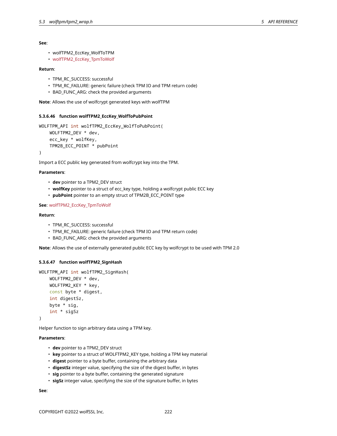```
• wolfTPM2_EccKey_WolfToTPM
```
• wolfTPM2\_EccKey\_TpmToWolf

### **Return**:

- TPM\_RC\_SUCCESS: successful
- TPM\_RC\_FAILURE: generic failure (check TPM IO and TPM return code)
- BAD\_FUNC\_ARG: check the provided arguments

**Note**: Allows the use of wolfcrypt generated keys with wolfTPM

## **5.3.6.46 function wolfTPM2\_EccKey\_WolfToPubPoint**

```
WOLFTPM_API int wolfTPM2_EccKey_WolfToPubPoint(
   WOLFTPM2_DEV * dev,
   ecc_key * wolfKey,
   TPM2B_ECC_POINT * pubPoint
```
)

Import a ECC public key generated from wolfcrypt key into the TPM.

# **Parameters**:

- **dev** pointer to a TPM2\_DEV struct
- **wolfKey** pointer to a struct of ecc\_key type, holding a wolfcrypt public ECC key
- **pubPoint** pointer to an empty struct of TPM2B\_ECC\_POINT type

# **See**: wolfTPM2\_EccKey\_TpmToWolf

## **Return**:

- TPM\_RC\_SUCCESS: successful
- TPM\_RC\_FAILURE: generic failure (check TPM IO and TPM return code)
- BAD\_FUNC\_ARG: check the provided arguments

**Note**: Allows the use of externally generated public ECC key by wolfcrypt to be used with TPM 2.0

## **5.3.6.47 function wolfTPM2\_SignHash**

```
WOLFTPM_API int wolfTPM2_SignHash(
    WOLFTPM2_DEV * dev,
    WOLFTPM2_KEY * key,
    const byte * digest,
    int digestSz,
    byte * sig,
    int * sigSz
)
```
Helper function to sign arbitrary data using a TPM key.

#### **Parameters**:

- **dev** pointer to a TPM2\_DEV struct
- **key** pointer to a struct of WOLFTPM2\_KEY type, holding a TPM key material
- **digest** pointer to a byte buffer, containing the arbitrary data
- **digestSz** integer value, specifying the size of the digest buffer, in bytes
- **sig** pointer to a byte buffer, containing the generated signature
- **sigSz** integer value, specifying the size of the signature buffer, in bytes

### **See**: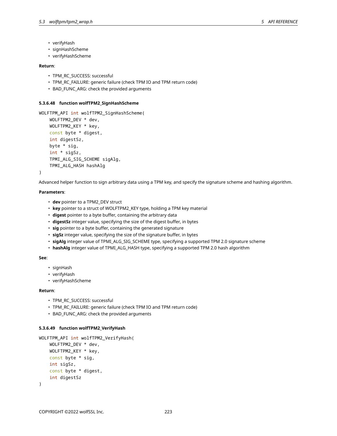- verifyHash
- signHashScheme
- verifyHashScheme

# **Return**:

- TPM\_RC\_SUCCESS: successful
- TPM\_RC\_FAILURE: generic failure (check TPM IO and TPM return code)
- BAD FUNC ARG: check the provided arguments

### **5.3.6.48 function wolfTPM2\_SignHashScheme**

```
WOLFTPM_API int wolfTPM2_SignHashScheme(
    WOLFTPM2_DEV * dev,
    WOLFTPM2_KEY * key,
    const byte * digest,
    int digestSz,
    byte * sig,
    int * sigSz,
    TPMI_ALG_SIG_SCHEME sigAlg,
    TPMI_ALG_HASH hashAlg
```
)

Advanced helper function to sign arbitrary data using a TPM key, and specify the signature scheme and hashing algorithm.

### **Parameters**:

- **dev** pointer to a TPM2\_DEV struct
- **key** pointer to a struct of WOLFTPM2\_KEY type, holding a TPM key material
- **digest** pointer to a byte buffer, containing the arbitrary data
- **digestSz** integer value, specifying the size of the digest buffer, in bytes
- **sig** pointer to a byte buffer, containing the generated signature
- **sigSz** integer value, specifying the size of the signature buffer, in bytes
- **sigAlg** integer value of TPMI\_ALG\_SIG\_SCHEME type, specifying a supported TPM 2.0 signature scheme
- **hashAlg** integer value of TPMI\_ALG\_HASH type, specifying a supported TPM 2.0 hash algorithm

# **See**:

- signHash
- verifyHash
- verifyHashScheme

### **Return**:

- TPM\_RC\_SUCCESS: successful
- TPM\_RC\_FAILURE: generic failure (check TPM IO and TPM return code)
- BAD\_FUNC\_ARG: check the provided arguments

#### **5.3.6.49 function wolfTPM2\_VerifyHash**

```
WOLFTPM_API int wolfTPM2_VerifyHash(
    WOLFTPM2_DEV * dev,
    WOLFTPM2_KEY * key,
    const byte * sig,
    int sigSz,
    const byte * digest,
    int digestSz
)
```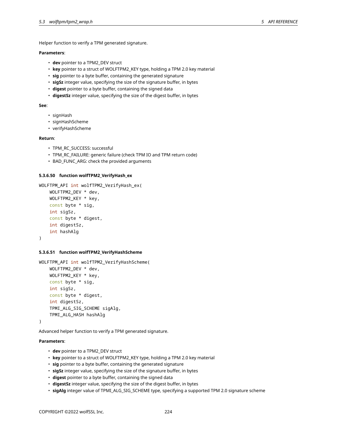Helper function to verify a TPM generated signature.

# **Parameters**:

- **dev** pointer to a TPM2\_DEV struct
- **key** pointer to a struct of WOLFTPM2\_KEY type, holding a TPM 2.0 key material
- **sig** pointer to a byte buffer, containing the generated signature
- **sigSz** integer value, specifying the size of the signature buffer, in bytes
- **digest** pointer to a byte buffer, containing the signed data
- **digestSz** integer value, specifying the size of the digest buffer, in bytes

### **See**:

- signHash
- signHashScheme
- verifyHashScheme

### **Return**:

- TPM\_RC\_SUCCESS: successful
- TPM\_RC\_FAILURE: generic failure (check TPM IO and TPM return code)
- BAD\_FUNC\_ARG: check the provided arguments

### **5.3.6.50 function wolfTPM2\_VerifyHash\_ex**

```
WOLFTPM_API int wolfTPM2_VerifyHash_ex(
    WOLFTPM2_DEV * dev,
    WOLFTPM2_KEY * key,
    const byte * sig,
    int sigSz,
    const byte * digest,
    int digestSz,
    int hashAlg
)
```
#### **5.3.6.51 function wolfTPM2\_VerifyHashScheme**

```
WOLFTPM_API int wolfTPM2_VerifyHashScheme(
    WOLFTPM2_DEV * dev,
    WOLFTPM2_KEY * key,
    const byte * sig,
    int sigSz,
    const byte * digest,
    int digestSz,
    TPMI_ALG_SIG_SCHEME sigAlg,
    TPMI_ALG_HASH hashAlg
```
)

Advanced helper function to verify a TPM generated signature.

### **Parameters**:

- **dev** pointer to a TPM2\_DEV struct
- **key** pointer to a struct of WOLFTPM2\_KEY type, holding a TPM 2.0 key material
- **sig** pointer to a byte buffer, containing the generated signature
- **sigSz** integer value, specifying the size of the signature buffer, in bytes
- **digest** pointer to a byte buffer, containing the signed data
- **digestSz** integer value, specifying the size of the digest buffer, in bytes
- **sigAlg** integer value of TPMI\_ALG\_SIG\_SCHEME type, specifying a supported TPM 2.0 signature scheme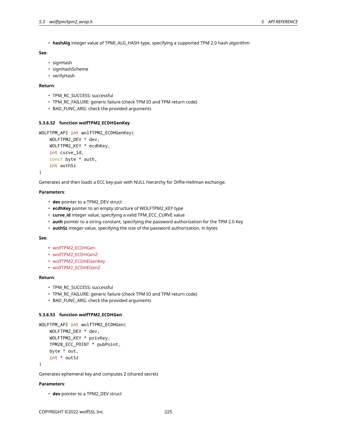• **hashAlg** integer value of TPMI\_ALG\_HASH type, specifying a supported TPM 2.0 hash algorithm

# **See**:

- signHash
- signHashScheme
- verifyHash

# **Return**:

- TPM\_RC\_SUCCESS: successful
- TPM\_RC\_FAILURE: generic failure (check TPM IO and TPM return code)
- BAD\_FUNC\_ARG: check the provided arguments

# **5.3.6.52 function wolfTPM2\_ECDHGenKey**

```
WOLFTPM_API int wolfTPM2_ECDHGenKey(
    WOLFTPM2_DEV * dev,
    WOLFTPM2_KEY * ecdhKey,
    int curve_id,
    const byte * auth,
    int authSz
)
```
Generates and then loads a ECC key-pair with NULL hierarchy for Diffie-Hellman exchange.

## **Parameters**:

- **dev** pointer to a TPM2\_DEV struct
- **ecdhKey** pointer to an empty structure of WOLFTPM2\_KEY type
- **curve\_id** integer value, specifying a valid TPM\_ECC\_CURVE value
- **auth** pointer to a string constant, specifying the password authorization for the TPM 2.0 Key
- **authSz** integer value, specifying the size of the password authorization, in bytes

### **See**:

- wolfTPM2\_ECDHGen
- wolfTPM2\_ECDHGenZ
- wolfTPM2\_ECDHEGenKey
- wolfTPM2\_ECDHEGenZ

### **Return**:

- TPM\_RC\_SUCCESS: successful
- TPM\_RC\_FAILURE: generic failure (check TPM IO and TPM return code)
- BAD\_FUNC\_ARG: check the provided arguments

### **5.3.6.53 function wolfTPM2\_ECDHGen**

```
WOLFTPM_API int wolfTPM2_ECDHGen(
    WOLFTPM2_DEV * dev,
    WOLFTPM2_KEY * privKey,
    TPM2B_ECC_POINT * pubPoint,
    byte * out,
    int * outSz
```
)

Generates ephemeral key and computes Z (shared secret)

# **Parameters**:

• **dev** pointer to a TPM2\_DEV struct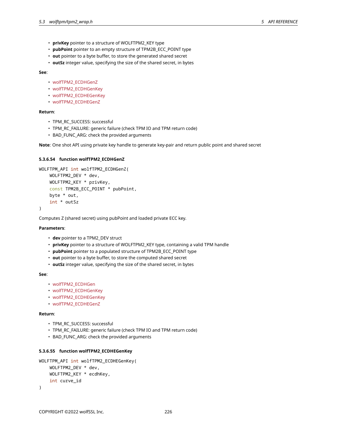- **privKey** pointer to a structure of WOLFTPM2\_KEY type
- **pubPoint** pointer to an empty structure of TPM2B\_ECC\_POINT type
- **out** pointer to a byte buffer, to store the generated shared secret
- **outSz** integer value, specifying the size of the shared secret, in bytes

- wolfTPM2\_ECDHGenZ
- wolfTPM2\_ECDHGenKey
- wolfTPM2\_ECDHEGenKey
- wolfTPM2\_ECDHEGenZ

# **Return**:

- TPM\_RC\_SUCCESS: successful
- TPM\_RC\_FAILURE: generic failure (check TPM IO and TPM return code)
- BAD\_FUNC\_ARG: check the provided arguments

**Note**: One shot API using private key handle to generate key-pair and return public point and shared secret

# **5.3.6.54 function wolfTPM2\_ECDHGenZ**

```
WOLFTPM_API int wolfTPM2_ECDHGenZ(
    WOLFTPM2_DEV * dev,
    WOLFTPM2_KEY * privKey,
    const TPM2B_ECC_POINT * pubPoint,
   byte * out,
    int * outSz
)
```
Computes Z (shared secret) using pubPoint and loaded private ECC key.

### **Parameters**:

- **dev** pointer to a TPM2\_DEV struct
- **privKey** pointer to a structure of WOLFTPM2\_KEY type, containing a valid TPM handle
- **pubPoint** pointer to a populated structure of TPM2B\_ECC\_POINT type
- **out** pointer to a byte buffer, to store the computed shared secret
- **outSz** integer value, specifying the size of the shared secret, in bytes

#### **See**:

- wolfTPM2\_ECDHGen
- wolfTPM2\_ECDHGenKey
- wolfTPM2\_ECDHEGenKey
- wolfTPM2\_ECDHEGenZ

### **Return**:

- TPM\_RC\_SUCCESS: successful
- TPM\_RC\_FAILURE: generic failure (check TPM IO and TPM return code)
- BAD\_FUNC\_ARG: check the provided arguments

# **5.3.6.55 function wolfTPM2\_ECDHEGenKey**

```
WOLFTPM_API int wolfTPM2_ECDHEGenKey(
    WOLFTPM2_DEV * dev,
    WOLFTPM2_KEY * ecdhKey,
    int curve_id
)
```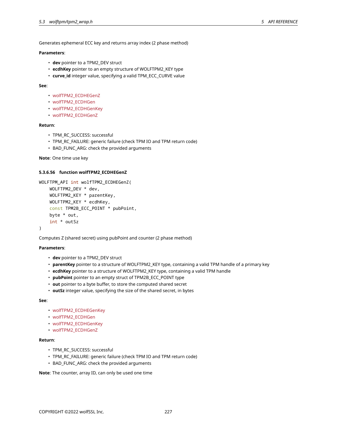Generates ephemeral ECC key and returns array index (2 phase method)

# **Parameters**:

- **dev** pointer to a TPM2\_DEV struct
- **ecdhKey** pointer to an empty structure of WOLFTPM2\_KEY type
- **curve\_id** integer value, specifying a valid TPM\_ECC\_CURVE value

### **See**:

- wolfTPM2\_ECDHEGenZ
- wolfTPM2\_ECDHGen
- wolfTPM2\_ECDHGenKey
- wolfTPM2\_ECDHGenZ

# **Return**:

- TPM\_RC\_SUCCESS: successful
- TPM\_RC\_FAILURE: generic failure (check TPM IO and TPM return code)
- BAD\_FUNC\_ARG: check the provided arguments

```
Note: One time use key
```
# **5.3.6.56 function wolfTPM2\_ECDHEGenZ**

```
WOLFTPM_API int wolfTPM2_ECDHEGenZ(
    WOLFTPM2_DEV * dev,
    WOLFTPM2_KEY * parentKey,
    WOLFTPM2_KEY * ecdhKey,
    const TPM2B_ECC_POINT * pubPoint,
    byte * out,
    int * outSz
)
```
Computes Z (shared secret) using pubPoint and counter (2 phase method)

### **Parameters**:

- **dev** pointer to a TPM2\_DEV struct
- **parentKey** pointer to a structure of WOLFTPM2\_KEY type, containing a valid TPM handle of a primary key
- **ecdhKey** pointer to a structure of WOLFTPM2\_KEY type, containing a valid TPM handle
- **pubPoint** pointer to an empty struct of TPM2B\_ECC\_POINT type
- **out** pointer to a byte buffer, to store the computed shared secret
- **outSz** integer value, specifying the size of the shared secret, in bytes

### **See**:

- wolfTPM2\_ECDHEGenKey
- wolfTPM2\_ECDHGen
- wolfTPM2\_ECDHGenKey
- wolfTPM2\_ECDHGenZ

# **Return**:

- TPM\_RC\_SUCCESS: successful
- TPM\_RC\_FAILURE: generic failure (check TPM IO and TPM return code)
- BAD\_FUNC\_ARG: check the provided arguments

**Note**: The counter, array ID, can only be used one time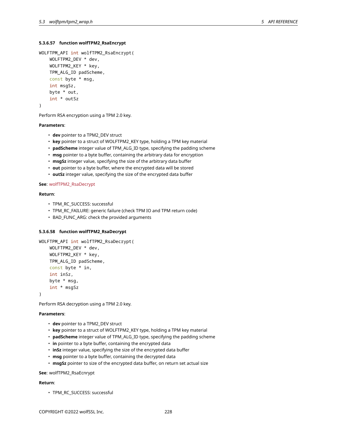# **5.3.6.57 function wolfTPM2\_RsaEncrypt**

```
WOLFTPM_API int wolfTPM2_RsaEncrypt(
    WOLFTPM2_DEV * dev,
    WOLFTPM2_KEY * key,
    TPM_ALG_ID padScheme,
    const byte * msg,
    int msgSz,
    byte * out,
    int * outSz
)
```
Perform RSA encryption using a TPM 2.0 key.

### **Parameters**:

- **dev** pointer to a TPM2\_DEV struct
- **key** pointer to a struct of WOLFTPM2\_KEY type, holding a TPM key material
- **padScheme** integer value of TPM\_ALG\_ID type, specifying the padding scheme
- **msg** pointer to a byte buffer, containing the arbitrary data for encryption
- **msgSz** integer value, specifying the size of the arbitrary data buffer
- **out** pointer to a byte buffer, where the encrypted data will be stored
- **outSz** integer value, specifying the size of the encrypted data buffer

### **See**: wolfTPM2\_RsaDecrypt

### **Return**:

- TPM\_RC\_SUCCESS: successful
- TPM\_RC\_FAILURE: generic failure (check TPM IO and TPM return code)
- BAD\_FUNC\_ARG: check the provided arguments

### **5.3.6.58 function wolfTPM2\_RsaDecrypt**

```
WOLFTPM_API int wolfTPM2_RsaDecrypt(
    WOLFTPM2_DEV * dev,
    WOLFTPM2_KEY * key,
    TPM_ALG_ID padScheme,
    const byte * in,
    int inSz,
    byte * msg,
    int * msgSz
```
)

Perform RSA decryption using a TPM 2.0 key.

#### **Parameters**:

- **dev** pointer to a TPM2\_DEV struct
- **key** pointer to a struct of WOLFTPM2\_KEY type, holding a TPM key material
- **padScheme** integer value of TPM\_ALG\_ID type, specifying the padding scheme
- **in** pointer to a byte buffer, containing the encrypted data
- **inSz** integer value, specifying the size of the encrypted data buffer
- **msg** pointer to a byte buffer, containing the decrypted data
- **msgSz** pointer to size of the encrypted data buffer, on return set actual size

#### **See**: wolfTPM2\_RsaEcnrypt

### **Return**:

• TPM\_RC\_SUCCESS: successful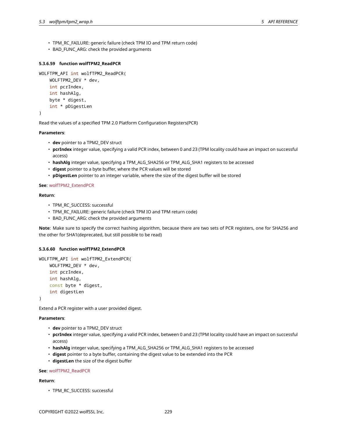- TPM\_RC\_FAILURE: generic failure (check TPM IO and TPM return code)
- BAD\_FUNC\_ARG: check the provided arguments

# **5.3.6.59 function wolfTPM2\_ReadPCR**

```
WOLFTPM_API int wolfTPM2_ReadPCR(
    WOLFTPM2_DEV * dev,
    int pcrIndex,
    int hashAlg,
    byte * digest,
    int * pDigestLen
)
```
Read the values of a specified TPM 2.0 Platform Configuration Registers(PCR)

# **Parameters**:

- **dev** pointer to a TPM2\_DEV struct
- **pcrIndex** integer value, specifying a valid PCR index, between 0 and 23 (TPM locality could have an impact on successful access)
- **hashAlg** integer value, specifying a TPM\_ALG\_SHA256 or TPM\_ALG\_SHA1 registers to be accessed
- **digest** pointer to a byte buffer, where the PCR values will be stored
- **pDigestLen** pointer to an integer variable, where the size of the digest buffer will be stored

# **See**: wolfTPM2\_ExtendPCR

# **Return**:

- TPM\_RC\_SUCCESS: successful
- TPM\_RC\_FAILURE: generic failure (check TPM IO and TPM return code)
- BAD\_FUNC\_ARG: check the provided arguments

**Note**: Make sure to specify the correct hashing algorithm, because there are two sets of PCR registers, one for SHA256 and the other for SHA1(deprecated, but still possible to be read)

# **5.3.6.60 function wolfTPM2\_ExtendPCR**

```
WOLFTPM_API int wolfTPM2_ExtendPCR(
   WOLFTPM2_DEV * dev,
    int pcrIndex,
    int hashAlg,
    const byte * digest,
    int digestLen
```
)

Extend a PCR register with a user provided digest.

# **Parameters**:

- **dev** pointer to a TPM2\_DEV struct
- **pcrIndex** integer value, specifying a valid PCR index, between 0 and 23 (TPM locality could have an impact on successful access)
- **hashAlg** integer value, specifying a TPM\_ALG\_SHA256 or TPM\_ALG\_SHA1 registers to be accessed
- **digest** pointer to a byte buffer, containing the digest value to be extended into the PCR
- **digestLen** the size of the digest buffer

# **See**: wolfTPM2\_ReadPCR

# **Return**:

• TPM\_RC\_SUCCESS: successful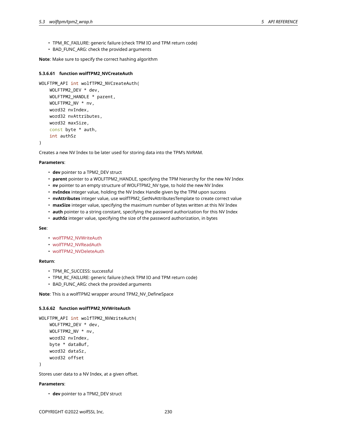- TPM\_RC\_FAILURE: generic failure (check TPM IO and TPM return code)
- BAD\_FUNC\_ARG: check the provided arguments

**Note**: Make sure to specify the correct hashing algorithm

#### **5.3.6.61 function wolfTPM2\_NVCreateAuth**

```
WOLFTPM_API int wolfTPM2_NVCreateAuth(
    WOLFTPM2_DEV * dev,
    WOLFTPM2_HANDLE * parent,
    WOLFTPM2_NV * nv,
    word32 nvIndex,
    word32 nvAttributes,
    word32 maxSize,
    const byte * auth,
    int authSz
)
```
Creates a new NV Index to be later used for storing data into the TPM's NVRAM.

#### **Parameters**:

- **dev** pointer to a TPM2\_DEV struct
- **parent** pointer to a WOLFTPM2\_HANDLE, specifying the TPM hierarchy for the new NV Index
- **nv** pointer to an empty structure of WOLFTPM2\_NV type, to hold the new NV Index
- **nvIndex** integer value, holding the NV Index Handle given by the TPM upon success
- **nvAttributes** integer value, use wolfTPM2\_GetNvAttributesTemplate to create correct value
- **maxSize** integer value, specifying the maximum number of bytes written at this NV Index
- **auth** pointer to a string constant, specifying the password authorization for this NV Index
- **authSz** integer value, specifying the size of the password authorization, in bytes

#### **See**:

- wolfTPM2\_NVWriteAuth
- wolfTPM2\_NVReadAuth
- wolfTPM2\_NVDeleteAuth

### **Return**:

- TPM\_RC\_SUCCESS: successful
- TPM\_RC\_FAILURE: generic failure (check TPM IO and TPM return code)
- BAD\_FUNC\_ARG: check the provided arguments

**Note**: This is a wolfTPM2 wrapper around TPM2\_NV\_DefineSpace

### **5.3.6.62 function wolfTPM2\_NVWriteAuth**

```
WOLFTPM_API int wolfTPM2_NVWriteAuth(
    WOLFTPM2_DEV * dev,
    WOLFTPM2_NV * nv,
   word32 nvIndex,
   byte * dataBuf,
   word32 dataSz,
    word32 offset
```
)

Stores user data to a NV Index, at a given offset.

# **Parameters**:

• **dev** pointer to a TPM2\_DEV struct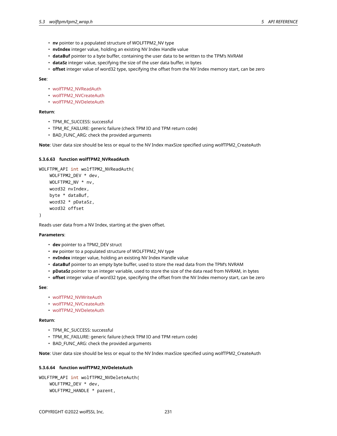- **nv** pointer to a populated structure of WOLFTPM2\_NV type
- **nvIndex** integer value, holding an existing NV Index Handle value
- **dataBuf** pointer to a byte buffer, containing the user data to be written to the TPM's NVRAM
- **dataSz** integer value, specifying the size of the user data buffer, in bytes
- **offset** integer value of word32 type, specifying the offset from the NV Index memory start, can be zero

- wolfTPM2\_NVReadAuth
- wolfTPM2\_NVCreateAuth
- wolfTPM2\_NVDeleteAuth

## **Return**:

- TPM\_RC\_SUCCESS: successful
- TPM\_RC\_FAILURE: generic failure (check TPM IO and TPM return code)
- BAD\_FUNC\_ARG: check the provided arguments

**Note**: User data size should be less or equal to the NV Index maxSize specified using wolfTPM2\_CreateAuth

# **5.3.6.63 function wolfTPM2\_NVReadAuth**

```
WOLFTPM_API int wolfTPM2_NVReadAuth(
    WOLFTPM2_DEV * dev,
    WOLFTPM2_NV * nv,
    word32 nvIndex,
   byte * dataBuf,
    word32 * pDataSz,
    word32 offset
```
)

Reads user data from a NV Index, starting at the given offset.

### **Parameters**:

- **dev** pointer to a TPM2\_DEV struct
- **nv** pointer to a populated structure of WOLFTPM2\_NV type
- **nvIndex** integer value, holding an existing NV Index Handle value
- **dataBuf** pointer to an empty byte buffer, used to store the read data from the TPM's NVRAM
- **pDataSz** pointer to an integer variable, used to store the size of the data read from NVRAM, in bytes
- **offset** integer value of word32 type, specifying the offset from the NV Index memory start, can be zero

#### **See**:

- wolfTPM2\_NVWriteAuth
- wolfTPM2\_NVCreateAuth
- wolfTPM2\_NVDeleteAuth

### **Return**:

- TPM\_RC\_SUCCESS: successful
- TPM\_RC\_FAILURE: generic failure (check TPM IO and TPM return code)
- BAD\_FUNC\_ARG: check the provided arguments

**Note**: User data size should be less or equal to the NV Index maxSize specified using wolfTPM2\_CreateAuth

### **5.3.6.64 function wolfTPM2\_NVDeleteAuth**

```
WOLFTPM_API int wolfTPM2_NVDeleteAuth(
    WOLFTPM2_DEV * dev,
    WOLFTPM2_HANDLE * parent,
```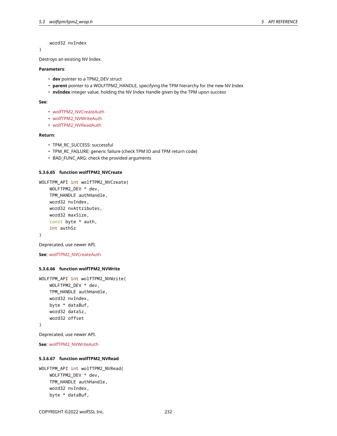word32 nvIndex

)

Destroys an existing NV Index.

# **Parameters**:

- **dev** pointer to a TPM2\_DEV struct
- **parent** pointer to a WOLFTPM2\_HANDLE, specifying the TPM hierarchy for the new NV Index
- **nvIndex** integer value, holding the NV Index Handle given by the TPM upon success

#### **See**:

- wolfTPM2\_NVCreateAuth
- wolfTPM2\_NVWriteAuth
- wolfTPM2\_NVReadAuth

#### **Return**:

- TPM\_RC\_SUCCESS: successful
- TPM\_RC\_FAILURE: generic failure (check TPM IO and TPM return code)
- BAD\_FUNC\_ARG: check the provided arguments

### **5.3.6.65 function wolfTPM2\_NVCreate**

```
WOLFTPM_API int wolfTPM2_NVCreate(
    WOLFTPM2_DEV * dev,
    TPM_HANDLE authHandle,
    word32 nvIndex,
    word32 nvAttributes,
    word32 maxSize,
    const byte * auth,
    int authSz
)
```
Deprecated, use newer API.

```
See: wolfTPM2_NVCreateAuth
```
## **5.3.6.66 function wolfTPM2\_NVWrite**

```
WOLFTPM_API int wolfTPM2_NVWrite(
    WOLFTPM2_DEV * dev,
    TPM_HANDLE authHandle,
    word32 nvIndex,
    byte * dataBuf,
    word32 dataSz,
    word32 offset
)
```
Deprecated, use newer API.

**See**: wolfTPM2\_NVWriteAuth

#### **5.3.6.67 function wolfTPM2\_NVRead**

```
WOLFTPM_API int wolfTPM2_NVRead(
    WOLFTPM2_DEV * dev,
    TPM_HANDLE authHandle,
    word32 nvIndex,
    byte * dataBuf,
```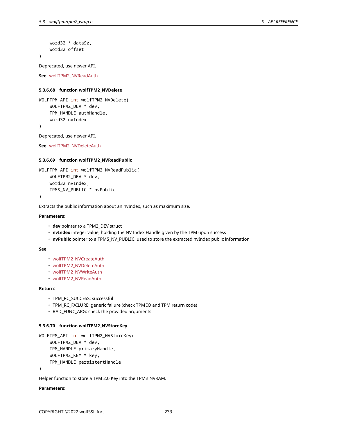```
word32 * dataSz,
word32 offset
```
# )

Deprecated, use newer API.

**See**: wolfTPM2\_NVReadAuth

# **5.3.6.68 function wolfTPM2\_NVDelete**

```
WOLFTPM_API int wolfTPM2_NVDelete(
    WOLFTPM2_DEV * dev,
    TPM_HANDLE authHandle,
    word32 nvIndex
)
```
Deprecated, use newer API.

**See**: wolfTPM2\_NVDeleteAuth

### **5.3.6.69 function wolfTPM2\_NVReadPublic**

```
WOLFTPM_API int wolfTPM2_NVReadPublic(
    WOLFTPM2_DEV * dev,
    word32 nvIndex,
    TPMS_NV_PUBLIC * nvPublic
)
```
Extracts the public information about an nvIndex, such as maximum size.

### **Parameters**:

- **dev** pointer to a TPM2\_DEV struct
- **nvIndex** integer value, holding the NV Index Handle given by the TPM upon success
- **nvPublic** pointer to a TPMS\_NV\_PUBLIC, used to store the extracted nvIndex public information

# **See**:

- wolfTPM2\_NVCreateAuth
- wolfTPM2\_NVDeleteAuth
- wolfTPM2\_NVWriteAuth
- wolfTPM2\_NVReadAuth

### **Return**:

- TPM\_RC\_SUCCESS: successful
- TPM\_RC\_FAILURE: generic failure (check TPM IO and TPM return code)
- BAD\_FUNC\_ARG: check the provided arguments

#### **5.3.6.70 function wolfTPM2\_NVStoreKey**

```
WOLFTPM_API int wolfTPM2_NVStoreKey(
    WOLFTPM2_DEV * dev,
    TPM_HANDLE primaryHandle,
    WOLFTPM2_KEY * key,
    TPM_HANDLE persistentHandle
```
)

Helper function to store a TPM 2.0 Key into the TPM's NVRAM.

### **Parameters**: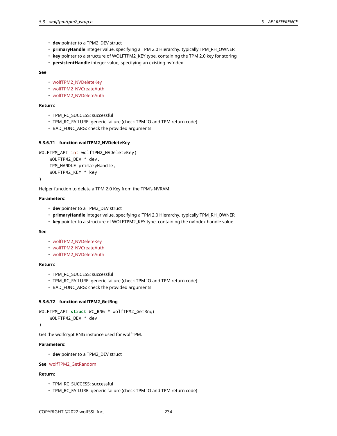- **dev** pointer to a TPM2\_DEV struct
- **primaryHandle** integer value, specifying a TPM 2.0 Hierarchy. typically TPM\_RH\_OWNER
- **key** pointer to a structure of WOLFTPM2\_KEY type, containing the TPM 2.0 key for storing
- **persistentHandle** integer value, specifying an existing nvIndex

- wolfTPM2\_NVDeleteKey
- wolfTPM2\_NVCreateAuth
- wolfTPM2\_NVDeleteAuth

# **Return**:

- TPM\_RC\_SUCCESS: successful
- TPM\_RC\_FAILURE: generic failure (check TPM IO and TPM return code)
- BAD\_FUNC\_ARG: check the provided arguments

# **5.3.6.71 function wolfTPM2\_NVDeleteKey**

```
WOLFTPM_API int wolfTPM2_NVDeleteKey(
    WOLFTPM2_DEV * dev,
    TPM HANDLE primaryHandle,
    WOLFTPM2_KEY * key
```
)

Helper function to delete a TPM 2.0 Key from the TPM's NVRAM.

#### **Parameters**:

- **dev** pointer to a TPM2\_DEV struct
- **primaryHandle** integer value, specifying a TPM 2.0 Hierarchy. typically TPM\_RH\_OWNER
- **key** pointer to a structure of WOLFTPM2\_KEY type, containing the nvIndex handle value

### **See**:

- wolfTPM2\_NVDeleteKey
- wolfTPM2\_NVCreateAuth
- wolfTPM2\_NVDeleteAuth

### **Return**:

- TPM\_RC\_SUCCESS: successful
- TPM\_RC\_FAILURE: generic failure (check TPM IO and TPM return code)
- BAD\_FUNC\_ARG: check the provided arguments

### **5.3.6.72 function wolfTPM2\_GetRng**

```
WOLFTPM_API struct WC_RNG * wolfTPM2_GetRng(
```

```
WOLFTPM2_DEV * dev
```
)

Get the wolfcrypt RNG instance used for wolfTPM.

# **Parameters**:

• **dev** pointer to a TPM2\_DEV struct

**See**: wolfTPM2\_GetRandom

### **Return**:

- TPM\_RC\_SUCCESS: successful
- TPM\_RC\_FAILURE: generic failure (check TPM IO and TPM return code)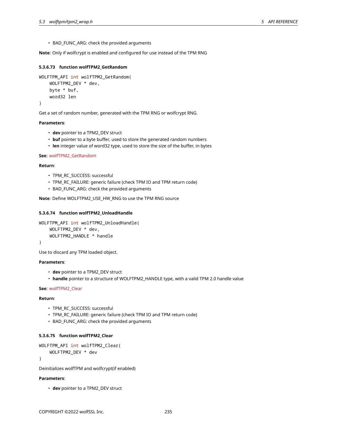• BAD\_FUNC\_ARG: check the provided arguments

**Note**: Only if wolfcrypt is enabled and configured for use instead of the TPM RNG

## **5.3.6.73 function wolfTPM2\_GetRandom**

```
WOLFTPM_API int wolfTPM2_GetRandom(
    WOLFTPM2_DEV * dev,
    byte * buf,
    word32 len
```
)

Get a set of random number, generated with the TPM RNG or wolfcrypt RNG.

#### **Parameters**:

- **dev** pointer to a TPM2\_DEV struct
- **buf** pointer to a byte buffer, used to store the generated random numbers
- **len** integer value of word32 type, used to store the size of the buffer, in bytes

### **See**: wolfTPM2\_GetRandom

### **Return**:

- TPM\_RC\_SUCCESS: successful
- TPM\_RC\_FAILURE: generic failure (check TPM IO and TPM return code)
- BAD\_FUNC\_ARG: check the provided arguments

**Note**: Define WOLFTPM2\_USE\_HW\_RNG to use the TPM RNG source

### **5.3.6.74 function wolfTPM2\_UnloadHandle**

```
WOLFTPM API int wolfTPM2 UnloadHandle(
    WOLFTPM2_DEV * dev,
    WOLFTPM2 HANDLE * handle
```
)

Use to discard any TPM loaded object.

#### **Parameters**:

- **dev** pointer to a TPM2\_DEV struct
- **handle** pointer to a structure of WOLFTPM2\_HANDLE type, with a valid TPM 2.0 handle value

### **See**: wolfTPM2\_Clear

### **Return**:

- TPM\_RC\_SUCCESS: successful
- TPM\_RC\_FAILURE: generic failure (check TPM IO and TPM return code)
- BAD\_FUNC\_ARG: check the provided arguments

### **5.3.6.75 function wolfTPM2\_Clear**

```
WOLFTPM_API int wolfTPM2_Clear(
```

```
WOLFTPM2_DEV * dev
```
)

Deinitializes wolfTPM and wolfcrypt(if enabled)

# **Parameters**:

• **dev** pointer to a TPM2\_DEV struct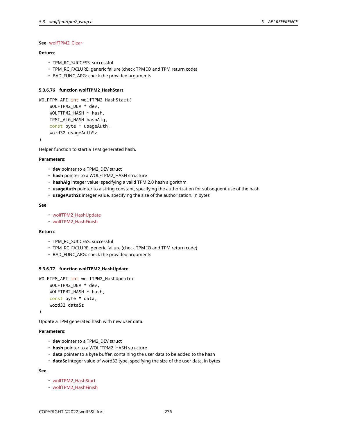# **See**: wolfTPM2\_Clear

# **Return**:

- TPM\_RC\_SUCCESS: successful
- TPM\_RC\_FAILURE: generic failure (check TPM IO and TPM return code)
- BAD\_FUNC\_ARG: check the provided arguments

# **5.3.6.76 function wolfTPM2\_HashStart**

```
WOLFTPM_API int wolfTPM2_HashStart(
    WOLFTPM2_DEV * dev,
    WOLFTPM2_HASH * hash,
    TPMI_ALG_HASH hashAlg,
    const byte * usageAuth,
    word32 usageAuthSz
```
)

Helper function to start a TPM generated hash.

### **Parameters**:

- **dev** pointer to a TPM2\_DEV struct
- **hash** pointer to a WOLFTPM2\_HASH structure
- **hashAlg** integer value, specifying a valid TPM 2.0 hash algorithm
- **usageAuth** pointer to a string constant, specifying the authorization for subsequent use of the hash
- **usageAuthSz** integer value, specifying the size of the authorization, in bytes

### **See**:

- wolfTPM2\_HashUpdate
- wolfTPM2\_HashFinish

### **Return**:

- TPM\_RC\_SUCCESS: successful
- TPM\_RC\_FAILURE: generic failure (check TPM IO and TPM return code)
- BAD\_FUNC\_ARG: check the provided arguments

## **5.3.6.77 function wolfTPM2\_HashUpdate**

```
WOLFTPM_API int wolfTPM2_HashUpdate(
    WOLFTPM2_DEV * dev,
    WOLFTPM2_HASH * hash,
    const byte * data,
    word32 dataSz
)
```
Update a TPM generated hash with new user data.

### **Parameters**:

- **dev** pointer to a TPM2\_DEV struct
- **hash** pointer to a WOLFTPM2\_HASH structure
- **data** pointer to a byte buffer, containing the user data to be added to the hash
- **dataSz** integer value of word32 type, specifying the size of the user data, in bytes

#### **See**:

- wolfTPM2\_HashStart
- wolfTPM2\_HashFinish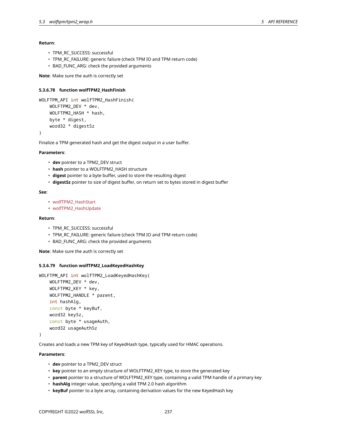### **Return**:

- TPM\_RC\_SUCCESS: successful
- TPM\_RC\_FAILURE: generic failure (check TPM IO and TPM return code)
- BAD\_FUNC\_ARG: check the provided arguments

**Note**: Make sure the auth is correctly set

## **5.3.6.78 function wolfTPM2\_HashFinish**

```
WOLFTPM_API int wolfTPM2_HashFinish(
    WOLFTPM2_DEV * dev,
    WOLFTPM2_HASH * hash,
    byte * digest,
    word32 * digestSz
)
```
Finalize a TPM generated hash and get the digest output in a user buffer.

### **Parameters**:

- **dev** pointer to a TPM2\_DEV struct
- **hash** pointer to a WOLFTPM2\_HASH structure
- **digest** pointer to a byte buffer, used to store the resulting digest
- **digestSz** pointer to size of digest buffer, on return set to bytes stored in digest buffer

### **See**:

- wolfTPM2\_HashStart
- wolfTPM2\_HashUpdate

# **Return**:

- TPM\_RC\_SUCCESS: successful
- TPM\_RC\_FAILURE: generic failure (check TPM IO and TPM return code)
- BAD\_FUNC\_ARG: check the provided arguments

**Note**: Make sure the auth is correctly set

#### **5.3.6.79 function wolfTPM2\_LoadKeyedHashKey**

```
WOLFTPM_API int wolfTPM2_LoadKeyedHashKey(
    WOLFTPM2_DEV * dev,
    WOLFTPM2_KEY * key,
    WOLFTPM2_HANDLE * parent,
    int hashAlg,
    const byte * keyBuf,
    word32 keySz,
    const byte * usageAuth,
    word32 usageAuthSz
```
)

Creates and loads a new TPM key of KeyedHash type, typically used for HMAC operations.

### **Parameters**:

- **dev** pointer to a TPM2\_DEV struct
- **key** pointer to an empty structure of WOLFTPM2\_KEY type, to store the generated key
- **parent** pointer to a structure of WOLFTPM2\_KEY type, containing a valid TPM handle of a primary key
- **hashAlg** integer value, specifying a valid TPM 2.0 hash algorithm
- **keyBuf** pointer to a byte array, containing derivation values for the new KeyedHash key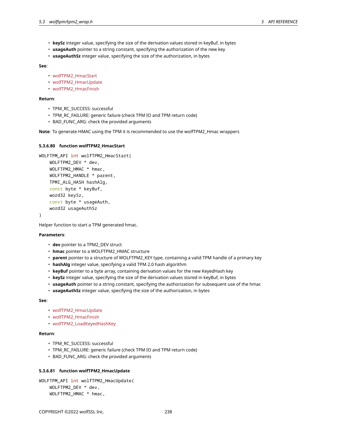- **keySz** integer value, specifying the size of the derivation values stored in keyBuf, in bytes
- **usageAuth** pointer to a string constant, specifying the authorization of the new key
- **usageAuthSz** integer value, specifying the size of the authorization, in bytes

- wolfTPM2\_HmacStart
- wolfTPM2\_HmacUpdate
- wolfTPM2\_HmacFinish

# **Return**:

- TPM\_RC\_SUCCESS: successful
- TPM\_RC\_FAILURE: generic failure (check TPM IO and TPM return code)
- BAD\_FUNC\_ARG: check the provided arguments

**Note**: To generate HMAC using the TPM it is recommended to use the wolfTPM2\_Hmac wrappers

# **5.3.6.80 function wolfTPM2\_HmacStart**

```
WOLFTPM_API int wolfTPM2 HmacStart(
    WOLFTPM2_DEV * dev,
    WOLFTPM2 HMAC * hmac,
    WOLFTPM2_HANDLE * parent,
    TPMI_ALG_HASH hashAlg,
    const byte * keyBuf,
    word32 keySz,
    const byte * usageAuth,
    word32 usageAuthSz
```
)

Helper function to start a TPM generated hmac.

### **Parameters**:

- **dev** pointer to a TPM2\_DEV struct
- **hmac** pointer to a WOLFTPM2\_HMAC structure
- **parent** pointer to a structure of WOLFTPM2\_KEY type, containing a valid TPM handle of a primary key
- **hashAlg** integer value, specifying a valid TPM 2.0 hash algorithm
- **keyBuf** pointer to a byte array, containing derivation values for the new KeyedHash key
- **keySz** integer value, specifying the size of the derivation values stored in keyBuf, in bytes
- **usageAuth** pointer to a string constant, specifying the authorization for subsequent use of the hmac
- **usageAuthSz** integer value, specifying the size of the authorization, in bytes

#### **See**:

- wolfTPM2\_HmacUpdate
- wolfTPM2\_HmacFinish
- wolfTPM2\_LoadKeyedHashKey

### **Return**:

- TPM\_RC\_SUCCESS: successful
- TPM\_RC\_FAILURE: generic failure (check TPM IO and TPM return code)
- BAD\_FUNC\_ARG: check the provided arguments

# **5.3.6.81 function wolfTPM2\_HmacUpdate**

```
WOLFTPM_API int wolfTPM2_HmacUpdate(
    WOLFTPM2_DEV * dev,
    WOLFTPM2_HMAC * hmac,
```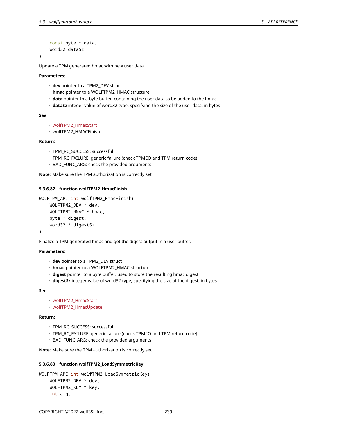```
const byte * data,
word32 dataSz
```
)

Update a TPM generated hmac with new user data.

**Parameters**:

- **dev** pointer to a TPM2\_DEV struct
- **hmac** pointer to a WOLFTPM2\_HMAC structure
- **data** pointer to a byte buffer, containing the user data to be added to the hmac
- **dataSz** integer value of word32 type, specifying the size of the user data, in bytes

### **See**:

- wolfTPM2\_HmacStart
- wolfTPM2\_HMACFinish

### **Return**:

- TPM\_RC\_SUCCESS: successful
- TPM\_RC\_FAILURE: generic failure (check TPM IO and TPM return code)
- BAD\_FUNC\_ARG: check the provided arguments

**Note**: Make sure the TPM authorization is correctly set

#### **5.3.6.82 function wolfTPM2\_HmacFinish**

```
WOLFTPM_API int wolfTPM2_HmacFinish(
    WOLFTPM2_DEV * dev,
    WOLFTPM2_HMAC * hmac,
    byte * digest,
    word32 * digestSz
)
```
Finalize a TPM generated hmac and get the digest output in a user buffer.

# **Parameters**:

- **dev** pointer to a TPM2\_DEV struct
- **hmac** pointer to a WOLFTPM2\_HMAC structure
- **digest** pointer to a byte buffer, used to store the resulting hmac digest
- **digestSz** integer value of word32 type, specifying the size of the digest, in bytes

### **See**:

- wolfTPM2\_HmacStart
- wolfTPM2\_HmacUpdate

# **Return**:

- TPM\_RC\_SUCCESS: successful
- TPM\_RC\_FAILURE: generic failure (check TPM IO and TPM return code)
- BAD\_FUNC\_ARG: check the provided arguments

**Note**: Make sure the TPM authorization is correctly set

## **5.3.6.83 function wolfTPM2\_LoadSymmetricKey**

```
WOLFTPM_API int wolfTPM2_LoadSymmetricKey(
    WOLFTPM2_DEV * dev,
    WOLFTPM2_KEY * key,
    int alg,
```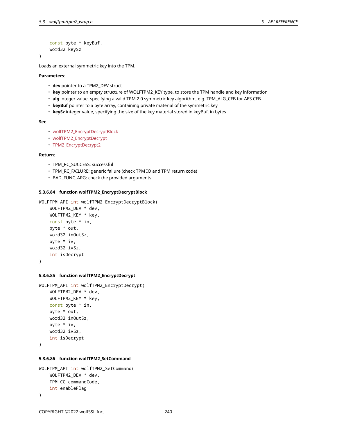```
const byte * keyBuf,
word32 keySz
```
)

Loads an external symmetric key into the TPM.

**Parameters**:

- **dev** pointer to a TPM2\_DEV struct
- **key** pointer to an empty structure of WOLFTPM2\_KEY type, to store the TPM handle and key information
- **alg** integer value, specifying a valid TPM 2.0 symmetric key algorithm, e.g. TPM\_ALG\_CFB for AES CFB
- **keyBuf** pointer to a byte array, containing private material of the symmetric key
- **keySz** integer value, specifying the size of the key material stored in keyBuf, in bytes

**See**:

- wolfTPM2\_EncryptDecryptBlock
- wolfTPM2\_EncryptDecrypt
- TPM2\_EncryptDecrypt2

#### **Return**:

- TPM\_RC\_SUCCESS: successful
- TPM\_RC\_FAILURE: generic failure (check TPM IO and TPM return code)
- BAD\_FUNC\_ARG: check the provided arguments

### **5.3.6.84 function wolfTPM2\_EncryptDecryptBlock**

```
WOLFTPM_API int wolfTPM2_EncryptDecryptBlock(
   WOLFTPM2_DEV * dev,
   WOLFTPM2_KEY * key,
   const byte * in,
```

```
byte * out,
word32 inOutSz,
byte * iv,
word32 ivSz,
int isDecrypt
```
)

# **5.3.6.85 function wolfTPM2\_EncryptDecrypt**

```
WOLFTPM_API int wolfTPM2_EncryptDecrypt(
    WOLFTPM2_DEV * dev,
    WOLFTPM2_KEY * key,
    const byte * in,
    byte * out,
    word32 inOutSz,
    byte * iv,
    word32 ivSz,
    int isDecrypt
)
```
# **5.3.6.86 function wolfTPM2\_SetCommand**

```
WOLFTPM_API int wolfTPM2_SetCommand(
    WOLFTPM2_DEV * dev,
    TPM_CC commandCode,
    int enableFlag
)
```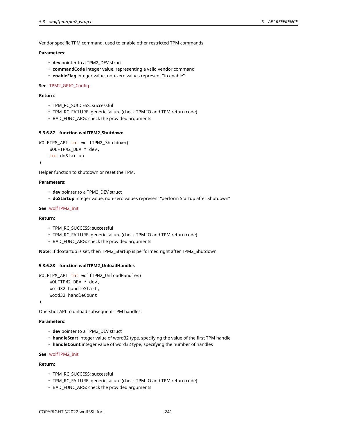Vendor specific TPM command, used to enable other restricted TPM commands.

# **Parameters**:

- **dev** pointer to a TPM2\_DEV struct
- **commandCode** integer value, representing a valid vendor command
- **enableFlag** integer value, non-zero values represent "to enable"

### **See**: TPM2\_GPIO\_Config

### **Return**:

- TPM\_RC\_SUCCESS: successful
- TPM\_RC\_FAILURE: generic failure (check TPM IO and TPM return code)
- BAD\_FUNC\_ARG: check the provided arguments

# **5.3.6.87 function wolfTPM2\_Shutdown**

```
WOLFTPM_API int wolfTPM2_Shutdown(
    WOLFTPM2 DEV * dev,
    int doStartup
```
)

```
Helper function to shutdown or reset the TPM.
```
## **Parameters**:

- **dev** pointer to a TPM2\_DEV struct
- **doStartup** integer value, non-zero values represent "perform Startup after Shutdown"

### **See**: wolfTPM2\_Init

# **Return**:

- TPM\_RC\_SUCCESS: successful
- TPM\_RC\_FAILURE: generic failure (check TPM IO and TPM return code)
- BAD\_FUNC\_ARG: check the provided arguments

**Note**: If doStartup is set, then TPM2\_Startup is performed right after TPM2\_Shutdown

#### **5.3.6.88 function wolfTPM2\_UnloadHandles**

```
WOLFTPM_API int wolfTPM2_UnloadHandles(
    WOLFTPM2_DEV * dev,
    word32 handleStart,
    word32 handleCount
```
)

One-shot API to unload subsequent TPM handles.

# **Parameters**:

- **dev** pointer to a TPM2\_DEV struct
- **handleStart** integer value of word32 type, specifying the value of the first TPM handle
- **handleCount** integer value of word32 type, specifying the number of handles

### **See**: wolfTPM2\_Init

### **Return**:

- TPM\_RC\_SUCCESS: successful
- TPM\_RC\_FAILURE: generic failure (check TPM IO and TPM return code)
- BAD\_FUNC\_ARG: check the provided arguments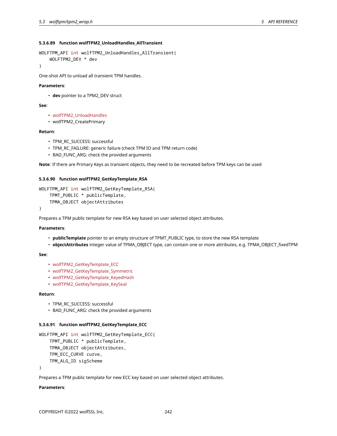## **5.3.6.89 function wolfTPM2\_UnloadHandles\_AllTransient**

```
WOLFTPM_API int wolfTPM2_UnloadHandles_AllTransient(
    WOLFTPM2_DEV * dev
```
)

One-shot API to unload all transient TPM handles.

### **Parameters**:

• **dev** pointer to a TPM2\_DEV struct

#### **See**:

- wolfTPM2\_UnloadHandles
- wolfTPM2\_CreatePrimary

### **Return**:

- TPM\_RC\_SUCCESS: successful
- TPM\_RC\_FAILURE: generic failure (check TPM IO and TPM return code)
- BAD\_FUNC\_ARG: check the provided arguments

**Note**: If there are Primary Keys as transient objects, they need to be recreated before TPM keys can be used

## **5.3.6.90 function wolfTPM2\_GetKeyTemplate\_RSA**

```
WOLFTPM_API int wolfTPM2_GetKeyTemplate_RSA(
    TPMT_PUBLIC * publicTemplate,
    TPMA_OBJECT objectAttributes
)
```
Prepares a TPM public template for new RSA key based on user selected object attributes.

#### **Parameters**:

- **publicTemplate** pointer to an empty structure of TPMT\_PUBLIC type, to store the new RSA template
- **objectAttributes** integer value of TPMA\_OBJECT type, can contain one or more attributes, e.g. TPMA\_OBJECT\_fixedTPM

# **See**:

- wolfTPM2 GetKeyTemplate ECC
- wolfTPM2 GetKeyTemplate Symmetric
- wolfTPM2 GetKeyTemplate KeyedHash
- wolfTPM2\_GetKeyTemplate\_KeySeal

# **Return**:

- TPM\_RC\_SUCCESS: successful
- BAD\_FUNC\_ARG: check the provided arguments

#### **5.3.6.91 function wolfTPM2\_GetKeyTemplate\_ECC**

```
WOLFTPM API int wolfTPM2 GetKeyTemplate ECC(
    TPMT_PUBLIC * publicTemplate,
    TPMA_OBJECT objectAttributes,
    TPM_ECC_CURVE curve,
    TPM_ALG_ID sigScheme
```
)

Prepares a TPM public template for new ECC key based on user selected object attributes.

#### **Parameters**: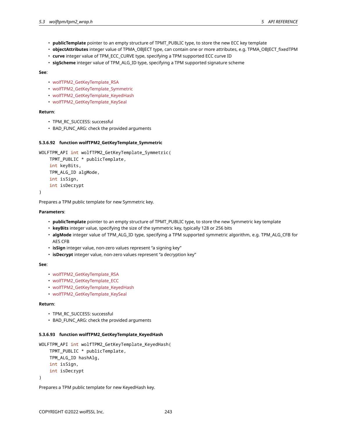- **publicTemplate** pointer to an empty structure of TPMT\_PUBLIC type, to store the new ECC key template
- **objectAttributes** integer value of TPMA\_OBJECT type, can contain one or more attributes, e.g. TPMA\_OBJECT\_fixedTPM
- **curve** integer value of TPM\_ECC\_CURVE type, specifying a TPM supported ECC curve ID
- **sigScheme** integer value of TPM\_ALG\_ID type, specifying a TPM supported signature scheme

- wolfTPM2\_GetKeyTemplate\_RSA
- wolfTPM2 GetKeyTemplate Symmetric
- wolfTPM2 GetKeyTemplate KeyedHash
- wolfTPM2\_GetKeyTemplate\_KeySeal

# **Return**:

- TPM\_RC\_SUCCESS: successful
- BAD\_FUNC\_ARG: check the provided arguments

## **5.3.6.92 function wolfTPM2\_GetKeyTemplate\_Symmetric**

```
WOLFTPM API int wolfTPM2 GetKeyTemplate Symmetric(
    TPMT_PUBLIC * publicTemplate,
    int keyBits,
    TPM_ALG_ID algMode,
    int isSign,
    int isDecrypt
```
)

Prepares a TPM public template for new Symmetric key.

### **Parameters**:

- **publicTemplate** pointer to an empty structure of TPMT\_PUBLIC type, to store the new Symmetric key template
- **keyBits** integer value, specifying the size of the symmetric key, typically 128 or 256 bits
- **algMode** integer value of TPM\_ALG\_ID type, specifying a TPM supported symmetric algorithm, e.g. TPM\_ALG\_CFB for AES CFB
- **isSign** integer value, non-zero values represent "a signing key"
- **isDecrypt** integer value, non-zero values represent "a decryption key"

### **See**:

- wolfTPM2\_GetKeyTemplate\_RSA
- wolfTPM2\_GetKeyTemplate\_ECC
- wolfTPM2\_GetKeyTemplate\_KeyedHash
- wolfTPM2\_GetKeyTemplate\_KeySeal

### **Return**:

- TPM\_RC\_SUCCESS: successful
- BAD\_FUNC\_ARG: check the provided arguments

# **5.3.6.93 function wolfTPM2\_GetKeyTemplate\_KeyedHash**

```
WOLFTPM API int wolfTPM2 GetKeyTemplate KeyedHash(
    TPMT_PUBLIC * publicTemplate,
    TPM_ALG_ID hashAlg,
    int isSign,
    int isDecrypt
)
```
Prepares a TPM public template for new KeyedHash key.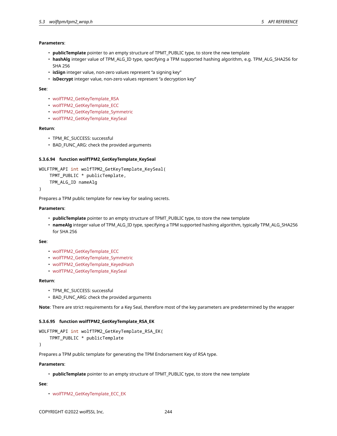## **Parameters**:

- **publicTemplate** pointer to an empty structure of TPMT\_PUBLIC type, to store the new template
- **hashAlg** integer value of TPM\_ALG\_ID type, specifying a TPM supported hashing algorithm, e.g. TPM\_ALG\_SHA256 for SHA 256
- **isSign** integer value, non-zero values represent "a signing key"
- **isDecrypt** integer value, non-zero values represent "a decryption key"

### **See**:

- wolfTPM2 GetKeyTemplate RSA
- wolfTPM2\_GetKeyTemplate\_ECC
- wolfTPM2\_GetKeyTemplate\_Symmetric
- wolfTPM2\_GetKeyTemplate\_KeySeal

### **Return**:

- TPM\_RC\_SUCCESS: successful
- BAD\_FUNC\_ARG: check the provided arguments

# **5.3.6.94 function wolfTPM2\_GetKeyTemplate\_KeySeal**

```
WOLFTPM_API int wolfTPM2_GetKeyTemplate_KeySeal(
    TPMT_PUBLIC * publicTemplate,
    TPM_ALG_ID nameAlg
```
)

Prepares a TPM public template for new key for sealing secrets.

# **Parameters**:

- **publicTemplate** pointer to an empty structure of TPMT\_PUBLIC type, to store the new template
- **nameAlg** integer value of TPM\_ALG\_ID type, specifying a TPM supported hashing algorithm, typically TPM\_ALG\_SHA256 for SHA 256

### **See**:

- wolfTPM2\_GetKeyTemplate\_ECC
- wolfTPM2\_GetKeyTemplate\_Symmetric
- wolfTPM2 GetKeyTemplate KeyedHash
- wolfTPM2\_GetKeyTemplate\_KeySeal

### **Return**:

- TPM\_RC\_SUCCESS: successful
- BAD\_FUNC\_ARG: check the provided arguments

**Note**: There are strict requirements for a Key Seal, therefore most of the key parameters are predetermined by the wrapper

# **5.3.6.95 function wolfTPM2\_GetKeyTemplate\_RSA\_EK**

```
WOLFTPM_API int wolfTPM2_GetKeyTemplate_RSA_EK(
```

```
TPMT_PUBLIC * publicTemplate
```
)

Prepares a TPM public template for generating the TPM Endorsement Key of RSA type.

## **Parameters**:

• **publicTemplate** pointer to an empty structure of TPMT\_PUBLIC type, to store the new template

**See**:

• wolfTPM2\_GetKeyTemplate\_ECC\_EK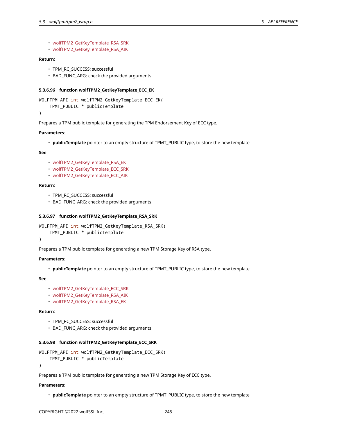```
• wolfTPM2_GetKeyTemplate_RSA_SRK
```
• wolfTPM2\_GetKeyTemplate\_RSA\_AIK

## **Return**:

- TPM\_RC\_SUCCESS: successful
- BAD\_FUNC\_ARG: check the provided arguments

# **5.3.6.96 function wolfTPM2\_GetKeyTemplate\_ECC\_EK**

```
WOLFTPM_API int wolfTPM2_GetKeyTemplate_ECC_EK(
```
TPMT\_PUBLIC \* publicTemplate

)

Prepares a TPM public template for generating the TPM Endorsement Key of ECC type.

## **Parameters**:

• **publicTemplate** pointer to an empty structure of TPMT\_PUBLIC type, to store the new template

### **See**:

- wolfTPM2\_GetKeyTemplate\_RSA\_EK
- wolfTPM2\_GetKeyTemplate\_ECC\_SRK
- wolfTPM2\_GetKeyTemplate\_ECC\_AIK

### **Return**:

- TPM\_RC\_SUCCESS: successful
- BAD\_FUNC\_ARG: check the provided arguments

### **5.3.6.97 function wolfTPM2\_GetKeyTemplate\_RSA\_SRK**

```
WOLFTPM_API int wolfTPM2_GetKeyTemplate_RSA_SRK(
    TPMT_PUBLIC * publicTemplate
\lambda
```
Prepares a TPM public template for generating a new TPM Storage Key of RSA type.

### **Parameters**:

• **publicTemplate** pointer to an empty structure of TPMT\_PUBLIC type, to store the new template

#### **See**:

- wolfTPM2\_GetKeyTemplate\_ECC\_SRK
- wolfTPM2\_GetKeyTemplate\_RSA\_AIK
- wolfTPM2\_GetKeyTemplate\_RSA\_EK

## **Return**:

- TPM\_RC\_SUCCESS: successful
- BAD\_FUNC\_ARG: check the provided arguments

# **5.3.6.98 function wolfTPM2\_GetKeyTemplate\_ECC\_SRK**

```
WOLFTPM_API int wolfTPM2_GetKeyTemplate_ECC_SRK(
    TPMT_PUBLIC * publicTemplate
```
)

Prepares a TPM public template for generating a new TPM Storage Key of ECC type.

### **Parameters**:

• **publicTemplate** pointer to an empty structure of TPMT\_PUBLIC type, to store the new template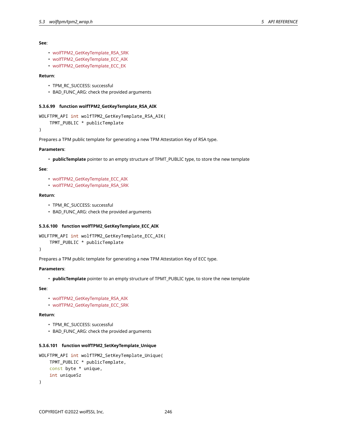- wolfTPM2\_GetKeyTemplate\_RSA\_SRK
- wolfTPM2\_GetKeyTemplate\_ECC\_AIK
- wolfTPM2\_GetKeyTemplate\_ECC\_EK

# **Return**:

- TPM\_RC\_SUCCESS: successful
- BAD\_FUNC\_ARG: check the provided arguments

### **5.3.6.99 function wolfTPM2\_GetKeyTemplate\_RSA\_AIK**

```
WOLFTPM_API int wolfTPM2_GetKeyTemplate_RSA_AIK(
    TPMT_PUBLIC * publicTemplate
```
)

Prepares a TPM public template for generating a new TPM Attestation Key of RSA type.

#### **Parameters**:

• **publicTemplate** pointer to an empty structure of TPMT\_PUBLIC type, to store the new template

### **See**:

- wolfTPM2\_GetKeyTemplate\_ECC\_AIK
- wolfTPM2\_GetKeyTemplate\_RSA\_SRK

# **Return**:

- TPM\_RC\_SUCCESS: successful
- BAD\_FUNC\_ARG: check the provided arguments

# **5.3.6.100 function wolfTPM2\_GetKeyTemplate\_ECC\_AIK**

```
WOLFTPM_API int wolfTPM2_GetKeyTemplate_ECC_AIK(
    TPMT_PUBLIC * publicTemplate
```
)

Prepares a TPM public template for generating a new TPM Attestation Key of ECC type.

# **Parameters**:

• **publicTemplate** pointer to an empty structure of TPMT\_PUBLIC type, to store the new template

# **See**:

- wolfTPM2\_GetKeyTemplate\_RSA\_AIK
- wolfTPM2\_GetKeyTemplate\_ECC\_SRK

# **Return**:

- TPM\_RC\_SUCCESS: successful
- BAD\_FUNC\_ARG: check the provided arguments

# **5.3.6.101 function wolfTPM2\_SetKeyTemplate\_Unique**

```
WOLFTPM_API int wolfTPM2_SetKeyTemplate_Unique(
    TPMT_PUBLIC * publicTemplate,
    const byte * unique,
    int uniqueSz
)
```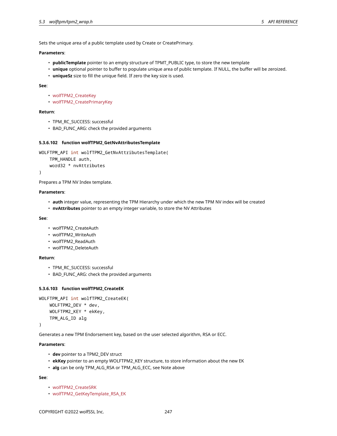Sets the unique area of a public template used by Create or CreatePrimary.

## **Parameters**:

- **publicTemplate** pointer to an empty structure of TPMT\_PUBLIC type, to store the new template
- **unique** optional pointer to buffer to populate unique area of public template. If NULL, the buffer will be zeroized.
- **uniqueSz** size to fill the unique field. If zero the key size is used.

### **See**:

- wolfTPM2\_CreateKey
- wolfTPM2\_CreatePrimaryKey

# **Return**:

- TPM\_RC\_SUCCESS: successful
- BAD\_FUNC\_ARG: check the provided arguments

# **5.3.6.102 function wolfTPM2\_GetNvAttributesTemplate**

```
WOLFTPM_API int wolfTPM2_GetNvAttributesTemplate(
    TPM_HANDLE auth,
```

```
word32 * nvAttributes
```
)

Prepares a TPM NV Index template.

### **Parameters**:

- **auth** integer value, representing the TPM Hierarchy under which the new TPM NV index will be created
- **nvAttributes** pointer to an empty integer variable, to store the NV Attributes

### **See**:

- wolfTPM2\_CreateAuth
- wolfTPM2\_WriteAuth
- wolfTPM2\_ReadAuth
- wolfTPM2\_DeleteAuth

# **Return**:

- TPM\_RC\_SUCCESS: successful
- BAD\_FUNC\_ARG: check the provided arguments

### **5.3.6.103 function wolfTPM2\_CreateEK**

```
WOLFTPM_API int wolfTPM2_CreateEK(
    WOLFTPM2_DEV * dev,
    WOLFTPM2_KEY * ekKey,
    TPM_ALG_ID alg
```
### )

Generates a new TPM Endorsement key, based on the user selected algorithm, RSA or ECC.

# **Parameters**:

- **dev** pointer to a TPM2\_DEV struct
- **ekKey** pointer to an empty WOLFTPM2\_KEY structure, to store information about the new EK
- **alg** can be only TPM\_ALG\_RSA or TPM\_ALG\_ECC, see Note above

### **See**:

- wolfTPM2\_CreateSRK
- wolfTPM2\_GetKeyTemplate\_RSA\_EK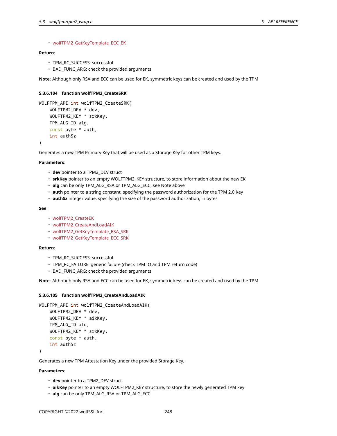### • wolfTPM2\_GetKeyTemplate\_ECC\_EK

# **Return**:

- TPM\_RC\_SUCCESS: successful
- BAD\_FUNC\_ARG: check the provided arguments

**Note**: Although only RSA and ECC can be used for EK, symmetric keys can be created and used by the TPM

## **5.3.6.104 function wolfTPM2\_CreateSRK**

```
WOLFTPM_API int wolfTPM2_CreateSRK(
   WOLFTPM2_DEV * dev,
    WOLFTPM2_KEY * srkKey,
   TPM_ALG_ID alg,
    const byte * auth,
    int authSz
)
```
Generates a new TPM Primary Key that will be used as a Storage Key for other TPM keys.

#### **Parameters**:

- **dev** pointer to a TPM2\_DEV struct
- **srkKey** pointer to an empty WOLFTPM2\_KEY structure, to store information about the new EK
- **alg** can be only TPM\_ALG\_RSA or TPM\_ALG\_ECC, see Note above
- **auth** pointer to a string constant, specifying the password authorization for the TPM 2.0 Key
- **authSz** integer value, specifying the size of the password authorization, in bytes

### **See**:

- wolfTPM2\_CreateEK
- wolfTPM2\_CreateAndLoadAIK
- wolfTPM2\_GetKeyTemplate\_RSA\_SRK
- wolfTPM2\_GetKeyTemplate\_ECC\_SRK

### **Return**:

- TPM\_RC\_SUCCESS: successful
- TPM\_RC\_FAILURE: generic failure (check TPM IO and TPM return code)
- BAD\_FUNC\_ARG: check the provided arguments

**Note**: Although only RSA and ECC can be used for EK, symmetric keys can be created and used by the TPM

### **5.3.6.105 function wolfTPM2\_CreateAndLoadAIK**

```
WOLFTPM_API int wolfTPM2_CreateAndLoadAIK(
    WOLFTPM2_DEV * dev,
    WOLFTPM2_KEY * aikKey,
    TPM_ALG_ID alg,
   WOLFTPM2_KEY * srkKey,
   const byte * auth,
    int authSz
```
)

Generates a new TPM Attestation Key under the provided Storage Key.

## **Parameters**:

- **dev** pointer to a TPM2\_DEV struct
- **aikKey** pointer to an empty WOLFTPM2\_KEY structure, to store the newly generated TPM key
- **alg** can be only TPM\_ALG\_RSA or TPM\_ALG\_ECC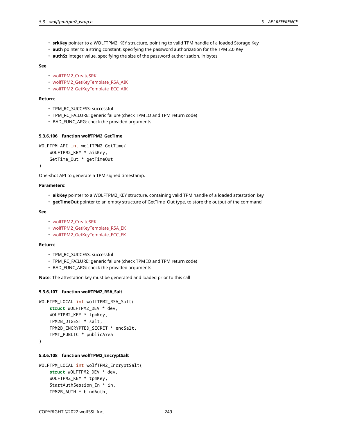- **srkKey** pointer to a WOLFTPM2\_KEY structure, pointing to valid TPM handle of a loaded Storage Key
- **auth** pointer to a string constant, specifying the password authorization for the TPM 2.0 Key
- **authSz** integer value, specifying the size of the password authorization, in bytes

- wolfTPM2\_CreateSRK
- wolfTPM2\_GetKeyTemplate\_RSA\_AIK
- wolfTPM2 GetKeyTemplate ECC AIK

### **Return**:

- TPM\_RC\_SUCCESS: successful
- TPM\_RC\_FAILURE: generic failure (check TPM IO and TPM return code)
- BAD\_FUNC\_ARG: check the provided arguments

# **5.3.6.106 function wolfTPM2\_GetTime**

```
WOLFTPM_API int wolfTPM2_GetTime(
    WOLFTPM2 KEY * aikKey,
    GetTime_Out * getTimeOut
```
)

One-shot API to generate a TPM signed timestamp.

### **Parameters**:

- **aikKey** pointer to a WOLFTPM2\_KEY structure, containing valid TPM handle of a loaded attestation key
- **getTimeOut** pointer to an empty structure of GetTime\_Out type, to store the output of the command

### **See**:

- wolfTPM2\_CreateSRK
- wolfTPM2\_GetKeyTemplate\_RSA\_EK
- wolfTPM2\_GetKeyTemplate\_ECC\_EK

### **Return**:

- TPM\_RC\_SUCCESS: successful
- TPM\_RC\_FAILURE: generic failure (check TPM IO and TPM return code)
- BAD FUNC ARG: check the provided arguments

**Note**: The attestation key must be generated and loaded prior to this call

### **5.3.6.107 function wolfTPM2\_RSA\_Salt**

```
WOLFTPM_LOCAL int wolfTPM2_RSA_Salt(
    struct WOLFTPM2_DEV * dev,
    WOLFTPM2_KEY * tpmKey,
    TPM2B_DIGEST * salt,
    TPM2B_ENCRYPTED_SECRET * encSalt,
    TPMT_PUBLIC * publicArea
```
)

### **5.3.6.108 function wolfTPM2\_EncryptSalt**

```
WOLFTPM_LOCAL int wolfTPM2_EncryptSalt(
    struct WOLFTPM2_DEV * dev,
    WOLFTPM2_KEY * tpmKey,
    StartAuthSession_In * in,
    TPM2B_AUTH * bindAuth,
```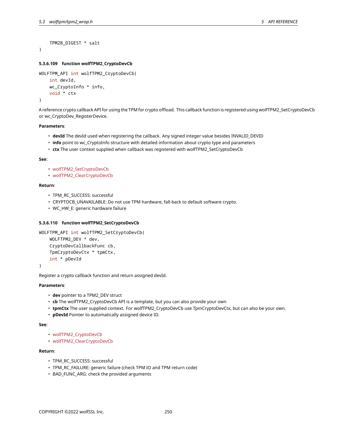```
TPM2B_DIGEST * salt
```
# **5.3.6.109 function wolfTPM2\_CryptoDevCb**

```
WOLFTPM_API int wolfTPM2_CryptoDevCb(
    int devId,
    wc_CryptoInfo * info,
    void * ctx
)
```
A reference crypto callback API for using the TPM for crypto offload. This callback function is registered using wolfTPM2\_SetCryptoDevCb or wc\_CryptoDev\_RegisterDevice.

# **Parameters**:

- **devId** The devId used when registering the callback. Any signed integer value besides INVALID\_DEVID
- **info** point to wc\_CryptoInfo structure with detailed information about crypto type and parameters
- **ctx** The user context supplied when callback was registered with wolfTPM2\_SetCryptoDevCb

#### **See**:

)

- wolfTPM2\_SetCryptoDevCb
- wolfTPM2\_ClearCryptoDevCb

### **Return**:

- TPM\_RC\_SUCCESS: successful
- CRYPTOCB\_UNAVAILABLE: Do not use TPM hardware, fall-back to default software crypto.
- WC\_HW\_E: generic hardware failure

## **5.3.6.110 function wolfTPM2\_SetCryptoDevCb**

```
WOLFTPM API int wolfTPM2 SetCryptoDevCb(
    WOLFTPM2_DEV * dev,
    CryptoDevCallbackFunc cb,
    TpmCryptoDevCtx * tpmCtx,
    int * pDevId
```
)

Register a crypto callback function and return assigned devId.

# **Parameters**:

- **dev** pointer to a TPM2\_DEV struct
- **cb** The wolfTPM2\_CryptoDevCb API is a template, but you can also provide your own
- **tpmCtx** The user supplied context. For wolfTPM2\_CryptoDevCb use TpmCryptoDevCtx, but can also be your own.
- **pDevId** Pointer to automatically assigned device ID.

**See**:

- wolfTPM2\_CryptoDevCb
- wolfTPM2\_ClearCryptoDevCb

# **Return**:

- TPM\_RC\_SUCCESS: successful
- TPM\_RC\_FAILURE: generic failure (check TPM IO and TPM return code)
- BAD\_FUNC\_ARG: check the provided arguments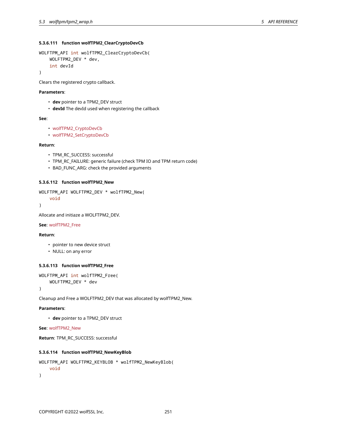# **5.3.6.111 function wolfTPM2\_ClearCryptoDevCb**

```
WOLFTPM_API int wolfTPM2_ClearCryptoDevCb(
   WOLFTPM2_DEV * dev,
    int devId
```
)

Clears the registered crypto callback.

# **Parameters**:

- **dev** pointer to a TPM2\_DEV struct
- **devId** The devId used when registering the callback

### **See**:

```
• wolfTPM2_CryptoDevCb
```
• wolfTPM2\_SetCryptoDevCb

### **Return**:

- TPM\_RC\_SUCCESS: successful
- TPM\_RC\_FAILURE: generic failure (check TPM IO and TPM return code)
- BAD\_FUNC\_ARG: check the provided arguments

## **5.3.6.112 function wolfTPM2\_New**

```
WOLFTPM_API WOLFTPM2_DEV * wolfTPM2_New(
    void
```
)

Allocate and initiaze a WOLFTPM2\_DEV.

### **See**: wolfTPM2\_Free

### **Return**:

- pointer to new device struct
- NULL: on any error

# **5.3.6.113 function wolfTPM2\_Free**

```
WOLFTPM_API int wolfTPM2_Free(
```

```
WOLFTPM2_DEV * dev
```
)

Cleanup and Free a WOLFTPM2\_DEV that was allocated by wolfTPM2\_New.

# **Parameters**:

• **dev** pointer to a TPM2\_DEV struct

**See**: wolfTPM2\_New

**Return**: TPM\_RC\_SUCCESS: successful

# **5.3.6.114 function wolfTPM2\_NewKeyBlob**

```
WOLFTPM_API WOLFTPM2_KEYBLOB * wolfTPM2_NewKeyBlob(
    void
)
```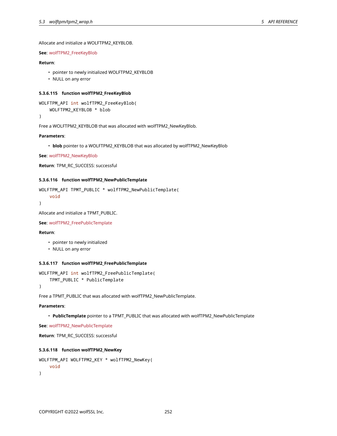Allocate and initialize a WOLFTPM2\_KEYBLOB.

### **See**: wolfTPM2\_FreeKeyBlob

## **Return**:

- pointer to newly initialized WOLFTPM2\_KEYBLOB
- NULL on any error

## **5.3.6.115 function wolfTPM2\_FreeKeyBlob**

```
WOLFTPM_API int wolfTPM2_FreeKeyBlob(
    WOLFTPM2_KEYBLOB * blob
)
```
Free a WOLFTPM2\_KEYBLOB that was allocated with wolfTPM2\_NewKeyBlob.

### **Parameters**:

• **blob** pointer to a WOLFTPM2\_KEYBLOB that was allocated by wolfTPM2\_NewKeyBlob

**See**: wolfTPM2\_NewKeyBlob

**Return**: TPM\_RC\_SUCCESS: successful

#### **5.3.6.116 function wolfTPM2\_NewPublicTemplate**

```
WOLFTPM_API TPMT_PUBLIC * wolfTPM2_NewPublicTemplate(
    void
```

```
)
```
Allocate and initialize a TPMT\_PUBLIC.

```
See: wolfTPM2_FreePublicTemplate
```
# **Return**:

- pointer to newly initialized
- NULL on any error

# **5.3.6.117 function wolfTPM2\_FreePublicTemplate**

```
WOLFTPM_API int wolfTPM2_FreePublicTemplate(
    TPMT_PUBLIC * PublicTemplate
```
)

Free a TPMT\_PUBLIC that was allocated with wolfTPM2\_NewPublicTemplate.

# **Parameters**:

• **PublicTemplate** pointer to a TPMT\_PUBLIC that was allocated with wolfTPM2\_NewPublicTemplate

**See**: wolfTPM2\_NewPublicTemplate

```
Return: TPM_RC_SUCCESS: successful
```
### **5.3.6.118 function wolfTPM2\_NewKey**

```
WOLFTPM_API WOLFTPM2_KEY * wolfTPM2_NewKey(
    void
)
```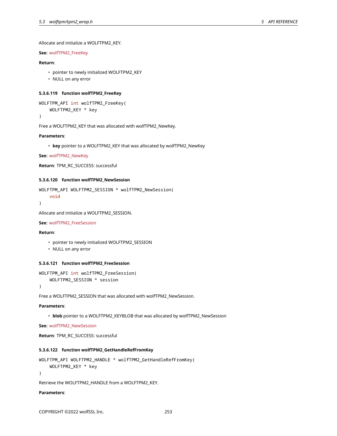Allocate and initialize a WOLFTPM2\_KEY.

# **See**: wolfTPM2\_FreeKey

# **Return**:

- pointer to newly initialized WOLFTPM2\_KEY
- NULL on any error

# **5.3.6.119 function wolfTPM2\_FreeKey**

```
WOLFTPM_API int wolfTPM2_FreeKey(
    WOLFTPM2_KEY * key
```
)

Free a WOLFTPM2\_KEY that was allocated with wolfTPM2\_NewKey.

### **Parameters**:

• **key** pointer to a WOLFTPM2\_KEY that was allocated by wolfTPM2\_NewKey

**See**: wolfTPM2\_NewKey

```
Return: TPM_RC_SUCCESS: successful
```
#### **5.3.6.120 function wolfTPM2\_NewSession**

```
WOLFTPM_API WOLFTPM2_SESSION * wolfTPM2_NewSession(
    void
```

```
)
```
Allocate and initialize a WOLFTPM2\_SESSION.

# **See**: wolfTPM2\_FreeSession

# **Return**:

- pointer to newly initialized WOLFTPM2\_SESSION
- NULL on any error

# **5.3.6.121 function wolfTPM2\_FreeSession**

```
WOLFTPM_API int wolfTPM2_FreeSession(
    WOLFTPM2_SESSION * session
```
)

```
Free a WOLFTPM2_SESSION that was allocated with wolfTPM2_NewSession.
```
# **Parameters**:

• **blob** pointer to a WOLFTPM2\_KEYBLOB that was allocated by wolfTPM2\_NewSession

**See**: wolfTPM2\_NewSession

```
Return: TPM_RC_SUCCESS: successful
```
# **5.3.6.122 function wolfTPM2\_GetHandleRefFromKey**

```
WOLFTPM_API WOLFTPM2_HANDLE * wolfTPM2_GetHandleRefFromKey(
    WOLFTPM2_KEY * key
```

```
)
```
Retrieve the WOLFTPM2\_HANDLE from a WOLFTPM2\_KEY.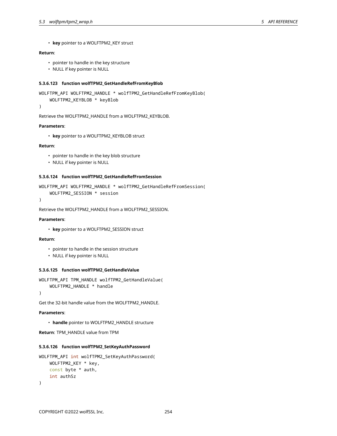• **key** pointer to a WOLFTPM2\_KEY struct

# **Return**:

- pointer to handle in the key structure
- NULL if key pointer is NULL

## **5.3.6.123 function wolfTPM2\_GetHandleRefFromKeyBlob**

```
WOLFTPM_API WOLFTPM2_HANDLE * wolfTPM2_GetHandleRefFromKeyBlob(
    WOLFTPM2_KEYBLOB * keyBlob
```
)

```
Retrieve the WOLFTPM2_HANDLE from a WOLFTPM2_KEYBLOB.
```
## **Parameters**:

• **key** pointer to a WOLFTPM2\_KEYBLOB struct

### **Return**:

- pointer to handle in the key blob structure
- NULL if key pointer is NULL

# **5.3.6.124 function wolfTPM2\_GetHandleRefFromSession**

```
WOLFTPM_API WOLFTPM2_HANDLE * wolfTPM2_GetHandleRefFromSession(
    WOLFTPM2_SESSION * session
```
 $\lambda$ 

```
Retrieve the WOLFTPM2_HANDLE from a WOLFTPM2_SESSION.
```
#### **Parameters**:

```
• key pointer to a WOLFTPM2_SESSION struct
```
# **Return**:

- pointer to handle in the session structure
- NULL if key pointer is NULL

### **5.3.6.125 function wolfTPM2\_GetHandleValue**

```
WOLFTPM_API TPM_HANDLE wolfTPM2_GetHandleValue(
    WOLFTPM2_HANDLE * handle
```

```
)
```
Get the 32-bit handle value from the WOLFTPM2\_HANDLE.

## **Parameters**:

• **handle** pointer to WOLFTPM2\_HANDLE structure

**Return**: TPM\_HANDLE value from TPM

#### **5.3.6.126 function wolfTPM2\_SetKeyAuthPassword**

```
WOLFTPM_API int wolfTPM2_SetKeyAuthPassword(
    WOLFTPM2_KEY * key,
    const byte * auth,
    int authSz
\lambda
```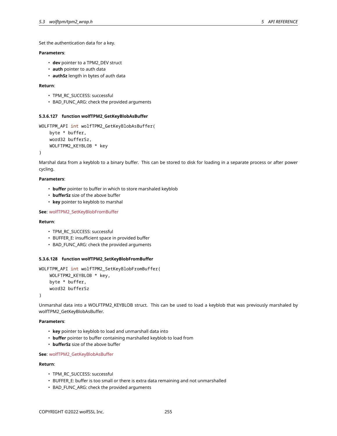Set the authentication data for a key.

# **Parameters**:

- **dev** pointer to a TPM2\_DEV struct
- **auth** pointer to auth data
- **authSz** length in bytes of auth data

## **Return**:

- TPM\_RC\_SUCCESS: successful
- BAD\_FUNC\_ARG: check the provided arguments

# **5.3.6.127 function wolfTPM2\_GetKeyBlobAsBuffer**

```
WOLFTPM_API int wolfTPM2_GetKeyBlobAsBuffer(
    byte * buffer,
    word32 bufferSz,
    WOLFTPM2_KEYBLOB * key
)
```
Marshal data from a keyblob to a binary buffer. This can be stored to disk for loading in a separate process or after power cycling.

## **Parameters**:

- **buffer** pointer to buffer in which to store marshaled keyblob
- **bufferSz** size of the above buffer
- **key** pointer to keyblob to marshal

**See**: wolfTPM2\_SetKeyBlobFromBuffer

### **Return**:

- TPM\_RC\_SUCCESS: successful
- BUFFER\_E: insufficient space in provided buffer
- BAD\_FUNC\_ARG: check the provided arguments

# **5.3.6.128 function wolfTPM2\_SetKeyBlobFromBuffer**

```
WOLFTPM_API int wolfTPM2_SetKeyBlobFromBuffer(
    WOLFTPM2_KEYBLOB * key,
    byte * buffer,
    word32 bufferSz
)
```
Unmarshal data into a WOLFTPM2\_KEYBLOB struct. This can be used to load a keyblob that was previously marshaled by wolfTPM2\_GetKeyBlobAsBuffer.

### **Parameters**:

- **key** pointer to keyblob to load and unmarshall data into
- **buffer** pointer to buffer containing marshalled keyblob to load from
- **bufferSz** size of the above buffer

## **See**: wolfTPM2\_GetKeyBlobAsBuffer

### **Return**:

- TPM\_RC\_SUCCESS: successful
- BUFFER\_E: buffer is too small or there is extra data remaining and not unmarshalled
- BAD\_FUNC\_ARG: check the provided arguments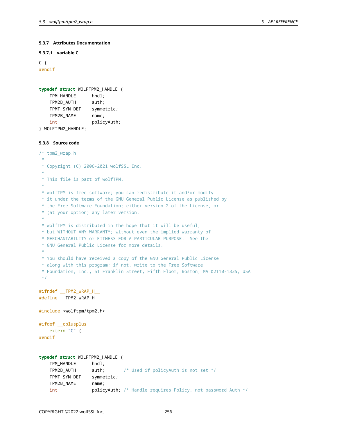# **5.3.7 Attributes Documentation**

# **5.3.7.1 variable C**

```
C \leftarrow#endif
```

```
typedef struct WOLFTPM2_HANDLE {
   TPM_HANDLE hndl;
   TPM2B_AUTH auth;
   TPMT_SYM_DEF symmetric;
   TPM2B_NAME name;
   int policyAuth;
} WOLFTPM2_HANDLE;
```
**5.3.8 Source code**

```
/* tpm2_wrap.h
 *
 * Copyright (C) 2006-2021 wolfSSL Inc.
 *
 * This file is part of wolfTPM.
 *
* wolfTPM is free software; you can redistribute it and/or modify
* it under the terms of the GNU General Public License as published by
 * the Free Software Foundation; either version 2 of the License, or
 * (at your option) any later version.
 *
* wolfTPM is distributed in the hope that it will be useful,
 * but WITHOUT ANY WARRANTY; without even the implied warranty of
 * MERCHANTABILITY or FITNESS FOR A PARTICULAR PURPOSE. See the
 * GNU General Public License for more details.
 *
* You should have received a copy of the GNU General Public License
 * along with this program; if not, write to the Free Software
 * Foundation, Inc., 51 Franklin Street, Fifth Floor, Boston, MA 02110-1335, USA
*/
#ifndef __TPM2_WRAP_H__
#define __TPM2_WRAP_H__
#include <wolftpm/tpm2.h>
#ifdef __cplusplus
   extern "C" {
#endif
typedef struct WOLFTPM2_HANDLE {
   TPM_HANDLE hndl;
   TPM2B_AUTH auth; /* Used if policyAuth is not set */
   TPMT_SYM_DEF symmetric;
   TPM2B_NAME name;
   int policyAuth; /* Handle requires Policy, not password Auth */
```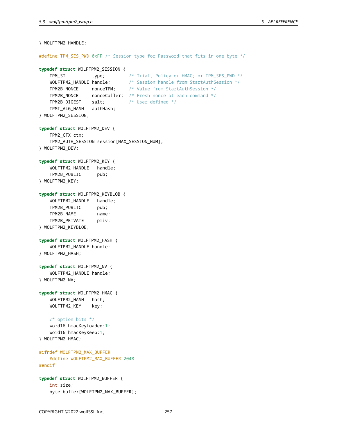```
} WOLFTPM2_HANDLE;
#define TPM_SES_PWD 0xFF /* Session type for Password that fits in one byte */
typedef struct WOLFTPM2_SESSION {
   TPM_ST type; /* Trial, Policy or HMAC; or TPM_SES_PWD */
   WOLFTPM2_HANDLE handle; /* Session handle from StartAuthSession */
   TPM2B_NONCE nonceTPM; /* Value from StartAuthSession */
   TPM2B NONCE nonceCaller; /* Fresh nonce at each command */
   TPM2B_DIGEST salt; /* User defined */
   TPMI_ALG_HASH authHash;
} WOLFTPM2_SESSION;
typedef struct WOLFTPM2_DEV {
   TPM2_CTX ctx;
    TPM2_AUTH_SESSION session[MAX_SESSION_NUM];
} WOLFTPM2_DEV;
typedef struct WOLFTPM2_KEY {
   WOLFTPM2_HANDLE handle;
    TPM2B_PUBLIC pub;
} WOLFTPM2_KEY;
typedef struct WOLFTPM2_KEYBLOB {
   WOLFTPM2 HANDLE handle;
   TPM2B_PUBLIC pub;
   TPM2B_NAME name;
    TPM2B_PRIVATE priv;
} WOLFTPM2_KEYBLOB;
typedef struct WOLFTPM2_HASH {
   WOLFTPM2_HANDLE handle;
} WOLFTPM2_HASH;
typedef struct WOLFTPM2_NV {
   WOLFTPM2_HANDLE handle;
} WOLFTPM2_NV;
typedef struct WOLFTPM2_HMAC {
   WOLFTPM2_HASH hash;
   WOLFTPM2_KEY key;
   /* option bits */
   word16 hmacKeyLoaded:1;
   word16 hmacKeyKeep:1;
} WOLFTPM2_HMAC;
#ifndef WOLFTPM2_MAX_BUFFER
   #define WOLFTPM2_MAX_BUFFER 2048
#endif
typedef struct WOLFTPM2_BUFFER {
   int size;
    byte buffer[WOLFTPM2_MAX_BUFFER];
```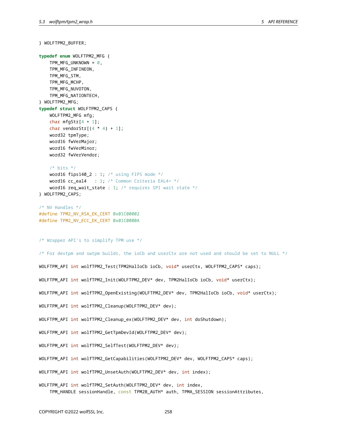```
} WOLFTPM2_BUFFER;
typedef enum WOLFTPM2_MFG {
    TPM_MFG_UNKNOWN = 0,
    TPM_MFG_INFINEON,
    TPM_MFG_STM,
    TPM_MFG_MCHP,
    TPM_MFG_NUVOTON,
    TPM_MFG_NATIONTECH,
} WOLFTPM2_MFG;
typedef struct WOLFTPM2_CAPS {
    WOLFTPM2_MFG mfg;
    char mfgStr[4 + 1];
    char vendorStr[(4 * 4) + 1];
   word32 tpmType;
    word16 fwVerMajor;
    word16 fwVerMinor;
   word32 fwVerVendor;
    /* bits */word16 fips140_2 : 1; /* using FIPS mode */
    word16 cc-eal4 : 1; /* Common Criteria EAL4+ */
    word16 req_wait_state : 1; /* requires SPI wait state */
} WOLFTPM2_CAPS;
/* NV Handles */
#define TPM2_NV_RSA_EK_CERT 0x01C00002
#define TPM2_NV_ECC_EK_CERT 0x01C0000A
/* Wrapper API's to simplify TPM use */
/* For devtpm and swtpm builds, the ioCb and userCtx are not used and should be set to NULL */
WOLFTPM_API int wolfTPM2_Test(TPM2HalIoCb ioCb, void* userCtx, WOLFTPM2_CAPS* caps);
WOLFTPM_API int wolfTPM2_Init(WOLFTPM2_DEV* dev, TPM2HalIoCb ioCb, void* userCtx);
WOLFTPM_API int wolfTPM2_OpenExisting(WOLFTPM2_DEV* dev, TPM2HalIoCb ioCb, void* userCtx);
WOLFTPM_API int wolfTPM2_Cleanup(WOLFTPM2_DEV* dev);
WOLFTPM_API int wolfTPM2_Cleanup_ex(WOLFTPM2_DEV* dev, int doShutdown);
WOLFTPM_API int wolfTPM2_GetTpmDevId(WOLFTPM2_DEV* dev);
WOLFTPM_API int wolfTPM2_SelfTest(WOLFTPM2_DEV* dev);
WOLFTPM_API int wolfTPM2_GetCapabilities(WOLFTPM2_DEV* dev, WOLFTPM2_CAPS* caps);
WOLFTPM_API int wolfTPM2_UnsetAuth(WOLFTPM2_DEV* dev, int index);
WOLFTPM_API int wolfTPM2_SetAuth(WOLFTPM2_DEV* dev, int index,
    TPM_HANDLE sessionHandle, const TPM2B_AUTH* auth, TPMA_SESSION sessionAttributes,
```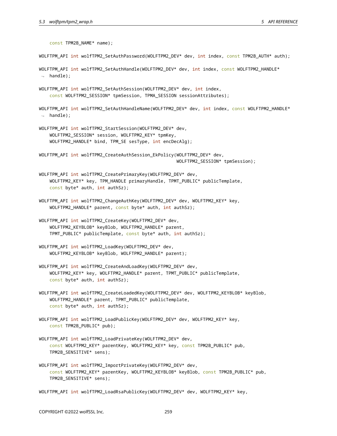const TPM2B\_NAME\* name); WOLFTPM\_API int wolfTPM2\_SetAuthPassword(WOLFTPM2\_DEV\* dev, int index, const TPM2B\_AUTH\* auth); WOLFTPM\_API int wolfTPM2\_SetAuthHandle(WOLFTPM2\_DEV\* dev, int index, const WOLFTPM2\_HANDLE\*  $\rightarrow$  handle); WOLFTPM API int wolfTPM2 SetAuthSession(WOLFTPM2 DEV\* dev, int index, const WOLFTPM2\_SESSION\* tpmSession, TPMA\_SESSION sessionAttributes); WOLFTPM\_API int wolfTPM2\_SetAuthHandleName(WOLFTPM2\_DEV\* dev, int index, const WOLFTPM2\_HANDLE\*  $\leftrightarrow$  handle); WOLFTPM\_API int wolfTPM2\_StartSession(WOLFTPM2\_DEV\* dev, WOLFTPM2\_SESSION\* session, WOLFTPM2\_KEY\* tpmKey, WOLFTPM2\_HANDLE\* bind, TPM\_SE sesType, int encDecAlg); WOLFTPM\_API int wolfTPM2\_CreateAuthSession\_EkPolicy(WOLFTPM2\_DEV\* dev, WOLFTPM2\_SESSION\* tpmSession); WOLFTPM\_API int wolfTPM2\_CreatePrimaryKey(WOLFTPM2\_DEV\* dev, WOLFTPM2\_KEY\* key, TPM\_HANDLE primaryHandle, TPMT\_PUBLIC\* publicTemplate, const byte\* auth, int authSz); WOLFTPM\_API int wolfTPM2\_ChangeAuthKey(WOLFTPM2\_DEV\* dev, WOLFTPM2\_KEY\* key, WOLFTPM2\_HANDLE\* parent, const byte\* auth, int authSz); WOLFTPM\_API int wolfTPM2\_CreateKey(WOLFTPM2\_DEV\* dev, WOLFTPM2\_KEYBLOB\* keyBlob, WOLFTPM2\_HANDLE\* parent, TPMT\_PUBLIC\* publicTemplate, const byte\* auth, int authSz); WOLFTPM\_API int wolfTPM2\_LoadKey(WOLFTPM2\_DEV\* dev, WOLFTPM2\_KEYBLOB\* keyBlob, WOLFTPM2\_HANDLE\* parent); WOLFTPM\_API int wolfTPM2\_CreateAndLoadKey(WOLFTPM2\_DEV\* dev, WOLFTPM2\_KEY\* key, WOLFTPM2\_HANDLE\* parent, TPMT\_PUBLIC\* publicTemplate, const byte\* auth, int authSz); WOLFTPM\_API int wolfTPM2\_CreateLoadedKey(WOLFTPM2\_DEV\* dev, WOLFTPM2\_KEYBLOB\* keyBlob, WOLFTPM2\_HANDLE\* parent, TPMT\_PUBLIC\* publicTemplate, const byte\* auth, int authSz); WOLFTPM\_API int wolfTPM2\_LoadPublicKey(WOLFTPM2\_DEV\* dev, WOLFTPM2\_KEY\* key, const TPM2B\_PUBLIC\* pub); WOLFTPM\_API int wolfTPM2\_LoadPrivateKey(WOLFTPM2\_DEV\* dev, const WOLFTPM2\_KEY\* parentKey, WOLFTPM2\_KEY\* key, const TPM2B\_PUBLIC\* pub, TPM2B\_SENSITIVE\* sens); WOLFTPM\_API int wolfTPM2\_ImportPrivateKey(WOLFTPM2\_DEV\* dev, const WOLFTPM2\_KEY\* parentKey, WOLFTPM2\_KEYBLOB\* keyBlob, const TPM2B\_PUBLIC\* pub, TPM2B\_SENSITIVE\* sens); WOLFTPM\_API int wolfTPM2\_LoadRsaPublicKey(WOLFTPM2\_DEV\* dev, WOLFTPM2\_KEY\* key,

COPYRIGHT ©2022 wolfSSL Inc. 259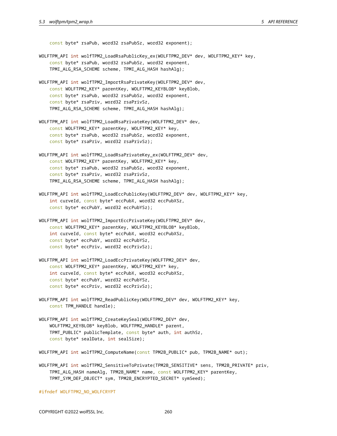const byte\* rsaPub, word32 rsaPubSz, word32 exponent);

- WOLFTPM\_API int wolfTPM2\_LoadRsaPublicKey\_ex(WOLFTPM2\_DEV\* dev, WOLFTPM2\_KEY\* key, const byte\* rsaPub, word32 rsaPubSz, word32 exponent, TPMI\_ALG\_RSA\_SCHEME scheme, TPMI\_ALG\_HASH hashAlg);
- WOLFTPM\_API int wolfTPM2\_ImportRsaPrivateKey(WOLFTPM2\_DEV\* dev, const WOLFTPM2\_KEY\* parentKey, WOLFTPM2\_KEYBLOB\* keyBlob, const byte\* rsaPub, word32 rsaPubSz, word32 exponent, const byte\* rsaPriv, word32 rsaPrivSz, TPMI\_ALG\_RSA\_SCHEME scheme, TPMI\_ALG\_HASH hashAlg);
- WOLFTPM\_API int wolfTPM2\_LoadRsaPrivateKey(WOLFTPM2\_DEV\* dev, const WOLFTPM2\_KEY\* parentKey, WOLFTPM2\_KEY\* key, const byte\* rsaPub, word32 rsaPubSz, word32 exponent, const byte\* rsaPriv, word32 rsaPrivSz);
- WOLFTPM\_API int wolfTPM2\_LoadRsaPrivateKey\_ex(WOLFTPM2\_DEV\* dev, const WOLFTPM2\_KEY\* parentKey, WOLFTPM2\_KEY\* key, const byte\* rsaPub, word32 rsaPubSz, word32 exponent, const byte\* rsaPriv, word32 rsaPrivSz, TPMI\_ALG\_RSA\_SCHEME scheme, TPMI\_ALG\_HASH hashAlg);
- WOLFTPM\_API int wolfTPM2\_LoadEccPublicKey(WOLFTPM2\_DEV\* dev, WOLFTPM2\_KEY\* key, int curveId, const byte\* eccPubX, word32 eccPubXSz, const byte\* eccPubY, word32 eccPubYSz);
- WOLFTPM\_API int wolfTPM2\_ImportEccPrivateKey(WOLFTPM2\_DEV\* dev, const WOLFTPM2\_KEY\* parentKey, WOLFTPM2\_KEYBLOB\* keyBlob, int curveId, const byte\* eccPubX, word32 eccPubXSz, const byte\* eccPubY, word32 eccPubYSz, const byte\* eccPriv, word32 eccPrivSz);
- WOLFTPM\_API int wolfTPM2\_LoadEccPrivateKey(WOLFTPM2\_DEV\* dev, const WOLFTPM2\_KEY\* parentKey, WOLFTPM2\_KEY\* key, int curveId, const byte\* eccPubX, word32 eccPubXSz, const byte\* eccPubY, word32 eccPubYSz, const byte\* eccPriv, word32 eccPrivSz);
- WOLFTPM\_API int wolfTPM2\_ReadPublicKey(WOLFTPM2\_DEV\* dev, WOLFTPM2\_KEY\* key, const TPM\_HANDLE handle);
- WOLFTPM API int wolfTPM2 CreateKeySeal(WOLFTPM2 DEV\* dev, WOLFTPM2\_KEYBLOB\* keyBlob, WOLFTPM2\_HANDLE\* parent, TPMT\_PUBLIC\* publicTemplate, const byte\* auth, int authSz, const byte\* sealData, int sealSize);

WOLFTPM\_API int wolfTPM2\_ComputeName(const TPM2B\_PUBLIC\* pub, TPM2B\_NAME\* out);

WOLFTPM\_API int wolfTPM2\_SensitiveToPrivate(TPM2B\_SENSITIVE\* sens, TPM2B\_PRIVATE\* priv, TPMI\_ALG\_HASH nameAlg, TPM2B\_NAME\* name, const WOLFTPM2\_KEY\* parentKey, TPMT\_SYM\_DEF\_OBJECT\* sym, TPM2B\_ENCRYPTED\_SECRET\* symSeed);

#ifndef WOLFTPM2\_NO\_WOLFCRYPT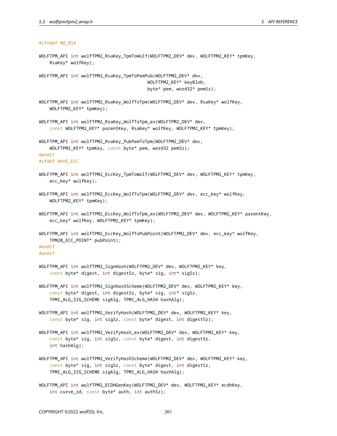## #ifndef NO\_RSA

WOLFTPM\_API int wolfTPM2\_RsaKey\_TpmToWolf(WOLFTPM2\_DEV\* dev, WOLFTPM2\_KEY\* tpmKey, RsaKey\* wolfKey);

WOLFTPM\_API int wolfTPM2\_RsaKey\_TpmToPemPub(WOLFTPM2\_DEV\* dev, WOLFTPM2\_KEY\* keyBlob, byte\* pem, word32\* pemSz);

- WOLFTPM\_API int wolfTPM2\_RsaKey\_WolfToTpm(WOLFTPM2\_DEV\* dev, RsaKey\* wolfKey, WOLFTPM2\_KEY\* tpmKey);
- WOLFTPM\_API int wolfTPM2\_RsaKey\_WolfToTpm\_ex(WOLFTPM2\_DEV\* dev, const WOLFTPM2\_KEY\* parentKey, RsaKey\* wolfKey, WOLFTPM2\_KEY\* tpmKey);

WOLFTPM\_API int wolfTPM2\_RsaKey\_PubPemToTpm(WOLFTPM2\_DEV\* dev, WOLFTPM2\_KEY\* tpmKey, const byte\* pem, word32 pemSz); #endif

#ifdef HAVE\_ECC

- WOLFTPM\_API int wolfTPM2\_EccKey\_TpmToWolf(WOLFTPM2\_DEV\* dev, WOLFTPM2\_KEY\* tpmKey, ecc\_key\* wolfKey);
- WOLFTPM\_API int wolfTPM2\_EccKey\_WolfToTpm(WOLFTPM2\_DEV\* dev, ecc\_key\* wolfKey, WOLFTPM2\_KEY\* tpmKey);
- WOLFTPM\_API int wolfTPM2\_EccKey\_WolfToTpm\_ex(WOLFTPM2\_DEV\* dev, WOLFTPM2\_KEY\* parentKey, ecc\_key\* wolfKey, WOLFTPM2\_KEY\* tpmKey);
- WOLFTPM\_API int wolfTPM2\_EccKey\_WolfToPubPoint(WOLFTPM2\_DEV\* dev, ecc\_key\* wolfKey, TPM2B\_ECC\_POINT\* pubPoint);

# #endif

#endif

- WOLFTPM\_API int wolfTPM2\_SignHash(WOLFTPM2\_DEV\* dev, WOLFTPM2\_KEY\* key, const byte\* digest, int digestSz, byte\* sig, int\* sigSz);
- WOLFTPM\_API int wolfTPM2\_SignHashScheme(WOLFTPM2\_DEV\* dev, WOLFTPM2\_KEY\* key, const byte\* digest, int digestSz, byte\* sig, int\* sigSz, TPMI\_ALG\_SIG\_SCHEME sigAlg, TPMI\_ALG\_HASH hashAlg);
- WOLFTPM\_API int wolfTPM2\_VerifyHash(WOLFTPM2\_DEV\* dev, WOLFTPM2\_KEY\* key, const byte\* sig, int sigSz, const byte\* digest, int digestSz);
- WOLFTPM\_API int wolfTPM2\_VerifyHash\_ex(WOLFTPM2\_DEV\* dev, WOLFTPM2\_KEY\* key, const byte\* sig, int sigSz, const byte\* digest, int digestSz, int hashAlg);
- WOLFTPM\_API int wolfTPM2\_VerifyHashScheme(WOLFTPM2\_DEV\* dev, WOLFTPM2\_KEY\* key, const byte\* sig, int sigSz, const byte\* digest, int digestSz, TPMI\_ALG\_SIG\_SCHEME sigAlg, TPMI\_ALG\_HASH hashAlg);
- WOLFTPM\_API int wolfTPM2\_ECDHGenKey(WOLFTPM2\_DEV\* dev, WOLFTPM2\_KEY\* ecdhKey, int curve\_id, const byte\* auth, int authSz);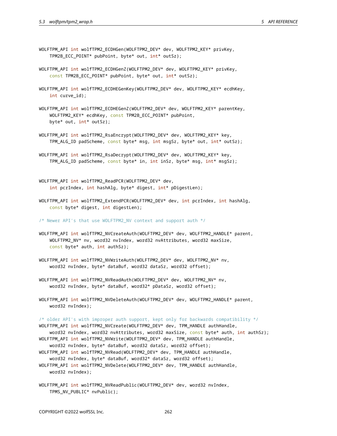- WOLFTPM\_API int wolfTPM2\_ECDHGen(WOLFTPM2\_DEV\* dev, WOLFTPM2\_KEY\* privKey, TPM2B\_ECC\_POINT\* pubPoint, byte\* out, int\* outSz);
- WOLFTPM\_API int wolfTPM2\_ECDHGenZ(WOLFTPM2\_DEV\* dev, WOLFTPM2\_KEY\* privKey, const TPM2B\_ECC\_POINT\* pubPoint, byte\* out, int\* outSz);
- WOLFTPM\_API int wolfTPM2\_ECDHEGenKey(WOLFTPM2\_DEV\* dev, WOLFTPM2\_KEY\* ecdhKey, int curve\_id);
- WOLFTPM\_API int wolfTPM2\_ECDHEGenZ(WOLFTPM2\_DEV\* dev, WOLFTPM2\_KEY\* parentKey, WOLFTPM2\_KEY\* ecdhKey, const TPM2B\_ECC\_POINT\* pubPoint, byte\* out, int\* outSz);
- WOLFTPM\_API int wolfTPM2\_RsaEncrypt(WOLFTPM2\_DEV\* dev, WOLFTPM2\_KEY\* key, TPM\_ALG\_ID padScheme, const byte\* msg, int msgSz, byte\* out, int\* outSz);
- WOLFTPM\_API int wolfTPM2\_RsaDecrypt(WOLFTPM2\_DEV\* dev, WOLFTPM2\_KEY\* key, TPM\_ALG\_ID padScheme, const byte\* in, int inSz, byte\* msg, int\* msgSz);
- WOLFTPM\_API int wolfTPM2\_ReadPCR(WOLFTPM2\_DEV\* dev, int pcrIndex, int hashAlg, byte\* digest, int\* pDigestLen);
- WOLFTPM\_API int wolfTPM2\_ExtendPCR(WOLFTPM2\_DEV\* dev, int pcrIndex, int hashAlg, const byte\* digest, int digestLen);

/\* Newer API's that use WOLFTPM2\_NV context and support auth \*/

- WOLFTPM\_API int wolfTPM2\_NVCreateAuth(WOLFTPM2\_DEV\* dev, WOLFTPM2\_HANDLE\* parent, WOLFTPM2\_NV\* nv, word32 nvIndex, word32 nvAttributes, word32 maxSize, const byte\* auth, int authSz);
- WOLFTPM\_API int wolfTPM2\_NVWriteAuth(WOLFTPM2\_DEV\* dev, WOLFTPM2\_NV\* nv, word32 nvIndex, byte\* dataBuf, word32 dataSz, word32 offset);
- WOLFTPM\_API int wolfTPM2\_NVReadAuth(WOLFTPM2\_DEV\* dev, WOLFTPM2\_NV\* nv, word32 nvIndex, byte\* dataBuf, word32\* pDataSz, word32 offset);
- WOLFTPM\_API int wolfTPM2\_NVDeleteAuth(WOLFTPM2\_DEV\* dev, WOLFTPM2\_HANDLE\* parent, word32 nvIndex);

/\* older API's with improper auth support, kept only for backwards compatibility \*/

WOLFTPM\_API int wolfTPM2\_NVCreate(WOLFTPM2\_DEV\* dev, TPM\_HANDLE authHandle,

- word32 nvIndex, word32 nvAttributes, word32 maxSize, const byte\* auth, int authSz); WOLFTPM\_API int wolfTPM2\_NVWrite(WOLFTPM2\_DEV\* dev, TPM\_HANDLE authHandle,
- word32 nvIndex, byte\* dataBuf, word32 dataSz, word32 offset);
- WOLFTPM\_API int wolfTPM2\_NVRead(WOLFTPM2\_DEV\* dev, TPM\_HANDLE authHandle,
- word32 nvIndex, byte\* dataBuf, word32\* dataSz, word32 offset);
- WOLFTPM\_API int wolfTPM2\_NVDelete(WOLFTPM2\_DEV\* dev, TPM\_HANDLE authHandle, word32 nvIndex);
- WOLFTPM\_API int wolfTPM2\_NVReadPublic(WOLFTPM2\_DEV\* dev, word32 nvIndex, TPMS\_NV\_PUBLIC\* nvPublic);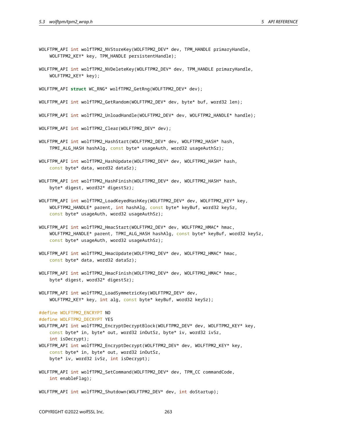- WOLFTPM\_API int wolfTPM2\_NVStoreKey(WOLFTPM2\_DEV\* dev, TPM\_HANDLE primaryHandle, WOLFTPM2\_KEY\* key, TPM\_HANDLE persistentHandle);
- WOLFTPM\_API int wolfTPM2\_NVDeleteKey(WOLFTPM2\_DEV\* dev, TPM\_HANDLE primaryHandle, WOLFTPM2\_KEY\* key);
- WOLFTPM\_API **struct** WC\_RNG\* wolfTPM2\_GetRng(WOLFTPM2\_DEV\* dev);
- WOLFTPM\_API int wolfTPM2\_GetRandom(WOLFTPM2\_DEV\* dev, byte\* buf, word32 len);
- WOLFTPM\_API int wolfTPM2\_UnloadHandle(WOLFTPM2\_DEV\* dev, WOLFTPM2\_HANDLE\* handle);
- WOLFTPM\_API int wolfTPM2\_Clear(WOLFTPM2\_DEV\* dev);
- WOLFTPM\_API int wolfTPM2\_HashStart(WOLFTPM2\_DEV\* dev, WOLFTPM2\_HASH\* hash, TPMI\_ALG\_HASH hashAlg, const byte\* usageAuth, word32 usageAuthSz);
- WOLFTPM\_API int wolfTPM2\_HashUpdate(WOLFTPM2\_DEV\* dev, WOLFTPM2\_HASH\* hash, const byte\* data, word32 dataSz);
- WOLFTPM\_API int wolfTPM2\_HashFinish(WOLFTPM2\_DEV\* dev, WOLFTPM2\_HASH\* hash, byte\* digest, word32\* digestSz);
- WOLFTPM\_API int wolfTPM2\_LoadKeyedHashKey(WOLFTPM2\_DEV\* dev, WOLFTPM2\_KEY\* key, WOLFTPM2\_HANDLE\* parent, int hashAlg, const byte\* keyBuf, word32 keySz, const byte\* usageAuth, word32 usageAuthSz);
- WOLFTPM\_API int wolfTPM2\_HmacStart(WOLFTPM2\_DEV\* dev, WOLFTPM2\_HMAC\* hmac, WOLFTPM2\_HANDLE\* parent, TPMI\_ALG\_HASH hashAlg, const byte\* keyBuf, word32 keySz, const byte\* usageAuth, word32 usageAuthSz);
- WOLFTPM\_API int wolfTPM2\_HmacUpdate(WOLFTPM2\_DEV\* dev, WOLFTPM2\_HMAC\* hmac, const byte\* data, word32 dataSz);
- WOLFTPM\_API int wolfTPM2\_HmacFinish(WOLFTPM2\_DEV\* dev, WOLFTPM2\_HMAC\* hmac, byte\* digest, word32\* digestSz);
- WOLFTPM\_API int wolfTPM2\_LoadSymmetricKey(WOLFTPM2\_DEV\* dev, WOLFTPM2\_KEY\* key, int alg, const byte\* keyBuf, word32 keySz);

#define WOLFTPM2\_ENCRYPT NO #define WOLFTPM2\_DECRYPT YES

WOLFTPM\_API int wolfTPM2\_EncryptDecryptBlock(WOLFTPM2\_DEV\* dev, WOLFTPM2\_KEY\* key, const byte\* in, byte\* out, word32 inOutSz, byte\* iv, word32 ivSz, int isDecrypt); WOLFTPM\_API int wolfTPM2\_EncryptDecrypt(WOLFTPM2\_DEV\* dev, WOLFTPM2\_KEY\* key, const byte\* in, byte\* out, word32 inOutSz, byte\* iv, word32 ivSz, int isDecrypt);

WOLFTPM\_API int wolfTPM2\_SetCommand(WOLFTPM2\_DEV\* dev, TPM\_CC commandCode, int enableFlag);

WOLFTPM\_API int wolfTPM2\_Shutdown(WOLFTPM2\_DEV\* dev, int doStartup);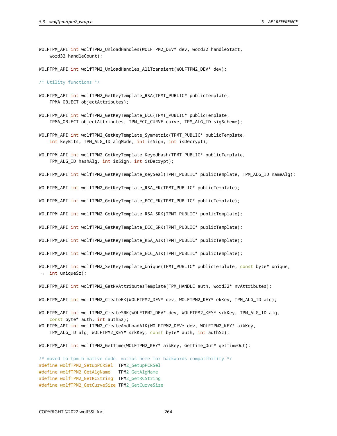WOLFTPM\_API int wolfTPM2\_UnloadHandles(WOLFTPM2\_DEV\* dev, word32 handleStart, word32 handleCount);

WOLFTPM\_API int wolfTPM2\_UnloadHandles\_AllTransient(WOLFTPM2\_DEV\* dev);

/\* Utility functions \*/

- WOLFTPM\_API int wolfTPM2\_GetKeyTemplate\_RSA(TPMT\_PUBLIC\* publicTemplate, TPMA\_OBJECT objectAttributes);
- WOLFTPM\_API int wolfTPM2\_GetKeyTemplate\_ECC(TPMT\_PUBLIC\* publicTemplate, TPMA\_OBJECT objectAttributes, TPM\_ECC\_CURVE curve, TPM\_ALG\_ID sigScheme);
- WOLFTPM\_API int wolfTPM2\_GetKeyTemplate\_Symmetric(TPMT\_PUBLIC\* publicTemplate, int keyBits, TPM\_ALG\_ID algMode, int isSign, int isDecrypt);
- WOLFTPM\_API int wolfTPM2\_GetKeyTemplate\_KeyedHash(TPMT\_PUBLIC\* publicTemplate, TPM\_ALG\_ID hashAlg, int isSign, int isDecrypt);

WOLFTPM\_API int wolfTPM2\_GetKeyTemplate\_KeySeal(TPMT\_PUBLIC\* publicTemplate, TPM\_ALG\_ID nameAlg);

WOLFTPM\_API int wolfTPM2\_GetKeyTemplate\_RSA\_EK(TPMT\_PUBLIC\* publicTemplate);

WOLFTPM\_API int wolfTPM2 GetKeyTemplate ECC\_EK(TPMT\_PUBLIC\* publicTemplate);

WOLFTPM\_API int wolfTPM2\_GetKeyTemplate\_RSA\_SRK(TPMT\_PUBLIC\* publicTemplate);

WOLFTPM\_API int wolfTPM2\_GetKeyTemplate\_ECC\_SRK(TPMT\_PUBLIC\* publicTemplate);

WOLFTPM\_API int wolfTPM2\_GetKeyTemplate\_RSA\_AIK(TPMT\_PUBLIC\* publicTemplate);

WOLFTPM\_API int wolfTPM2\_GetKeyTemplate\_ECC\_AIK(TPMT\_PUBLIC\* publicTemplate);

WOLFTPM\_API int wolfTPM2\_SetKeyTemplate\_Unique(TPMT\_PUBLIC\* publicTemplate, const byte\* unique,  $\rightarrow$  int uniqueSz);

WOLFTPM\_API int wolfTPM2\_GetNvAttributesTemplate(TPM\_HANDLE auth, word32\* nvAttributes);

- WOLFTPM API int wolfTPM2 CreateEK(WOLFTPM2 DEV\* dev, WOLFTPM2 KEY\* ekKey, TPM ALG ID alg);
- WOLFTPM API int wolfTPM2 CreateSRK(WOLFTPM2 DEV\* dev, WOLFTPM2 KEY\* srkKey, TPM ALG ID alg, const byte\* auth, int authSz);
- WOLFTPM\_API int wolfTPM2\_CreateAndLoadAIK(WOLFTPM2\_DEV\* dev, WOLFTPM2\_KEY\* aikKey, TPM\_ALG\_ID alg, WOLFTPM2\_KEY\* srkKey, const byte\* auth, int authSz);

WOLFTPM\_API int wolfTPM2\_GetTime(WOLFTPM2\_KEY\* aikKey, GetTime\_Out\* getTimeOut);

/\* moved to tpm.h native code. macros here for backwards compatibility \*/ #define wolfTPM2\_SetupPCRSel TPM2\_SetupPCRSel #define wolfTPM2\_GetAlgName TPM2\_GetAlgName #define wolfTPM2\_GetRCString TPM2\_GetRCString #define wolfTPM2\_GetCurveSize TPM2\_GetCurveSize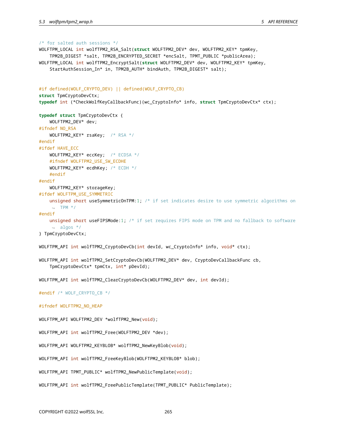```
/* for salted auth sessions */
WOLFTPM_LOCAL int wolfTPM2_RSA_Salt(struct WOLFTPM2_DEV* dev, WOLFTPM2_KEY* tpmKey,
    TPM2B_DIGEST *salt, TPM2B_ENCRYPTED_SECRET *encSalt, TPMT_PUBLIC *publicArea);
WOLFTPM_LOCAL int wolfTPM2_EncryptSalt(struct WOLFTPM2_DEV* dev, WOLFTPM2_KEY* tpmKey,
    StartAuthSession_In* in, TPM2B_AUTH* bindAuth, TPM2B_DIGEST* salt);
#if defined(WOLF_CRYPTO_DEV) || defined(WOLF_CRYPTO_CB)
struct TpmCryptoDevCtx;
typedef int (*CheckWolfKeyCallbackFunc)(wc_CryptoInfo* info, struct TpmCryptoDevCtx* ctx);
typedef struct TpmCryptoDevCtx {
    WOLFTPM2_DEV* dev;
#ifndef NO_RSA
    WOLFTPM2_KEY* rsaKey; /* RSA */
#endif
#ifdef HAVE_ECC
   WOLFTPM2_KEY* eccKey; /* ECDSA */
    #ifndef WOLFTPM2_USE_SW_ECDHE
    WOLFTPM2_KEY* ecdhKey; /* ECDH */
    #endif
#endif
    WOLFTPM2_KEY* storageKey;
#ifdef WOLFTPM_USE_SYMMETRIC
    unsigned short useSymmetricOnTPM:1; /* if set indicates desire to use symmetric algorithms on
    \rightarrow TPM ^*/#endif
    unsigned short useFIPSMode:1; /* if set requires FIPS mode on TPM and no fallback to software
    \leftrightarrow algos */
} TpmCryptoDevCtx;
WOLFTPM_API int wolfTPM2_CryptoDevCb(int devId, wc_CryptoInfo* info, void* ctx);
WOLFTPM_API int wolfTPM2_SetCryptoDevCb(WOLFTPM2_DEV* dev, CryptoDevCallbackFunc cb,
    TpmCryptoDevCtx* tpmCtx, int* pDevId);
WOLFTPM_API int wolfTPM2_ClearCryptoDevCb(WOLFTPM2_DEV* dev, int devId);
#endif /* WOLF_CRYPTO_CB */
#ifndef WOLFTPM2_NO_HEAP
WOLFTPM_API WOLFTPM2_DEV *wolfTPM2_New(void);
WOLFTPM_API int wolfTPM2_Free(WOLFTPM2_DEV *dev);
WOLFTPM_API WOLFTPM2_KEYBLOB* wolfTPM2_NewKeyBlob(void);
WOLFTPM_API int wolfTPM2_FreeKeyBlob(WOLFTPM2_KEYBLOB* blob);
WOLFTPM_API TPMT_PUBLIC* wolfTPM2_NewPublicTemplate(void);
WOLFTPM_API int wolfTPM2_FreePublicTemplate(TPMT_PUBLIC* PublicTemplate);
```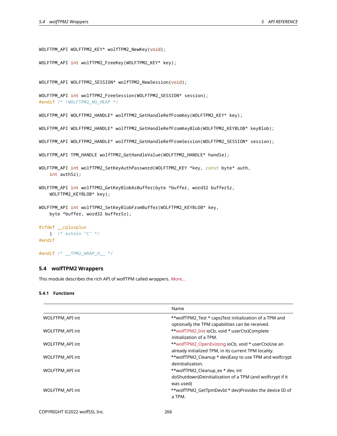```
WOLFTPM_API WOLFTPM2_KEY* wolfTPM2_NewKey(void);
```

```
WOLFTPM_API int wolfTPM2_FreeKey(WOLFTPM2_KEY* key);
```
WOLFTPM\_API WOLFTPM2\_SESSION\* wolfTPM2\_NewSession(void);

```
WOLFTPM_API int wolfTPM2_FreeSession(WOLFTPM2_SESSION* session);
#endif /* !WOLFTPM2_NO_HEAP */
```
WOLFTPM\_API WOLFTPM2\_HANDLE\* wolfTPM2\_GetHandleRefFromKey(WOLFTPM2\_KEY\* key);

WOLFTPM\_API WOLFTPM2\_HANDLE\* wolfTPM2\_GetHandleRefFromKeyBlob(WOLFTPM2\_KEYBLOB\* keyBlob);

```
WOLFTPM_API WOLFTPM2_HANDLE* wolfTPM2_GetHandleRefFromSession(WOLFTPM2_SESSION* session);
```

```
WOLFTPM_API TPM_HANDLE wolfTPM2_GetHandleValue(WOLFTPM2_HANDLE* handle);
```

```
WOLFTPM_API int wolfTPM2_SetKeyAuthPassword(WOLFTPM2_KEY *key, const byte* auth,
   int authSz);
```

```
WOLFTPM_API int wolfTPM2_GetKeyBlobAsBuffer(byte *buffer, word32 bufferSz,
    WOLFTPM2_KEYBLOB* key);
```

```
WOLFTPM_API int wolfTPM2_SetKeyBlobFromBuffer(WOLFTPM2_KEYBLOB* key,
   byte *buffer, word32 bufferSz);
```

```
#ifdef __cplusplus
   } /* extern "C" */
#endif
```

```
#endif /* __TPM2_WRAP_H__ */
```
# **5.4 wolfTPM2 Wrappers**

This module describes the rich API of wolfTPM called wrappers. [More…](#page-32-0)

# **5.4.1 Functions**

|                 | Name                                                                                                         |
|-----------------|--------------------------------------------------------------------------------------------------------------|
| WOLFTPM_API int | **wolfTPM2_Test * caps)Test initialization of a TPM and<br>optionally the TPM capabilities can be received.  |
| WOLFTPM API int | **wolfTPM2 Init ioCb, void * userCtx)Complete<br>initialization of a TPM.                                    |
| WOLFTPM API int | **wolfTPM2 OpenExisting ioCb, void * userCtx)Use an<br>already initialized TPM, in its current TPM locality. |
| WOLFTPM API int | **wolfTPM2_Cleanup * dev)Easy to use TPM and wolfcrypt<br>deinitialization.                                  |
| WOLFTPM_API int | **wolfTPM2_Cleanup_ex * dev, int<br>doShutdown)Deinitialization of a TPM (and wolfcrypt if it<br>was used)   |
| WOLFTPM API int | **wolfTPM2 GetTpmDevId * dev)Provides the device ID of<br>a TPM.                                             |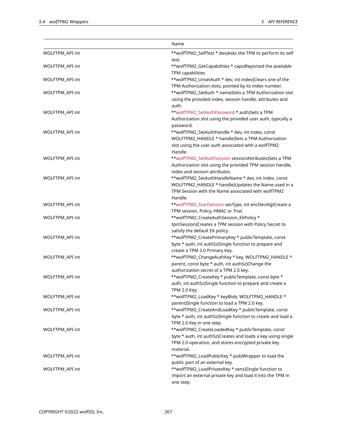|                 | Name                                                         |
|-----------------|--------------------------------------------------------------|
| WOLFTPM_API int | **wolfTPM2_SelfTest * dev)Asks the TPM to perform its self   |
|                 | test.                                                        |
| WOLFTPM_API int | **wolfTPM2_GetCapabilities * caps)Reported the available     |
|                 | TPM capabilities.                                            |
| WOLFTPM API int | **wolfTPM2_UnsetAuth * dev, int index)Clears one of the      |
|                 | TPM Authorization slots, pointed by its index number.        |
| WOLFTPM_API int | **wolfTPM2_SetAuth * name)Sets a TPM Authorization slot      |
|                 | using the provided index, session handle, attributes and     |
|                 | auth.                                                        |
| WOLFTPM_API int | **wolfTPM2_SetAuthPassword * auth)Sets a TPM                 |
|                 | Authorization slot using the provided user auth, typically a |
|                 | password.                                                    |
| WOLFTPM_API int | **wolfTPM2_SetAuthHandle * dev, int index, const             |
|                 | WOLFTPM2_HANDLE * handle)Sets a TPM Authorization            |
|                 | slot using the user auth associated with a wolfTPM2          |
|                 | Handle.                                                      |
| WOLFTPM_API int | **wolfTPM2_SetAuthSession sessionAttributes)Sets a TPM       |
|                 | Authorization slot using the provided TPM session handle,    |
|                 | index and session attributes.                                |
| WOLFTPM_API int | **wolfTPM2_SetAuthHandleName * dev, int index, const         |
|                 | WOLFTPM2_HANDLE * handle)Updates the Name used in a          |
|                 | TPM Session with the Name associated with wolfTPM2           |
|                 | Handle.                                                      |
| WOLFTPM_API int | **wolfTPM2_StartSession sesType, int encDecAlg)Create a      |
|                 | TPM session, Policy, HMAC or Trial.                          |
| WOLFTPM_API int | **wolfTPM2_CreateAuthSession_EkPolicy *                      |
|                 | tpmSession)Creates a TPM session with Policy Secret to       |
|                 | satisfy the default EK policy.                               |
| WOLFTPM_API int | **wolfTPM2_CreatePrimaryKey * publicTemplate, const          |
|                 | byte * auth, int authSz)Single function to prepare and       |
|                 | create a TPM 2.0 Primary Key.                                |
| WOLFTPM_API int | **wolfTPM2_ChangeAuthKey * key, WOLFTPM2_HANDLE *            |
|                 | parent, const byte * auth, int authSz)Change the             |
|                 | authorization secret of a TPM 2.0 key.                       |
| WOLFTPM_API int | **wolfTPM2_CreateKey * publicTemplate, const byte *          |
|                 | auth, int authSz)Single function to prepare and create a     |
|                 | TPM 2.0 Key.                                                 |
| WOLFTPM_API int | **wolfTPM2_LoadKey * keyBlob, WOLFTPM2_HANDLE *              |
|                 | parent)Single function to load a TPM 2.0 key.                |
| WOLFTPM_API int | **wolfTPM2_CreateAndLoadKey * publicTemplate, const          |
|                 | byte * auth, int authSz)Single function to create and load a |
|                 | TPM 2.0 Key in one step.                                     |
| WOLFTPM_API int | **wolfTPM2_CreateLoadedKey * publicTemplate, const           |
|                 | byte * auth, int authSz)Creates and loads a key using single |
|                 | TPM 2.0 operation, and stores encrypted private key          |
|                 | material.                                                    |
| WOLFTPM_API int | **wolfTPM2_LoadPublicKey * pub)Wrapper to load the           |
|                 | public part of an external key.                              |
| WOLFTPM_API int | **wolfTPM2_LoadPrivateKey * sens)Single function to          |
|                 | import an external private key and load it into the TPM in   |
|                 | one step.                                                    |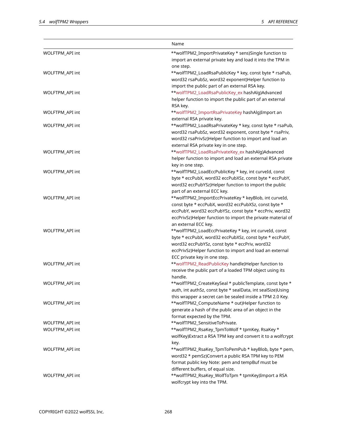|                 | Name                                                                                                            |
|-----------------|-----------------------------------------------------------------------------------------------------------------|
| WOLFTPM_API int | **wolfTPM2_ImportPrivateKey * sens)Single function to                                                           |
|                 | import an external private key and load it into the TPM in                                                      |
|                 | one step.                                                                                                       |
| WOLFTPM_API int | **wolfTPM2_LoadRsaPublicKey * key, const byte * rsaPub,                                                         |
|                 | word32 rsaPubSz, word32 exponent)Helper function to                                                             |
|                 | import the public part of an external RSA key.                                                                  |
| WOLFTPM_API int | **wolfTPM2_LoadRsaPublicKey_ex hashAlg)Advanced                                                                 |
|                 | helper function to import the public part of an external                                                        |
|                 | RSA key.                                                                                                        |
| WOLFTPM_API int | **wolfTPM2_ImportRsaPrivateKey hashAlg)Import an                                                                |
|                 | external RSA private key.                                                                                       |
| WOLFTPM_API int | **wolfTPM2_LoadRsaPrivateKey * key, const byte * rsaPub,                                                        |
|                 | word32 rsaPubSz, word32 exponent, const byte * rsaPriv,                                                         |
|                 | word32 rsaPrivSz)Helper function to import and load an                                                          |
|                 | external RSA private key in one step.                                                                           |
| WOLFTPM_API int | **wolfTPM2_LoadRsaPrivateKey_ex hashAlg)Advanced                                                                |
|                 | helper function to import and load an external RSA private                                                      |
|                 | key in one step.                                                                                                |
| WOLFTPM_API int | **wolfTPM2_LoadEccPublicKey * key, int curveId, const                                                           |
|                 | byte * eccPubX, word32 eccPubXSz, const byte * eccPubY,                                                         |
|                 | word32 eccPubYSz)Helper function to import the public                                                           |
|                 | part of an external ECC key.                                                                                    |
| WOLFTPM_API int | **wolfTPM2_ImportEccPrivateKey * keyBlob, int curveId,                                                          |
|                 | const byte * eccPubX, word32 eccPubXSz, const byte *<br>eccPubY, word32 eccPubYSz, const byte * eccPriv, word32 |
|                 | eccPrivSz)Helper function to import the private material of                                                     |
|                 | an external ECC key.                                                                                            |
| WOLFTPM_API int | **wolfTPM2_LoadEccPrivateKey * key, int curveId, const                                                          |
|                 | byte * eccPubX, word32 eccPubXSz, const byte * eccPubY,                                                         |
|                 | word32 eccPubYSz, const byte * eccPriv, word32                                                                  |
|                 | eccPrivSz)Helper function to import and load an external                                                        |
|                 | ECC private key in one step.                                                                                    |
| WOLFTPM_API int | **wolfTPM2_ReadPublicKey handle)Helper function to                                                              |
|                 | receive the public part of a loaded TPM object using its                                                        |
|                 | handle.                                                                                                         |
| WOLFTPM_API int | **wolfTPM2_CreateKeySeal * publicTemplate, const byte *                                                         |
|                 | auth, int authSz, const byte * sealData, int sealSize)Using                                                     |
|                 | this wrapper a secret can be sealed inside a TPM 2.0 Key.                                                       |
| WOLFTPM_API int | **wolfTPM2_ComputeName * out)Helper function to                                                                 |
|                 | generate a hash of the public area of an object in the                                                          |
|                 | format expected by the TPM.                                                                                     |
| WOLFTPM_API int | **wolfTPM2_SensitiveToPrivate.                                                                                  |
| WOLFTPM_API int | **wolfTPM2_RsaKey_TpmToWolf * tpmKey, RsaKey *                                                                  |
|                 | wolfKey) Extract a RSA TPM key and convert it to a wolfcrypt                                                    |
|                 | key.                                                                                                            |
| WOLFTPM_API int | **wolfTPM2_RsaKey_TpmToPemPub * keyBlob, byte * pem,                                                            |
|                 | word32 * pemSz)Convert a public RSA TPM key to PEM                                                              |
|                 | format public key Note: pem and tempBuf must be                                                                 |
|                 | different buffers, of equal size.                                                                               |
| WOLFTPM_API int | **wolfTPM2_RsaKey_WolfToTpm * tpmKey)Import a RSA                                                               |
|                 | wolfcrypt key into the TPM.                                                                                     |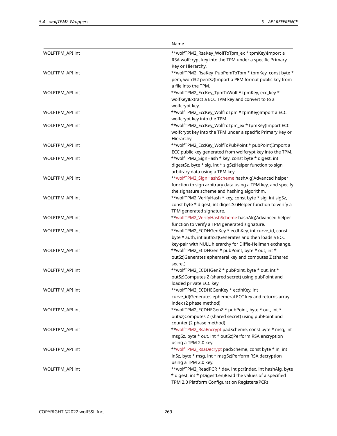|                 | Name                                                          |
|-----------------|---------------------------------------------------------------|
| WOLFTPM_API int | **wolfTPM2_RsaKey_WolfToTpm_ex * tpmKey)Import a              |
|                 | RSA wolfcrypt key into the TPM under a specific Primary       |
|                 | Key or Hierarchy.                                             |
| WOLFTPM_API int | **wolfTPM2_RsaKey_PubPemToTpm * tpmKey, const byte *          |
|                 | pem, word32 pemSz)Import a PEM format public key from         |
|                 | a file into the TPM.                                          |
| WOLFTPM_API int | **wolfTPM2_EccKey_TpmToWolf * tpmKey, ecc_key *               |
|                 | wolfKey) Extract a ECC TPM key and convert to to a            |
|                 | wolfcrypt key.                                                |
| WOLFTPM_API int | **wolfTPM2_EccKey_WolfToTpm * tpmKey)Import a ECC             |
|                 | wolfcrypt key into the TPM.                                   |
| WOLFTPM_API int | **wolfTPM2_EccKey_WolfToTpm_ex * tpmKey)Import ECC            |
|                 | wolfcrypt key into the TPM under a specific Primary Key or    |
|                 | Hierarchy.                                                    |
| WOLFTPM_API int | **wolfTPM2_EccKey_WolfToPubPoint * pubPoint)Import a          |
|                 | ECC public key generated from wolfcrypt key into the TPM.     |
| WOLFTPM_API int | **wolfTPM2_SignHash * key, const byte * digest, int           |
|                 | digestSz, byte * sig, int * sigSz)Helper function to sign     |
|                 | arbitrary data using a TPM key.                               |
| WOLFTPM_API int | **wolfTPM2_SignHashScheme hashAlg)Advanced helper             |
|                 | function to sign arbitrary data using a TPM key, and specify  |
|                 | the signature scheme and hashing algorithm.                   |
| WOLFTPM_API int | **wolfTPM2_VerifyHash * key, const byte * sig, int sigSz,     |
|                 | const byte * digest, int digestSz)Helper function to verify a |
|                 | TPM generated signature.                                      |
| WOLFTPM_API int | **wolfTPM2_VerifyHashScheme hashAlg)Advanced helper           |
|                 | function to verify a TPM generated signature.                 |
| WOLFTPM_API int | **wolfTPM2_ECDHGenKey * ecdhKey, int curve_id, const          |
|                 | byte * auth, int authSz)Generates and then loads a ECC        |
|                 | key-pair with NULL hierarchy for Diffie-Hellman exchange.     |
| WOLFTPM_API int | **wolfTPM2_ECDHGen * pubPoint, byte * out, int *              |
|                 | outSz)Generates ephemeral key and computes Z (shared          |
|                 | secret)                                                       |
| WOLFTPM_API int | **wolfTPM2_ECDHGenZ * pubPoint, byte * out, int *             |
|                 | outSz)Computes Z (shared secret) using pubPoint and           |
|                 | loaded private ECC key.                                       |
| WOLFTPM_API int | **wolfTPM2_ECDHEGenKey * ecdhKey, int                         |
|                 | curve_id)Generates ephemeral ECC key and returns array        |
|                 | index (2 phase method)                                        |
| WOLFTPM_API int | **wolfTPM2_ECDHEGenZ * pubPoint, byte * out, int *            |
|                 | outSz)Computes Z (shared secret) using pubPoint and           |
|                 | counter (2 phase method)                                      |
| WOLFTPM_API int | **wolfTPM2_RsaEncrypt padScheme, const byte * msg, int        |
|                 | msgSz, byte * out, int * outSz)Perform RSA encryption         |
|                 | using a TPM 2.0 key.                                          |
| WOLFTPM_API int | **wolfTPM2_RsaDecrypt padScheme, const byte * in, int         |
|                 | inSz, byte * msg, int * msgSz)Perform RSA decryption          |
|                 | using a TPM 2.0 key.                                          |
| WOLFTPM_API int | **wolfTPM2_ReadPCR * dev, int pcrIndex, int hashAlg, byte     |
|                 | * digest, int * pDigestLen)Read the values of a specified     |
|                 | TPM 2.0 Platform Configuration Registers(PCR)                 |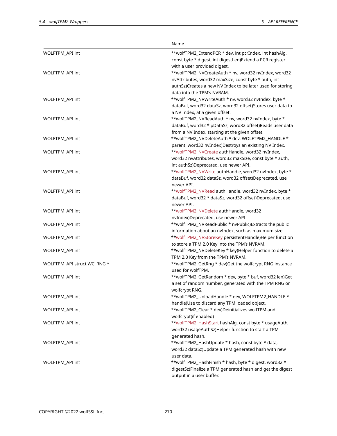|                             | Name                                                       |
|-----------------------------|------------------------------------------------------------|
| WOLFTPM_API int             | **wolfTPM2_ExtendPCR * dev, int pcrIndex, int hashAlg,     |
|                             | const byte * digest, int digestLen) Extend a PCR register  |
|                             | with a user provided digest.                               |
| WOLFTPM_API int             | **wolfTPM2_NVCreateAuth * nv, word32 nvIndex, word32       |
|                             | nvAttributes, word32 maxSize, const byte * auth, int       |
|                             | authSz)Creates a new NV Index to be later used for storing |
|                             | data into the TPM's NVRAM.                                 |
| WOLFTPM_API int             | **wolfTPM2_NVWriteAuth * nv, word32 nvIndex, byte *        |
|                             | dataBuf, word32 dataSz, word32 offset)Stores user data to  |
|                             | a NV Index, at a given offset.                             |
| WOLFTPM_API int             | **wolfTPM2_NVReadAuth * nv, word32 nvIndex, byte *         |
|                             | dataBuf, word32 * pDataSz, word32 offset)Reads user data   |
|                             | from a NV Index, starting at the given offset.             |
| WOLFTPM_API int             | **wolfTPM2_NVDeleteAuth * dev, WOLFTPM2_HANDLE *           |
|                             | parent, word32 nvIndex)Destroys an existing NV Index.      |
| WOLFTPM API int             | **wolfTPM2_NVCreate authHandle, word32 nvIndex,            |
|                             | word32 nvAttributes, word32 maxSize, const byte * auth,    |
|                             | int authSz)Deprecated, use newer API.                      |
| WOLFTPM_API int             | **wolfTPM2_NVWrite authHandle, word32 nvIndex, byte *      |
|                             | dataBuf, word32 dataSz, word32 offset)Deprecated, use      |
|                             | newer API.                                                 |
| WOLFTPM_API int             | **wolfTPM2_NVRead authHandle, word32 nvIndex, byte *       |
|                             | dataBuf, word32 * dataSz, word32 offset)Deprecated, use    |
|                             | newer API.                                                 |
| WOLFTPM_API int             | **wolfTPM2_NVDelete authHandle, word32                     |
|                             | nvIndex)Deprecated, use newer API.                         |
| WOLFTPM_API int             | **wolfTPM2_NVReadPublic * nvPublic)Extracts the public     |
|                             | information about an nvIndex, such as maximum size.        |
| WOLFTPM_API int             | **wolfTPM2_NVStoreKey persistentHandle)Helper function     |
|                             | to store a TPM 2.0 Key into the TPM's NVRAM.               |
| WOLFTPM_API int             | **wolfTPM2_NVDeleteKey * key)Helper function to delete a   |
|                             | TPM 2.0 Key from the TPM's NVRAM.                          |
| WOLFTPM_API struct WC_RNG * | **wolfTPM2_GetRng * dev)Get the wolfcrypt RNG instance     |
|                             | used for wolfTPM.                                          |
| WOLFTPM_API int             | **wolfTPM2_GetRandom * dev, byte * buf, word32 len)Get     |
|                             | a set of random number, generated with the TPM RNG or      |
|                             | wolfcrypt RNG.                                             |
| WOLFTPM_API int             | **wolfTPM2_UnloadHandle * dev, WOLFTPM2_HANDLE *           |
|                             | handle)Use to discard any TPM loaded object.               |
| WOLFTPM_API int             | **wolfTPM2_Clear * dev)Deinitializes wolfTPM and           |
|                             | wolfcrypt(if enabled)                                      |
| WOLFTPM_API int             | **wolfTPM2_HashStart hashAlg, const byte * usageAuth,      |
|                             | word32 usageAuthSz)Helper function to start a TPM          |
|                             | generated hash.                                            |
| WOLFTPM_API int             | **wolfTPM2_HashUpdate * hash, const byte * data,           |
|                             | word32 dataSz)Update a TPM generated hash with new         |
|                             | user data.                                                 |
| WOLFTPM_API int             | **wolfTPM2_HashFinish * hash, byte * digest, word32 *      |
|                             | digestSz)Finalize a TPM generated hash and get the digest  |
|                             | output in a user buffer.                                   |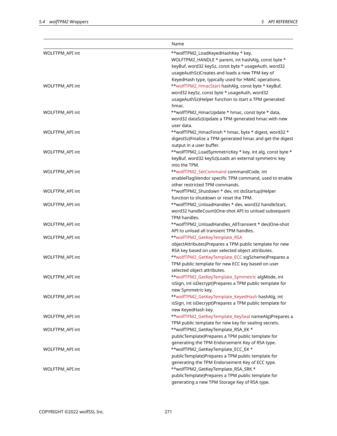|                 | Name                                                      |
|-----------------|-----------------------------------------------------------|
| WOLFTPM_API int | **wolfTPM2_LoadKeyedHashKey * key,                        |
|                 | WOLFTPM2_HANDLE * parent, int hashAlg, const byte *       |
|                 | keyBuf, word32 keySz, const byte * usageAuth, word32      |
|                 | usageAuthSz)Creates and loads a new TPM key of            |
|                 | KeyedHash type, typically used for HMAC operations.       |
| WOLFTPM_API int | **wolfTPM2_HmacStart hashAlg, const byte * keyBuf,        |
|                 | word32 keySz, const byte * usageAuth, word32              |
|                 | usageAuthSz)Helper function to start a TPM generated      |
|                 | hmac.                                                     |
| WOLFTPM_API int | **wolfTPM2_HmacUpdate * hmac, const byte * data,          |
|                 | word32 dataSz)Update a TPM generated hmac with new        |
|                 | user data.                                                |
| WOLFTPM_API int | **wolfTPM2_HmacFinish * hmac, byte * digest, word32 *     |
|                 | digestSz)Finalize a TPM generated hmac and get the digest |
|                 | output in a user buffer.                                  |
| WOLFTPM_API int | **wolfTPM2_LoadSymmetricKey * key, int alg, const byte *  |
|                 | keyBuf, word32 keySz)Loads an external symmetric key      |
|                 | into the TPM.                                             |
| WOLFTPM_API int | **wolfTPM2_SetCommand commandCode, int                    |
|                 | enableFlag)Vendor specific TPM command, used to enable    |
|                 | other restricted TPM commands.                            |
| WOLFTPM_API int | **wolfTPM2_Shutdown * dev, int doStartup)Helper           |
|                 | function to shutdown or reset the TPM.                    |
| WOLFTPM_API int | **wolfTPM2_UnloadHandles * dev, word32 handleStart,       |
|                 | word32 handleCount)One-shot API to unload subsequent      |
|                 | TPM handles.                                              |
| WOLFTPM_API int | **wolfTPM2_UnloadHandles_AllTransient * dev)One-shot      |
|                 | API to unload all transient TPM handles.                  |
| WOLFTPM_API int | **wolfTPM2_GetKeyTemplate_RSA                             |
|                 | objectAttributes)Prepares a TPM public template for new   |
|                 | RSA key based on user selected object attributes.         |
| WOLFTPM_API int | **wolfTPM2_GetKeyTemplate_ECC sigScheme)Prepares a        |
|                 | TPM public template for new ECC key based on user         |
|                 | selected object attributes.                               |
| WOLFTPM_API int | **wolfTPM2_GetKeyTemplate_Symmetric algMode, int          |
|                 | isSign, int isDecrypt)Prepares a TPM public template for  |
|                 | new Symmetric key.                                        |
| WOLFTPM_API int | **wolfTPM2_GetKeyTemplate_KeyedHash hashAlg, int          |
|                 | isSign, int isDecrypt)Prepares a TPM public template for  |
|                 | new KeyedHash key.                                        |
| WOLFTPM_API int | **wolfTPM2_GetKeyTemplate_KeySeal nameAlg)Prepares a      |
|                 | TPM public template for new key for sealing secrets.      |
| WOLFTPM_API int | **wolfTPM2_GetKeyTemplate_RSA_EK *                        |
|                 | publicTemplate)Prepares a TPM public template for         |
|                 | generating the TPM Endorsement Key of RSA type.           |
| WOLFTPM_API int | **wolfTPM2_GetKeyTemplate_ECC_EK *                        |
|                 | publicTemplate)Prepares a TPM public template for         |
|                 | generating the TPM Endorsement Key of ECC type.           |
| WOLFTPM_API int | **wolfTPM2_GetKeyTemplate_RSA_SRK *                       |
|                 | publicTemplate)Prepares a TPM public template for         |
|                 | generating a new TPM Storage Key of RSA type.             |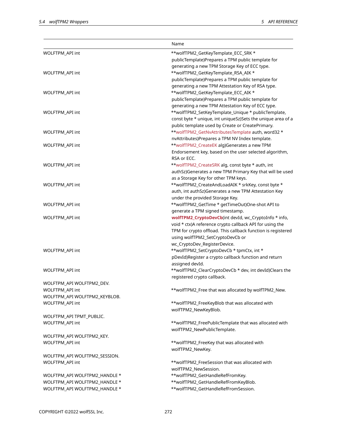|                               | Name                                                         |
|-------------------------------|--------------------------------------------------------------|
| WOLFTPM_API int               | **wolfTPM2_GetKeyTemplate_ECC_SRK *                          |
|                               | publicTemplate)Prepares a TPM public template for            |
|                               | generating a new TPM Storage Key of ECC type.                |
| WOLFTPM_API int               | **wolfTPM2_GetKeyTemplate_RSA_AIK *                          |
|                               | publicTemplate)Prepares a TPM public template for            |
|                               | generating a new TPM Attestation Key of RSA type.            |
| WOLFTPM_API int               | **wolfTPM2_GetKeyTemplate_ECC_AIK *                          |
|                               | publicTemplate)Prepares a TPM public template for            |
|                               |                                                              |
|                               | generating a new TPM Attestation Key of ECC type.            |
| WOLFTPM_API int               | **wolfTPM2_SetKeyTemplate_Unique * publicTemplate,           |
|                               | const byte * unique, int uniqueSz)Sets the unique area of a  |
|                               | public template used by Create or CreatePrimary.             |
| WOLFTPM_API int               | **wolfTPM2_GetNvAttributesTemplate auth, word32 *            |
|                               | nvAttributes)Prepares a TPM NV Index template.               |
| WOLFTPM_API int               | **wolfTPM2_CreateEK alg)Generates a new TPM                  |
|                               | Endorsement key, based on the user selected algorithm,       |
|                               | RSA or ECC.                                                  |
| WOLFTPM_API int               | **wolfTPM2_CreateSRK alg, const byte * auth, int             |
|                               | authSz)Generates a new TPM Primary Key that will be used     |
|                               | as a Storage Key for other TPM keys.                         |
| WOLFTPM_API int               | **wolfTPM2_CreateAndLoadAIK * srkKey, const byte *           |
|                               | auth, int authSz)Generates a new TPM Attestation Key         |
|                               | under the provided Storage Key.                              |
| WOLFTPM_API int               | **wolfTPM2_GetTime * getTimeOut)One-shot API to              |
|                               | generate a TPM signed timestamp.                             |
| WOLFTPM_API int               | wolfTPM2_CryptoDevCb(int devId, wc_CryptoInfo * info,        |
|                               | void * ctx)A reference crypto callback API for using the     |
|                               | TPM for crypto offload. This callback function is registered |
|                               | using wolfTPM2_SetCryptoDevCb or                             |
|                               | wc_CryptoDev_RegisterDevice.                                 |
| WOLFTPM_API int               | **wolfTPM2_SetCryptoDevCb * tpmCtx, int *                    |
|                               |                                                              |
|                               | pDevId)Register a crypto callback function and return        |
|                               | assigned devId.                                              |
| WOLFTPM_API int               | **wolfTPM2_ClearCryptoDevCb * dev, int devId)Clears the      |
|                               | registered crypto callback.                                  |
| WOLFTPM_API WOLFTPM2_DEV.     |                                                              |
| WOLFTPM_API int               | **wolfTPM2_Free that was allocated by wolfTPM2_New.          |
| WOLFTPM_API WOLFTPM2_KEYBLOB. |                                                              |
| WOLFTPM_API int               | **wolfTPM2_FreeKeyBlob that was allocated with               |
|                               | wolfTPM2_NewKeyBlob.                                         |
| WOLFTPM_API TPMT_PUBLIC.      |                                                              |
| WOLFTPM_API int               | **wolfTPM2_FreePublicTemplate that was allocated with        |
|                               | wolfTPM2_NewPublicTemplate.                                  |
| WOLFTPM_API WOLFTPM2_KEY.     |                                                              |
| WOLFTPM_API int               | **wolfTPM2_FreeKey that was allocated with                   |
|                               | wolfTPM2_NewKey.                                             |
| WOLFTPM_API WOLFTPM2_SESSION. |                                                              |
| WOLFTPM_API int               | **wolfTPM2_FreeSession that was allocated with               |
|                               | wolfTPM2_NewSession.                                         |
| WOLFTPM_API WOLFTPM2_HANDLE * | **wolfTPM2_GetHandleRefFromKey.                              |
| WOLFTPM_API WOLFTPM2_HANDLE * | **wolfTPM2_GetHandleRefFromKeyBlob.                          |
| WOLFTPM_API WOLFTPM2_HANDLE * | **wolfTPM2_GetHandleRefFromSession.                          |
|                               |                                                              |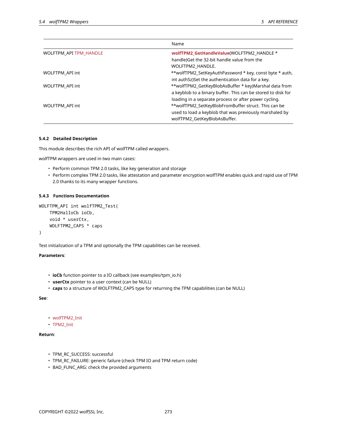|                        | Name                                                         |
|------------------------|--------------------------------------------------------------|
| WOLFTPM API TPM HANDLE | wolfTPM2 GetHandleValue(WOLFTPM2 HANDLE *                    |
|                        | handle) Get the 32-bit handle value from the                 |
|                        | WOLFTPM2 HANDLE.                                             |
| WOLFTPM API int        | **wolfTPM2_SetKeyAuthPassword * key, const byte * auth,      |
|                        | int authSz)Set the authentication data for a key.            |
| WOLFTPM API int        | **wolfTPM2_GetKeyBlobAsBuffer * key)Marshal data from        |
|                        | a keyblob to a binary buffer. This can be stored to disk for |
|                        | loading in a separate process or after power cycling.        |
| WOLFTPM API int        | **wolfTPM2_SetKeyBlobFromBuffer struct. This can be          |
|                        | used to load a keyblob that was previously marshaled by      |
|                        | wolfTPM2 GetKeyBlobAsBuffer.                                 |

## **5.4.2 Detailed Description**

This module describes the rich API of wolfTPM called wrappers.

wolfTPM wrappers are used in two main cases:

- Perform common TPM 2.0 tasks, like key generation and storage
- Perform complex TPM 2.0 tasks, like attestation and parameter encryption wolfTPM enables quick and rapid use of TPM 2.0 thanks to its many wrapper functions.

## **5.4.3 Functions Documentation**

```
WOLFTPM_API int wolfTPM2_Test(
    TPM2HalIoCb ioCb,
    void * userCtx,
    WOLFTPM2_CAPS * caps
)
```
Test initialization of a TPM and optionally the TPM capabilities can be received.

### **Parameters**:

- **ioCb** function pointer to a IO callback (see examples/tpm\_io.h)
- **userCtx** pointer to a user context (can be NULL)
- **caps** to a structure of WOLFTPM2\_CAPS type for returning the TPM capabilities (can be NULL)

### **See**:

- wolfTPM2\_Init
- TPM2\_Init

# **Return**:

- TPM\_RC\_SUCCESS: successful
- TPM\_RC\_FAILURE: generic failure (check TPM IO and TPM return code)
- BAD\_FUNC\_ARG: check the provided arguments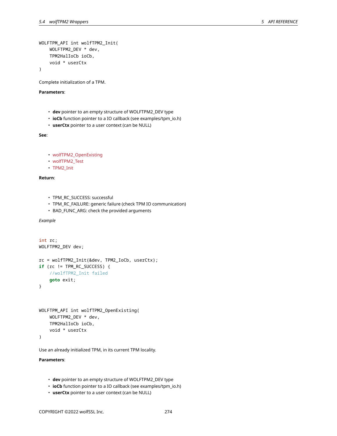```
WOLFTPM_API int wolfTPM2_Init(
    WOLFTPM2_DEV * dev,
    TPM2HalIoCb ioCb,
    void * userCtx
)
```
Complete initialization of a TPM.

## **Parameters**:

- **dev** pointer to an empty structure of WOLFTPM2\_DEV type
- **ioCb** function pointer to a IO callback (see examples/tpm\_io.h)
- **userCtx** pointer to a user context (can be NULL)

**See**:

- wolfTPM2\_OpenExisting
- wolfTPM2\_Test
- TPM2\_Init

# **Return**:

- TPM\_RC\_SUCCESS: successful
- TPM\_RC\_FAILURE: generic failure (check TPM IO communication)
- BAD\_FUNC\_ARG: check the provided arguments

*Example*

```
int rc;
WOLFTPM2_DEV dev;
rc = wolfTPM2_Init(&dev, TPM2_IoCb, userCtx);
if (rc != TPM_RC_SUCCESS) {
    //wolfTPM2_Init failed
    goto exit;
}
```

```
WOLFTPM_API int wolfTPM2_OpenExisting(
    WOLFTPM2_DEV * dev,
    TPM2HalIoCb ioCb,
    void * userCtx
)
```
Use an already initialized TPM, in its current TPM locality.

- **dev** pointer to an empty structure of WOLFTPM2\_DEV type
- **ioCb** function pointer to a IO callback (see examples/tpm\_io.h)
- **userCtx** pointer to a user context (can be NULL)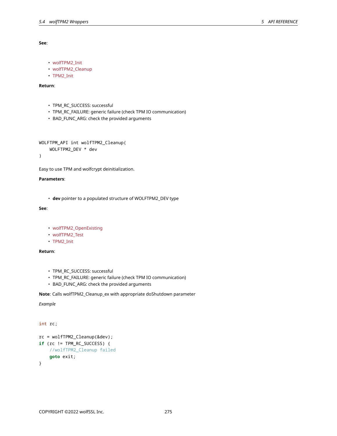## **See**:

- wolfTPM2\_Init
- wolfTPM2\_Cleanup
- TPM2\_Init

# **Return**:

- TPM\_RC\_SUCCESS: successful
- TPM\_RC\_FAILURE: generic failure (check TPM IO communication)
- BAD\_FUNC\_ARG: check the provided arguments

```
WOLFTPM_API int wolfTPM2_Cleanup(
    WOLFTPM2_DEV * dev
```
)

Easy to use TPM and wolfcrypt deinitialization.

# **Parameters**:

• **dev** pointer to a populated structure of WOLFTPM2\_DEV type

# **See**:

- wolfTPM2\_OpenExisting
- wolfTPM2\_Test
- TPM2\_Init

# **Return**:

- TPM\_RC\_SUCCESS: successful
- TPM\_RC\_FAILURE: generic failure (check TPM IO communication)
- BAD\_FUNC\_ARG: check the provided arguments

# **Note**: Calls wolfTPM2\_Cleanup\_ex with appropriate doShutdown parameter

# *Example*

## int rc;

```
rc = wolfTPM2_Cleanup(&dev);
if (rc != TPM_RC_SUCCESS) {
    //wolfTPM2_Cleanup failed
    goto exit;
}
```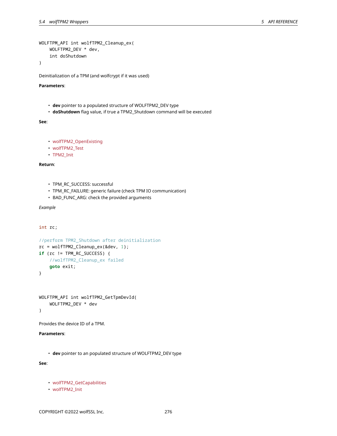```
WOLFTPM_API int wolfTPM2_Cleanup_ex(
    WOLFTPM2_DEV * dev,
    int doShutdown
```
)

Deinitialization of a TPM (and wolfcrypt if it was used)

### **Parameters**:

- **dev** pointer to a populated structure of WOLFTPM2\_DEV type
- **doShutdown** flag value, if true a TPM2\_Shutdown command will be executed

## **See**:

```
• wolfTPM2_OpenExisting
```
- wolfTPM2\_Test
- TPM2\_Init

## **Return**:

- TPM\_RC\_SUCCESS: successful
- TPM\_RC\_FAILURE: generic failure (check TPM IO communication)
- BAD\_FUNC\_ARG: check the provided arguments

# *Example*

int rc;

```
//perform TPM2_Shutdown after deinitialization
rc = wolffP M2_Cleanup_ex(\&dev, 1);if (rc != TPM_RC_SUCCESS) {
    //wolfTPM2_Cleanup_ex failed
    goto exit;
}
```
WOLFTPM\_API int wolfTPM2\_GetTpmDevId( WOLFTPM2\_DEV \* dev

)

Provides the device ID of a TPM.

# **Parameters**:

• **dev** pointer to an populated structure of WOLFTPM2\_DEV type

**See**:

- wolfTPM2\_GetCapabilities
- wolfTPM2\_Init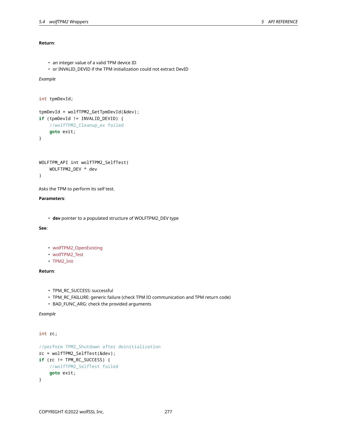# **Return**:

```
• an integer value of a valid TPM device ID
```
• or INVALID\_DEVID if the TPM initialization could not extract DevID

# *Example*

```
int tpmDevId;
tpmDevId = wolfTPM2_GetTpmDevId(&dev);
if (tpmDevId != INVALID_DEVID) {
    //wolfTPM2_Cleanup_ex failed
    goto exit;
}
```

```
WOLFTPM_API int wolfTPM2_SelfTest(
    WOLFTPM2_DEV * dev
)
```
Asks the TPM to perform its self test.

## **Parameters**:

• **dev** pointer to a populated structure of WOLFTPM2\_DEV type

# **See**:

- wolfTPM2\_OpenExisting
- wolfTPM2\_Test
- TPM2\_Init

# **Return**:

- TPM\_RC\_SUCCESS: successful
- TPM\_RC\_FAILURE: generic failure (check TPM IO communication and TPM return code)
- BAD\_FUNC\_ARG: check the provided arguments

```
Example
```

```
int rc;
```

```
//perform TPM2_Shutdown after deinitialization
rc = wolfTPM2_SelfTest(&dev);
if (rc != TPM_RC_SUCCESS) {
    //wolfTPM2_SelfTest failed
    goto exit;
}
```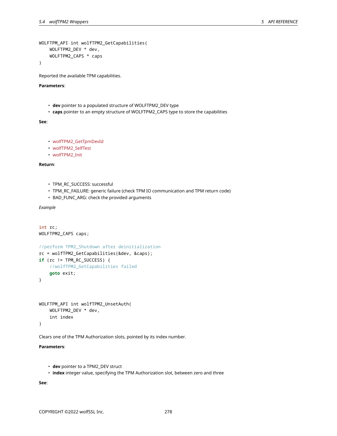```
WOLFTPM_API int wolfTPM2_GetCapabilities(
    WOLFTPM2_DEV * dev,
    WOLFTPM2_CAPS * caps
```
)

Reported the available TPM capabilities.

### **Parameters**:

- **dev** pointer to a populated structure of WOLFTPM2\_DEV type
- **caps** pointer to an empty structure of WOLFTPM2\_CAPS type to store the capabilities

**See**:

```
• wolfTPM2_GetTpmDevId
```

```
• wolfTPM2_SelfTest
```

```
• wolfTPM2_Init
```
**Return**:

- TPM\_RC\_SUCCESS: successful
- TPM\_RC\_FAILURE: generic failure (check TPM IO communication and TPM return code)
- BAD\_FUNC\_ARG: check the provided arguments

*Example*

```
int rc;
WOLFTPM2_CAPS caps;
//perform TPM2_Shutdown after deinitialization
rc = wolfTPM2_GetCapabilities(&dev, &caps);
if (rc != TPM_RC_SUCCESS) {
    //wolfTPM2_GetCapabilities failed
    goto exit;
}
WOLFTPM_API int wolfTPM2_UnsetAuth(
```

```
WOLFTPM2_DEV * dev,
    int index
)
```
Clears one of the TPM Authorization slots, pointed by its index number.

# **Parameters**:

```
• dev pointer to a TPM2_DEV struct
```
• **index** integer value, specifying the TPM Authorization slot, between zero and three

**See**: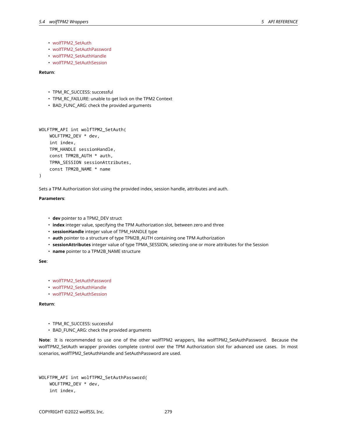- wolfTPM2\_SetAuth
- wolfTPM2\_SetAuthPassword
- wolfTPM2\_SetAuthHandle
- wolfTPM2\_SetAuthSession

**Return**:

- TPM\_RC\_SUCCESS: successful
- TPM\_RC\_FAILURE: unable to get lock on the TPM2 Context
- BAD\_FUNC\_ARG: check the provided arguments

```
WOLFTPM_API int wolfTPM2_SetAuth(
    WOLFTPM2_DEV * dev,
    int index,
    TPM_HANDLE sessionHandle,
    const TPM2B_AUTH * auth,
    TPMA_SESSION sessionAttributes,
    const TPM2B_NAME * name
)
```
Sets a TPM Authorization slot using the provided index, session handle, attributes and auth.

## **Parameters**:

- **dev** pointer to a TPM2\_DEV struct
- **index** integer value, specifying the TPM Authorization slot, between zero and three
- **sessionHandle** integer value of TPM\_HANDLE type
- **auth** pointer to a structure of type TPM2B\_AUTH containing one TPM Authorization
- **sessionAttributes** integer value of type TPMA\_SESSION, selecting one or more attributes for the Session
- **name** pointer to a TPM2B\_NAME structure

**See**:

- wolfTPM2\_SetAuthPassword
- wolfTPM2\_SetAuthHandle
- wolfTPM2\_SetAuthSession

## **Return**:

- TPM\_RC\_SUCCESS: successful
- BAD\_FUNC\_ARG: check the provided arguments

**Note**: It is recommended to use one of the other wolfTPM2 wrappers, like wolfTPM2\_SetAuthPassword. Because the wolfTPM2\_SetAuth wrapper provides complete control over the TPM Authorization slot for advanced use cases. In most scenarios, wolfTPM2\_SetAuthHandle and SetAuthPassword are used.

```
WOLFTPM_API int wolfTPM2_SetAuthPassword(
    WOLFTPM2_DEV * dev,
    int index,
```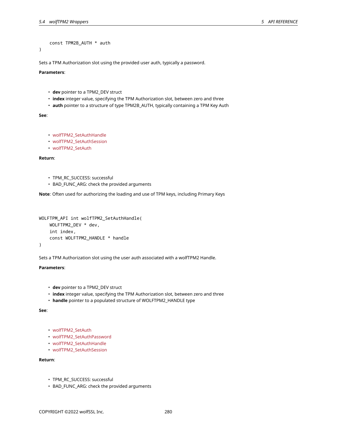const TPM2B\_AUTH \* auth

)

Sets a TPM Authorization slot using the provided user auth, typically a password.

# **Parameters**:

- **dev** pointer to a TPM2\_DEV struct
- **index** integer value, specifying the TPM Authorization slot, between zero and three
- **auth** pointer to a structure of type TPM2B\_AUTH, typically containing a TPM Key Auth

**See**:

- wolfTPM2\_SetAuthHandle
- wolfTPM2\_SetAuthSession
- wolfTPM2\_SetAuth

**Return**:

- TPM\_RC\_SUCCESS: successful
- BAD\_FUNC\_ARG: check the provided arguments

**Note**: Often used for authorizing the loading and use of TPM keys, including Primary Keys

```
WOLFTPM_API int wolfTPM2_SetAuthHandle(
   WOLFTPM2_DEV * dev,
    int index,
    const WOLFTPM2_HANDLE * handle
)
```
Sets a TPM Authorization slot using the user auth associated with a wolfTPM2 Handle.

## **Parameters**:

- **dev** pointer to a TPM2\_DEV struct
- **index** integer value, specifying the TPM Authorization slot, between zero and three
- **handle** pointer to a populated structure of WOLFTPM2\_HANDLE type

**See**:

```
• wolfTPM2_SetAuth
```
- wolfTPM2\_SetAuthPassword
- wolfTPM2\_SetAuthHandle
- wolfTPM2\_SetAuthSession

### **Return**:

- TPM\_RC\_SUCCESS: successful
- BAD\_FUNC\_ARG: check the provided arguments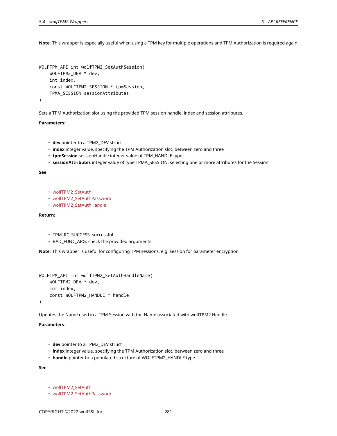**Note**: This wrapper is especially useful when using a TPM key for multiple operations and TPM Authorization is required again.

```
WOLFTPM_API int wolfTPM2_SetAuthSession(
    WOLFTPM2_DEV * dev,
    int index,
    const WOLFTPM2_SESSION * tpmSession,
    TPMA_SESSION sessionAttributes
)
```
Sets a TPM Authorization slot using the provided TPM session handle, index and session attributes.

#### **Parameters**:

- **dev** pointer to a TPM2\_DEV struct
- **index** integer value, specifying the TPM Authorization slot, between zero and three
- **tpmSession** sessionHandle integer value of TPM\_HANDLE type
- **sessionAttributes** integer value of type TPMA\_SESSION, selecting one or more attributes for the Session

## **See**:

- wolfTPM2\_SetAuth
- wolfTPM2\_SetAuthPassword
- wolfTPM2\_SetAuthHandle

# **Return**:

- TPM\_RC\_SUCCESS: successful
- BAD\_FUNC\_ARG: check the provided arguments

**Note**: This wrapper is useful for configuring TPM sessions, e.g. session for parameter encryption

```
WOLFTPM_API int wolfTPM2_SetAuthHandleName(
    WOLFTPM2_DEV * dev,
    int index,
    const WOLFTPM2_HANDLE * handle
)
```
Updates the Name used in a TPM Session with the Name associated with wolfTPM2 Handle.

## **Parameters**:

- **dev** pointer to a TPM2\_DEV struct
- **index** integer value, specifying the TPM Authorization slot, between zero and three
- **handle** pointer to a populated structure of WOLFTPM2\_HANDLE type

**See**:

- wolfTPM2\_SetAuth
- wolfTPM2\_SetAuthPassword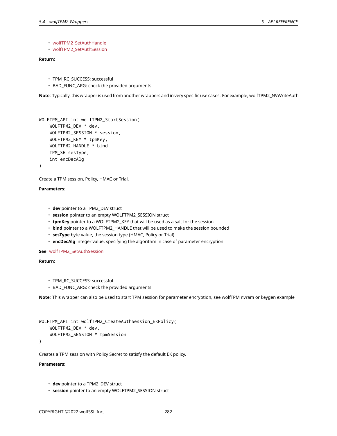• wolfTPM2\_SetAuthHandle

• wolfTPM2\_SetAuthSession

## **Return**:

- TPM\_RC\_SUCCESS: successful
- BAD FUNC ARG: check the provided arguments

**Note**: Typically, this wrapper is used from another wrappers and in very specific use cases. For example, wolfTPM2\_NVWriteAuth

```
WOLFTPM_API int wolfTPM2_StartSession(
    WOLFTPM2_DEV * dev,
    WOLFTPM2_SESSION * session,
    WOLFTPM2_KEY * tpmKey,
    WOLFTPM2_HANDLE * bind,
    TPM_SE sesType,
    int encDecAlg
```
)

Create a TPM session, Policy, HMAC or Trial.

### **Parameters**:

- **dev** pointer to a TPM2\_DEV struct
- **session** pointer to an empty WOLFTPM2\_SESSION struct
- **tpmKey** pointer to a WOLFTPM2\_KEY that will be used as a salt for the session
- **bind** pointer to a WOLFTPM2\_HANDLE that will be used to make the session bounded
- **sesType** byte value, the session type (HMAC, Policy or Trial)
- **encDecAlg** integer value, specifying the algorithm in case of parameter encryption

**See**: wolfTPM2\_SetAuthSession

**Return**:

- TPM\_RC\_SUCCESS: successful
- BAD\_FUNC\_ARG: check the provided arguments

**Note**: This wrapper can also be used to start TPM session for parameter encryption, see wolfTPM nvram or keygen example

```
WOLFTPM_API int wolfTPM2_CreateAuthSession_EkPolicy(
    WOLFTPM2_DEV * dev,
    WOLFTPM2_SESSION * tpmSession
```
)

Creates a TPM session with Policy Secret to satisfy the default EK policy.

- **dev** pointer to a TPM2\_DEV struct
- **session** pointer to an empty WOLFTPM2\_SESSION struct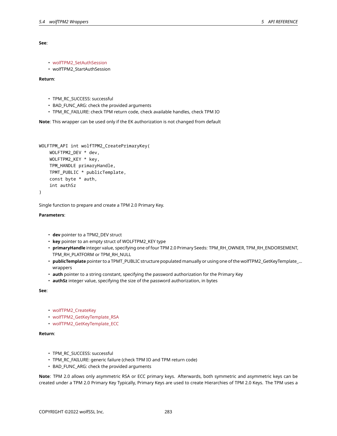**See**:

```
• wolfTPM2_SetAuthSession
```

```
• wolfTPM2_StartAuthSession
```
**Return**:

- TPM\_RC\_SUCCESS: successful
- BAD\_FUNC\_ARG: check the provided arguments
- TPM\_RC\_FAILURE: check TPM return code, check available handles, check TPM IO

**Note**: This wrapper can be used only if the EK authorization is not changed from default

```
WOLFTPM_API int wolfTPM2_CreatePrimaryKey(
    WOLFTPM2_DEV * dev,
    WOLFTPM2_KEY * key,
    TPM_HANDLE primaryHandle,
    TPMT_PUBLIC * publicTemplate,
    const byte * auth,
    int authSz
)
```
Single function to prepare and create a TPM 2.0 Primary Key.

**Parameters**:

- **dev** pointer to a TPM2\_DEV struct
- **key** pointer to an empty struct of WOLFTPM2\_KEY type
- **primaryHandle** integer value, specifying one of four TPM 2.0 Primary Seeds: TPM\_RH\_OWNER, TPM\_RH\_ENDORSEMENT, TPM\_RH\_PLATFORM or TPM\_RH\_NULL
- **publicTemplate** pointer to a TPMT\_PUBLIC structure populated manually or using one of the wolfTPM2\_GetKeyTemplate\_… wrappers
- **auth** pointer to a string constant, specifying the password authorization for the Primary Key
- **authSz** integer value, specifying the size of the password authorization, in bytes

**See**:

- wolfTPM2\_CreateKey
- wolfTPM2\_GetKeyTemplate\_RSA
- wolfTPM2\_GetKeyTemplate\_ECC

**Return**:

- TPM\_RC\_SUCCESS: successful
- TPM\_RC\_FAILURE: generic failure (check TPM IO and TPM return code)
- BAD\_FUNC\_ARG: check the provided arguments

**Note**: TPM 2.0 allows only asymmetric RSA or ECC primary keys. Afterwards, both symmetric and asymmetric keys can be created under a TPM 2.0 Primary Key Typically, Primary Keys are used to create Hierarchies of TPM 2.0 Keys. The TPM uses a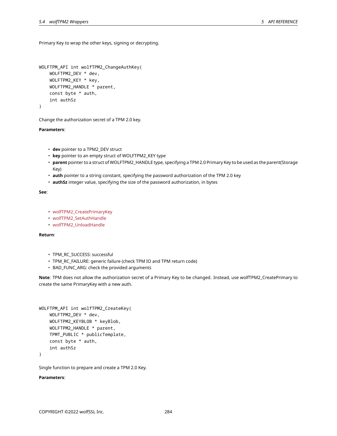Primary Key to wrap the other keys, signing or decrypting.

```
WOLFTPM_API int wolfTPM2_ChangeAuthKey(
    WOLFTPM2_DEV * dev,
    WOLFTPM2_KEY * key,
    WOLFTPM2_HANDLE * parent,
    const byte * auth,
    int authSz
)
```
Change the authorization secret of a TPM 2.0 key.

## **Parameters**:

- **dev** pointer to a TPM2\_DEV struct
- **key** pointer to an empty struct of WOLFTPM2\_KEY type
- **parent** pointer to a struct of WOLFTPM2\_HANDLE type, specifying a TPM 2.0 Primary Key to be used as the parent(Storage Key)
- **auth** pointer to a string constant, specifying the password authorization of the TPM 2.0 key
- **authSz** integer value, specifying the size of the password authorization, in bytes

**See**:

```
• wolfTPM2_CreatePrimaryKey
```
- wolfTPM2\_SetAuthHandle
- wolfTPM2\_UnloadHandle

## **Return**:

- TPM\_RC\_SUCCESS: successful
- TPM\_RC\_FAILURE: generic failure (check TPM IO and TPM return code)
- BAD\_FUNC\_ARG: check the provided arguments

**Note**: TPM does not allow the authorization secret of a Primary Key to be changed. Instead, use wolfTPM2\_CreatePrimary to create the same PrimaryKey with a new auth.

```
WOLFTPM_API int wolfTPM2_CreateKey(
    WOLFTPM2_DEV * dev,
    WOLFTPM2_KEYBLOB * keyBlob,
    WOLFTPM2_HANDLE * parent,
    TPMT_PUBLIC * publicTemplate,
    const byte * auth,
    int authSz
```
)

Single function to prepare and create a TPM 2.0 Key.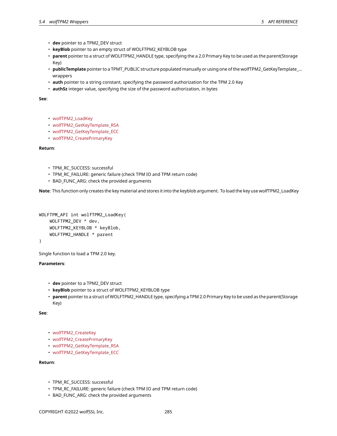- **dev** pointer to a TPM2\_DEV struct
- **keyBlob** pointer to an empty struct of WOLFTPM2\_KEYBLOB type
- **parent** pointer to a struct of WOLFTPM2\_HANDLE type, specifying the a 2.0 Primary Key to be used as the parent(Storage Key)
- **publicTemplate** pointer to a TPMT\_PUBLIC structure populated manually or using one of the wolfTPM2\_GetKeyTemplate\_… wrappers
- **auth** pointer to a string constant, specifying the password authorization for the TPM 2.0 Key
- **authSz** integer value, specifying the size of the password authorization, in bytes

**See**:

- wolfTPM2\_LoadKey
- wolfTPM2\_GetKeyTemplate\_RSA
- wolfTPM2\_GetKeyTemplate\_ECC
- wolfTPM2\_CreatePrimaryKey

**Return**:

- TPM\_RC\_SUCCESS: successful
- TPM\_RC\_FAILURE: generic failure (check TPM IO and TPM return code)
- BAD\_FUNC\_ARG: check the provided arguments

**Note**: This function only creates the key material and stores it into the keyblob argument. To load the key use wolfTPM2\_LoadKey

```
WOLFTPM_API int wolfTPM2_LoadKey(
    WOLFTPM2_DEV * dev,
    WOLFTPM2_KEYBLOB * keyBlob,
    WOLFTPM2_HANDLE * parent
```
)

Single function to load a TPM 2.0 key.

## **Parameters**:

- **dev** pointer to a TPM2\_DEV struct
- **keyBlob** pointer to a struct of WOLFTPM2\_KEYBLOB type
- **parent** pointer to a struct of WOLFTPM2\_HANDLE type, specifying a TPM 2.0 Primary Key to be used as the parent(Storage Key)

**See**:

- wolfTPM2\_CreateKey
- wolfTPM2\_CreatePrimaryKey
- wolfTPM2\_GetKeyTemplate\_RSA
- wolfTPM2\_GetKeyTemplate\_ECC

# **Return**:

- TPM\_RC\_SUCCESS: successful
- TPM\_RC\_FAILURE: generic failure (check TPM IO and TPM return code)
- BAD\_FUNC\_ARG: check the provided arguments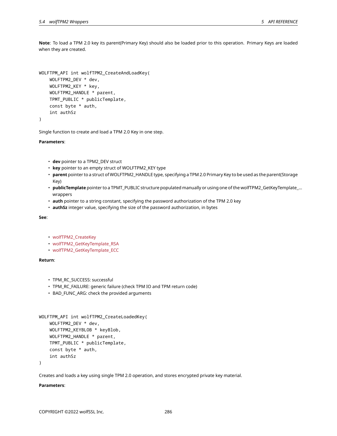**Note**: To load a TPM 2.0 key its parent(Primary Key) should also be loaded prior to this operation. Primary Keys are loaded when they are created.

```
WOLFTPM_API int wolfTPM2_CreateAndLoadKey(
    WOLFTPM2_DEV * dev,
    WOLFTPM2_KEY * key,
    WOLFTPM2_HANDLE * parent,
    TPMT_PUBLIC * publicTemplate,
    const byte * auth,
    int authSz
)
```
Single function to create and load a TPM 2.0 Key in one step.

**Parameters**:

- **dev** pointer to a TPM2\_DEV struct
- **key** pointer to an empty struct of WOLFTPM2\_KEY type
- **parent** pointer to a struct of WOLFTPM2\_HANDLE type, specifying a TPM 2.0 Primary Key to be used as the parent(Storage Key)
- **publicTemplate** pointer to a TPMT\_PUBLIC structure populated manually or using one of the wolfTPM2\_GetKeyTemplate\_… wrappers
- **auth** pointer to a string constant, specifying the password authorization of the TPM 2.0 key
- **authSz** integer value, specifying the size of the password authorization, in bytes

### **See**:

- wolfTPM2\_CreateKey
- wolfTPM2\_GetKeyTemplate\_RSA
- wolfTPM2\_GetKeyTemplate\_ECC

# **Return**:

- TPM\_RC\_SUCCESS: successful
- TPM\_RC\_FAILURE: generic failure (check TPM IO and TPM return code)
- BAD\_FUNC\_ARG: check the provided arguments

```
WOLFTPM_API int wolfTPM2_CreateLoadedKey(
    WOLFTPM2_DEV * dev,
    WOLFTPM2_KEYBLOB * keyBlob,
    WOLFTPM2_HANDLE * parent,
    TPMT_PUBLIC * publicTemplate,
    const byte * auth,
    int authSz
```
)

Creates and loads a key using single TPM 2.0 operation, and stores encrypted private key material.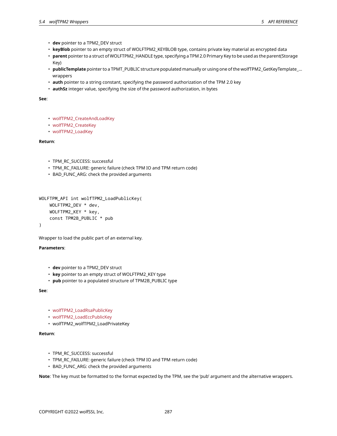- **dev** pointer to a TPM2\_DEV struct
- **keyBlob** pointer to an empty struct of WOLFTPM2\_KEYBLOB type, contains private key material as encrypted data
- **parent** pointer to a struct of WOLFTPM2\_HANDLE type, specifying a TPM 2.0 Primary Key to be used as the parent(Storage Key)
- **publicTemplate** pointer to a TPMT\_PUBLIC structure populated manually or using one of the wolfTPM2\_GetKeyTemplate\_… wrappers
- **auth** pointer to a string constant, specifying the password authorization of the TPM 2.0 key
- **authSz** integer value, specifying the size of the password authorization, in bytes

**See**:

- wolfTPM2\_CreateAndLoadKey
- wolfTPM2\_CreateKey
- wolfTPM2\_LoadKey

**Return**:

- TPM\_RC\_SUCCESS: successful
- TPM\_RC\_FAILURE: generic failure (check TPM IO and TPM return code)
- BAD\_FUNC\_ARG: check the provided arguments

```
WOLFTPM_API int wolfTPM2_LoadPublicKey(
    WOLFTPM2_DEV * dev,
    WOLFTPM2_KEY * key,
    const TPM2B_PUBLIC * pub
```
)

Wrapper to load the public part of an external key.

## **Parameters**:

- **dev** pointer to a TPM2\_DEV struct
- **key** pointer to an empty struct of WOLFTPM2\_KEY type
- **pub** pointer to a populated structure of TPM2B\_PUBLIC type

**See**:

- wolfTPM2\_LoadRsaPublicKey
- wolfTPM2\_LoadEccPublicKey
- wolfTPM2\_wolfTPM2\_LoadPrivateKey

## **Return**:

- TPM\_RC\_SUCCESS: successful
- TPM\_RC\_FAILURE: generic failure (check TPM IO and TPM return code)
- BAD\_FUNC\_ARG: check the provided arguments

**Note**: The key must be formatted to the format expected by the TPM, see the 'pub' argument and the alternative wrappers.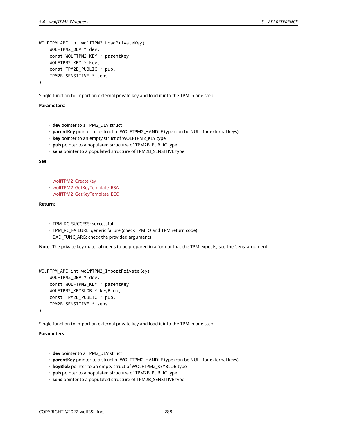```
WOLFTPM_API int wolfTPM2_LoadPrivateKey(
    WOLFTPM2_DEV * dev,
    const WOLFTPM2_KEY * parentKey,
    WOLFTPM2_KEY * key,
    const TPM2B_PUBLIC * pub,
    TPM2B_SENSITIVE * sens
)
```
Single function to import an external private key and load it into the TPM in one step.

## **Parameters**:

- **dev** pointer to a TPM2\_DEV struct
- **parentKey** pointer to a struct of WOLFTPM2\_HANDLE type (can be NULL for external keys)
- **key** pointer to an empty struct of WOLFTPM2\_KEY type
- **pub** pointer to a populated structure of TPM2B\_PUBLIC type
- **sens** pointer to a populated structure of TPM2B\_SENSITIVE type

**See**:

- wolfTPM2\_CreateKey
- wolfTPM2\_GetKeyTemplate\_RSA
- wolfTPM2\_GetKeyTemplate\_ECC

# **Return**:

- TPM\_RC\_SUCCESS: successful
- TPM\_RC\_FAILURE: generic failure (check TPM IO and TPM return code)
- BAD\_FUNC\_ARG: check the provided arguments

**Note**: The private key material needs to be prepared in a format that the TPM expects, see the 'sens' argument

```
WOLFTPM_API int wolfTPM2_ImportPrivateKey(
    WOLFTPM2_DEV * dev,
    const WOLFTPM2_KEY * parentKey,
    WOLFTPM2_KEYBLOB * keyBlob,
    const TPM2B_PUBLIC * pub,
    TPM2B_SENSITIVE * sens
)
```
Single function to import an external private key and load it into the TPM in one step.

- **dev** pointer to a TPM2\_DEV struct
- **parentKey** pointer to a struct of WOLFTPM2\_HANDLE type (can be NULL for external keys)
- **keyBlob** pointer to an empty struct of WOLFTPM2\_KEYBLOB type
- **pub** pointer to a populated structure of TPM2B\_PUBLIC type
- **sens** pointer to a populated structure of TPM2B\_SENSITIVE type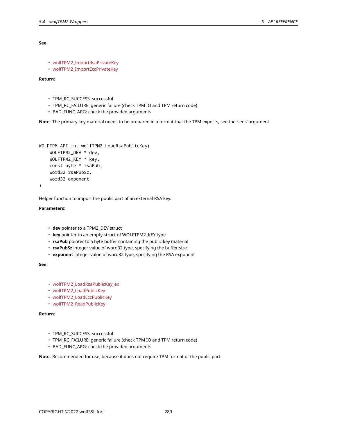## **See**:

```
• wolfTPM2_ImportRsaPrivateKey
```
• wolfTPM2\_ImportEccPrivateKey

# **Return**:

- TPM\_RC\_SUCCESS: successful
- TPM\_RC\_FAILURE: generic failure (check TPM IO and TPM return code)
- BAD\_FUNC\_ARG: check the provided arguments

**Note**: The primary key material needs to be prepared in a format that the TPM expects, see the 'sens' argument

```
WOLFTPM_API int wolfTPM2_LoadRsaPublicKey(
    WOLFTPM2_DEV * dev,
    WOLFTPM2_KEY * key,
    const byte * rsaPub,
    word32 rsaPubSz,
    word32 exponent
)
```
Helper function to import the public part of an external RSA key.

# **Parameters**:

# • **dev** pointer to a TPM2\_DEV struct

- **key** pointer to an empty struct of WOLFTPM2\_KEY type
- **rsaPub** pointer to a byte buffer containing the public key material
- **rsaPubSz** integer value of word32 type, specifying the buffer size
- **exponent** integer value of word32 type, specifying the RSA exponent

## **See**:

- wolfTPM2\_LoadRsaPublicKey\_ex
- wolfTPM2\_LoadPublicKey
- wolfTPM2\_LoadEccPublicKey
- wolfTPM2\_ReadPublicKey

# **Return**:

- TPM\_RC\_SUCCESS: successful
- TPM\_RC\_FAILURE: generic failure (check TPM IO and TPM return code)
- BAD\_FUNC\_ARG: check the provided arguments

**Note**: Recommended for use, because it does not require TPM format of the public part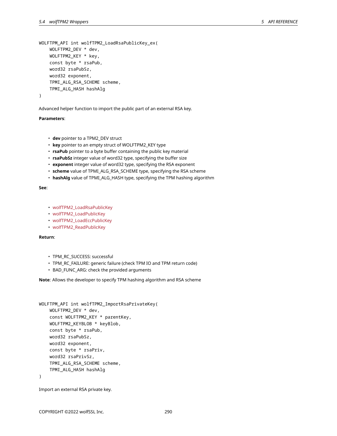WOLFTPM\_API int wolfTPM2\_LoadRsaPublicKey\_ex( WOLFTPM2\_DEV \* dev, WOLFTPM2\_KEY \* key, const byte \* rsaPub, word32 rsaPubSz, word32 exponent, TPMI\_ALG\_RSA\_SCHEME scheme, TPMI\_ALG\_HASH hashAlg

```
)
```
Advanced helper function to import the public part of an external RSA key.

## **Parameters**:

- **dev** pointer to a TPM2\_DEV struct
- **key** pointer to an empty struct of WOLFTPM2\_KEY type
- **rsaPub** pointer to a byte buffer containing the public key material
- **rsaPubSz** integer value of word32 type, specifying the buffer size
- **exponent** integer value of word32 type, specifying the RSA exponent
- **scheme** value of TPMI\_ALG\_RSA\_SCHEME type, specifying the RSA scheme
- **hashAlg** value of TPMI\_ALG\_HASH type, specifying the TPM hashing algorithm

#### **See**:

- wolfTPM2\_LoadRsaPublicKey
- wolfTPM2\_LoadPublicKey
- wolfTPM2\_LoadEccPublicKey
- wolfTPM2\_ReadPublicKey

# **Return**:

- TPM\_RC\_SUCCESS: successful
- TPM\_RC\_FAILURE: generic failure (check TPM IO and TPM return code)
- BAD\_FUNC\_ARG: check the provided arguments

**Note**: Allows the developer to specify TPM hashing algorithm and RSA scheme

```
WOLFTPM_API int wolfTPM2_ImportRsaPrivateKey(
    WOLFTPM2_DEV * dev,
    const WOLFTPM2_KEY * parentKey,
    WOLFTPM2_KEYBLOB * keyBlob,
    const byte * rsaPub,
    word32 rsaPubSz,
    word32 exponent,
    const byte * rsaPriv,
    word32 rsaPrivSz,
    TPMI_ALG_RSA_SCHEME scheme,
    TPMI_ALG_HASH hashAlg
)
```
Import an external RSA private key.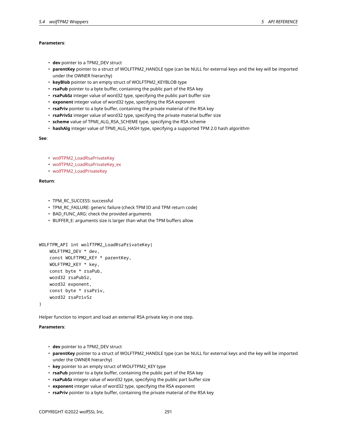# **Parameters**:

- **dev** pointer to a TPM2\_DEV struct
- **parentKey** pointer to a struct of WOLFTPM2\_HANDLE type (can be NULL for external keys and the key will be imported under the OWNER hierarchy)
- **keyBlob** pointer to an empty struct of WOLFTPM2\_KEYBLOB type
- **rsaPub** pointer to a byte buffer, containing the public part of the RSA key
- **rsaPubSz** integer value of word32 type, specifying the public part buffer size
- **exponent** integer value of word32 type, specifying the RSA exponent
- **rsaPriv** pointer to a byte buffer, containing the private material of the RSA key
- **rsaPrivSz** integer value of word32 type, specifying the private material buffer size
- **scheme** value of TPMI\_ALG\_RSA\_SCHEME type, specifying the RSA scheme
- **hashAlg** integer value of TPMI\_ALG\_HASH type, specifying a supported TPM 2.0 hash algorithm

## **See**:

- wolfTPM2\_LoadRsaPrivateKey
- wolfTPM2\_LoadRsaPrivateKey\_ex
- wolfTPM2\_LoadPrivateKey

## **Return**:

- TPM\_RC\_SUCCESS: successful
- TPM\_RC\_FAILURE: generic failure (check TPM IO and TPM return code)
- BAD\_FUNC\_ARG: check the provided arguments
- BUFFER\_E: arguments size is larger than what the TPM buffers allow

```
WOLFTPM_API int wolfTPM2_LoadRsaPrivateKey(
    WOLFTPM2_DEV * dev,
    const WOLFTPM2_KEY * parentKey,
    WOLFTPM2_KEY * key,
    const byte * rsaPub,
    word32 rsaPubSz,
    word32 exponent,
    const byte * rsaPriv,
    word32 rsaPrivSz
)
```
Helper function to import and load an external RSA private key in one step.

- **dev** pointer to a TPM2\_DEV struct
- **parentKey** pointer to a struct of WOLFTPM2\_HANDLE type (can be NULL for external keys and the key will be imported under the OWNER hierarchy)
- **key** pointer to an empty struct of WOLFTPM2\_KEY type
- **rsaPub** pointer to a byte buffer, containing the public part of the RSA key
- **rsaPubSz** integer value of word32 type, specifying the public part buffer size
- **exponent** integer value of word32 type, specifying the RSA exponent
- **rsaPriv** pointer to a byte buffer, containing the private material of the RSA key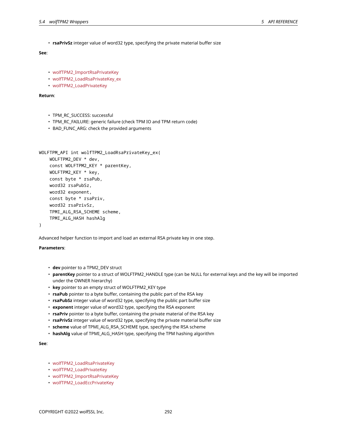• **rsaPrivSz** integer value of word32 type, specifying the private material buffer size

# **See**:

- wolfTPM2\_ImportRsaPrivateKey
- wolfTPM2\_LoadRsaPrivateKey\_ex
- wolfTPM2\_LoadPrivateKey

# **Return**:

- TPM\_RC\_SUCCESS: successful
- TPM\_RC\_FAILURE: generic failure (check TPM IO and TPM return code)
- BAD\_FUNC\_ARG: check the provided arguments

```
WOLFTPM API int wolfTPM2 LoadRsaPrivateKey ex(
    WOLFTPM2_DEV * dev,
    const WOLFTPM2_KEY * parentKey,
    WOLFTPM2_KEY * key,
    const byte * rsaPub,
    word32 rsaPubSz,
    word32 exponent,
    const byte * rsaPriv,
    word32 rsaPrivSz,
    TPMI_ALG_RSA_SCHEME scheme,
    TPMI_ALG_HASH hashAlg
)
```
Advanced helper function to import and load an external RSA private key in one step.

# **Parameters**:

- **dev** pointer to a TPM2\_DEV struct
- **parentKey** pointer to a struct of WOLFTPM2\_HANDLE type (can be NULL for external keys and the key will be imported under the OWNER hierarchy)
- **key** pointer to an empty struct of WOLFTPM2\_KEY type
- **rsaPub** pointer to a byte buffer, containing the public part of the RSA key
- **rsaPubSz** integer value of word32 type, specifying the public part buffer size
- **exponent** integer value of word32 type, specifying the RSA exponent
- **rsaPriv** pointer to a byte buffer, containing the private material of the RSA key
- **rsaPrivSz** integer value of word32 type, specifying the private material buffer size
- **scheme** value of TPMI\_ALG\_RSA\_SCHEME type, specifying the RSA scheme
- **hashAlg** value of TPMI\_ALG\_HASH type, specifying the TPM hashing algorithm

**See**:

- wolfTPM2\_LoadRsaPrivateKey
- wolfTPM2\_LoadPrivateKey
- wolfTPM2\_ImportRsaPrivateKey
- wolfTPM2\_LoadEccPrivateKey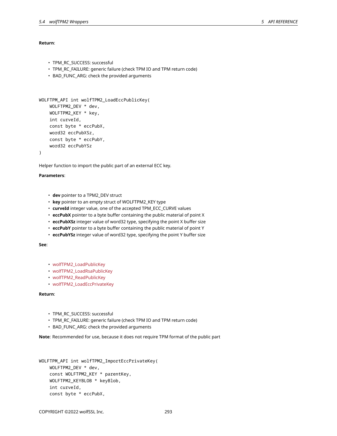## **Return**:

```
• TPM_RC_SUCCESS: successful
```
- TPM\_RC\_FAILURE: generic failure (check TPM IO and TPM return code)
- BAD\_FUNC\_ARG: check the provided arguments

```
WOLFTPM_API int wolfTPM2_LoadEccPublicKey(
    WOLFTPM2_DEV * dev,
    WOLFTPM2_KEY * key,
    int curveId,
    const byte * eccPubX,
    word32 eccPubXSz,
    const byte * eccPubY,
    word32 eccPubYSz
```

```
)
```
Helper function to import the public part of an external ECC key.

## **Parameters**:

- **dev** pointer to a TPM2\_DEV struct
- **key** pointer to an empty struct of WOLFTPM2\_KEY type
- **curveId** integer value, one of the accepted TPM\_ECC\_CURVE values
- **eccPubX** pointer to a byte buffer containing the public material of point X
- **eccPubXSz** integer value of word32 type, specifying the point X buffer size
- **eccPubY** pointer to a byte buffer containing the public material of point Y
- **eccPubYSz** integer value of word32 type, specifying the point Y buffer size

**See**:

- wolfTPM2\_LoadPublicKey
- wolfTPM2\_LoadRsaPublicKey
- wolfTPM2\_ReadPublicKey
- wolfTPM2\_LoadEccPrivateKey

# **Return**:

- TPM\_RC\_SUCCESS: successful
- TPM\_RC\_FAILURE: generic failure (check TPM IO and TPM return code)
- BAD\_FUNC\_ARG: check the provided arguments

**Note**: Recommended for use, because it does not require TPM format of the public part

```
WOLFTPM_API int wolfTPM2_ImportEccPrivateKey(
    WOLFTPM2_DEV * dev,
    const WOLFTPM2_KEY * parentKey,
    WOLFTPM2_KEYBLOB * keyBlob,
    int curveId,
    const byte * eccPubX,
```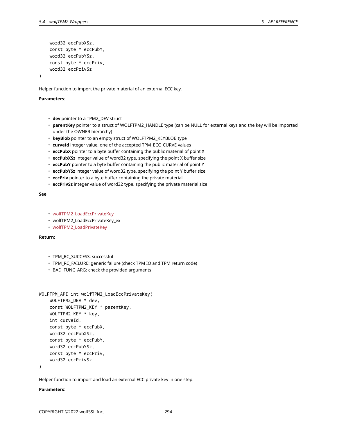```
word32 eccPubXSz,
const byte * eccPubY,
word32 eccPubYSz,
const byte * eccPriv,
word32 eccPrivSz
```
Helper function to import the private material of an external ECC key.

## **Parameters**:

)

- **dev** pointer to a TPM2\_DEV struct
- **parentKey** pointer to a struct of WOLFTPM2\_HANDLE type (can be NULL for external keys and the key will be imported under the OWNER hierarchy)
- **keyBlob** pointer to an empty struct of WOLFTPM2\_KEYBLOB type
- **curveId** integer value, one of the accepted TPM\_ECC\_CURVE values
- **eccPubX** pointer to a byte buffer containing the public material of point X
- **eccPubXSz** integer value of word32 type, specifying the point X buffer size
- **eccPubY** pointer to a byte buffer containing the public material of point Y
- **eccPubYSz** integer value of word32 type, specifying the point Y buffer size
- **eccPriv** pointer to a byte buffer containing the private material
- **eccPrivSz** integer value of word32 type, specifying the private material size

## **See**:

- wolfTPM2\_LoadEccPrivateKey
- wolfTPM2\_LoadEccPrivateKey\_ex
- wolfTPM2\_LoadPrivateKey

# **Return**:

- TPM\_RC\_SUCCESS: successful
- TPM\_RC\_FAILURE: generic failure (check TPM IO and TPM return code)
- BAD\_FUNC\_ARG: check the provided arguments

```
WOLFTPM_API int wolfTPM2_LoadEccPrivateKey(
    WOLFTPM2_DEV * dev,
    const WOLFTPM2_KEY * parentKey,
    WOLFTPM2_KEY * key,
    int curveId,
    const byte * eccPubX,
    word32 eccPubXSz,
    const byte * eccPubY,
    word32 eccPubYSz,
    const byte * eccPriv,
    word32 eccPrivSz
```
)

Helper function to import and load an external ECC private key in one step.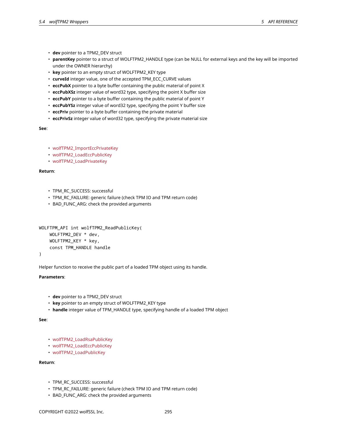- 
- **dev** pointer to a TPM2\_DEV struct
- **parentKey** pointer to a struct of WOLFTPM2\_HANDLE type (can be NULL for external keys and the key will be imported under the OWNER hierarchy)
- **key** pointer to an empty struct of WOLFTPM2\_KEY type
- **curveId** integer value, one of the accepted TPM\_ECC\_CURVE values
- **eccPubX** pointer to a byte buffer containing the public material of point X
- **eccPubXSz** integer value of word32 type, specifying the point X buffer size
- **eccPubY** pointer to a byte buffer containing the public material of point Y
- **eccPubYSz** integer value of word32 type, specifying the point Y buffer size
- **eccPriv** pointer to a byte buffer containing the private material
- **eccPrivSz** integer value of word32 type, specifying the private material size

## **See**:

- wolfTPM2\_ImportEccPrivateKey
- wolfTPM2\_LoadEccPublicKey
- wolfTPM2\_LoadPrivateKey

# **Return**:

- TPM\_RC\_SUCCESS: successful
- TPM\_RC\_FAILURE: generic failure (check TPM IO and TPM return code)
- BAD\_FUNC\_ARG: check the provided arguments

```
WOLFTPM_API int wolfTPM2_ReadPublicKey(
    WOLFTPM2_DEV * dev,
    WOLFTPM2_KEY * key,
    const TPM_HANDLE handle
```
)

Helper function to receive the public part of a loaded TPM object using its handle.

# **Parameters**:

- **dev** pointer to a TPM2\_DEV struct
- **key** pointer to an empty struct of WOLFTPM2\_KEY type
- **handle** integer value of TPM\_HANDLE type, specifying handle of a loaded TPM object

## **See**:

- wolfTPM2\_LoadRsaPublicKey
- wolfTPM2\_LoadEccPublicKey
- wolfTPM2\_LoadPublicKey

- TPM\_RC\_SUCCESS: successful
- TPM\_RC\_FAILURE: generic failure (check TPM IO and TPM return code)
- BAD\_FUNC\_ARG: check the provided arguments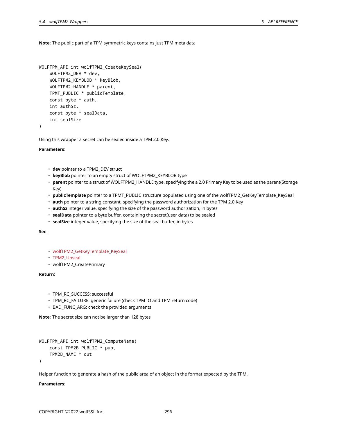**Note**: The public part of a TPM symmetric keys contains just TPM meta data

```
WOLFTPM_API int wolfTPM2_CreateKeySeal(
   WOLFTPM2_DEV * dev,
   WOLFTPM2_KEYBLOB * keyBlob,
    WOLFTPM2_HANDLE * parent,
    TPMT_PUBLIC * publicTemplate,
    const byte * auth,
    int authSz,
    const byte * sealData,
    int sealSize
)
```
Using this wrapper a secret can be sealed inside a TPM 2.0 Key.

## **Parameters**:

- **dev** pointer to a TPM2\_DEV struct
- **keyBlob** pointer to an empty struct of WOLFTPM2\_KEYBLOB type
- **parent** pointer to a struct of WOLFTPM2\_HANDLE type, specifying the a 2.0 Primary Key to be used as the parent(Storage Key)
- **publicTemplate** pointer to a TPMT\_PUBLIC structure populated using one of the wolfTPM2\_GetKeyTemplate\_KeySeal
- **auth** pointer to a string constant, specifying the password authorization for the TPM 2.0 Key
- **authSz** integer value, specifying the size of the password authorization, in bytes
- **sealData** pointer to a byte buffer, containing the secret(user data) to be sealed
- **sealSize** integer value, specifying the size of the seal buffer, in bytes

## **See**:

- wolfTPM2\_GetKeyTemplate\_KeySeal
- TPM2\_Unseal
- wolfTPM2\_CreatePrimary

## **Return**:

- TPM\_RC\_SUCCESS: successful
- TPM\_RC\_FAILURE: generic failure (check TPM IO and TPM return code)
- BAD\_FUNC\_ARG: check the provided arguments

**Note**: The secret size can not be larger than 128 bytes

```
WOLFTPM_API int wolfTPM2_ComputeName(
    const TPM2B_PUBLIC * pub,
    TPM2B_NAME * out
)
```
Helper function to generate a hash of the public area of an object in the format expected by the TPM.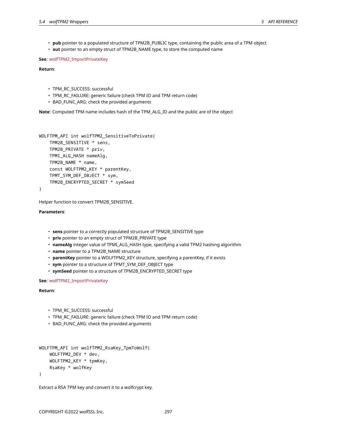- **pub** pointer to a populated structure of TPM2B\_PUBLIC type, containing the public area of a TPM object
- **out** pointer to an empty struct of TPM2B\_NAME type, to store the computed name

**See**: wolfTPM2\_ImportPrivateKey

**Return**:

- TPM\_RC\_SUCCESS: successful
- TPM\_RC\_FAILURE: generic failure (check TPM IO and TPM return code)
- BAD\_FUNC\_ARG: check the provided arguments

**Note**: Computed TPM name includes hash of the TPM\_ALG\_ID and the public are of the object

```
WOLFTPM_API int wolfTPM2_SensitiveToPrivate(
    TPM2B_SENSITIVE * sens,
    TPM2B_PRIVATE * priv,
    TPMI_ALG_HASH nameAlg,
    TPM2B_NAME * name,
    const WOLFTPM2_KEY * parentKey,
    TPMT_SYM_DEF_OBJECT * sym,
    TPM2B_ENCRYPTED_SECRET * symSeed
```

```
)
```
Helper function to convert TPM2B\_SENSITIVE.

**Parameters**:

- **sens** pointer to a correctly populated structure of TPM2B\_SENSITIVE type
- **priv** pointer to an empty struct of TPM2B\_PRIVATE type
- **nameAlg** integer value of TPMI\_ALG\_HASH type, specifying a valid TPM2 hashing algorithm
- **name** pointer to a TPM2B\_NAME structure
- **parentKey** pointer to a WOLFTPM2\_KEY structure, specifying a parentKey, if it exists
- **sym** pointer to a structure of TPMT\_SYM\_DEF\_OBJECT type
- **symSeed** pointer to a structure of TPM2B\_ENCRYPTED\_SECRET type

**See**: wolfTPM2\_ImportPrivateKey

**Return**:

- TPM\_RC\_SUCCESS: successful
- TPM\_RC\_FAILURE: generic failure (check TPM IO and TPM return code)
- BAD\_FUNC\_ARG: check the provided arguments

```
WOLFTPM_API int wolfTPM2_RsaKey_TpmToWolf(
    WOLFTPM2_DEV * dev,
    WOLFTPM2_KEY * tpmKey,
    RsaKey * wolfKey
)
```
Extract a RSA TPM key and convert it to a wolfcrypt key.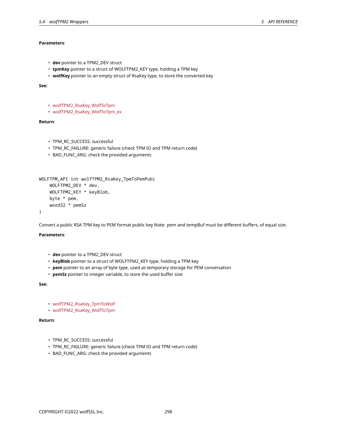- wolfTPM2\_RsaKey\_WolfToTpm
- wolfTPM2\_RsaKey\_WolfToTpm\_ex

• **dev** pointer to a TPM2\_DEV struct

# **Return**:

**See**:

- TPM\_RC\_SUCCESS: successful
- TPM\_RC\_FAILURE: generic failure (check TPM IO and TPM return code)

• **tpmKey** pointer to a struct of WOLFTPM2\_KEY type, holding a TPM key • **wolfKey** pointer to an empty struct of RsaKey type, to store the converted key

• BAD\_FUNC\_ARG: check the provided arguments

```
WOLFTPM_API int wolfTPM2_RsaKey_TpmToPemPub(
    WOLFTPM2_DEV * dev,
    WOLFTPM2_KEY * keyBlob,
    byte * pem,
    word32 * pemSz
)
```
Convert a public RSA TPM key to PEM format public key Note: pem and tempBuf must be different buffers, of equal size.

# **Parameters**:

- **dev** pointer to a TPM2\_DEV struct
- **keyBlob** pointer to a struct of WOLFTPM2\_KEY type, holding a TPM key
- **pem** pointer to an array of byte type, used as temporary storage for PEM conversation
- **pemSz** pointer to integer variable, to store the used buffer size

# **See**:

- wolfTPM2\_RsaKey\_TpmToWolf
- wolfTPM2\_RsaKey\_WolfToTpm

# **Return**:

- TPM\_RC\_SUCCESS: successful
- TPM\_RC\_FAILURE: generic failure (check TPM IO and TPM return code)
- BAD\_FUNC\_ARG: check the provided arguments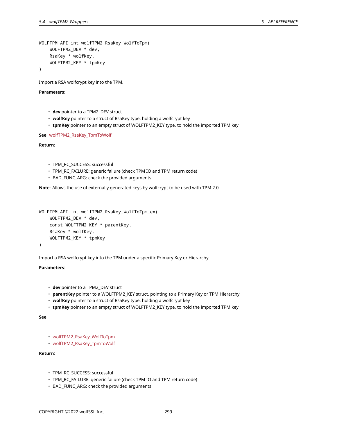```
WOLFTPM_API int wolfTPM2_RsaKey_WolfToTpm(
    WOLFTPM2_DEV * dev,
    RsaKey * wolfKey,
    WOLFTPM2_KEY * tpmKey
)
```
Import a RSA wolfcrypt key into the TPM.

# **Parameters**:

- **dev** pointer to a TPM2\_DEV struct
- **wolfKey** pointer to a struct of RsaKey type, holding a wolfcrypt key
- **tpmKey** pointer to an empty struct of WOLFTPM2\_KEY type, to hold the imported TPM key

**See**: wolfTPM2\_RsaKey\_TpmToWolf

## **Return**:

- TPM\_RC\_SUCCESS: successful
- TPM\_RC\_FAILURE: generic failure (check TPM IO and TPM return code)
- BAD\_FUNC\_ARG: check the provided arguments

**Note**: Allows the use of externally generated keys by wolfcrypt to be used with TPM 2.0

```
WOLFTPM_API int wolfTPM2_RsaKey_WolfToTpm_ex(
    WOLFTPM2_DEV * dev,
    const WOLFTPM2_KEY * parentKey,
    RsaKey * wolfKey,
    WOLFTPM2_KEY * tpmKey
)
```
Import a RSA wolfcrypt key into the TPM under a specific Primary Key or Hierarchy.

# **Parameters**:

- **dev** pointer to a TPM2\_DEV struct
- **parentKey** pointer to a WOLFTPM2\_KEY struct, pointing to a Primary Key or TPM Hierarchy
- **wolfKey** pointer to a struct of RsaKey type, holding a wolfcrypt key
- **tpmKey** pointer to an empty struct of WOLFTPM2\_KEY type, to hold the imported TPM key

# **See**:

- wolfTPM2\_RsaKey\_WolfToTpm
- wolfTPM2\_RsaKey\_TpmToWolf

- TPM\_RC\_SUCCESS: successful
- TPM\_RC\_FAILURE: generic failure (check TPM IO and TPM return code)
- BAD\_FUNC\_ARG: check the provided arguments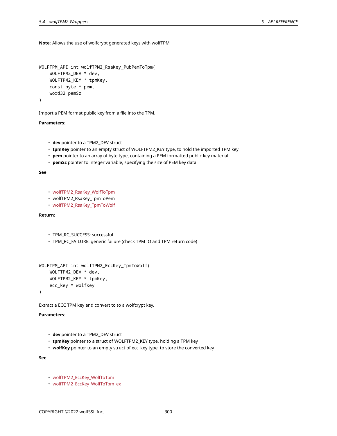**Note**: Allows the use of wolfcrypt generated keys with wolfTPM

```
WOLFTPM_API int wolfTPM2_RsaKey_PubPemToTpm(
    WOLFTPM2_DEV * dev,
    WOLFTPM2_KEY * tpmKey,
    const byte * pem,
    word32 pemSz
)
```
Import a PEM format public key from a file into the TPM.

## **Parameters**:

- **dev** pointer to a TPM2\_DEV struct
- **tpmKey** pointer to an empty struct of WOLFTPM2\_KEY type, to hold the imported TPM key
- **pem** pointer to an array of byte type, containing a PEM formatted public key material
- **pemSz** pointer to integer variable, specifying the size of PEM key data

# **See**:

- wolfTPM2\_RsaKey\_WolfToTpm
- wolfTPM2\_RsaKey\_TpmToPem
- wolfTPM2\_RsaKey\_TpmToWolf

# **Return**:

```
• TPM_RC_SUCCESS: successful
```
• TPM\_RC\_FAILURE: generic failure (check TPM IO and TPM return code)

```
WOLFTPM_API int wolfTPM2_EccKey_TpmToWolf(
   WOLFTPM2_DEV * dev,
    WOLFTPM2_KEY * tpmKey,
    ecc_key * wolfKey
)
```
Extract a ECC TPM key and convert to to a wolfcrypt key.

# **Parameters**:

- **dev** pointer to a TPM2\_DEV struct
- **tpmKey** pointer to a struct of WOLFTPM2\_KEY type, holding a TPM key
- **wolfKey** pointer to an empty struct of ecc\_key type, to store the converted key

# **See**:

- wolfTPM2\_EccKey\_WolfToTpm
- wolfTPM2\_EccKey\_WolfToTpm\_ex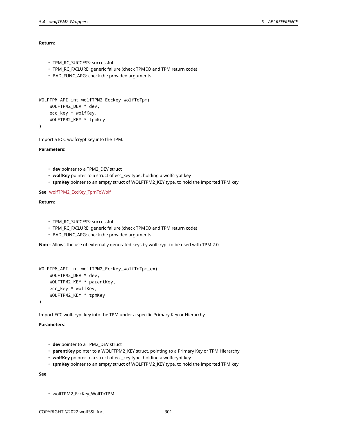# **Return**:

```
• TPM_RC_SUCCESS: successful
```
- TPM\_RC\_FAILURE: generic failure (check TPM IO and TPM return code)
- BAD\_FUNC\_ARG: check the provided arguments

```
WOLFTPM_API int wolfTPM2_EccKey_WolfToTpm(
   WOLFTPM2_DEV * dev,
    ecc_key * wolfKey,
   WOLFTPM2_KEY * tpmKey
```
)

Import a ECC wolfcrypt key into the TPM.

# **Parameters**:

- **dev** pointer to a TPM2\_DEV struct
- **wolfKey** pointer to a struct of ecc\_key type, holding a wolfcrypt key
- **tpmKey** pointer to an empty struct of WOLFTPM2\_KEY type, to hold the imported TPM key

# **See**: wolfTPM2\_EccKey\_TpmToWolf

# **Return**:

- TPM\_RC\_SUCCESS: successful
- TPM\_RC\_FAILURE: generic failure (check TPM IO and TPM return code)
- BAD\_FUNC\_ARG: check the provided arguments

**Note**: Allows the use of externally generated keys by wolfcrypt to be used with TPM 2.0

```
WOLFTPM_API int wolfTPM2_EccKey_WolfToTpm_ex(
    WOLFTPM2_DEV * dev,
    WOLFTPM2_KEY * parentKey,
    ecc_key * wolfKey,
   WOLFTPM2_KEY * tpmKey
)
```
Import ECC wolfcrypt key into the TPM under a specific Primary Key or Hierarchy.

# **Parameters**:

- **dev** pointer to a TPM2\_DEV struct
- **parentKey** pointer to a WOLFTPM2\_KEY struct, pointing to a Primary Key or TPM Hierarchy
- **wolfKey** pointer to a struct of ecc\_key type, holding a wolfcrypt key
- **tpmKey** pointer to an empty struct of WOLFTPM2\_KEY type, to hold the imported TPM key

**See**:

• wolfTPM2\_EccKey\_WolfToTPM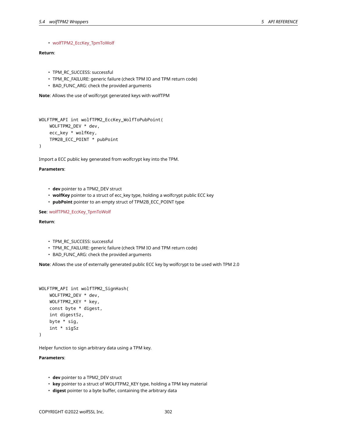# • wolfTPM2\_EccKey\_TpmToWolf

# **Return**:

```
• TPM_RC_SUCCESS: successful
```
- TPM\_RC\_FAILURE: generic failure (check TPM IO and TPM return code)
- BAD FUNC ARG: check the provided arguments

**Note**: Allows the use of wolfcrypt generated keys with wolfTPM

```
WOLFTPM_API int wolfTPM2_EccKey_WolfToPubPoint(
    WOLFTPM2_DEV * dev,
    ecc_key * wolfKey,
    TPM2B_ECC_POINT * pubPoint
)
```
Import a ECC public key generated from wolfcrypt key into the TPM.

# **Parameters**:

- **dev** pointer to a TPM2\_DEV struct
- **wolfKey** pointer to a struct of ecc\_key type, holding a wolfcrypt public ECC key
- **pubPoint** pointer to an empty struct of TPM2B\_ECC\_POINT type

# **See**: wolfTPM2\_EccKey\_TpmToWolf

## **Return**:

- TPM\_RC\_SUCCESS: successful
- TPM\_RC\_FAILURE: generic failure (check TPM IO and TPM return code)
- BAD\_FUNC\_ARG: check the provided arguments

**Note**: Allows the use of externally generated public ECC key by wolfcrypt to be used with TPM 2.0

```
WOLFTPM_API int wolfTPM2_SignHash(
    WOLFTPM2_DEV * dev,
    WOLFTPM2_KEY * key,
    const byte * digest,
    int digestSz,
    byte * sig,
    int * sigSz
\lambda
```
Helper function to sign arbitrary data using a TPM key.

- **dev** pointer to a TPM2\_DEV struct
- **key** pointer to a struct of WOLFTPM2\_KEY type, holding a TPM key material
- **digest** pointer to a byte buffer, containing the arbitrary data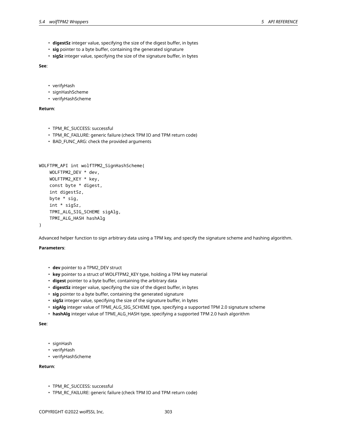- **digestSz** integer value, specifying the size of the digest buffer, in bytes
- **sig** pointer to a byte buffer, containing the generated signature
- **sigSz** integer value, specifying the size of the signature buffer, in bytes

**See**:

- verifyHash
- signHashScheme
- verifyHashScheme

## **Return**:

- TPM\_RC\_SUCCESS: successful
- TPM\_RC\_FAILURE: generic failure (check TPM IO and TPM return code)
- BAD\_FUNC\_ARG: check the provided arguments

```
WOLFTPM_API int wolfTPM2_SignHashScheme(
    WOLFTPM2_DEV * dev,
    WOLFTPM2_KEY * key,
    const byte * digest,
    int digestSz,
    byte * sig,
    int * sigSz,
    TPMI_ALG_SIG_SCHEME sigAlg,
    TPMI_ALG_HASH hashAlg
```
)

Advanced helper function to sign arbitrary data using a TPM key, and specify the signature scheme and hashing algorithm.

# **Parameters**:

- **dev** pointer to a TPM2\_DEV struct
- **key** pointer to a struct of WOLFTPM2\_KEY type, holding a TPM key material
- **digest** pointer to a byte buffer, containing the arbitrary data
- **digestSz** integer value, specifying the size of the digest buffer, in bytes
- **sig** pointer to a byte buffer, containing the generated signature
- **sigSz** integer value, specifying the size of the signature buffer, in bytes
- **sigAlg** integer value of TPMI\_ALG\_SIG\_SCHEME type, specifying a supported TPM 2.0 signature scheme
- **hashAlg** integer value of TPMI\_ALG\_HASH type, specifying a supported TPM 2.0 hash algorithm

**See**:

- signHash
- verifyHash
- verifyHashScheme

- TPM\_RC\_SUCCESS: successful
- TPM\_RC\_FAILURE: generic failure (check TPM IO and TPM return code)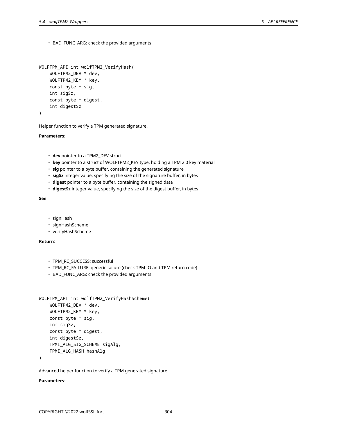• BAD\_FUNC\_ARG: check the provided arguments

```
WOLFTPM_API int wolfTPM2_VerifyHash(
    WOLFTPM2_DEV * dev,
    WOLFTPM2_KEY * key,
    const byte * sig,
    int sigSz,
    const byte * digest,
    int digestSz
)
```
Helper function to verify a TPM generated signature.

#### **Parameters**:

- **dev** pointer to a TPM2\_DEV struct
- **key** pointer to a struct of WOLFTPM2\_KEY type, holding a TPM 2.0 key material
- **sig** pointer to a byte buffer, containing the generated signature
- **sigSz** integer value, specifying the size of the signature buffer, in bytes
- **digest** pointer to a byte buffer, containing the signed data
- **digestSz** integer value, specifying the size of the digest buffer, in bytes

## **See**:

- signHash
- signHashScheme
- verifyHashScheme

## **Return**:

- TPM\_RC\_SUCCESS: successful
- TPM\_RC\_FAILURE: generic failure (check TPM IO and TPM return code)
- BAD\_FUNC\_ARG: check the provided arguments

```
WOLFTPM_API int wolfTPM2_VerifyHashScheme(
    WOLFTPM2_DEV * dev,
    WOLFTPM2_KEY * key,
    const byte * sig,
    int sigSz,
    const byte * digest,
    int digestSz,
    TPMI_ALG_SIG_SCHEME sigAlg,
    TPMI_ALG_HASH hashAlg
```
)

Advanced helper function to verify a TPM generated signature.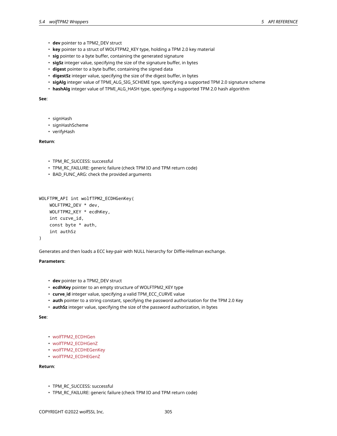- **dev** pointer to a TPM2\_DEV struct
- **key** pointer to a struct of WOLFTPM2\_KEY type, holding a TPM 2.0 key material
- **sig** pointer to a byte buffer, containing the generated signature
- **sigSz** integer value, specifying the size of the signature buffer, in bytes
- **digest** pointer to a byte buffer, containing the signed data
- **digestSz** integer value, specifying the size of the digest buffer, in bytes
- **sigAlg** integer value of TPMI\_ALG\_SIG\_SCHEME type, specifying a supported TPM 2.0 signature scheme
- **hashAlg** integer value of TPMI\_ALG\_HASH type, specifying a supported TPM 2.0 hash algorithm

## **See**:

- signHash
- signHashScheme
- verifyHash

# **Return**:

- TPM\_RC\_SUCCESS: successful
- TPM\_RC\_FAILURE: generic failure (check TPM IO and TPM return code)
- BAD\_FUNC\_ARG: check the provided arguments

```
WOLFTPM_API int wolfTPM2_ECDHGenKey(
    WOLFTPM2_DEV * dev,
    WOLFTPM2_KEY * ecdhKey,
    int curve_id,
    const byte * auth,
    int authSz
```

```
)
```
Generates and then loads a ECC key-pair with NULL hierarchy for Diffie-Hellman exchange.

## **Parameters**:

- **dev** pointer to a TPM2\_DEV struct
- **ecdhKey** pointer to an empty structure of WOLFTPM2\_KEY type
- **curve\_id** integer value, specifying a valid TPM\_ECC\_CURVE value
- **auth** pointer to a string constant, specifying the password authorization for the TPM 2.0 Key
- **authSz** integer value, specifying the size of the password authorization, in bytes

**See**:

- wolfTPM2\_ECDHGen
- wolfTPM2\_ECDHGenZ
- wolfTPM2\_ECDHEGenKey
- wolfTPM2\_ECDHEGenZ

- TPM\_RC\_SUCCESS: successful
- TPM\_RC\_FAILURE: generic failure (check TPM IO and TPM return code)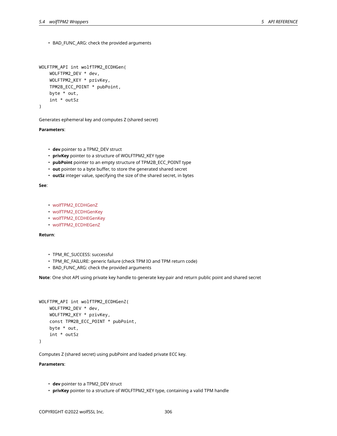• BAD\_FUNC\_ARG: check the provided arguments

```
WOLFTPM_API int wolfTPM2_ECDHGen(
    WOLFTPM2_DEV * dev,
    WOLFTPM2_KEY * privKey,
    TPM2B_ECC_POINT * pubPoint,
    byte * out,
    int * outSz
)
```
Generates ephemeral key and computes Z (shared secret)

```
Parameters:
```
- **dev** pointer to a TPM2\_DEV struct
- **privKey** pointer to a structure of WOLFTPM2\_KEY type
- **pubPoint** pointer to an empty structure of TPM2B\_ECC\_POINT type
- **out** pointer to a byte buffer, to store the generated shared secret
- **outSz** integer value, specifying the size of the shared secret, in bytes

**See**:

- wolfTPM2\_ECDHGenZ
- wolfTPM2\_ECDHGenKey
- wolfTPM2\_ECDHEGenKey
- wolfTPM2\_ECDHEGenZ

## **Return**:

- TPM\_RC\_SUCCESS: successful
- TPM\_RC\_FAILURE: generic failure (check TPM IO and TPM return code)
- BAD\_FUNC\_ARG: check the provided arguments

**Note**: One shot API using private key handle to generate key-pair and return public point and shared secret

```
WOLFTPM_API int wolfTPM2_ECDHGenZ(
    WOLFTPM2_DEV * dev,
    WOLFTPM2_KEY * privKey,
    const TPM2B_ECC_POINT * pubPoint,
    byte * out,
    int * outSz
)
```
Computes Z (shared secret) using pubPoint and loaded private ECC key.

- **dev** pointer to a TPM2\_DEV struct
- **privKey** pointer to a structure of WOLFTPM2\_KEY type, containing a valid TPM handle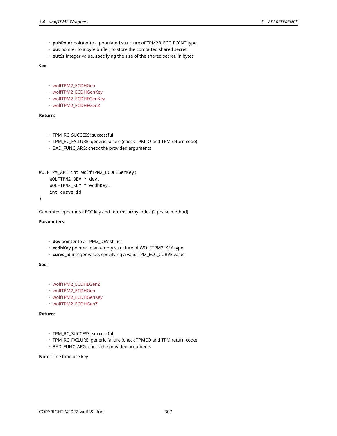- **pubPoint** pointer to a populated structure of TPM2B\_ECC\_POINT type
- **out** pointer to a byte buffer, to store the computed shared secret
- **outSz** integer value, specifying the size of the shared secret, in bytes

**See**:

- wolfTPM2\_ECDHGen
- wolfTPM2\_ECDHGenKey
- wolfTPM2\_ECDHEGenKey
- wolfTPM2\_ECDHEGenZ

# **Return**:

- TPM\_RC\_SUCCESS: successful
- TPM\_RC\_FAILURE: generic failure (check TPM IO and TPM return code)
- BAD\_FUNC\_ARG: check the provided arguments

```
WOLFTPM_API int wolfTPM2_ECDHEGenKey(
   WOLFTPM2_DEV * dev,
   WOLFTPM2_KEY * ecdhKey,
    int curve_id
```

```
)
```
Generates ephemeral ECC key and returns array index (2 phase method)

# **Parameters**:

- **dev** pointer to a TPM2\_DEV struct
- **ecdhKey** pointer to an empty structure of WOLFTPM2\_KEY type
- **curve\_id** integer value, specifying a valid TPM\_ECC\_CURVE value

# **See**:

- wolfTPM2\_ECDHEGenZ
- wolfTPM2\_ECDHGen
- wolfTPM2\_ECDHGenKey
- wolfTPM2\_ECDHGenZ

# **Return**:

- TPM\_RC\_SUCCESS: successful
- TPM\_RC\_FAILURE: generic failure (check TPM IO and TPM return code)
- BAD\_FUNC\_ARG: check the provided arguments

**Note**: One time use key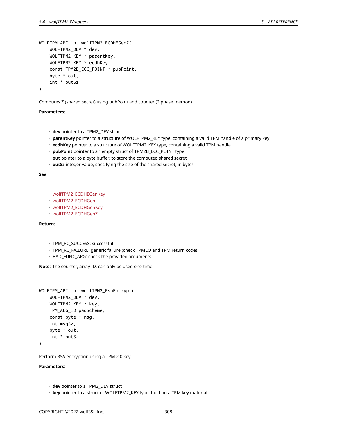```
WOLFTPM_API int wolfTPM2_ECDHEGenZ(
    WOLFTPM2_DEV * dev,
    WOLFTPM2_KEY * parentKey,
    WOLFTPM2_KEY * ecdhKey,
    const TPM2B_ECC_POINT * pubPoint,
    byte * out,
    int * outSz
)
```
Computes Z (shared secret) using pubPoint and counter (2 phase method)

# **Parameters**:

- **dev** pointer to a TPM2\_DEV struct
- **parentKey** pointer to a structure of WOLFTPM2\_KEY type, containing a valid TPM handle of a primary key
- **ecdhKey** pointer to a structure of WOLFTPM2\_KEY type, containing a valid TPM handle
- **pubPoint** pointer to an empty struct of TPM2B\_ECC\_POINT type
- **out** pointer to a byte buffer, to store the computed shared secret
- **outSz** integer value, specifying the size of the shared secret, in bytes

## **See**:

- wolfTPM2\_ECDHEGenKey
- wolfTPM2\_ECDHGen
- wolfTPM2\_ECDHGenKey
- wolfTPM2\_ECDHGenZ

# **Return**:

- TPM\_RC\_SUCCESS: successful
- TPM\_RC\_FAILURE: generic failure (check TPM IO and TPM return code)
- BAD\_FUNC\_ARG: check the provided arguments

**Note**: The counter, array ID, can only be used one time

```
WOLFTPM_API int wolfTPM2_RsaEncrypt(
    WOLFTPM2_DEV * dev,
    WOLFTPM2_KEY * key,
    TPM_ALG_ID padScheme,
    const byte * msg,
    int msgSz,
    byte * out,
    int * outSz
```
)

Perform RSA encryption using a TPM 2.0 key.

- **dev** pointer to a TPM2\_DEV struct
- **key** pointer to a struct of WOLFTPM2\_KEY type, holding a TPM key material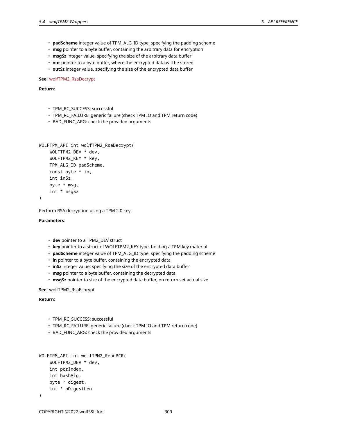- **padScheme** integer value of TPM\_ALG\_ID type, specifying the padding scheme
- **msg** pointer to a byte buffer, containing the arbitrary data for encryption
- **msgSz** integer value, specifying the size of the arbitrary data buffer
- **out** pointer to a byte buffer, where the encrypted data will be stored
- **outSz** integer value, specifying the size of the encrypted data buffer

# **See**: wolfTPM2\_RsaDecrypt

**Return**:

- TPM\_RC\_SUCCESS: successful
- TPM\_RC\_FAILURE: generic failure (check TPM IO and TPM return code)
- BAD\_FUNC\_ARG: check the provided arguments

```
WOLFTPM_API int wolfTPM2_RsaDecrypt(
    WOLFTPM2_DEV * dev,
    WOLFTPM2_KEY * key,
    TPM_ALG_ID padScheme,
    const byte * in,
    int inSz,
    byte * msg,
    int * msgSz
)
```
Perform RSA decryption using a TPM 2.0 key.

## **Parameters**:

- **dev** pointer to a TPM2\_DEV struct
- **key** pointer to a struct of WOLFTPM2\_KEY type, holding a TPM key material
- **padScheme** integer value of TPM\_ALG\_ID type, specifying the padding scheme
- **in** pointer to a byte buffer, containing the encrypted data
- **inSz** integer value, specifying the size of the encrypted data buffer
- **msg** pointer to a byte buffer, containing the decrypted data
- **msgSz** pointer to size of the encrypted data buffer, on return set actual size

**See**: wolfTPM2\_RsaEcnrypt

- TPM\_RC\_SUCCESS: successful
- TPM\_RC\_FAILURE: generic failure (check TPM IO and TPM return code)
- BAD\_FUNC\_ARG: check the provided arguments

```
WOLFTPM_API int wolfTPM2_ReadPCR(
    WOLFTPM2_DEV * dev,
    int pcrIndex,
    int hashAlg,
    byte * digest,
    int * pDigestLen
)
```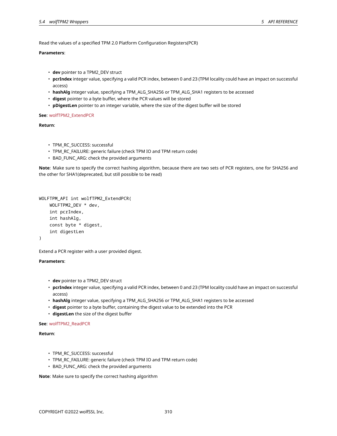Read the values of a specified TPM 2.0 Platform Configuration Registers(PCR)

# **Parameters**:

- **dev** pointer to a TPM2\_DEV struct
- **pcrIndex** integer value, specifying a valid PCR index, between 0 and 23 (TPM locality could have an impact on successful access)
- **hashAlg** integer value, specifying a TPM\_ALG\_SHA256 or TPM\_ALG\_SHA1 registers to be accessed
- **digest** pointer to a byte buffer, where the PCR values will be stored
- **pDigestLen** pointer to an integer variable, where the size of the digest buffer will be stored

# **See**: wolfTPM2\_ExtendPCR

**Return**:

- TPM\_RC\_SUCCESS: successful
- TPM\_RC\_FAILURE: generic failure (check TPM IO and TPM return code)
- BAD\_FUNC\_ARG: check the provided arguments

**Note**: Make sure to specify the correct hashing algorithm, because there are two sets of PCR registers, one for SHA256 and the other for SHA1(deprecated, but still possible to be read)

```
WOLFTPM_API int wolfTPM2_ExtendPCR(
    WOLFTPM2_DEV * dev,
    int pcrIndex,
    int hashAlg,
    const byte * digest,
    int digestLen
)
```
Extend a PCR register with a user provided digest.

# **Parameters**:

- **dev** pointer to a TPM2\_DEV struct
- **pcrIndex** integer value, specifying a valid PCR index, between 0 and 23 (TPM locality could have an impact on successful access)
- **hashAlg** integer value, specifying a TPM\_ALG\_SHA256 or TPM\_ALG\_SHA1 registers to be accessed
- **digest** pointer to a byte buffer, containing the digest value to be extended into the PCR
- **digestLen** the size of the digest buffer

**See**: wolfTPM2\_ReadPCR

**Return**:

- TPM\_RC\_SUCCESS: successful
- TPM\_RC\_FAILURE: generic failure (check TPM IO and TPM return code)
- BAD\_FUNC\_ARG: check the provided arguments

**Note**: Make sure to specify the correct hashing algorithm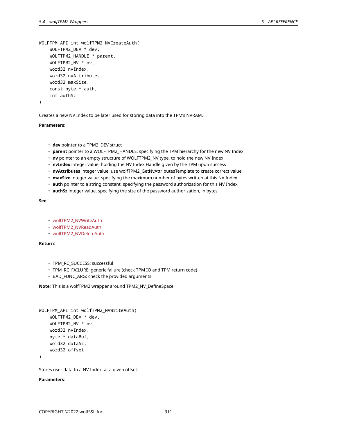```
WOLFTPM_API int wolfTPM2_NVCreateAuth(
    WOLFTPM2_DEV * dev,
    WOLFTPM2_HANDLE * parent,
    WOLFTPM2_NV * nv,
    word32 nvIndex,
    word32 nvAttributes,
    word32 maxSize,
    const byte * auth,
    int authSz
```
)

Creates a new NV Index to be later used for storing data into the TPM's NVRAM.

## **Parameters**:

- **dev** pointer to a TPM2\_DEV struct
- **parent** pointer to a WOLFTPM2\_HANDLE, specifying the TPM hierarchy for the new NV Index
- **nv** pointer to an empty structure of WOLFTPM2\_NV type, to hold the new NV Index
- **nvIndex** integer value, holding the NV Index Handle given by the TPM upon success
- **nvAttributes** integer value, use wolfTPM2\_GetNvAttributesTemplate to create correct value
- **maxSize** integer value, specifying the maximum number of bytes written at this NV Index
- **auth** pointer to a string constant, specifying the password authorization for this NV Index
- **authSz** integer value, specifying the size of the password authorization, in bytes

## **See**:

- wolfTPM2\_NVWriteAuth
- wolfTPM2\_NVReadAuth
- wolfTPM2\_NVDeleteAuth

#### **Return**:

- TPM\_RC\_SUCCESS: successful
- TPM\_RC\_FAILURE: generic failure (check TPM IO and TPM return code)
- BAD\_FUNC\_ARG: check the provided arguments

**Note**: This is a wolfTPM2 wrapper around TPM2\_NV\_DefineSpace

```
WOLFTPM_API int wolfTPM2_NVWriteAuth(
    WOLFTPM2_DEV * dev,
    WOLFTPM2_NV * nv,
    word32 nvIndex,
    byte * dataBuf,
    word32 dataSz,
    word32 offset
```
)

Stores user data to a NV Index, at a given offset.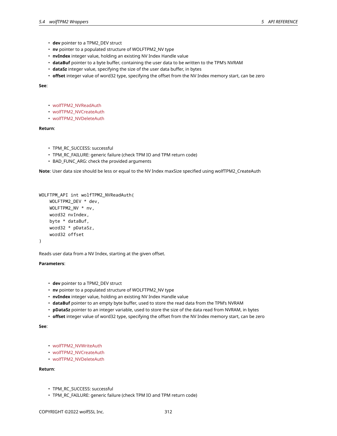- **dev** pointer to a TPM2\_DEV struct
- **nv** pointer to a populated structure of WOLFTPM2\_NV type
- **nvIndex** integer value, holding an existing NV Index Handle value
- **dataBuf** pointer to a byte buffer, containing the user data to be written to the TPM's NVRAM
- **dataSz** integer value, specifying the size of the user data buffer, in bytes
- **offset** integer value of word32 type, specifying the offset from the NV Index memory start, can be zero

**See**:

- wolfTPM2\_NVReadAuth
- wolfTPM2\_NVCreateAuth
- wolfTPM2\_NVDeleteAuth

# **Return**:

- TPM\_RC\_SUCCESS: successful
- TPM\_RC\_FAILURE: generic failure (check TPM IO and TPM return code)
- BAD\_FUNC\_ARG: check the provided arguments

**Note**: User data size should be less or equal to the NV Index maxSize specified using wolfTPM2\_CreateAuth

```
WOLFTPM_API int wolfTPM2_NVReadAuth(
   WOLFTPM2_DEV * dev,
   WOLFTPM2_NV * nv,
    word32 nvIndex,
    byte * dataBuf,
    word32 * pDataSz,
    word32 offset
)
```
Reads user data from a NV Index, starting at the given offset.

## **Parameters**:

- **dev** pointer to a TPM2\_DEV struct
- **nv** pointer to a populated structure of WOLFTPM2\_NV type
- **nvIndex** integer value, holding an existing NV Index Handle value
- **dataBuf** pointer to an empty byte buffer, used to store the read data from the TPM's NVRAM
- **pDataSz** pointer to an integer variable, used to store the size of the data read from NVRAM, in bytes
- **offset** integer value of word32 type, specifying the offset from the NV Index memory start, can be zero

**See**:

- wolfTPM2\_NVWriteAuth
- wolfTPM2\_NVCreateAuth
- wolfTPM2\_NVDeleteAuth

- TPM\_RC\_SUCCESS: successful
- TPM\_RC\_FAILURE: generic failure (check TPM IO and TPM return code)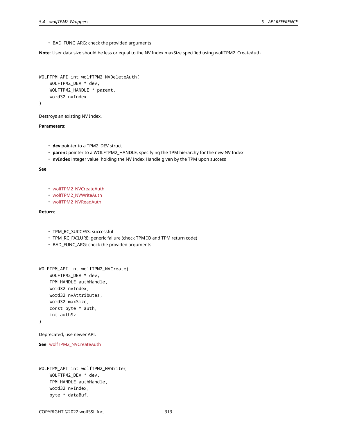• BAD\_FUNC\_ARG: check the provided arguments

**Note**: User data size should be less or equal to the NV Index maxSize specified using wolfTPM2\_CreateAuth

```
WOLFTPM_API int wolfTPM2_NVDeleteAuth(
    WOLFTPM2_DEV * dev,
    WOLFTPM2_HANDLE * parent,
    word32 nvIndex
)
```
Destroys an existing NV Index.

# **Parameters**:

- **dev** pointer to a TPM2\_DEV struct
- **parent** pointer to a WOLFTPM2\_HANDLE, specifying the TPM hierarchy for the new NV Index
- **nvIndex** integer value, holding the NV Index Handle given by the TPM upon success

## **See**:

- wolfTPM2\_NVCreateAuth
- wolfTPM2\_NVWriteAuth
- wolfTPM2\_NVReadAuth

## **Return**:

- TPM\_RC\_SUCCESS: successful
- TPM\_RC\_FAILURE: generic failure (check TPM IO and TPM return code)
- BAD\_FUNC\_ARG: check the provided arguments

```
WOLFTPM_API int wolfTPM2_NVCreate(
    WOLFTPM2_DEV * dev,
    TPM_HANDLE authHandle,
   word32 nvIndex,
   word32 nvAttributes,
    word32 maxSize,
    const byte * auth,
    int authSz
```
# )

Deprecated, use newer API.

```
See: wolfTPM2_NVCreateAuth
```

```
WOLFTPM_API int wolfTPM2_NVWrite(
    WOLFTPM2_DEV * dev,
    TPM_HANDLE authHandle,
    word32 nvIndex,
    byte * dataBuf,
```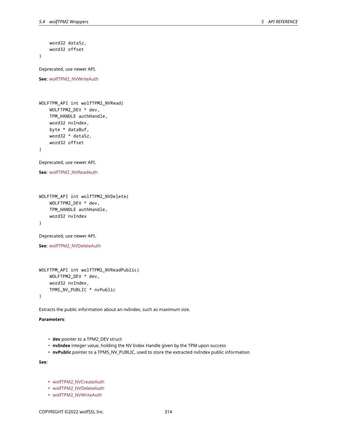```
word32 dataSz,
    word32 offset
)
Deprecated, use newer API.
See: wolfTPM2_NVWriteAuth
WOLFTPM_API int wolfTPM2_NVRead(
    WOLFTPM2_DEV * dev,
    TPM_HANDLE authHandle,
    word32 nvIndex,
    byte * dataBuf,
    word32 * dataSz,
    word32 offset
)
Deprecated, use newer API.
See: wolfTPM2_NVReadAuth
WOLFTPM_API int wolfTPM2_NVDelete(
    WOLFTPM2_DEV * dev,
    TPM_HANDLE authHandle,
    word32 nvIndex
)
```
Deprecated, use newer API.

**See**: wolfTPM2\_NVDeleteAuth

```
WOLFTPM_API int wolfTPM2_NVReadPublic(
   WOLFTPM2_DEV * dev,
   word32 nvIndex,
   TPMS_NV_PUBLIC * nvPublic
)
```
Extracts the public information about an nvIndex, such as maximum size.

## **Parameters**:

- **dev** pointer to a TPM2\_DEV struct
- **nvIndex** integer value, holding the NV Index Handle given by the TPM upon success
- **nvPublic** pointer to a TPMS\_NV\_PUBLIC, used to store the extracted nvIndex public information

**See**:

- wolfTPM2\_NVCreateAuth
- wolfTPM2\_NVDeleteAuth
- wolfTPM2\_NVWriteAuth

COPYRIGHT ©2022 wolfSSL Inc. 314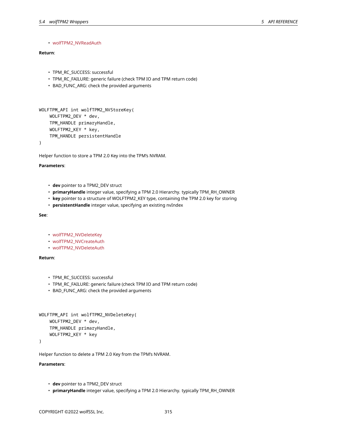# • wolfTPM2\_NVReadAuth

# **Return**:

- TPM\_RC\_SUCCESS: successful
- TPM\_RC\_FAILURE: generic failure (check TPM IO and TPM return code)
- BAD FUNC ARG: check the provided arguments
- 

```
WOLFTPM_API int wolfTPM2_NVStoreKey(
    WOLFTPM2_DEV * dev,
    TPM_HANDLE primaryHandle,
    WOLFTPM2_KEY * key,
    TPM_HANDLE persistentHandle
```
)

Helper function to store a TPM 2.0 Key into the TPM's NVRAM.

#### **Parameters**:

- **dev** pointer to a TPM2\_DEV struct
- **primaryHandle** integer value, specifying a TPM 2.0 Hierarchy. typically TPM\_RH\_OWNER
- **key** pointer to a structure of WOLFTPM2\_KEY type, containing the TPM 2.0 key for storing
- **persistentHandle** integer value, specifying an existing nvIndex

## **See**:

- wolfTPM2\_NVDeleteKey
- wolfTPM2\_NVCreateAuth
- wolfTPM2\_NVDeleteAuth

## **Return**:

- TPM\_RC\_SUCCESS: successful
- TPM\_RC\_FAILURE: generic failure (check TPM IO and TPM return code)
- BAD\_FUNC\_ARG: check the provided arguments

```
WOLFTPM_API int wolfTPM2_NVDeleteKey(
    WOLFTPM2_DEV * dev,
    TPM_HANDLE primaryHandle,
    WOLFTPM2_KEY * key
```
## )

Helper function to delete a TPM 2.0 Key from the TPM's NVRAM.

- **dev** pointer to a TPM2\_DEV struct
- **primaryHandle** integer value, specifying a TPM 2.0 Hierarchy. typically TPM\_RH\_OWNER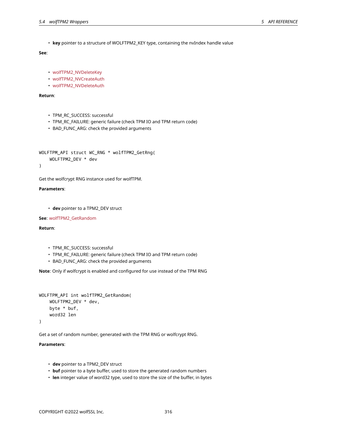• **key** pointer to a structure of WOLFTPM2\_KEY type, containing the nvIndex handle value

# **See**:

- wolfTPM2\_NVDeleteKey
- wolfTPM2\_NVCreateAuth
- wolfTPM2\_NVDeleteAuth

# **Return**:

- TPM\_RC\_SUCCESS: successful
- TPM\_RC\_FAILURE: generic failure (check TPM IO and TPM return code)
- BAD\_FUNC\_ARG: check the provided arguments

```
WOLFTPM_API_struct WC_RNG * wolfTPM2_GetRng(
    WOLFTPM2_DEV * dev
```
)

Get the wolfcrypt RNG instance used for wolfTPM.

## **Parameters**:

• **dev** pointer to a TPM2\_DEV struct

**See**: wolfTPM2\_GetRandom

# **Return**:

- TPM\_RC\_SUCCESS: successful
- TPM\_RC\_FAILURE: generic failure (check TPM IO and TPM return code)
- BAD\_FUNC\_ARG: check the provided arguments

**Note**: Only if wolfcrypt is enabled and configured for use instead of the TPM RNG

```
WOLFTPM_API int wolfTPM2_GetRandom(
    WOLFTPM2_DEV * dev,
    byte * buf,
    word32 len
)
```
Get a set of random number, generated with the TPM RNG or wolfcrypt RNG.

- **dev** pointer to a TPM2\_DEV struct
- **buf** pointer to a byte buffer, used to store the generated random numbers
- **len** integer value of word32 type, used to store the size of the buffer, in bytes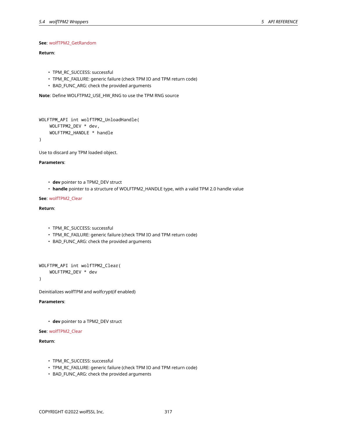# **See**: wolfTPM2\_GetRandom

# **Return**:

- TPM\_RC\_SUCCESS: successful
- TPM\_RC\_FAILURE: generic failure (check TPM IO and TPM return code)
- BAD FUNC ARG: check the provided arguments

**Note**: Define WOLFTPM2\_USE\_HW\_RNG to use the TPM RNG source

```
WOLFTPM_API int wolfTPM2_UnloadHandle(
    WOLFTPM2_DEV * dev,
    WOLFTPM2_HANDLE * handle
)
```
Use to discard any TPM loaded object.

## **Parameters**:

- **dev** pointer to a TPM2\_DEV struct
- **handle** pointer to a structure of WOLFTPM2\_HANDLE type, with a valid TPM 2.0 handle value

# **See**: wolfTPM2\_Clear

# **Return**:

- TPM\_RC\_SUCCESS: successful
- TPM\_RC\_FAILURE: generic failure (check TPM IO and TPM return code)
- BAD\_FUNC\_ARG: check the provided arguments

```
WOLFTPM_API int wolfTPM2_Clear(
    WOLFTPM2_DEV * dev
```
)

Deinitializes wolfTPM and wolfcrypt(if enabled)

## **Parameters**:

• **dev** pointer to a TPM2\_DEV struct

## **See**: wolfTPM2\_Clear

- TPM\_RC\_SUCCESS: successful
- TPM\_RC\_FAILURE: generic failure (check TPM IO and TPM return code)
- BAD\_FUNC\_ARG: check the provided arguments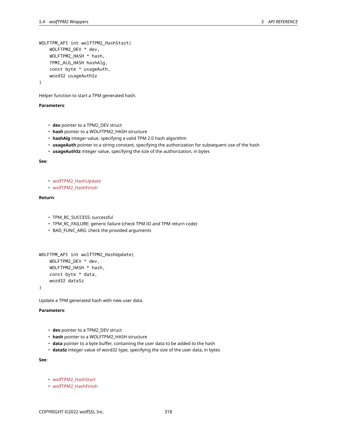```
WOLFTPM_API int wolfTPM2_HashStart(
    WOLFTPM2_DEV * dev,
    WOLFTPM2_HASH * hash,
    TPMI_ALG_HASH hashAlg,
    const byte * usageAuth,
    word32 usageAuthSz
```
)

Helper function to start a TPM generated hash.

# **Parameters**:

- **dev** pointer to a TPM2\_DEV struct
- **hash** pointer to a WOLFTPM2\_HASH structure
- **hashAlg** integer value, specifying a valid TPM 2.0 hash algorithm
- **usageAuth** pointer to a string constant, specifying the authorization for subsequent use of the hash
- **usageAuthSz** integer value, specifying the size of the authorization, in bytes

**See**:

- wolfTPM2\_HashUpdate
- wolfTPM2\_HashFinish

## **Return**:

- TPM\_RC\_SUCCESS: successful
- TPM\_RC\_FAILURE: generic failure (check TPM IO and TPM return code)
- BAD\_FUNC\_ARG: check the provided arguments

```
WOLFTPM_API int wolfTPM2_HashUpdate(
    WOLFTPM2_DEV * dev,
    WOLFTPM2 HASH * hash,
    const byte * data,
    word32 dataSz
)
```
Update a TPM generated hash with new user data.

# **Parameters**:

- **dev** pointer to a TPM2\_DEV struct
- **hash** pointer to a WOLFTPM2\_HASH structure
- **data** pointer to a byte buffer, containing the user data to be added to the hash
- **dataSz** integer value of word32 type, specifying the size of the user data, in bytes

**See**:

- wolfTPM2\_HashStart
- wolfTPM2\_HashFinish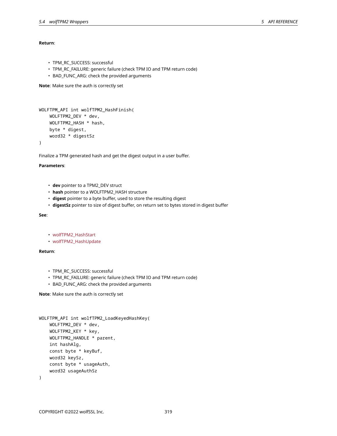# **Return**:

- TPM\_RC\_SUCCESS: successful
- TPM\_RC\_FAILURE: generic failure (check TPM IO and TPM return code)
- BAD\_FUNC\_ARG: check the provided arguments

**Note**: Make sure the auth is correctly set

```
WOLFTPM_API int wolfTPM2_HashFinish(
    WOLFTPM2_DEV * dev,
    WOLFTPM2_HASH * hash,
    byte * digest,
    word32 * digestSz
)
```
Finalize a TPM generated hash and get the digest output in a user buffer.

## **Parameters**:

- **dev** pointer to a TPM2\_DEV struct
- **hash** pointer to a WOLFTPM2\_HASH structure
- **digest** pointer to a byte buffer, used to store the resulting digest
- **digestSz** pointer to size of digest buffer, on return set to bytes stored in digest buffer

# **See**:

```
• wolfTPM2_HashStart
```
• wolfTPM2\_HashUpdate

# **Return**:

- TPM\_RC\_SUCCESS: successful
- TPM\_RC\_FAILURE: generic failure (check TPM IO and TPM return code)
- BAD\_FUNC\_ARG: check the provided arguments

**Note**: Make sure the auth is correctly set

```
WOLFTPM_API int wolfTPM2_LoadKeyedHashKey(
    WOLFTPM2_DEV * dev,
    WOLFTPM2_KEY * key,
    WOLFTPM2_HANDLE * parent,
    int hashAlg,
    const byte * keyBuf,
    word32 keySz,
    const byte * usageAuth,
    word32 usageAuthSz
)
```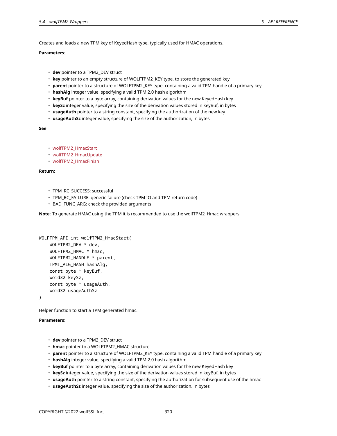# **Parameters**:

- **dev** pointer to a TPM2\_DEV struct
- **key** pointer to an empty structure of WOLFTPM2\_KEY type, to store the generated key
- **parent** pointer to a structure of WOLFTPM2\_KEY type, containing a valid TPM handle of a primary key
- **hashAlg** integer value, specifying a valid TPM 2.0 hash algorithm
- **keyBuf** pointer to a byte array, containing derivation values for the new KeyedHash key
- **keySz** integer value, specifying the size of the derivation values stored in keyBuf, in bytes
- **usageAuth** pointer to a string constant, specifying the authorization of the new key
- **usageAuthSz** integer value, specifying the size of the authorization, in bytes

# **See**:

- wolfTPM2\_HmacStart
- wolfTPM2\_HmacUpdate
- wolfTPM2\_HmacFinish

# **Return**:

- TPM\_RC\_SUCCESS: successful
- TPM\_RC\_FAILURE: generic failure (check TPM IO and TPM return code)
- BAD\_FUNC\_ARG: check the provided arguments

**Note**: To generate HMAC using the TPM it is recommended to use the wolfTPM2\_Hmac wrappers

```
WOLFTPM_API int wolfTPM2_HmacStart(
    WOLFTPM2_DEV * dev,
    WOLFTPM2_HMAC * hmac,
    WOLFTPM2_HANDLE * parent,
    TPMI_ALG_HASH hashAlg,
    const byte * keyBuf,
    word32 keySz,
    const byte * usageAuth,
    word32 usageAuthSz
```
)

Helper function to start a TPM generated hmac.

- **dev** pointer to a TPM2\_DEV struct
- **hmac** pointer to a WOLFTPM2\_HMAC structure
- **parent** pointer to a structure of WOLFTPM2\_KEY type, containing a valid TPM handle of a primary key
- **hashAlg** integer value, specifying a valid TPM 2.0 hash algorithm
- **keyBuf** pointer to a byte array, containing derivation values for the new KeyedHash key
- **keySz** integer value, specifying the size of the derivation values stored in keyBuf, in bytes
- **usageAuth** pointer to a string constant, specifying the authorization for subsequent use of the hmac
- **usageAuthSz** integer value, specifying the size of the authorization, in bytes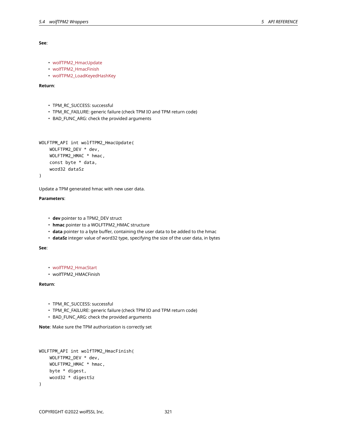#### **See**:

```
• wolfTPM2_HmacUpdate
```
- wolfTPM2\_HmacFinish
- wolfTPM2\_LoadKeyedHashKey

## **Return**:

- TPM\_RC\_SUCCESS: successful
- TPM\_RC\_FAILURE: generic failure (check TPM IO and TPM return code)
- BAD\_FUNC\_ARG: check the provided arguments

```
WOLFTPM_API int wolfTPM2_HmacUpdate(
    WOLFTPM2_DEV * dev,
    WOLFTPM2_HMAC * hmac,
    const byte * data,
    word32 dataSz
```
)

Update a TPM generated hmac with new user data.

# **Parameters**:

- **dev** pointer to a TPM2\_DEV struct
- **hmac** pointer to a WOLFTPM2\_HMAC structure
- **data** pointer to a byte buffer, containing the user data to be added to the hmac
- **dataSz** integer value of word32 type, specifying the size of the user data, in bytes

## **See**:

```
• wolfTPM2_HmacStart
```
• wolfTPM2\_HMACFinish

# **Return**:

- TPM\_RC\_SUCCESS: successful
- TPM\_RC\_FAILURE: generic failure (check TPM IO and TPM return code)
- BAD\_FUNC\_ARG: check the provided arguments

**Note**: Make sure the TPM authorization is correctly set

```
WOLFTPM_API int wolfTPM2_HmacFinish(
    WOLFTPM2_DEV * dev,
    WOLFTPM2_HMAC * hmac,
    byte * digest,
    word32 * digestSz
)
```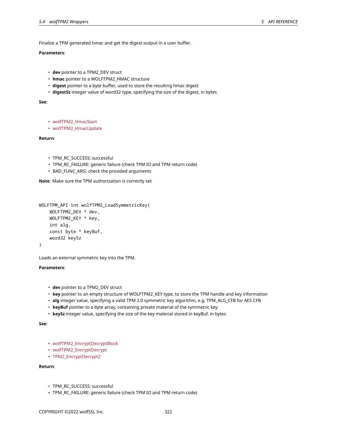Finalize a TPM generated hmac and get the digest output in a user buffer.

# **Parameters**:

- **dev** pointer to a TPM2\_DEV struct
- **hmac** pointer to a WOLFTPM2\_HMAC structure
- **digest** pointer to a byte buffer, used to store the resulting hmac digest
- **digestSz** integer value of word32 type, specifying the size of the digest, in bytes

## **See**:

```
• wolfTPM2_HmacStart
```
• wolfTPM2\_HmacUpdate

# **Return**:

- TPM\_RC\_SUCCESS: successful
- TPM\_RC\_FAILURE: generic failure (check TPM IO and TPM return code)
- BAD\_FUNC\_ARG: check the provided arguments

**Note**: Make sure the TPM authorization is correctly set

```
WOLFTPM_API int wolfTPM2_LoadSymmetricKey(
    WOLFTPM2_DEV * dev,
    WOLFTPM2_KEY * key,
    int alg,
    const byte * keyBuf,
    word32 keySz
)
```
Loads an external symmetric key into the TPM.

# **Parameters**:

- **dev** pointer to a TPM2\_DEV struct
- **key** pointer to an empty structure of WOLFTPM2\_KEY type, to store the TPM handle and key information
- **alg** integer value, specifying a valid TPM 2.0 symmetric key algorithm, e.g. TPM\_ALG\_CFB for AES CFB
- **keyBuf** pointer to a byte array, containing private material of the symmetric key
- **keySz** integer value, specifying the size of the key material stored in keyBuf, in bytes

**See**:

- wolfTPM2\_EncryptDecryptBlock
- wolfTPM2\_EncryptDecrypt
- TPM2\_EncryptDecrypt2

- TPM\_RC\_SUCCESS: successful
- TPM\_RC\_FAILURE: generic failure (check TPM IO and TPM return code)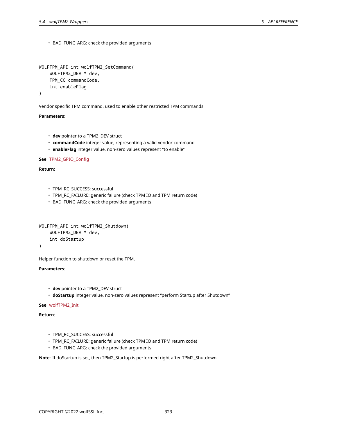• BAD\_FUNC\_ARG: check the provided arguments

```
WOLFTPM_API int wolfTPM2_SetCommand(
    WOLFTPM2_DEV * dev,
    TPM_CC commandCode,
    int enableFlag
```
)

Vendor specific TPM command, used to enable other restricted TPM commands.

# **Parameters**:

- **dev** pointer to a TPM2\_DEV struct
- **commandCode** integer value, representing a valid vendor command
- **enableFlag** integer value, non-zero values represent "to enable"

# **See**: TPM2\_GPIO\_Config

# **Return**:

- TPM\_RC\_SUCCESS: successful
- TPM\_RC\_FAILURE: generic failure (check TPM IO and TPM return code)
- BAD\_FUNC\_ARG: check the provided arguments

```
WOLFTPM_API int wolfTPM2_Shutdown(
    WOLFTPM2_DEV * dev,
    int doStartup
```
)

Helper function to shutdown or reset the TPM.

# **Parameters**:

- **dev** pointer to a TPM2\_DEV struct
- **doStartup** integer value, non-zero values represent "perform Startup after Shutdown"

## **See**: wolfTPM2\_Init

## **Return**:

- TPM\_RC\_SUCCESS: successful
- TPM\_RC\_FAILURE: generic failure (check TPM IO and TPM return code)
- BAD\_FUNC\_ARG: check the provided arguments

**Note**: If doStartup is set, then TPM2\_Startup is performed right after TPM2\_Shutdown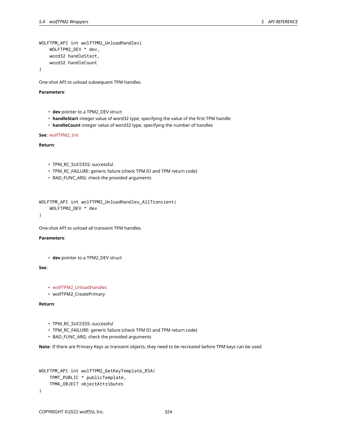```
WOLFTPM_API int wolfTPM2_UnloadHandles(
    WOLFTPM2_DEV * dev,
    word32 handleStart,
    word32 handleCount
)
```
One-shot API to unload subsequent TPM handles.

## **Parameters**:

- **dev** pointer to a TPM2\_DEV struct
- **handleStart** integer value of word32 type, specifying the value of the first TPM handle
- **handleCount** integer value of word32 type, specifying the number of handles

## **See**: wolfTPM2\_Init

**Return**:

- TPM\_RC\_SUCCESS: successful
- TPM\_RC\_FAILURE: generic failure (check TPM IO and TPM return code)
- BAD\_FUNC\_ARG: check the provided arguments

WOLFTPM\_API int wolfTPM2\_UnloadHandles\_AllTransient( WOLFTPM2\_DEV \* dev

)

One-shot API to unload all transient TPM handles.

# **Parameters**:

• **dev** pointer to a TPM2\_DEV struct

# **See**:

```
• wolfTPM2_UnloadHandles
```
• wolfTPM2\_CreatePrimary

# **Return**:

- TPM\_RC\_SUCCESS: successful
- TPM\_RC\_FAILURE: generic failure (check TPM IO and TPM return code)
- BAD\_FUNC\_ARG: check the provided arguments

**Note**: If there are Primary Keys as transient objects, they need to be recreated before TPM keys can be used

```
WOLFTPM_API int wolfTPM2_GetKeyTemplate_RSA(
    TPMT_PUBLIC * publicTemplate,
    TPMA_OBJECT objectAttributes
)
```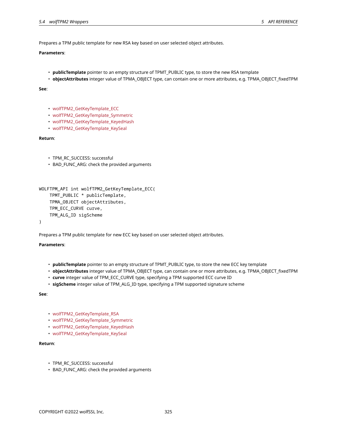Prepares a TPM public template for new RSA key based on user selected object attributes.

## **Parameters**:

- **publicTemplate** pointer to an empty structure of TPMT\_PUBLIC type, to store the new RSA template
- **objectAttributes** integer value of TPMA\_OBJECT type, can contain one or more attributes, e.g. TPMA\_OBJECT\_fixedTPM

#### **See**:

- wolfTPM2\_GetKeyTemplate\_ECC
- wolfTPM2\_GetKeyTemplate\_Symmetric
- wolfTPM2\_GetKeyTemplate\_KeyedHash
- wolfTPM2\_GetKeyTemplate\_KeySeal

# **Return**:

- TPM\_RC\_SUCCESS: successful
- BAD\_FUNC\_ARG: check the provided arguments

```
WOLFTPM_API int wolfTPM2_GetKeyTemplate_ECC(
    TPMT_PUBLIC * publicTemplate,
    TPMA_OBJECT objectAttributes,
    TPM_ECC_CURVE curve,
    TPM_ALG_ID sigScheme
)
```
Prepares a TPM public template for new ECC key based on user selected object attributes.

# **Parameters**:

- **publicTemplate** pointer to an empty structure of TPMT\_PUBLIC type, to store the new ECC key template
- **objectAttributes** integer value of TPMA\_OBJECT type, can contain one or more attributes, e.g. TPMA\_OBJECT\_fixedTPM
- **curve** integer value of TPM\_ECC\_CURVE type, specifying a TPM supported ECC curve ID
- **sigScheme** integer value of TPM\_ALG\_ID type, specifying a TPM supported signature scheme

**See**:

- wolfTPM2\_GetKeyTemplate\_RSA
- wolfTPM2\_GetKeyTemplate\_Symmetric
- wolfTPM2\_GetKeyTemplate\_KeyedHash
- wolfTPM2\_GetKeyTemplate\_KeySeal

- TPM\_RC\_SUCCESS: successful
- BAD\_FUNC\_ARG: check the provided arguments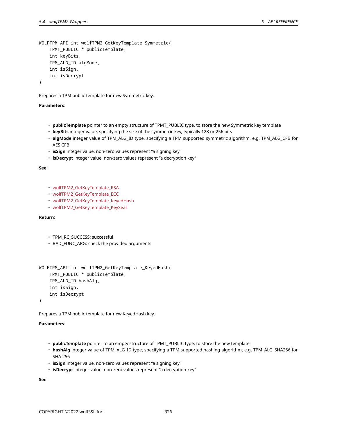```
WOLFTPM_API int wolfTPM2_GetKeyTemplate_Symmetric(
    TPMT_PUBLIC * publicTemplate,
    int keyBits,
    TPM_ALG_ID algMode,
    int isSign,
    int isDecrypt
```
Prepares a TPM public template for new Symmetric key.

### **Parameters**:

- **publicTemplate** pointer to an empty structure of TPMT\_PUBLIC type, to store the new Symmetric key template
- **keyBits** integer value, specifying the size of the symmetric key, typically 128 or 256 bits
- **algMode** integer value of TPM\_ALG\_ID type, specifying a TPM supported symmetric algorithm, e.g. TPM\_ALG\_CFB for AES CFB
- **isSign** integer value, non-zero values represent "a signing key"
- **isDecrypt** integer value, non-zero values represent "a decryption key"

**See**:

- wolfTPM2\_GetKeyTemplate\_RSA
- wolfTPM2\_GetKeyTemplate\_ECC
- wolfTPM2 GetKeyTemplate KeyedHash
- wolfTPM2\_GetKeyTemplate\_KeySeal

# **Return**:

- TPM\_RC\_SUCCESS: successful
- BAD\_FUNC\_ARG: check the provided arguments

```
WOLFTPM API int wolfTPM2 GetKeyTemplate KeyedHash(
    TPMT_PUBLIC * publicTemplate,
    TPM_ALG_ID hashAlg,
    int isSign,
    int isDecrypt
)
```
Prepares a TPM public template for new KeyedHash key.

#### **Parameters**:

- **publicTemplate** pointer to an empty structure of TPMT\_PUBLIC type, to store the new template
- **hashAlg** integer value of TPM\_ALG\_ID type, specifying a TPM supported hashing algorithm, e.g. TPM\_ALG\_SHA256 for SHA 256
- **isSign** integer value, non-zero values represent "a signing key"
- **isDecrypt** integer value, non-zero values represent "a decryption key"

**See**: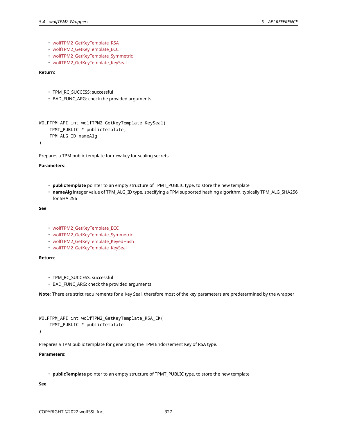- wolfTPM2\_GetKeyTemplate\_RSA
- wolfTPM2\_GetKeyTemplate\_ECC
- wolfTPM2\_GetKeyTemplate\_Symmetric
- wolfTPM2\_GetKeyTemplate\_KeySeal

## **Return**:

- TPM\_RC\_SUCCESS: successful
- BAD FUNC ARG: check the provided arguments

```
WOLFTPM_API int wolfTPM2_GetKeyTemplate_KeySeal(
    TPMT_PUBLIC * publicTemplate,
    TPM_ALG_ID nameAlg
```
)

Prepares a TPM public template for new key for sealing secrets.

#### **Parameters**:

- **publicTemplate** pointer to an empty structure of TPMT\_PUBLIC type, to store the new template
- **nameAlg** integer value of TPM\_ALG\_ID type, specifying a TPM supported hashing algorithm, typically TPM\_ALG\_SHA256 for SHA 256

## **See**:

- wolfTPM2\_GetKeyTemplate\_ECC
- wolfTPM2\_GetKeyTemplate\_Symmetric
- wolfTPM2\_GetKeyTemplate\_KeyedHash
- wolfTPM2\_GetKeyTemplate\_KeySeal

# **Return**:

- TPM\_RC\_SUCCESS: successful
- BAD\_FUNC\_ARG: check the provided arguments

**Note**: There are strict requirements for a Key Seal, therefore most of the key parameters are predetermined by the wrapper

```
WOLFTPM_API int wolfTPM2_GetKeyTemplate_RSA_EK(
    TPMT_PUBLIC * publicTemplate
```
)

Prepares a TPM public template for generating the TPM Endorsement Key of RSA type.

#### **Parameters**:

• **publicTemplate** pointer to an empty structure of TPMT\_PUBLIC type, to store the new template

### **See**: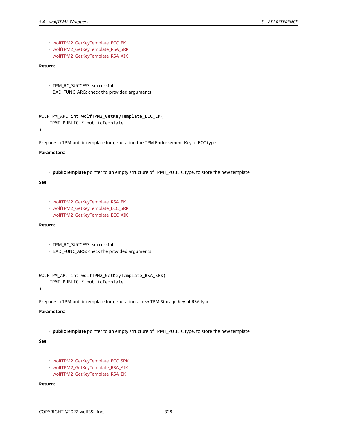- wolfTPM2\_GetKeyTemplate\_ECC\_EK
- wolfTPM2\_GetKeyTemplate\_RSA\_SRK
- wolfTPM2\_GetKeyTemplate\_RSA\_AIK

# **Return**:

- TPM\_RC\_SUCCESS: successful
- BAD\_FUNC\_ARG: check the provided arguments

```
WOLFTPM_API int wolfTPM2_GetKeyTemplate_ECC_EK(
    TPMT_PUBLIC * publicTemplate
```
)

Prepares a TPM public template for generating the TPM Endorsement Key of ECC type.

#### **Parameters**:

• **publicTemplate** pointer to an empty structure of TPMT\_PUBLIC type, to store the new template

## **See**:

- wolfTPM2\_GetKeyTemplate\_RSA\_EK
- wolfTPM2\_GetKeyTemplate\_ECC\_SRK
- wolfTPM2\_GetKeyTemplate\_ECC\_AIK

#### **Return**:

- TPM\_RC\_SUCCESS: successful
- BAD\_FUNC\_ARG: check the provided arguments

```
WOLFTPM_API int wolfTPM2_GetKeyTemplate_RSA_SRK(
    TPMT_PUBLIC * publicTemplate
```
)

Prepares a TPM public template for generating a new TPM Storage Key of RSA type.

# **Parameters**:

• **publicTemplate** pointer to an empty structure of TPMT\_PUBLIC type, to store the new template

## **See**:

- wolfTPM2\_GetKeyTemplate\_ECC\_SRK
- wolfTPM2\_GetKeyTemplate\_RSA\_AIK
- wolfTPM2\_GetKeyTemplate\_RSA\_EK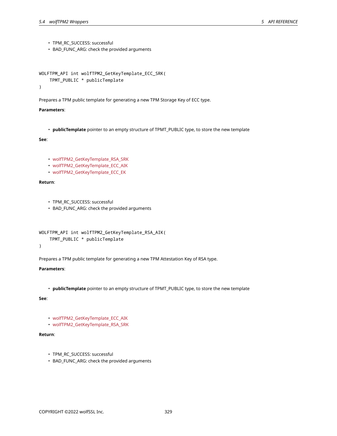- TPM\_RC\_SUCCESS: successful
- BAD\_FUNC\_ARG: check the provided arguments

```
WOLFTPM_API int wolfTPM2_GetKeyTemplate_ECC_SRK(
    TPMT_PUBLIC * publicTemplate
)
```
Prepares a TPM public template for generating a new TPM Storage Key of ECC type.

#### **Parameters**:

• **publicTemplate** pointer to an empty structure of TPMT\_PUBLIC type, to store the new template

# **See**:

- wolfTPM2\_GetKeyTemplate\_RSA\_SRK
- wolfTPM2 GetKeyTemplate ECC AIK
- wolfTPM2\_GetKeyTemplate\_ECC\_EK

## **Return**:

- TPM\_RC\_SUCCESS: successful
- BAD\_FUNC\_ARG: check the provided arguments

```
WOLFTPM_API int wolfTPM2_GetKeyTemplate_RSA_AIK(
    TPMT_PUBLIC * publicTemplate
)
```
Prepares a TPM public template for generating a new TPM Attestation Key of RSA type.

### **Parameters**:

• **publicTemplate** pointer to an empty structure of TPMT\_PUBLIC type, to store the new template

# **See**:

- wolfTPM2\_GetKeyTemplate\_ECC\_AIK
- wolfTPM2\_GetKeyTemplate\_RSA\_SRK

- TPM\_RC\_SUCCESS: successful
- BAD\_FUNC\_ARG: check the provided arguments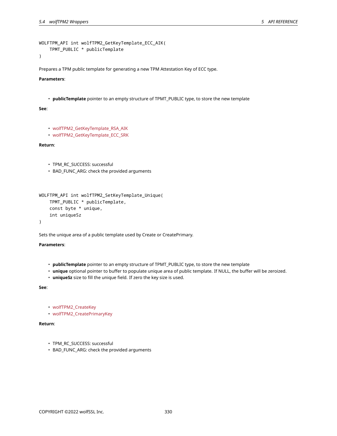```
WOLFTPM_API int wolfTPM2_GetKeyTemplate_ECC_AIK(
    TPMT_PUBLIC * publicTemplate
```
Prepares a TPM public template for generating a new TPM Attestation Key of ECC type.

## **Parameters**:

• **publicTemplate** pointer to an empty structure of TPMT\_PUBLIC type, to store the new template

#### **See**:

```
• wolfTPM2_GetKeyTemplate_RSA_AIK
```
• wolfTPM2\_GetKeyTemplate\_ECC\_SRK

#### **Return**:

```
• TPM_RC_SUCCESS: successful
```
• BAD\_FUNC\_ARG: check the provided arguments

```
WOLFTPM_API int wolfTPM2_SetKeyTemplate_Unique(
   TPMT_PUBLIC * publicTemplate,
    const byte * unique,
    int uniqueSz
)
```
Sets the unique area of a public template used by Create or CreatePrimary.

## **Parameters**:

- **publicTemplate** pointer to an empty structure of TPMT\_PUBLIC type, to store the new template
- **unique** optional pointer to buffer to populate unique area of public template. If NULL, the buffer will be zeroized.
- **uniqueSz** size to fill the unique field. If zero the key size is used.

## **See**:

- wolfTPM2\_CreateKey
- wolfTPM2\_CreatePrimaryKey

- TPM\_RC\_SUCCESS: successful
- BAD\_FUNC\_ARG: check the provided arguments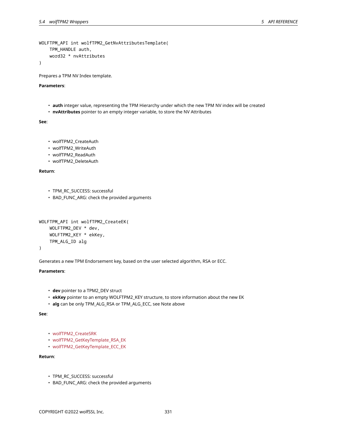```
WOLFTPM_API int wolfTPM2_GetNvAttributesTemplate(
    TPM_HANDLE auth,
    word32 * nvAttributes
```
Prepares a TPM NV Index template.

#### **Parameters**:

- **auth** integer value, representing the TPM Hierarchy under which the new TPM NV index will be created
- **nvAttributes** pointer to an empty integer variable, to store the NV Attributes

**See**:

- wolfTPM2\_CreateAuth
- wolfTPM2\_WriteAuth
- wolfTPM2\_ReadAuth
- wolfTPM2\_DeleteAuth

**Return**:

- TPM\_RC\_SUCCESS: successful
- BAD\_FUNC\_ARG: check the provided arguments

```
WOLFTPM_API int wolfTPM2_CreateEK(
    WOLFTPM2_DEV * dev,
    WOLFTPM2_KEY * ekKey,
    TPM_ALG_ID alg
```
)

Generates a new TPM Endorsement key, based on the user selected algorithm, RSA or ECC.

# **Parameters**:

- **dev** pointer to a TPM2\_DEV struct
- **ekKey** pointer to an empty WOLFTPM2\_KEY structure, to store information about the new EK
- **alg** can be only TPM\_ALG\_RSA or TPM\_ALG\_ECC, see Note above

**See**:

```
• wolfTPM2_CreateSRK
```
- wolfTPM2\_GetKeyTemplate\_RSA\_EK
- wolfTPM2\_GetKeyTemplate\_ECC\_EK

- TPM\_RC\_SUCCESS: successful
- BAD\_FUNC\_ARG: check the provided arguments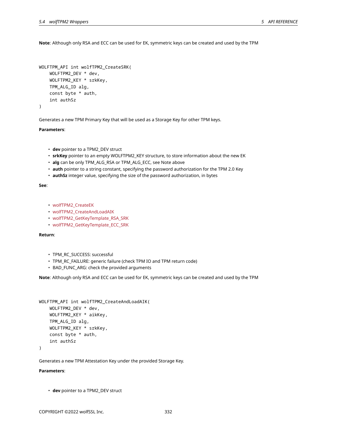**Note**: Although only RSA and ECC can be used for EK, symmetric keys can be created and used by the TPM

```
WOLFTPM_API int wolfTPM2_CreateSRK(
    WOLFTPM2_DEV * dev,
    WOLFTPM2_KEY * srkKey,
    TPM_ALG_ID alg,
    const byte * auth,
    int authSz
\lambda
```
Generates a new TPM Primary Key that will be used as a Storage Key for other TPM keys.

#### **Parameters**:

- **dev** pointer to a TPM2\_DEV struct
- **srkKey** pointer to an empty WOLFTPM2\_KEY structure, to store information about the new EK
- **alg** can be only TPM\_ALG\_RSA or TPM\_ALG\_ECC, see Note above
- **auth** pointer to a string constant, specifying the password authorization for the TPM 2.0 Key
- **authSz** integer value, specifying the size of the password authorization, in bytes

#### **See**:

- wolfTPM2\_CreateEK
- wolfTPM2\_CreateAndLoadAIK
- wolfTPM2\_GetKeyTemplate\_RSA\_SRK
- wolfTPM2\_GetKeyTemplate\_ECC\_SRK

## **Return**:

- TPM\_RC\_SUCCESS: successful
- TPM\_RC\_FAILURE: generic failure (check TPM IO and TPM return code)
- BAD FUNC ARG: check the provided arguments

**Note**: Although only RSA and ECC can be used for EK, symmetric keys can be created and used by the TPM

```
WOLFTPM_API int wolfTPM2_CreateAndLoadAIK(
    WOLFTPM2_DEV * dev,
    WOLFTPM2_KEY * aikKey,
    TPM_ALG_ID alg,
    WOLFTPM2_KEY * srkKey,
    const byte * auth,
    int authSz
```
 $\lambda$ 

Generates a new TPM Attestation Key under the provided Storage Key.

# **Parameters**:

• **dev** pointer to a TPM2\_DEV struct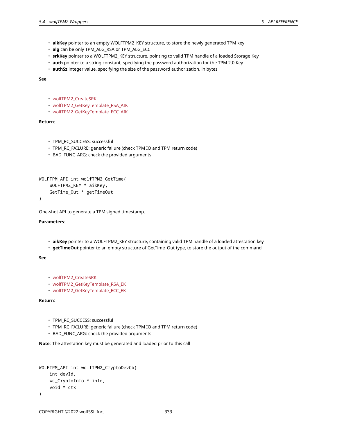- **aikKey** pointer to an empty WOLFTPM2\_KEY structure, to store the newly generated TPM key
- **alg** can be only TPM\_ALG\_RSA or TPM\_ALG\_ECC
- **srkKey** pointer to a WOLFTPM2\_KEY structure, pointing to valid TPM handle of a loaded Storage Key
- **auth** pointer to a string constant, specifying the password authorization for the TPM 2.0 Key
- **authSz** integer value, specifying the size of the password authorization, in bytes

**See**:

- wolfTPM2\_CreateSRK
- wolfTPM2\_GetKeyTemplate\_RSA\_AIK
- wolfTPM2\_GetKeyTemplate\_ECC\_AIK

### **Return**:

- TPM\_RC\_SUCCESS: successful
- TPM\_RC\_FAILURE: generic failure (check TPM IO and TPM return code)
- BAD\_FUNC\_ARG: check the provided arguments

```
WOLFTPM_API int wolfTPM2_GetTime(
    WOLFTPM2_KEY * aikKey,
    GetTime_Out * getTimeOut
```

```
)
```
One-shot API to generate a TPM signed timestamp.

#### **Parameters**:

- **aikKey** pointer to a WOLFTPM2\_KEY structure, containing valid TPM handle of a loaded attestation key
- **getTimeOut** pointer to an empty structure of GetTime\_Out type, to store the output of the command

#### **See**:

- wolfTPM2\_CreateSRK
- wolfTPM2\_GetKeyTemplate\_RSA\_EK
- wolfTPM2\_GetKeyTemplate\_ECC\_EK

#### **Return**:

- TPM\_RC\_SUCCESS: successful
- TPM\_RC\_FAILURE: generic failure (check TPM IO and TPM return code)
- BAD\_FUNC\_ARG: check the provided arguments

**Note**: The attestation key must be generated and loaded prior to this call

```
WOLFTPM_API int wolfTPM2_CryptoDevCb(
    int devId,
    wc_CryptoInfo * info,
    void * ctx
)
```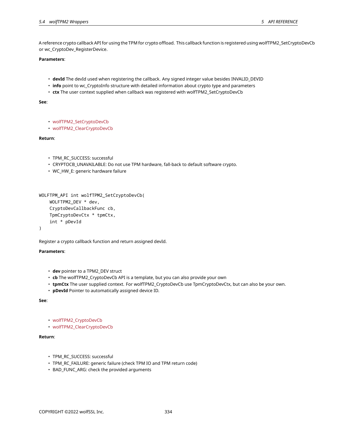A reference crypto callback API for using the TPM for crypto offload. This callback function is registered using wolfTPM2\_SetCryptoDevCb or wc\_CryptoDev\_RegisterDevice.

#### **Parameters**:

- **devId** The devId used when registering the callback. Any signed integer value besides INVALID\_DEVID
- **info** point to wc\_CryptoInfo structure with detailed information about crypto type and parameters
- **ctx** The user context supplied when callback was registered with wolfTPM2\_SetCryptoDevCb

#### **See**:

```
• wolfTPM2_SetCryptoDevCb
```

```
• wolfTPM2_ClearCryptoDevCb
```
## **Return**:

- TPM\_RC\_SUCCESS: successful
- CRYPTOCB\_UNAVAILABLE: Do not use TPM hardware, fall-back to default software crypto.
- WC\_HW\_E: generic hardware failure

```
WOLFTPM_API int wolfTPM2_SetCryptoDevCb(
    WOLFTPM2_DEV * dev,
    CryptoDevCallbackFunc cb,
    TpmCryptoDevCtx * tpmCtx,
    int * pDevId
```

```
)
```
Register a crypto callback function and return assigned devId.

## **Parameters**:

- **dev** pointer to a TPM2\_DEV struct
- **cb** The wolfTPM2\_CryptoDevCb API is a template, but you can also provide your own
- **tpmCtx** The user supplied context. For wolfTPM2\_CryptoDevCb use TpmCryptoDevCtx, but can also be your own.
- **pDevId** Pointer to automatically assigned device ID.

### **See**:

- wolfTPM2\_CryptoDevCb
- wolfTPM2\_ClearCryptoDevCb

- TPM\_RC\_SUCCESS: successful
- TPM\_RC\_FAILURE: generic failure (check TPM IO and TPM return code)
- BAD\_FUNC\_ARG: check the provided arguments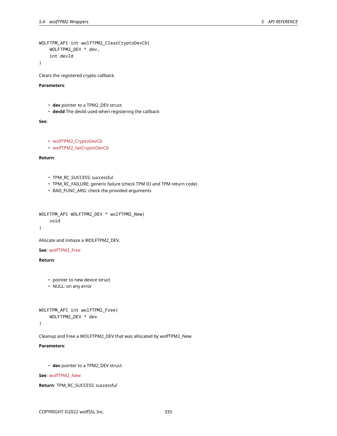```
WOLFTPM_API int wolfTPM2_ClearCryptoDevCb(
    WOLFTPM2_DEV * dev,
    int devId
```
Clears the registered crypto callback.

# **Parameters**:

- **dev** pointer to a TPM2\_DEV struct
- **devId** The devId used when registering the callback

# **See**:

```
• wolfTPM2_CryptoDevCb
```
• wolfTPM2\_SetCryptoDevCb

# **Return**:

- TPM\_RC\_SUCCESS: successful
- TPM\_RC\_FAILURE: generic failure (check TPM IO and TPM return code)
- BAD\_FUNC\_ARG: check the provided arguments

```
WOLFTPM_API WOLFTPM2_DEV * wolfTPM2_New(
    void
```

```
)
```
Allocate and initiaze a WOLFTPM2\_DEV.

#### **See**: wolfTPM2\_Free

**Return**:

- pointer to new device struct
- NULL: on any error

```
WOLFTPM_API int wolfTPM2_Free(
    WOLFTPM2_DEV * dev
```
)

Cleanup and Free a WOLFTPM2\_DEV that was allocated by wolfTPM2\_New.

## **Parameters**:

• **dev** pointer to a TPM2\_DEV struct

#### **See**: wolfTPM2\_New

```
Return: TPM_RC_SUCCESS: successful
```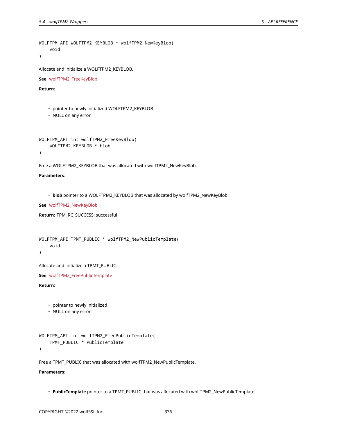```
WOLFTPM_API WOLFTPM2_KEYBLOB * wolfTPM2_NewKeyBlob(
    void
```
Allocate and initialize a WOLFTPM2\_KEYBLOB.

**See**: wolfTPM2\_FreeKeyBlob

**Return**:

- pointer to newly initialized WOLFTPM2\_KEYBLOB
- NULL on any error

```
WOLFTPM_API int wolfTPM2_FreeKeyBlob(
    WOLFTPM2_KEYBLOB * blob
)
```
Free a WOLFTPM2\_KEYBLOB that was allocated with wolfTPM2\_NewKeyBlob.

#### **Parameters**:

• **blob** pointer to a WOLFTPM2\_KEYBLOB that was allocated by wolfTPM2\_NewKeyBlob

**See**: wolfTPM2\_NewKeyBlob

```
Return: TPM_RC_SUCCESS: successful
```

```
WOLFTPM_API TPMT_PUBLIC * wolfTPM2_NewPublicTemplate(
    void
)
```
Allocate and initialize a TPMT\_PUBLIC.

**See**: wolfTPM2\_FreePublicTemplate

# **Return**:

- pointer to newly initialized
- NULL on any error

```
WOLFTPM_API int wolfTPM2_FreePublicTemplate(
    TPMT_PUBLIC * PublicTemplate
```
)

Free a TPMT\_PUBLIC that was allocated with wolfTPM2\_NewPublicTemplate.

## **Parameters**:

• **PublicTemplate** pointer to a TPMT\_PUBLIC that was allocated with wolfTPM2\_NewPublicTemplate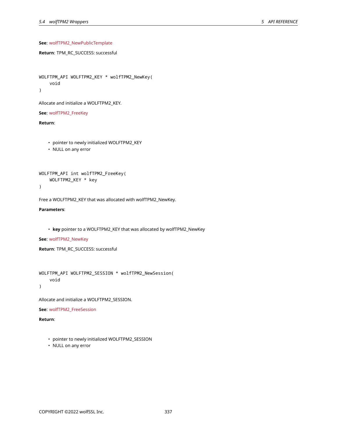# **See**: wolfTPM2\_NewPublicTemplate

```
Return: TPM_RC_SUCCESS: successful
```

```
WOLFTPM_API WOLFTPM2_KEY * wolfTPM2_NewKey(
    void
```
)

Allocate and initialize a WOLFTPM2\_KEY.

**See**: wolfTPM2\_FreeKey

**Return**:

- pointer to newly initialized WOLFTPM2\_KEY
- NULL on any error

```
WOLFTPM_API int wolfTPM2_FreeKey(
    WOLFTPM2_KEY * key
```
)

Free a WOLFTPM2\_KEY that was allocated with wolfTPM2\_NewKey.

**Parameters**:

• **key** pointer to a WOLFTPM2\_KEY that was allocated by wolfTPM2\_NewKey

**See**: wolfTPM2\_NewKey

**Return**: TPM\_RC\_SUCCESS: successful

```
WOLFTPM_API WOLFTPM2_SESSION * wolfTPM2_NewSession(
    void
)
```
Allocate and initialize a WOLFTPM2\_SESSION.

**See**: wolfTPM2\_FreeSession

- pointer to newly initialized WOLFTPM2\_SESSION
- NULL on any error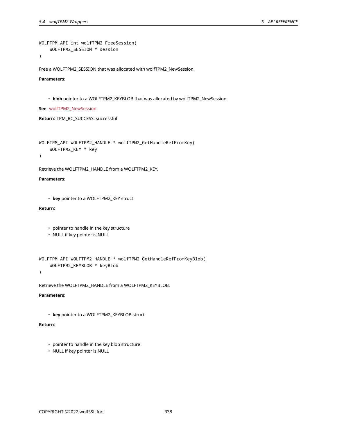```
WOLFTPM_API int wolfTPM2_FreeSession(
    WOLFTPM2_SESSION * session
```
Free a WOLFTPM2\_SESSION that was allocated with wolfTPM2\_NewSession.

# **Parameters**:

• **blob** pointer to a WOLFTPM2\_KEYBLOB that was allocated by wolfTPM2\_NewSession

**See**: wolfTPM2\_NewSession

**Return**: TPM\_RC\_SUCCESS: successful

```
WOLFTPM_API WOLFTPM2_HANDLE * wolfTPM2_GetHandleRefFromKey(
    WOLFTPM2_KEY * key
```
 $\lambda$ 

Retrieve the WOLFTPM2\_HANDLE from a WOLFTPM2\_KEY.

## **Parameters**:

```
• key pointer to a WOLFTPM2_KEY struct
```
# **Return**:

- pointer to handle in the key structure
- NULL if key pointer is NULL

```
WOLFTPM_API WOLFTPM2_HANDLE * wolfTPM2_GetHandleRefFromKeyBlob(
    WOLFTPM2_KEYBLOB * keyBlob
```
)

Retrieve the WOLFTPM2\_HANDLE from a WOLFTPM2\_KEYBLOB.

## **Parameters**:

• **key** pointer to a WOLFTPM2\_KEYBLOB struct

- pointer to handle in the key blob structure
- NULL if key pointer is NULL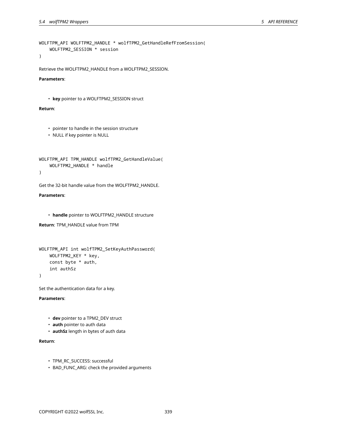```
WOLFTPM_API WOLFTPM2_HANDLE * wolfTPM2_GetHandleRefFromSession(
    WOLFTPM2_SESSION * session
```

```
Retrieve the WOLFTPM2_HANDLE from a WOLFTPM2_SESSION.
```
**Parameters**:

```
• key pointer to a WOLFTPM2_SESSION struct
```
## **Return**:

```
• pointer to handle in the session structure
```
• NULL if key pointer is NULL

```
WOLFTPM_API TPM_HANDLE wolfTPM2_GetHandleValue(
    WOLFTPM2_HANDLE * handle
```
)

Get the 32-bit handle value from the WOLFTPM2\_HANDLE.

**Parameters**:

• **handle** pointer to WOLFTPM2\_HANDLE structure

**Return**: TPM\_HANDLE value from TPM

```
WOLFTPM_API int wolfTPM2_SetKeyAuthPassword(
    WOLFTPM2_KEY * key,
    const byte * auth,
    int authSz
)
```
Set the authentication data for a key.

**Parameters**:

- **dev** pointer to a TPM2\_DEV struct
- **auth** pointer to auth data
- **authSz** length in bytes of auth data

- TPM\_RC\_SUCCESS: successful
- BAD\_FUNC\_ARG: check the provided arguments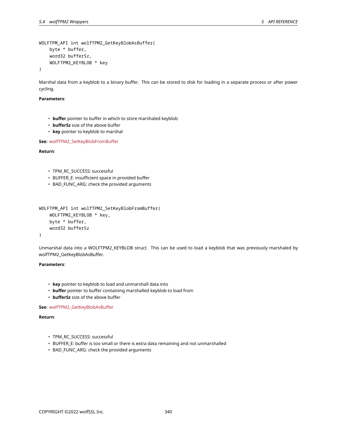```
WOLFTPM_API int wolfTPM2_GetKeyBlobAsBuffer(
    byte * buffer,
    word32 bufferSz,
    WOLFTPM2_KEYBLOB * key
)
```
Marshal data from a keyblob to a binary buffer. This can be stored to disk for loading in a separate process or after power cycling.

#### **Parameters**:

- **buffer** pointer to buffer in which to store marshaled keyblob
- **bufferSz** size of the above buffer
- **key** pointer to keyblob to marshal

**See**: wolfTPM2\_SetKeyBlobFromBuffer

# **Return**:

- TPM\_RC\_SUCCESS: successful
- BUFFER\_E: insufficient space in provided buffer
- BAD\_FUNC\_ARG: check the provided arguments

```
WOLFTPM_API int wolfTPM2_SetKeyBlobFromBuffer(
    WOLFTPM2_KEYBLOB * key,
   byte * buffer,
    word32 bufferSz
```

```
)
```
Unmarshal data into a WOLFTPM2\_KEYBLOB struct. This can be used to load a keyblob that was previously marshaled by wolfTPM2\_GetKeyBlobAsBuffer.

#### **Parameters**:

- **key** pointer to keyblob to load and unmarshall data into
- **buffer** pointer to buffer containing marshalled keyblob to load from
- **bufferSz** size of the above buffer

## **See**: wolfTPM2\_GetKeyBlobAsBuffer

- TPM\_RC\_SUCCESS: successful
- BUFFER\_E: buffer is too small or there is extra data remaining and not unmarshalled
- BAD\_FUNC\_ARG: check the provided arguments